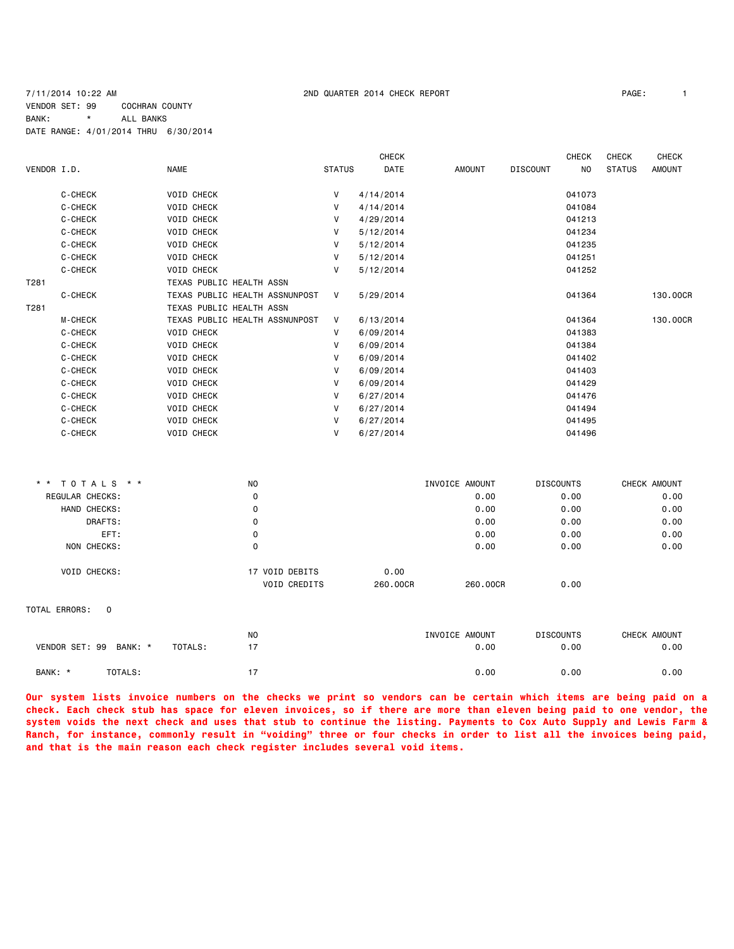### 7/11/2014 10:22 AM 2ND QUARTER 2014 CHECK REPORT PAGE: 1 VENDOR SET: 99 COCHRAN COUNTY BANK: \* ALL BANKS DATE RANGE: 4/01/2014 THRU 6/30/2014

| PAGE: |  |
|-------|--|
|       |  |

|             |                |                                |               | <b>CHECK</b> |               |                 | <b>CHECK</b> | <b>CHECK</b>  | <b>CHECK</b>  |
|-------------|----------------|--------------------------------|---------------|--------------|---------------|-----------------|--------------|---------------|---------------|
| VENDOR I.D. |                | <b>NAME</b>                    | <b>STATUS</b> | DATE         | <b>AMOUNT</b> | <b>DISCOUNT</b> | NO.          | <b>STATUS</b> | <b>AMOUNT</b> |
|             | C-CHECK        | <b>VOID CHECK</b>              | v             | 4/14/2014    |               |                 | 041073       |               |               |
|             | C-CHECK        | <b>VOID CHECK</b>              | V             | 4/14/2014    |               |                 | 041084       |               |               |
|             | C-CHECK        | <b>VOID CHECK</b>              | V             | 4/29/2014    |               |                 | 041213       |               |               |
|             | C-CHECK        | <b>VOID CHECK</b>              | V             | 5/12/2014    |               |                 | 041234       |               |               |
|             | C-CHECK        | <b>VOID CHECK</b>              | v             | 5/12/2014    |               |                 | 041235       |               |               |
|             | C-CHECK        | <b>VOID CHECK</b>              | v             | 5/12/2014    |               |                 | 041251       |               |               |
|             | C-CHECK        | <b>VOID CHECK</b>              | v             | 5/12/2014    |               |                 | 041252       |               |               |
| T281        |                | TEXAS PUBLIC HEALTH ASSN       |               |              |               |                 |              |               |               |
|             | C-CHECK        | TEXAS PUBLIC HEALTH ASSNUNPOST | V             | 5/29/2014    |               |                 | 041364       |               | 130,00CR      |
| T281        |                | TEXAS PUBLIC HEALTH ASSN       |               |              |               |                 |              |               |               |
|             | <b>M-CHECK</b> | TEXAS PUBLIC HEALTH ASSNUNPOST | V             | 6/13/2014    |               |                 | 041364       |               | 130.00CR      |
|             | C-CHECK        | <b>VOID CHECK</b>              | V             | 6/09/2014    |               |                 | 041383       |               |               |
|             | C-CHECK        | <b>VOID CHECK</b>              | v             | 6/09/2014    |               |                 | 041384       |               |               |
|             | C-CHECK        | <b>VOID CHECK</b>              | v             | 6/09/2014    |               |                 | 041402       |               |               |
|             | C-CHECK        | <b>VOID CHECK</b>              | V             | 6/09/2014    |               |                 | 041403       |               |               |
|             | C-CHECK        | <b>VOID CHECK</b>              | V             | 6/09/2014    |               |                 | 041429       |               |               |
|             | C-CHECK        | <b>VOID CHECK</b>              | V             | 6/27/2014    |               |                 | 041476       |               |               |
|             | C-CHECK        | <b>VOID CHECK</b>              | v             | 6/27/2014    |               |                 | 041494       |               |               |
|             | C-CHECK        | <b>VOID CHECK</b>              | V             | 6/27/2014    |               |                 | 041495       |               |               |
|             | C-CHECK        | <b>VOID CHECK</b>              | V             | 6/27/2014    |               |                 | 041496       |               |               |
|             |                |                                |               |              |               |                 |              |               |               |

| * * TOTALS * * |                        | N <sub>0</sub> |                                       | INVOICE AMOUNT   |          | <b>DISCOUNTS</b> | CHECK AMOUNT |
|----------------|------------------------|----------------|---------------------------------------|------------------|----------|------------------|--------------|
|                | <b>REGULAR CHECKS:</b> | 0              |                                       |                  | 0.00     | 0.00             | 0.00         |
|                | HAND CHECKS:           | 0              |                                       |                  | 0.00     | 0.00             | 0.00         |
|                | DRAFTS:                | 0              |                                       |                  | 0.00     | 0.00             | 0.00         |
|                | EFT:                   | 0              |                                       |                  | 0.00     | 0.00             | 0.00         |
|                | NON CHECKS:            | 0              |                                       |                  | 0.00     | 0.00             | 0.00         |
|                | <b>VOID CHECKS:</b>    |                | 17 VOID DEBITS<br><b>VOID CREDITS</b> | 0.00<br>260,00CR | 260,00CR | 0.00             |              |

### TOTAL ERRORS: 0

|                |         |         | N <sub>0</sub> | INVOICE AMOUNT | <b>DISCOUNTS</b> | CHECK AMOUNT |
|----------------|---------|---------|----------------|----------------|------------------|--------------|
| VENDOR SET: 99 | BANK: * | TOTALS: |                | 0.00           | 0.00             | 0.00         |
| BANK: *        | TOTALS: |         |                | 0.00           | 0.00             | 0.00         |

**Our system lists invoice numbers on the checks we print so vendors can be certain which items are being paid on a check. Each check stub has space for eleven invoices, so if there are more than eleven being paid to one vendor, the system voids the next check and uses that stub to continue the listing. Payments to Cox Auto Supply and Lewis Farm & Ranch, for instance, commonly result in "voiding" three or four checks in order to list all the invoices being paid, and that is the main reason each check register includes several void items.**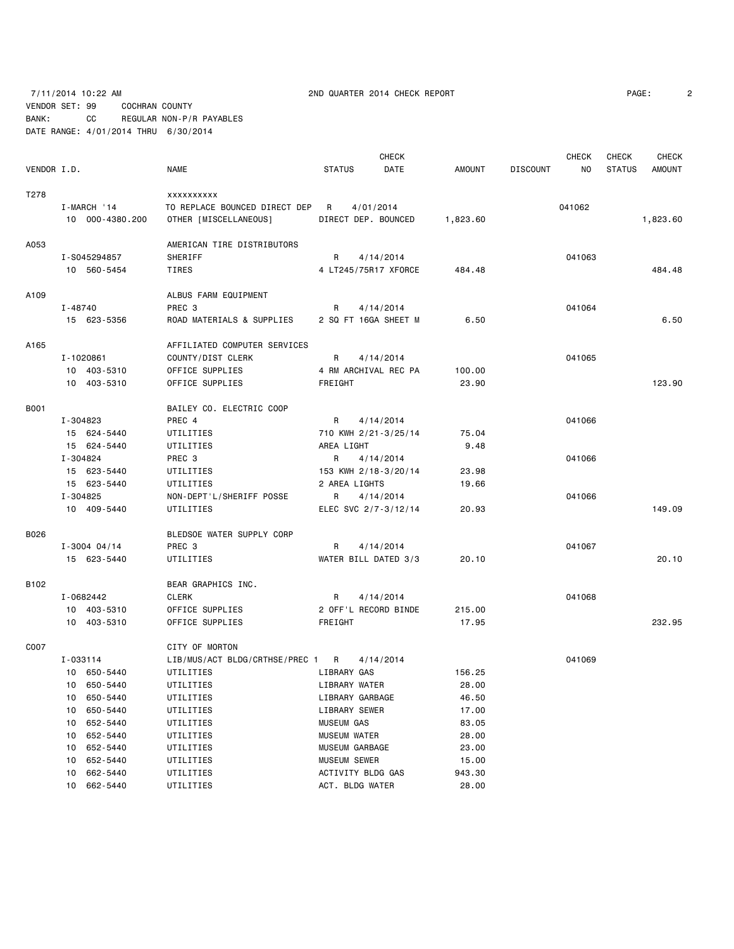### 7/11/2014 10:22 AM 2ND QUARTER 2014 CHECK REPORT PAGE: 2 VENDOR SET: 99 COCHRAN COUNTY BANK: CC REGULAR NON-P/R PAYABLES DATE RANGE: 4/01/2014 THRU 6/30/2014

**CHECK CHECK CHECK CHECK CHECK CHECK CHECK** VENDOR I.D. NAME STATUS DATE AMOUNT DISCOUNT NO STATUS AMOUNT T278 xxxxxxxxxx I-MARCH '14 TO REPLACE BOUNCED DIRECT DEP R 4/01/2014 041062 10 000-4380.200 OTHER [MISCELLANEOUS] DIRECT DEP. BOUNCED 1,823.60 1,823.60 A053 AMERICAN TIRE DISTRIBUTORS I-S045294857 SHERIFF R 4/14/2014 041063 10 560-5454 TIRES 4 LT245/75R17 XFORCE 484.48 484.48 A109 ALBUS FARM EQUIPMENT I-48740 PREC 3 R 4/14/2014 2010 PREC 3 15 623-5356 ROAD MATERIALS & SUPPLIES 2 SQ FT 16GA SHEET M 6.50 6.50 A165 AFFILIATED COMPUTER SERVICES I-1020861 COUNTY/DIST CLERK R 4/14/2014 841065 10 403-5310 OFFICE SUPPLIES 4 RM ARCHIVAL REC PA 100.00 10 403-5310 OFFICE SUPPLIES FREIGHT 23.90 123.90 B001 BAILEY CO. ELECTRIC COOP I-304823 PREC 4 R 4/14/2014 041066 15 624-5440 UTILITIES 710 KWH 2/21-3/25/14 75.04 15 624-5440 UTILITIES AREA LIGHT 9.48 I-304824 PREC 3 R 4/14/2014 041066 15 623-5440 UTILITIES 153 KWH 2/18-3/20/14 23.98 15 623-5440 UTILITIES 2 AREA LIGHTS 19.66 I-304825 NON-DEPT'L/SHERIFF POSSE R 4/14/2014 041066 10 409-5440 UTILITIES ELEC SVC 2/7-3/12/14 20.93 149.09 B026 BLEDSOE WATER SUPPLY CORP I-3004 04/14 PREC 3 R 4/14/2014 041067 15 623-5440 UTILITIES WATER BILL DATED 3/3 20.10 20.10 B102 BEAR GRAPHICS INC. I-0682442 CLERK R 4/14/2014 041068 10 403-5310 OFFICE SUPPLIES 2 OFF'L RECORD BINDE 215.00 10 403-5310 OFFICE SUPPLIES FREIGHT 17.95 232.95 C007 CITY OF MORTON I-033114 LIB/MUS/ACT BLDG/CRTHSE/PREC 1 R 4/14/2014 041069 10 650-5440 UTILITIES LIBRARY GAS 156.25 10 650-5440 UTILITIES LIBRARY WATER 28.00 10 650-5440 UTILITIES LIBRARY GARBAGE 46.50 10 650-5440 UTILITIES LIBRARY SEWER 17.00 10 652-5440 UTILITIES MUSEUM GAS 83.05 10 652-5440 UTILITIES MUSEUM WATER 28.00 10 652-5440 UTILITIES MUSEUM GARBAGE 23.00 10 652-5440 UTILITIES MUSEUM SEWER 15.00 10 662-5440 UTILITIES ACTIVITY BLDG GAS 943.30 10 662-5440 UTILITIES ACT. BLDG WATER 28.00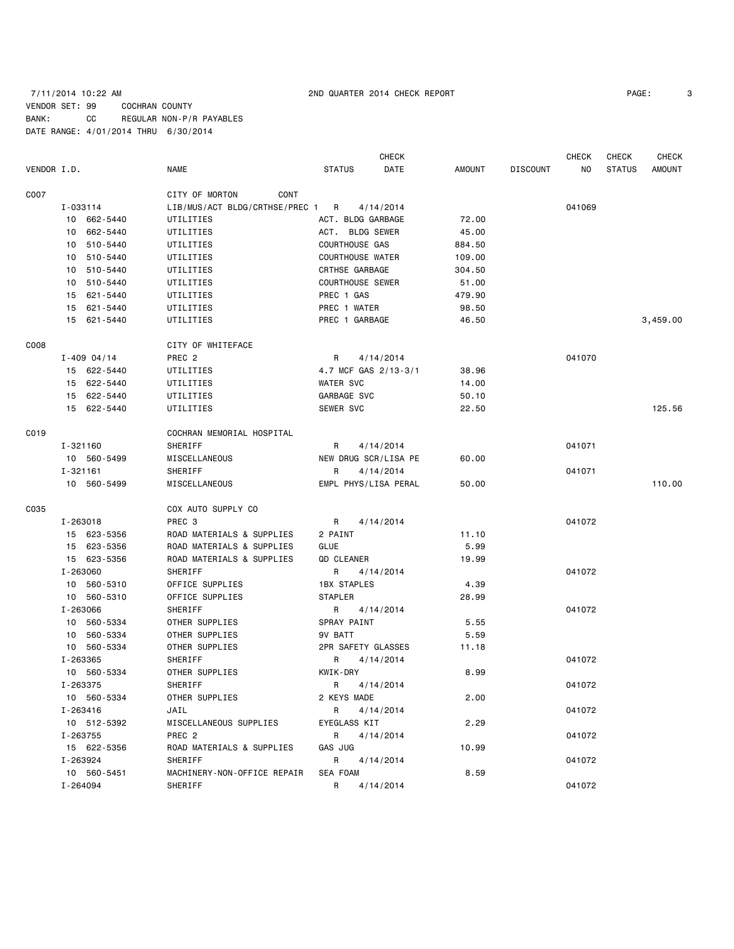### 7/11/2014 10:22 AM 2ND QUARTER 2014 CHECK REPORT PAGE: 3 VENDOR SET: 99 COCHRAN COUNTY BANK: CC REGULAR NON-P/R PAYABLES DATE RANGE: 4/01/2014 THRU 6/30/2014

CHECK CHECK CHECK CHECK VENDOR I.D. NAME STATUS DATE AMOUNT DISCOUNT NO STATUS AMOUNT C007 CONT CITY OF MORTON CONT I-033114 LIB/MUS/ACT BLDG/CRTHSE/PREC 1 R 4/14/2014 041069 10 662-5440 UTILITIES ACT. BLDG GARBAGE 72.00 10 662-5440 UTILITIES ACT. BLDG SEWER 45.00 10 510-5440 UTILITIES COURTHOUSE GAS 884.50 10 510-5440 UTILITIES COURTHOUSE WATER 109.00 10 510-5440 UTILITIES CRTHSE GARBAGE 304.50 10 510-5440 UTILITIES COURTHOUSE SEWER 51.00 15 621-5440 UTILITIES PREC 1 GAS 479.90 15 621-5440 UTILITIES PREC 1 WATER 98.50 15 621-5440 UTILITIES PREC 1 GARBAGE 46.50 3,459.00 C008 COOS COOS I-409 04/14 PREC 2 R 4/14/2014 041070 15 622-5440 UTILITIES 4.7 MCF GAS 2/13-3/1 38.96 15 622-5440 UTILITIES WATER SVC 14.00 15 622-5440 UTILITIES GARBAGE SVC 50.10 15 622-5440 UTILITIES SEWER SVC 22.50 125.56 C019 COCHRAN MEMORIAL HOSPITAL I-321160 SHERIFF R 4/14/2014 041071 10 560-5499 MISCELLANEOUS NEW DRUG SCR/LISA PE 60.00 I-321161 SHERIFF R R 4/14/2014 041071 10 560-5499 MISCELLANEOUS EMPL PHYS/LISA PERAL 50.00 110.00 C035 COX AUTO SUPPLY CO I-263018 PREC 3 R 4/14/2014 041072 15 623-5356 ROAD MATERIALS & SUPPLIES 2 PAINT 11.10 15 623-5356 ROAD MATERIALS & SUPPLIES GLUE 5.99 15 623-5356 ROAD MATERIALS & SUPPLIES QD CLEANER 19.99 I-263060 SHERIFF R 4/14/2014 041072 10 560-5310 OFFICE SUPPLIES 1BX STAPLES 4.39 10 560-5310 OFFICE SUPPLIES STAPLER 28.99 I-263066 SHERIFF R 4/14/2014 041072 10 560-5334 OTHER SUPPLIES SPRAY PAINT 5.55 10 560-5334 OTHER SUPPLIES 9V BATT 5.59 10 560-5334 OTHER SUPPLIES 2PR SAFETY GLASSES 11.18 I-263365 SHERIFF R R 4/14/2014 R 4014/2014 041072 10 560-5334 OTHER SUPPLIES KWIK-DRY 8.99 I-263375 SHERIFF R R 4/14/2014 R 4014/2014 041072 10 560-5334 OTHER SUPPLIES 2 KEYS MADE 2.00 I-263416 JAIL R 4/14/2014 041072 10 512-5392 MISCELLANEOUS SUPPLIES EYEGLASS KIT 2.29 I-263755 PREC 2 R 4/14/2014 041072 15 622-5356 ROAD MATERIALS & SUPPLIES GAS JUG 10.99 I-263924 SHERIFF R R 4/14/2014 R 4014/2014 041072 10 560-5451 MACHINERY-NON-OFFICE REPAIR SEA FOAM 8.59

I-264094 SHERIFF R R 4/14/2014 041072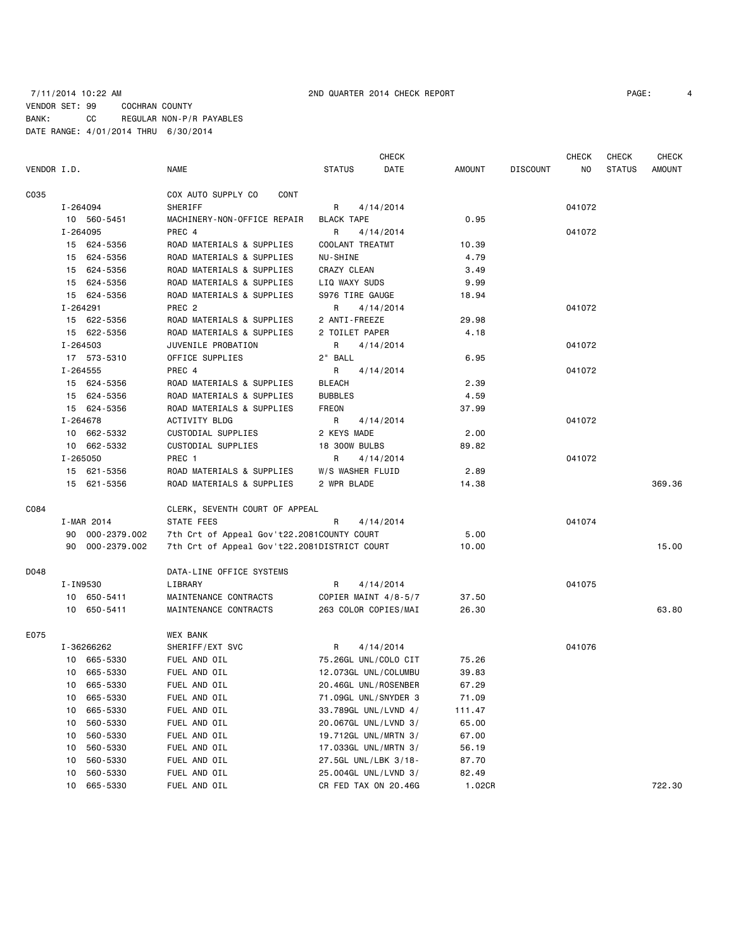### 7/11/2014 10:22 AM 2ND QUARTER 2014 CHECK REPORT PAGE: 4 VENDOR SET: 99 COCHRAN COUNTY BANK: CC REGULAR NON-P/R PAYABLES DATE RANGE: 4/01/2014 THRU 6/30/2014

|             |          |                 |                                              |                      | <b>CHECK</b> |        |                 | CHECK  | <b>CHECK</b>  | <b>CHECK</b> |
|-------------|----------|-----------------|----------------------------------------------|----------------------|--------------|--------|-----------------|--------|---------------|--------------|
| VENDOR I.D. |          |                 | NAME                                         | <b>STATUS</b>        | DATE         | AMOUNT | <b>DISCOUNT</b> | ΝO     | <b>STATUS</b> | AMOUNT       |
| C035        |          |                 | COX AUTO SUPPLY CO<br>CONT                   |                      |              |        |                 |        |               |              |
|             |          | I-264094        | SHERIFF                                      | R                    | 4/14/2014    |        |                 | 041072 |               |              |
|             |          | 10 560-5451     | MACHINERY-NON-OFFICE REPAIR                  | BLACK TAPE           |              | 0.95   |                 |        |               |              |
|             |          | I-264095        | PREC 4                                       | R                    | 4/14/2014    |        |                 | 041072 |               |              |
|             |          | 15 624-5356     | ROAD MATERIALS & SUPPLIES                    | COOLANT TREATMT      |              | 10.39  |                 |        |               |              |
|             |          | 15 624-5356     | ROAD MATERIALS & SUPPLIES                    | NU-SHINE             |              | 4.79   |                 |        |               |              |
|             |          | 15 624-5356     | ROAD MATERIALS & SUPPLIES                    | CRAZY CLEAN          |              | 3.49   |                 |        |               |              |
|             |          | 15 624-5356     | ROAD MATERIALS & SUPPLIES                    | LIQ WAXY SUDS        |              | 9.99   |                 |        |               |              |
|             |          | 15 624-5356     | ROAD MATERIALS & SUPPLIES                    | S976 TIRE GAUGE      |              | 18.94  |                 |        |               |              |
|             | I-264291 |                 | PREC <sub>2</sub>                            | R                    | 4/14/2014    |        |                 | 041072 |               |              |
|             |          | 15 622-5356     | ROAD MATERIALS & SUPPLIES                    | 2 ANTI-FREEZE        |              | 29.98  |                 |        |               |              |
|             |          | 15 622-5356     | ROAD MATERIALS & SUPPLIES                    | 2 TOILET PAPER       |              | 4.18   |                 |        |               |              |
|             |          | I-264503        | JUVENILE PROBATION                           | R                    | 4/14/2014    |        |                 | 041072 |               |              |
|             |          | 17 573-5310     | OFFICE SUPPLIES                              | 2" BALL              |              | 6.95   |                 |        |               |              |
|             |          | I-264555        | PREC 4                                       | R                    | 4/14/2014    |        |                 | 041072 |               |              |
|             |          | 15 624-5356     | ROAD MATERIALS & SUPPLIES                    | <b>BLEACH</b>        |              | 2.39   |                 |        |               |              |
|             |          | 15 624-5356     | ROAD MATERIALS & SUPPLIES                    | <b>BUBBLES</b>       |              | 4.59   |                 |        |               |              |
|             |          | 15 624-5356     | ROAD MATERIALS & SUPPLIES                    | FREON                |              | 37.99  |                 |        |               |              |
|             |          | I-264678        | ACTIVITY BLDG                                | R                    | 4/14/2014    |        |                 | 041072 |               |              |
|             |          | 10 662-5332     | CUSTODIAL SUPPLIES                           | 2 KEYS MADE          |              | 2.00   |                 |        |               |              |
|             |          | 10 662-5332     | CUSTODIAL SUPPLIES                           | <b>18 300W BULBS</b> |              | 89.82  |                 |        |               |              |
|             |          | I-265050        | PREC 1                                       | R                    | 4/14/2014    |        |                 | 041072 |               |              |
|             |          | 15 621-5356     | ROAD MATERIALS & SUPPLIES                    | W/S WASHER FLUID     |              | 2.89   |                 |        |               |              |
|             |          | 15 621-5356     | ROAD MATERIALS & SUPPLIES                    | 2 WPR BLADE          |              | 14.38  |                 |        |               | 369.36       |
| C084        |          |                 | CLERK, SEVENTH COURT OF APPEAL               |                      |              |        |                 |        |               |              |
|             |          | I-MAR 2014      | STATE FEES                                   | R                    | 4/14/2014    |        |                 | 041074 |               |              |
|             |          | 90 000-2379.002 | 7th Crt of Appeal Gov't22.2081COUNTY COURT   |                      |              | 5.00   |                 |        |               |              |
|             |          | 90 000-2379.002 | 7th Crt of Appeal Gov't22.2081DISTRICT COURT |                      |              | 10.00  |                 |        |               | 15.00        |
| D048        |          |                 | DATA-LINE OFFICE SYSTEMS                     |                      |              |        |                 |        |               |              |
|             |          | I-IN9530        | LIBRARY                                      | R                    | 4/14/2014    |        |                 | 041075 |               |              |
|             |          | 10 650-5411     | MAINTENANCE CONTRACTS                        | COPIER MAINT 4/8-5/7 |              | 37.50  |                 |        |               |              |
|             |          | 10 650-5411     | MAINTENANCE CONTRACTS                        | 263 COLOR COPIES/MAI |              | 26.30  |                 |        |               | 63.80        |
| E075        |          |                 | <b>WEX BANK</b>                              |                      |              |        |                 |        |               |              |
|             |          | I-36266262      | SHERIFF/EXT SVC                              | R                    | 4/14/2014    |        |                 | 041076 |               |              |
|             |          | 10 665-5330     | FUEL AND OIL                                 | 75.26GL UNL/COLO CIT |              | 75.26  |                 |        |               |              |
|             |          | 10 665-5330     | FUEL AND OIL                                 | 12.073GL UNL/COLUMBU |              | 39.83  |                 |        |               |              |
|             |          | 10 665-5330     | FUEL AND OIL                                 | 20.46GL UNL/ROSENBER |              | 67.29  |                 |        |               |              |
|             | 10       | 665-5330        | FUEL AND OIL                                 | 71.09GL UNL/SNYDER 3 |              | 71.09  |                 |        |               |              |
|             | 10       | 665-5330        | FUEL AND OIL                                 | 33.789GL UNL/LVND 4/ |              | 111.47 |                 |        |               |              |
|             | 10       | 560-5330        | FUEL AND OIL                                 | 20.067GL UNL/LVND 3/ |              | 65.00  |                 |        |               |              |
|             | 10       | 560-5330        | FUEL AND OIL                                 | 19.712GL UNL/MRTN 3/ |              | 67.00  |                 |        |               |              |
|             | 10       | 560-5330        | FUEL AND OIL                                 | 17.033GL UNL/MRTN 3/ |              | 56.19  |                 |        |               |              |
|             | 10       | 560-5330        | FUEL AND OIL                                 | 27.5GL UNL/LBK 3/18- |              | 87.70  |                 |        |               |              |
|             | 10       | 560-5330        | FUEL AND OIL                                 | 25.004GL UNL/LVND 3/ |              | 82.49  |                 |        |               |              |
|             | 10       | 665-5330        | FUEL AND OIL                                 | CR FED TAX ON 20.46G |              | 1.02CR |                 |        |               | 722.30       |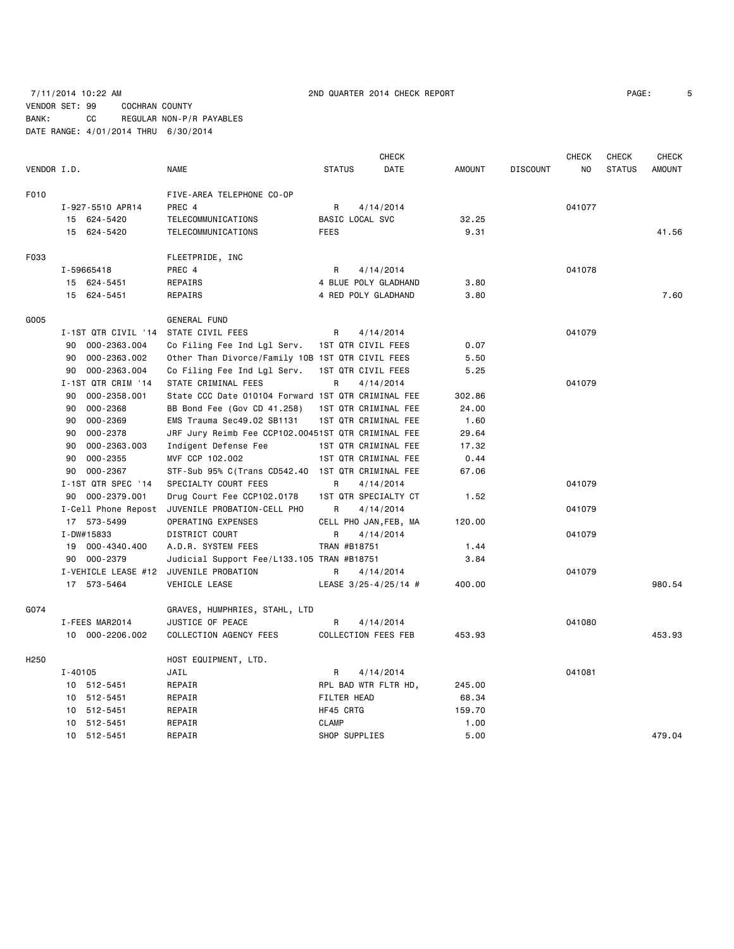### 7/11/2014 10:22 AM 2ND QUARTER 2014 CHECK REPORT PAGE: 5 VENDOR SET: 99 COCHRAN COUNTY BANK: CC REGULAR NON-P/R PAYABLES DATE RANGE: 4/01/2014 THRU 6/30/2014

**CHECK CHECK CHECK CHECK CHECK CHECK CHECK** VENDOR I.D. NAME STATUS DATE AMOUNT DISCOUNT NO STATUS AMOUNT F010 FIVE-AREA TELEPHONE CO-OP I-927-5510 APR14 PREC 4 R 4/14/2014 041077 15 624-5420 TELECOMMUNICATIONS BASIC LOCAL SVC 32.25 15 624-5420 TELECOMMUNICATIONS FEES 9.31 41.56 F033 FLEETPRIDE, INC I-59665418 PREC 4 R 4/14/2014 041078 15 624-5451 REPAIRS 4 BLUE POLY GLADHAND 3.80 15 624-5451 REPAIRS 4 RED POLY GLADHAND 3.80 7.60 G005 GENERAL FUND I-1ST QTR CIVIL '14 STATE CIVIL FEES R 4/14/2014 041079 90 000-2363.004 Co Filing Fee Ind Lgl Serv. 1ST QTR CIVIL FEES 0.07 90 000-2363.002 Other Than Divorce/Family 10B 1ST QTR CIVIL FEES 5.50 90 000-2363.004 Co Filing Fee Ind Lgl Serv. 1ST QTR CIVIL FEES 5.25 I-1ST QTR CRIM '14 STATE CRIMINAL FEES R 4/14/2014 812 141079 90 000-2358.001 State CCC Date 010104 Forward 1ST QTR CRIMINAL FEE 302.86 90 000-2368 BB Bond Fee (Gov CD 41.258) 1ST QTR CRIMINAL FEE 24.00 90 000-2369 EMS Trauma Sec49.02 SB1131 1ST QTR CRIMINAL FEE 1.60 90 000-2378 JRF Jury Reimb Fee CCP102.00451ST QTR CRIMINAL FEE 29.64 90 000-2363.003 Indigent Defense Fee 1ST QTR CRIMINAL FEE 17.32 90 000-2355 MVF CCP 102.002 1ST QTR CRIMINAL FEE 0.44 90 000-2367 STF-Sub 95% C(Trans CD542.40 1ST QTR CRIMINAL FEE 67.06 I-1ST QTR SPEC '14 SPECIALTY COURT FEES R 4/14/2014 8041079 90 000-2379.001 Drug Court Fee CCP102.0178 1ST QTR SPECIALTY CT 1.52 I-Cell Phone Repost JUVENILE PROBATION-CELL PHO R 4/14/2014 041079 17 573-5499 OPERATING EXPENSES CELL PHO JAN,FEB, MA 120.00 I-DW#15833 DISTRICT COURT R 4/14/2014 041079 19 000-4340.400 A.D.R. SYSTEM FEES TRAN #B18751 1.44 90 000-2379 Judicial Support Fee/L133.105 TRAN #B18751 3.84 I-VEHICLE LEASE #12 JUVENILE PROBATION R 4/14/2014 041079 17 573-5464 VEHICLE LEASE LEASE 3/25-4/25/14 # 400.00 980.54 G074 GRAVES, HUMPHRIES, STAHL, LTD I-FEES MAR2014 UUSTICE OF PEACE BRACK R 4/14/2014 CALCHEST AREA 201080 10 000-2206.002 COLLECTION AGENCY FEES COLLECTION FEES FEB 453.93 453.93 H250 HOST EQUIPMENT, LTD. I-40105 JAIL R 4/14/2014 041081 10 512-5451 REPAIR RPL BAD WTR FLTR HD, 245.00 10 512-5451 REPAIR FILTER HEAD 68.34 10 512-5451 REPAIR HF45 CRTG 159.70 10 512-5451 REPAIR CLAMP CLAMP 1.00 10 512-5451 REPAIR SHOP SUPPLIES 5.00 479.04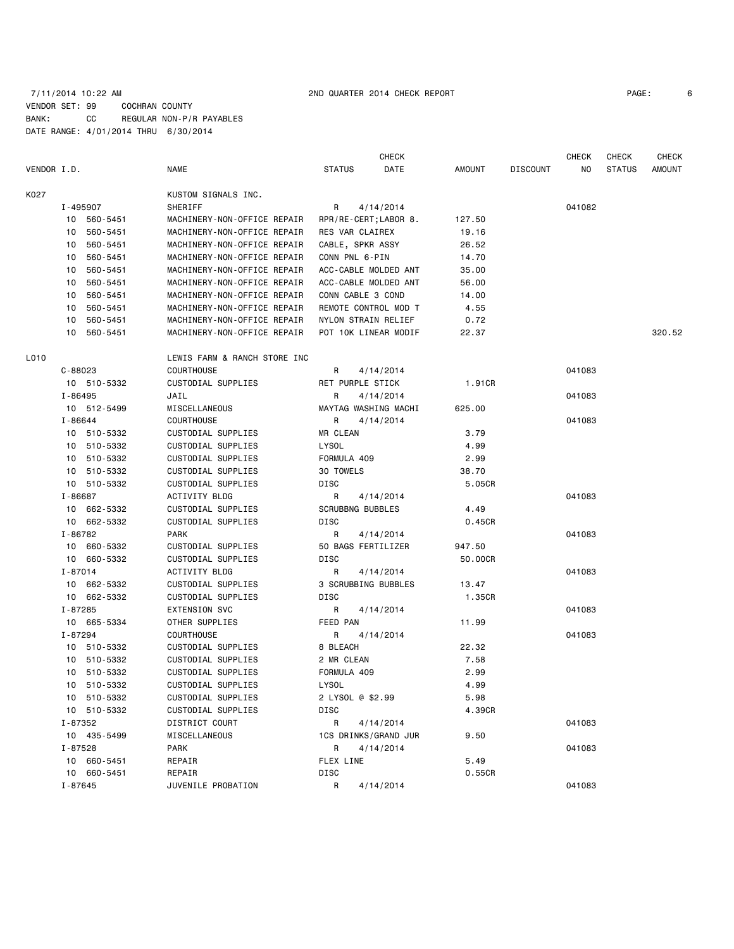### 7/11/2014 10:22 AM 2ND QUARTER 2014 CHECK REPORT PAGE: 6 VENDOR SET: 99 COCHRAN COUNTY BANK: CC REGULAR NON-P/R PAYABLES DATE RANGE: 4/01/2014 THRU 6/30/2014

|             |             |             |                              |                         | CHECK                 |         |                 | CHECK  | <b>CHECK</b>  | <b>CHECK</b>  |
|-------------|-------------|-------------|------------------------------|-------------------------|-----------------------|---------|-----------------|--------|---------------|---------------|
| VENDOR I.D. |             |             | <b>NAME</b>                  | <b>STATUS</b>           | DATE                  | AMOUNT  | <b>DISCOUNT</b> | NO     | <b>STATUS</b> | <b>AMOUNT</b> |
| K027        |             |             | KUSTOM SIGNALS INC.          |                         |                       |         |                 |        |               |               |
|             |             | I-495907    | SHERIFF                      | R                       | 4/14/2014             |         |                 | 041082 |               |               |
|             | 10 560-5451 |             | MACHINERY-NON-OFFICE REPAIR  |                         | RPR/RE-CERT; LABOR 8. | 127.50  |                 |        |               |               |
|             | 10          | 560-5451    | MACHINERY-NON-OFFICE REPAIR  | RES VAR CLAIREX         |                       | 19.16   |                 |        |               |               |
|             | 10          | 560-5451    | MACHINERY-NON-OFFICE REPAIR  | CABLE, SPKR ASSY        |                       | 26.52   |                 |        |               |               |
|             | 10          | 560-5451    | MACHINERY-NON-OFFICE REPAIR  | CONN PNL 6-PIN          |                       | 14.70   |                 |        |               |               |
|             | 10          | 560-5451    | MACHINERY-NON-OFFICE REPAIR  |                         | ACC-CABLE MOLDED ANT  | 35.00   |                 |        |               |               |
|             | 10          | 560-5451    | MACHINERY-NON-OFFICE REPAIR  |                         | ACC-CABLE MOLDED ANT  | 56.00   |                 |        |               |               |
|             | 10          | 560-5451    | MACHINERY-NON-OFFICE REPAIR  | CONN CABLE 3 COND       |                       | 14.00   |                 |        |               |               |
|             | 10          | 560-5451    | MACHINERY-NON-OFFICE REPAIR  |                         | REMOTE CONTROL MOD T  | 4.55    |                 |        |               |               |
|             | 10          | 560-5451    | MACHINERY-NON-OFFICE REPAIR  |                         | NYLON STRAIN RELIEF   | 0.72    |                 |        |               |               |
|             | 10          | 560-5451    | MACHINERY-NON-OFFICE REPAIR  |                         | POT 10K LINEAR MODIF  | 22.37   |                 |        |               | 320.52        |
| L010        |             |             | LEWIS FARM & RANCH STORE INC |                         |                       |         |                 |        |               |               |
|             | $C - 88023$ |             | <b>COURTHOUSE</b>            | R                       | 4/14/2014             |         |                 | 041083 |               |               |
|             |             | 10 510-5332 | CUSTODIAL SUPPLIES           | RET PURPLE STICK        |                       | 1.91CR  |                 |        |               |               |
|             | I-86495     |             | JAIL                         | R                       | 4/14/2014             |         |                 | 041083 |               |               |
|             |             | 10 512-5499 | MISCELLANEOUS                |                         | MAYTAG WASHING MACHI  | 625.00  |                 |        |               |               |
|             | $I - 86644$ |             | <b>COURTHOUSE</b>            | R                       | 4/14/2014             |         |                 | 041083 |               |               |
|             |             | 10 510-5332 | CUSTODIAL SUPPLIES           | MR CLEAN                |                       | 3.79    |                 |        |               |               |
|             |             | 10 510-5332 | CUSTODIAL SUPPLIES           | <b>LYSOL</b>            |                       | 4.99    |                 |        |               |               |
|             |             | 10 510-5332 | CUSTODIAL SUPPLIES           | FORMULA 409             |                       | 2.99    |                 |        |               |               |
|             |             | 10 510-5332 | CUSTODIAL SUPPLIES           | 30 TOWELS               |                       | 38.70   |                 |        |               |               |
|             |             | 10 510-5332 | CUSTODIAL SUPPLIES           | DISC                    |                       | 5.05CR  |                 |        |               |               |
|             | I-86687     |             | ACTIVITY BLDG                | R.                      | 4/14/2014             |         |                 | 041083 |               |               |
|             |             | 10 662-5332 | CUSTODIAL SUPPLIES           | <b>SCRUBBNG BUBBLES</b> |                       | 4.49    |                 |        |               |               |
|             |             | 10 662-5332 | CUSTODIAL SUPPLIES           | DISC                    |                       | 0.45CR  |                 |        |               |               |
|             | I-86782     |             | <b>PARK</b>                  | R                       | 4/14/2014             |         |                 | 041083 |               |               |
|             |             | 10 660-5332 | CUSTODIAL SUPPLIES           |                         | 50 BAGS FERTILIZER    | 947.50  |                 |        |               |               |
|             |             | 10 660-5332 | CUSTODIAL SUPPLIES           | DISC                    |                       | 50.00CR |                 |        |               |               |
|             | $I - 87014$ |             | ACTIVITY BLDG                | R                       | 4/14/2014             |         |                 | 041083 |               |               |
|             |             | 10 662-5332 | CUSTODIAL SUPPLIES           |                         | 3 SCRUBBING BUBBLES   | 13.47   |                 |        |               |               |
|             |             | 10 662-5332 | CUSTODIAL SUPPLIES           | DISC                    |                       | 1.35CR  |                 |        |               |               |
|             | I-87285     |             | <b>EXTENSION SVC</b>         | R                       | 4/14/2014             |         |                 | 041083 |               |               |
|             |             | 10 665-5334 | OTHER SUPPLIES               | FEED PAN                |                       | 11.99   |                 |        |               |               |
|             | I-87294     |             | <b>COURTHOUSE</b>            | R                       | 4/14/2014             |         |                 | 041083 |               |               |
|             |             | 10 510-5332 | CUSTODIAL SUPPLIES           | 8 BLEACH                |                       | 22.32   |                 |        |               |               |
|             |             | 10 510-5332 | CUSTODIAL SUPPLIES           | 2 MR CLEAN              |                       | 7.58    |                 |        |               |               |
|             |             | 10 510-5332 | CUSTODIAL SUPPLIES           | FORMULA 409             |                       | 2.99    |                 |        |               |               |
|             |             | 10 510-5332 | CUSTODIAL SUPPLIES           | LYSOL                   |                       | 4.99    |                 |        |               |               |
|             |             | 10 510-5332 | CUSTODIAL SUPPLIES           | 2 LYSOL @ \$2.99        |                       | 5.98    |                 |        |               |               |
|             |             | 10 510-5332 | CUSTODIAL SUPPLIES           | DISC                    |                       | 4.39CR  |                 |        |               |               |
|             | I-87352     |             | DISTRICT COURT               | R                       | 4/14/2014             |         |                 | 041083 |               |               |
|             |             | 10 435-5499 | MISCELLANEOUS                |                         | 1CS DRINKS/GRAND JUR  | 9.50    |                 |        |               |               |
|             | I-87528     |             | PARK                         | R                       | 4/14/2014             |         |                 | 041083 |               |               |
|             |             | 10 660-5451 | REPAIR                       | FLEX LINE               |                       | 5.49    |                 |        |               |               |
|             |             | 10 660-5451 | REPAIR                       | DISC                    |                       | 0.55CR  |                 |        |               |               |
|             | I-87645     |             | JUVENILE PROBATION           | R                       | 4/14/2014             |         |                 | 041083 |               |               |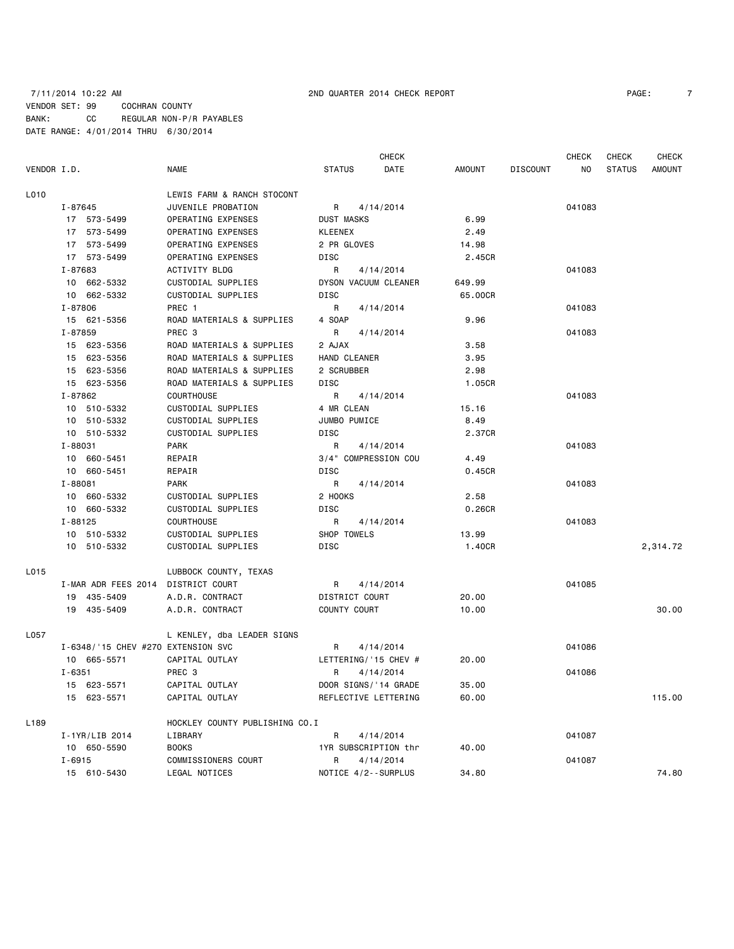VENDOR I.D. NAME STATUS DATE AMOUNT DISCOUNT NO STATUS AMOUNT L010 LEWIS FARM & RANCH STOCONT I-87645 JUVENILE PROBATION R 4/14/2014 041083 17 573-5499 OPERATING EXPENSES DUST MASKS 6.99 17 573-5499 OPERATING EXPENSES KLEENEX 2.49 17 573-5499 OPERATING EXPENSES 2 PR GLOVES 14.98 17 573-5499 OPERATING EXPENSES DISC 2.45CR I-87683 ACTIVITY BLDG R 4/14/2014 041083 10 662-5332 CUSTODIAL SUPPLIES DYSON VACUUM CLEANER 649.99 10 662-5332 CUSTODIAL SUPPLIES DISC 65.00CR I-87806 PREC 1 R 4/14/2014 2014 041083 15 621-5356 ROAD MATERIALS & SUPPLIES 4 SOAP 9.96 I-87859 PREC 3 R 4/14/2014 041083 15 623-5356 ROAD MATERIALS & SUPPLIES 2 AJAX 3.58 15 623-5356 ROAD MATERIALS & SUPPLIES HAND CLEANER 3.95 15 623-5356 ROAD MATERIALS & SUPPLIES 2 SCRUBBER 2.98 15 623-5356 ROAD MATERIALS & SUPPLIES DISC CONSERVERT ALLOSCR I-87862 COURTHOUSE R 4/14/2014 041083 10 510-5332 CUSTODIAL SUPPLIES 4 MR CLEAN 15.16 10 510-5332 CUSTODIAL SUPPLIES JUMBO PUMICE 8.49 10 510-5332 CUSTODIAL SUPPLIES DISC 2.37CR I-88031 PARK R 4/14/2014 041083 10 660-5451 REPAIR 3/4" COMPRESSION COU 4.49 10 660-5451 REPAIR DISC 0.45CR I-88081 PARK PARK R 4/14/2014 2010 PARK R 4/14/2014 10 660-5332 CUSTODIAL SUPPLIES 2 HOOKS 2.58 10 660-5332 CUSTODIAL SUPPLIES DISC 0.26CR I-88125 COURTHOUSE R 4/14/2014 041083 10 510-5332 CUSTODIAL SUPPLIES SHOP TOWELS 13.99 10 510-5332 CUSTODIAL SUPPLIES DISC 1.40CR 2,314.72 L015 LUBBOCK COUNTY, TEXAS I-MAR ADR FEES 2014 DISTRICT COURT A R 4/14/2014 CALCHES 2014 041085 19 435-5409 A.D.R. CONTRACT DISTRICT COURT 20.00 19 435-5409 A.D.R. CONTRACT COUNTY COURT 10.00 30.00 L057 L KENLEY, dba LEADER SIGNS I-6348/'15 CHEV #270 EXTENSION SVC R 4/14/2014 041086 10 665-5571 CAPITAL OUTLAY LETTERING/'15 CHEV # 20.00 I-6351 PREC 3 R 4/14/2014 041086 15 623-5571 CAPITAL OUTLAY DOOR SIGNS/'14 GRADE 35.00 15 623-5571 CAPITAL OUTLAY REFLECTIVE LETTERING 60.00 115.00 L189 HOCKLEY COUNTY PUBLISHING CO.I

I-1YR/LIB 2014 LIBRARY R 4/14/2014 041087

I-6915 COMMISSIONERS COURT R 4/14/2014 R 401087

10 650-5590 BOOKS 1YR SUBSCRIPTION thr 40.00

CHECK CHECK CHECK CHECK

15 610-5430 LEGAL NOTICES NOTICE 4/2--SURPLUS 34.80 74.80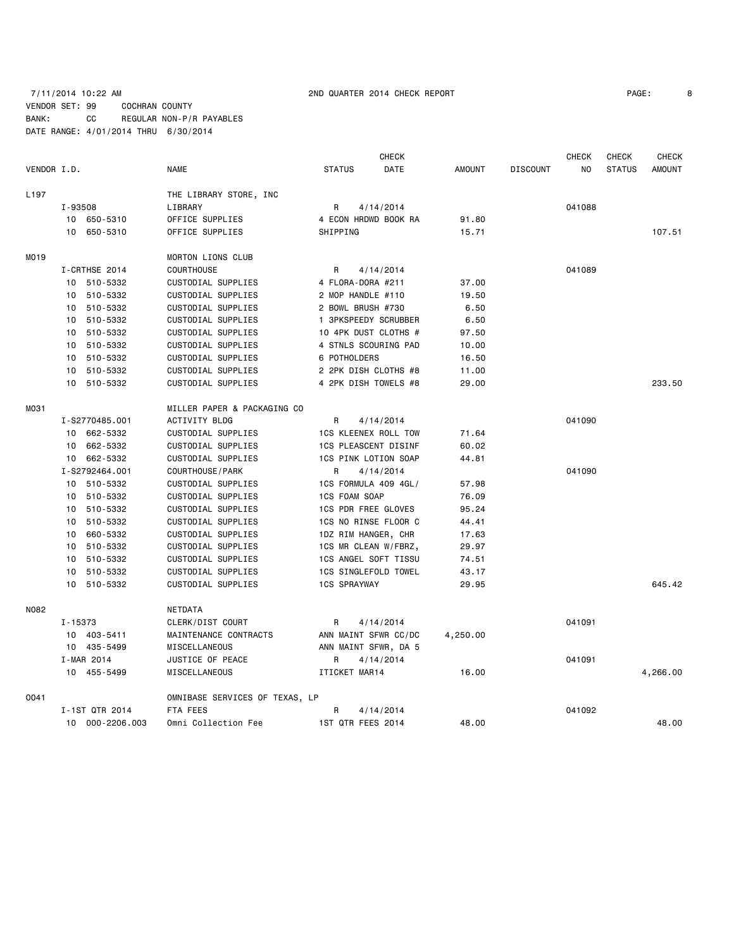### 7/11/2014 10:22 AM 2ND QUARTER 2014 CHECK REPORT PAGE: 8 VENDOR SET: 99 COCHRAN COUNTY BANK: CC REGULAR NON-P/R PAYABLES DATE RANGE: 4/01/2014 THRU 6/30/2014

| PAGE: |  |
|-------|--|
|       |  |

|                  |         |                 |                                |                             | <b>CHECK</b> |               |                 | <b>CHECK</b> | CHECK         | <b>CHECK</b>  |
|------------------|---------|-----------------|--------------------------------|-----------------------------|--------------|---------------|-----------------|--------------|---------------|---------------|
| VENDOR I.D.      |         |                 | <b>NAME</b>                    | <b>STATUS</b>               | DATE         | <b>AMOUNT</b> | <b>DISCOUNT</b> | NO.          | <b>STATUS</b> | <b>AMOUNT</b> |
| L <sub>197</sub> |         |                 | THE LIBRARY STORE, INC         |                             |              |               |                 |              |               |               |
|                  | I-93508 |                 | LIBRARY                        | R                           | 4/14/2014    |               |                 | 041088       |               |               |
|                  |         | 10 650-5310     | OFFICE SUPPLIES                | 4 ECON HRDWD BOOK RA        |              | 91.80         |                 |              |               |               |
|                  |         | 10 650-5310     | OFFICE SUPPLIES                | SHIPPING                    |              | 15.71         |                 |              |               | 107.51        |
| M019             |         |                 | <b>MORTON LIONS CLUB</b>       |                             |              |               |                 |              |               |               |
|                  |         | I-CRTHSE 2014   | <b>COURTHOUSE</b>              | R                           | 4/14/2014    |               |                 | 041089       |               |               |
|                  |         | 10 510-5332     | CUSTODIAL SUPPLIES             | 4 FLORA-DORA #211           |              | 37.00         |                 |              |               |               |
|                  |         | 10 510-5332     | CUSTODIAL SUPPLIES             | 2 MOP HANDLE #110           |              | 19.50         |                 |              |               |               |
|                  | 10      | 510-5332        | CUSTODIAL SUPPLIES             | 2 BOWL BRUSH #730           |              | 6.50          |                 |              |               |               |
|                  | 10      | 510-5332        | CUSTODIAL SUPPLIES             | 1 3PKSPEEDY SCRUBBER        |              | 6.50          |                 |              |               |               |
|                  | 10      | 510-5332        | CUSTODIAL SUPPLIES             | 10 4PK DUST CLOTHS #        |              | 97.50         |                 |              |               |               |
|                  |         | 10 510-5332     | CUSTODIAL SUPPLIES             | 4 STNLS SCOURING PAD        |              | 10.00         |                 |              |               |               |
|                  | 10      | 510-5332        | CUSTODIAL SUPPLIES             | 6 POTHOLDERS                |              | 16.50         |                 |              |               |               |
|                  | 10      | 510-5332        | CUSTODIAL SUPPLIES             | 2 2PK DISH CLOTHS #8        |              | 11.00         |                 |              |               |               |
|                  |         | 10 510-5332     | CUSTODIAL SUPPLIES             | 4 2PK DISH TOWELS #8        |              | 29.00         |                 |              |               | 233.50        |
| M031             |         |                 | MILLER PAPER & PACKAGING CO    |                             |              |               |                 |              |               |               |
|                  |         | I-S2770485.001  | <b>ACTIVITY BLDG</b>           | R.                          | 4/14/2014    |               |                 | 041090       |               |               |
|                  |         | 10 662-5332     | CUSTODIAL SUPPLIES             | <b>1CS KLEENEX ROLL TOW</b> |              | 71.64         |                 |              |               |               |
|                  |         | 10 662-5332     | CUSTODIAL SUPPLIES             | <b>1CS PLEASCENT DISINF</b> |              | 60.02         |                 |              |               |               |
|                  |         | 10 662-5332     | CUSTODIAL SUPPLIES             | 1CS PINK LOTION SOAP        |              | 44.81         |                 |              |               |               |
|                  |         | I-S2792464.001  | COURTHOUSE / PARK              | R                           | 4/14/2014    |               |                 | 041090       |               |               |
|                  |         | 10 510-5332     | CUSTODIAL SUPPLIES             | 1CS FORMULA 409 4GL/        |              | 57.98         |                 |              |               |               |
|                  | 10      | 510-5332        | CUSTODIAL SUPPLIES             | <b>1CS FOAM SOAP</b>        |              | 76.09         |                 |              |               |               |
|                  | 10      | 510-5332        | CUSTODIAL SUPPLIES             | 1CS PDR FREE GLOVES         |              | 95.24         |                 |              |               |               |
|                  | 10      | 510-5332        | CUSTODIAL SUPPLIES             | 1CS NO RINSE FLOOR C        |              | 44.41         |                 |              |               |               |
|                  | 10      | 660-5332        | CUSTODIAL SUPPLIES             | 1DZ RIM HANGER, CHR         |              | 17.63         |                 |              |               |               |
|                  | 10      | 510-5332        | CUSTODIAL SUPPLIES             | 1CS MR CLEAN W/FBRZ,        |              | 29.97         |                 |              |               |               |
|                  |         | 10 510-5332     | CUSTODIAL SUPPLIES             | 1CS ANGEL SOFT TISSU        |              | 74.51         |                 |              |               |               |
|                  | 10      | 510-5332        | CUSTODIAL SUPPLIES             | 1CS SINGLEFOLD TOWEL        |              | 43.17         |                 |              |               |               |
|                  |         | 10 510-5332     | CUSTODIAL SUPPLIES             | <b>1CS SPRAYWAY</b>         |              | 29.95         |                 |              |               | 645.42        |
| N082             |         |                 | NETDATA                        |                             |              |               |                 |              |               |               |
|                  | I-15373 |                 | CLERK/DIST COURT               | R                           | 4/14/2014    |               |                 | 041091       |               |               |
|                  |         | 10 403-5411     | MAINTENANCE CONTRACTS          | ANN MAINT SFWR CC/DC        |              | 4,250.00      |                 |              |               |               |
|                  |         | 10 435-5499     | MISCELLANEOUS                  | ANN MAINT SFWR, DA 5        |              |               |                 |              |               |               |
|                  |         | I-MAR 2014      | JUSTICE OF PEACE               | R                           | 4/14/2014    |               |                 | 041091       |               |               |
|                  |         | 10 455-5499     | MISCELLANEOUS                  | ITICKET MAR14               |              | 16.00         |                 |              |               | 4,266.00      |
| 0041             |         |                 | OMNIBASE SERVICES OF TEXAS, LP |                             |              |               |                 |              |               |               |
|                  |         | I-1ST QTR 2014  | FTA FEES                       | R                           | 4/14/2014    |               |                 | 041092       |               |               |
|                  |         | 10 000-2206.003 | Omni Collection Fee            | 1ST QTR FEES 2014           |              | 48.00         |                 |              |               | 48.00         |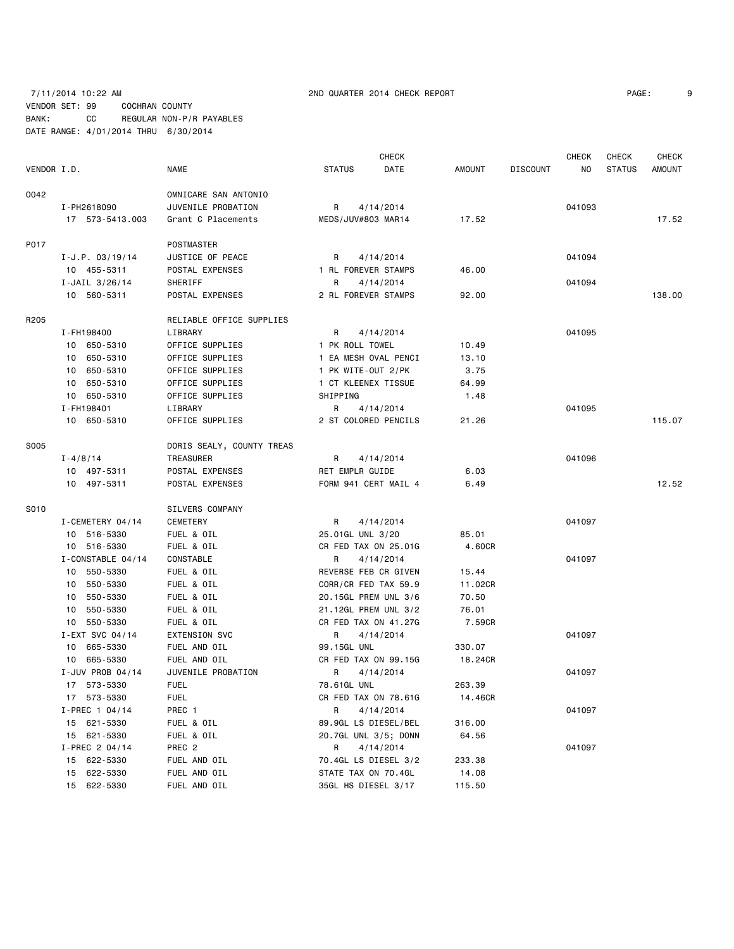### 7/11/2014 10:22 AM 2ND QUARTER 2014 CHECK REPORT PAGE: 9 VENDOR SET: 99 COCHRAN COUNTY BANK: CC REGULAR NON-P/R PAYABLES DATE RANGE: 4/01/2014 THRU 6/30/2014

|             |                   |                           |                      | <b>CHECK</b> |         |                 | <b>CHECK</b> | <b>CHECK</b>  | <b>CHECK</b> |
|-------------|-------------------|---------------------------|----------------------|--------------|---------|-----------------|--------------|---------------|--------------|
| VENDOR I.D. |                   | <b>NAME</b>               | <b>STATUS</b>        | DATE         | AMOUNT  | <b>DISCOUNT</b> | NO           | <b>STATUS</b> | AMOUNT       |
| 0042        |                   | OMNICARE SAN ANTONIO      |                      |              |         |                 |              |               |              |
|             | I-PH2618090       | JUVENILE PROBATION        | 4/14/2014<br>R       |              |         |                 | 041093       |               |              |
|             | 17 573-5413.003   | Grant C Placements        | MEDS/JUV#803 MAR14   |              | 17.52   |                 |              |               | 17.52        |
| P017        |                   | POSTMASTER                |                      |              |         |                 |              |               |              |
|             | $I-J.P. 03/19/14$ | JUSTICE OF PEACE          | R<br>4/14/2014       |              |         |                 | 041094       |               |              |
|             | 10 455-5311       | POSTAL EXPENSES           | 1 RL FOREVER STAMPS  |              | 46.00   |                 |              |               |              |
|             | I-JAIL $3/26/14$  | SHERIFF                   | R<br>4/14/2014       |              |         |                 | 041094       |               |              |
|             | 10 560-5311       | POSTAL EXPENSES           | 2 RL FOREVER STAMPS  |              | 92.00   |                 |              |               | 138.00       |
| R205        |                   | RELIABLE OFFICE SUPPLIES  |                      |              |         |                 |              |               |              |
|             | I - FH198400      | LIBRARY                   | R<br>4/14/2014       |              |         |                 | 041095       |               |              |
|             | 10 650-5310       | OFFICE SUPPLIES           | 1 PK ROLL TOWEL      |              | 10.49   |                 |              |               |              |
|             | 10 650-5310       | OFFICE SUPPLIES           | 1 EA MESH OVAL PENCI |              | 13.10   |                 |              |               |              |
|             | 10 650-5310       | OFFICE SUPPLIES           | 1 PK WITE-OUT 2/PK   |              | 3.75    |                 |              |               |              |
|             | 10 650-5310       | OFFICE SUPPLIES           | 1 CT KLEENEX TISSUE  |              | 64.99   |                 |              |               |              |
|             | 10 650-5310       | OFFICE SUPPLIES           | SHIPPING             |              | 1.48    |                 |              |               |              |
|             | I-FH198401        | LIBRARY                   | R<br>4/14/2014       |              |         |                 | 041095       |               |              |
|             | 10 650-5310       | OFFICE SUPPLIES           | 2 ST COLORED PENCILS |              | 21.26   |                 |              |               | 115.07       |
|             |                   |                           |                      |              |         |                 |              |               |              |
| S005        |                   | DORIS SEALY, COUNTY TREAS |                      |              |         |                 |              |               |              |
|             | $I - 4/8/14$      | TREASURER                 | R<br>4/14/2014       |              |         |                 | 041096       |               |              |
|             | 10 497-5311       | POSTAL EXPENSES           | RET EMPLR GUIDE      |              | 6.03    |                 |              |               |              |
|             | 10 497-5311       | POSTAL EXPENSES           | FORM 941 CERT MAIL 4 |              | 6.49    |                 |              |               | 12.52        |
| S010        |                   | <b>SILVERS COMPANY</b>    |                      |              |         |                 |              |               |              |
|             | I-CEMETERY 04/14  | CEMETERY                  | 4/14/2014<br>R       |              |         |                 | 041097       |               |              |
|             | 10 516-5330       | FUEL & OIL                | 25.01GL UNL 3/20     |              | 85.01   |                 |              |               |              |
|             | 10 516-5330       | FUEL & OIL                | CR FED TAX ON 25.01G |              | 4.60CR  |                 |              |               |              |
|             | I-CONSTABLE 04/14 | CONSTABLE                 | 4/14/2014<br>R       |              |         |                 | 041097       |               |              |
|             | 10 550-5330       | FUEL & OIL                | REVERSE FEB CR GIVEN |              | 15.44   |                 |              |               |              |
|             | 10 550-5330       | FUEL & OIL                | CORR/CR FED TAX 59.9 |              | 11.02CR |                 |              |               |              |
|             | 10 550-5330       | FUEL & OIL                | 20.15GL PREM UNL 3/6 |              | 70.50   |                 |              |               |              |
|             | 10 550-5330       | FUEL & OIL                | 21.12GL PREM UNL 3/2 |              | 76.01   |                 |              |               |              |
|             | 10 550-5330       | FUEL & OIL                | CR FED TAX ON 41.27G |              | 7.59CR  |                 |              |               |              |
|             | I-EXT SVC 04/14   | <b>EXTENSION SVC</b>      | R<br>4/14/2014       |              |         |                 | 041097       |               |              |
|             | 10 665-5330       | FUEL AND OIL              | 99.15GL UNL          |              | 330.07  |                 |              |               |              |
|             | 10 665-5330       | FUEL AND OIL              | CR FED TAX ON 99.15G |              | 18.24CR |                 |              |               |              |
|             | I-JUV PROB 04/14  | JUVENILE PROBATION        | R<br>4/14/2014       |              |         |                 | 041097       |               |              |
|             | 17 573-5330       | <b>FUEL</b>               | 78.61GL UNL          |              | 263.39  |                 |              |               |              |
|             | 17 573-5330       | <b>FUEL</b>               | CR FED TAX ON 78.61G |              | 14.46CR |                 |              |               |              |
|             | I-PREC 1 04/14    | PREC 1                    | R<br>4/14/2014       |              |         |                 | 041097       |               |              |
|             | 15 621-5330       | FUEL & OIL                | 89.9GL LS DIESEL/BEL |              | 316.00  |                 |              |               |              |
|             | 15 621-5330       | FUEL & OIL                | 20.7GL UNL 3/5; DONN |              | 64.56   |                 |              |               |              |
|             | I-PREC 2 04/14    | PREC <sub>2</sub>         | R<br>4/14/2014       |              |         |                 | 041097       |               |              |
|             | 15 622-5330       | FUEL AND OIL              | 70.4GL LS DIESEL 3/2 |              | 233.38  |                 |              |               |              |
|             | 622-5330<br>15    | FUEL AND OIL              | STATE TAX ON 70.4GL  |              | 14.08   |                 |              |               |              |
|             | 15 622-5330       | FUEL AND OIL              | 35GL HS DIESEL 3/17  |              | 115.50  |                 |              |               |              |
|             |                   |                           |                      |              |         |                 |              |               |              |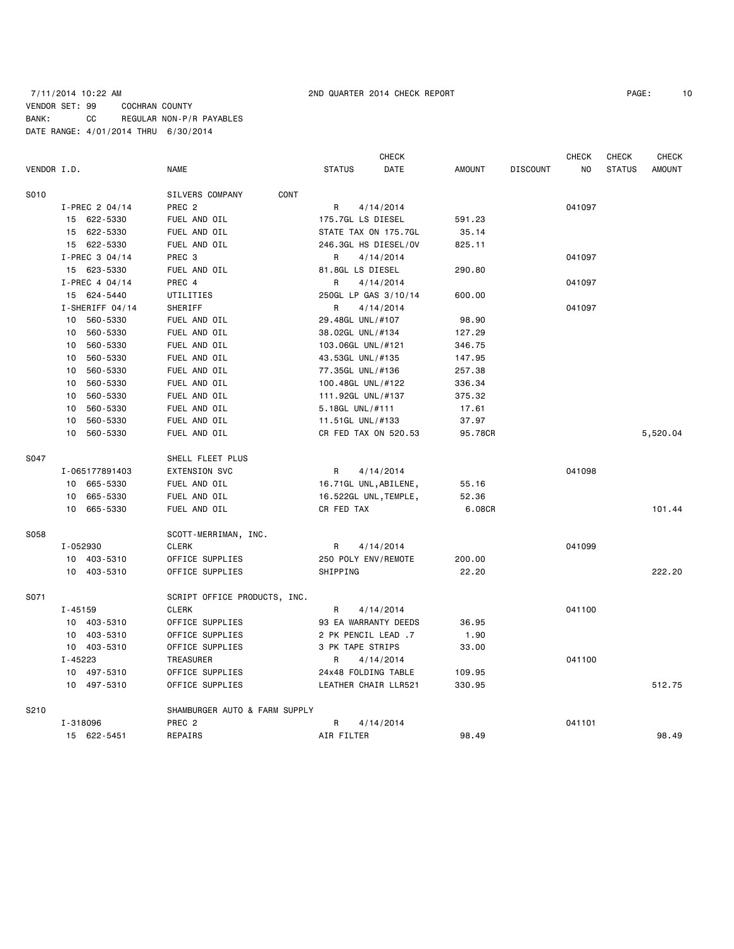### 7/11/2014 10:22 AM 2ND QUARTER 2014 CHECK REPORT PAGE: 10 VENDOR SET: 99 COCHRAN COUNTY BANK: CC REGULAR NON-P/R PAYABLES DATE RANGE: 4/01/2014 THRU 6/30/2014

|             |             |                 |                               |                      | CHECK                 |               |                 | <b>CHECK</b> | <b>CHECK</b>  | CHECK         |
|-------------|-------------|-----------------|-------------------------------|----------------------|-----------------------|---------------|-----------------|--------------|---------------|---------------|
| VENDOR I.D. |             |                 | NAME                          | <b>STATUS</b>        | DATE                  | <b>AMOUNT</b> | <b>DISCOUNT</b> | NO.          | <b>STATUS</b> | <b>AMOUNT</b> |
| S010        |             |                 | SILVERS COMPANY<br>CONT       |                      |                       |               |                 |              |               |               |
|             |             | I-PREC 2 04/14  | PREC <sub>2</sub>             | R                    | 4/14/2014             |               |                 | 041097       |               |               |
|             |             | 15 622-5330     | FUEL AND OIL                  | 175.7GL LS DIESEL    |                       | 591.23        |                 |              |               |               |
|             |             | 15 622-5330     | FUEL AND OIL                  |                      | STATE TAX ON 175.7GL  | 35.14         |                 |              |               |               |
|             |             | 15 622-5330     | FUEL AND OIL                  |                      | 246.3GL HS DIESEL/OV  | 825.11        |                 |              |               |               |
|             |             | I-PREC 3 04/14  | PREC 3                        | R                    | 4/14/2014             |               |                 | 041097       |               |               |
|             |             | 15 623-5330     | FUEL AND OIL                  | 81.8GL LS DIESEL     |                       | 290.80        |                 |              |               |               |
|             |             | I-PREC 4 04/14  | PREC 4                        | R                    | 4/14/2014             |               |                 | 041097       |               |               |
|             |             | 15 624-5440     | UTILITIES                     |                      | 250GL LP GAS 3/10/14  | 600.00        |                 |              |               |               |
|             |             | I-SHERIFF 04/14 | SHERIFF                       | R                    | 4/14/2014             |               |                 | 041097       |               |               |
|             |             | 10 560-5330     | FUEL AND OIL                  | 29.48GL UNL/#107     |                       | 98.90         |                 |              |               |               |
|             | 10          | 560-5330        | FUEL AND OIL                  | 38.02GL UNL/#134     |                       | 127.29        |                 |              |               |               |
|             | 10          | 560-5330        | FUEL AND OIL                  | 103.06GL UNL/#121    |                       | 346.75        |                 |              |               |               |
|             | 10          | 560-5330        | FUEL AND OIL                  | 43.53GL UNL/#135     |                       | 147.95        |                 |              |               |               |
|             | 10          | 560-5330        | FUEL AND OIL                  | 77.35GL UNL/#136     |                       | 257.38        |                 |              |               |               |
|             | 10          | 560-5330        | FUEL AND OIL                  | 100.48GL UNL/#122    |                       | 336.34        |                 |              |               |               |
|             | 10          | 560-5330        | FUEL AND OIL                  | 111.92GL UNL/#137    |                       | 375.32        |                 |              |               |               |
|             | 10          | 560-5330        | FUEL AND OIL                  | 5.18GL UNL/#111      |                       | 17.61         |                 |              |               |               |
|             | 10          | 560-5330        | FUEL AND OIL                  | 11.51GL UNL/#133     |                       | 37.97         |                 |              |               |               |
|             | 10          | 560-5330        | FUEL AND OIL                  |                      | CR FED TAX ON 520.53  | 95.78CR       |                 |              |               | 5,520.04      |
| S047        |             |                 | SHELL FLEET PLUS              |                      |                       |               |                 |              |               |               |
|             |             | I-065177891403  | <b>EXTENSION SVC</b>          | R                    | 4/14/2014             |               |                 | 041098       |               |               |
|             |             | 10 665-5330     | FUEL AND OIL                  |                      | 16.71GL UNL, ABILENE, | 55.16         |                 |              |               |               |
|             | 10          | 665-5330        | FUEL AND OIL                  |                      | 16.522GL UNL, TEMPLE, | 52.36         |                 |              |               |               |
|             | 10          | 665-5330        | FUEL AND OIL                  | CR FED TAX           |                       | 6.08CR        |                 |              |               | 101.44        |
| S058        |             |                 | SCOTT-MERRIMAN, INC.          |                      |                       |               |                 |              |               |               |
|             | I-052930    |                 | <b>CLERK</b>                  | R                    | 4/14/2014             |               |                 | 041099       |               |               |
|             |             | 10 403-5310     | OFFICE SUPPLIES               | 250 POLY ENV/REMOTE  |                       | 200.00        |                 |              |               |               |
|             |             | 10 403-5310     | OFFICE SUPPLIES               | SHIPPING             |                       | 22.20         |                 |              |               | 222.20        |
| S071        |             |                 | SCRIPT OFFICE PRODUCTS, INC.  |                      |                       |               |                 |              |               |               |
|             | $I - 45159$ |                 | <b>CLERK</b>                  | R                    | 4/14/2014             |               |                 | 041100       |               |               |
|             |             | 10 403-5310     | OFFICE SUPPLIES               |                      | 93 EA WARRANTY DEEDS  | 36.95         |                 |              |               |               |
|             |             | 10 403-5310     | OFFICE SUPPLIES               | 2 PK PENCIL LEAD .7  |                       | 1.90          |                 |              |               |               |
|             |             | 10 403-5310     | OFFICE SUPPLIES               | 3 PK TAPE STRIPS     |                       | 33.00         |                 |              |               |               |
|             | $I - 45223$ |                 | TREASURER                     | R                    | 4/14/2014             |               |                 | 041100       |               |               |
|             |             | 10 497-5310     | OFFICE SUPPLIES               | 24x48 FOLDING TABLE  |                       | 109.95        |                 |              |               |               |
|             |             | 10 497-5310     | OFFICE SUPPLIES               | LEATHER CHAIR LLR521 |                       | 330.95        |                 |              |               | 512.75        |
| S210        |             |                 | SHAMBURGER AUTO & FARM SUPPLY |                      |                       |               |                 |              |               |               |
|             | I-318096    |                 | PREC <sub>2</sub>             | R                    | 4/14/2014             |               |                 | 041101       |               |               |
|             |             | 15 622-5451     | REPAIRS                       | AIR FILTER           |                       | 98.49         |                 |              |               | 98.49         |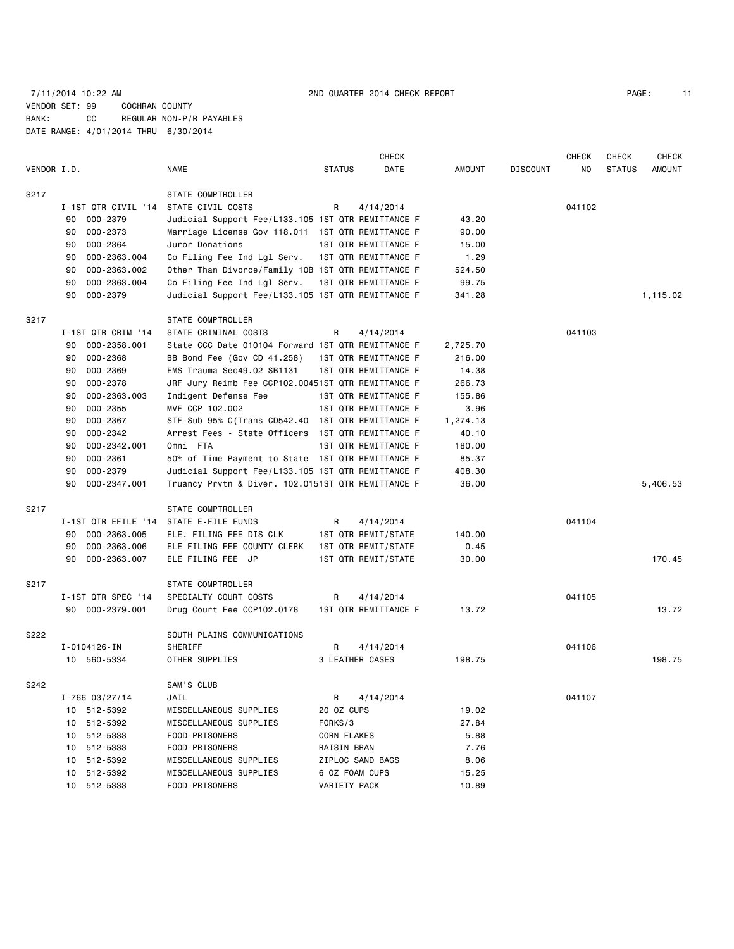## 7/11/2014 10:22 AM 2ND QUARTER 2014 CHECK REPORT PAGE: 11 VENDOR SET: 99 COCHRAN COUNTY BANK: CC REGULAR NON-P/R PAYABLES DATE RANGE: 4/01/2014 THRU 6/30/2014

|             |                     |                                                    |                 | CHECK                |               |                 | <b>CHECK</b> | <b>CHECK</b>  | <b>CHECK</b>  |
|-------------|---------------------|----------------------------------------------------|-----------------|----------------------|---------------|-----------------|--------------|---------------|---------------|
| VENDOR I.D. |                     | <b>NAME</b>                                        | <b>STATUS</b>   | DATE                 | <b>AMOUNT</b> | <b>DISCOUNT</b> | NO           | <b>STATUS</b> | <b>AMOUNT</b> |
| S217        |                     | STATE COMPTROLLER                                  |                 |                      |               |                 |              |               |               |
|             | I-1ST QTR CIVIL '14 | STATE CIVIL COSTS                                  | R               | 4/14/2014            |               |                 | 041102       |               |               |
|             | 90<br>000-2379      | Judicial Support Fee/L133.105 1ST QTR REMITTANCE F |                 |                      | 43.20         |                 |              |               |               |
|             | 000-2373<br>90      | Marriage License Gov 118.011 1ST QTR REMITTANCE F  |                 |                      | 90.00         |                 |              |               |               |
|             | 000-2364<br>90      | Juror Donations                                    |                 | 1ST QTR REMITTANCE F | 15.00         |                 |              |               |               |
|             | 90<br>000-2363.004  | Co Filing Fee Ind Lgl Serv.                        |                 | 1ST QTR REMITTANCE F | 1.29          |                 |              |               |               |
|             | 000-2363.002<br>90  | Other Than Divorce/Family 10B 1ST QTR REMITTANCE F |                 |                      | 524.50        |                 |              |               |               |
|             | 90<br>000-2363.004  | Co Filing Fee Ind Lgl Serv.                        |                 | 1ST QTR REMITTANCE F | 99.75         |                 |              |               |               |
|             | 90<br>000-2379      | Judicial Support Fee/L133.105 1ST QTR REMITTANCE F |                 |                      | 341.28        |                 |              |               | 1,115.02      |
| S217        |                     | STATE COMPTROLLER                                  |                 |                      |               |                 |              |               |               |
|             | I-1ST QTR CRIM '14  | STATE CRIMINAL COSTS                               | R               | 4/14/2014            |               |                 | 041103       |               |               |
|             | 000-2358.001<br>90  | State CCC Date 010104 Forward 1ST QTR REMITTANCE F |                 |                      | 2,725.70      |                 |              |               |               |
|             | 000-2368<br>90      | BB Bond Fee (Gov CD 41.258)                        |                 | 1ST QTR REMITTANCE F | 216.00        |                 |              |               |               |
|             | 000-2369<br>90      | EMS Trauma Sec49.02 SB1131                         |                 | 1ST QTR REMITTANCE F | 14.38         |                 |              |               |               |
|             | 000-2378<br>90      | JRF Jury Reimb Fee CCP102.00451ST QTR REMITTANCE F |                 |                      | 266.73        |                 |              |               |               |
|             | 000-2363.003<br>90  | Indigent Defense Fee                               |                 | 1ST QTR REMITTANCE F | 155.86        |                 |              |               |               |
|             | 90<br>000-2355      | MVF CCP 102.002                                    |                 | 1ST QTR REMITTANCE F | 3.96          |                 |              |               |               |
|             | 000-2367<br>90      | STF-Sub 95% C(Trans CD542.40 1ST QTR REMITTANCE F  |                 |                      | 1,274.13      |                 |              |               |               |
|             | 90<br>000-2342      | Arrest Fees - State Officers                       |                 | 1ST QTR REMITTANCE F | 40.10         |                 |              |               |               |
|             | 90<br>000-2342.001  | Omni FTA                                           |                 | 1ST QTR REMITTANCE F | 180.00        |                 |              |               |               |
|             | 90<br>000-2361      | 50% of Time Payment to State 1ST QTR REMITTANCE F  |                 |                      | 85.37         |                 |              |               |               |
|             | 000-2379<br>90      | Judicial Support Fee/L133.105 1ST QTR REMITTANCE F |                 |                      | 408.30        |                 |              |               |               |
|             | 90<br>000-2347.001  | Truancy Prvtn & Diver. 102.0151ST QTR REMITTANCE F |                 |                      | 36.00         |                 |              |               | 5,406.53      |
| S217        |                     | STATE COMPTROLLER                                  |                 |                      |               |                 |              |               |               |
|             | I-1ST QTR EFILE '14 | STATE E-FILE FUNDS                                 | R               | 4/14/2014            |               |                 | 041104       |               |               |
|             | 000-2363.005<br>90  | ELE. FILING FEE DIS CLK                            |                 | 1ST QTR REMIT/STATE  | 140.00        |                 |              |               |               |
|             | 90<br>000-2363.006  | ELE FILING FEE COUNTY CLERK                        |                 | 1ST QTR REMIT/STATE  | 0.45          |                 |              |               |               |
|             | 000-2363.007<br>90  | ELE FILING FEE JP                                  |                 | 1ST QTR REMIT/STATE  | 30.00         |                 |              |               | 170.45        |
| S217        |                     | STATE COMPTROLLER                                  |                 |                      |               |                 |              |               |               |
|             | I-1ST QTR SPEC '14  | SPECIALTY COURT COSTS                              | R               | 4/14/2014            |               |                 | 041105       |               |               |
|             | 90 000-2379.001     | Drug Court Fee CCP102.0178                         |                 | 1ST QTR REMITTANCE F | 13.72         |                 |              |               | 13.72         |
| S222        |                     | SOUTH PLAINS COMMUNICATIONS                        |                 |                      |               |                 |              |               |               |
|             | I-0104126-IN        | SHERIFF                                            | R               | 4/14/2014            |               |                 | 041106       |               |               |
|             | 10 560-5334         | OTHER SUPPLIES                                     | 3 LEATHER CASES |                      | 198.75        |                 |              |               | 198.75        |
| S242        |                     | SAM'S CLUB                                         |                 |                      |               |                 |              |               |               |
|             | $I - 766$ 03/27/14  | JAIL                                               | R               | 4/14/2014            |               |                 | 041107       |               |               |
|             | 10 512-5392         | MISCELLANEOUS SUPPLIES                             | 20 OZ CUPS      |                      | 19.02         |                 |              |               |               |
|             | 10 512-5392         | MISCELLANEOUS SUPPLIES                             | FORKS/3         |                      | 27.84         |                 |              |               |               |
|             | 10 512-5333         | FOOD-PRISONERS                                     | CORN FLAKES     |                      | 5.88          |                 |              |               |               |
|             | 10 512-5333         | FOOD-PRISONERS                                     | RAISIN BRAN     |                      | 7.76          |                 |              |               |               |
|             | 10 512-5392         | MISCELLANEOUS SUPPLIES                             |                 | ZIPLOC SAND BAGS     | 8.06          |                 |              |               |               |
|             | 10 512-5392         | MISCELLANEOUS SUPPLIES                             | 6 OZ FOAM CUPS  |                      | 15.25         |                 |              |               |               |
|             | 10 512-5333         | FOOD-PRISONERS                                     | VARIETY PACK    |                      | 10.89         |                 |              |               |               |
|             |                     |                                                    |                 |                      |               |                 |              |               |               |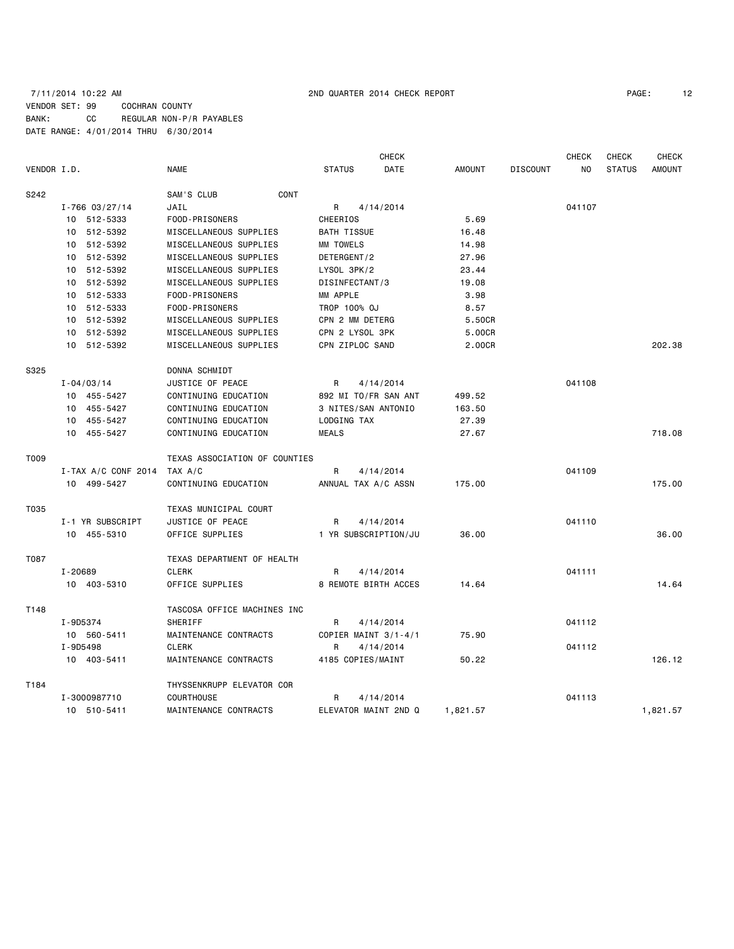### 7/11/2014 10:22 AM 2ND QUARTER 2014 CHECK REPORT PAGE: 12 VENDOR SET: 99 COCHRAN COUNTY BANK: CC REGULAR NON-P/R PAYABLES DATE RANGE: 4/01/2014 THRU 6/30/2014

|             |                     |                               |                      | <b>CHECK</b>         |               |                 | <b>CHECK</b>   | <b>CHECK</b>  | <b>CHECK</b>  |
|-------------|---------------------|-------------------------------|----------------------|----------------------|---------------|-----------------|----------------|---------------|---------------|
| VENDOR I.D. |                     | <b>NAME</b>                   | <b>STATUS</b>        | DATE                 | <b>AMOUNT</b> | <b>DISCOUNT</b> | N <sub>O</sub> | <b>STATUS</b> | <b>AMOUNT</b> |
| S242        |                     | SAM'S CLUB<br>CONT            |                      |                      |               |                 |                |               |               |
|             | $I - 766$ 03/27/14  | JAIL                          | R                    | 4/14/2014            |               |                 | 041107         |               |               |
|             | 10 512-5333         | FOOD-PRISONERS                | CHEERIOS             |                      | 5.69          |                 |                |               |               |
|             | 10 512-5392         | MISCELLANEOUS SUPPLIES        | <b>BATH TISSUE</b>   |                      | 16.48         |                 |                |               |               |
|             | 10 512-5392         | MISCELLANEOUS SUPPLIES        | MM TOWELS            |                      | 14.98         |                 |                |               |               |
|             | 10 512-5392         | MISCELLANEOUS SUPPLIES        | DETERGENT/2          |                      | 27.96         |                 |                |               |               |
|             | 10 512-5392         | MISCELLANEOUS SUPPLIES        | LYSOL 3PK/2          |                      | 23.44         |                 |                |               |               |
|             | 10 512-5392         | MISCELLANEOUS SUPPLIES        | DISINFECTANT/3       |                      | 19.08         |                 |                |               |               |
|             | 10 512-5333         | FOOD-PRISONERS                | MM APPLE             |                      | 3.98          |                 |                |               |               |
|             | 10 512-5333         | FOOD-PRISONERS                | TROP 100% OJ         |                      | 8.57          |                 |                |               |               |
|             | 10 512-5392         | MISCELLANEOUS SUPPLIES        | CPN 2 MM DETERG      |                      | 5.50CR        |                 |                |               |               |
|             | 10 512-5392         | MISCELLANEOUS SUPPLIES        | CPN 2 LYSOL 3PK      |                      | 5.00CR        |                 |                |               |               |
|             | 10 512-5392         | MISCELLANEOUS SUPPLIES        | CPN ZIPLOC SAND      |                      | 2.00CR        |                 |                |               | 202.38        |
| S325        |                     | DONNA SCHMIDT                 |                      |                      |               |                 |                |               |               |
|             | $I - 04/03/14$      | JUSTICE OF PEACE              | R                    | 4/14/2014            |               |                 | 041108         |               |               |
|             | 10 455-5427         | CONTINUING EDUCATION          | 892 MI TO/FR SAN ANT |                      | 499.52        |                 |                |               |               |
|             | 10 455-5427         | CONTINUING EDUCATION          | 3 NITES/SAN ANTONIO  |                      | 163.50        |                 |                |               |               |
|             | 10 455-5427         | CONTINUING EDUCATION          | LODGING TAX          |                      | 27.39         |                 |                |               |               |
|             | 10 455-5427         | CONTINUING EDUCATION          | <b>MEALS</b>         |                      | 27.67         |                 |                |               | 718.08        |
| T009        |                     | TEXAS ASSOCIATION OF COUNTIES |                      |                      |               |                 |                |               |               |
|             | I-TAX A/C CONF 2014 | TAX A/C                       | R                    | 4/14/2014            |               |                 | 041109         |               |               |
|             | 10 499-5427         | CONTINUING EDUCATION          | ANNUAL TAX A/C ASSN  |                      | 175.00        |                 |                |               | 175.00        |
| T035        |                     | TEXAS MUNICIPAL COURT         |                      |                      |               |                 |                |               |               |
|             | I-1 YR SUBSCRIPT    | JUSTICE OF PEACE              | R                    | 4/14/2014            |               |                 | 041110         |               |               |
|             | 10 455-5310         | OFFICE SUPPLIES               | 1 YR SUBSCRIPTION/JU |                      | 36.00         |                 |                |               | 36.00         |
| T087        |                     | TEXAS DEPARTMENT OF HEALTH    |                      |                      |               |                 |                |               |               |
|             | I-20689             | <b>CLERK</b>                  | R                    | 4/14/2014            |               |                 | 041111         |               |               |
|             | 10 403-5310         | OFFICE SUPPLIES               |                      | 8 REMOTE BIRTH ACCES | 14.64         |                 |                |               | 14.64         |
| T148        |                     | TASCOSA OFFICE MACHINES INC   |                      |                      |               |                 |                |               |               |
|             | I-9D5374            | <b>SHERIFF</b>                | R                    | 4/14/2014            |               |                 | 041112         |               |               |
|             | 10 560-5411         | MAINTENANCE CONTRACTS         | COPIER MAINT 3/1-4/1 |                      | 75.90         |                 |                |               |               |
|             | I-9D5498            | <b>CLERK</b>                  | R                    | 4/14/2014            |               |                 | 041112         |               |               |
|             | 10 403-5411         | MAINTENANCE CONTRACTS         | 4185 COPIES/MAINT    |                      | 50.22         |                 |                |               | 126.12        |
| T184        |                     | THYSSENKRUPP ELEVATOR COR     |                      |                      |               |                 |                |               |               |
|             | I-3000987710        | <b>COURTHOUSE</b>             | R                    | 4/14/2014            |               |                 | 041113         |               |               |
|             | 10 510-5411         | MAINTENANCE CONTRACTS         | ELEVATOR MAINT 2ND Q |                      | 1,821.57      |                 |                |               | 1,821.57      |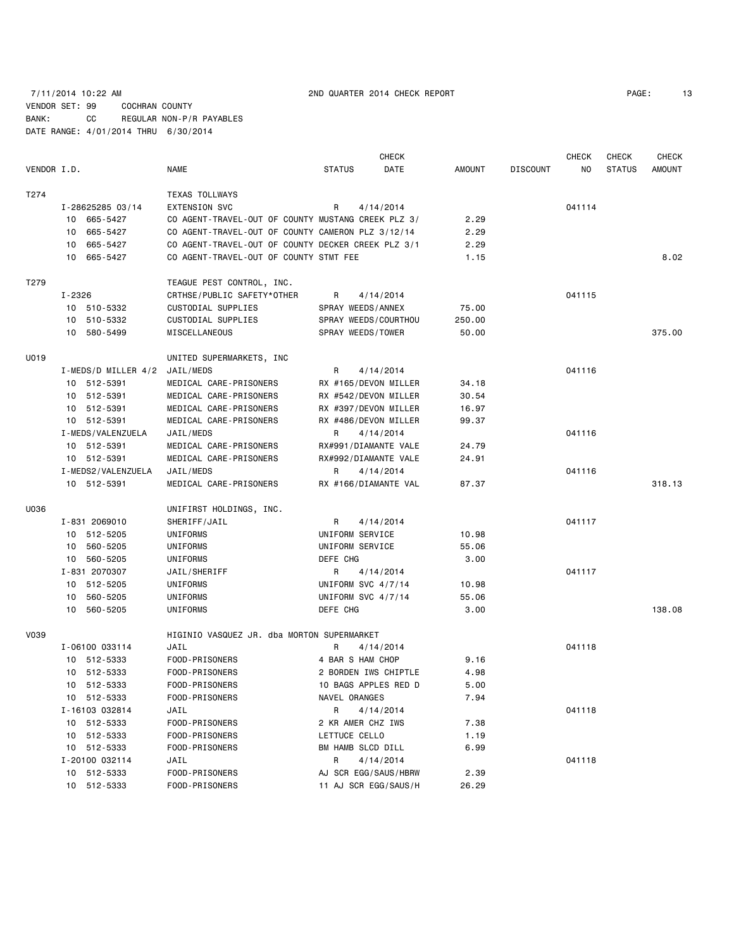## 7/11/2014 10:22 AM 2ND QUARTER 2014 CHECK REPORT PAGE: 13 VENDOR SET: 99 COCHRAN COUNTY BANK: CC REGULAR NON-P/R PAYABLES DATE RANGE: 4/01/2014 THRU 6/30/2014

| VENDOR I.D. |                    | <b>NAME</b>                                        | <b>STATUS</b>        | <b>CHECK</b><br>DATE | <b>AMOUNT</b> | <b>DISCOUNT</b> | CHECK<br>NO. | <b>CHECK</b><br><b>STATUS</b> | <b>CHECK</b><br>AMOUNT |
|-------------|--------------------|----------------------------------------------------|----------------------|----------------------|---------------|-----------------|--------------|-------------------------------|------------------------|
|             |                    |                                                    |                      |                      |               |                 |              |                               |                        |
| T274        |                    | <b>TEXAS TOLLWAYS</b>                              |                      |                      |               |                 |              |                               |                        |
|             | I-28625285 03/14   | EXTENSION SVC                                      | R                    | 4/14/2014            |               |                 | 041114       |                               |                        |
|             | 10 665-5427        | CO AGENT-TRAVEL-OUT OF COUNTY MUSTANG CREEK PLZ 3/ |                      |                      | 2.29          |                 |              |                               |                        |
|             | 10 665-5427        | CO AGENT-TRAVEL-OUT OF COUNTY CAMERON PLZ 3/12/14  |                      |                      | 2.29          |                 |              |                               |                        |
|             | 665-5427<br>10     | CO AGENT-TRAVEL-OUT OF COUNTY DECKER CREEK PLZ 3/1 |                      |                      | 2.29          |                 |              |                               |                        |
|             | 10 665-5427        | CO AGENT-TRAVEL-OUT OF COUNTY STMT FEE             |                      |                      | 1.15          |                 |              |                               | 8.02                   |
| T279        |                    | TEAGUE PEST CONTROL, INC.                          |                      |                      |               |                 |              |                               |                        |
|             | I-2326             | CRTHSE/PUBLIC SAFETY*OTHER                         | R                    | 4/14/2014            |               |                 | 041115       |                               |                        |
|             | 10 510-5332        | CUSTODIAL SUPPLIES                                 | SPRAY WEEDS/ANNEX    |                      | 75.00         |                 |              |                               |                        |
|             | 10 510-5332        | CUSTODIAL SUPPLIES                                 | SPRAY WEEDS/COURTHOU |                      | 250.00        |                 |              |                               |                        |
|             | 10 580-5499        | MISCELLANEOUS                                      | SPRAY WEEDS/TOWER    |                      | 50.00         |                 |              |                               | 375.00                 |
| U019        |                    | UNITED SUPERMARKETS, INC                           |                      |                      |               |                 |              |                               |                        |
|             |                    | I-MEDS/D MILLER 4/2 JAIL/MEDS                      | R                    | 4/14/2014            |               |                 | 041116       |                               |                        |
|             | 10 512-5391        | MEDICAL CARE-PRISONERS                             | RX #165/DEVON MILLER |                      | 34.18         |                 |              |                               |                        |
|             | 10 512-5391        | MEDICAL CARE-PRISONERS                             | RX #542/DEVON MILLER |                      | 30.54         |                 |              |                               |                        |
|             | 10 512-5391        | MEDICAL CARE-PRISONERS                             | RX #397/DEVON MILLER |                      | 16.97         |                 |              |                               |                        |
|             | 10 512-5391        | MEDICAL CARE-PRISONERS                             | RX #486/DEVON MILLER |                      | 99.37         |                 |              |                               |                        |
|             | I-MEDS/VALENZUELA  | JAIL/MEDS                                          | R                    | 4/14/2014            |               |                 | 041116       |                               |                        |
|             | 10 512-5391        | MEDICAL CARE-PRISONERS                             | RX#991/DIAMANTE VALE |                      | 24.79         |                 |              |                               |                        |
|             | 10 512-5391        | MEDICAL CARE-PRISONERS                             | RX#992/DIAMANTE VALE |                      | 24.91         |                 |              |                               |                        |
|             | I-MEDS2/VALENZUELA | JAIL/MEDS                                          | R                    | 4/14/2014            |               |                 | 041116       |                               |                        |
|             | 10 512-5391        | MEDICAL CARE-PRISONERS                             | RX #166/DIAMANTE VAL |                      | 87.37         |                 |              |                               | 318.13                 |
| U036        |                    | UNIFIRST HOLDINGS, INC.                            |                      |                      |               |                 |              |                               |                        |
|             | I-831 2069010      | SHERIFF/JAIL                                       | R                    | 4/14/2014            |               |                 | 041117       |                               |                        |
|             | 10 512-5205        | UNIFORMS                                           | UNIFORM SERVICE      |                      | 10.98         |                 |              |                               |                        |
|             | 10 560-5205        | UNIFORMS                                           | UNIFORM SERVICE      |                      | 55.06         |                 |              |                               |                        |
|             | 10 560-5205        | UNIFORMS                                           | DEFE CHG             |                      | 3.00          |                 |              |                               |                        |
|             | I-831 2070307      | JAIL/SHERIFF                                       | R                    | 4/14/2014            |               |                 | 041117       |                               |                        |
|             | 10 512-5205        | UNIFORMS                                           | UNIFORM SVC 4/7/14   |                      | 10.98         |                 |              |                               |                        |
|             | 560-5205<br>10     | UNIFORMS                                           | UNIFORM SVC 4/7/14   |                      | 55.06         |                 |              |                               |                        |
|             | 10 560-5205        | UNIFORMS                                           | DEFE CHG             |                      | 3.00          |                 |              |                               | 138.08                 |
| V039        |                    | HIGINIO VASQUEZ JR, dba MORTON SUPERMARKET         |                      |                      |               |                 |              |                               |                        |
|             | I-06100 033114     | JAIL                                               | R                    | 4/14/2014            |               |                 | 041118       |                               |                        |
|             | 10 512-5333        | FOOD-PRISONERS                                     | 4 BAR S HAM CHOP     |                      | 9.16          |                 |              |                               |                        |
|             | 10 512-5333        | FOOD-PRISONERS                                     | 2 BORDEN IWS CHIPTLE |                      | 4.98          |                 |              |                               |                        |
|             | 10 512-5333        | FOOD-PRISONERS                                     | 10 BAGS APPLES RED D |                      | 5.00          |                 |              |                               |                        |
|             | 10 512-5333        | FOOD-PRISONERS                                     | NAVEL ORANGES        |                      | 7.94          |                 |              |                               |                        |
|             | I-16103 032814     | JAIL                                               | R                    | 4/14/2014            |               |                 | 041118       |                               |                        |
|             | 10 512-5333        | FOOD-PRISONERS                                     | 2 KR AMER CHZ IWS    |                      | 7.38          |                 |              |                               |                        |
|             | 10 512-5333        | FOOD-PRISONERS                                     | LETTUCE CELLO        |                      | 1.19          |                 |              |                               |                        |
|             | 10 512-5333        | FOOD-PRISONERS                                     | BM HAMB SLCD DILL    |                      | 6.99          |                 |              |                               |                        |
|             | I-20100 032114     | JAIL                                               | R                    | 4/14/2014            |               |                 | 041118       |                               |                        |
|             | 10 512-5333        | FOOD-PRISONERS                                     | AJ SCR EGG/SAUS/HBRW |                      | 2.39          |                 |              |                               |                        |
|             | 10 512-5333        | FOOD-PRISONERS                                     | 11 AJ SCR EGG/SAUS/H |                      | 26.29         |                 |              |                               |                        |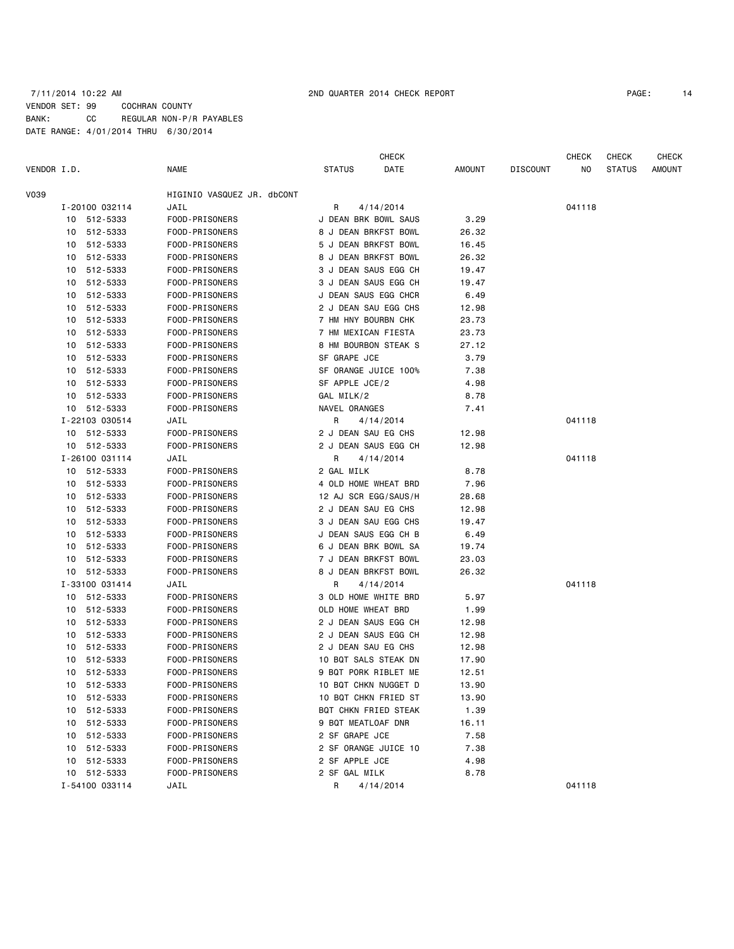### 7/11/2014 10:22 AM 2ND QUARTER 2014 CHECK REPORT PAGE: 14 VENDOR SET: 99 COCHRAN COUNTY BANK: CC REGULAR NON-P/R PAYABLES DATE RANGE: 4/01/2014 THRU 6/30/2014

|             |    |                |                            |                     | <b>CHECK</b>         |        |                 | CHECK  | <b>CHECK</b>  | <b>CHECK</b> |
|-------------|----|----------------|----------------------------|---------------------|----------------------|--------|-----------------|--------|---------------|--------------|
| VENDOR I.D. |    |                | NAME                       | <b>STATUS</b>       | DATE                 | AMOUNT | <b>DISCOUNT</b> | ΝO     | <b>STATUS</b> | AMOUNT       |
| V039        |    |                | HIGINIO VASQUEZ JR. dbCONT |                     |                      |        |                 |        |               |              |
|             |    | I-20100 032114 | JAIL                       | R                   | 4/14/2014            |        |                 | 041118 |               |              |
|             |    | 10 512-5333    | FOOD-PRISONERS             |                     | J DEAN BRK BOWL SAUS | 3.29   |                 |        |               |              |
|             |    | 10 512-5333    | FOOD-PRISONERS             |                     | 8 J DEAN BRKFST BOWL | 26.32  |                 |        |               |              |
|             |    | 10 512-5333    | FOOD-PRISONERS             |                     | 5 J DEAN BRKFST BOWL | 16.45  |                 |        |               |              |
|             |    | 10 512-5333    | FOOD-PRISONERS             |                     | 8 J DEAN BRKFST BOWL | 26.32  |                 |        |               |              |
|             | 10 | 512-5333       | FOOD-PRISONERS             |                     | 3 J DEAN SAUS EGG CH | 19.47  |                 |        |               |              |
|             | 10 | 512-5333       | FOOD-PRISONERS             |                     | 3 J DEAN SAUS EGG CH | 19.47  |                 |        |               |              |
|             | 10 | 512-5333       | FOOD-PRISONERS             |                     | J DEAN SAUS EGG CHCR | 6.49   |                 |        |               |              |
|             |    | 10 512-5333    | FOOD-PRISONERS             |                     | 2 J DEAN SAU EGG CHS | 12.98  |                 |        |               |              |
|             | 10 | 512-5333       | FOOD-PRISONERS             | 7 HM HNY BOURBN CHK |                      | 23.73  |                 |        |               |              |
|             | 10 | 512-5333       | FOOD-PRISONERS             |                     | 7 HM MEXICAN FIESTA  | 23.73  |                 |        |               |              |
|             | 10 | 512-5333       | FOOD-PRISONERS             |                     | 8 HM BOURBON STEAK S | 27.12  |                 |        |               |              |
|             |    | 10 512-5333    | FOOD-PRISONERS             | SF GRAPE JCE        |                      | 3.79   |                 |        |               |              |
|             | 10 | 512-5333       | FOOD-PRISONERS             |                     | SF ORANGE JUICE 100% | 7.38   |                 |        |               |              |
|             |    | 10 512-5333    | FOOD-PRISONERS             | SF APPLE JCE/2      |                      | 4.98   |                 |        |               |              |
|             |    | 10 512-5333    | FOOD-PRISONERS             | GAL MILK/2          |                      | 8.78   |                 |        |               |              |
|             |    | 10 512-5333    | FOOD-PRISONERS             | NAVEL ORANGES       |                      | 7.41   |                 |        |               |              |
|             |    | I-22103 030514 | JAIL                       | R                   | 4/14/2014            |        |                 | 041118 |               |              |
|             |    | 10 512-5333    | FOOD-PRISONERS             | 2 J DEAN SAU EG CHS |                      | 12.98  |                 |        |               |              |
|             |    | 10 512-5333    | FOOD-PRISONERS             |                     | 2 J DEAN SAUS EGG CH | 12.98  |                 |        |               |              |
|             |    | I-26100 031114 | JAIL                       | R                   | 4/14/2014            |        |                 | 041118 |               |              |
|             |    | 10 512-5333    | FOOD-PRISONERS             | 2 GAL MILK          |                      | 8.78   |                 |        |               |              |
|             |    | 10 512-5333    | FOOD-PRISONERS             |                     | 4 OLD HOME WHEAT BRD | 7.96   |                 |        |               |              |
|             |    | 10 512-5333    | FOOD-PRISONERS             |                     | 12 AJ SCR EGG/SAUS/H | 28.68  |                 |        |               |              |
|             |    | 10 512-5333    | FOOD-PRISONERS             | 2 J DEAN SAU EG CHS |                      | 12.98  |                 |        |               |              |
|             | 10 | 512-5333       | FOOD-PRISONERS             |                     | 3 J DEAN SAU EGG CHS | 19.47  |                 |        |               |              |
|             | 10 | 512-5333       | FOOD-PRISONERS             |                     | J DEAN SAUS EGG CH B | 6.49   |                 |        |               |              |
|             | 10 | 512-5333       | FOOD-PRISONERS             |                     | 6 J DEAN BRK BOWL SA | 19.74  |                 |        |               |              |
|             |    | 10 512-5333    | FOOD-PRISONERS             |                     | 7 J DEAN BRKFST BOWL | 23.03  |                 |        |               |              |
|             | 10 | 512-5333       | FOOD-PRISONERS             |                     | 8 J DEAN BRKFST BOWL | 26.32  |                 |        |               |              |
|             |    | I-33100 031414 | JAIL                       | R                   | 4/14/2014            |        |                 | 041118 |               |              |
|             |    | 10 512-5333    | FOOD-PRISONERS             |                     | 3 OLD HOME WHITE BRD | 5.97   |                 |        |               |              |
|             |    | 10 512-5333    | FOOD-PRISONERS             | OLD HOME WHEAT BRD  |                      | 1.99   |                 |        |               |              |
|             | 10 | 512-5333       | FOOD-PRISONERS             |                     | 2 J DEAN SAUS EGG CH | 12.98  |                 |        |               |              |
|             | 10 | 512-5333       | FOOD-PRISONERS             |                     | 2 J DEAN SAUS EGG CH | 12.98  |                 |        |               |              |
|             | 10 | 512-5333       | FOOD-PRISONERS             | 2 J DEAN SAU EG CHS |                      | 12.98  |                 |        |               |              |
|             |    | 10 512-5333    | FOOD-PRISONERS             |                     | 10 BQT SALS STEAK DN | 17.90  |                 |        |               |              |
|             | 10 | 512-5333       | FOOD-PRISONERS             |                     | 9 BQT PORK RIBLET ME | 12.51  |                 |        |               |              |
|             |    | 10 512-5333    | FOOD-PRISONERS             |                     | 10 BQT CHKN NUGGET D | 13.90  |                 |        |               |              |
|             |    | 10 512-5333    | FOOD-PRISONERS             |                     | 10 BQT CHKN FRIED ST | 13.90  |                 |        |               |              |
|             |    | 10 512-5333    | FOOD-PRISONERS             |                     | BQT CHKN FRIED STEAK | 1.39   |                 |        |               |              |
|             | 10 | 512-5333       | FOOD-PRISONERS             | 9 BQT MEATLOAF DNR  |                      | 16.11  |                 |        |               |              |
|             |    | 10 512-5333    | FOOD-PRISONERS             | 2 SF GRAPE JCE      |                      | 7.58   |                 |        |               |              |
|             |    | 10 512-5333    | FOOD-PRISONERS             |                     | 2 SF ORANGE JUICE 10 | 7.38   |                 |        |               |              |
|             |    | 10 512-5333    | FOOD-PRISONERS             | 2 SF APPLE JCE      |                      | 4.98   |                 |        |               |              |
|             |    | 10 512-5333    | FOOD-PRISONERS             | 2 SF GAL MILK       |                      | 8.78   |                 |        |               |              |
|             |    | I-54100 033114 | JAIL                       | R                   | 4/14/2014            |        |                 | 041118 |               |              |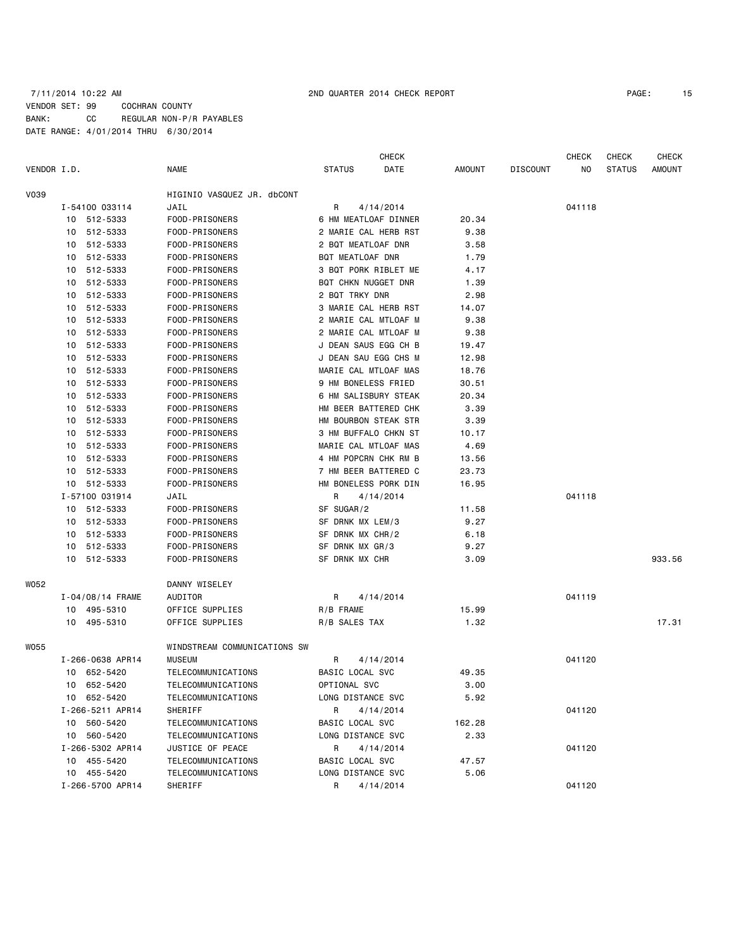### 7/11/2014 10:22 AM 2ND QUARTER 2014 CHECK REPORT PAGE: 15 VENDOR SET: 99 COCHRAN COUNTY BANK: CC REGULAR NON-P/R PAYABLES DATE RANGE: 4/01/2014 THRU 6/30/2014

|             |    |                  |                              |                     | <b>CHECK</b>         |        |                 | <b>CHECK</b> | CHECK         | <b>CHECK</b> |
|-------------|----|------------------|------------------------------|---------------------|----------------------|--------|-----------------|--------------|---------------|--------------|
| VENDOR I.D. |    |                  | <b>NAME</b>                  | <b>STATUS</b>       | DATE                 | AMOUNT | <b>DISCOUNT</b> | NO           | <b>STATUS</b> | AMOUNT       |
| V039        |    |                  | HIGINIO VASQUEZ JR. dbCONT   |                     |                      |        |                 |              |               |              |
|             |    | I-54100 033114   | JAIL                         | 4/14/2014<br>R      |                      |        |                 | 041118       |               |              |
|             |    | 10 512-5333      | FOOD-PRISONERS               |                     | 6 HM MEATLOAF DINNER | 20.34  |                 |              |               |              |
|             |    | 10 512-5333      | FOOD-PRISONERS               |                     | 2 MARIE CAL HERB RST | 9.38   |                 |              |               |              |
|             |    | 10 512-5333      | FOOD-PRISONERS               | 2 BQT MEATLOAF DNR  |                      | 3.58   |                 |              |               |              |
|             |    | 10 512-5333      | FOOD-PRISONERS               | BQT MEATLOAF DNR    |                      | 1.79   |                 |              |               |              |
|             | 10 | 512-5333         | FOOD-PRISONERS               |                     | 3 BQT PORK RIBLET ME | 4.17   |                 |              |               |              |
|             | 10 | 512-5333         | FOOD-PRISONERS               | BQT CHKN NUGGET DNR |                      | 1.39   |                 |              |               |              |
|             | 10 | 512-5333         | FOOD-PRISONERS               | 2 BQT TRKY DNR      |                      | 2.98   |                 |              |               |              |
|             |    | 10 512-5333      | FOOD-PRISONERS               |                     | 3 MARIE CAL HERB RST | 14.07  |                 |              |               |              |
|             | 10 | 512-5333         | FOOD-PRISONERS               |                     | 2 MARIE CAL MTLOAF M | 9.38   |                 |              |               |              |
|             | 10 | 512-5333         | FOOD-PRISONERS               |                     | 2 MARIE CAL MTLOAF M | 9.38   |                 |              |               |              |
|             | 10 | 512-5333         | FOOD-PRISONERS               |                     | J DEAN SAUS EGG CH B | 19.47  |                 |              |               |              |
|             |    | 10 512-5333      | FOOD-PRISONERS               |                     | J DEAN SAU EGG CHS M | 12.98  |                 |              |               |              |
|             | 10 | 512-5333         | FOOD-PRISONERS               |                     | MARIE CAL MTLOAF MAS | 18.76  |                 |              |               |              |
|             | 10 | 512-5333         | FOOD-PRISONERS               | 9 HM BONELESS FRIED |                      | 30.51  |                 |              |               |              |
|             | 10 | 512-5333         | FOOD-PRISONERS               |                     | 6 HM SALISBURY STEAK | 20.34  |                 |              |               |              |
|             |    | 10 512-5333      | FOOD-PRISONERS               |                     | HM BEER BATTERED CHK | 3.39   |                 |              |               |              |
|             | 10 | 512-5333         | FOOD-PRISONERS               |                     | HM BOURBON STEAK STR | 3.39   |                 |              |               |              |
|             | 10 | 512-5333         | FOOD-PRISONERS               |                     | 3 HM BUFFALO CHKN ST | 10.17  |                 |              |               |              |
|             |    | 10 512-5333      | FOOD-PRISONERS               |                     | MARIE CAL MTLOAF MAS | 4.69   |                 |              |               |              |
|             |    | 10 512-5333      | FOOD-PRISONERS               |                     | 4 HM POPCRN CHK RM B | 13.56  |                 |              |               |              |
|             |    | 10 512-5333      | FOOD-PRISONERS               |                     | 7 HM BEER BATTERED C | 23.73  |                 |              |               |              |
|             |    | 10 512-5333      | FOOD-PRISONERS               |                     | HM BONELESS PORK DIN | 16.95  |                 |              |               |              |
|             |    | I-57100 031914   | JAIL                         | R                   | 4/14/2014            |        |                 | 041118       |               |              |
|             |    | 10 512-5333      | FOOD-PRISONERS               | SF SUGAR/2          |                      | 11.58  |                 |              |               |              |
|             |    | 10 512-5333      | FOOD-PRISONERS               | SF DRNK MX LEM/3    |                      | 9.27   |                 |              |               |              |
|             |    | 10 512-5333      | FOOD-PRISONERS               | SF DRNK MX CHR/2    |                      | 6.18   |                 |              |               |              |
|             |    | 10 512-5333      | FOOD-PRISONERS               | SF DRNK MX GR/3     |                      | 9.27   |                 |              |               |              |
|             |    | 10 512-5333      | FOOD-PRISONERS               | SF DRNK MX CHR      |                      | 3.09   |                 |              |               | 933.56       |
| WO52        |    |                  | DANNY WISELEY                |                     |                      |        |                 |              |               |              |
|             |    | I-04/08/14 FRAME | AUDITOR                      | R                   | 4/14/2014            |        |                 | 041119       |               |              |
|             |    | 10 495-5310      | OFFICE SUPPLIES              | R/B FRAME           |                      | 15.99  |                 |              |               |              |
|             |    | 10 495-5310      | OFFICE SUPPLIES              | R/B SALES TAX       |                      | 1.32   |                 |              |               | 17.31        |
| WO55        |    |                  | WINDSTREAM COMMUNICATIONS SW |                     |                      |        |                 |              |               |              |
|             |    | I-266-0638 APR14 | <b>MUSEUM</b>                | R                   | 4/14/2014            |        |                 | 041120       |               |              |
|             |    | 10 652-5420      | TELECOMMUNICATIONS           | BASIC LOCAL SVC     |                      | 49.35  |                 |              |               |              |
|             |    | 10 652-5420      | TELECOMMUNICATIONS           | OPTIONAL SVC        |                      | 3.00   |                 |              |               |              |
|             |    | 10 652-5420      | TELECOMMUNICATIONS           | LONG DISTANCE SVC   |                      | 5.92   |                 |              |               |              |
|             |    | I-266-5211 APR14 | <b>SHERIFF</b>               | R                   | 4/14/2014            |        |                 | 041120       |               |              |
|             |    | 10 560-5420      | TELECOMMUNICATIONS           | BASIC LOCAL SVC     |                      | 162.28 |                 |              |               |              |
|             |    | 10 560-5420      | TELECOMMUNICATIONS           | LONG DISTANCE SVC   |                      | 2.33   |                 |              |               |              |
|             |    | I-266-5302 APR14 | JUSTICE OF PEACE             | R                   | 4/14/2014            |        |                 | 041120       |               |              |
|             |    | 10 455-5420      | TELECOMMUNICATIONS           | BASIC LOCAL SVC     |                      | 47.57  |                 |              |               |              |
|             |    | 10 455-5420      | TELECOMMUNICATIONS           | LONG DISTANCE SVC   |                      | 5.06   |                 |              |               |              |
|             |    | I-266-5700 APR14 | SHERIFF                      | R                   | 4/14/2014            |        |                 | 041120       |               |              |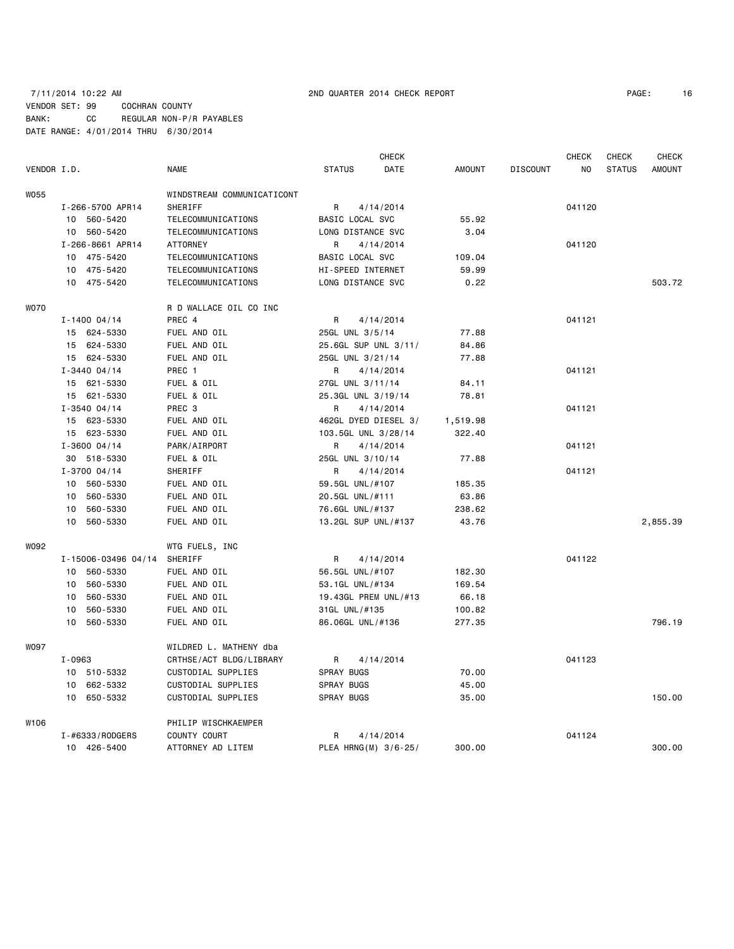## 7/11/2014 10:22 AM 2ND QUARTER 2014 CHECK REPORT PAGE: 16 VENDOR SET: 99 COCHRAN COUNTY BANK: CC REGULAR NON-P/R PAYABLES DATE RANGE: 4/01/2014 THRU 6/30/2014

|                  |        |                     |                            | <b>CHECK</b>      |                      |       |               | CHECK           | <b>CHECK</b> | <b>CHECK</b>  |          |
|------------------|--------|---------------------|----------------------------|-------------------|----------------------|-------|---------------|-----------------|--------------|---------------|----------|
| VENDOR I.D.      |        |                     | <b>NAME</b>                | <b>STATUS</b>     |                      | DATE  | <b>AMOUNT</b> | <b>DISCOUNT</b> | NO           | <b>STATUS</b> | AMOUNT   |
| W055             |        |                     | WINDSTREAM COMMUNICATICONT |                   |                      |       |               |                 |              |               |          |
|                  |        | I-266-5700 APR14    | SHERIFF                    | R                 | 4/14/2014            |       |               |                 | 041120       |               |          |
|                  |        | 10 560-5420         | TELECOMMUNICATIONS         | BASIC LOCAL SVC   |                      | 55.92 |               |                 |              |               |          |
|                  |        | 10 560-5420         | TELECOMMUNICATIONS         |                   | LONG DISTANCE SVC    |       | 3.04          |                 |              |               |          |
|                  |        | I-266-8661 APR14    | <b>ATTORNEY</b>            | R                 | 4/14/2014            |       |               |                 | 041120       |               |          |
|                  |        | 10 475-5420         | TELECOMMUNICATIONS         |                   | BASIC LOCAL SVC      |       | 109.04        |                 |              |               |          |
|                  |        | 10 475-5420         | TELECOMMUNICATIONS         |                   | HI-SPEED INTERNET    |       | 59.99         |                 |              |               |          |
|                  |        | 10 475-5420         | TELECOMMUNICATIONS         |                   | LONG DISTANCE SVC    |       | 0.22          |                 |              |               | 503.72   |
|                  |        |                     |                            |                   |                      |       |               |                 |              |               |          |
| <b>WO70</b>      |        |                     | R D WALLACE OIL CO INC     |                   |                      |       |               |                 |              |               |          |
|                  |        | $I - 1400004/14$    | PREC 4                     | R                 | 4/14/2014            |       |               |                 | 041121       |               |          |
|                  |        | 15 624-5330         | FUEL AND OIL               |                   | 25GL UNL 3/5/14      |       | 77.88         |                 |              |               |          |
|                  |        | 15 624-5330         | FUEL AND OIL               |                   | 25.6GL SUP UNL 3/11/ |       | 84.86         |                 |              |               |          |
|                  |        | 15 624-5330         | FUEL AND OIL               |                   | 25GL UNL 3/21/14     |       | 77.88         |                 |              |               |          |
|                  |        | $I - 3440 04/14$    | PREC 1                     | R                 | 4/14/2014            |       |               |                 | 041121       |               |          |
|                  |        | 15 621-5330         | FUEL & OIL                 |                   | 27GL UNL 3/11/14     |       | 84.11         |                 |              |               |          |
|                  |        | 15 621-5330         | FUEL & OIL                 |                   | 25.3GL UNL 3/19/14   |       | 78.81         |                 |              |               |          |
|                  |        | $I - 3540004/14$    | PREC <sub>3</sub>          | R                 | 4/14/2014            |       |               |                 | 041121       |               |          |
|                  |        | 15 623-5330         | FUEL AND OIL               |                   | 462GL DYED DIESEL 3/ |       | 1,519.98      |                 |              |               |          |
|                  |        | 15 623-5330         | FUEL AND OIL               |                   | 103.5GL UNL 3/28/14  |       | 322.40        |                 |              |               |          |
|                  |        | $I - 3600 04/14$    | PARK/AIRPORT               | R                 | 4/14/2014            |       |               |                 | 041121       |               |          |
|                  |        | 30 518-5330         | FUEL & OIL                 |                   | 25GL UNL 3/10/14     |       | 77.88         |                 |              |               |          |
|                  |        | $I - 3700004/14$    | SHERIFF                    | R                 | 4/14/2014            |       |               |                 | 041121       |               |          |
|                  |        | 10 560-5330         | FUEL AND OIL               |                   | 59.5GL UNL/#107      |       | 185.35        |                 |              |               |          |
|                  |        | 10 560-5330         | FUEL AND OIL               |                   | 20.5GL UNL/#111      |       | 63.86         |                 |              |               |          |
|                  | 10     | 560-5330            | FUEL AND OIL               |                   | 76.6GL UNL/#137      |       | 238.62        |                 |              |               |          |
|                  | 10     | 560-5330            | FUEL AND OIL               |                   | 13.2GL SUP UNL/#137  |       | 43.76         |                 |              |               | 2,855.39 |
|                  |        |                     |                            |                   |                      |       |               |                 |              |               |          |
| W092             |        |                     | WTG FUELS, INC             |                   |                      |       |               |                 |              |               |          |
|                  |        | I-15006-03496 04/14 | SHERIFF                    | R                 | 4/14/2014            |       |               |                 | 041122       |               |          |
|                  |        | 10 560-5330         | FUEL AND OIL               |                   | 56.5GL UNL/#107      |       | 182.30        |                 |              |               |          |
|                  |        | 10 560-5330         | FUEL AND OIL               |                   | 53.1GL UNL/#134      |       | 169.54        |                 |              |               |          |
|                  | 10     | 560-5330            | FUEL AND OIL               |                   | 19.43GL PREM UNL/#13 |       | 66.18         |                 |              |               |          |
|                  | 10     | 560-5330            | FUEL AND OIL               |                   | 31GL UNL/#135        |       | 100.82        |                 |              |               |          |
|                  | 10     | 560-5330            | FUEL AND OIL               |                   | 86.06GL UNL/#136     |       | 277.35        |                 |              |               | 796.19   |
| <b>WO97</b>      |        |                     | WILDRED L. MATHENY dba     |                   |                      |       |               |                 |              |               |          |
|                  | I-0963 |                     | CRTHSE/ACT BLDG/LIBRARY    | R                 | 4/14/2014            |       |               |                 | 041123       |               |          |
|                  |        | 10 510-5332         | CUSTODIAL SUPPLIES         | SPRAY BUGS        |                      |       | 70.00         |                 |              |               |          |
|                  |        | 10 662-5332         | CUSTODIAL SUPPLIES         | SPRAY BUGS        |                      |       | 45.00         |                 |              |               |          |
|                  | 10     | 650-5332            | CUSTODIAL SUPPLIES         | <b>SPRAY BUGS</b> |                      |       | 35.00         |                 |              |               | 150.00   |
|                  |        |                     |                            |                   |                      |       |               |                 |              |               |          |
| W <sub>106</sub> |        |                     | PHILIP WISCHKAEMPER        |                   |                      |       |               |                 |              |               |          |
|                  |        | I-#6333/RODGERS     | COUNTY COURT               | R                 | 4/14/2014            |       |               |                 | 041124       |               |          |
|                  |        | 10 426-5400         | ATTORNEY AD LITEM          |                   | PLEA HRNG(M) 3/6-25/ |       | 300.00        |                 |              |               | 300.00   |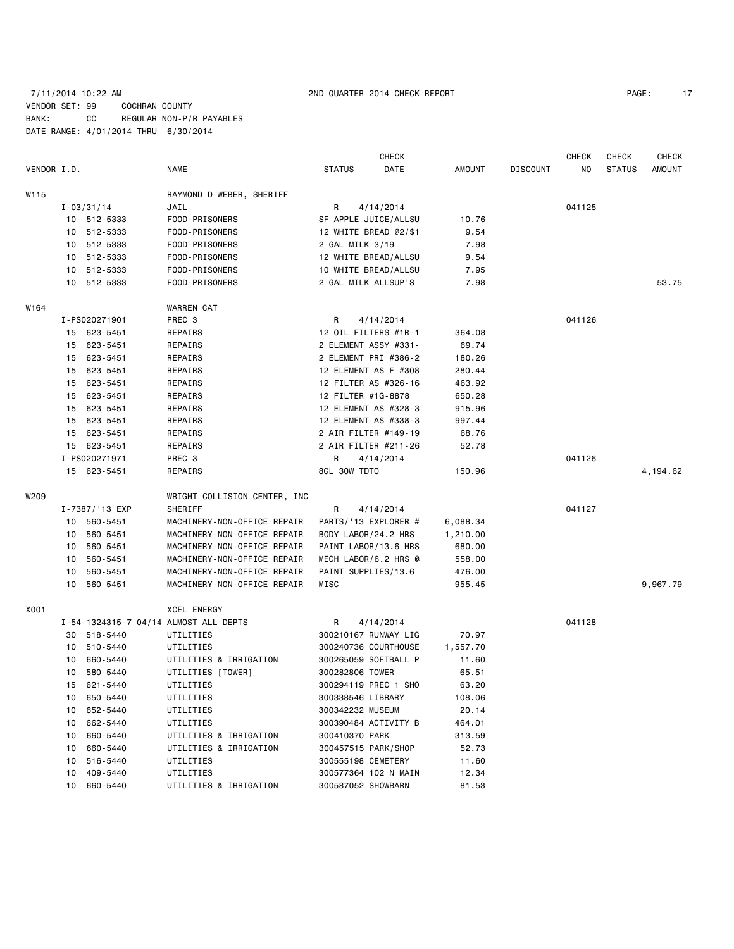### 7/11/2014 10:22 AM 2ND QUARTER 2014 CHECK REPORT PAGE: 17 VENDOR SET: 99 COCHRAN COUNTY BANK: CC REGULAR NON-P/R PAYABLES DATE RANGE: 4/01/2014 THRU 6/30/2014

|             |    |                | <b>CHECK</b>                          |                       |           |          |                 | <b>CHECK</b> | <b>CHECK</b>  | <b>CHECK</b> |
|-------------|----|----------------|---------------------------------------|-----------------------|-----------|----------|-----------------|--------------|---------------|--------------|
| VENDOR I.D. |    |                | NAME                                  | <b>STATUS</b>         | DATE      | AMOUNT   | <b>DISCOUNT</b> | ΝO           | <b>STATUS</b> | AMOUNT       |
| W115        |    |                | RAYMOND D WEBER, SHERIFF              |                       |           |          |                 |              |               |              |
|             |    | $I - 03/31/14$ | JAIL                                  | 4/14/2014<br>R        |           |          |                 | 041125       |               |              |
|             |    | 10 512-5333    | FOOD-PRISONERS                        | SF APPLE JUICE/ALLSU  |           | 10.76    |                 |              |               |              |
|             |    | 10 512-5333    | FOOD-PRISONERS                        | 12 WHITE BREAD @2/\$1 |           | 9.54     |                 |              |               |              |
|             | 10 | 512-5333       | FOOD-PRISONERS                        | 2 GAL MILK 3/19       |           | 7.98     |                 |              |               |              |
|             |    | 10 512-5333    | FOOD-PRISONERS                        | 12 WHITE BREAD/ALLSU  |           | 9.54     |                 |              |               |              |
|             |    | 10 512-5333    | FOOD-PRISONERS                        | 10 WHITE BREAD/ALLSU  |           | 7.95     |                 |              |               |              |
|             |    | 10 512-5333    | FOOD-PRISONERS                        | 2 GAL MILK ALLSUP'S   |           | 7.98     |                 |              |               | 53.75        |
| W164        |    |                | <b>WARREN CAT</b>                     |                       |           |          |                 |              |               |              |
|             |    | I-PS020271901  | PREC 3                                | R                     | 4/14/2014 |          |                 | 041126       |               |              |
|             |    | 15 623-5451    | REPAIRS                               | 12 OIL FILTERS #1R-1  |           | 364.08   |                 |              |               |              |
|             |    | 15 623-5451    | REPAIRS                               | 2 ELEMENT ASSY #331-  |           | 69.74    |                 |              |               |              |
|             |    | 15 623-5451    | REPAIRS                               | 2 ELEMENT PRI #386-2  |           | 180.26   |                 |              |               |              |
|             | 15 | 623-5451       | REPAIRS                               | 12 ELEMENT AS F #308  |           | 280.44   |                 |              |               |              |
|             |    | 15 623-5451    | REPAIRS                               | 12 FILTER AS #326-16  |           | 463.92   |                 |              |               |              |
|             | 15 | 623-5451       | REPAIRS                               | 12 FILTER #1G-8878    |           | 650.28   |                 |              |               |              |
|             |    | 15 623-5451    | REPAIRS                               | 12 ELEMENT AS #328-3  |           | 915.96   |                 |              |               |              |
|             | 15 | 623-5451       | REPAIRS                               | 12 ELEMENT AS #338-3  |           | 997.44   |                 |              |               |              |
|             |    | 15 623-5451    | REPAIRS                               | 2 AIR FILTER #149-19  |           | 68.76    |                 |              |               |              |
|             |    | 15 623-5451    | REPAIRS                               | 2 AIR FILTER #211-26  |           | 52.78    |                 |              |               |              |
|             |    | I-PS020271971  | PREC 3                                | R                     | 4/14/2014 |          |                 | 041126       |               |              |
|             |    | 15 623-5451    | REPAIRS                               | 8GL 30W TDTO          |           | 150.96   |                 |              |               | 4,194.62     |
| W209        |    |                | WRIGHT COLLISION CENTER, INC          |                       |           |          |                 |              |               |              |
|             |    | I-7387/'13 EXP | SHERIFF                               | R                     | 4/14/2014 |          |                 | 041127       |               |              |
|             |    | 10 560-5451    | MACHINERY-NON-OFFICE REPAIR           | PARTS/'13 EXPLORER #  |           | 6,088.34 |                 |              |               |              |
|             |    | 10 560-5451    | MACHINERY-NON-OFFICE REPAIR           | BODY LABOR/24.2 HRS   |           | 1,210.00 |                 |              |               |              |
|             | 10 | 560-5451       | MACHINERY-NON-OFFICE REPAIR           | PAINT LABOR/13.6 HRS  |           | 680.00   |                 |              |               |              |
|             | 10 | 560-5451       | MACHINERY-NON-OFFICE REPAIR           | MECH LABOR/6.2 HRS @  |           | 558.00   |                 |              |               |              |
|             | 10 | 560-5451       | MACHINERY-NON-OFFICE REPAIR           | PAINT SUPPLIES/13.6   |           | 476.00   |                 |              |               |              |
|             |    | 10 560-5451    | MACHINERY-NON-OFFICE REPAIR           | MISC                  |           | 955.45   |                 |              |               | 9,967.79     |
| X001        |    |                | <b>XCEL ENERGY</b>                    |                       |           |          |                 |              |               |              |
|             |    |                | I-54-1324315-7 04/14 ALMOST ALL DEPTS | R                     | 4/14/2014 |          |                 | 041128       |               |              |
|             |    | 30 518-5440    | UTILITIES                             | 300210167 RUNWAY LIG  |           | 70.97    |                 |              |               |              |
|             | 10 | 510-5440       | UTILITIES                             | 300240736 COURTHOUSE  |           | 1,557.70 |                 |              |               |              |
|             | 10 | 660-5440       | UTILITIES & IRRIGATION                | 300265059 SOFTBALL P  |           | 11.60    |                 |              |               |              |
|             | 10 | 580-5440       | UTILITIES [TOWER]                     | 300282806 TOWER       |           | 65.51    |                 |              |               |              |
|             |    | 15 621-5440    | UTILITIES                             | 300294119 PREC 1 SHO  |           | 63.20    |                 |              |               |              |
|             |    | 10 650-5440    | UTILITIES                             | 300338546 LIBRARY     |           | 108.06   |                 |              |               |              |
|             | 10 | 652-5440       | UTILITIES                             | 300342232 MUSEUM      |           | 20.14    |                 |              |               |              |
|             | 10 | 662-5440       | UTILITIES                             | 300390484 ACTIVITY B  |           | 464.01   |                 |              |               |              |
|             | 10 | 660-5440       | UTILITIES & IRRIGATION                | 300410370 PARK        |           | 313.59   |                 |              |               |              |
|             | 10 | 660-5440       | UTILITIES & IRRIGATION                | 300457515 PARK/SHOP   |           | 52.73    |                 |              |               |              |
|             | 10 | 516-5440       | UTILITIES                             | 300555198 CEMETERY    |           | 11.60    |                 |              |               |              |
|             | 10 | 409-5440       | UTILITIES                             | 300577364 102 N MAIN  |           | 12.34    |                 |              |               |              |
|             | 10 | 660-5440       | UTILITIES & IRRIGATION                | 300587052 SHOWBARN    |           | 81.53    |                 |              |               |              |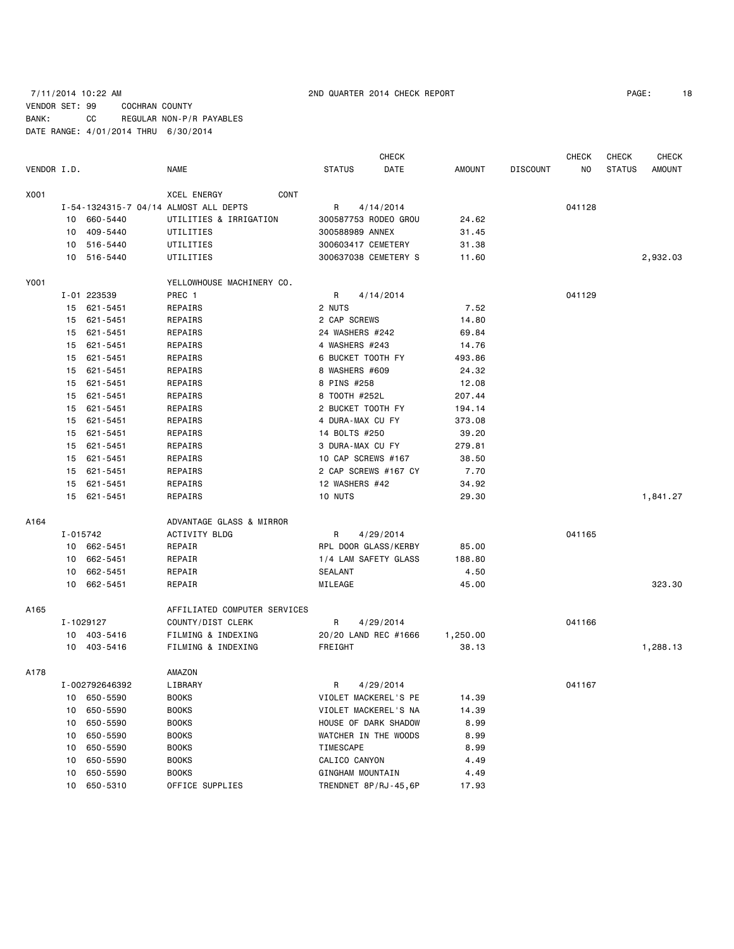### 7/11/2014 10:22 AM 2ND QUARTER 2014 CHECK REPORT PAGE: 18 VENDOR SET: 99 COCHRAN COUNTY BANK: CC REGULAR NON-P/R PAYABLES DATE RANGE: 4/01/2014 THRU 6/30/2014

| 18<br>PAGE: |
|-------------|
|             |

|             |          |                            | CHECK                                    |                    |                      |                   |                 | <b>CHECK</b>   | <b>CHECK</b>  | <b>CHECK</b>  |
|-------------|----------|----------------------------|------------------------------------------|--------------------|----------------------|-------------------|-----------------|----------------|---------------|---------------|
| VENDOR I.D. |          |                            | <b>NAME</b>                              | <b>STATUS</b>      | DATE                 | <b>AMOUNT</b>     | <b>DISCOUNT</b> | N <sub>O</sub> | <b>STATUS</b> | <b>AMOUNT</b> |
| X001        |          |                            | <b>CONT</b><br><b>XCEL ENERGY</b>        |                    |                      |                   |                 |                |               |               |
|             |          |                            | I-54-1324315-7 04/14 ALMOST ALL DEPTS    | R                  | 4/14/2014            |                   |                 | 041128         |               |               |
|             | 10       | 660-5440                   | UTILITIES & IRRIGATION                   |                    | 300587753 RODEO GROU | 24.62             |                 |                |               |               |
|             | 10       | 409-5440                   | UTILITIES                                | 300588989 ANNEX    |                      | 31.45             |                 |                |               |               |
|             | 10       | 516-5440                   | UTILITIES                                | 300603417 CEMETERY |                      | 31.38             |                 |                |               |               |
|             |          | 10 516-5440                | UTILITIES                                |                    | 300637038 CEMETERY S | 11.60             |                 |                |               | 2,932.03      |
| Y001        |          |                            | YELLOWHOUSE MACHINERY CO.                |                    |                      |                   |                 |                |               |               |
|             |          | I-01 223539                | PREC 1                                   | R                  | 4/14/2014            |                   |                 | 041129         |               |               |
|             | 15       | 621-5451                   | REPAIRS                                  | 2 NUTS             |                      | 7.52              |                 |                |               |               |
|             | 15       | 621-5451                   | REPAIRS                                  | 2 CAP SCREWS       |                      | 14.80             |                 |                |               |               |
|             | 15       | 621-5451                   | REPAIRS                                  | 24 WASHERS #242    |                      | 69.84             |                 |                |               |               |
|             | 15       | 621-5451                   | REPAIRS                                  | 4 WASHERS #243     |                      | 14.76             |                 |                |               |               |
|             | 15       | 621-5451                   | REPAIRS                                  | 6 BUCKET TOOTH FY  |                      | 493.86            |                 |                |               |               |
|             | 15       | 621-5451                   | REPAIRS                                  | 8 WASHERS #609     |                      | 24.32             |                 |                |               |               |
|             | 15       | 621-5451                   | REPAIRS                                  | 8 PINS #258        |                      | 12.08             |                 |                |               |               |
|             | 15       | 621-5451                   | REPAIRS                                  | 8 T00TH #252L      |                      | 207.44            |                 |                |               |               |
|             | 15       | 621-5451                   | REPAIRS                                  | 2 BUCKET TOOTH FY  |                      | 194.14            |                 |                |               |               |
|             | 15       | 621-5451                   | REPAIRS                                  | 4 DURA-MAX CU FY   |                      | 373.08            |                 |                |               |               |
|             | 15       | 621-5451                   | REPAIRS                                  | 14 BOLTS #250      |                      | 39.20             |                 |                |               |               |
|             | 15       | 621-5451                   | REPAIRS                                  | 3 DURA-MAX CU FY   |                      | 279.81            |                 |                |               |               |
|             | 15       | 621-5451                   | REPAIRS                                  | 10 CAP SCREWS #167 |                      | 38.50             |                 |                |               |               |
|             | 15       | 621-5451                   | REPAIRS                                  |                    | 2 CAP SCREWS #167 CY | 7.70              |                 |                |               |               |
|             | 15       | 621-5451                   | REPAIRS                                  | 12 WASHERS #42     |                      | 34.92             |                 |                |               |               |
|             | 15       | 621-5451                   | REPAIRS                                  | 10 NUTS            |                      | 29.30             |                 |                |               | 1,841.27      |
| A164        |          |                            | ADVANTAGE GLASS & MIRROR                 |                    |                      |                   |                 |                |               |               |
|             | I-015742 |                            | ACTIVITY BLDG                            | R                  | 4/29/2014            |                   |                 | 041165         |               |               |
|             |          | 10 662-5451                | REPAIR                                   |                    | RPL DOOR GLASS/KERBY | 85.00             |                 |                |               |               |
|             | 10       | 662-5451                   | REPAIR                                   |                    | 1/4 LAM SAFETY GLASS | 188.80            |                 |                |               |               |
|             | 10       | 662-5451                   | REPAIR                                   | <b>SEALANT</b>     |                      | 4.50              |                 |                |               |               |
|             | 10       | 662-5451                   | REPAIR                                   | MILEAGE            |                      | 45.00             |                 |                |               | 323.30        |
|             |          |                            |                                          |                    |                      |                   |                 |                |               |               |
| A165        |          |                            | AFFILIATED COMPUTER SERVICES             |                    |                      |                   |                 |                |               |               |
|             |          | I-1029127                  | COUNTY/DIST CLERK                        | R                  | 4/29/2014            |                   |                 | 041166         |               |               |
|             |          | 10 403-5416<br>10 403-5416 | FILMING & INDEXING<br>FILMING & INDEXING | FREIGHT            | 20/20 LAND REC #1666 | 1,250.00<br>38.13 |                 |                |               | 1,288.13      |
|             |          |                            |                                          |                    |                      |                   |                 |                |               |               |
| A178        |          |                            | AMAZON                                   |                    |                      |                   |                 |                |               |               |
|             |          | I-002792646392             | LIBRARY                                  | R                  | 4/29/2014            |                   |                 | 041167         |               |               |
|             | 10       | 650-5590                   | <b>BOOKS</b>                             |                    | VIOLET MACKEREL'S PE | 14.39             |                 |                |               |               |
|             | 10       | 650-5590                   | <b>BOOKS</b>                             |                    | VIOLET MACKEREL'S NA | 14.39             |                 |                |               |               |
|             | 10       | 650-5590                   | <b>BOOKS</b>                             |                    | HOUSE OF DARK SHADOW | 8.99              |                 |                |               |               |
|             | 10       | 650-5590                   | <b>BOOKS</b>                             |                    | WATCHER IN THE WOODS | 8.99              |                 |                |               |               |
|             | 10       | 650-5590                   | <b>BOOKS</b>                             | TIMESCAPE          |                      | 8.99              |                 |                |               |               |
|             | 10       | 650-5590                   | <b>BOOKS</b>                             | CALICO CANYON      |                      | 4.49              |                 |                |               |               |
|             | 10       | 650-5590                   | <b>BOOKS</b>                             | GINGHAM MOUNTAIN   |                      | 4.49              |                 |                |               |               |
|             | 10       | 650-5310                   | OFFICE SUPPLIES                          |                    | TRENDNET 8P/RJ-45,6P | 17.93             |                 |                |               |               |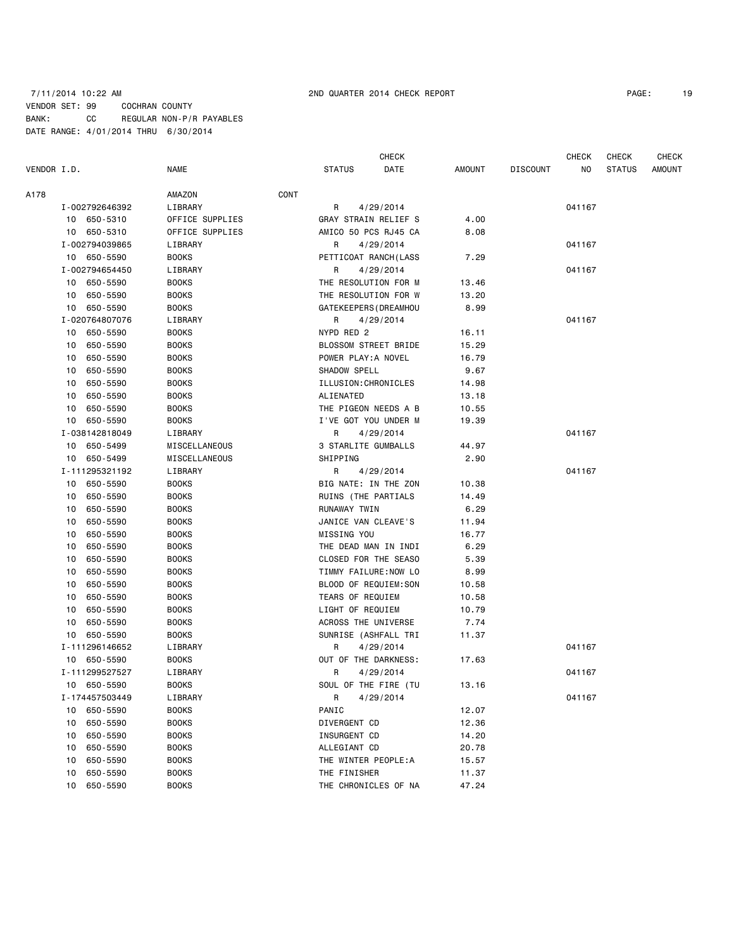### 7/11/2014 10:22 AM 2ND QUARTER 2014 CHECK REPORT PAGE: 19 VENDOR SET: 99 COCHRAN COUNTY BANK: CC REGULAR NON-P/R PAYABLES DATE RANGE: 4/01/2014 THRU 6/30/2014

CHECK CHECK CHECK CHECK CHECK

| VENDOR I.D. |                | <b>NAME</b>   |                 | <b>STATUS</b>        | DATE                  | AMOUNT | <b>DISCOUNT</b> | NO.    | <b>STATUS</b> | <b>AMOUNT</b> |
|-------------|----------------|---------------|-----------------|----------------------|-----------------------|--------|-----------------|--------|---------------|---------------|
| A178        |                | AMAZON        | CONT            |                      |                       |        |                 |        |               |               |
|             | I-002792646392 | LIBRARY       |                 | R                    | 4/29/2014             |        |                 | 041167 |               |               |
|             | 10 650-5310    |               | OFFICE SUPPLIES |                      | GRAY STRAIN RELIEF S  | 4.00   |                 |        |               |               |
|             | 10 650-5310    |               | OFFICE SUPPLIES | AMICO 50 PCS RJ45 CA |                       | 8.08   |                 |        |               |               |
|             | I-002794039865 | LIBRARY       |                 | R                    | 4/29/2014             |        |                 | 041167 |               |               |
|             | 10 650-5590    | <b>BOOKS</b>  |                 |                      | PETTICOAT RANCH(LASS  | 7.29   |                 |        |               |               |
|             | I-002794654450 | LIBRARY       |                 | R                    | 4/29/2014             |        |                 | 041167 |               |               |
|             | 10 650-5590    | <b>BOOKS</b>  |                 | THE RESOLUTION FOR M |                       | 13.46  |                 |        |               |               |
|             | 10 650-5590    | <b>BOOKS</b>  |                 | THE RESOLUTION FOR W |                       | 13.20  |                 |        |               |               |
|             | 10 650-5590    | <b>BOOKS</b>  |                 |                      | GATEKEEPERS (DREAMHOU | 8.99   |                 |        |               |               |
|             | I-020764807076 | LIBRARY       |                 | R                    | 4/29/2014             |        |                 | 041167 |               |               |
|             | 10 650-5590    | <b>BOOKS</b>  |                 | NYPD RED 2           |                       | 16.11  |                 |        |               |               |
|             | 10 650-5590    | <b>BOOKS</b>  |                 |                      | BLOSSOM STREET BRIDE  | 15.29  |                 |        |               |               |
|             | 10 650-5590    | <b>BOOKS</b>  |                 | POWER PLAY: A NOVEL  |                       | 16.79  |                 |        |               |               |
|             | 10<br>650-5590 | <b>BOOKS</b>  |                 | SHADOW SPELL         |                       | 9.67   |                 |        |               |               |
|             | 650-5590<br>10 | <b>BOOKS</b>  |                 | ILLUSION: CHRONICLES |                       | 14.98  |                 |        |               |               |
|             | 10<br>650-5590 | <b>BOOKS</b>  |                 | ALIENATED            |                       | 13.18  |                 |        |               |               |
|             | 10<br>650-5590 | <b>BOOKS</b>  |                 | THE PIGEON NEEDS A B |                       | 10.55  |                 |        |               |               |
|             | 10 650-5590    | <b>BOOKS</b>  |                 | I'VE GOT YOU UNDER M |                       | 19.39  |                 |        |               |               |
|             | I-038142818049 | LIBRARY       |                 | R                    | 4/29/2014             |        |                 | 041167 |               |               |
|             | 10 650-5499    | MISCELLANEOUS |                 | 3 STARLITE GUMBALLS  |                       | 44.97  |                 |        |               |               |
|             | 10 650-5499    | MISCELLANEOUS |                 | SHIPPING             |                       | 2.90   |                 |        |               |               |
|             | I-111295321192 | LIBRARY       |                 | R                    | 4/29/2014             |        |                 | 041167 |               |               |
|             | 10 650-5590    | <b>BOOKS</b>  |                 | BIG NATE: IN THE ZON |                       | 10.38  |                 |        |               |               |
|             | 10 650-5590    | <b>BOOKS</b>  |                 | RUINS (THE PARTIALS  |                       | 14.49  |                 |        |               |               |
|             | 650-5590<br>10 | <b>BOOKS</b>  |                 | RUNAWAY TWIN         |                       | 6.29   |                 |        |               |               |
|             | 650-5590<br>10 | <b>BOOKS</b>  |                 | JANICE VAN CLEAVE'S  |                       | 11.94  |                 |        |               |               |
|             | 10<br>650-5590 | <b>BOOKS</b>  |                 | MISSING YOU          |                       | 16.77  |                 |        |               |               |
|             | 10<br>650-5590 | <b>BOOKS</b>  |                 | THE DEAD MAN IN INDI |                       | 6.29   |                 |        |               |               |
|             | 650-5590<br>10 | <b>BOOKS</b>  |                 | CLOSED FOR THE SEASO |                       | 5.39   |                 |        |               |               |
|             | 650-5590<br>10 | <b>BOOKS</b>  |                 | TIMMY FAILURE:NOW LO |                       | 8.99   |                 |        |               |               |
|             | 650-5590<br>10 | <b>BOOKS</b>  |                 | BLOOD OF REQUIEM:SON |                       | 10.58  |                 |        |               |               |
|             | 10<br>650-5590 | <b>BOOKS</b>  |                 | TEARS OF REQUIEM     |                       | 10.58  |                 |        |               |               |
|             | 650-5590<br>10 | <b>BOOKS</b>  |                 | LIGHT OF REQUIEM     |                       | 10.79  |                 |        |               |               |
|             | 650-5590<br>10 | <b>BOOKS</b>  |                 | ACROSS THE UNIVERSE  |                       | 7.74   |                 |        |               |               |
|             | 10 650-5590    | <b>BOOKS</b>  |                 |                      | SUNRISE (ASHFALL TRI  | 11.37  |                 |        |               |               |
|             | I-111296146652 | LIBRARY       |                 | R                    | 4/29/2014             |        |                 | 041167 |               |               |
|             | 10 650-5590    | <b>BOOKS</b>  |                 |                      | OUT OF THE DARKNESS:  | 17.63  |                 |        |               |               |
|             | I-111299527527 | LIBRARY       |                 | R                    | 4/29/2014             |        |                 | 041167 |               |               |
|             | 10 650-5590    | <b>BOOKS</b>  |                 |                      | SOUL OF THE FIRE (TU  | 13.16  |                 |        |               |               |
|             | I-174457503449 | LIBRARY       |                 | R                    | 4/29/2014             |        |                 | 041167 |               |               |
|             | 650-5590<br>10 | <b>BOOKS</b>  |                 | PANIC                |                       | 12.07  |                 |        |               |               |
|             | 650-5590<br>10 | <b>BOOKS</b>  |                 | DIVERGENT CD         |                       | 12.36  |                 |        |               |               |
|             | 650-5590<br>10 | <b>BOOKS</b>  |                 | INSURGENT CD         |                       | 14.20  |                 |        |               |               |
|             | 10<br>650-5590 | <b>BOOKS</b>  |                 | ALLEGIANT CD         |                       | 20.78  |                 |        |               |               |
|             | 10<br>650-5590 | <b>BOOKS</b>  |                 | THE WINTER PEOPLE: A |                       | 15.57  |                 |        |               |               |
|             | 10<br>650-5590 | <b>BOOKS</b>  |                 | THE FINISHER         |                       | 11.37  |                 |        |               |               |
|             | 650-5590<br>10 | <b>BOOKS</b>  |                 |                      | THE CHRONICLES OF NA  | 47.24  |                 |        |               |               |
|             |                |               |                 |                      |                       |        |                 |        |               |               |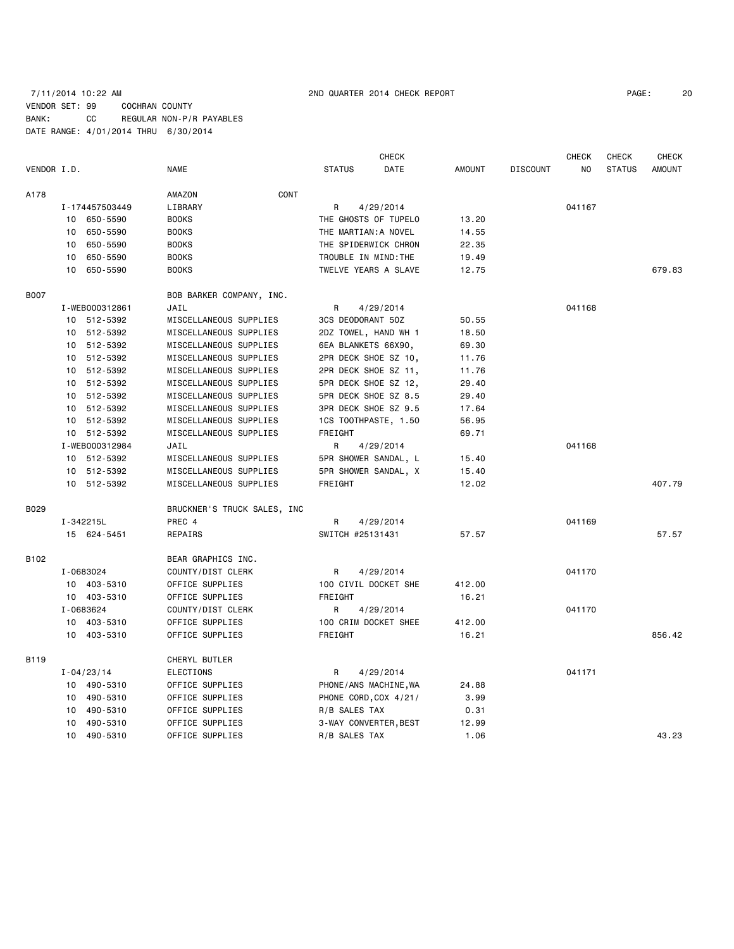### 7/11/2014 10:22 AM 2ND QUARTER 2014 CHECK REPORT PAGE: 20 VENDOR SET: 99 COCHRAN COUNTY BANK: CC REGULAR NON-P/R PAYABLES DATE RANGE: 4/01/2014 THRU 6/30/2014

|             |    |                |                             | <b>CHECK</b><br><b>CHECK</b><br><b>CHECK</b> |                       |               |                 |        |               |               |
|-------------|----|----------------|-----------------------------|----------------------------------------------|-----------------------|---------------|-----------------|--------|---------------|---------------|
| VENDOR I.D. |    |                | <b>NAME</b>                 | <b>STATUS</b>                                | DATE                  | <b>AMOUNT</b> | <b>DISCOUNT</b> | NO     | <b>STATUS</b> | <b>AMOUNT</b> |
| A178        |    |                | CONT<br>AMAZON              |                                              |                       |               |                 |        |               |               |
|             |    | I-174457503449 | LIBRARY                     | R                                            | 4/29/2014             |               |                 | 041167 |               |               |
|             |    | 10 650-5590    | <b>BOOKS</b>                |                                              | THE GHOSTS OF TUPELO  | 13.20         |                 |        |               |               |
|             |    | 10 650-5590    | <b>BOOKS</b>                | THE MARTIAN: A NOVEL                         |                       | 14.55         |                 |        |               |               |
|             | 10 | 650-5590       | <b>BOOKS</b>                | THE SPIDERWICK CHRON                         |                       | 22.35         |                 |        |               |               |
|             | 10 | 650-5590       | <b>BOOKS</b>                | TROUBLE IN MIND: THE                         |                       | 19.49         |                 |        |               |               |
|             | 10 | 650-5590       | <b>BOOKS</b>                |                                              | TWELVE YEARS A SLAVE  | 12.75         |                 |        |               | 679.83        |
| <b>B007</b> |    |                | BOB BARKER COMPANY, INC.    |                                              |                       |               |                 |        |               |               |
|             |    | I-WEB000312861 | JAIL                        | R                                            | 4/29/2014             |               |                 | 041168 |               |               |
|             |    | 10 512-5392    | MISCELLANEOUS SUPPLIES      | 3CS DEODORANT 50Z                            |                       | 50.55         |                 |        |               |               |
|             |    | 10 512-5392    | MISCELLANEOUS SUPPLIES      | 2DZ TOWEL, HAND WH 1                         |                       | 18.50         |                 |        |               |               |
|             |    | 10 512-5392    | MISCELLANEOUS SUPPLIES      | 6EA BLANKETS 66X90,                          |                       | 69.30         |                 |        |               |               |
|             |    | 10 512-5392    | MISCELLANEOUS SUPPLIES      | 2PR DECK SHOE SZ 10,                         |                       | 11.76         |                 |        |               |               |
|             |    | 10 512-5392    | MISCELLANEOUS SUPPLIES      | 2PR DECK SHOE SZ 11,                         |                       | 11.76         |                 |        |               |               |
|             |    | 10 512-5392    | MISCELLANEOUS SUPPLIES      |                                              | 5PR DECK SHOE SZ 12,  | 29.40         |                 |        |               |               |
|             |    | 10 512-5392    | MISCELLANEOUS SUPPLIES      |                                              | 5PR DECK SHOE SZ 8.5  | 29.40         |                 |        |               |               |
|             |    | 10 512-5392    | MISCELLANEOUS SUPPLIES      |                                              | 3PR DECK SHOE SZ 9.5  | 17.64         |                 |        |               |               |
|             |    | 10 512-5392    | MISCELLANEOUS SUPPLIES      |                                              | 1CS TOOTHPASTE, 1.50  | 56.95         |                 |        |               |               |
|             |    | 10 512-5392    | MISCELLANEOUS SUPPLIES      | FREIGHT                                      |                       | 69.71         |                 |        |               |               |
|             |    | I-WEB000312984 | JAIL                        | R                                            | 4/29/2014             |               |                 | 041168 |               |               |
|             |    | 10 512-5392    | MISCELLANEOUS SUPPLIES      |                                              | 5PR SHOWER SANDAL, L  | 15.40         |                 |        |               |               |
|             |    | 10 512-5392    | MISCELLANEOUS SUPPLIES      |                                              | 5PR SHOWER SANDAL, X  | 15.40         |                 |        |               |               |
|             |    | 10 512-5392    | MISCELLANEOUS SUPPLIES      | FREIGHT                                      |                       | 12.02         |                 |        |               | 407.79        |
| B029        |    |                | BRUCKNER'S TRUCK SALES, INC |                                              |                       |               |                 |        |               |               |
|             |    | I-342215L      | PREC 4                      | R                                            | 4/29/2014             |               |                 | 041169 |               |               |
|             |    | 15 624-5451    | REPAIRS                     | SWITCH #25131431                             |                       | 57.57         |                 |        |               | 57.57         |
| B102        |    |                | BEAR GRAPHICS INC.          |                                              |                       |               |                 |        |               |               |
|             |    | I-0683024      | COUNTY/DIST CLERK           | R                                            | 4/29/2014             |               |                 | 041170 |               |               |
|             |    | 10 403-5310    | OFFICE SUPPLIES             | 100 CIVIL DOCKET SHE                         |                       | 412.00        |                 |        |               |               |
|             |    | 10 403-5310    | OFFICE SUPPLIES             | FREIGHT                                      |                       | 16.21         |                 |        |               |               |
|             |    | I-0683624      | COUNTY/DIST CLERK           | R                                            | 4/29/2014             |               |                 | 041170 |               |               |
|             |    | 10 403-5310    | OFFICE SUPPLIES             |                                              | 100 CRIM DOCKET SHEE  | 412.00        |                 |        |               |               |
|             |    | 10 403-5310    | OFFICE SUPPLIES             | FREIGHT                                      |                       | 16.21         |                 |        |               | 856.42        |
| <b>B119</b> |    |                | CHERYL BUTLER               |                                              |                       |               |                 |        |               |               |
|             |    | $I - 04/23/14$ | <b>ELECTIONS</b>            | R                                            | 4/29/2014             |               |                 | 041171 |               |               |
|             |    | 10 490-5310    | OFFICE SUPPLIES             |                                              | PHONE/ANS MACHINE, WA | 24.88         |                 |        |               |               |
|             |    | 10 490-5310    | OFFICE SUPPLIES             |                                              | PHONE CORD, COX 4/21/ | 3.99          |                 |        |               |               |
|             | 10 | 490-5310       | OFFICE SUPPLIES             | R/B SALES TAX                                |                       | 0.31          |                 |        |               |               |
|             | 10 | 490-5310       | OFFICE SUPPLIES             |                                              | 3-WAY CONVERTER, BEST | 12.99         |                 |        |               |               |
|             |    | 10 490-5310    | OFFICE SUPPLIES             | R/B SALES TAX                                |                       | 1.06          |                 |        |               | 43.23         |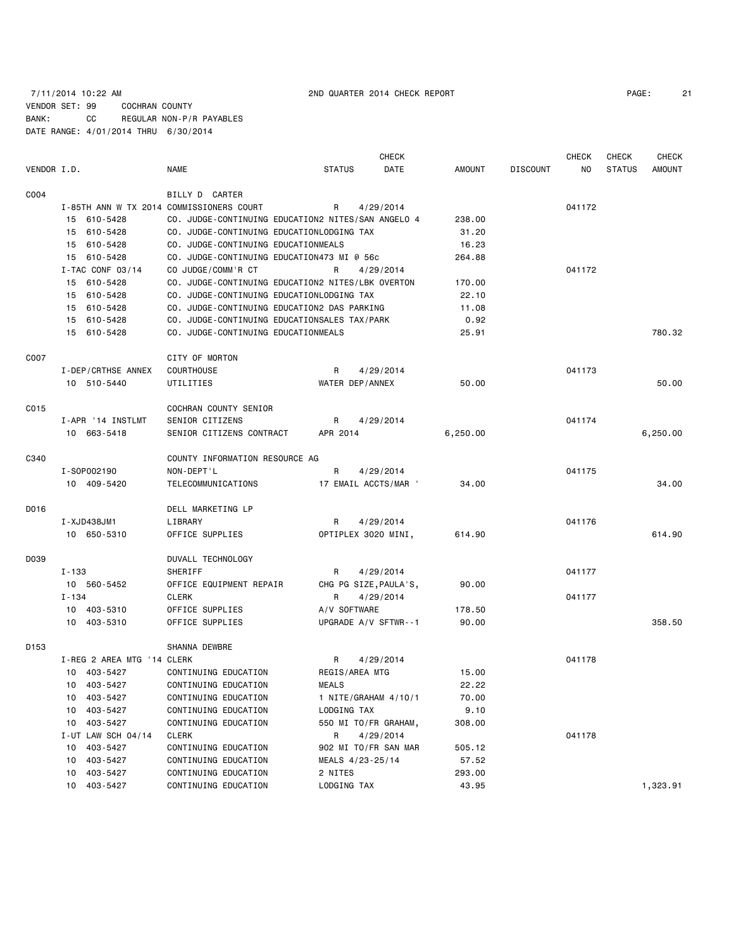### 7/11/2014 10:22 AM 2ND QUARTER 2014 CHECK REPORT PAGE: 21 VENDOR SET: 99 COCHRAN COUNTY BANK: CC REGULAR NON-P/R PAYABLES DATE RANGE: 4/01/2014 THRU 6/30/2014

**CHECK CHECK CHECK CHECK CHECK CHECK CHECK** VENDOR I.D. NAME STATUS DATE AMOUNT DISCOUNT NO STATUS AMOUNT C004 BILLY D CARTER I-85TH ANN W TX 2014 COMMISSIONERS COURT R 4/29/2014 041172 15 610-5428 CO. JUDGE-CONTINUING EDUCATION2 NITES/SAN ANGELO 4 238.00 15 610-5428 CO. JUDGE-CONTINUING EDUCATIONLODGING TAX 31.20 15 610-5428 CO. JUDGE-CONTINUING EDUCATIONMEALS 16.23 15 610-5428 CO. JUDGE-CONTINUING EDUCATION473 MI @ 56c 264.88 I-TAC CONF 03/14 CO JUDGE/COMM'R CT R 4/29/2014 041172 15 610-5428 CO. JUDGE-CONTINUING EDUCATION2 NITES/LBK OVERTON 170.00 15 610-5428 CO. JUDGE-CONTINUING EDUCATIONLODGING TAX 22.10 15 610-5428 CO. JUDGE-CONTINUING EDUCATION2 DAS PARKING 11.08 15 610-5428 CO. JUDGE-CONTINUING EDUCATIONSALES TAX/PARK 0.92 15 610-5428 CO. JUDGE-CONTINUING EDUCATIONMEALS 25.91 780.32 C007 CITY OF MORTON I-DEP/CRTHSE ANNEX COURTHOUSE THE R 4/29/2014 COURTHOUSE R 4/29/2014 10 510-5440 UTILITIES WATER DEP/ANNEX 50.00 50.00 CO15 COCHRAN COUNTY SENIOR I-APR '14 INSTLMT SENIOR CITIZENS R 4/29/2014 R 400 041174 10 663-5418 SENIOR CITIZENS CONTRACT APR 2014 6,250.00 6,250.00 C340 COUNTY INFORMATION RESOURCE AG I-SOP002190 NON-DEPT'L R 4/29/2014 041175 10 409-5420 TELECOMMUNICATIONS 17 EMAIL ACCTS/MAR ' 34.00 34.00 D016 DELL MARKETING LP I-XJD438JM1 LIBRARY R 4/29/2014 041176 10 650-5310 OFFICE SUPPLIES OPTIPLEX 3020 MINI, 614.90 614.90 D039 DUVALL TECHNOLOGY I-133 SHERIFF R 4/29/2014 041177 10 560-5452 OFFICE EQUIPMENT REPAIR CHG PG SIZE,PAULA'S, 90.00 I-134 CLERK R 4/29/2014 041177 10 403-5310 OFFICE SUPPLIES A/V SOFTWARE 178.50 10 403-5310 OFFICE SUPPLIES UPGRADE A/V SFTWR--1 90.00 358.50 D153 SHANNA DEWBRE I-REG 2 AREA MTG '14 CLERK **R** 4/29/2014 **R** 4/29/2014 10 403-5427 CONTINUING EDUCATION REGIS/AREA MTG 15.00 10 403-5427 CONTINUING EDUCATION MEALS 22.22 10 403-5427 CONTINUING EDUCATION 1 NITE/GRAHAM 4/10/1 70.00 10 403-5427 CONTINUING EDUCATION LODGING TAX 9.10 10 403-5427 CONTINUING EDUCATION 550 MI TO/FR GRAHAM, 308.00 I-UT LAW SCH 04/14 CLERK R 4/29/2014 R 4/29/2014 10 403-5427 CONTINUING EDUCATION 902 MI TO/FR SAN MAR 505.12 10 403-5427 CONTINUING EDUCATION MEALS 4/23-25/14 57.52 10 403-5427 CONTINUING EDUCATION 2 NITES 293.00 10 403-5427 CONTINUING EDUCATION LODGING TAX 43.95 1,323.91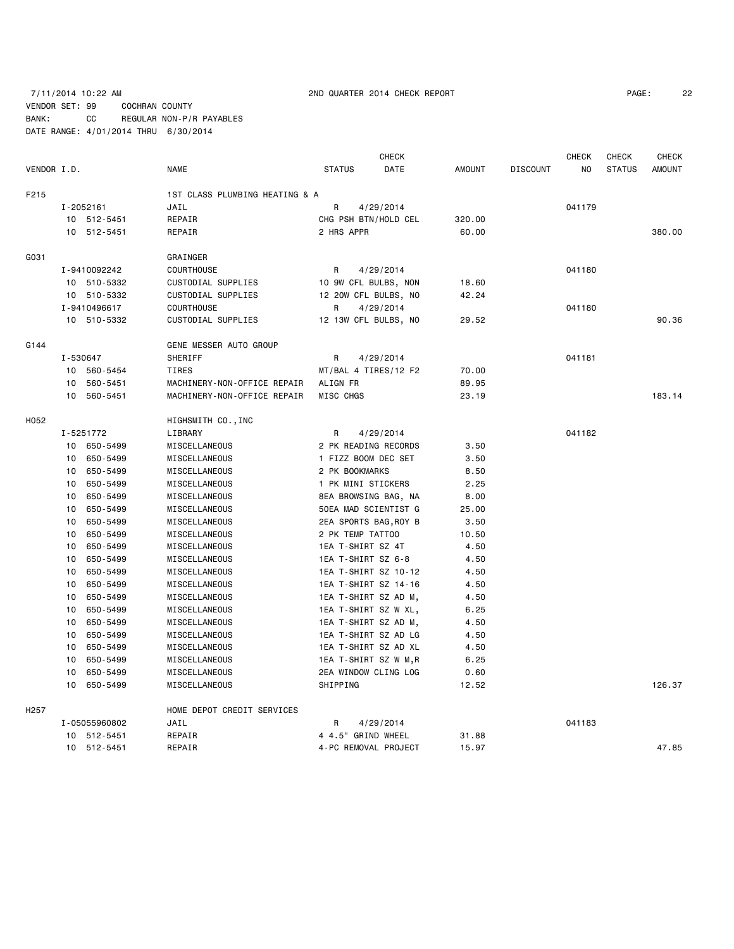### 7/11/2014 10:22 AM 2ND QUARTER 2014 CHECK REPORT PAGE: 22 VENDOR SET: 99 COCHRAN COUNTY BANK: CC REGULAR NON-P/R PAYABLES DATE RANGE: 4/01/2014 THRU 6/30/2014

| 22 |
|----|
|    |

|                  |                 |                              | <b>CHECK</b><br><b>CHECK</b><br><b>CHECK</b> |                         |                      |               |                 |        |               | <b>CHECK</b>  |
|------------------|-----------------|------------------------------|----------------------------------------------|-------------------------|----------------------|---------------|-----------------|--------|---------------|---------------|
| VENDOR I.D.      |                 |                              | <b>NAME</b>                                  | <b>STATUS</b>           | DATE                 | <b>AMOUNT</b> | <b>DISCOUNT</b> | NO.    | <b>STATUS</b> | <b>AMOUNT</b> |
| F215             |                 |                              | 1ST CLASS PLUMBING HEATING & A               |                         |                      |               |                 |        |               |               |
|                  |                 | I-2052161                    | JAIL                                         | R                       | 4/29/2014            |               |                 | 041179 |               |               |
|                  |                 | 10 512-5451                  | REPAIR                                       | CHG PSH BTN/HOLD CEL    |                      | 320.00        |                 |        |               |               |
|                  |                 | 10 512-5451                  | REPAIR                                       | 2 HRS APPR              |                      | 60.00         |                 |        |               | 380.00        |
|                  |                 |                              |                                              |                         |                      |               |                 |        |               |               |
| G031             |                 |                              | GRAINGER                                     |                         |                      |               |                 |        |               |               |
|                  |                 | I-9410092242                 | COURTHOUSE                                   | R                       | 4/29/2014            |               |                 | 041180 |               |               |
|                  |                 | 10 510-5332                  | CUSTODIAL SUPPLIES                           | 10 9W CFL BULBS, NON    |                      | 18.60         |                 |        |               |               |
|                  |                 | 10 510-5332                  | CUSTODIAL SUPPLIES                           | 12 20W CFL BULBS, NO    |                      | 42.24         |                 |        |               |               |
|                  |                 | I-9410496617                 | COURTHOUSE                                   | R                       | 4/29/2014            |               |                 | 041180 |               |               |
|                  |                 | 10 510-5332                  | CUSTODIAL SUPPLIES                           | 12 13W CFL BULBS, NO    |                      | 29.52         |                 |        |               | 90.36         |
| G144             |                 |                              | GENE MESSER AUTO GROUP                       |                         |                      |               |                 |        |               |               |
|                  | I-530647        |                              | SHERIFF                                      | R.                      | 4/29/2014            |               |                 | 041181 |               |               |
|                  |                 | 10 560-5454                  | <b>TIRES</b>                                 | MT/BAL 4 TIRES/12 F2    |                      | 70.00         |                 |        |               |               |
|                  |                 | 10 560-5451                  | MACHINERY-NON-OFFICE REPAIR                  | ALIGN FR                |                      | 89.95         |                 |        |               |               |
|                  | 10              | 560-5451                     | MACHINERY-NON-OFFICE REPAIR                  | MISC CHGS               |                      | 23.19         |                 |        |               | 183.14        |
| H052             |                 |                              | HIGHSMITH CO., INC                           |                         |                      |               |                 |        |               |               |
|                  |                 | I-5251772                    | LIBRARY                                      | R                       | 4/29/2014            |               |                 | 041182 |               |               |
|                  |                 | 10 650-5499                  | MISCELLANEOUS                                | 2 PK READING RECORDS    |                      | 3.50          |                 |        |               |               |
|                  |                 | 10 650-5499                  | MISCELLANEOUS                                | 1 FIZZ BOOM DEC SET     |                      | 3.50          |                 |        |               |               |
|                  |                 | 10 650-5499                  | MISCELLANEOUS                                | 2 PK BOOKMARKS          |                      | 8.50          |                 |        |               |               |
|                  |                 | 10 650-5499                  | MISCELLANEOUS                                | 1 PK MINI STICKERS      |                      | 2.25          |                 |        |               |               |
|                  | 10              | 650-5499                     | MISCELLANEOUS                                | 8EA BROWSING BAG, NA    |                      | 8.00          |                 |        |               |               |
|                  | 10              | 650-5499                     | MISCELLANEOUS                                | 50EA MAD SCIENTIST G    |                      | 25.00         |                 |        |               |               |
|                  | 10              | 650-5499                     | MISCELLANEOUS                                | 2EA SPORTS BAG, ROY B   |                      | 3.50          |                 |        |               |               |
|                  | 10              | 650-5499                     | MISCELLANEOUS                                | 2 PK TEMP TATT00        |                      | 10.50         |                 |        |               |               |
|                  | 10              | 650-5499                     | MISCELLANEOUS                                | 1EA T-SHIRT SZ 4T       |                      | 4.50          |                 |        |               |               |
|                  | 10 <sup>1</sup> | 650-5499                     | MISCELLANEOUS                                | 1EA T-SHIRT SZ 6-8      |                      | 4.50          |                 |        |               |               |
|                  | 10              | 650-5499                     | MISCELLANEOUS                                |                         | 1EA T-SHIRT SZ 10-12 | 4.50          |                 |        |               |               |
|                  | 10              | 650-5499                     | MISCELLANEOUS                                | 1EA T-SHIRT SZ 14-16    |                      | 4.50          |                 |        |               |               |
|                  | 10              | 650-5499                     | MISCELLANEOUS                                | 1EA T-SHIRT SZ AD M,    |                      | 4.50          |                 |        |               |               |
|                  | 10              | 650-5499                     | MISCELLANEOUS                                | 1EA T-SHIRT SZ W XL,    |                      | 6.25          |                 |        |               |               |
|                  | 10              | 650-5499                     | MISCELLANEOUS                                | 1EA T-SHIRT SZ AD M,    |                      | 4.50          |                 |        |               |               |
|                  | 10              | 650-5499                     | MISCELLANEOUS                                | 1EA T-SHIRT SZ AD LG    |                      | 4.50          |                 |        |               |               |
|                  | 10              | 650-5499                     | MISCELLANEOUS                                | 1EA T-SHIRT SZ AD XL    |                      | 4.50          |                 |        |               |               |
|                  | 10              | 650-5499                     | MISCELLANEOUS                                | 1EA T-SHIRT SZ W M,R    |                      | 6.25          |                 |        |               |               |
|                  | 10              | 650-5499                     | MISCELLANEOUS                                | 2EA WINDOW CLING LOG    |                      | 0.60          |                 |        |               |               |
|                  | 10              | 650-5499                     | MISCELLANEOUS                                | SHIPPING                |                      | 12.52         |                 |        |               | 126.37        |
|                  |                 |                              |                                              |                         |                      |               |                 |        |               |               |
| H <sub>257</sub> |                 |                              | HOME DEPOT CREDIT SERVICES                   |                         |                      |               |                 | 041183 |               |               |
|                  |                 | I-05055960802<br>10 512-5451 | JAIL<br>REPAIR                               | R<br>4 4.5" GRIND WHEEL | 4/29/2014            | 31.88         |                 |        |               |               |
|                  |                 | 10 512-5451                  | REPAIR                                       | 4-PC REMOVAL PROJECT    |                      | 15.97         |                 |        |               | 47.85         |
|                  |                 |                              |                                              |                         |                      |               |                 |        |               |               |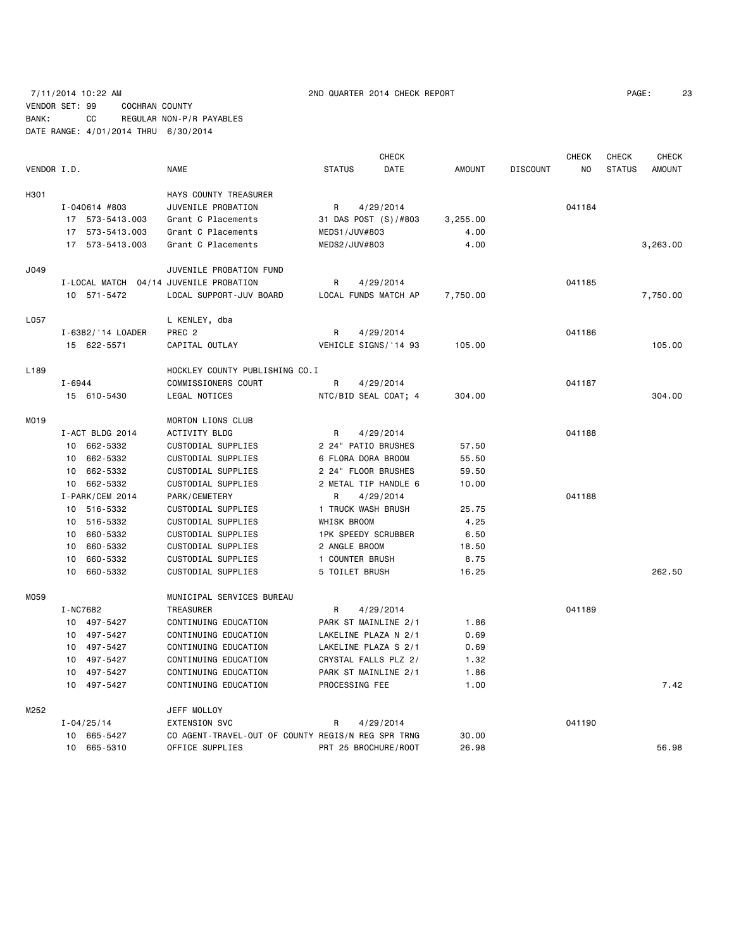## 7/11/2014 10:22 AM 2ND QUARTER 2014 CHECK REPORT PAGE: 23 VENDOR SET: 99 COCHRAN COUNTY BANK: CC REGULAR NON-P/R PAYABLES DATE RANGE: 4/01/2014 THRU 6/30/2014

|             |            |                   |                                                    |               | <b>CHECK</b>               |               |                 | <b>CHECK</b>   | CHECK         | <b>CHECK</b>  |
|-------------|------------|-------------------|----------------------------------------------------|---------------|----------------------------|---------------|-----------------|----------------|---------------|---------------|
| VENDOR I.D. |            |                   | <b>NAME</b>                                        | <b>STATUS</b> | DATE                       | <b>AMOUNT</b> | <b>DISCOUNT</b> | N <sub>O</sub> | <b>STATUS</b> | <b>AMOUNT</b> |
| H301        |            |                   | HAYS COUNTY TREASURER                              |               |                            |               |                 |                |               |               |
|             |            | I-040614 #803     | JUVENILE PROBATION                                 | R             | 4/29/2014                  |               |                 | 041184         |               |               |
|             |            | 17 573-5413.003   | Grant C Placements                                 |               | 31 DAS POST (S) /#803      | 3,255.00      |                 |                |               |               |
|             |            | 17 573-5413.003   | Grant C Placements                                 |               | MEDS1/JUV#803              | 4.00          |                 |                |               |               |
|             |            | 17 573-5413.003   | Grant C Placements                                 |               | MEDS2/JUV#803              | 4.00          |                 |                |               | 3,263.00      |
| J049        |            |                   | JUVENILE PROBATION FUND                            |               |                            |               |                 |                |               |               |
|             |            |                   | I-LOCAL MATCH 04/14 JUVENILE PROBATION             | R             | 4/29/2014                  |               |                 | 041185         |               |               |
|             |            | 10 571-5472       | LOCAL SUPPORT-JUV BOARD                            |               | LOCAL FUNDS MATCH AP       | 7,750.00      |                 |                |               | 7,750.00      |
| L057        |            |                   | L KENLEY, dba                                      |               |                            |               |                 |                |               |               |
|             |            | I-6382/'14 LOADER | PREC <sub>2</sub>                                  | R             | 4/29/2014                  |               |                 | 041186         |               |               |
|             |            | 15 622-5571       | CAPITAL OUTLAY                                     |               | VEHICLE SIGNS/'14 93       | 105.00        |                 |                |               | 105.00        |
| L189        |            |                   | HOCKLEY COUNTY PUBLISHING CO.I                     |               |                            |               |                 |                |               |               |
|             | $I - 6944$ |                   | COMMISSIONERS COURT                                | R             | 4/29/2014                  |               |                 | 041187         |               |               |
|             |            | 15 610-5430       | LEGAL NOTICES                                      |               | NTC/BID SEAL COAT; 4       | 304.00        |                 |                |               | 304.00        |
| M019        |            |                   | MORTON LIONS CLUB                                  |               |                            |               |                 |                |               |               |
|             |            | I-ACT BLDG 2014   | ACTIVITY BLDG                                      | R             | 4/29/2014                  |               |                 | 041188         |               |               |
|             |            | 10 662-5332       | CUSTODIAL SUPPLIES                                 |               | 2 24" PATIO BRUSHES        | 57.50         |                 |                |               |               |
|             |            | 10 662-5332       | CUSTODIAL SUPPLIES                                 |               | 6 FLORA DORA BROOM         | 55.50         |                 |                |               |               |
|             |            | 10 662-5332       | CUSTODIAL SUPPLIES                                 |               | 2 24" FLOOR BRUSHES        | 59.50         |                 |                |               |               |
|             |            | 10 662-5332       | CUSTODIAL SUPPLIES                                 |               | 2 METAL TIP HANDLE 6       | 10.00         |                 |                |               |               |
|             |            | I-PARK/CEM 2014   | PARK/CEMETERY                                      | R             | 4/29/2014                  |               |                 | 041188         |               |               |
|             |            | 10 516-5332       | CUSTODIAL SUPPLIES                                 |               | 1 TRUCK WASH BRUSH         | 25.75         |                 |                |               |               |
|             |            | 10 516-5332       | CUSTODIAL SUPPLIES                                 | WHISK BROOM   |                            | 4.25          |                 |                |               |               |
|             |            | 10 660-5332       | CUSTODIAL SUPPLIES                                 |               | <b>1PK SPEEDY SCRUBBER</b> | 6.50          |                 |                |               |               |
|             | 10         | 660-5332          | CUSTODIAL SUPPLIES                                 |               | 2 ANGLE BROOM              | 18.50         |                 |                |               |               |
|             | 10         | 660-5332          | CUSTODIAL SUPPLIES                                 |               | 1 COUNTER BRUSH            | 8.75          |                 |                |               |               |
|             |            | 10 660-5332       | CUSTODIAL SUPPLIES                                 |               | 5 TOILET BRUSH             | 16.25         |                 |                |               | 262.50        |
| M059        |            |                   | MUNICIPAL SERVICES BUREAU                          |               |                            |               |                 |                |               |               |
|             | I-NC7682   |                   | TREASURER                                          | R             | 4/29/2014                  |               |                 | 041189         |               |               |
|             |            | 10 497-5427       | CONTINUING EDUCATION                               |               | PARK ST MAINLINE 2/1       | 1.86          |                 |                |               |               |
|             |            | 10 497-5427       | CONTINUING EDUCATION                               |               | LAKELINE PLAZA N 2/1       | 0.69          |                 |                |               |               |
|             |            | 10 497-5427       | CONTINUING EDUCATION                               |               | LAKELINE PLAZA S 2/1       | 0.69          |                 |                |               |               |
|             | 10         | 497-5427          | CONTINUING EDUCATION                               |               | CRYSTAL FALLS PLZ 2/       | 1.32          |                 |                |               |               |
|             |            | 10 497-5427       | CONTINUING EDUCATION                               |               | PARK ST MAINLINE 2/1       | 1.86          |                 |                |               |               |
|             |            | 10 497-5427       | CONTINUING EDUCATION                               |               | PROCESSING FEE             | 1.00          |                 |                |               | 7.42          |
| M252        |            |                   | JEFF MOLLOY                                        |               |                            |               |                 |                |               |               |
|             |            | $I - 04/25/14$    | <b>EXTENSION SVC</b>                               | R             | 4/29/2014                  |               |                 | 041190         |               |               |
|             |            | 10 665-5427       | CO AGENT-TRAVEL-OUT OF COUNTY REGIS/N REG SPR TRNG |               |                            | 30.00         |                 |                |               |               |
|             |            | 10 665-5310       | OFFICE SUPPLIES                                    |               | PRT 25 BROCHURE/ROOT       | 26.98         |                 |                |               | 56.98         |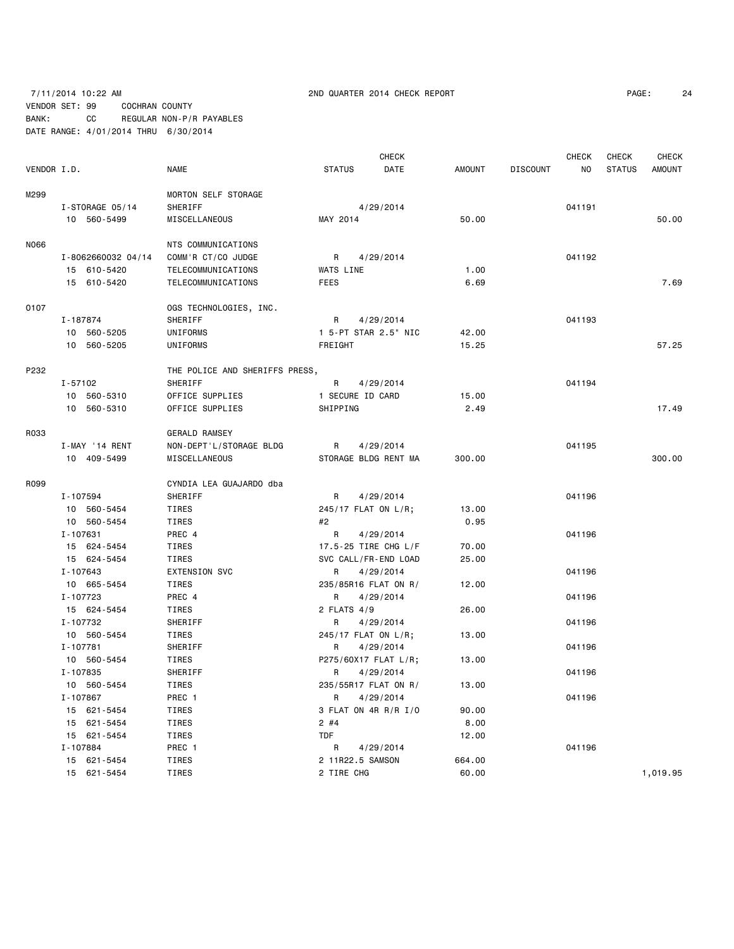## 7/11/2014 10:22 AM 2ND QUARTER 2014 CHECK REPORT PAGE: 24 VENDOR SET: 99 COCHRAN COUNTY BANK: CC REGULAR NON-P/R PAYABLES DATE RANGE: 4/01/2014 THRU 6/30/2014

|             |                    |                                |                      | <b>CHECK</b>         |        |                 | <b>CHECK</b> | CHECK         | <b>CHECK</b>  |
|-------------|--------------------|--------------------------------|----------------------|----------------------|--------|-----------------|--------------|---------------|---------------|
| VENDOR I.D. |                    | <b>NAME</b>                    | <b>STATUS</b>        | DATE                 | AMOUNT | <b>DISCOUNT</b> | <b>NO</b>    | <b>STATUS</b> | <b>AMOUNT</b> |
| M299        |                    | MORTON SELF STORAGE            |                      |                      |        |                 |              |               |               |
|             | I-STORAGE 05/14    | SHERIFF                        |                      | 4/29/2014            |        |                 | 041191       |               |               |
|             | 10 560-5499        | MISCELLANEOUS                  | MAY 2014             |                      | 50.00  |                 |              |               | 50.00         |
| N066        |                    | NTS COMMUNICATIONS             |                      |                      |        |                 |              |               |               |
|             | I-8062660032 04/14 | COMM'R CT/CO JUDGE             | R                    | 4/29/2014            |        |                 | 041192       |               |               |
|             | 15 610-5420        | TELECOMMUNICATIONS             | WATS LINE            |                      | 1.00   |                 |              |               |               |
|             | 15 610-5420        | TELECOMMUNICATIONS             | <b>FEES</b>          |                      | 6.69   |                 |              |               | 7.69          |
| 0107        |                    | OGS TECHNOLOGIES, INC.         |                      |                      |        |                 |              |               |               |
|             | I-187874           | SHERIFF                        | R                    | 4/29/2014            |        |                 | 041193       |               |               |
|             | 10 560-5205        | UNIFORMS                       |                      | 1 5-PT STAR 2.5" NIC | 42.00  |                 |              |               |               |
|             | 10 560-5205        | UNIFORMS                       | FREIGHT              |                      | 15.25  |                 |              |               | 57.25         |
| P232        |                    | THE POLICE AND SHERIFFS PRESS, |                      |                      |        |                 |              |               |               |
|             | I-57102            | SHERIFF                        | R                    | 4/29/2014            |        |                 | 041194       |               |               |
|             | 10 560-5310        | OFFICE SUPPLIES                | 1 SECURE ID CARD     |                      | 15.00  |                 |              |               |               |
|             | 10 560-5310        | OFFICE SUPPLIES                | SHIPPING             |                      | 2.49   |                 |              |               | 17.49         |
| R033        |                    | <b>GERALD RAMSEY</b>           |                      |                      |        |                 |              |               |               |
|             | I-MAY '14 RENT     | NON-DEPT'L/STORAGE BLDG        | R                    | 4/29/2014            |        |                 | 041195       |               |               |
|             | 10 409-5499        | MISCELLANEOUS                  |                      | STORAGE BLDG RENT MA | 300.00 |                 |              |               | 300.00        |
| R099        |                    | CYNDIA LEA GUAJARDO dba        |                      |                      |        |                 |              |               |               |
|             | I-107594           | SHERIFF                        | R                    | 4/29/2014            |        |                 | 041196       |               |               |
|             | 10 560-5454        | TIRES                          | 245/17 FLAT ON L/R;  |                      | 13.00  |                 |              |               |               |
|             | 10 560-5454        | TIRES                          | #2                   |                      | 0.95   |                 |              |               |               |
|             | I-107631           | PREC 4                         | R                    | 4/29/2014            |        |                 | 041196       |               |               |
|             | 15 624-5454        | TIRES                          |                      | 17.5-25 TIRE CHG L/F | 70.00  |                 |              |               |               |
|             | 15 624-5454        | TIRES                          |                      | SVC CALL/FR-END LOAD | 25.00  |                 |              |               |               |
|             | I-107643           | EXTENSION SVC                  | R                    | 4/29/2014            |        |                 | 041196       |               |               |
|             | 10 665-5454        | TIRES                          | 235/85R16 FLAT ON R/ |                      | 12.00  |                 |              |               |               |
|             | I-107723           | PREC 4                         | R.                   | 4/29/2014            |        |                 | 041196       |               |               |
|             | 15 624-5454        | TIRES                          | 2 FLATS 4/9          |                      | 26.00  |                 |              |               |               |
|             | I-107732           | SHERIFF                        | R                    | 4/29/2014            |        |                 | 041196       |               |               |
|             | 10 560-5454        | TIRES                          | 245/17 FLAT ON L/R;  |                      | 13.00  |                 |              |               |               |
|             | I-107781           | SHERIFF                        | R                    | 4/29/2014            |        |                 | 041196       |               |               |
|             | 10 560-5454        | TIRES                          | P275/60X17 FLAT L/R; |                      | 13.00  |                 |              |               |               |
|             | I-107835           | SHERIFF                        | R.                   | 4/29/2014            |        |                 | 041196       |               |               |
|             | 10 560-5454        | TIRES                          | 235/55R17 FLAT ON R/ |                      | 13.00  |                 |              |               |               |
|             | I-107867           | PREC 1                         | R                    | 4/29/2014            |        |                 | 041196       |               |               |
|             | 15 621-5454        | TIRES                          |                      | 3 FLAT ON 4R R/R I/O | 90.00  |                 |              |               |               |
|             | 15 621-5454        | TIRES                          | $2$ #4               |                      | 8.00   |                 |              |               |               |
|             | 15 621-5454        | TIRES                          | <b>TDF</b>           |                      | 12.00  |                 |              |               |               |
|             | I-107884           | PREC 1                         | R.                   | 4/29/2014            |        |                 | 041196       |               |               |
|             | 15 621-5454        | TIRES                          | 2 11R22.5 SAMSON     |                      | 664.00 |                 |              |               |               |
|             | 15 621-5454        | TIRES                          | 2 TIRE CHG           |                      | 60.00  |                 |              |               | 1,019.95      |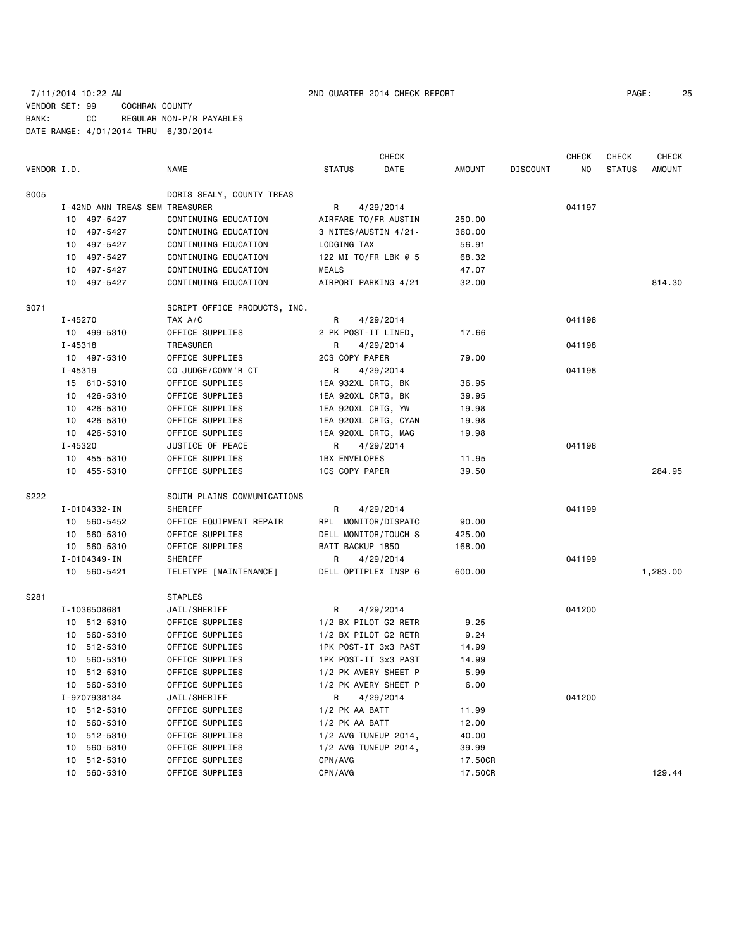## 7/11/2014 10:22 AM 2ND QUARTER 2014 CHECK REPORT PAGE: 25 VENDOR SET: 99 COCHRAN COUNTY BANK: CC REGULAR NON-P/R PAYABLES DATE RANGE: 4/01/2014 THRU 6/30/2014

|             |                 |                                |                              |                      | <b>CHECK</b>         |               |                 | <b>CHECK</b> | <b>CHECK</b>  | <b>CHECK</b>  |
|-------------|-----------------|--------------------------------|------------------------------|----------------------|----------------------|---------------|-----------------|--------------|---------------|---------------|
| VENDOR I.D. |                 |                                | <b>NAME</b>                  | <b>STATUS</b>        | DATE                 | <b>AMOUNT</b> | <b>DISCOUNT</b> | NO.          | <b>STATUS</b> | <b>AMOUNT</b> |
| <b>S005</b> |                 |                                | DORIS SEALY, COUNTY TREAS    |                      |                      |               |                 |              |               |               |
|             |                 | I-42ND ANN TREAS SEM TREASURER |                              | R                    | 4/29/2014            |               |                 | 041197       |               |               |
|             |                 | 10 497-5427                    | CONTINUING EDUCATION         |                      | AIRFARE TO/FR AUSTIN | 250.00        |                 |              |               |               |
|             |                 | 10 497-5427                    | CONTINUING EDUCATION         |                      | 3 NITES/AUSTIN 4/21- | 360.00        |                 |              |               |               |
|             | 10              | 497-5427                       | CONTINUING EDUCATION         | LODGING TAX          |                      | 56.91         |                 |              |               |               |
|             | 10              | 497-5427                       | CONTINUING EDUCATION         |                      | 122 MI TO/FR LBK @ 5 | 68.32         |                 |              |               |               |
|             | 10              | 497-5427                       | CONTINUING EDUCATION         | <b>MEALS</b>         |                      | 47.07         |                 |              |               |               |
|             |                 | 10 497-5427                    | CONTINUING EDUCATION         |                      | AIRPORT PARKING 4/21 | 32.00         |                 |              |               | 814.30        |
| S071        |                 |                                | SCRIPT OFFICE PRODUCTS, INC. |                      |                      |               |                 |              |               |               |
|             | I-45270         |                                | TAX A/C                      | R                    | 4/29/2014            |               |                 | 041198       |               |               |
|             |                 | 10 499-5310                    | OFFICE SUPPLIES              |                      | 2 PK POST-IT LINED,  | 17.66         |                 |              |               |               |
|             | $I - 45318$     |                                | TREASURER                    | R                    | 4/29/2014            |               |                 | 041198       |               |               |
|             |                 | 10 497-5310                    | OFFICE SUPPLIES              | 2CS COPY PAPER       |                      | 79.00         |                 |              |               |               |
|             | $I - 45319$     |                                | CO JUDGE/COMM'R CT           | R                    | 4/29/2014            |               |                 | 041198       |               |               |
|             |                 | 15 610-5310                    | OFFICE SUPPLIES              |                      | 1EA 932XL CRTG, BK   | 36.95         |                 |              |               |               |
|             |                 | 10 426-5310                    | OFFICE SUPPLIES              |                      | 1EA 920XL CRTG, BK   | 39.95         |                 |              |               |               |
|             |                 | 10 426-5310                    | OFFICE SUPPLIES              |                      | 1EA 920XL CRTG, YW   | 19.98         |                 |              |               |               |
|             |                 | 10 426-5310                    | OFFICE SUPPLIES              |                      | 1EA 920XL CRTG, CYAN | 19.98         |                 |              |               |               |
|             |                 | 10 426-5310                    | OFFICE SUPPLIES              |                      | 1EA 920XL CRTG, MAG  | 19.98         |                 |              |               |               |
|             | $I - 45320$     |                                | JUSTICE OF PEACE             | R                    | 4/29/2014            |               |                 | 041198       |               |               |
|             |                 | 10 455-5310                    | OFFICE SUPPLIES              | <b>1BX ENVELOPES</b> |                      | 11.95         |                 |              |               |               |
|             |                 | 10 455-5310                    | OFFICE SUPPLIES              | 1CS COPY PAPER       |                      | 39.50         |                 |              |               | 284.95        |
| S222        |                 |                                | SOUTH PLAINS COMMUNICATIONS  |                      |                      |               |                 |              |               |               |
|             |                 | I-0104332-IN                   | SHERIFF                      | R                    | 4/29/2014            |               |                 | 041199       |               |               |
|             |                 | 10 560-5452                    | OFFICE EQUIPMENT REPAIR      |                      | RPL MONITOR/DISPATC  | 90.00         |                 |              |               |               |
|             | 10              | 560-5310                       | OFFICE SUPPLIES              |                      | DELL MONITOR/TOUCH S | 425.00        |                 |              |               |               |
|             |                 | 10 560-5310                    | OFFICE SUPPLIES              | BATT BACKUP 1850     |                      | 168.00        |                 |              |               |               |
|             |                 | I-0104349-IN                   | SHERIFF                      | R                    | 4/29/2014            |               |                 | 041199       |               |               |
|             |                 | 10 560-5421                    | TELETYPE [MAINTENANCE]       |                      | DELL OPTIPLEX INSP 6 | 600.00        |                 |              |               | 1,283.00      |
| S281        |                 |                                | <b>STAPLES</b>               |                      |                      |               |                 |              |               |               |
|             |                 | I-1036508681                   | JAIL/SHERIFF                 | R                    | 4/29/2014            |               |                 | 041200       |               |               |
|             |                 | 10 512-5310                    | OFFICE SUPPLIES              |                      | 1/2 BX PILOT G2 RETR | 9.25          |                 |              |               |               |
|             |                 | 10 560-5310                    | OFFICE SUPPLIES              |                      | 1/2 BX PILOT G2 RETR | 9.24          |                 |              |               |               |
|             |                 | 10 512-5310                    | OFFICE SUPPLIES              |                      | 1PK POST-IT 3x3 PAST | 14.99         |                 |              |               |               |
|             | 10              | 560-5310                       | OFFICE SUPPLIES              |                      | 1PK POST-IT 3x3 PAST | 14.99         |                 |              |               |               |
|             |                 | 10 512-5310                    | OFFICE SUPPLIES              |                      | 1/2 PK AVERY SHEET P | 5.99          |                 |              |               |               |
|             | 10              | 560-5310                       | OFFICE SUPPLIES              |                      | 1/2 PK AVERY SHEET P | 6.00          |                 |              |               |               |
|             |                 | I-9707938134                   | JAIL/SHERIFF                 | R                    | 4/29/2014            |               |                 | 041200       |               |               |
|             |                 | 10 512-5310                    | OFFICE SUPPLIES              | 1/2 PK AA BATT       |                      | 11.99         |                 |              |               |               |
|             | 10              | 560-5310                       | OFFICE SUPPLIES              | 1/2 PK AA BATT       |                      | 12.00         |                 |              |               |               |
|             | 10              | 512-5310                       | OFFICE SUPPLIES              |                      | 1/2 AVG TUNEUP 2014, | 40.00         |                 |              |               |               |
|             | 10              | 560-5310                       | OFFICE SUPPLIES              |                      | 1/2 AVG TUNEUP 2014, | 39.99         |                 |              |               |               |
|             | 10              | 512-5310                       | OFFICE SUPPLIES              | CPN/AVG              |                      | 17.50CR       |                 |              |               |               |
|             | 10 <sub>1</sub> | 560-5310                       | OFFICE SUPPLIES              | CPN/AVG              |                      | 17.50CR       |                 |              |               | 129.44        |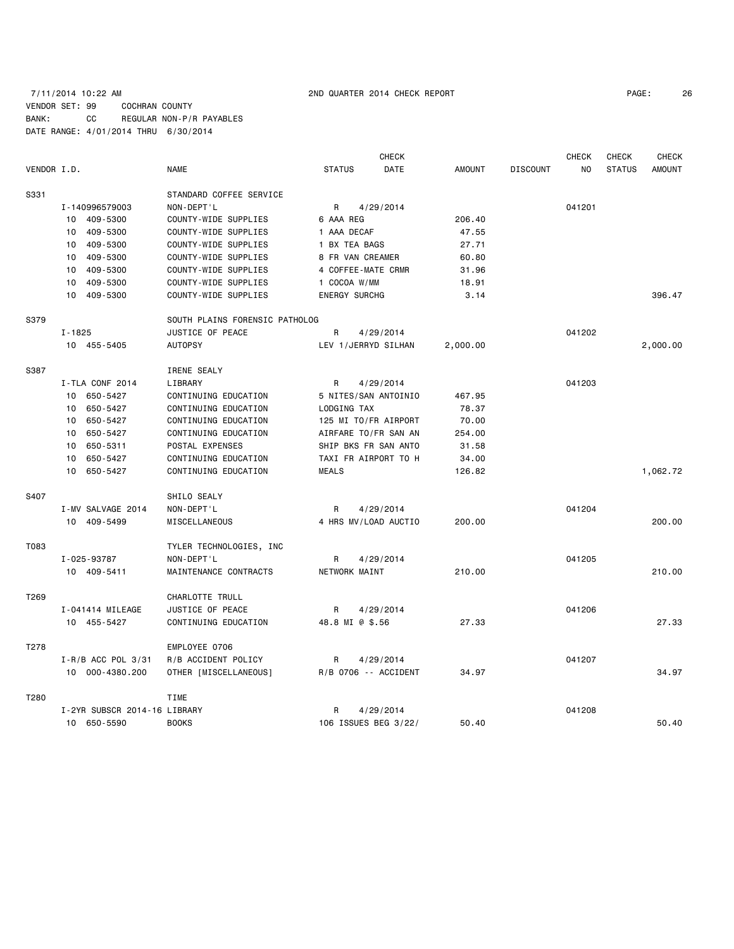### 7/11/2014 10:22 AM 2ND QUARTER 2014 CHECK REPORT PAGE: 26 VENDOR SET: 99 COCHRAN COUNTY BANK: CC REGULAR NON-P/R PAYABLES DATE RANGE: 4/01/2014 THRU 6/30/2014

|                  |                              |                                | <b>CHECK</b>          |               |                 | <b>CHECK</b> | <b>CHECK</b>  | <b>CHECK</b>  |
|------------------|------------------------------|--------------------------------|-----------------------|---------------|-----------------|--------------|---------------|---------------|
| VENDOR I.D.      |                              | <b>NAME</b>                    | <b>STATUS</b><br>DATE | <b>AMOUNT</b> | <b>DISCOUNT</b> | NO.          | <b>STATUS</b> | <b>AMOUNT</b> |
| S331             |                              | STANDARD COFFEE SERVICE        |                       |               |                 |              |               |               |
|                  | I-140996579003               | NON-DEPT'L                     | R<br>4/29/2014        |               |                 | 041201       |               |               |
|                  | 10 409-5300                  | COUNTY-WIDE SUPPLIES           | 6 AAA REG             | 206.40        |                 |              |               |               |
|                  | 409-5300<br>10               | COUNTY-WIDE SUPPLIES           | 1 AAA DECAF           | 47.55         |                 |              |               |               |
|                  | 409-5300<br>10               | COUNTY-WIDE SUPPLIES           | 1 BX TEA BAGS         | 27.71         |                 |              |               |               |
|                  | 409-5300<br>10               | COUNTY-WIDE SUPPLIES           | 8 FR VAN CREAMER      | 60.80         |                 |              |               |               |
|                  | 409-5300<br>10               | COUNTY-WIDE SUPPLIES           | 4 COFFEE-MATE CRMR    | 31.96         |                 |              |               |               |
|                  | 409-5300<br>10               | COUNTY-WIDE SUPPLIES           | 1 COCOA W/MM          | 18.91         |                 |              |               |               |
|                  | 409-5300<br>10               | COUNTY-WIDE SUPPLIES           | <b>ENERGY SURCHG</b>  | 3.14          |                 |              |               | 396.47        |
| S379             |                              | SOUTH PLAINS FORENSIC PATHOLOG |                       |               |                 |              |               |               |
|                  | $I - 1825$                   | JUSTICE OF PEACE               | R<br>4/29/2014        |               |                 | 041202       |               |               |
|                  | 10 455-5405                  | <b>AUTOPSY</b>                 | LEV 1/JERRYD SILHAN   | 2,000.00      |                 |              |               | 2,000.00      |
| S387             |                              | IRENE SEALY                    |                       |               |                 |              |               |               |
|                  | I-TLA CONF 2014              | LIBRARY                        | 4/29/2014<br>R        |               |                 | 041203       |               |               |
|                  | 10 650-5427                  | CONTINUING EDUCATION           | 5 NITES/SAN ANTOINIO  | 467.95        |                 |              |               |               |
|                  | 650-5427<br>10               | CONTINUING EDUCATION           | LODGING TAX           | 78.37         |                 |              |               |               |
|                  | 650-5427<br>10               | CONTINUING EDUCATION           | 125 MI TO/FR AIRPORT  | 70.00         |                 |              |               |               |
|                  | 650-5427<br>10               | CONTINUING EDUCATION           | AIRFARE TO/FR SAN AN  | 254.00        |                 |              |               |               |
|                  | 650-5311<br>10               | POSTAL EXPENSES                | SHIP BKS FR SAN ANTO  | 31.58         |                 |              |               |               |
|                  | 650-5427<br>10               | CONTINUING EDUCATION           | TAXI FR AIRPORT TO H  | 34.00         |                 |              |               |               |
|                  | 10<br>650-5427               | CONTINUING EDUCATION           | <b>MEALS</b>          | 126.82        |                 |              |               | 1,062.72      |
| S407             |                              | SHILO SEALY                    |                       |               |                 |              |               |               |
|                  | I-MV SALVAGE 2014            | NON-DEPT'L                     | R<br>4/29/2014        |               |                 | 041204       |               |               |
|                  | 10 409-5499                  | MISCELLANEOUS                  | 4 HRS MV/LOAD AUCTIO  | 200.00        |                 |              |               | 200,00        |
| T083             |                              | TYLER TECHNOLOGIES, INC        |                       |               |                 |              |               |               |
|                  | I-025-93787                  | NON-DEPT'L                     | 4/29/2014<br>R        |               |                 | 041205       |               |               |
|                  | 10 409-5411                  | MAINTENANCE CONTRACTS          | NETWORK MAINT         | 210.00        |                 |              |               | 210.00        |
| T <sub>269</sub> |                              | CHARLOTTE TRULL                |                       |               |                 |              |               |               |
|                  | I-041414 MILEAGE             | JUSTICE OF PEACE               | 4/29/2014<br>R        |               |                 | 041206       |               |               |
|                  | 10 455-5427                  | CONTINUING EDUCATION           | 48.8 MI @ \$.56       | 27.33         |                 |              |               | 27.33         |
| T278             |                              | EMPLOYEE 0706                  |                       |               |                 |              |               |               |
|                  | $I - R/B$ ACC POL 3/31       | R/B ACCIDENT POLICY            | R<br>4/29/2014        |               |                 | 041207       |               |               |
|                  | 10 000-4380.200              | OTHER [MISCELLANEOUS]          | R/B 0706 -- ACCIDENT  | 34.97         |                 |              |               | 34.97         |
| T280             |                              | <b>TIME</b>                    |                       |               |                 |              |               |               |
|                  | I-2YR SUBSCR 2014-16 LIBRARY |                                | R<br>4/29/2014        |               |                 | 041208       |               |               |
|                  | 10 650-5590                  | <b>BOOKS</b>                   | 106 ISSUES BEG 3/22/  | 50.40         |                 |              |               | 50.40         |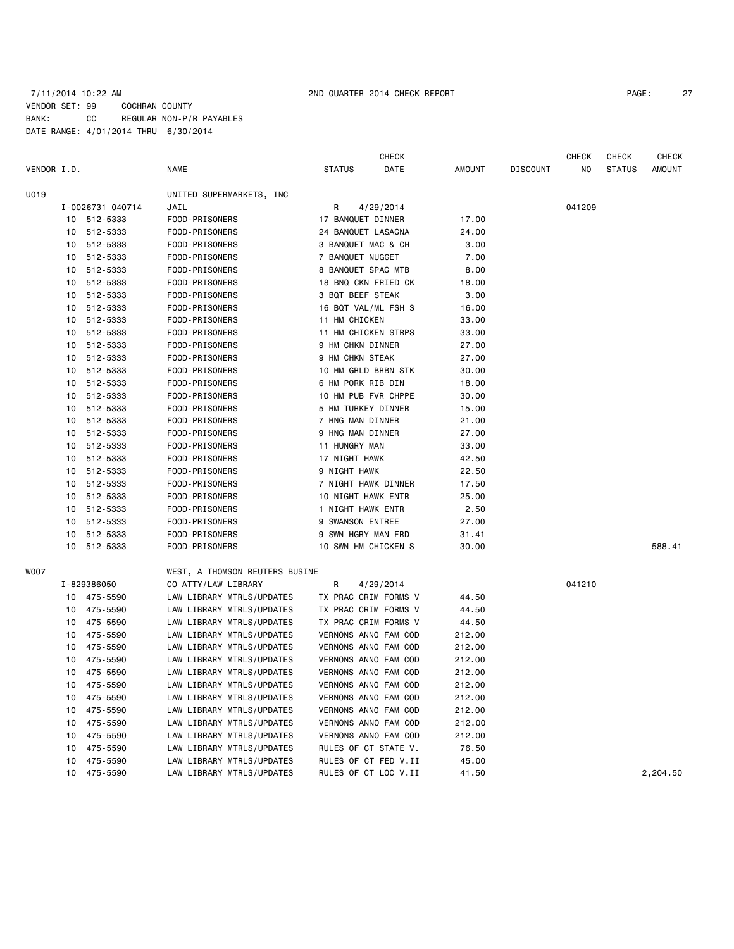### 7/11/2014 10:22 AM 2ND QUARTER 2014 CHECK REPORT PAGE: 27 VENDOR SET: 99 COCHRAN COUNTY BANK: CC REGULAR NON-P/R PAYABLES DATE RANGE: 4/01/2014 THRU 6/30/2014

|             |    |                  |                                |                      | <b>CHECK</b> |        |                 | <b>CHECK</b> | CHECK         | <b>CHECK</b> |
|-------------|----|------------------|--------------------------------|----------------------|--------------|--------|-----------------|--------------|---------------|--------------|
| VENDOR I.D. |    |                  | <b>NAME</b>                    | <b>STATUS</b>        | DATE         | AMOUNT | <b>DISCOUNT</b> | NO           | <b>STATUS</b> | AMOUNT       |
| U019        |    |                  | UNITED SUPERMARKETS, INC       |                      |              |        |                 |              |               |              |
|             |    | I-0026731 040714 | JAIL                           | R                    | 4/29/2014    |        |                 | 041209       |               |              |
|             | 10 | 512-5333         | FOOD-PRISONERS                 | 17 BANQUET DINNER    |              | 17.00  |                 |              |               |              |
|             | 10 | 512-5333         | FOOD-PRISONERS                 | 24 BANQUET LASAGNA   |              | 24.00  |                 |              |               |              |
|             | 10 | 512-5333         | FOOD-PRISONERS                 | 3 BANQUET MAC & CH   |              | 3.00   |                 |              |               |              |
|             | 10 | 512-5333         | FOOD-PRISONERS                 | 7 BANQUET NUGGET     |              | 7.00   |                 |              |               |              |
|             | 10 | 512-5333         | FOOD-PRISONERS                 | 8 BANQUET SPAG MTB   |              | 8.00   |                 |              |               |              |
|             | 10 | 512-5333         | FOOD-PRISONERS                 | 18 BNQ CKN FRIED CK  |              | 18.00  |                 |              |               |              |
|             | 10 | 512-5333         | FOOD-PRISONERS                 | 3 BQT BEEF STEAK     |              | 3.00   |                 |              |               |              |
|             | 10 | 512-5333         | FOOD-PRISONERS                 | 16 BQT VAL/ML FSH S  |              | 16.00  |                 |              |               |              |
|             | 10 | 512-5333         | FOOD-PRISONERS                 | 11 HM CHICKEN        |              | 33.00  |                 |              |               |              |
|             | 10 | 512-5333         | FOOD-PRISONERS                 | 11 HM CHICKEN STRPS  |              | 33.00  |                 |              |               |              |
|             | 10 | 512-5333         | FOOD-PRISONERS                 | 9 HM CHKN DINNER     |              | 27.00  |                 |              |               |              |
|             | 10 | 512-5333         | FOOD-PRISONERS                 | 9 HM CHKN STEAK      |              | 27.00  |                 |              |               |              |
|             | 10 | 512-5333         | FOOD-PRISONERS                 | 10 HM GRLD BRBN STK  |              | 30.00  |                 |              |               |              |
|             | 10 | 512-5333         | FOOD-PRISONERS                 | 6 HM PORK RIB DIN    |              | 18.00  |                 |              |               |              |
|             | 10 | 512-5333         | FOOD-PRISONERS                 | 10 HM PUB FVR CHPPE  |              | 30.00  |                 |              |               |              |
|             | 10 | 512-5333         | FOOD-PRISONERS                 | 5 HM TURKEY DINNER   |              | 15.00  |                 |              |               |              |
|             | 10 | 512-5333         | FOOD-PRISONERS                 | 7 HNG MAN DINNER     |              | 21.00  |                 |              |               |              |
|             | 10 | 512-5333         | FOOD-PRISONERS                 | 9 HNG MAN DINNER     |              | 27.00  |                 |              |               |              |
|             |    | 10 512-5333      | FOOD-PRISONERS                 | 11 HUNGRY MAN        |              | 33.00  |                 |              |               |              |
|             |    | 10 512-5333      | FOOD-PRISONERS                 | 17 NIGHT HAWK        |              | 42.50  |                 |              |               |              |
|             | 10 | 512-5333         | FOOD-PRISONERS                 | 9 NIGHT HAWK         |              | 22.50  |                 |              |               |              |
|             | 10 | 512-5333         | FOOD-PRISONERS                 | 7 NIGHT HAWK DINNER  |              | 17.50  |                 |              |               |              |
|             | 10 | 512-5333         | FOOD-PRISONERS                 | 10 NIGHT HAWK ENTR   |              | 25.00  |                 |              |               |              |
|             | 10 | 512-5333         | FOOD-PRISONERS                 | 1 NIGHT HAWK ENTR    |              | 2.50   |                 |              |               |              |
|             | 10 | 512-5333         | FOOD-PRISONERS                 | 9 SWANSON ENTREE     |              | 27.00  |                 |              |               |              |
|             | 10 | 512-5333         | FOOD-PRISONERS                 | 9 SWN HGRY MAN FRD   |              | 31.41  |                 |              |               |              |
|             | 10 | 512-5333         | FOOD-PRISONERS                 | 10 SWN HM CHICKEN S  |              | 30.00  |                 |              |               | 588.41       |
| WOO7        |    |                  | WEST, A THOMSON REUTERS BUSINE |                      |              |        |                 |              |               |              |
|             |    | I-829386050      | CO ATTY/LAW LIBRARY            | R                    | 4/29/2014    |        |                 | 041210       |               |              |
|             |    | 10 475-5590      | LAW LIBRARY MTRLS/UPDATES      | TX PRAC CRIM FORMS V |              | 44.50  |                 |              |               |              |
|             | 10 | 475-5590         | LAW LIBRARY MTRLS/UPDATES      | TX PRAC CRIM FORMS V |              | 44.50  |                 |              |               |              |
|             | 10 | 475-5590         | LAW LIBRARY MTRLS/UPDATES      | TX PRAC CRIM FORMS V |              | 44.50  |                 |              |               |              |
|             | 10 | 475-5590         | LAW LIBRARY MTRLS/UPDATES      | VERNONS ANNO FAM COD |              | 212.00 |                 |              |               |              |
|             | 10 | 475-5590         | LAW LIBRARY MTRLS/UPDATES      | VERNONS ANNO FAM COD |              | 212.00 |                 |              |               |              |
|             | 10 | 475-5590         | LAW LIBRARY MTRLS/UPDATES      | VERNONS ANNO FAM COD |              | 212.00 |                 |              |               |              |
|             | 10 | 475-5590         | LAW LIBRARY MTRLS/UPDATES      | VERNONS ANNO FAM COD |              | 212.00 |                 |              |               |              |
|             | 10 | 475-5590         | LAW LIBRARY MTRLS/UPDATES      | VERNONS ANNO FAM COD |              | 212.00 |                 |              |               |              |
|             | 10 | 475-5590         | LAW LIBRARY MTRLS/UPDATES      | VERNONS ANNO FAM COD |              | 212.00 |                 |              |               |              |
|             | 10 | 475-5590         | LAW LIBRARY MTRLS/UPDATES      | VERNONS ANNO FAM COD |              | 212.00 |                 |              |               |              |
|             | 10 | 475-5590         | LAW LIBRARY MTRLS/UPDATES      | VERNONS ANNO FAM COD |              | 212.00 |                 |              |               |              |
|             | 10 | 475-5590         | LAW LIBRARY MTRLS/UPDATES      | VERNONS ANNO FAM COD |              | 212.00 |                 |              |               |              |
|             | 10 | 475-5590         | LAW LIBRARY MTRLS/UPDATES      | RULES OF CT STATE V. |              | 76.50  |                 |              |               |              |
|             | 10 | 475-5590         | LAW LIBRARY MTRLS/UPDATES      | RULES OF CT FED V.II |              | 45.00  |                 |              |               |              |
|             | 10 | 475-5590         | LAW LIBRARY MTRLS/UPDATES      | RULES OF CT LOC V.II |              | 41.50  |                 |              |               | 2,204.50     |
|             |    |                  |                                |                      |              |        |                 |              |               |              |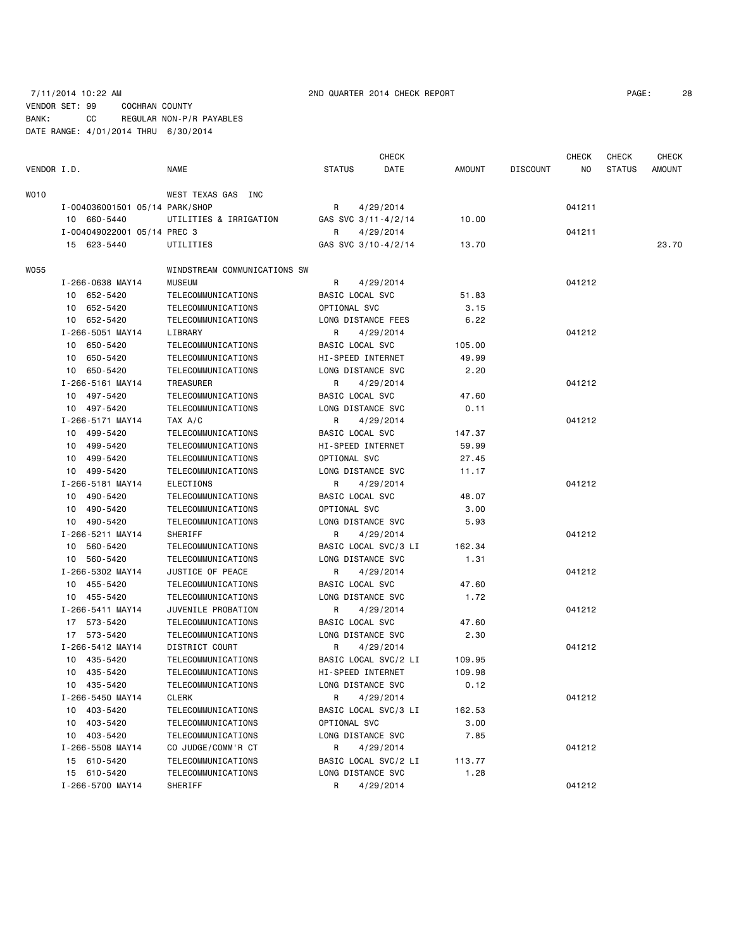### 7/11/2014 10:22 AM 2ND QUARTER 2014 CHECK REPORT PAGE: 28 VENDOR SET: 99 COCHRAN COUNTY BANK: CC REGULAR NON-P/R PAYABLES DATE RANGE: 4/01/2014 THRU 6/30/2014

|             |                                |                              |                                        | <b>CHECK</b> |        |                 | <b>CHECK</b> | <b>CHECK</b>  | CHECK  |
|-------------|--------------------------------|------------------------------|----------------------------------------|--------------|--------|-----------------|--------------|---------------|--------|
| VENDOR I.D. |                                | <b>NAME</b>                  | <b>STATUS</b>                          | DATE         | AMOUNT | <b>DISCOUNT</b> | NO.          | <b>STATUS</b> | AMOUNT |
| WO10        |                                | WEST TEXAS GAS INC           |                                        |              |        |                 |              |               |        |
|             | I-004036001501 05/14 PARK/SHOP |                              | R                                      | 4/29/2014    |        |                 | 041211       |               |        |
|             | 10 660-5440                    | UTILITIES & IRRIGATION       | GAS SVC 3/11-4/2/14                    |              | 10.00  |                 |              |               |        |
|             | I-004049022001 05/14 PREC 3    |                              | R                                      | 4/29/2014    |        |                 | 041211       |               |        |
|             | 15 623-5440                    | UTILITIES                    | GAS SVC 3/10-4/2/14                    |              | 13.70  |                 |              |               | 23,70  |
| W055        |                                | WINDSTREAM COMMUNICATIONS SW |                                        |              |        |                 |              |               |        |
|             | I-266-0638 MAY14               | <b>MUSEUM</b>                | R                                      | 4/29/2014    |        |                 | 041212       |               |        |
|             | 10 652-5420                    | TELECOMMUNICATIONS           | BASIC LOCAL SVC                        |              | 51.83  |                 |              |               |        |
|             | 10 652-5420                    | TELECOMMUNICATIONS           | OPTIONAL SVC                           |              | 3.15   |                 |              |               |        |
|             | 10 652-5420                    | TELECOMMUNICATIONS           | LONG DISTANCE FEES                     |              | 6.22   |                 |              |               |        |
|             | I-266-5051 MAY14               | LIBRARY                      | R                                      | 4/29/2014    |        |                 | 041212       |               |        |
|             | 10 650-5420                    | TELECOMMUNICATIONS           | BASIC LOCAL SVC                        |              | 105.00 |                 |              |               |        |
|             | 10 650-5420                    | TELECOMMUNICATIONS           | HI-SPEED INTERNET                      |              | 49.99  |                 |              |               |        |
|             | 10 650-5420                    | TELECOMMUNICATIONS           | LONG DISTANCE SVC                      |              | 2.20   |                 |              |               |        |
|             | I-266-5161 MAY14               | TREASURER                    | R                                      | 4/29/2014    |        |                 | 041212       |               |        |
|             | 10 497-5420                    | TELECOMMUNICATIONS           | BASIC LOCAL SVC                        |              | 47.60  |                 |              |               |        |
|             | 10 497-5420                    | TELECOMMUNICATIONS           | LONG DISTANCE SVC                      |              | 0.11   |                 |              |               |        |
|             | I-266-5171 MAY14               | TAX A/C                      | R                                      | 4/29/2014    |        |                 | 041212       |               |        |
|             | 10 499-5420                    | TELECOMMUNICATIONS           | BASIC LOCAL SVC                        |              | 147.37 |                 |              |               |        |
|             | 499-5420<br>10                 | TELECOMMUNICATIONS           | HI-SPEED INTERNET                      |              | 59.99  |                 |              |               |        |
|             | 10 499-5420                    | TELECOMMUNICATIONS           | OPTIONAL SVC                           |              | 27.45  |                 |              |               |        |
|             | 10 499-5420                    | TELECOMMUNICATIONS           | LONG DISTANCE SVC                      |              | 11.17  |                 |              |               |        |
|             | I-266-5181 MAY14               | ELECTIONS                    | R                                      | 4/29/2014    |        |                 | 041212       |               |        |
|             | 10 490-5420                    | TELECOMMUNICATIONS           | BASIC LOCAL SVC                        |              | 48.07  |                 |              |               |        |
|             | 10 490-5420                    | TELECOMMUNICATIONS           | OPTIONAL SVC                           |              | 3.00   |                 |              |               |        |
|             | 10 490-5420                    | TELECOMMUNICATIONS           | LONG DISTANCE SVC                      |              | 5.93   |                 |              |               |        |
|             | I-266-5211 MAY14               | SHERIFF                      | R                                      | 4/29/2014    |        |                 | 041212       |               |        |
|             | 10 560-5420                    | TELECOMMUNICATIONS           | BASIC LOCAL SVC/3 LI                   |              | 162.34 |                 |              |               |        |
|             | 10 560-5420                    | TELECOMMUNICATIONS           | LONG DISTANCE SVC                      |              | 1.31   |                 |              |               |        |
|             | I-266-5302 MAY14               | JUSTICE OF PEACE             | R                                      | 4/29/2014    |        |                 | 041212       |               |        |
|             | 10 455-5420                    | TELECOMMUNICATIONS           | BASIC LOCAL SVC                        |              | 47.60  |                 |              |               |        |
|             | 10 455-5420                    | TELECOMMUNICATIONS           | LONG DISTANCE SVC                      |              | 1.72   |                 |              |               |        |
|             | I-266-5411 MAY14               | JUVENILE PROBATION           | R                                      |              |        |                 | 041212       |               |        |
|             | 17 573-5420                    | TELECOMMUNICATIONS           | <b>BASIC LOCAL SVC</b>                 | 4/29/2014    | 47.60  |                 |              |               |        |
|             | 17 573-5420                    | TELECOMMUNICATIONS           | LONG DISTANCE SVC                      |              | 2.30   |                 |              |               |        |
|             | I-266-5412 MAY14               | DISTRICT COURT               |                                        |              |        |                 | 041212       |               |        |
|             |                                |                              | R                                      | 4/29/2014    | 109.95 |                 |              |               |        |
|             | 10 435-5420                    | TELECOMMUNICATIONS           | BASIC LOCAL SVC/2 LI                   |              |        |                 |              |               |        |
|             | 435-5420<br>10                 | TELECOMMUNICATIONS           | HI-SPEED INTERNET<br>LONG DISTANCE SVC |              | 109.98 |                 |              |               |        |
|             | 10 435-5420                    | TELECOMMUNICATIONS           |                                        |              | 0.12   |                 |              |               |        |
|             | I-266-5450 MAY14               | <b>CLERK</b>                 | R                                      | 4/29/2014    |        |                 | 041212       |               |        |
|             | 10 403-5420                    | TELECOMMUNICATIONS           | BASIC LOCAL SVC/3 LI                   |              | 162.53 |                 |              |               |        |
|             | 403-5420<br>10                 | TELECOMMUNICATIONS           | OPTIONAL SVC                           |              | 3.00   |                 |              |               |        |
|             | 10 403-5420                    | TELECOMMUNICATIONS           | LONG DISTANCE SVC                      |              | 7.85   |                 |              |               |        |
|             | I-266-5508 MAY14               | CO JUDGE/COMM'R CT           | R                                      | 4/29/2014    |        |                 | 041212       |               |        |
|             | 15 610-5420                    | TELECOMMUNICATIONS           | BASIC LOCAL SVC/2 LI                   |              | 113.77 |                 |              |               |        |
|             | 15 610-5420                    | TELECOMMUNICATIONS           | LONG DISTANCE SVC                      |              | 1.28   |                 |              |               |        |
|             | I-266-5700 MAY14               | SHERIFF                      | R                                      | 4/29/2014    |        |                 | 041212       |               |        |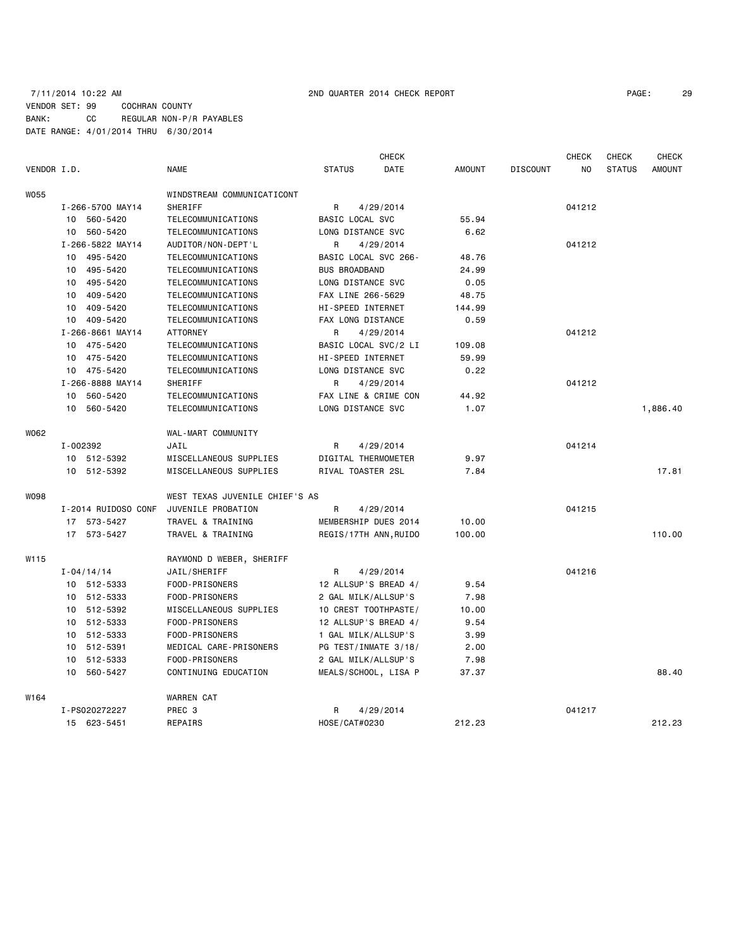### 7/11/2014 10:22 AM 2ND QUARTER 2014 CHECK REPORT PAGE: 29 VENDOR SET: 99 COCHRAN COUNTY BANK: CC REGULAR NON-P/R PAYABLES DATE RANGE: 4/01/2014 THRU 6/30/2014

|             |                     |                                |                       | <b>CHECK</b> |               |                 | <b>CHECK</b> | <b>CHECK</b>  | <b>CHECK</b>  |
|-------------|---------------------|--------------------------------|-----------------------|--------------|---------------|-----------------|--------------|---------------|---------------|
| VENDOR I.D. |                     | <b>NAME</b>                    | <b>STATUS</b>         | DATE         | <b>AMOUNT</b> | <b>DISCOUNT</b> | NO           | <b>STATUS</b> | <b>AMOUNT</b> |
| W055        |                     | WINDSTREAM COMMUNICATICONT     |                       |              |               |                 |              |               |               |
|             | I-266-5700 MAY14    | SHERIFF                        | R                     | 4/29/2014    |               |                 | 041212       |               |               |
|             | 10 560-5420         | TELECOMMUNICATIONS             | BASIC LOCAL SVC       |              | 55.94         |                 |              |               |               |
|             | 10 560-5420         | TELECOMMUNICATIONS             | LONG DISTANCE SVC     |              | 6.62          |                 |              |               |               |
|             | I-266-5822 MAY14    | AUDITOR/NON-DEPT'L             | R                     | 4/29/2014    |               |                 | 041212       |               |               |
|             | 10 495-5420         | TELECOMMUNICATIONS             | BASIC LOCAL SVC 266-  |              | 48.76         |                 |              |               |               |
|             | 10 495-5420         | TELECOMMUNICATIONS             | <b>BUS BROADBAND</b>  |              | 24.99         |                 |              |               |               |
|             | 10 495-5420         | TELECOMMUNICATIONS             | LONG DISTANCE SVC     |              | 0.05          |                 |              |               |               |
|             | 10 409-5420         | TELECOMMUNICATIONS             | FAX LINE 266-5629     |              | 48.75         |                 |              |               |               |
|             | 10 409-5420         | TELECOMMUNICATIONS             | HI-SPEED INTERNET     |              | 144.99        |                 |              |               |               |
|             | 10 409-5420         | TELECOMMUNICATIONS             | FAX LONG DISTANCE     |              | 0.59          |                 |              |               |               |
|             | I-266-8661 MAY14    | <b>ATTORNEY</b>                | R                     | 4/29/2014    |               |                 | 041212       |               |               |
|             | 10 475-5420         | TELECOMMUNICATIONS             | BASIC LOCAL SVC/2 LI  |              | 109.08        |                 |              |               |               |
|             | 10 475-5420         | TELECOMMUNICATIONS             | HI-SPEED INTERNET     |              | 59.99         |                 |              |               |               |
|             | 10 475-5420         | TELECOMMUNICATIONS             | LONG DISTANCE SVC     |              | 0.22          |                 |              |               |               |
|             | I-266-8888 MAY14    | SHERIFF                        | R                     | 4/29/2014    |               |                 | 041212       |               |               |
|             | 560-5420<br>10      | TELECOMMUNICATIONS             | FAX LINE & CRIME CON  |              | 44.92         |                 |              |               |               |
|             | 10 560-5420         | TELECOMMUNICATIONS             | LONG DISTANCE SVC     |              | 1.07          |                 |              |               | 1,886.40      |
| W062        |                     | WAL-MART COMMUNITY             |                       |              |               |                 |              |               |               |
|             | I-002392            | JAIL                           | R                     | 4/29/2014    |               |                 | 041214       |               |               |
|             | 10 512-5392         | MISCELLANEOUS SUPPLIES         | DIGITAL THERMOMETER   |              | 9.97          |                 |              |               |               |
|             | 10 512-5392         | MISCELLANEOUS SUPPLIES         | RIVAL TOASTER 2SL     |              | 7.84          |                 |              |               | 17.81         |
| W098        |                     | WEST TEXAS JUVENILE CHIEF'S AS |                       |              |               |                 |              |               |               |
|             | I-2014 RUIDOSO CONF | JUVENILE PROBATION             | R                     | 4/29/2014    |               |                 | 041215       |               |               |
|             | 17 573-5427         | TRAVEL & TRAINING              | MEMBERSHIP DUES 2014  |              | 10.00         |                 |              |               |               |
|             | 17 573-5427         | TRAVEL & TRAINING              | REGIS/17TH ANN, RUIDO |              | 100.00        |                 |              |               | 110.00        |
| W115        |                     | RAYMOND D WEBER, SHERIFF       |                       |              |               |                 |              |               |               |
|             | $I - 04/14/14$      | JAIL/SHERIFF                   | R.                    | 4/29/2014    |               |                 | 041216       |               |               |
|             | 10 512-5333         | FOOD-PRISONERS                 | 12 ALLSUP'S BREAD 4/  |              | 9.54          |                 |              |               |               |
|             | 10 512-5333         | FOOD-PRISONERS                 | 2 GAL MILK/ALLSUP'S   |              | 7.98          |                 |              |               |               |
|             | 10 512-5392         | MISCELLANEOUS SUPPLIES         | 10 CREST TOOTHPASTE/  |              | 10.00         |                 |              |               |               |
|             | 10 512-5333         | FOOD-PRISONERS                 | 12 ALLSUP'S BREAD 4/  |              | 9.54          |                 |              |               |               |
|             | 10 512-5333         | FOOD-PRISONERS                 | 1 GAL MILK/ALLSUP'S   |              | 3.99          |                 |              |               |               |
|             | 10 512-5391         | MEDICAL CARE-PRISONERS         | PG TEST/INMATE 3/18/  |              | 2.00          |                 |              |               |               |
|             | 10 512-5333         | FOOD-PRISONERS                 | 2 GAL MILK/ALLSUP'S   |              | 7.98          |                 |              |               |               |
|             | 10 560-5427         | CONTINUING EDUCATION           | MEALS/SCHOOL, LISA P  |              | 37.37         |                 |              |               | 88,40         |
| W164        |                     | WARREN CAT                     |                       |              |               |                 |              |               |               |
|             | I-PS020272227       | PREC <sub>3</sub>              | R                     | 4/29/2014    |               |                 | 041217       |               |               |
|             | 15 623-5451         | REPAIRS                        | HOSE/CAT#0230         |              | 212.23        |                 |              |               | 212.23        |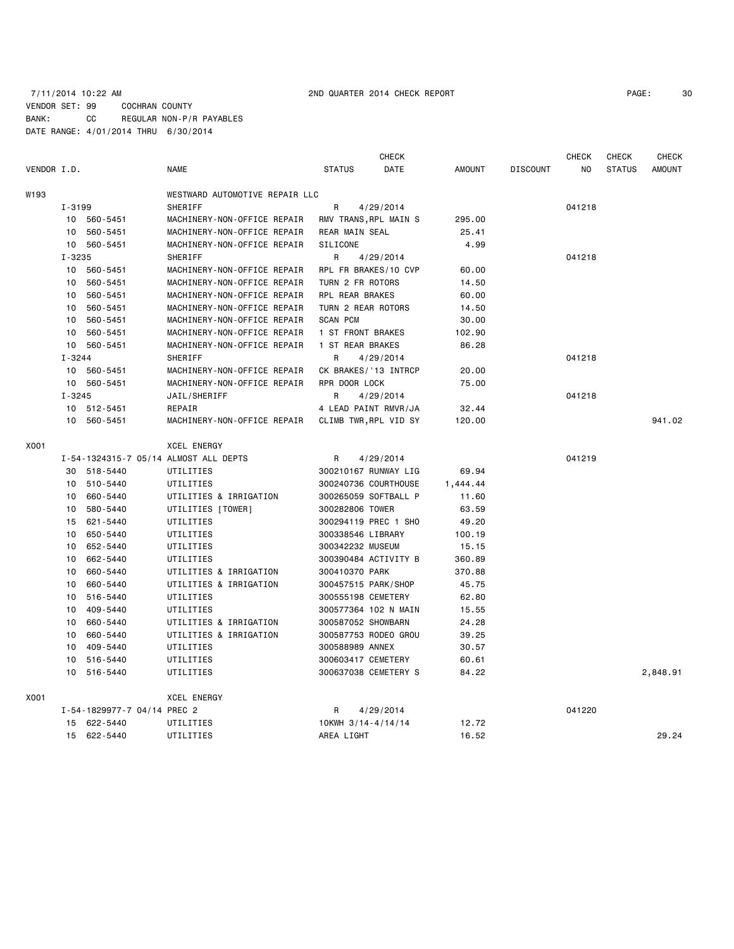### 7/11/2014 10:22 AM 2ND QUARTER 2014 CHECK REPORT PAGE: 30 VENDOR SET: 99 COCHRAN COUNTY BANK: CC REGULAR NON-P/R PAYABLES DATE RANGE: 4/01/2014 THRU 6/30/2014

|             |            |                             |                                       |                       | CHECK     |               |                 | <b>CHECK</b> | <b>CHECK</b>  | <b>CHECK</b>  |
|-------------|------------|-----------------------------|---------------------------------------|-----------------------|-----------|---------------|-----------------|--------------|---------------|---------------|
| VENDOR I.D. |            |                             | <b>NAME</b>                           | <b>STATUS</b>         | DATE      | <b>AMOUNT</b> | <b>DISCOUNT</b> | NO.          | <b>STATUS</b> | <b>AMOUNT</b> |
| W193        |            |                             | WESTWARD AUTOMOTIVE REPAIR LLC        |                       |           |               |                 |              |               |               |
|             | I-3199     |                             | <b>SHERIFF</b>                        | R                     | 4/29/2014 |               |                 | 041218       |               |               |
|             |            | 10 560-5451                 | MACHINERY-NON-OFFICE REPAIR           | RMV TRANS, RPL MAIN S |           | 295.00        |                 |              |               |               |
|             |            | 10 560-5451                 | MACHINERY-NON-OFFICE REPAIR           | <b>REAR MAIN SEAL</b> |           | 25.41         |                 |              |               |               |
|             |            | 10 560-5451                 | MACHINERY-NON-OFFICE REPAIR           | SILICONE              |           | 4.99          |                 |              |               |               |
|             | $I - 3235$ |                             | <b>SHERIFF</b>                        | R                     | 4/29/2014 |               |                 | 041218       |               |               |
|             |            | 10 560-5451                 | MACHINERY-NON-OFFICE REPAIR           | RPL FR BRAKES/10 CVP  |           | 60.00         |                 |              |               |               |
|             | 10         | 560-5451                    | MACHINERY-NON-OFFICE REPAIR           | TURN 2 FR ROTORS      |           | 14.50         |                 |              |               |               |
|             | 10         | 560-5451                    | MACHINERY-NON-OFFICE REPAIR           | RPL REAR BRAKES       |           | 60.00         |                 |              |               |               |
|             |            | 10 560-5451                 | MACHINERY-NON-OFFICE REPAIR           | TURN 2 REAR ROTORS    |           | 14.50         |                 |              |               |               |
|             | 10         | 560-5451                    | MACHINERY-NON-OFFICE REPAIR           | <b>SCAN PCM</b>       |           | 30.00         |                 |              |               |               |
|             | 10         | 560-5451                    | MACHINERY-NON-OFFICE REPAIR           | 1 ST FRONT BRAKES     |           | 102.90        |                 |              |               |               |
|             |            | 10 560-5451                 | MACHINERY-NON-OFFICE REPAIR           | 1 ST REAR BRAKES      |           | 86.28         |                 |              |               |               |
|             | $I - 3244$ |                             | SHERIFF                               | R                     | 4/29/2014 |               |                 | 041218       |               |               |
|             |            | 10 560-5451                 | MACHINERY-NON-OFFICE REPAIR           | CK BRAKES/'13 INTRCP  |           | 20.00         |                 |              |               |               |
|             |            | 10 560-5451                 | MACHINERY-NON-OFFICE REPAIR           | RPR DOOR LOCK         |           | 75.00         |                 |              |               |               |
|             | $I - 3245$ |                             | JAIL/SHERIFF                          | R                     | 4/29/2014 |               |                 | 041218       |               |               |
|             |            | 10 512-5451                 | REPAIR                                | 4 LEAD PAINT RMVR/JA  |           | 32.44         |                 |              |               |               |
|             |            | 10 560-5451                 | MACHINERY-NON-OFFICE REPAIR           | CLIMB TWR, RPL VID SY |           | 120,00        |                 |              |               | 941.02        |
| X001        |            |                             | <b>XCEL ENERGY</b>                    |                       |           |               |                 |              |               |               |
|             |            |                             | I-54-1324315-7 05/14 ALMOST ALL DEPTS | R                     | 4/29/2014 |               |                 | 041219       |               |               |
|             |            | 30 518-5440                 | UTILITIES                             | 300210167 RUNWAY LIG  |           | 69.94         |                 |              |               |               |
|             |            | 10 510-5440                 | UTILITIES                             | 300240736 COURTHOUSE  |           | 1,444.44      |                 |              |               |               |
|             |            | 10 660-5440                 | UTILITIES & IRRIGATION                | 300265059 SOFTBALL P  |           | 11.60         |                 |              |               |               |
|             | 10         | 580-5440                    | UTILITIES [TOWER]                     | 300282806 TOWER       |           | 63.59         |                 |              |               |               |
|             |            | 15 621-5440                 | UTILITIES                             | 300294119 PREC 1 SHO  |           | 49.20         |                 |              |               |               |
|             | 10         | 650-5440                    | UTILITIES                             | 300338546 LIBRARY     |           | 100.19        |                 |              |               |               |
|             | 10         | 652-5440                    | UTILITIES                             | 300342232 MUSEUM      |           | 15.15         |                 |              |               |               |
|             | 10         | 662-5440                    | UTILITIES                             | 300390484 ACTIVITY B  |           | 360.89        |                 |              |               |               |
|             | 10         | 660-5440                    | UTILITIES & IRRIGATION                | 300410370 PARK        |           | 370.88        |                 |              |               |               |
|             | 10         | 660-5440                    | UTILITIES & IRRIGATION                | 300457515 PARK/SHOP   |           | 45.75         |                 |              |               |               |
|             | 10         | 516-5440                    | UTILITIES                             | 300555198 CEMETERY    |           | 62.80         |                 |              |               |               |
|             | 10         | 409-5440                    | UTILITIES                             | 300577364 102 N MAIN  |           | 15.55         |                 |              |               |               |
|             | 10         | 660-5440                    | UTILITIES & IRRIGATION                | 300587052 SHOWBARN    |           | 24.28         |                 |              |               |               |
|             | 10         | 660-5440                    | UTILITIES & IRRIGATION                | 300587753 RODEO GROU  |           | 39.25         |                 |              |               |               |
|             | 10         | 409-5440                    | UTILITIES                             | 300588989 ANNEX       |           | 30.57         |                 |              |               |               |
|             | 10         | 516-5440                    | UTILITIES                             | 300603417 CEMETERY    |           | 60.61         |                 |              |               |               |
|             | 10         | 516-5440                    | UTILITIES                             | 300637038 CEMETERY S  |           | 84.22         |                 |              |               | 2,848.91      |
| X001        |            |                             | <b>XCEL ENERGY</b>                    |                       |           |               |                 |              |               |               |
|             |            | I-54-1829977-7 04/14 PREC 2 |                                       | R                     | 4/29/2014 |               |                 | 041220       |               |               |
|             |            | 15 622-5440                 | UTILITIES                             | 10KWH 3/14-4/14/14    |           | 12.72         |                 |              |               |               |
|             |            | 15 622-5440                 | UTILITIES                             | AREA LIGHT            |           | 16.52         |                 |              |               | 29.24         |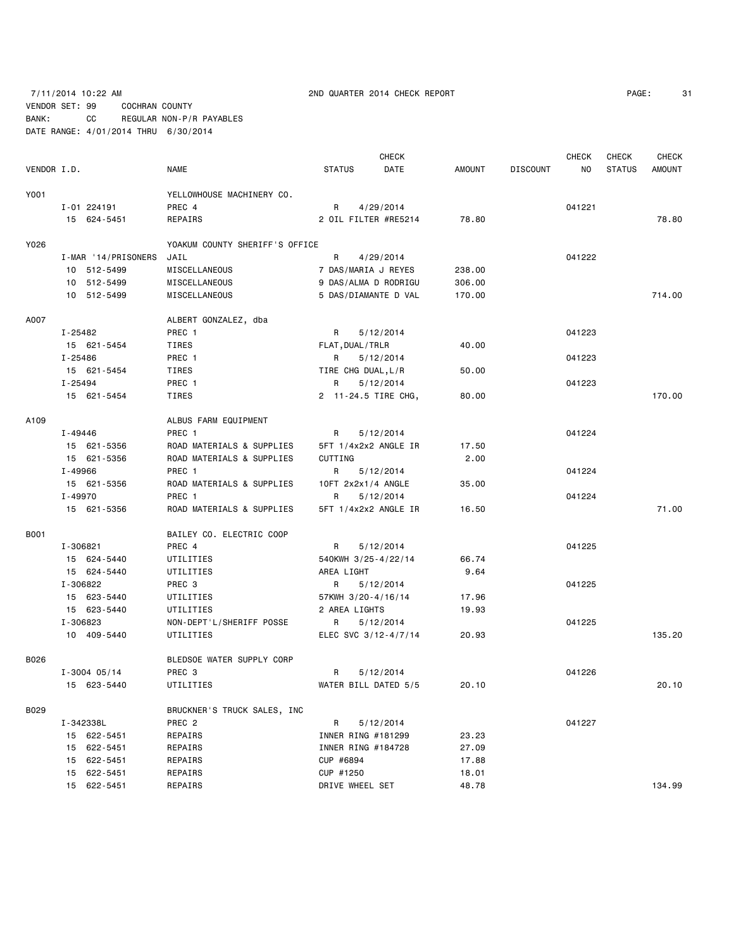7/11/2014 10:22 AM 2ND QUARTER 2014 CHECK REPORT PAGE: 31 VENDOR SET: 99 COCHRAN COUNTY

|             |                     |                                |                      | <b>CHECK</b> |               |                 | CHECK  | CHECK         | <b>CHECK</b>  |
|-------------|---------------------|--------------------------------|----------------------|--------------|---------------|-----------------|--------|---------------|---------------|
| VENDOR I.D. |                     | NAME                           | <b>STATUS</b>        | DATE         | <b>AMOUNT</b> | <b>DISCOUNT</b> | NO     | <b>STATUS</b> | <b>AMOUNT</b> |
| Y001        |                     | YELLOWHOUSE MACHINERY CO.      |                      |              |               |                 |        |               |               |
|             | I-01 224191         | PREC 4                         | R                    | 4/29/2014    |               |                 | 041221 |               |               |
|             | 15 624-5451         | REPAIRS                        | 2 OIL FILTER #RE5214 |              | 78.80         |                 |        |               | 78.80         |
|             |                     |                                |                      |              |               |                 |        |               |               |
| Y026        |                     | YOAKUM COUNTY SHERIFF'S OFFICE |                      |              |               |                 |        |               |               |
|             | I-MAR '14/PRISONERS | JAIL                           | R                    | 4/29/2014    |               |                 | 041222 |               |               |
|             | 10 512-5499         | MISCELLANEOUS                  | 7 DAS/MARIA J REYES  |              | 238.00        |                 |        |               |               |
|             | 10 512-5499         | MISCELLANEOUS                  | 9 DAS/ALMA D RODRIGU |              | 306.00        |                 |        |               |               |
|             | 10 512-5499         | MISCELLANEOUS                  | 5 DAS/DIAMANTE D VAL |              | 170.00        |                 |        |               | 714.00        |
| A007        |                     | ALBERT GONZALEZ, dba           |                      |              |               |                 |        |               |               |
|             | I-25482             | PREC 1                         | R                    | 5/12/2014    |               |                 | 041223 |               |               |
|             | 15 621-5454         | TIRES                          | FLAT, DUAL / TRLR    |              | 40.00         |                 |        |               |               |
|             | I-25486             | PREC 1                         | R                    | 5/12/2014    |               |                 | 041223 |               |               |
|             | 15 621-5454         | TIRES                          | TIRE CHG DUAL, L/R   |              | 50.00         |                 |        |               |               |
|             | I-25494             | PREC 1                         | R                    | 5/12/2014    |               |                 | 041223 |               |               |
|             |                     | TIRES                          |                      |              |               |                 |        |               | 170.00        |
|             | 15 621-5454         |                                | 2 11-24.5 TIRE CHG,  |              | 80.00         |                 |        |               |               |
| A109        |                     | ALBUS FARM EQUIPMENT           |                      |              |               |                 |        |               |               |
|             | I-49446             | PREC 1                         | R                    | 5/12/2014    |               |                 | 041224 |               |               |
|             | 15 621-5356         | ROAD MATERIALS & SUPPLIES      | 5FT 1/4x2x2 ANGLE IR |              | 17.50         |                 |        |               |               |
|             | 15 621-5356         | ROAD MATERIALS & SUPPLIES      | CUTTING              |              | 2.00          |                 |        |               |               |
|             | I-49966             | PREC 1                         | R                    | 5/12/2014    |               |                 | 041224 |               |               |
|             | 15 621-5356         | ROAD MATERIALS & SUPPLIES      | 10FT 2x2x1/4 ANGLE   |              | 35.00         |                 |        |               |               |
|             | I-49970             | PREC 1                         | R                    | 5/12/2014    |               |                 | 041224 |               |               |
|             | 15 621-5356         | ROAD MATERIALS & SUPPLIES      | 5FT 1/4x2x2 ANGLE IR |              | 16.50         |                 |        |               | 71.00         |
| <b>B001</b> |                     | BAILEY CO. ELECTRIC COOP       |                      |              |               |                 |        |               |               |
|             |                     |                                |                      |              |               |                 |        |               |               |
|             | I-306821            | PREC 4                         | R                    | 5/12/2014    |               |                 | 041225 |               |               |
|             | 15 624-5440         | UTILITIES                      | 540KWH 3/25-4/22/14  |              | 66.74         |                 |        |               |               |
|             | 15 624-5440         | UTILITIES                      | AREA LIGHT           |              | 9.64          |                 |        |               |               |
|             | I-306822            | PREC 3                         | R                    | 5/12/2014    |               |                 | 041225 |               |               |
|             | 15 623-5440         | UTILITIES                      | 57KWH 3/20-4/16/14   |              | 17.96         |                 |        |               |               |
|             | 15 623-5440         | UTILITIES                      | 2 AREA LIGHTS        |              | 19.93         |                 |        |               |               |
|             | I-306823            | NON-DEPT'L/SHERIFF POSSE       | R                    | 5/12/2014    |               |                 | 041225 |               |               |
|             | 10 409-5440         | UTILITIES                      | ELEC SVC 3/12-4/7/14 |              | 20.93         |                 |        |               | 135.20        |
| B026        |                     | BLEDSOE WATER SUPPLY CORP      |                      |              |               |                 |        |               |               |
|             | $I - 3004$ 05/14    | PREC 3                         | R.                   | 5/12/2014    |               |                 | 041226 |               |               |
|             | 15 623-5440         | UTILITIES                      | WATER BILL DATED 5/5 |              | 20.10         |                 |        |               | 20.10         |
| B029        |                     |                                |                      |              |               |                 |        |               |               |
|             | I-342338L           | BRUCKNER'S TRUCK SALES, INC    |                      |              |               |                 |        |               |               |
|             |                     | PREC <sub>2</sub>              | R                    | 5/12/2014    |               |                 | 041227 |               |               |
|             | 15 622-5451         | REPAIRS                        | INNER RING #181299   |              | 23.23         |                 |        |               |               |
|             | 15 622-5451         | REPAIRS                        | INNER RING #184728   |              | 27.09         |                 |        |               |               |
|             | 15 622-5451         | REPAIRS                        | CUP #6894            |              | 17.88         |                 |        |               |               |
|             | 15 622-5451         | REPAIRS                        | CUP #1250            |              | 18.01         |                 |        |               |               |
|             | 15 622-5451         | REPAIRS                        | DRIVE WHEEL SET      |              | 48.78         |                 |        |               | 134.99        |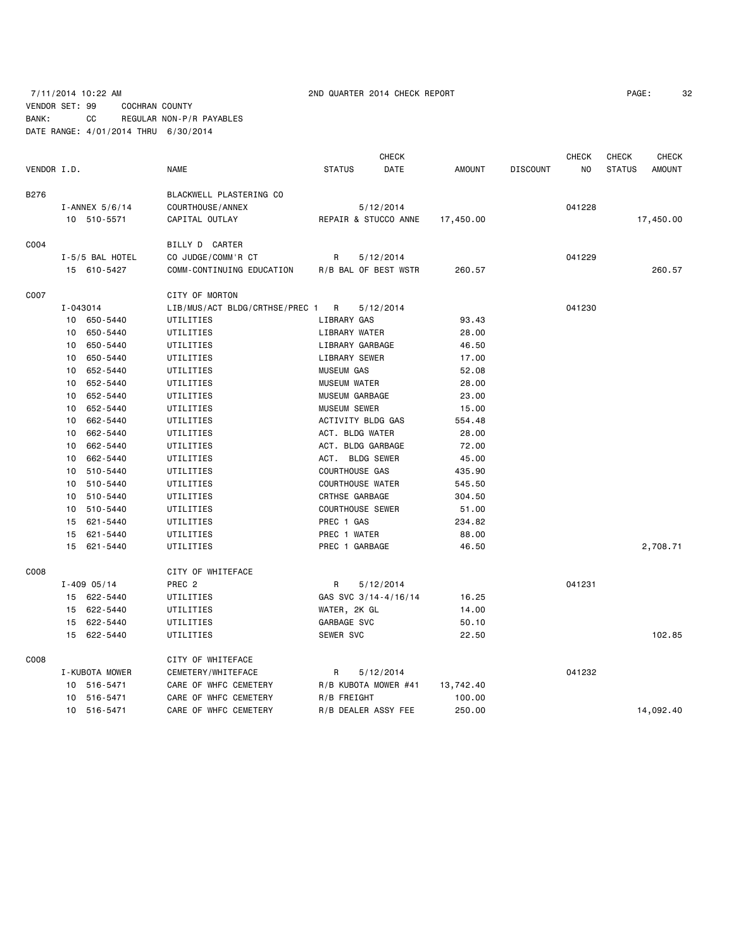VENDOR SET: 99 COCHRAN COUNTY BANK: CC REGULAR NON-P/R PAYABLES DATE RANGE: 4/01/2014 THRU 6/30/2014

| PAGE: | 32 |
|-------|----|
|       |    |

|             |             |                  |                                |                         | <b>CHECK</b>         |               |                 | <b>CHECK</b>   | <b>CHECK</b>  | <b>CHECK</b>  |
|-------------|-------------|------------------|--------------------------------|-------------------------|----------------------|---------------|-----------------|----------------|---------------|---------------|
| VENDOR I.D. |             |                  | <b>NAME</b>                    | <b>STATUS</b>           | DATE                 | <b>AMOUNT</b> | <b>DISCOUNT</b> | N <sub>O</sub> | <b>STATUS</b> | <b>AMOUNT</b> |
| B276        |             |                  | BLACKWELL PLASTERING CO        |                         |                      |               |                 |                |               |               |
|             |             | I-ANNEX $5/6/14$ | COURTHOUSE / ANNEX             |                         | 5/12/2014            |               |                 | 041228         |               |               |
|             | 10 510-5571 |                  | CAPITAL OUTLAY                 |                         | REPAIR & STUCCO ANNE | 17,450.00     |                 |                |               | 17,450.00     |
|             |             |                  |                                |                         |                      |               |                 |                |               |               |
| C004        |             |                  | BILLY D CARTER                 |                         |                      |               |                 |                |               |               |
|             |             | I-5/5 BAL HOTEL  | CO JUDGE/COMM'R CT             | R                       | 5/12/2014            |               |                 | 041229         |               |               |
|             |             | 15 610-5427      | COMM-CONTINUING EDUCATION      |                         | R/B BAL OF BEST WSTR | 260.57        |                 |                |               | 260.57        |
| C007        |             |                  | CITY OF MORTON                 |                         |                      |               |                 |                |               |               |
|             | I-043014    |                  | LIB/MUS/ACT BLDG/CRTHSE/PREC 1 | R                       | 5/12/2014            |               |                 | 041230         |               |               |
|             |             | 10 650-5440      | UTILITIES                      | LIBRARY GAS             |                      | 93.43         |                 |                |               |               |
|             | 10          | 650-5440         | UTILITIES                      | LIBRARY WATER           |                      | 28.00         |                 |                |               |               |
|             | 10          | 650-5440         | UTILITIES                      | LIBRARY GARBAGE         |                      | 46.50         |                 |                |               |               |
|             | 10          | 650-5440         | UTILITIES                      | LIBRARY SEWER           |                      | 17.00         |                 |                |               |               |
|             | 10          | 652-5440         | UTILITIES                      | <b>MUSEUM GAS</b>       |                      | 52.08         |                 |                |               |               |
|             |             | 10 652-5440      | UTILITIES                      | <b>MUSEUM WATER</b>     |                      | 28.00         |                 |                |               |               |
|             | 10          | 652-5440         | UTILITIES                      | MUSEUM GARBAGE          |                      | 23.00         |                 |                |               |               |
|             | 10          | 652-5440         | UTILITIES                      | MUSEUM SEWER            |                      | 15.00         |                 |                |               |               |
|             | 10          | 662-5440         | UTILITIES                      | ACTIVITY BLDG GAS       |                      | 554.48        |                 |                |               |               |
|             | 10          | 662-5440         | UTILITIES                      | ACT. BLDG WATER         |                      | 28.00         |                 |                |               |               |
|             | 10          | 662-5440         | UTILITIES                      | ACT. BLDG GARBAGE       |                      | 72.00         |                 |                |               |               |
|             | 10          | 662-5440         | UTILITIES                      | ACT. BLDG SEWER         |                      | 45.00         |                 |                |               |               |
|             | 10          | 510-5440         | UTILITIES                      | COURTHOUSE GAS          |                      | 435.90        |                 |                |               |               |
|             | 10          | 510-5440         | UTILITIES                      | <b>COURTHOUSE WATER</b> |                      | 545.50        |                 |                |               |               |
|             |             | 10 510-5440      | UTILITIES                      | CRTHSE GARBAGE          |                      | 304.50        |                 |                |               |               |
|             | 10          | 510-5440         | UTILITIES                      | <b>COURTHOUSE SEWER</b> |                      | 51.00         |                 |                |               |               |
|             | 15          | 621-5440         | UTILITIES                      | PREC 1 GAS              |                      | 234.82        |                 |                |               |               |
|             |             | 15 621-5440      | UTILITIES                      | PREC 1 WATER            |                      | 88.00         |                 |                |               |               |
|             | 15          | 621-5440         | UTILITIES                      | PREC 1 GARBAGE          |                      | 46.50         |                 |                |               | 2,708.71      |
|             |             |                  |                                |                         |                      |               |                 |                |               |               |
| C008        |             |                  | CITY OF WHITEFACE              |                         |                      |               |                 |                |               |               |
|             |             | $I - 409005/14$  | PREC <sub>2</sub>              | R                       | 5/12/2014            |               |                 | 041231         |               |               |
|             |             | 15 622-5440      | UTILITIES                      |                         | GAS SVC 3/14-4/16/14 | 16.25         |                 |                |               |               |
|             |             | 15 622-5440      | UTILITIES                      | WATER, 2K GL            |                      | 14.00         |                 |                |               |               |
|             | 15          | 622-5440         | UTILITIES                      | GARBAGE SVC             |                      | 50.10         |                 |                |               |               |
|             |             | 15 622-5440      | UTILITIES                      | SEWER SVC               |                      | 22.50         |                 |                |               | 102.85        |
| C008        |             |                  | CITY OF WHITEFACE              |                         |                      |               |                 |                |               |               |
|             |             | I-KUBOTA MOWER   | CEMETERY/WHITEFACE             | R                       | 5/12/2014            |               |                 | 041232         |               |               |
|             |             | 10 516-5471      | CARE OF WHFC CEMETERY          |                         | R/B KUBOTA MOWER #41 | 13,742.40     |                 |                |               |               |
|             | 10          | 516-5471         | CARE OF WHFC CEMETERY          | R/B FREIGHT             |                      | 100.00        |                 |                |               |               |
|             |             | 10 516-5471      | CARE OF WHFC CEMETERY          | R/B DEALER ASSY FEE     |                      | 250.00        |                 |                |               | 14,092.40     |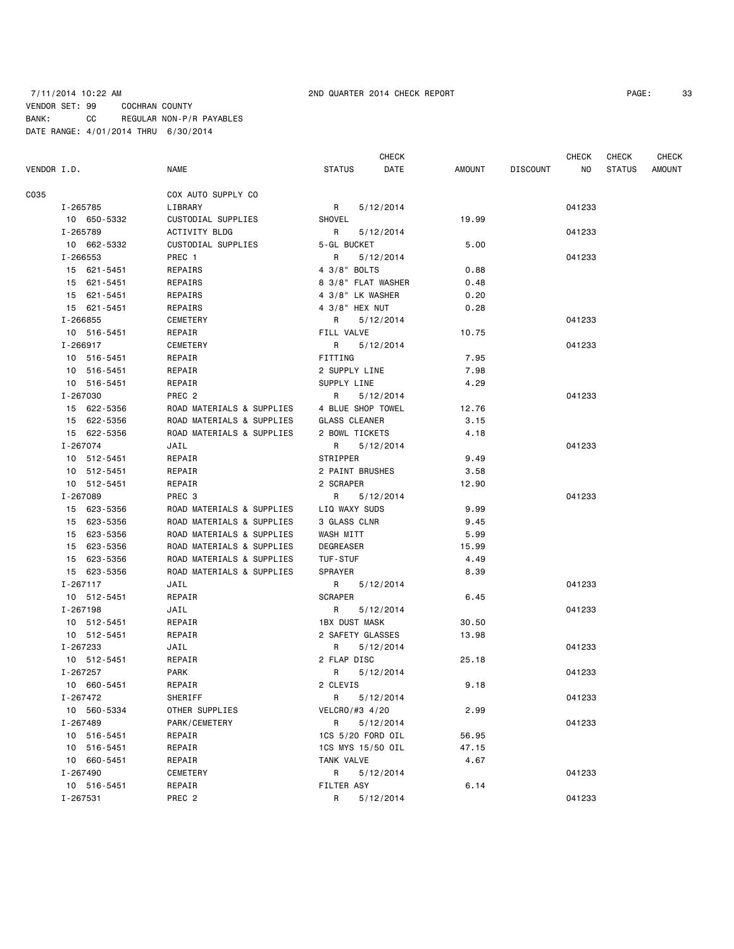### 7/11/2014 10:22 AM 2ND QUARTER 2014 CHECK REPORT PAGE: 33 VENDOR SET: 99 COCHRAN COUNTY BANK: CC REGULAR NON-P/R PAYABLES DATE RANGE: 4/01/2014 THRU 6/30/2014

|             |              |                           |                    | <b>CHECK</b> |        |                 | CHECK  | CHECK         | <b>CHECK</b> |
|-------------|--------------|---------------------------|--------------------|--------------|--------|-----------------|--------|---------------|--------------|
| VENDOR I.D. |              | <b>NAME</b>               | <b>STATUS</b>      | DATE         | AMOUNT | <b>DISCOUNT</b> | ΝO     | <b>STATUS</b> | AMOUNT       |
| C035        |              | COX AUTO SUPPLY CO        |                    |              |        |                 |        |               |              |
|             | I-265785     | LIBRARY                   | R                  | 5/12/2014    |        |                 | 041233 |               |              |
|             | 10 650-5332  | CUSTODIAL SUPPLIES        | SHOVEL             |              | 19.99  |                 |        |               |              |
|             | I-265789     | ACTIVITY BLDG             | R                  | 5/12/2014    |        |                 | 041233 |               |              |
|             | 10 662-5332  | CUSTODIAL SUPPLIES        | 5-GL BUCKET        |              | 5.00   |                 |        |               |              |
|             | I-266553     | PREC 1                    | R                  | 5/12/2014    |        |                 | 041233 |               |              |
|             | 15 621-5451  | REPAIRS                   | 4 3/8" BOLTS       |              | 0.88   |                 |        |               |              |
|             | 15 621-5451  | REPAIRS                   | 8 3/8" FLAT WASHER |              | 0.48   |                 |        |               |              |
|             | 15 621-5451  | REPAIRS                   | 4 3/8" LK WASHER   |              | 0.20   |                 |        |               |              |
|             | 15 621-5451  | REPAIRS                   | 4 3/8" HEX NUT     |              | 0.28   |                 |        |               |              |
|             | I-266855     | CEMETERY                  | R                  | 5/12/2014    |        |                 | 041233 |               |              |
|             | 10 516-5451  | REPAIR                    | FILL VALVE         |              | 10.75  |                 |        |               |              |
|             | I-266917     | CEMETERY                  | R                  | 5/12/2014    |        |                 | 041233 |               |              |
|             | 10 516-5451  | REPAIR                    | FITTING            |              | 7.95   |                 |        |               |              |
|             | 10 516-5451  | REPAIR                    | 2 SUPPLY LINE      |              | 7.98   |                 |        |               |              |
|             | 10 516-5451  | REPAIR                    | SUPPLY LINE        |              | 4.29   |                 |        |               |              |
|             | I-267030     | PREC <sub>2</sub>         | R                  | 5/12/2014    |        |                 | 041233 |               |              |
|             | 15 622-5356  | ROAD MATERIALS & SUPPLIES | 4 BLUE SHOP TOWEL  |              | 12.76  |                 |        |               |              |
|             | 15 622-5356  | ROAD MATERIALS & SUPPLIES | GLASS CLEANER      |              | 3.15   |                 |        |               |              |
|             | 15 622-5356  | ROAD MATERIALS & SUPPLIES | 2 BOWL TICKETS     |              | 4.18   |                 |        |               |              |
|             | I-267074     | JAIL                      | R                  | 5/12/2014    |        |                 | 041233 |               |              |
|             | 10 512-5451  | REPAIR                    | <b>STRIPPER</b>    |              | 9.49   |                 |        |               |              |
|             | 10 512-5451  | REPAIR                    | 2 PAINT BRUSHES    |              | 3.58   |                 |        |               |              |
|             | 10 512-5451  | REPAIR                    | 2 SCRAPER          |              | 12.90  |                 |        |               |              |
|             | I-267089     | PREC <sub>3</sub>         | R                  | 5/12/2014    |        |                 | 041233 |               |              |
|             | 15 623-5356  | ROAD MATERIALS & SUPPLIES | LIQ WAXY SUDS      |              | 9.99   |                 |        |               |              |
|             | 15 623-5356  | ROAD MATERIALS & SUPPLIES | 3 GLASS CLNR       |              | 9.45   |                 |        |               |              |
|             | 15 623-5356  | ROAD MATERIALS & SUPPLIES | WASH MITT          |              | 5.99   |                 |        |               |              |
|             | 15 623-5356  | ROAD MATERIALS & SUPPLIES | DEGREASER          |              | 15.99  |                 |        |               |              |
|             | 15 623-5356  | ROAD MATERIALS & SUPPLIES | TUF-STUF           |              | 4.49   |                 |        |               |              |
|             | 15 623-5356  | ROAD MATERIALS & SUPPLIES | SPRAYER            |              | 8.39   |                 |        |               |              |
|             | $I - 267117$ | JAIL                      | R                  | 5/12/2014    |        |                 | 041233 |               |              |
|             | 10 512-5451  | REPAIR                    | <b>SCRAPER</b>     |              | 6.45   |                 |        |               |              |
|             | I-267198     | JAIL                      | R                  | 5/12/2014    |        |                 | 041233 |               |              |
|             | 10 512-5451  | REPAIR                    | 1BX DUST MASK      |              | 30.50  |                 |        |               |              |
|             | 10 512-5451  | REPAIR                    | 2 SAFETY GLASSES   |              | 13.98  |                 |        |               |              |
|             | I-267233     | JAIL                      | R                  | 5/12/2014    |        |                 | 041233 |               |              |
|             | 10 512-5451  | REPAIR                    | 2 FLAP DISC        |              | 25.18  |                 |        |               |              |
|             | I-267257     | <b>PARK</b>               | R                  | 5/12/2014    |        |                 | 041233 |               |              |
|             | 10 660-5451  | REPAIR                    | 2 CLEVIS           |              | 9.18   |                 |        |               |              |
|             | I-267472     | SHERIFF                   | R                  | 5/12/2014    |        |                 | 041233 |               |              |
|             | 10 560-5334  | OTHER SUPPLIES            | VELCRO/#3 4/20     |              | 2.99   |                 |        |               |              |
|             | I-267489     | PARK/CEMETERY             | R                  | 5/12/2014    |        |                 | 041233 |               |              |
|             | 10 516-5451  | REPAIR                    | 1CS 5/20 FORD OIL  |              | 56.95  |                 |        |               |              |
|             | 10 516-5451  | REPAIR                    | 1CS MYS 15/50 OIL  |              | 47.15  |                 |        |               |              |
|             | 10 660-5451  | REPAIR                    | TANK VALVE         |              | 4.67   |                 |        |               |              |
|             | I-267490     | CEMETERY                  | R                  | 5/12/2014    |        |                 | 041233 |               |              |
|             | 10 516-5451  | REPAIR                    | FILTER ASY         |              | 6.14   |                 |        |               |              |
|             | I-267531     | PREC 2                    | R                  | 5/12/2014    |        |                 | 041233 |               |              |
|             |              |                           |                    |              |        |                 |        |               |              |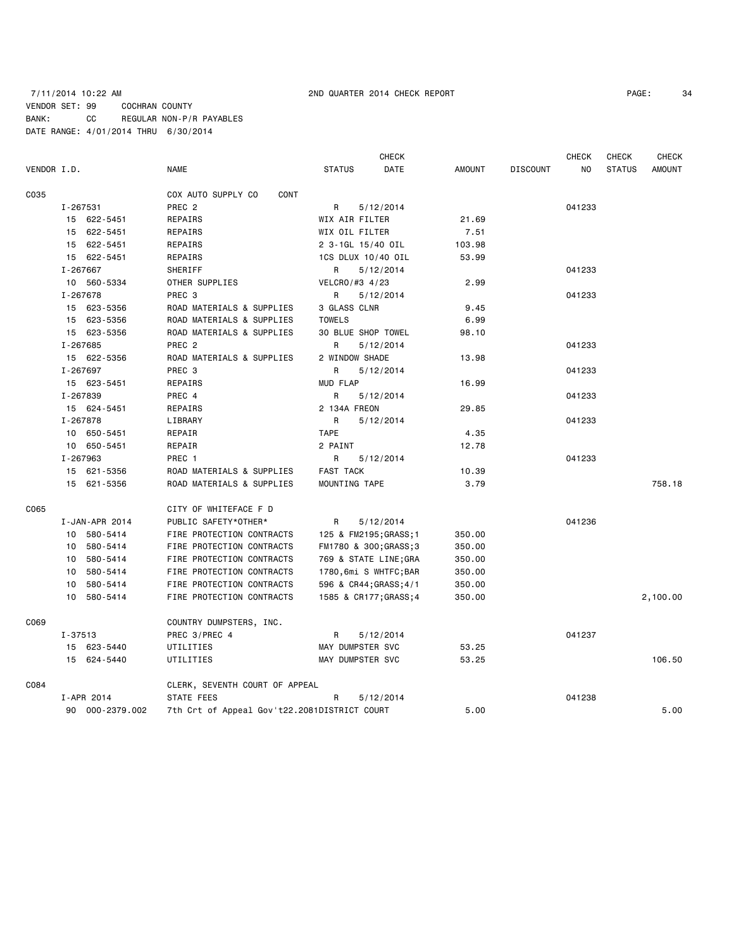### 7/11/2014 10:22 AM 2ND QUARTER 2014 CHECK REPORT PAGE: 34 VENDOR SET: 99 COCHRAN COUNTY BANK: CC REGULAR NON-P/R PAYABLES DATE RANGE: 4/01/2014 THRU 6/30/2014

CHECK CHECK CHECK CHECK CHECK

| VENDOR I.D. |          |                 | <b>NAME</b>                                  | <b>STATUS</b>    |                        | DATE | <b>AMOUNT</b> | <b>DISCOUNT</b> | NO.    | <b>STATUS</b> | AMOUNT   |
|-------------|----------|-----------------|----------------------------------------------|------------------|------------------------|------|---------------|-----------------|--------|---------------|----------|
| C035        |          |                 | CONT<br>COX AUTO SUPPLY CO                   |                  |                        |      |               |                 |        |               |          |
|             | I-267531 |                 | PREC <sub>2</sub>                            | R                | 5/12/2014              |      |               |                 | 041233 |               |          |
|             |          | 15 622-5451     | REPAIRS                                      |                  | WIX AIR FILTER         |      | 21.69         |                 |        |               |          |
|             |          | 15 622-5451     | REPAIRS                                      |                  | WIX OIL FILTER         |      | 7.51          |                 |        |               |          |
|             |          | 15 622-5451     | REPAIRS                                      |                  | 2 3-1GL 15/40 OIL      |      | 103.98        |                 |        |               |          |
|             |          | 15 622-5451     | REPAIRS                                      |                  | 1CS DLUX 10/40 OIL     |      | 53.99         |                 |        |               |          |
|             | I-267667 |                 | SHERIFF                                      | R                | 5/12/2014              |      |               |                 | 041233 |               |          |
|             |          | 10 560-5334     | OTHER SUPPLIES                               |                  | VELCRO/#3 4/23         |      | 2.99          |                 |        |               |          |
|             | I-267678 |                 | PREC 3                                       | R                | 5/12/2014              |      |               |                 | 041233 |               |          |
|             |          | 15 623-5356     | ROAD MATERIALS & SUPPLIES                    |                  | 3 GLASS CLNR           |      | 9.45          |                 |        |               |          |
|             |          | 15 623-5356     | ROAD MATERIALS & SUPPLIES                    | <b>TOWELS</b>    |                        |      | 6.99          |                 |        |               |          |
|             |          | 15 623-5356     | ROAD MATERIALS & SUPPLIES                    |                  | 30 BLUE SHOP TOWEL     |      | 98.10         |                 |        |               |          |
|             | I-267685 |                 | PREC <sub>2</sub>                            | R                | 5/12/2014              |      |               |                 | 041233 |               |          |
|             |          | 15 622-5356     | ROAD MATERIALS & SUPPLIES                    |                  | 2 WINDOW SHADE         |      | 13.98         |                 |        |               |          |
|             | I-267697 |                 | PREC 3                                       | R                | 5/12/2014              |      |               |                 | 041233 |               |          |
|             |          | 15 623-5451     | REPAIRS                                      | <b>MUD FLAP</b>  |                        |      | 16.99         |                 |        |               |          |
|             | I-267839 |                 | PREC 4                                       | R                | 5/12/2014              |      |               |                 | 041233 |               |          |
|             |          | 15 624-5451     | REPAIRS                                      |                  | 2 134A FREON           |      | 29.85         |                 |        |               |          |
|             | I-267878 |                 | LIBRARY                                      | R                | 5/12/2014              |      |               |                 | 041233 |               |          |
|             |          | 10 650-5451     | REPAIR                                       | <b>TAPE</b>      |                        |      | 4.35          |                 |        |               |          |
|             |          | 10 650-5451     | REPAIR                                       | 2 PAINT          |                        |      | 12.78         |                 |        |               |          |
|             | I-267963 |                 | PREC 1                                       | R                | 5/12/2014              |      |               |                 | 041233 |               |          |
|             |          | 15 621-5356     | ROAD MATERIALS & SUPPLIES                    | <b>FAST TACK</b> |                        |      | 10.39         |                 |        |               |          |
|             |          | 15 621-5356     | ROAD MATERIALS & SUPPLIES                    |                  | MOUNTING TAPE          |      | 3.79          |                 |        |               | 758.18   |
| C065        |          |                 | CITY OF WHITEFACE F D                        |                  |                        |      |               |                 |        |               |          |
|             |          | I-JAN-APR 2014  | PUBLIC SAFETY*OTHER*                         | R                | 5/12/2014              |      |               |                 | 041236 |               |          |
|             |          | 10 580-5414     | FIRE PROTECTION CONTRACTS                    |                  | 125 & FM2195; GRASS; 1 |      | 350.00        |                 |        |               |          |
|             |          | 10 580-5414     | FIRE PROTECTION CONTRACTS                    |                  | FM1780 & 300; GRASS; 3 |      | 350.00        |                 |        |               |          |
|             |          | 10 580-5414     | FIRE PROTECTION CONTRACTS                    |                  | 769 & STATE LINE; GRA  |      | 350.00        |                 |        |               |          |
|             |          | 10 580-5414     | FIRE PROTECTION CONTRACTS                    |                  | 1780,6mi S WHTFC;BAR   |      | 350.00        |                 |        |               |          |
|             |          | 10 580-5414     | FIRE PROTECTION CONTRACTS                    |                  | 596 & CR44; GRASS; 4/1 |      | 350.00        |                 |        |               |          |
|             |          | 10 580-5414     | FIRE PROTECTION CONTRACTS                    |                  | 1585 & CR177; GRASS; 4 |      | 350.00        |                 |        |               | 2,100.00 |
| C069        |          |                 | COUNTRY DUMPSTERS, INC.                      |                  |                        |      |               |                 |        |               |          |
|             | I-37513  |                 | PREC 3/PREC 4                                | R                | 5/12/2014              |      |               |                 | 041237 |               |          |
|             |          | 15 623-5440     | UTILITIES                                    |                  | MAY DUMPSTER SVC       |      | 53.25         |                 |        |               |          |
|             |          | 15 624-5440     | UTILITIES                                    |                  | MAY DUMPSTER SVC       |      | 53.25         |                 |        |               | 106.50   |
| C084        |          |                 | CLERK, SEVENTH COURT OF APPEAL               |                  |                        |      |               |                 |        |               |          |
|             |          | I-APR 2014      | STATE FEES                                   | R                | 5/12/2014              |      |               |                 | 041238 |               |          |
|             |          | 90 000-2379.002 | 7th Crt of Appeal Gov't22.2081DISTRICT COURT |                  |                        |      | 5.00          |                 |        |               | 5.00     |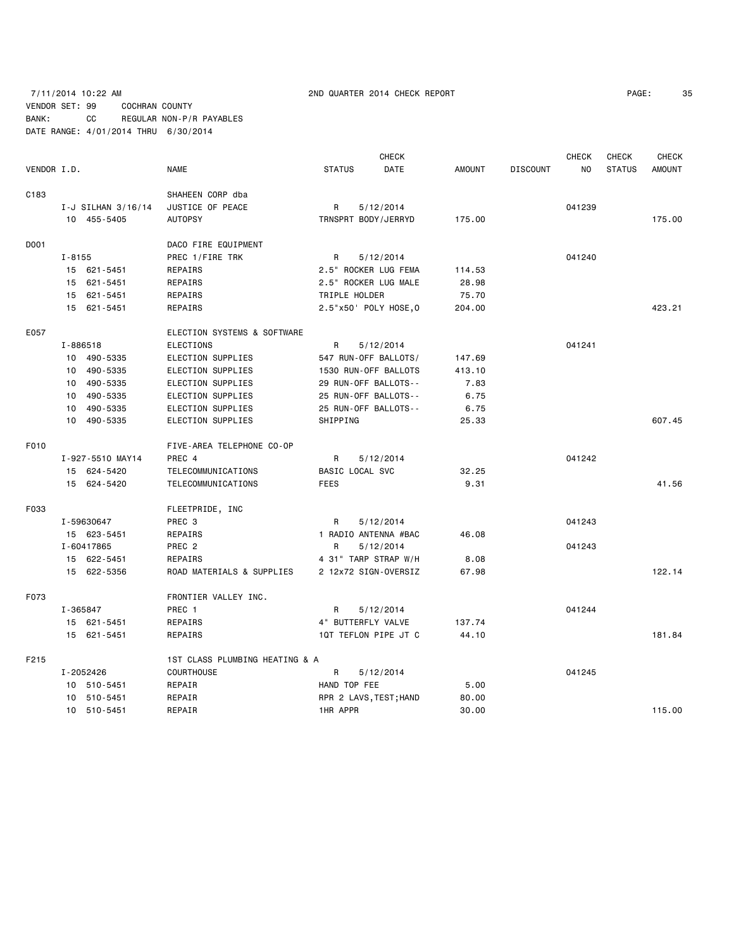### 7/11/2014 10:22 AM 2ND QUARTER 2014 CHECK REPORT PAGE: 35 VENDOR SET: 99 COCHRAN COUNTY BANK: CC REGULAR NON-P/R PAYABLES DATE RANGE: 4/01/2014 THRU 6/30/2014

| 3!<br>PAGE: |
|-------------|
|             |

|                  |                    |                                |                        | <b>CHECK</b> |               |                 | <b>CHECK</b> | <b>CHECK</b>  | <b>CHECK</b>  |
|------------------|--------------------|--------------------------------|------------------------|--------------|---------------|-----------------|--------------|---------------|---------------|
| VENDOR I.D.      |                    | <b>NAME</b>                    | <b>STATUS</b>          | DATE         | <b>AMOUNT</b> | <b>DISCOUNT</b> | NO           | <b>STATUS</b> | <b>AMOUNT</b> |
| C <sub>183</sub> |                    | SHAHEEN CORP dba               |                        |              |               |                 |              |               |               |
|                  | I-J SILHAN 3/16/14 | JUSTICE OF PEACE               | R                      | 5/12/2014    |               |                 | 041239       |               |               |
|                  | 10 455-5405        | <b>AUTOPSY</b>                 | TRNSPRT BODY/JERRYD    |              | 175.00        |                 |              |               | 175.00        |
| D001             |                    | DACO FIRE EQUIPMENT            |                        |              |               |                 |              |               |               |
|                  | I-8155             | PREC 1/FIRE TRK                | R                      | 5/12/2014    |               |                 | 041240       |               |               |
|                  | 15 621-5451        | REPAIRS                        | 2.5" ROCKER LUG FEMA   |              | 114.53        |                 |              |               |               |
|                  | 15 621-5451        | REPAIRS                        | 2.5" ROCKER LUG MALE   |              | 28.98         |                 |              |               |               |
|                  | 15 621-5451        | REPAIRS                        | TRIPLE HOLDER          |              | 75.70         |                 |              |               |               |
|                  | 15 621-5451        | REPAIRS                        | 2.5"x50' POLY HOSE, 0  |              | 204.00        |                 |              |               | 423.21        |
| E057             |                    | ELECTION SYSTEMS & SOFTWARE    |                        |              |               |                 |              |               |               |
|                  | I-886518           | <b>ELECTIONS</b>               | R                      | 5/12/2014    |               |                 | 041241       |               |               |
|                  | 10 490-5335        | ELECTION SUPPLIES              | 547 RUN-OFF BALLOTS/   |              | 147.69        |                 |              |               |               |
|                  | 10 490-5335        | ELECTION SUPPLIES              | 1530 RUN-OFF BALLOTS   |              | 413.10        |                 |              |               |               |
|                  | 10 490-5335        | ELECTION SUPPLIES              | 29 RUN-OFF BALLOTS--   |              | 7.83          |                 |              |               |               |
|                  | 10 490-5335        | ELECTION SUPPLIES              | 25 RUN-OFF BALLOTS--   |              | 6.75          |                 |              |               |               |
|                  | 490-5335<br>10     | ELECTION SUPPLIES              | 25 RUN-OFF BALLOTS--   |              | 6.75          |                 |              |               |               |
|                  | 10 490-5335        | ELECTION SUPPLIES              | SHIPPING               |              | 25.33         |                 |              |               | 607.45        |
| F010             |                    | FIVE-AREA TELEPHONE CO-OP      |                        |              |               |                 |              |               |               |
|                  | I-927-5510 MAY14   | PREC 4                         | R                      | 5/12/2014    |               |                 | 041242       |               |               |
|                  | 15 624-5420        | TELECOMMUNICATIONS             | BASIC LOCAL SVC        |              | 32.25         |                 |              |               |               |
|                  | 15 624-5420        | TELECOMMUNICATIONS             | <b>FEES</b>            |              | 9.31          |                 |              |               | 41.56         |
| F033             |                    | FLEETPRIDE, INC                |                        |              |               |                 |              |               |               |
|                  | I-59630647         | PREC 3                         | R                      | 5/12/2014    |               |                 | 041243       |               |               |
|                  | 15 623-5451        | REPAIRS                        | 1 RADIO ANTENNA #BAC   |              | 46.08         |                 |              |               |               |
|                  | I-60417865         | PREC <sub>2</sub>              | R                      | 5/12/2014    |               |                 | 041243       |               |               |
|                  | 15 622-5451        | REPAIRS                        | 4 31" TARP STRAP W/H   |              | 8.08          |                 |              |               |               |
|                  | 15 622-5356        | ROAD MATERIALS & SUPPLIES      | 2 12x72 SIGN-OVERSIZ   |              | 67.98         |                 |              |               | 122.14        |
| F073             |                    | FRONTIER VALLEY INC.           |                        |              |               |                 |              |               |               |
|                  | I-365847           | PREC 1                         | R                      | 5/12/2014    |               |                 | 041244       |               |               |
|                  | 15 621-5451        | REPAIRS                        | 4" BUTTERFLY VALVE     |              | 137.74        |                 |              |               |               |
|                  | 15 621-5451        | REPAIRS                        | 1QT TEFLON PIPE JT C   |              | 44.10         |                 |              |               | 181.84        |
| F215             |                    | 1ST CLASS PLUMBING HEATING & A |                        |              |               |                 |              |               |               |
|                  | I-2052426          | <b>COURTHOUSE</b>              | R                      | 5/12/2014    |               |                 | 041245       |               |               |
|                  | 10 510-5451        | REPAIR                         | HAND TOP FEE           |              | 5.00          |                 |              |               |               |
|                  | 10 510-5451        | REPAIR                         | RPR 2 LAVS, TEST; HAND |              | 80.00         |                 |              |               |               |
|                  | 10 510-5451        | REPAIR                         | 1HR APPR               |              | 30.00         |                 |              |               | 115.00        |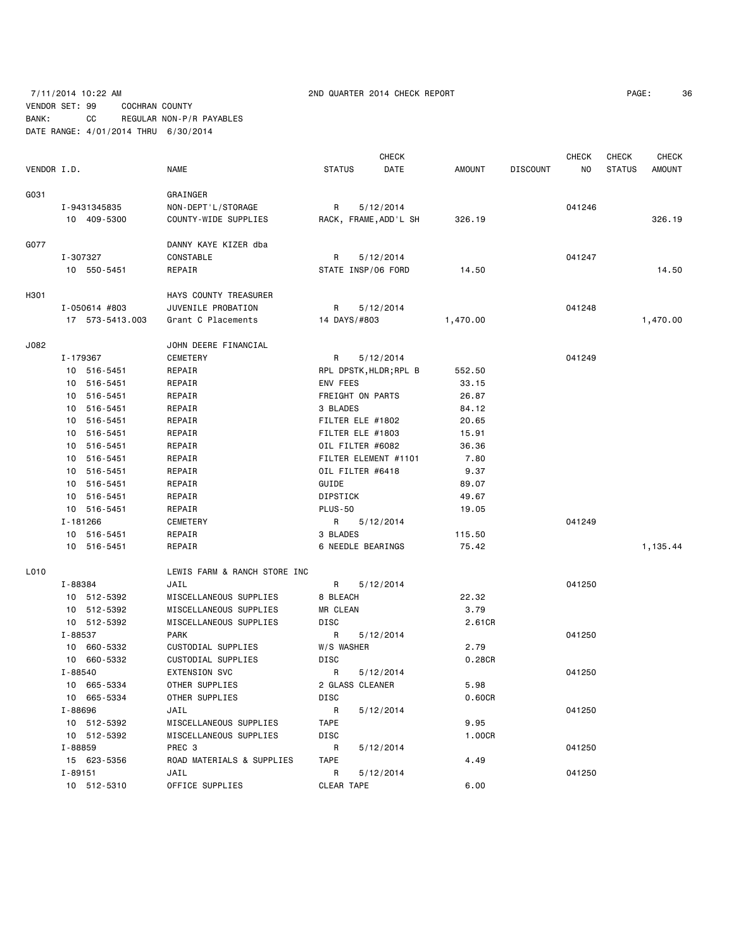# 7/11/2014 10:22 AM 2ND QUARTER 2014 CHECK REPORT PAGE: 36 VENDOR SET: 99 COCHRAN COUNTY

BANK: CC REGULAR NON-P/R PAYABLES DATE RANGE: 4/01/2014 THRU 6/30/2014

|             |                 |                              |                    | <b>CHECK</b>           |               |                 | CHECK          | <b>CHECK</b>  | <b>CHECK</b>  |
|-------------|-----------------|------------------------------|--------------------|------------------------|---------------|-----------------|----------------|---------------|---------------|
| VENDOR I.D. |                 | <b>NAME</b>                  | <b>STATUS</b>      | DATE                   | <b>AMOUNT</b> | <b>DISCOUNT</b> | N <sub>O</sub> | <b>STATUS</b> | <b>AMOUNT</b> |
| G031        |                 | GRAINGER                     |                    |                        |               |                 |                |               |               |
|             | I-9431345835    | NON-DEPT'L/STORAGE           | R                  | 5/12/2014              |               |                 | 041246         |               |               |
|             | 10 409-5300     | COUNTY-WIDE SUPPLIES         |                    | RACK, FRAME, ADD'L SH  | 326.19        |                 |                |               | 326.19        |
| G077        |                 | DANNY KAYE KIZER dba         |                    |                        |               |                 |                |               |               |
|             | I-307327        | CONSTABLE                    | R                  | 5/12/2014              |               |                 | 041247         |               |               |
|             | 10 550-5451     | REPAIR                       | STATE INSP/06 FORD |                        | 14.50         |                 |                |               | 14.50         |
| H301        |                 | HAYS COUNTY TREASURER        |                    |                        |               |                 |                |               |               |
|             | I-050614 #803   | JUVENILE PROBATION           | R                  | 5/12/2014              |               |                 | 041248         |               |               |
|             | 17 573-5413.003 | Grant C Placements           | 14 DAYS/#803       |                        | 1,470.00      |                 |                |               | 1,470.00      |
| J082        |                 | JOHN DEERE FINANCIAL         |                    |                        |               |                 |                |               |               |
|             | I-179367        | <b>CEMETERY</b>              | R                  | 5/12/2014              |               |                 | 041249         |               |               |
|             | 10 516-5451     | REPAIR                       |                    | RPL DPSTK, HLDR; RPL B | 552.50        |                 |                |               |               |
|             | 10 516-5451     | REPAIR                       | ENV FEES           |                        | 33.15         |                 |                |               |               |
|             | 10 516-5451     | REPAIR                       | FREIGHT ON PARTS   |                        | 26.87         |                 |                |               |               |
|             | 10 516-5451     | REPAIR                       | 3 BLADES           |                        | 84.12         |                 |                |               |               |
|             | 10 516-5451     | REPAIR                       | FILTER ELE #1802   |                        | 20.65         |                 |                |               |               |
|             | 10 516-5451     | REPAIR                       | FILTER ELE #1803   |                        | 15.91         |                 |                |               |               |
|             | 10 516-5451     | REPAIR                       | OIL FILTER #6082   |                        | 36.36         |                 |                |               |               |
|             | 10 516-5451     | REPAIR                       |                    | FILTER ELEMENT #1101   | 7.80          |                 |                |               |               |
|             | 10 516-5451     | REPAIR                       | OIL FILTER #6418   |                        | 9.37          |                 |                |               |               |
|             | 10 516-5451     | REPAIR                       | GUIDE              |                        | 89.07         |                 |                |               |               |
|             | 10 516-5451     | REPAIR                       | DIPSTICK           |                        | 49.67         |                 |                |               |               |
|             | 10 516-5451     | REPAIR                       | <b>PLUS-50</b>     |                        | 19.05         |                 |                |               |               |
|             | I-181266        | <b>CEMETERY</b>              | R                  | 5/12/2014              |               |                 | 041249         |               |               |
|             | 10 516-5451     | REPAIR                       | 3 BLADES           |                        | 115.50        |                 |                |               |               |
|             | 10 516-5451     | REPAIR                       | 6 NEEDLE BEARINGS  |                        | 75.42         |                 |                |               | 1,135.44      |
| L010        |                 | LEWIS FARM & RANCH STORE INC |                    |                        |               |                 |                |               |               |
|             | I-88384         | JAIL                         | R                  | 5/12/2014              |               |                 | 041250         |               |               |
|             | 10 512-5392     | MISCELLANEOUS SUPPLIES       | 8 BLEACH           |                        | 22.32         |                 |                |               |               |
|             | 10 512-5392     | MISCELLANEOUS SUPPLIES       | MR CLEAN           |                        | 3.79          |                 |                |               |               |
|             | 10 512-5392     | MISCELLANEOUS SUPPLIES       | DISC               |                        | 2.61CR        |                 |                |               |               |
|             | I-88537         | <b>PARK</b>                  | R                  | 5/12/2014              |               |                 | 041250         |               |               |
|             | 10 660-5332     | CUSTODIAL SUPPLIES           | W/S WASHER         |                        | 2.79          |                 |                |               |               |
|             | 10 660-5332     | CUSTODIAL SUPPLIES           | DISC               |                        | 0.28CR        |                 |                |               |               |
|             | I-88540         | <b>EXTENSION SVC</b>         | R                  | 5/12/2014              |               |                 | 041250         |               |               |
|             | 10 665-5334     | OTHER SUPPLIES               | 2 GLASS CLEANER    |                        | 5.98          |                 |                |               |               |
|             | 10 665-5334     | OTHER SUPPLIES               | <b>DISC</b>        |                        | 0.60CR        |                 |                |               |               |
|             | I-88696         | JAIL                         | R                  | 5/12/2014              |               |                 | 041250         |               |               |
|             | 10 512-5392     | MISCELLANEOUS SUPPLIES       | <b>TAPE</b>        |                        | 9.95          |                 |                |               |               |
|             | 10 512-5392     | MISCELLANEOUS SUPPLIES       | <b>DISC</b>        |                        | 1.00CR        |                 |                |               |               |
|             | I-88859         | PREC 3                       | R                  | 5/12/2014              |               |                 | 041250         |               |               |
|             | 15 623-5356     | ROAD MATERIALS & SUPPLIES    | <b>TAPE</b>        |                        | 4.49          |                 |                |               |               |
|             | I-89151         | JAIL                         | R                  | 5/12/2014              |               |                 | 041250         |               |               |
|             | 10 512-5310     | OFFICE SUPPLIES              | CLEAR TAPE         |                        | 6.00          |                 |                |               |               |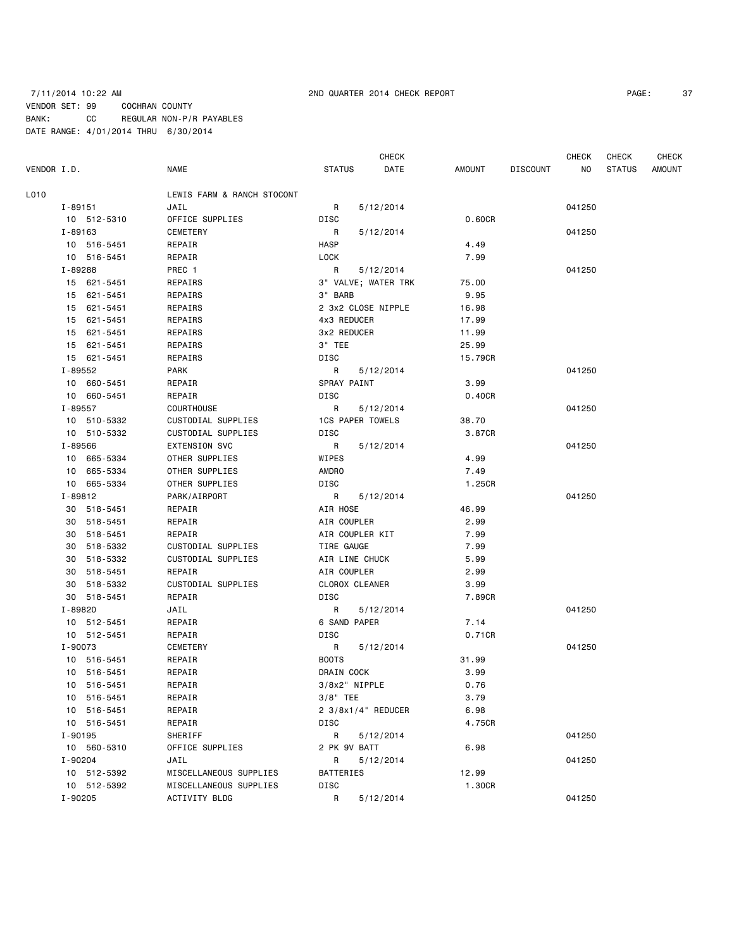### 7/11/2014 10:22 AM 2ND QUARTER 2014 CHECK REPORT PAGE: 37 VENDOR SET: 99 COCHRAN COUNTY BANK: CC REGULAR NON-P/R PAYABLES DATE RANGE: 4/01/2014 THRU 6/30/2014

**CHECK CHECK CHECK CHECK CHECK CHECK CHECK** 

VENDOR I.D. NAME STATUS DATE AMOUNT DISCOUNT NO STATUS AMOUNT L010 LEWIS FARM & RANCH STOCONT I-89151 JAIL R 5/12/2014 041250 10 512-5310 OFFICE SUPPLIES DISC 0.60CR I-89163 CEMETERY R 5/12/2014 041250 10 516-5451 REPAIR **REPAIR** HASP HASP 4.49 10 516-5451 REPAIR LOCK 7.99 I-89288 PREC 1 R 5/12/2014 041250 15 621-5451 REPAIRS 3" VALVE; WATER TRK 75.00 15 621-5451 REPAIRS 3" BARB 9.95 15 621-5451 REPAIRS 2 3x2 CLOSE NIPPLE 16.98 15 621-5451 REPAIRS 4x3 REDUCER 17.99 15 621-5451 REPAIRS 3x2 REDUCER 11.99 15 621-5451 REPAIRS 3" TEE 25.99 15 621-5451 REPAIRS DISC 15.79CR I-89552 PARK R 5/12/2014 041250 10 660-5451 REPAIR SPRAY PAINT 3.99 10 660-5451 REPAIR DISC 0.40CR I-89557 COURTHOUSE R 5/12/2014 041250 10 510-5332 CUSTODIAL SUPPLIES 1CS PAPER TOWELS 38.70 10 510-5332 CUSTODIAL SUPPLIES DISC 3.87CR I-89566 EXTENSION SVC R 5/12/2014 041250 10 665-5334 OTHER SUPPLIES WIPES 4.99 10 665-5334 OTHER SUPPLIES AMDRO 7.49 10 665-5334 OTHER SUPPLIES DISC 1.25CR I-89812 PARK/AIRPORT R 5/12/2014 041250 30 518-5451 REPAIR AIR HOSE 46.99 30 518-5451 REPAIR AIR COUPLER 2.99 30 518-5451 REPAIR AIR COUPLER KIT 7.99 30 518-5332 CUSTODIAL SUPPLIES TIRE GAUGE 7.99 30 518-5332 CUSTODIAL SUPPLIES AIR LINE CHUCK 5.99 30 518-5451 REPAIR AIR COUPLER 2.99 30 518-5332 CUSTODIAL SUPPLIES CLOROX CLEANER 3.99 30 518-5451 REPAIR DISC 7.89CR I-89820 JAIL R 5/12/2014 041250 10 512-5451 REPAIR 6 SAND PAPER 7.14 10 512-5451 REPAIR DISC 0.71CR I-90073 CEMETERY R 5/12/2014 041250 10 516-5451 REPAIR BOOTS 31.99 10 516-5451 REPAIR DRAIN COCK 3.99 10 516-5451 REPAIR 3/8x2" NIPPLE 0.76 10 516-5451 REPAIR 3/8" TEE 3.79 10 516-5451 REPAIR 2 3/8x1/4" REDUCER 6.98 10 516-5451 REPAIR DISC 4.75CR I-90195 SHERIFF R 5/12/2014 041250 10 560-5310 OFFICE SUPPLIES 2 PK 9V BATT 6.98 I-90204 JAIL R 5/12/2014 041250 10 512-5392 MISCELLANEOUS SUPPLIES BATTERIES 12.99 10 512-5392 MISCELLANEOUS SUPPLIES DISC 1.30CR I-90205 ACTIVITY BLDG R 5/12/2014 041250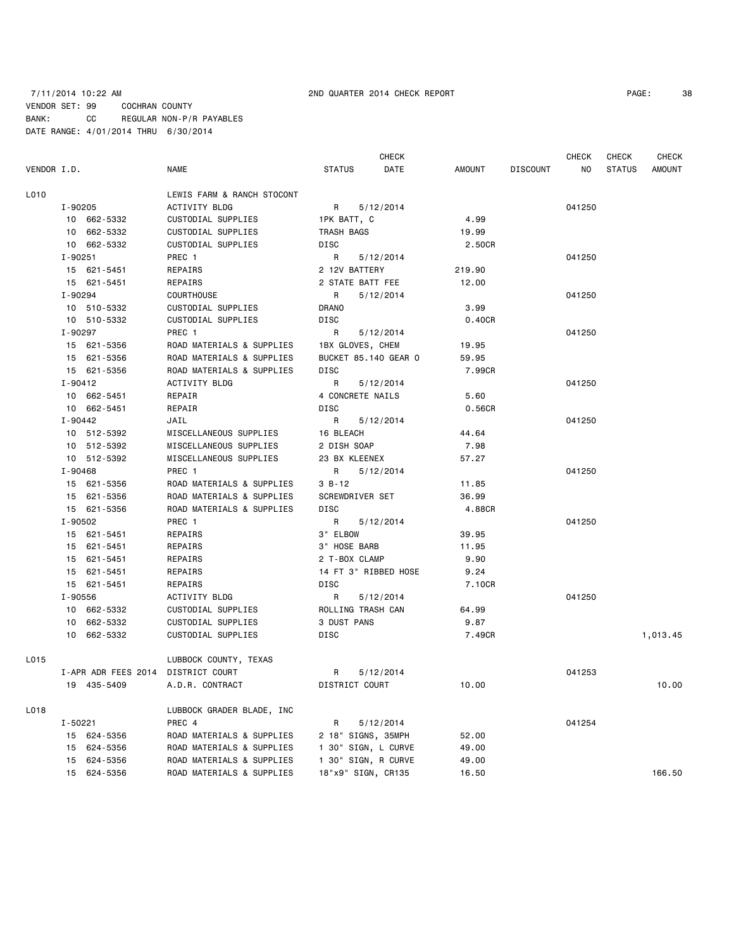|             |             |                     |                            |                   | <b>CHECK</b>         |        |          | CHECK  | CHECK         | <b>CHECK</b> |
|-------------|-------------|---------------------|----------------------------|-------------------|----------------------|--------|----------|--------|---------------|--------------|
| VENDOR I.D. |             |                     | NAME                       | <b>STATUS</b>     | DATE                 | AMOUNT | DISCOUNT | NO     | <b>STATUS</b> | AMOUNT       |
| L010        |             |                     | LEWIS FARM & RANCH STOCONT |                   |                      |        |          |        |               |              |
|             | I-90205     |                     | ACTIVITY BLDG              | R a               | 5/12/2014            |        |          | 041250 |               |              |
|             |             | 10 662-5332         | CUSTODIAL SUPPLIES         | 1PK BATT, C       |                      | 4.99   |          |        |               |              |
|             |             | 10 662-5332         | CUSTODIAL SUPPLIES         | TRASH BAGS        |                      | 19.99  |          |        |               |              |
|             |             | 10 662-5332         | CUSTODIAL SUPPLIES         | DISC              |                      | 2.50CR |          |        |               |              |
|             | I-90251     |                     | PREC 1                     | R                 | 5/12/2014            |        |          | 041250 |               |              |
|             |             | 15 621-5451         | REPAIRS                    | 2 12V BATTERY     |                      | 219.90 |          |        |               |              |
|             |             | 15 621-5451         | REPAIRS                    | 2 STATE BATT FEE  |                      | 12.00  |          |        |               |              |
|             | I-90294     |                     | COURTHOUSE                 | R                 | 5/12/2014            |        |          | 041250 |               |              |
|             |             | 10 510-5332         | CUSTODIAL SUPPLIES         | DRANO             |                      | 3.99   |          |        |               |              |
|             |             | 10 510-5332         | CUSTODIAL SUPPLIES         | DISC              |                      | 0.40CR |          |        |               |              |
|             | I-90297     |                     | PREC 1                     | R                 | 5/12/2014            |        |          | 041250 |               |              |
|             |             | 15 621-5356         | ROAD MATERIALS & SUPPLIES  | 1BX GLOVES, CHEM  |                      | 19.95  |          |        |               |              |
|             |             | 15 621-5356         | ROAD MATERIALS & SUPPLIES  |                   | BUCKET 85.140 GEAR O | 59.95  |          |        |               |              |
|             |             | 15 621-5356         | ROAD MATERIALS & SUPPLIES  | <b>DISC</b>       |                      | 7.99CR |          |        |               |              |
|             | I-90412     |                     | ACTIVITY BLDG              | R                 | 5/12/2014            |        |          | 041250 |               |              |
|             |             | 10 662-5451         | REPAIR                     | 4 CONCRETE NAILS  |                      | 5.60   |          |        |               |              |
|             |             | 10 662-5451         | REPAIR                     | DISC              |                      | 0.56CR |          |        |               |              |
|             | I-90442     |                     | JAIL                       | R                 | 5/12/2014            |        |          | 041250 |               |              |
|             |             | 10 512-5392         | MISCELLANEOUS SUPPLIES     | 16 BLEACH         |                      | 44.64  |          |        |               |              |
|             |             | 10 512-5392         | MISCELLANEOUS SUPPLIES     | 2 DISH SOAP       |                      | 7.98   |          |        |               |              |
|             |             | 10 512-5392         | MISCELLANEOUS SUPPLIES     | 23 BX KLEENEX     |                      | 57.27  |          |        |               |              |
|             | I-90468     |                     | PREC <sub>1</sub>          | R                 | 5/12/2014            |        |          | 041250 |               |              |
|             |             | 15 621-5356         | ROAD MATERIALS & SUPPLIES  | $3 B - 12$        |                      | 11.85  |          |        |               |              |
|             |             | 15 621-5356         | ROAD MATERIALS & SUPPLIES  | SCREWDRIVER SET   |                      | 36.99  |          |        |               |              |
|             |             | 15 621-5356         | ROAD MATERIALS & SUPPLIES  | DISC              |                      | 4.88CR |          |        |               |              |
|             | I-90502     |                     | PREC 1                     | R                 | 5/12/2014            |        |          | 041250 |               |              |
|             |             | 15 621-5451         | REPAIRS                    | 3" ELBOW          |                      | 39.95  |          |        |               |              |
|             |             | 15 621-5451         | REPAIRS                    | 3" HOSE BARB      |                      | 11.95  |          |        |               |              |
|             |             | 15 621-5451         | REPAIRS                    | 2 T-BOX CLAMP     |                      | 9.90   |          |        |               |              |
|             |             | 15 621-5451         | REPAIRS                    |                   | 14 FT 3" RIBBED HOSE | 9.24   |          |        |               |              |
|             |             | 15 621-5451         | REPAIRS                    | DISC              |                      | 7.10CR |          |        |               |              |
|             | I-90556     |                     | ACTIVITY BLDG              | R                 | 5/12/2014            |        |          | 041250 |               |              |
|             |             | 10 662-5332         | CUSTODIAL SUPPLIES         | ROLLING TRASH CAN |                      | 64.99  |          |        |               |              |
|             |             | 10 662-5332         | CUSTODIAL SUPPLIES         | 3 DUST PANS       |                      | 9.87   |          |        |               |              |
|             |             | 10 662-5332         | <b>CUSTODIAL SUPPLIES</b>  | DISC              |                      | 7.49CR |          |        |               | 1,013.45     |
| L015        |             |                     | LUBBOCK COUNTY, TEXAS      |                   |                      |        |          |        |               |              |
|             |             | I-APR ADR FEES 2014 | DISTRICT COURT             | R                 | 5/12/2014            |        |          | 041253 |               |              |
|             |             | 19 435-5409         | A.D.R. CONTRACT            | DISTRICT COURT    |                      | 10.00  |          |        |               | 10.00        |
| L018        |             |                     | LUBBOCK GRADER BLADE, INC  |                   |                      |        |          |        |               |              |
|             | $I - 50221$ |                     | PREC 4                     | R                 | 5/12/2014            |        |          | 041254 |               |              |
|             |             | 15 624-5356         | ROAD MATERIALS & SUPPLIES  |                   | 2 18" SIGNS, 35MPH   | 52.00  |          |        |               |              |
|             | 15          | 624-5356            | ROAD MATERIALS & SUPPLIES  |                   | 1 30" SIGN, L CURVE  | 49.00  |          |        |               |              |
|             | 15          | 624-5356            | ROAD MATERIALS & SUPPLIES  |                   | 1 30" SIGN, R CURVE  | 49.00  |          |        |               |              |
|             |             | 15 624-5356         | ROAD MATERIALS & SUPPLIES  |                   | 18"x9" SIGN, CR135   | 16.50  |          |        |               | 166.50       |
|             |             |                     |                            |                   |                      |        |          |        |               |              |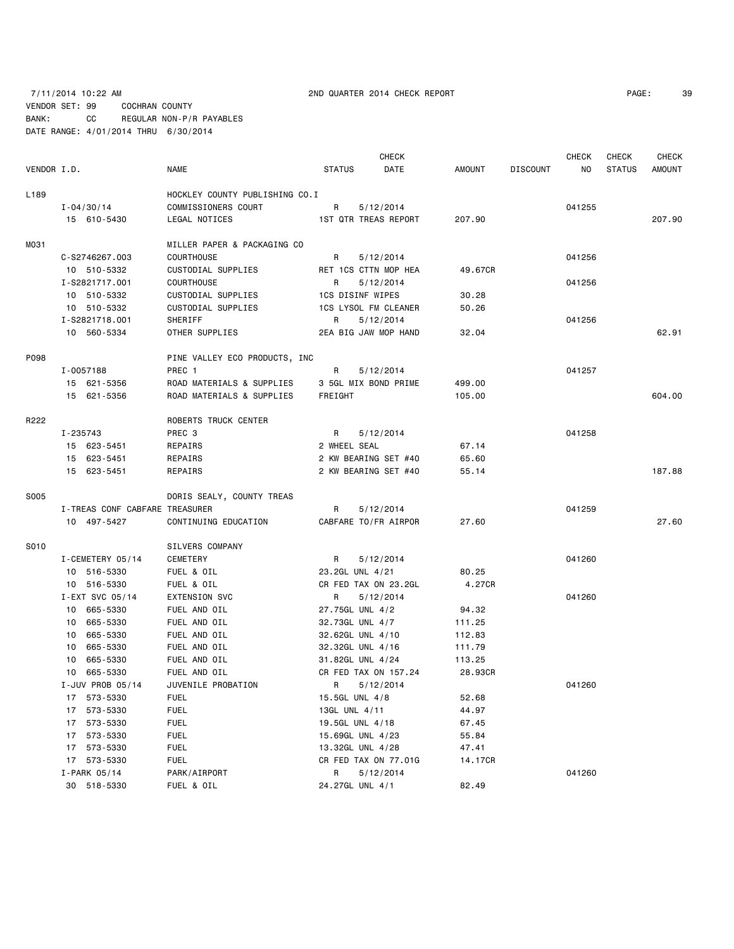# 7/11/2014 10:22 AM 2ND QUARTER 2014 CHECK REPORT PAGE: 39 VENDOR SET: 99 COCHRAN COUNTY BANK: CC REGULAR NON-P/R PAYABLES DATE RANGE: 4/01/2014 THRU 6/30/2014

|                  |                                |                                |                         | <b>CHECK</b>         |         |                 | <b>CHECK</b> | <b>CHECK</b>  | <b>CHECK</b> |
|------------------|--------------------------------|--------------------------------|-------------------------|----------------------|---------|-----------------|--------------|---------------|--------------|
| VENDOR I.D.      |                                | <b>NAME</b>                    | <b>STATUS</b>           | DATE                 | AMOUNT  | <b>DISCOUNT</b> | NO.          | <b>STATUS</b> | AMOUNT       |
| L <sub>189</sub> |                                | HOCKLEY COUNTY PUBLISHING CO.I |                         |                      |         |                 |              |               |              |
|                  | $I - 04/30/14$                 | COMMISSIONERS COURT            | R                       | 5/12/2014            |         |                 | 041255       |               |              |
|                  | 15 610-5430                    | LEGAL NOTICES                  |                         | 1ST QTR TREAS REPORT | 207.90  |                 |              |               | 207.90       |
|                  |                                |                                |                         |                      |         |                 |              |               |              |
| M031             |                                | MILLER PAPER & PACKAGING CO    |                         |                      |         |                 |              |               |              |
|                  | C-S2746267.003                 | <b>COURTHOUSE</b>              | R                       | 5/12/2014            |         |                 | 041256       |               |              |
|                  | 10 510-5332                    | CUSTODIAL SUPPLIES             |                         | RET 1CS CTTN MOP HEA | 49.67CR |                 |              |               |              |
|                  | I-S2821717.001                 | <b>COURTHOUSE</b>              | R                       | 5/12/2014            |         |                 | 041256       |               |              |
|                  | 10 510-5332                    | CUSTODIAL SUPPLIES             | <b>1CS DISINF WIPES</b> |                      | 30.28   |                 |              |               |              |
|                  | 10 510-5332                    | CUSTODIAL SUPPLIES             |                         | 1CS LYSOL FM CLEANER | 50.26   |                 |              |               |              |
|                  | I-S2821718.001                 | SHERIFF                        | R                       | 5/12/2014            |         |                 | 041256       |               |              |
|                  | 10 560-5334                    | OTHER SUPPLIES                 |                         | 2EA BIG JAW MOP HAND | 32.04   |                 |              |               | 62.91        |
| P098             |                                | PINE VALLEY ECO PRODUCTS, INC  |                         |                      |         |                 |              |               |              |
|                  | I-0057188                      | PREC 1                         | R                       | 5/12/2014            |         |                 | 041257       |               |              |
|                  | 15 621-5356                    | ROAD MATERIALS & SUPPLIES      |                         | 3 5GL MIX BOND PRIME | 499.00  |                 |              |               |              |
|                  | 15 621-5356                    | ROAD MATERIALS & SUPPLIES      | FREIGHT                 |                      | 105.00  |                 |              |               | 604.00       |
|                  |                                |                                |                         |                      |         |                 |              |               |              |
| R222             |                                | ROBERTS TRUCK CENTER           |                         |                      |         |                 |              |               |              |
|                  | I-235743                       | PREC 3<br>REPAIRS              | R                       | 5/12/2014            |         |                 | 041258       |               |              |
|                  | 15 623-5451                    |                                | 2 WHEEL SEAL            | 2 KW BEARING SET #40 | 67.14   |                 |              |               |              |
|                  | 15 623-5451                    | REPAIRS                        |                         | 2 KW BEARING SET #40 | 65.60   |                 |              |               | 187.88       |
|                  | 15 623-5451                    | REPAIRS                        |                         |                      | 55.14   |                 |              |               |              |
| S005             |                                | DORIS SEALY, COUNTY TREAS      |                         |                      |         |                 |              |               |              |
|                  | I-TREAS CONF CABFARE TREASURER |                                | R                       | 5/12/2014            |         |                 | 041259       |               |              |
|                  | 10 497-5427                    | CONTINUING EDUCATION           |                         | CABFARE TO/FR AIRPOR | 27.60   |                 |              |               | 27.60        |
| S010             |                                | SILVERS COMPANY                |                         |                      |         |                 |              |               |              |
|                  | I-CEMETERY 05/14               | CEMETERY                       | R                       | 5/12/2014            |         |                 | 041260       |               |              |
|                  | 10 516-5330                    | FUEL & OIL                     | 23.2GL UNL 4/21         |                      | 80.25   |                 |              |               |              |
|                  | 10 516-5330                    | FUEL & OIL                     |                         | CR FED TAX ON 23.2GL | 4.27CR  |                 |              |               |              |
|                  | I-EXT SVC 05/14                | <b>EXTENSION SVC</b>           | R                       | 5/12/2014            |         |                 | 041260       |               |              |
|                  | 10 665-5330                    | FUEL AND OIL                   | 27.75GL UNL 4/2         |                      | 94.32   |                 |              |               |              |
|                  | 10 665-5330                    | FUEL AND OIL                   | 32.73GL UNL 4/7         |                      | 111.25  |                 |              |               |              |
|                  | 10 665-5330                    | FUEL AND OIL                   | 32.62GL UNL 4/10        |                      | 112.83  |                 |              |               |              |
|                  | 10 665-5330                    | FUEL AND OIL                   | 32.32GL UNL 4/16        |                      | 111.79  |                 |              |               |              |
|                  | 10 665-5330                    | FUEL AND OIL                   | 31.82GL UNL 4/24        |                      | 113.25  |                 |              |               |              |
|                  | 10 665-5330                    | FUEL AND OIL                   |                         | CR FED TAX ON 157.24 | 28.93CR |                 |              |               |              |
|                  | I-JUV PROB 05/14               | JUVENILE PROBATION             | R.                      | 5/12/2014            |         |                 | 041260       |               |              |
|                  | 17 573-5330                    | <b>FUEL</b>                    | 15.5GL UNL 4/8          |                      | 52.68   |                 |              |               |              |
|                  | 573-5330<br>17                 | <b>FUEL</b>                    | 13GL UNL 4/11           |                      | 44.97   |                 |              |               |              |
|                  | 573-5330<br>17                 | <b>FUEL</b>                    | 19.5GL UNL 4/18         |                      | 67.45   |                 |              |               |              |
|                  | 573-5330<br>17                 | <b>FUEL</b>                    | 15.69GL UNL 4/23        |                      | 55.84   |                 |              |               |              |
|                  | 573-5330<br>17                 | <b>FUEL</b>                    | 13.32GL UNL 4/28        |                      | 47.41   |                 |              |               |              |
|                  | 17 573-5330                    | <b>FUEL</b>                    |                         | CR FED TAX ON 77.01G | 14.17CR |                 |              |               |              |
|                  | I-PARK 05/14                   | PARK/AIRPORT                   | R                       | 5/12/2014            |         |                 | 041260       |               |              |
|                  | 30 518-5330                    | FUEL & OIL                     | 24.27GL UNL 4/1         |                      | 82.49   |                 |              |               |              |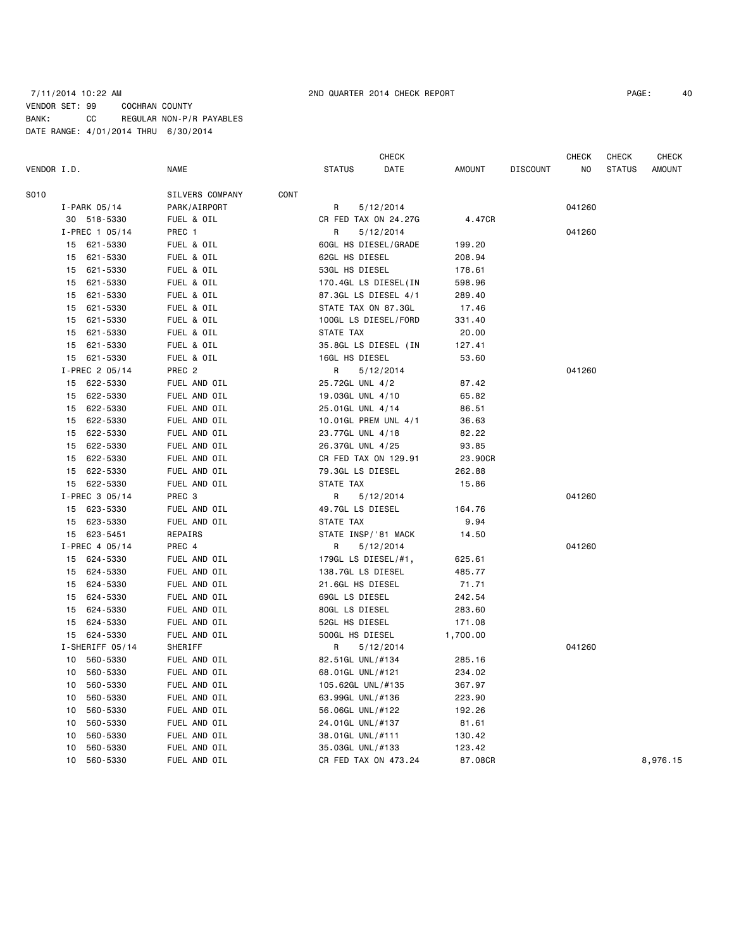# 7/11/2014 10:22 AM 2ND QUARTER 2014 CHECK REPORT PAGE: 40 VENDOR SET: 99 COCHRAN COUNTY BANK: CC REGULAR NON-P/R PAYABLES DATE RANGE: 4/01/2014 THRU 6/30/2014

CHECK CHECK CHECK CHECK CHECK

| VENDOR I.D. |    |                  | <b>NAME</b>       |      | STATUS              | DATE                 | AMOUNT   | <b>DISCOUNT</b> | NO     | <b>STATUS</b> | <b>AMOUNT</b> |
|-------------|----|------------------|-------------------|------|---------------------|----------------------|----------|-----------------|--------|---------------|---------------|
| S010        |    |                  | SILVERS COMPANY   | CONT |                     |                      |          |                 |        |               |               |
|             |    | I-PARK 05/14     | PARK/AIRPORT      |      | R                   | 5/12/2014            |          |                 | 041260 |               |               |
|             |    | 30 518-5330      | FUEL & OIL        |      |                     | CR FED TAX ON 24.27G | 4.47CR   |                 |        |               |               |
|             |    | $I-PREC$ 1 05/14 | PREC 1            |      | R                   | 5/12/2014            |          |                 | 041260 |               |               |
|             |    | 15 621-5330      | FUEL & OIL        |      |                     | 60GL HS DIESEL/GRADE | 199.20   |                 |        |               |               |
|             | 15 | 621-5330         | FUEL & OIL        |      | 62GL HS DIESEL      |                      | 208.94   |                 |        |               |               |
|             |    | 15 621-5330      | FUEL & OIL        |      | 53GL HS DIESEL      |                      | 178.61   |                 |        |               |               |
|             | 15 | 621-5330         | FUEL & OIL        |      |                     | 170.4GL LS DIESEL(IN | 598.96   |                 |        |               |               |
|             | 15 | 621-5330         | FUEL & OIL        |      |                     | 87.3GL LS DIESEL 4/1 | 289.40   |                 |        |               |               |
|             | 15 | 621-5330         | FUEL & OIL        |      | STATE TAX ON 87.3GL |                      | 17.46    |                 |        |               |               |
|             | 15 | 621-5330         | FUEL & OIL        |      |                     | 100GL LS DIESEL/FORD | 331.40   |                 |        |               |               |
|             |    | 15 621-5330      | FUEL & OIL        |      | STATE TAX           |                      | 20.00    |                 |        |               |               |
|             |    | 15 621-5330      | FUEL & OIL        |      |                     | 35.8GL LS DIESEL (IN | 127.41   |                 |        |               |               |
|             |    | 15 621-5330      | FUEL & OIL        |      | 16GL HS DIESEL      |                      | 53.60    |                 |        |               |               |
|             |    | I-PREC 2 05/14   | PREC <sub>2</sub> |      | R                   | 5/12/2014            |          |                 | 041260 |               |               |
|             |    | 15 622-5330      | FUEL AND OIL      |      | 25.72GL UNL 4/2     |                      | 87.42    |                 |        |               |               |
|             |    | 15 622-5330      | FUEL AND OIL      |      | 19.03GL UNL 4/10    |                      | 65.82    |                 |        |               |               |
|             |    | 15 622-5330      | FUEL AND OIL      |      | 25.01GL UNL 4/14    |                      | 86.51    |                 |        |               |               |
|             | 15 | 622-5330         | FUEL AND OIL      |      |                     | 10.01GL PREM UNL 4/1 | 36.63    |                 |        |               |               |
|             | 15 | 622-5330         | FUEL AND OIL      |      | 23.77GL UNL 4/18    |                      | 82.22    |                 |        |               |               |
|             |    | 15 622-5330      | FUEL AND OIL      |      | 26.37GL UNL 4/25    |                      | 93.85    |                 |        |               |               |
|             |    | 15 622-5330      | FUEL AND OIL      |      |                     | CR FED TAX ON 129.91 | 23.90CR  |                 |        |               |               |
|             |    | 15 622-5330      | FUEL AND OIL      |      | 79.3GL LS DIESEL    |                      | 262.88   |                 |        |               |               |
|             |    | 15 622-5330      | FUEL AND OIL      |      | STATE TAX           |                      | 15.86    |                 |        |               |               |
|             |    | I-PREC 3 05/14   | PREC 3            |      | R                   | 5/12/2014            |          |                 | 041260 |               |               |
|             |    | 15 623-5330      | FUEL AND OIL      |      | 49.7GL LS DIESEL    |                      | 164.76   |                 |        |               |               |
|             |    | 15 623-5330      | FUEL AND OIL      |      | STATE TAX           |                      | 9.94     |                 |        |               |               |
|             |    | 15 623-5451      | REPAIRS           |      | STATE INSP/'81 MACK |                      | 14.50    |                 |        |               |               |
|             |    | I-PREC 4 05/14   | PREC 4            |      | R                   | 5/12/2014            |          |                 | 041260 |               |               |
|             |    | 15 624-5330      | FUEL AND OIL      |      | 179GL LS DIESEL/#1, |                      | 625.61   |                 |        |               |               |
|             |    | 15 624-5330      | FUEL AND OIL      |      | 138.7GL LS DIESEL   |                      | 485.77   |                 |        |               |               |
|             |    | 15 624-5330      | FUEL AND OIL      |      | 21.6GL HS DIESEL    |                      | 71.71    |                 |        |               |               |
|             |    | 15 624-5330      | FUEL AND OIL      |      | 69GL LS DIESEL      |                      | 242.54   |                 |        |               |               |
|             |    | 15 624-5330      | FUEL AND OIL      |      | 80GL LS DIESEL      |                      | 283.60   |                 |        |               |               |
|             | 15 | 624-5330         | FUEL AND OIL      |      | 52GL HS DIESEL      |                      | 171.08   |                 |        |               |               |
|             |    | 15 624-5330      | FUEL AND OIL      |      | 500GL HS DIESEL     |                      | 1,700.00 |                 |        |               |               |
|             |    | I-SHERIFF 05/14  | SHERIFF           |      | R                   | 5/12/2014            |          |                 | 041260 |               |               |
|             |    | 10 560-5330      | FUEL AND OIL      |      | 82.51GL UNL/#134    |                      | 285.16   |                 |        |               |               |
|             | 10 | 560-5330         | FUEL AND OIL      |      | 68.01GL UNL/#121    |                      | 234.02   |                 |        |               |               |
|             | 10 | 560-5330         | FUEL AND OIL      |      | 105.62GL UNL/#135   |                      | 367.97   |                 |        |               |               |
|             | 10 | 560-5330         | FUEL AND OIL      |      | 63.99GL UNL/#136    |                      | 223.90   |                 |        |               |               |
|             | 10 | 560-5330         | FUEL AND OIL      |      | 56.06GL UNL/#122    |                      | 192.26   |                 |        |               |               |
|             | 10 | 560-5330         | FUEL AND OIL      |      | 24.01GL UNL/#137    |                      | 81.61    |                 |        |               |               |
|             | 10 | 560-5330         | FUEL AND OIL      |      | 38.01GL UNL/#111    |                      | 130.42   |                 |        |               |               |
|             | 10 | 560-5330         | FUEL AND OIL      |      | 35.03GL UNL/#133    |                      | 123.42   |                 |        |               |               |
|             | 10 | 560-5330         | FUEL AND OIL      |      |                     | CR FED TAX ON 473.24 | 87.08CR  |                 |        |               | 8,976.15      |
|             |    |                  |                   |      |                     |                      |          |                 |        |               |               |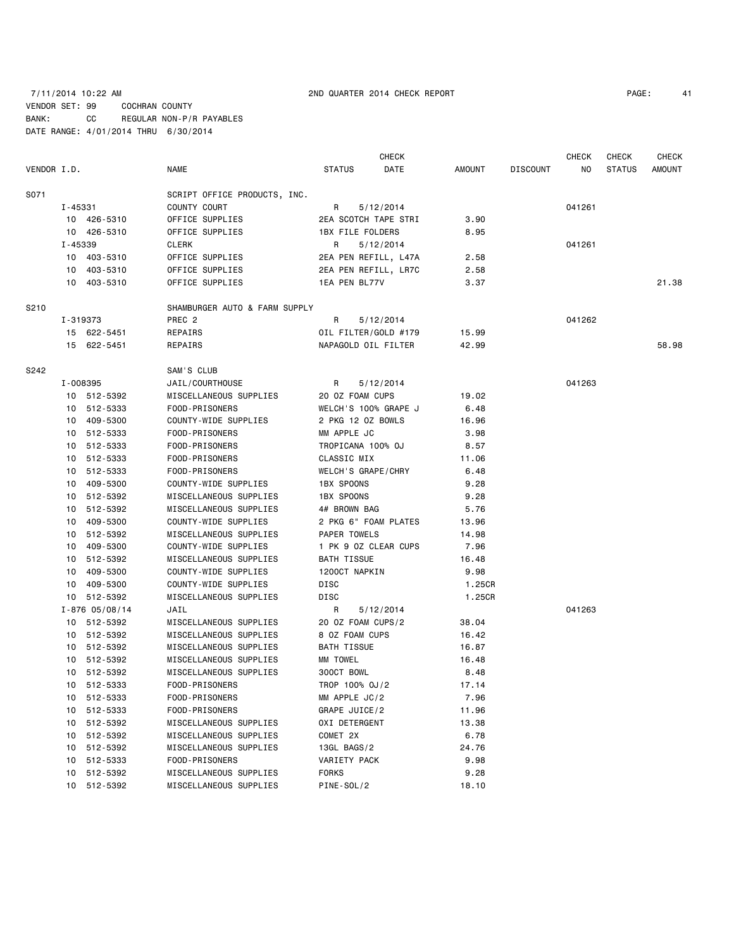|             |         |                    |                               |                         | CHECK                |        |                 | <b>CHECK</b> | <b>CHECK</b>  | <b>CHECK</b> |
|-------------|---------|--------------------|-------------------------------|-------------------------|----------------------|--------|-----------------|--------------|---------------|--------------|
| VENDOR I.D. |         |                    | <b>NAME</b>                   | <b>STATUS</b>           | DATE                 | AMOUNT | <b>DISCOUNT</b> | NO.          | <b>STATUS</b> | AMOUNT       |
| S071        |         |                    | SCRIPT OFFICE PRODUCTS, INC.  |                         |                      |        |                 |              |               |              |
|             | I-45331 |                    | COUNTY COURT                  | R                       | 5/12/2014            |        |                 | 041261       |               |              |
|             |         | 10 426-5310        | OFFICE SUPPLIES               |                         | 2EA SCOTCH TAPE STRI | 3.90   |                 |              |               |              |
|             |         | 10 426-5310        | OFFICE SUPPLIES               | <b>1BX FILE FOLDERS</b> |                      | 8.95   |                 |              |               |              |
|             | I-45339 |                    | <b>CLERK</b>                  | R                       | 5/12/2014            |        |                 | 041261       |               |              |
|             |         | 10 403-5310        | OFFICE SUPPLIES               |                         | 2EA PEN REFILL, L47A | 2.58   |                 |              |               |              |
|             |         | 10 403-5310        | OFFICE SUPPLIES               |                         | 2EA PEN REFILL, LR7C | 2.58   |                 |              |               |              |
|             |         | 10 403-5310        | OFFICE SUPPLIES               | 1EA PEN BL77V           |                      | 3.37   |                 |              |               | 21.38        |
| S210        |         |                    | SHAMBURGER AUTO & FARM SUPPLY |                         |                      |        |                 |              |               |              |
|             |         | I-319373           | PREC 2                        | R                       | 5/12/2014            |        |                 | 041262       |               |              |
|             |         | 15 622-5451        | REPAIRS                       |                         | OIL FILTER/GOLD #179 | 15.99  |                 |              |               |              |
|             |         | 15 622-5451        | REPAIRS                       | NAPAGOLD OIL FILTER     |                      | 42.99  |                 |              |               | 58.98        |
| S242        |         |                    | SAM'S CLUB                    |                         |                      |        |                 |              |               |              |
|             |         | I-008395           | JAIL/COURTHOUSE               | R                       | 5/12/2014            |        |                 | 041263       |               |              |
|             |         | 10 512-5392        | MISCELLANEOUS SUPPLIES        | 20 OZ FOAM CUPS         |                      | 19.02  |                 |              |               |              |
|             |         | 10 512-5333        | FOOD-PRISONERS                |                         | WELCH'S 100% GRAPE J | 6.48   |                 |              |               |              |
|             |         | 10 409-5300        | COUNTY-WIDE SUPPLIES          | 2 PKG 12 OZ BOWLS       |                      | 16.96  |                 |              |               |              |
|             | 10      | 512-5333           | FOOD-PRISONERS                | MM APPLE JC             |                      | 3.98   |                 |              |               |              |
|             |         | 10 512-5333        | FOOD-PRISONERS                | TROPICANA 100% OJ       |                      | 8.57   |                 |              |               |              |
|             |         | 10 512-5333        | FOOD-PRISONERS                | CLASSIC MIX             |                      | 11.06  |                 |              |               |              |
|             |         | 10 512-5333        | FOOD-PRISONERS                | WELCH'S GRAPE/CHRY      |                      | 6.48   |                 |              |               |              |
|             | 10      | 409-5300           | COUNTY-WIDE SUPPLIES          | <b>1BX SPOONS</b>       |                      | 9.28   |                 |              |               |              |
|             |         | 10 512-5392        | MISCELLANEOUS SUPPLIES        | 1BX SPOONS              |                      | 9.28   |                 |              |               |              |
|             |         | 10 512-5392        | MISCELLANEOUS SUPPLIES        | 4# BROWN BAG            |                      | 5.76   |                 |              |               |              |
|             |         | 10 409-5300        | COUNTY-WIDE SUPPLIES          |                         | 2 PKG 6" FOAM PLATES | 13.96  |                 |              |               |              |
|             | 10      | 512-5392           | MISCELLANEOUS SUPPLIES        | PAPER TOWELS            |                      | 14.98  |                 |              |               |              |
|             | 10      | 409-5300           | COUNTY-WIDE SUPPLIES          |                         | 1 PK 9 0Z CLEAR CUPS | 7.96   |                 |              |               |              |
|             |         | 10 512-5392        | MISCELLANEOUS SUPPLIES        | BATH TISSUE             |                      | 16.48  |                 |              |               |              |
|             |         | 10 409-5300        | COUNTY-WIDE SUPPLIES          | 1200CT NAPKIN           |                      | 9.98   |                 |              |               |              |
|             | 10      | 409-5300           | COUNTY-WIDE SUPPLIES          | <b>DISC</b>             |                      | 1.25CR |                 |              |               |              |
|             |         | 10 512-5392        | MISCELLANEOUS SUPPLIES        | DISC                    |                      | 1.25CR |                 |              |               |              |
|             |         | $I - 876 05/08/14$ | JAIL                          | R.                      | 5/12/2014            |        |                 | 041263       |               |              |
|             |         | 10 512-5392        | MISCELLANEOUS SUPPLIES        | 20 OZ FOAM CUPS/2       |                      | 38.04  |                 |              |               |              |
|             |         | 10 512-5392        | MISCELLANEOUS SUPPLIES        | 8 OZ FOAM CUPS          |                      | 16.42  |                 |              |               |              |
|             |         | 10 512-5392        | MISCELLANEOUS SUPPLIES        | <b>BATH TISSUE</b>      |                      | 16.87  |                 |              |               |              |
|             |         | 10 512-5392        | MISCELLANEOUS SUPPLIES        | MM TOWEL                |                      | 16.48  |                 |              |               |              |
|             |         | 10 512-5392        | MISCELLANEOUS SUPPLIES        | 300CT BOWL              |                      | 8.48   |                 |              |               |              |
|             |         | 10 512-5333        | FOOD-PRISONERS                | TROP 100% OJ/2          |                      | 17.14  |                 |              |               |              |
|             |         | 10 512-5333        | FOOD-PRISONERS                | MM APPLE JC/2           |                      | 7.96   |                 |              |               |              |
|             |         | 10 512-5333        | FOOD-PRISONERS                | GRAPE JUICE/2           |                      | 11.96  |                 |              |               |              |
|             |         | 10 512-5392        | MISCELLANEOUS SUPPLIES        | OXI DETERGENT           |                      | 13.38  |                 |              |               |              |
|             | 10      | 512-5392           | MISCELLANEOUS SUPPLIES        | COMET 2X                |                      | 6.78   |                 |              |               |              |
|             |         | 10 512-5392        | MISCELLANEOUS SUPPLIES        | 13GL BAGS/2             |                      | 24.76  |                 |              |               |              |
|             |         | 10 512-5333        | FOOD-PRISONERS                | VARIETY PACK            |                      | 9.98   |                 |              |               |              |
|             |         | 10 512-5392        | MISCELLANEOUS SUPPLIES        | <b>FORKS</b>            |                      | 9.28   |                 |              |               |              |
|             | 10      | 512-5392           | MISCELLANEOUS SUPPLIES        | PINE-SOL/2              |                      | 18.10  |                 |              |               |              |
|             |         |                    |                               |                         |                      |        |                 |              |               |              |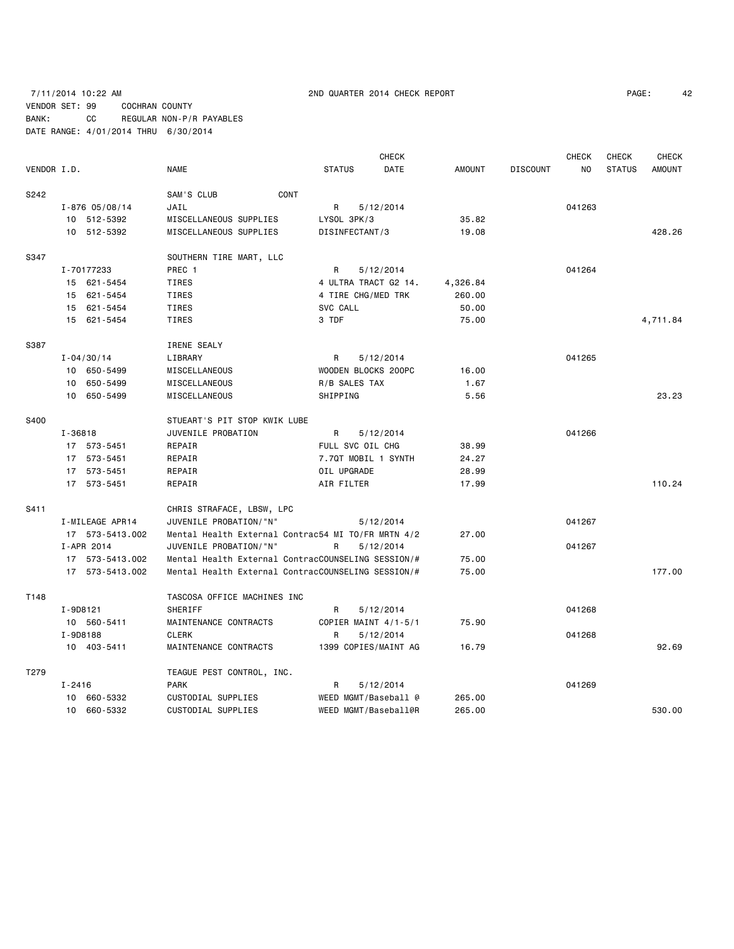# 7/11/2014 10:22 AM 2ND QUARTER 2014 CHECK REPORT PAGE: 42 VENDOR SET: 99 COCHRAN COUNTY BANK: CC REGULAR NON-P/R PAYABLES DATE RANGE: 4/01/2014 THRU 6/30/2014

|             |            |                    |                                                    |                      | <b>CHECK</b> |               |                 | <b>CHECK</b>   | <b>CHECK</b>  | <b>CHECK</b>  |
|-------------|------------|--------------------|----------------------------------------------------|----------------------|--------------|---------------|-----------------|----------------|---------------|---------------|
| VENDOR I.D. |            |                    | <b>NAME</b>                                        | <b>STATUS</b>        | DATE         | <b>AMOUNT</b> | <b>DISCOUNT</b> | N <sub>O</sub> | <b>STATUS</b> | <b>AMOUNT</b> |
| S242        |            |                    | SAM'S CLUB<br>CONT                                 |                      |              |               |                 |                |               |               |
|             |            | $I - 876 05/08/14$ | JAIL                                               | R                    | 5/12/2014    |               |                 | 041263         |               |               |
|             |            | 10 512-5392        | MISCELLANEOUS SUPPLIES                             | LYSOL 3PK/3          |              | 35.82         |                 |                |               |               |
|             |            | 10 512-5392        | MISCELLANEOUS SUPPLIES                             | DISINFECTANT/3       |              | 19.08         |                 |                |               | 428.26        |
| S347        |            |                    | SOUTHERN TIRE MART, LLC                            |                      |              |               |                 |                |               |               |
|             |            | I-70177233         | PREC 1                                             | R                    | 5/12/2014    |               |                 | 041264         |               |               |
|             |            | 15 621-5454        | <b>TIRES</b>                                       | 4 ULTRA TRACT G2 14. |              | 4,326.84      |                 |                |               |               |
|             |            | 15 621-5454        | <b>TIRES</b>                                       | 4 TIRE CHG/MED TRK   |              | 260.00        |                 |                |               |               |
|             |            | 15 621-5454        | <b>TIRES</b>                                       | SVC CALL             |              | 50.00         |                 |                |               |               |
|             |            | 15 621-5454        | <b>TIRES</b>                                       | 3 TDF                |              | 75.00         |                 |                |               | 4,711.84      |
| S387        |            |                    | IRENE SEALY                                        |                      |              |               |                 |                |               |               |
|             |            | $I - 04/30/14$     | LIBRARY                                            | R                    | 5/12/2014    |               |                 | 041265         |               |               |
|             |            | 10 650-5499        | MISCELLANEOUS                                      | WOODEN BLOCKS 200PC  |              | 16.00         |                 |                |               |               |
|             |            | 10 650-5499        | MISCELLANEOUS                                      | R/B SALES TAX        |              | 1.67          |                 |                |               |               |
|             |            | 10 650-5499        | MISCELLANEOUS                                      | SHIPPING             |              | 5.56          |                 |                |               | 23.23         |
| S400        |            |                    | STUEART'S PIT STOP KWIK LUBE                       |                      |              |               |                 |                |               |               |
|             | I-36818    |                    | JUVENILE PROBATION                                 | R                    | 5/12/2014    |               |                 | 041266         |               |               |
|             |            | 17 573-5451        | REPAIR                                             | FULL SVC OIL CHG     |              | 38.99         |                 |                |               |               |
|             |            | 17 573-5451        | REPAIR                                             | 7.7QT MOBIL 1 SYNTH  |              | 24.27         |                 |                |               |               |
|             |            | 17 573-5451        | REPAIR                                             | OIL UPGRADE          |              | 28.99         |                 |                |               |               |
|             |            | 17 573-5451        | REPAIR                                             | AIR FILTER           |              | 17.99         |                 |                |               | 110.24        |
| S411        |            |                    | CHRIS STRAFACE, LBSW, LPC                          |                      |              |               |                 |                |               |               |
|             |            | I-MILEAGE APR14    | JUVENILE PROBATION/"N"                             |                      | 5/12/2014    |               |                 | 041267         |               |               |
|             |            | 17 573-5413.002    | Mental Health External Contrac54 MI TO/FR MRTN 4/2 |                      |              | 27.00         |                 |                |               |               |
|             |            | I-APR 2014         | JUVENILE PROBATION/"N"                             | R                    | 5/12/2014    |               |                 | 041267         |               |               |
|             |            | 17 573-5413.002    | Mental Health External ContracCOUNSELING SESSION/# |                      |              | 75.00         |                 |                |               |               |
|             |            | 17 573-5413.002    | Mental Health External ContracCOUNSELING SESSION/# |                      |              | 75.00         |                 |                |               | 177.00        |
| T148        |            |                    | TASCOSA OFFICE MACHINES INC                        |                      |              |               |                 |                |               |               |
|             | I-9D8121   |                    | <b>SHERIFF</b>                                     | R                    | 5/12/2014    |               |                 | 041268         |               |               |
|             |            | 10 560-5411        | MAINTENANCE CONTRACTS                              | COPIER MAINT 4/1-5/1 |              | 75.90         |                 |                |               |               |
|             | I-9D8188   |                    | <b>CLERK</b>                                       | R                    | 5/12/2014    |               |                 | 041268         |               |               |
|             |            | 10 403-5411        | MAINTENANCE CONTRACTS                              | 1399 COPIES/MAINT AG |              | 16.79         |                 |                |               | 92.69         |
| T279        |            |                    | TEAGUE PEST CONTROL, INC.                          |                      |              |               |                 |                |               |               |
|             | $I - 2416$ |                    | <b>PARK</b>                                        | R                    | 5/12/2014    |               |                 | 041269         |               |               |
|             |            | 10 660-5332        | CUSTODIAL SUPPLIES                                 | WEED MGMT/Baseball @ |              | 265.00        |                 |                |               |               |
|             |            | 10 660-5332        | CUSTODIAL SUPPLIES                                 | WEED MGMT/Baseball@R |              | 265,00        |                 |                |               | 530.00        |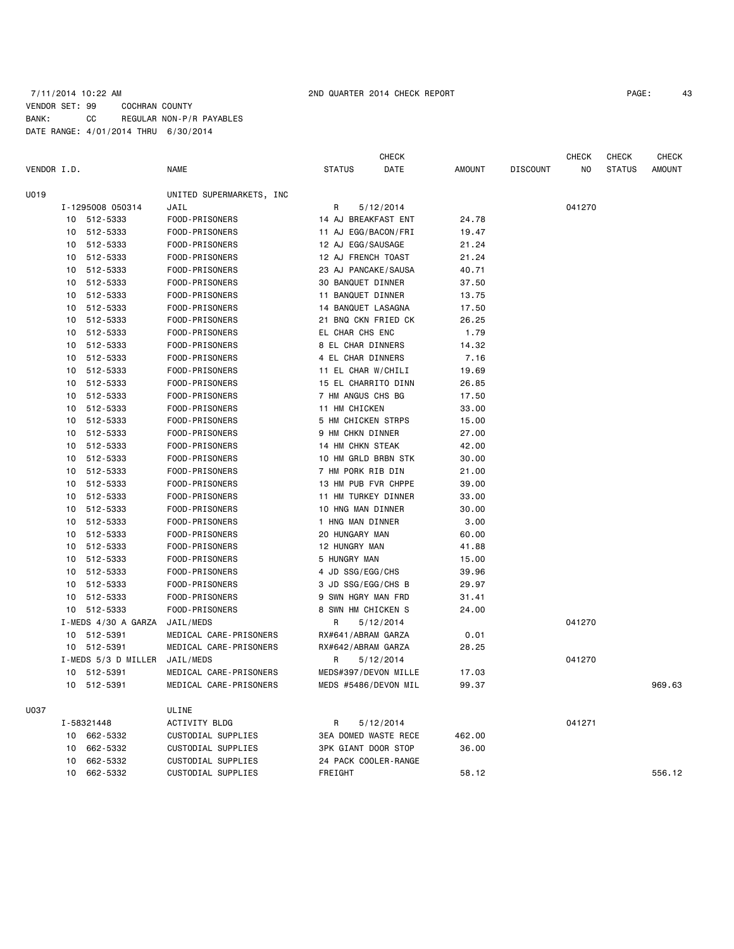# 7/11/2014 10:22 AM 2ND QUARTER 2014 CHECK REPORT PAGE: 43 VENDOR SET: 99 COCHRAN COUNTY BANK: CC REGULAR NON-P/R PAYABLES DATE RANGE: 4/01/2014 THRU 6/30/2014

|             |    |                     |                          |                            | CHECK                       |        |                 | <b>CHECK</b> | <b>CHECK</b>  | <b>CHECK</b>  |
|-------------|----|---------------------|--------------------------|----------------------------|-----------------------------|--------|-----------------|--------------|---------------|---------------|
| VENDOR I.D. |    |                     | NAME                     | <b>STATUS</b>              | DATE                        | AMOUNT | <b>DISCOUNT</b> | NO           | <b>STATUS</b> | <b>AMOUNT</b> |
| U019        |    |                     | UNITED SUPERMARKETS, INC |                            |                             |        |                 |              |               |               |
|             |    | I-1295008 050314    | JAIL                     | R                          | 5/12/2014                   |        |                 | 041270       |               |               |
|             |    | 10 512-5333         | FOOD-PRISONERS           | 14 AJ BREAKFAST ENT        |                             | 24.78  |                 |              |               |               |
|             |    | 10 512-5333         | FOOD-PRISONERS           | 11 AJ EGG/BACON/FRI        |                             | 19.47  |                 |              |               |               |
|             |    | 10 512-5333         | FOOD-PRISONERS           | 12 AJ EGG/SAUSAGE          |                             | 21.24  |                 |              |               |               |
|             |    | 10 512-5333         | FOOD-PRISONERS           | 12 AJ FRENCH TOAST         |                             | 21.24  |                 |              |               |               |
|             | 10 | 512-5333            | FOOD-PRISONERS           | 23 AJ PANCAKE/SAUSA        |                             | 40.71  |                 |              |               |               |
|             | 10 | 512-5333            | FOOD-PRISONERS           | 30 BANQUET DINNER          |                             | 37.50  |                 |              |               |               |
|             | 10 | 512-5333            | FOOD-PRISONERS           | 11 BANQUET DINNER          |                             | 13.75  |                 |              |               |               |
|             | 10 | 512-5333            | FOOD-PRISONERS           | 14 BANQUET LASAGNA         |                             | 17.50  |                 |              |               |               |
|             | 10 | 512-5333            | FOOD-PRISONERS           | 21 BNQ CKN FRIED CK        |                             | 26.25  |                 |              |               |               |
|             | 10 | 512-5333            | FOOD-PRISONERS           | EL CHAR CHS ENC            |                             | 1.79   |                 |              |               |               |
|             | 10 | 512-5333            | FOOD-PRISONERS           | 8 EL CHAR DINNERS          |                             | 14.32  |                 |              |               |               |
|             |    | 10 512-5333         | FOOD-PRISONERS           | 4 EL CHAR DINNERS          |                             | 7.16   |                 |              |               |               |
|             | 10 | 512-5333            | FOOD-PRISONERS           | 11 EL CHAR W/CHILI         |                             | 19.69  |                 |              |               |               |
|             |    | 10 512-5333         | FOOD-PRISONERS           | 15 EL CHARRITO DINN        |                             | 26.85  |                 |              |               |               |
|             | 10 | 512-5333            | FOOD-PRISONERS           | 7 HM ANGUS CHS BG          |                             | 17.50  |                 |              |               |               |
|             |    | 10 512-5333         | FOOD-PRISONERS           | 11 HM CHICKEN              |                             | 33.00  |                 |              |               |               |
|             | 10 | 512-5333            | FOOD-PRISONERS           | 5 HM CHICKEN STRPS         |                             | 15.00  |                 |              |               |               |
|             | 10 | 512-5333            | FOOD-PRISONERS           | 9 HM CHKN DINNER           |                             | 27.00  |                 |              |               |               |
|             | 10 | 512-5333            | FOOD-PRISONERS           | 14 HM CHKN STEAK           |                             | 42.00  |                 |              |               |               |
|             |    | 10 512-5333         | FOOD-PRISONERS           | 10 HM GRLD BRBN STK        |                             | 30.00  |                 |              |               |               |
|             | 10 | 512-5333            | FOOD-PRISONERS           | 7 HM PORK RIB DIN          |                             | 21.00  |                 |              |               |               |
|             | 10 | 512-5333            | FOOD-PRISONERS           | 13 HM PUB FVR CHPPE        |                             | 39.00  |                 |              |               |               |
|             | 10 | 512-5333            | FOOD-PRISONERS           | 11 HM TURKEY DINNER        |                             | 33.00  |                 |              |               |               |
|             | 10 | 512-5333            | FOOD-PRISONERS           | 10 HNG MAN DINNER          |                             | 30.00  |                 |              |               |               |
|             | 10 | 512-5333            | FOOD-PRISONERS           | 1 HNG MAN DINNER           |                             | 3.00   |                 |              |               |               |
|             | 10 | 512-5333            | FOOD-PRISONERS           | 20 HUNGARY MAN             |                             | 60.00  |                 |              |               |               |
|             | 10 | 512-5333            | FOOD-PRISONERS           | 12 HUNGRY MAN              |                             | 41.88  |                 |              |               |               |
|             |    | 10 512-5333         | FOOD-PRISONERS           | 5 HUNGRY MAN               |                             | 15.00  |                 |              |               |               |
|             | 10 | 512-5333            | FOOD-PRISONERS           | 4 JD SSG/EGG/CHS           |                             | 39.96  |                 |              |               |               |
|             |    | 10 512-5333         | FOOD-PRISONERS           | 3 JD SSG/EGG/CHS B         |                             | 29.97  |                 |              |               |               |
|             | 10 | 512-5333            | FOOD-PRISONERS           | 9 SWN HGRY MAN FRD         |                             | 31.41  |                 |              |               |               |
|             |    | 10 512-5333         | FOOD-PRISONERS           | 8 SWN HM CHICKEN S         |                             | 24.00  |                 |              |               |               |
|             |    | I-MEDS 4/30 A GARZA | JAIL/MEDS                | R                          | 5/12/2014                   |        |                 | 041270       |               |               |
|             |    | 10 512-5391         | MEDICAL CARE-PRISONERS   | RX#641/ABRAM GARZA         |                             | 0.01   |                 |              |               |               |
|             |    | 10 512-5391         | MEDICAL CARE-PRISONERS   | RX#642/ABRAM GARZA         |                             | 28.25  |                 |              |               |               |
|             |    | I-MEDS 5/3 D MILLER | JAIL/MEDS                | R                          | 5/12/2014                   |        |                 | 041270       |               |               |
|             |    | 10 512-5391         | MEDICAL CARE-PRISONERS   |                            | MEDS#397/DEVON MILLE        | 17.03  |                 |              |               |               |
|             |    | 10 512-5391         | MEDICAL CARE-PRISONERS   | MEDS #5486/DEVON MIL       |                             | 99.37  |                 |              |               | 969.63        |
| U037        |    |                     | ULINE                    |                            |                             |        |                 |              |               |               |
|             |    | I-58321448          | <b>ACTIVITY BLDG</b>     | R                          | 5/12/2014                   |        |                 | 041271       |               |               |
|             |    | 10 662-5332         | CUSTODIAL SUPPLIES       |                            | <b>3EA DOMED WASTE RECE</b> | 462.00 |                 |              |               |               |
|             |    | 10 662-5332         | CUSTODIAL SUPPLIES       | <b>3PK GIANT DOOR STOP</b> |                             | 36.00  |                 |              |               |               |
|             |    | 10 662-5332         | CUSTODIAL SUPPLIES       |                            | 24 PACK COOLER-RANGE        |        |                 |              |               |               |
|             | 10 | 662-5332            | CUSTODIAL SUPPLIES       | FREIGHT                    |                             | 58.12  |                 |              |               | 556.12        |
|             |    |                     |                          |                            |                             |        |                 |              |               |               |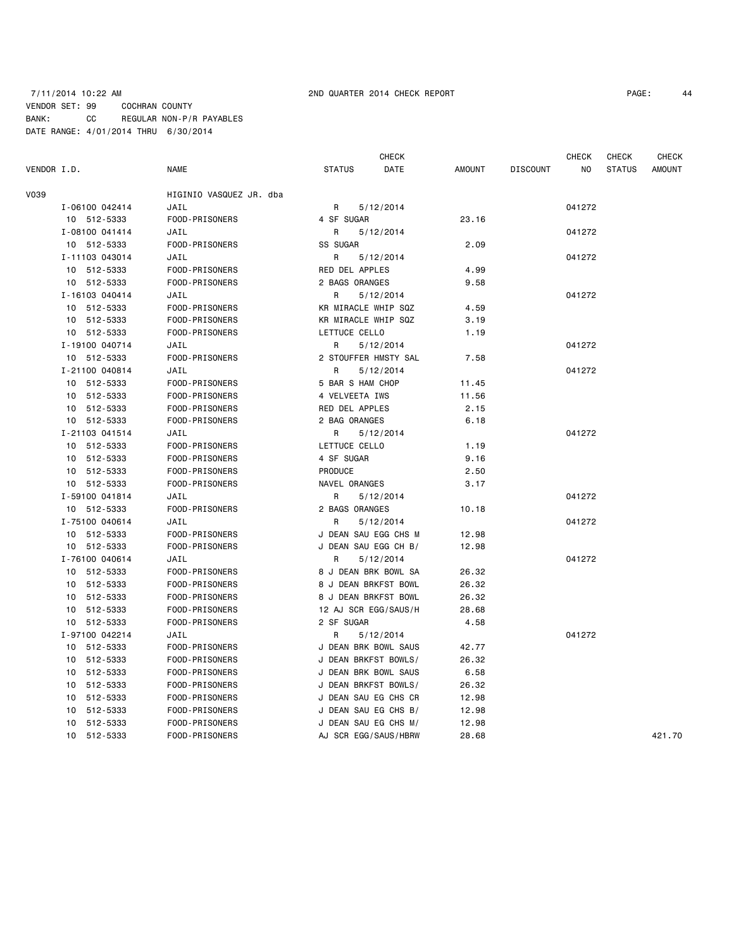# 7/11/2014 10:22 AM 2ND QUARTER 2014 CHECK REPORT PAGE: 44 VENDOR SET: 99 COCHRAN COUNTY BANK: CC REGULAR NON-P/R PAYABLES DATE RANGE: 4/01/2014 THRU 6/30/2014

|             |                |                         | <b>CHECK</b>         |                      |        |                 | <b>CHECK</b> | <b>CHECK</b>  | <b>CHECK</b>  |
|-------------|----------------|-------------------------|----------------------|----------------------|--------|-----------------|--------------|---------------|---------------|
| VENDOR I.D. |                | <b>NAME</b>             | <b>STATUS</b>        | DATE                 | AMOUNT | <b>DISCOUNT</b> | NO           | <b>STATUS</b> | <b>AMOUNT</b> |
| V039        |                | HIGINIO VASQUEZ JR. dba |                      |                      |        |                 |              |               |               |
|             | I-06100 042414 | JAIL                    | R                    | 5/12/2014            |        |                 | 041272       |               |               |
|             | 10 512-5333    | FOOD-PRISONERS          | 4 SF SUGAR           |                      | 23.16  |                 |              |               |               |
|             | I-08100 041414 | JAIL                    | R                    | 5/12/2014            |        |                 | 041272       |               |               |
|             | 10 512-5333    | FOOD-PRISONERS          | SS SUGAR             |                      | 2.09   |                 |              |               |               |
|             | I-11103 043014 | JAIL                    | R                    | 5/12/2014            |        |                 | 041272       |               |               |
|             | 10 512-5333    | FOOD-PRISONERS          | RED DEL APPLES       |                      | 4.99   |                 |              |               |               |
|             | 10 512-5333    | FOOD-PRISONERS          | 2 BAGS ORANGES       |                      | 9.58   |                 |              |               |               |
|             | I-16103 040414 | JAIL                    | R.                   | 5/12/2014            |        |                 | 041272       |               |               |
|             | 10 512-5333    | FOOD-PRISONERS          | KR MIRACLE WHIP SQZ  |                      | 4.59   |                 |              |               |               |
|             | 512-5333<br>10 | FOOD-PRISONERS          | KR MIRACLE WHIP SQZ  |                      | 3.19   |                 |              |               |               |
|             | 10 512-5333    | FOOD-PRISONERS          | LETTUCE CELLO        |                      | 1.19   |                 |              |               |               |
|             | I-19100 040714 | JAIL                    | R                    | 5/12/2014            |        |                 | 041272       |               |               |
|             | 10 512-5333    | FOOD-PRISONERS          |                      | 2 STOUFFER HMSTY SAL | 7.58   |                 |              |               |               |
|             | I-21100 040814 | JAIL                    | R                    | 5/12/2014            |        |                 | 041272       |               |               |
|             | 10 512-5333    | FOOD-PRISONERS          | 5 BAR S HAM CHOP     |                      | 11.45  |                 |              |               |               |
|             | 10 512-5333    | FOOD-PRISONERS          | 4 VELVEETA IWS       |                      | 11.56  |                 |              |               |               |
|             | 10 512-5333    | FOOD-PRISONERS          | RED DEL APPLES       |                      | 2.15   |                 |              |               |               |
|             | 10 512-5333    | FOOD-PRISONERS          | 2 BAG ORANGES        |                      | 6.18   |                 |              |               |               |
|             | I-21103 041514 | JAIL                    | R                    | 5/12/2014            |        |                 | 041272       |               |               |
|             | 10 512-5333    | FOOD-PRISONERS          | LETTUCE CELLO        |                      | 1.19   |                 |              |               |               |
|             | 10 512-5333    | FOOD-PRISONERS          | 4 SF SUGAR           |                      | 9.16   |                 |              |               |               |
|             | 10 512-5333    | FOOD-PRISONERS          | PRODUCE              |                      | 2.50   |                 |              |               |               |
|             | 10 512-5333    | FOOD-PRISONERS          | NAVEL ORANGES        |                      | 3.17   |                 |              |               |               |
|             | I-59100 041814 | JAIL                    | R                    | 5/12/2014            |        |                 | 041272       |               |               |
|             | 10 512-5333    | FOOD-PRISONERS          | 2 BAGS ORANGES       |                      | 10.18  |                 |              |               |               |
|             | I-75100 040614 | JAIL                    | R                    | 5/12/2014            |        |                 | 041272       |               |               |
|             | 10 512-5333    | FOOD-PRISONERS          |                      | J DEAN SAU EGG CHS M | 12.98  |                 |              |               |               |
|             | 10 512-5333    | FOOD-PRISONERS          |                      | J DEAN SAU EGG CH B/ | 12.98  |                 |              |               |               |
|             | I-76100 040614 | JAIL                    | R                    | 5/12/2014            |        |                 | 041272       |               |               |
|             | 10 512-5333    | FOOD-PRISONERS          |                      | 8 J DEAN BRK BOWL SA | 26.32  |                 |              |               |               |
|             | 10 512-5333    | FOOD-PRISONERS          |                      | 8 J DEAN BRKFST BOWL | 26.32  |                 |              |               |               |
|             | 10 512-5333    | FOOD-PRISONERS          |                      | 8 J DEAN BRKFST BOWL | 26.32  |                 |              |               |               |
|             | 10 512-5333    | FOOD-PRISONERS          |                      | 12 AJ SCR EGG/SAUS/H | 28.68  |                 |              |               |               |
|             | 10 512-5333    | FOOD-PRISONERS          | 2 SF SUGAR           |                      | 4.58   |                 |              |               |               |
|             | I-97100 042214 | JAIL                    | R                    | 5/12/2014            |        |                 | 041272       |               |               |
|             | 10 512-5333    | FOOD-PRISONERS          |                      | J DEAN BRK BOWL SAUS | 42.77  |                 |              |               |               |
|             | 10 512-5333    | FOOD-PRISONERS          |                      | J DEAN BRKFST BOWLS/ | 26.32  |                 |              |               |               |
|             | 10 512-5333    | FOOD-PRISONERS          |                      | J DEAN BRK BOWL SAUS | 6.58   |                 |              |               |               |
|             | 10<br>512-5333 | FOOD-PRISONERS          |                      | J DEAN BRKFST BOWLS/ | 26.32  |                 |              |               |               |
|             | 10 512-5333    | FOOD-PRISONERS          |                      | J DEAN SAU EG CHS CR | 12.98  |                 |              |               |               |
|             | 512-5333<br>10 | FOOD-PRISONERS          |                      | J DEAN SAU EG CHS B/ | 12.98  |                 |              |               |               |
|             | 512-5333<br>10 | FOOD-PRISONERS          | J DEAN SAU EG CHS M/ |                      | 12.98  |                 |              |               |               |
|             | 10 512-5333    | FOOD-PRISONERS          |                      | AJ SCR EGG/SAUS/HBRW | 28.68  |                 |              |               | 421.70        |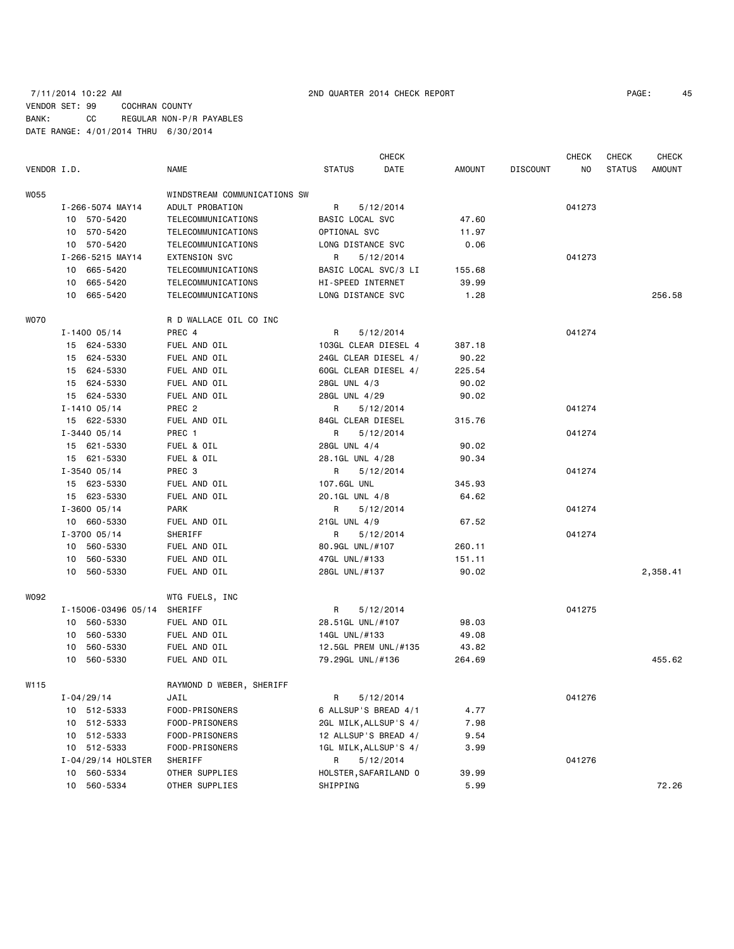# 7/11/2014 10:22 AM 2ND QUARTER 2014 CHECK REPORT PAGE: 45 VENDOR SET: 99 COCHRAN COUNTY BANK: CC REGULAR NON-P/R PAYABLES DATE RANGE: 4/01/2014 THRU 6/30/2014

|             |                     |                              |                   | <b>CHECK</b>          |        |                 | <b>CHECK</b> | <b>CHECK</b>  | <b>CHECK</b> |
|-------------|---------------------|------------------------------|-------------------|-----------------------|--------|-----------------|--------------|---------------|--------------|
| VENDOR I.D. |                     | NAME                         | <b>STATUS</b>     | DATE                  | AMOUNT | <b>DISCOUNT</b> | ΝO           | <b>STATUS</b> | AMOUNT       |
| W055        |                     | WINDSTREAM COMMUNICATIONS SW |                   |                       |        |                 |              |               |              |
|             | I-266-5074 MAY14    | ADULT PROBATION              | R                 | 5/12/2014             |        |                 | 041273       |               |              |
|             | 10 570-5420         | TELECOMMUNICATIONS           | BASIC LOCAL SVC   |                       | 47.60  |                 |              |               |              |
|             | 10 570-5420         | TELECOMMUNICATIONS           | OPTIONAL SVC      |                       | 11.97  |                 |              |               |              |
|             | 10 570-5420         | TELECOMMUNICATIONS           | LONG DISTANCE SVC |                       | 0.06   |                 |              |               |              |
|             | I-266-5215 MAY14    | <b>EXTENSION SVC</b>         | R                 | 5/12/2014             |        |                 | 041273       |               |              |
|             | 10 665-5420         | TELECOMMUNICATIONS           |                   | BASIC LOCAL SVC/3 LI  | 155.68 |                 |              |               |              |
|             | 10 665-5420         | TELECOMMUNICATIONS           | HI-SPEED INTERNET |                       | 39.99  |                 |              |               |              |
|             | 10 665-5420         | TELECOMMUNICATIONS           | LONG DISTANCE SVC |                       | 1.28   |                 |              |               | 256.58       |
| <b>WO70</b> |                     | R D WALLACE OIL CO INC       |                   |                       |        |                 |              |               |              |
|             | $I - 1400 05/14$    | PREC 4                       | R                 | 5/12/2014             |        |                 | 041274       |               |              |
|             | 15 624-5330         | FUEL AND OIL                 |                   | 103GL CLEAR DIESEL 4  | 387.18 |                 |              |               |              |
|             | 15 624-5330         | FUEL AND OIL                 |                   | 24GL CLEAR DIESEL 4/  | 90.22  |                 |              |               |              |
|             | 15 624-5330         | FUEL AND OIL                 |                   | 60GL CLEAR DIESEL 4/  | 225.54 |                 |              |               |              |
|             | 15 624-5330         | FUEL AND OIL                 | 28GL UNL 4/3      |                       | 90.02  |                 |              |               |              |
|             | 15 624-5330         | FUEL AND OIL                 | 28GL UNL 4/29     |                       | 90.02  |                 |              |               |              |
|             | $I - 1410005/14$    | PREC <sub>2</sub>            | R                 | 5/12/2014             |        |                 | 041274       |               |              |
|             | 15 622-5330         | FUEL AND OIL                 | 84GL CLEAR DIESEL |                       | 315.76 |                 |              |               |              |
|             | $I - 3440005/14$    | PREC 1                       | R                 | 5/12/2014             |        |                 | 041274       |               |              |
|             | 15 621-5330         | FUEL & OIL                   | 28GL UNL 4/4      |                       | 90.02  |                 |              |               |              |
|             | 15 621-5330         | FUEL & OIL                   | 28.1GL UNL 4/28   |                       | 90.34  |                 |              |               |              |
|             | $I - 3540005/14$    | PREC 3                       | R                 | 5/12/2014             |        |                 | 041274       |               |              |
|             | 15 623-5330         | FUEL AND OIL                 | 107.6GL UNL       |                       | 345.93 |                 |              |               |              |
|             | 15 623-5330         | FUEL AND OIL                 | 20.1GL UNL 4/8    |                       | 64.62  |                 |              |               |              |
|             | $I - 3600 05/14$    | PARK                         | R                 | 5/12/2014             |        |                 | 041274       |               |              |
|             | 10 660-5330         | FUEL AND OIL                 | 21GL UNL 4/9      |                       | 67.52  |                 |              |               |              |
|             | $I - 3700 05/14$    | SHERIFF                      | R                 | 5/12/2014             |        |                 | 041274       |               |              |
|             | 10 560-5330         | FUEL AND OIL                 | 80.9GL UNL/#107   |                       | 260.11 |                 |              |               |              |
|             | 10 560-5330         | FUEL AND OIL                 | 47GL UNL/#133     |                       | 151.11 |                 |              |               |              |
|             | 10 560-5330         | FUEL AND OIL                 | 28GL UNL/#137     |                       | 90.02  |                 |              |               | 2,358.41     |
| W092        |                     | WTG FUELS, INC               |                   |                       |        |                 |              |               |              |
|             | I-15006-03496 05/14 | SHERIFF                      | R                 | 5/12/2014             |        |                 | 041275       |               |              |
|             | 10 560-5330         | FUEL AND OIL                 | 28.51GL UNL/#107  |                       | 98.03  |                 |              |               |              |
|             | 10 560-5330         | FUEL AND OIL                 | 14GL UNL/#133     |                       | 49.08  |                 |              |               |              |
|             | 560-5330<br>10      | FUEL AND OIL                 |                   | 12.5GL PREM UNL/#135  | 43.82  |                 |              |               |              |
|             | 10 560-5330         | FUEL AND OIL                 | 79.29GL UNL/#136  |                       | 264.69 |                 |              |               | 455.62       |
| W115        |                     | RAYMOND D WEBER, SHERIFF     |                   |                       |        |                 |              |               |              |
|             | $I - 04/29/14$      | JAIL                         | R                 | 5/12/2014             |        |                 | 041276       |               |              |
|             | 10 512-5333         | FOOD-PRISONERS               |                   | 6 ALLSUP'S BREAD 4/1  | 4.77   |                 |              |               |              |
|             | 10 512-5333         | FOOD-PRISONERS               |                   | 2GL MILK, ALLSUP'S 4/ | 7.98   |                 |              |               |              |
|             | 10 512-5333         | FOOD-PRISONERS               |                   | 12 ALLSUP'S BREAD 4/  | 9.54   |                 |              |               |              |
|             | 10 512-5333         | FOOD-PRISONERS               |                   | 1GL MILK, ALLSUP'S 4/ | 3.99   |                 |              |               |              |
|             | I-04/29/14 HOLSTER  | SHERIFF                      | R                 | 5/12/2014             |        |                 | 041276       |               |              |
|             | 10 560-5334         | OTHER SUPPLIES               |                   | HOLSTER, SAFARILAND 0 | 39.99  |                 |              |               |              |
|             | 10 560-5334         | OTHER SUPPLIES               | SHIPPING          |                       | 5.99   |                 |              |               | 72.26        |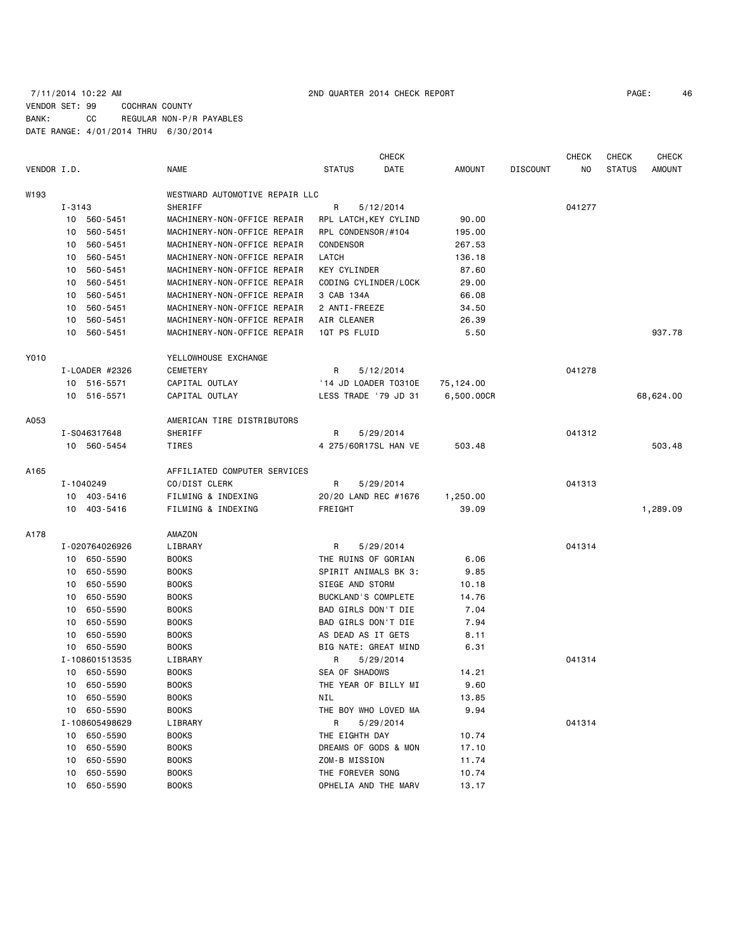# 7/11/2014 10:22 AM 2ND QUARTER 2014 CHECK REPORT PAGE: 46 VENDOR SET: 99 COCHRAN COUNTY BANK: CC REGULAR NON-P/R PAYABLES DATE RANGE: 4/01/2014 THRU 6/30/2014

CHECK CHECK CHECK CHECK CHECK

| VENDOR I.D. |            |                | <b>NAME</b>                    | <b>STATUS</b>       | DATE                  | <b>AMOUNT</b> | <b>DISCOUNT</b> | NO     | <b>STATUS</b> | <b>AMOUNT</b> |
|-------------|------------|----------------|--------------------------------|---------------------|-----------------------|---------------|-----------------|--------|---------------|---------------|
| W193        |            |                | WESTWARD AUTOMOTIVE REPAIR LLC |                     |                       |               |                 |        |               |               |
|             | $I - 3143$ |                | <b>SHERIFF</b>                 | R                   | 5/12/2014             |               |                 | 041277 |               |               |
|             | 10         | 560-5451       | MACHINERY-NON-OFFICE REPAIR    |                     | RPL LATCH, KEY CYLIND | 90.00         |                 |        |               |               |
|             | 10         | 560-5451       | MACHINERY-NON-OFFICE REPAIR    |                     | RPL CONDENSOR/#104    | 195.00        |                 |        |               |               |
|             | 10         | 560-5451       | MACHINERY-NON-OFFICE REPAIR    | <b>CONDENSOR</b>    |                       | 267.53        |                 |        |               |               |
|             | 10         | 560-5451       | MACHINERY-NON-OFFICE REPAIR    | LATCH               |                       | 136.18        |                 |        |               |               |
|             | 10         | 560-5451       | MACHINERY-NON-OFFICE REPAIR    | <b>KEY CYLINDER</b> |                       | 87.60         |                 |        |               |               |
|             | 10         | 560-5451       | MACHINERY-NON-OFFICE REPAIR    |                     | CODING CYLINDER/LOCK  | 29.00         |                 |        |               |               |
|             | 10         | 560-5451       | MACHINERY-NON-OFFICE REPAIR    | 3 CAB 134A          |                       | 66.08         |                 |        |               |               |
|             | 10         | 560-5451       | MACHINERY-NON-OFFICE REPAIR    | 2 ANTI-FREEZE       |                       | 34.50         |                 |        |               |               |
|             | 10         | 560-5451       | MACHINERY-NON-OFFICE REPAIR    | AIR CLEANER         |                       | 26.39         |                 |        |               |               |
|             | 10         | 560-5451       | MACHINERY-NON-OFFICE REPAIR    | 1QT PS FLUID        |                       | 5.50          |                 |        |               | 937.78        |
| Y010        |            |                | YELLOWHOUSE EXCHANGE           |                     |                       |               |                 |        |               |               |
|             |            | I-LOADER #2326 | <b>CEMETERY</b>                | R                   | 5/12/2014             |               |                 | 041278 |               |               |
|             |            | 10 516-5571    | CAPITAL OUTLAY                 |                     | '14 JD LOADER T0310E  | 75, 124.00    |                 |        |               |               |
|             |            | 10 516-5571    | CAPITAL OUTLAY                 |                     | LESS TRADE '79 JD 31  | 6,500.00CR    |                 |        |               | 68,624.00     |
| A053        |            |                | AMERICAN TIRE DISTRIBUTORS     |                     |                       |               |                 |        |               |               |
|             |            | I-S046317648   | SHERIFF                        | R                   | 5/29/2014             |               |                 | 041312 |               |               |
|             |            | 10 560-5454    | <b>TIRES</b>                   |                     | 4 275/60R17SL HAN VE  | 503.48        |                 |        |               | 503.48        |
| A165        |            |                | AFFILIATED COMPUTER SERVICES   |                     |                       |               |                 |        |               |               |
|             |            | I-1040249      | CO/DIST CLERK                  | R                   | 5/29/2014             |               |                 | 041313 |               |               |
|             |            | 10 403-5416    | FILMING & INDEXING             |                     | 20/20 LAND REC #1676  | 1,250.00      |                 |        |               |               |
|             |            | 10 403-5416    | FILMING & INDEXING             | FREIGHT             |                       | 39.09         |                 |        |               | 1,289.09      |
| A178        |            |                | AMAZON                         |                     |                       |               |                 |        |               |               |
|             |            | I-020764026926 | LIBRARY                        | R                   | 5/29/2014             |               |                 | 041314 |               |               |
|             |            | 10 650-5590    | <b>BOOKS</b>                   |                     | THE RUINS OF GORIAN   | 6.06          |                 |        |               |               |
|             | 10         | 650-5590       | <b>BOOKS</b>                   |                     | SPIRIT ANIMALS BK 3:  | 9.85          |                 |        |               |               |
|             | 10         | 650-5590       | <b>BOOKS</b>                   | SIEGE AND STORM     |                       | 10.18         |                 |        |               |               |
|             | 10         | 650-5590       | <b>BOOKS</b>                   |                     | BUCKLAND'S COMPLETE   | 14.76         |                 |        |               |               |
|             | 10         | 650-5590       | <b>BOOKS</b>                   |                     | BAD GIRLS DON'T DIE   | 7.04          |                 |        |               |               |
|             | 10         | 650-5590       | <b>BOOKS</b>                   |                     | BAD GIRLS DON'T DIE   | 7.94          |                 |        |               |               |
|             | 10         | 650-5590       | <b>BOOKS</b>                   |                     | AS DEAD AS IT GETS    | 8.11          |                 |        |               |               |
|             | 10         | 650-5590       | <b>BOOKS</b>                   |                     | BIG NATE: GREAT MIND  | 6.31          |                 |        |               |               |
|             |            | I-108601513535 | LIBRARY                        | R                   | 5/29/2014             |               |                 | 041314 |               |               |
|             | 10         | 650-5590       | <b>BOOKS</b>                   | SEA OF SHADOWS      |                       | 14.21         |                 |        |               |               |
|             | 10         | 650-5590       | <b>BOOKS</b>                   |                     | THE YEAR OF BILLY MI  | 9.60          |                 |        |               |               |
|             | 10         | 650-5590       | <b>BOOKS</b>                   | NIL                 |                       | 13.85         |                 |        |               |               |
|             | 10         | 650-5590       | <b>BOOKS</b>                   |                     | THE BOY WHO LOVED MA  | 9.94          |                 |        |               |               |
|             |            | I-108605498629 | LIBRARY                        | R                   | 5/29/2014             |               |                 | 041314 |               |               |
|             | 10         | 650-5590       | <b>BOOKS</b>                   | THE EIGHTH DAY      |                       | 10.74         |                 |        |               |               |
|             | 10         | 650-5590       | <b>BOOKS</b>                   |                     | DREAMS OF GODS & MON  | 17.10         |                 |        |               |               |
|             | 10         | 650-5590       | <b>BOOKS</b>                   | ZOM-B MISSION       |                       | 11.74         |                 |        |               |               |
|             | 10         | 650-5590       | <b>BOOKS</b>                   | THE FOREVER SONG    |                       | 10.74         |                 |        |               |               |
|             | 10         | 650-5590       | <b>BOOKS</b>                   |                     | OPHELIA AND THE MARV  | 13.17         |                 |        |               |               |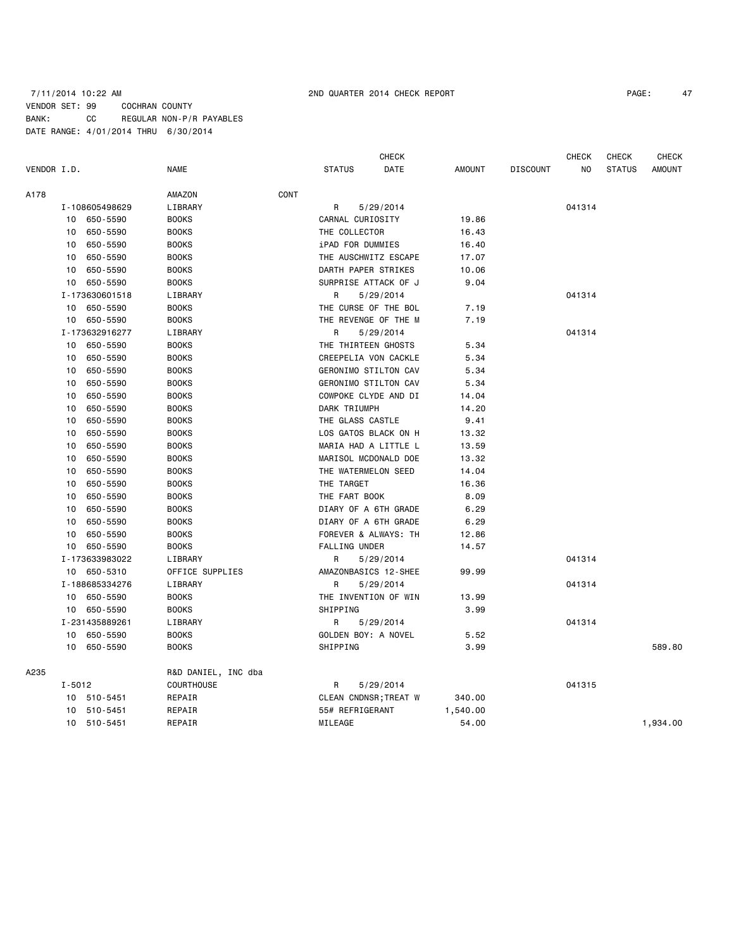# 7/11/2014 10:22 AM 2ND QUARTER 2014 CHECK REPORT PAGE: 47 VENDOR SET: 99 COCHRAN COUNTY BANK: CC REGULAR NON-P/R PAYABLES DATE RANGE: 4/01/2014 THRU 6/30/2014

|             |            |                |                     |      |                      | <b>CHECK</b>          |               |                 | <b>CHECK</b> | <b>CHECK</b>  | <b>CHECK</b>  |
|-------------|------------|----------------|---------------------|------|----------------------|-----------------------|---------------|-----------------|--------------|---------------|---------------|
| VENDOR I.D. |            |                | <b>NAME</b>         |      | <b>STATUS</b>        | DATE                  | <b>AMOUNT</b> | <b>DISCOUNT</b> | NO           | <b>STATUS</b> | <b>AMOUNT</b> |
| A178        |            |                | AMAZON              | CONT |                      |                       |               |                 |              |               |               |
|             |            | I-108605498629 | LIBRARY             |      | R                    | 5/29/2014             |               |                 | 041314       |               |               |
|             |            | 10 650-5590    | <b>BOOKS</b>        |      | CARNAL CURIOSITY     |                       | 19.86         |                 |              |               |               |
|             | 10         | 650-5590       | <b>BOOKS</b>        |      | THE COLLECTOR        |                       | 16.43         |                 |              |               |               |
|             | 10         | 650-5590       | <b>BOOKS</b>        |      | iPAD FOR DUMMIES     |                       | 16.40         |                 |              |               |               |
|             | 10         | 650-5590       | <b>BOOKS</b>        |      | THE AUSCHWITZ ESCAPE |                       | 17.07         |                 |              |               |               |
|             | 10         | 650-5590       | <b>BOOKS</b>        |      | DARTH PAPER STRIKES  |                       | 10.06         |                 |              |               |               |
|             | 10         | 650-5590       | <b>BOOKS</b>        |      | SURPRISE ATTACK OF J |                       | 9.04          |                 |              |               |               |
|             |            | I-173630601518 | LIBRARY             |      | R                    | 5/29/2014             |               |                 | 041314       |               |               |
|             | 10         | 650-5590       | <b>BOOKS</b>        |      | THE CURSE OF THE BOL |                       | 7.19          |                 |              |               |               |
|             |            | 10 650-5590    | <b>BOOKS</b>        |      | THE REVENGE OF THE M |                       | 7.19          |                 |              |               |               |
|             |            | I-173632916277 | LIBRARY             |      | R                    | 5/29/2014             |               |                 | 041314       |               |               |
|             | 10         | 650-5590       | <b>BOOKS</b>        |      | THE THIRTEEN GHOSTS  |                       | 5.34          |                 |              |               |               |
|             | 10         | 650-5590       | <b>BOOKS</b>        |      | CREEPELIA VON CACKLE |                       | 5.34          |                 |              |               |               |
|             | 10         | 650-5590       | <b>BOOKS</b>        |      |                      | GERONIMO STILTON CAV  | 5.34          |                 |              |               |               |
|             | 10         | 650-5590       | <b>BOOKS</b>        |      |                      | GERONIMO STILTON CAV  | 5.34          |                 |              |               |               |
|             | 10         | 650-5590       | <b>BOOKS</b>        |      | COWPOKE CLYDE AND DI |                       | 14.04         |                 |              |               |               |
|             | 10         | 650-5590       | <b>BOOKS</b>        |      | DARK TRIUMPH         |                       | 14.20         |                 |              |               |               |
|             | 10         | 650-5590       | <b>BOOKS</b>        |      | THE GLASS CASTLE     |                       | 9.41          |                 |              |               |               |
|             | 10         | 650-5590       | <b>BOOKS</b>        |      | LOS GATOS BLACK ON H |                       | 13.32         |                 |              |               |               |
|             | 10         | 650-5590       | <b>BOOKS</b>        |      | MARIA HAD A LITTLE L |                       | 13.59         |                 |              |               |               |
|             | 10         | 650-5590       | <b>BOOKS</b>        |      | MARISOL MCDONALD DOE |                       | 13.32         |                 |              |               |               |
|             | 10         | 650-5590       | <b>BOOKS</b>        |      | THE WATERMELON SEED  |                       | 14.04         |                 |              |               |               |
|             | 10         | 650-5590       | <b>BOOKS</b>        |      | THE TARGET           |                       | 16.36         |                 |              |               |               |
|             | 10         | 650-5590       | <b>BOOKS</b>        |      | THE FART BOOK        |                       | 8.09          |                 |              |               |               |
|             | 10         | 650-5590       | <b>BOOKS</b>        |      | DIARY OF A 6TH GRADE |                       | 6.29          |                 |              |               |               |
|             | 10         | 650-5590       | <b>BOOKS</b>        |      | DIARY OF A 6TH GRADE |                       | 6.29          |                 |              |               |               |
|             | 10         | 650-5590       | <b>BOOKS</b>        |      | FOREVER & ALWAYS: TH |                       | 12.86         |                 |              |               |               |
|             | 10         | 650-5590       | <b>BOOKS</b>        |      | <b>FALLING UNDER</b> |                       | 14.57         |                 |              |               |               |
|             |            | I-173633983022 | LIBRARY             |      | R                    | 5/29/2014             |               |                 | 041314       |               |               |
|             |            | 10 650-5310    | OFFICE SUPPLIES     |      |                      | AMAZONBASICS 12-SHEE  | 99.99         |                 |              |               |               |
|             |            | I-188685334276 | LIBRARY             |      | R                    | 5/29/2014             |               |                 | 041314       |               |               |
|             | 10         | 650-5590       | <b>BOOKS</b>        |      |                      | THE INVENTION OF WIN  | 13.99         |                 |              |               |               |
|             |            | 10 650-5590    | <b>BOOKS</b>        |      | SHIPPING             |                       | 3.99          |                 |              |               |               |
|             |            | I-231435889261 | LIBRARY             |      | R                    | 5/29/2014             |               |                 | 041314       |               |               |
|             | 10         | 650-5590       | <b>BOOKS</b>        |      | GOLDEN BOY: A NOVEL  |                       | 5.52          |                 |              |               |               |
|             | 10         | 650-5590       | <b>BOOKS</b>        |      | SHIPPING             |                       | 3.99          |                 |              |               | 589.80        |
| A235        |            |                | R&D DANIEL, INC dba |      |                      |                       |               |                 |              |               |               |
|             | $I - 5012$ |                | COURTHOUSE          |      | R                    | 5/29/2014             |               |                 | 041315       |               |               |
|             | 10         | 510-5451       | REPAIR              |      |                      | CLEAN CNDNSR; TREAT W | 340.00        |                 |              |               |               |
|             | 10         | 510-5451       | REPAIR              |      | 55# REFRIGERANT      |                       | 1,540.00      |                 |              |               |               |
|             |            | 10 510-5451    | REPAIR              |      | MILEAGE              |                       | 54.00         |                 |              |               | 1,934.00      |
|             |            |                |                     |      |                      |                       |               |                 |              |               |               |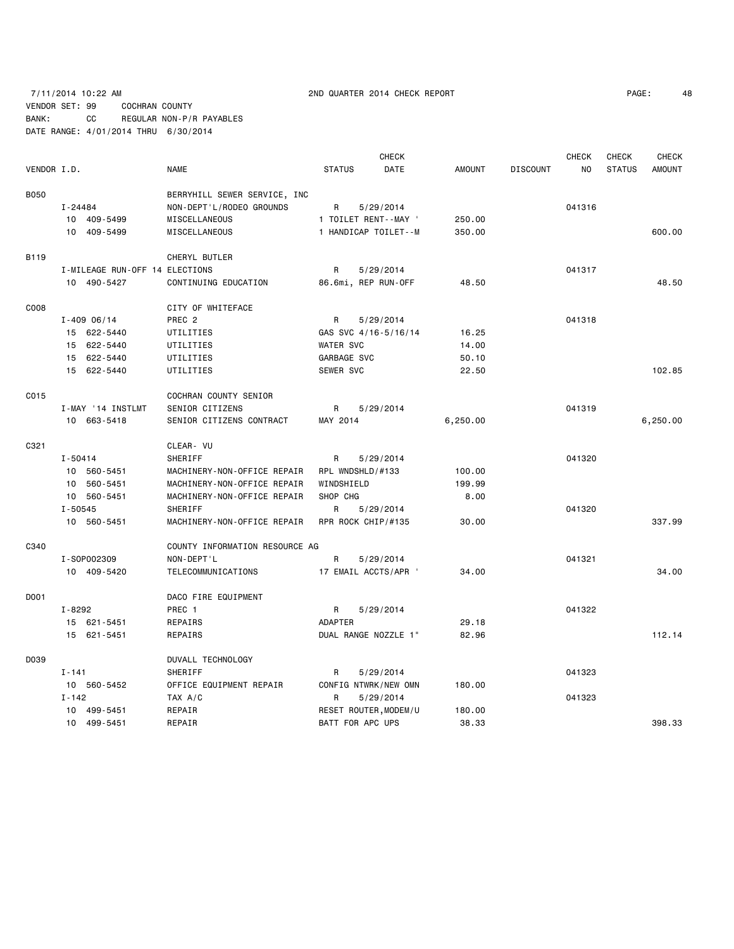7/11/2014 10:22 AM 2ND QUARTER 2014 CHECK REPORT PAGE: 48 VENDOR SET: 99 COCHRAN COUNTY BANK: CC REGULAR NON-P/R PAYABLES DATE RANGE: 4/01/2014 THRU 6/30/2014

 CHECK CHECK CHECK CHECK VENDOR I.D. NAME STATUS DATE AMOUNT DISCOUNT NO STATUS AMOUNT B050 BERRYHILL SEWER SERVICE, INC I-24484 NON-DEPT'L/RODEO GROUNDS R 5/29/2014 041316 10 409-5499 MISCELLANEOUS 1 TOILET RENT--MAY ' 250.00 10 409-5499 MISCELLANEOUS 1 HANDICAP TOILET--M 350.00 600.00 B119 CHERYL BUTLER I-MILEAGE RUN-OFF 14 ELECTIONS R 5/29/2014 041317 10 490-5427 CONTINUING EDUCATION 86.6mi, REP RUN-OFF 48.50 48.50 C008 COOS CITY OF WHITEFACE I-409 06/14 PREC 2 R 5/29/2014 2041318 15 622-5440 UTILITIES GAS SVC 4/16-5/16/14 16.25 15 622-5440 UTILITIES WATER SVC 14.00 15 622-5440 UTILITIES GARBAGE SVC 50.10 15 622-5440 UTILITIES SEWER SVC 22.50 102.85 C015 COCHRAN COUNTY SENIOR I-MAY '14 INSTLMT SENIOR CITIZENS R 5/29/2014 R 5/29/2014 10 663-5418 SENIOR CITIZENS CONTRACT MAY 2014 6,250.00 6,250.00 C321 CLEAR- VU I-50414 SHERIFF R 5/29/2014 041320 10 560-5451 MACHINERY-NON-OFFICE REPAIR RPL WNDSHLD/#133 100.00 10 560-5451 MACHINERY-NON-OFFICE REPAIR WINDSHIELD 199.99 10 560-5451 MACHINERY-NON-OFFICE REPAIR SHOP CHG 8.00 I-50545 SHERIFF R R 5/29/2014 R 9041320 10 560-5451 MACHINERY-NON-OFFICE REPAIR RPR ROCK CHIP/#135 30.00 337.99 C340 COUNTY INFORMATION RESOURCE AG I-SOP002309 NON-DEPT'L R 5/29/2014 R 5/29/2014 041321 10 409-5420 TELECOMMUNICATIONS 17 EMAIL ACCTS/APR ' 34.00 34.00 D001 DACO FIRE EQUIPMENT I-8292 PREC 1 R 5/29/2014 041322 15 621-5451 REPAIRS ADAPTER 29.18 15 621-5451 REPAIRS DUAL RANGE NOZZLE 1" 82.96 112.14 D039 DUVALL TECHNOLOGY I-141 SHERIFF R R 5/29/2014 R 3041323 10 560-5452 OFFICE EQUIPMENT REPAIR CONFIG NTWRK/NEW OMN 180.00 I-142 TAX A/C R 5/29/2014 041323 10 499-5451 REPAIR RESET ROUTER,MODEM/U 180.00 10 499-5451 REPAIR BATT FOR APC UPS 38.33 398.33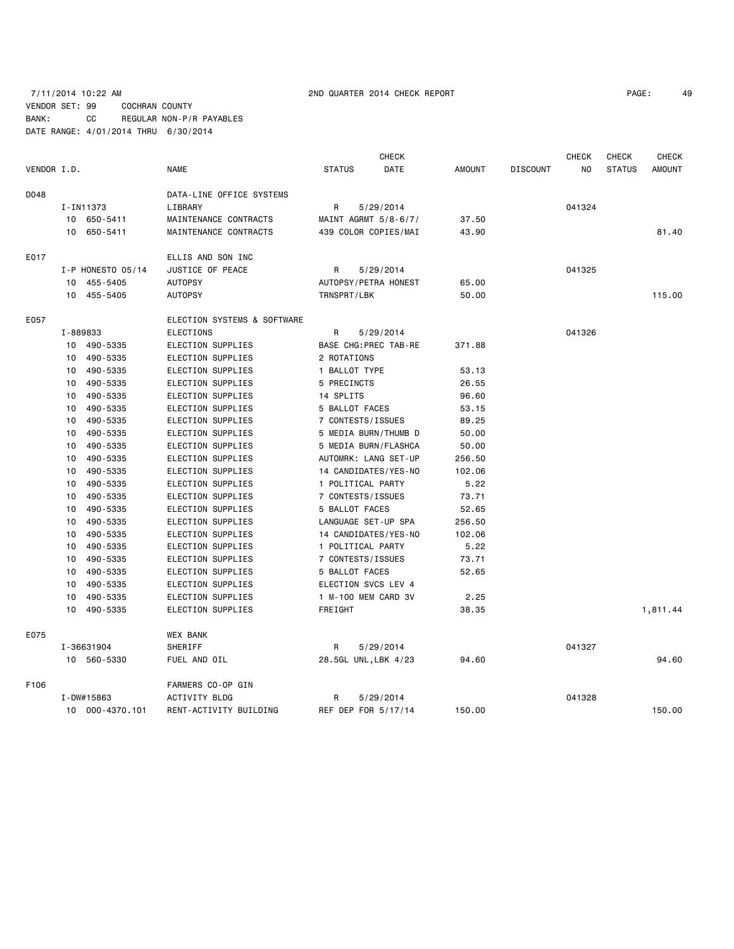# 7/11/2014 10:22 AM 2ND QUARTER 2014 CHECK REPORT PAGE: 49 VENDOR SET: 99 COCHRAN COUNTY BANK: CC REGULAR NON-P/R PAYABLES DATE RANGE: 4/01/2014 THRU 6/30/2014

|             |          |                       |                             |                      | <b>CHECK</b>          |               |                 | <b>CHECK</b> | <b>CHECK</b>  | <b>CHECK</b>  |
|-------------|----------|-----------------------|-----------------------------|----------------------|-----------------------|---------------|-----------------|--------------|---------------|---------------|
| VENDOR I.D. |          |                       | <b>NAME</b>                 | <b>STATUS</b>        | DATE                  | <b>AMOUNT</b> | <b>DISCOUNT</b> | NO           | <b>STATUS</b> | <b>AMOUNT</b> |
| D048        |          |                       | DATA-LINE OFFICE SYSTEMS    |                      |                       |               |                 |              |               |               |
|             |          | I-IN11373             | LIBRARY                     | R                    | 5/29/2014             |               |                 | 041324       |               |               |
|             |          | 10 650-5411           | MAINTENANCE CONTRACTS       |                      | MAINT AGRMT 5/8-6/7/  | 37.50         |                 |              |               |               |
|             |          | 10 650-5411           | MAINTENANCE CONTRACTS       |                      | 439 COLOR COPIES/MAI  | 43.90         |                 |              |               | 81.40         |
| E017        |          |                       | ELLIS AND SON INC           |                      |                       |               |                 |              |               |               |
|             |          | $I - P$ HONESTO 05/14 | JUSTICE OF PEACE            | R                    | 5/29/2014             |               |                 | 041325       |               |               |
|             |          | 10 455-5405           | <b>AUTOPSY</b>              |                      | AUTOPSY/PETRA HONEST  | 65.00         |                 |              |               |               |
|             |          | 10 455-5405           | <b>AUTOPSY</b>              | TRNSPRT/LBK          |                       | 50.00         |                 |              |               | 115.00        |
| E057        |          |                       | ELECTION SYSTEMS & SOFTWARE |                      |                       |               |                 |              |               |               |
|             | I-889833 |                       | ELECTIONS                   | R                    | 5/29/2014             |               |                 | 041326       |               |               |
|             |          | 10 490-5335           | ELECTION SUPPLIES           |                      | BASE CHG: PREC TAB-RE | 371.88        |                 |              |               |               |
|             | 10       | 490-5335              | ELECTION SUPPLIES           | 2 ROTATIONS          |                       |               |                 |              |               |               |
|             | 10       | 490-5335              | ELECTION SUPPLIES           | 1 BALLOT TYPE        |                       | 53.13         |                 |              |               |               |
|             | 10       | 490-5335              | ELECTION SUPPLIES           | 5 PRECINCTS          |                       | 26.55         |                 |              |               |               |
|             | 10       | 490-5335              | ELECTION SUPPLIES           | 14 SPLITS            |                       | 96.60         |                 |              |               |               |
|             | 10       | 490-5335              | ELECTION SUPPLIES           | 5 BALLOT FACES       |                       | 53.15         |                 |              |               |               |
|             | 10       | 490-5335              | ELECTION SUPPLIES           | 7 CONTESTS/ISSUES    |                       | 89.25         |                 |              |               |               |
|             | 10       | 490-5335              | ELECTION SUPPLIES           |                      | 5 MEDIA BURN/THUMB D  | 50.00         |                 |              |               |               |
|             | 10       | 490-5335              | ELECTION SUPPLIES           |                      | 5 MEDIA BURN/FLASHCA  | 50.00         |                 |              |               |               |
|             | 10       | 490-5335              | ELECTION SUPPLIES           |                      | AUTOMRK: LANG SET-UP  | 256.50        |                 |              |               |               |
|             | 10       | 490-5335              | ELECTION SUPPLIES           |                      | 14 CANDIDATES/YES-NO  | 102.06        |                 |              |               |               |
|             | 10       | 490-5335              | ELECTION SUPPLIES           | 1 POLITICAL PARTY    |                       | 5.22          |                 |              |               |               |
|             | 10       | 490-5335              | ELECTION SUPPLIES           | 7 CONTESTS/ISSUES    |                       | 73.71         |                 |              |               |               |
|             | 10       | 490-5335              | ELECTION SUPPLIES           | 5 BALLOT FACES       |                       | 52.65         |                 |              |               |               |
|             | 10       | 490-5335              | ELECTION SUPPLIES           | LANGUAGE SET-UP SPA  |                       | 256.50        |                 |              |               |               |
|             | 10       | 490-5335              | ELECTION SUPPLIES           |                      | 14 CANDIDATES/YES-NO  | 102.06        |                 |              |               |               |
|             | 10       | 490-5335              | ELECTION SUPPLIES           | 1 POLITICAL PARTY    |                       | 5.22          |                 |              |               |               |
|             | 10       | 490-5335              | ELECTION SUPPLIES           | 7 CONTESTS/ISSUES    |                       | 73.71         |                 |              |               |               |
|             | 10       | 490-5335              | ELECTION SUPPLIES           | 5 BALLOT FACES       |                       | 52.65         |                 |              |               |               |
|             | 10       | 490-5335              | ELECTION SUPPLIES           | ELECTION SVCS LEV 4  |                       |               |                 |              |               |               |
|             | 10       | 490-5335              | ELECTION SUPPLIES           | 1 M-100 MEM CARD 3V  |                       | 2.25          |                 |              |               |               |
|             | 10       | 490-5335              | ELECTION SUPPLIES           | FREIGHT              |                       | 38.35         |                 |              |               | 1,811.44      |
| E075        |          |                       | <b>WEX BANK</b>             |                      |                       |               |                 |              |               |               |
|             |          | I-36631904            | SHERIFF                     | R                    | 5/29/2014             |               |                 | 041327       |               |               |
|             |          | 10 560-5330           | FUEL AND OIL                | 28.5GL UNL, LBK 4/23 |                       | 94.60         |                 |              |               | 94.60         |
| F106        |          |                       | FARMERS CO-OP GIN           |                      |                       |               |                 |              |               |               |
|             |          | I-DW#15863            | <b>ACTIVITY BLDG</b>        | R                    | 5/29/2014             |               |                 | 041328       |               |               |
|             |          | 10 000-4370.101       | RENT-ACTIVITY BUILDING      | REF DEP FOR 5/17/14  |                       | 150.00        |                 |              |               | 150.00        |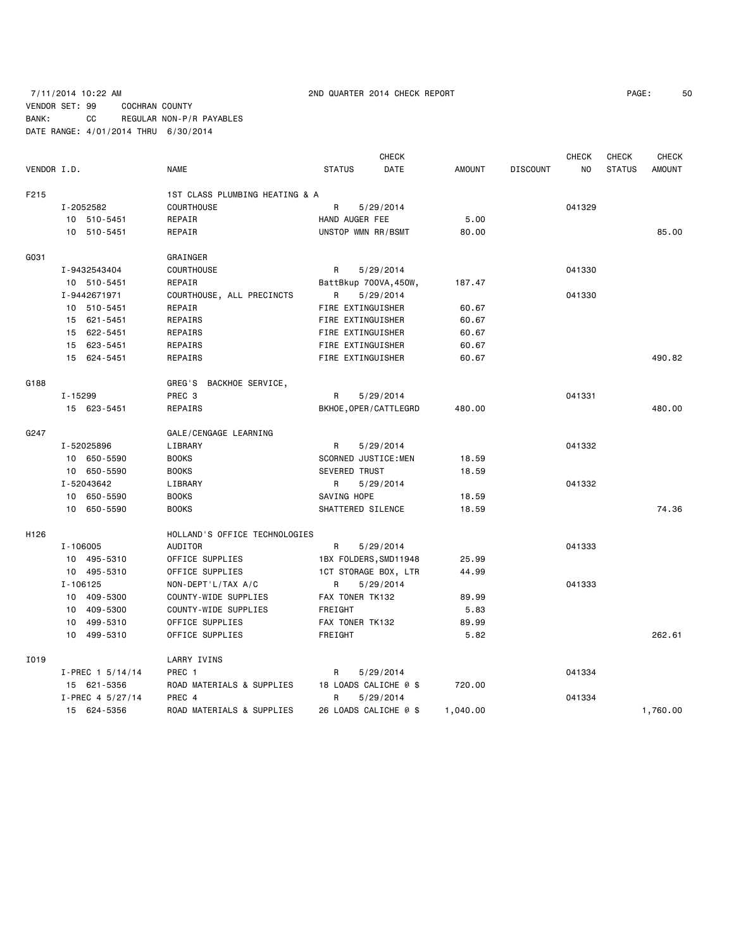# 7/11/2014 10:22 AM 2ND QUARTER 2014 CHECK REPORT PAGE: 50 VENDOR SET: 99 COCHRAN COUNTY BANK: CC REGULAR NON-P/R PAYABLES DATE RANGE: 4/01/2014 THRU 6/30/2014

|                  |              |                    |                                |                      | <b>CHECK</b>          |               |                 | <b>CHECK</b>   | CHECK         | <b>CHECK</b>  |
|------------------|--------------|--------------------|--------------------------------|----------------------|-----------------------|---------------|-----------------|----------------|---------------|---------------|
| VENDOR I.D.      |              |                    | <b>NAME</b>                    | <b>STATUS</b>        | DATE                  | <b>AMOUNT</b> | <b>DISCOUNT</b> | N <sub>O</sub> | <b>STATUS</b> | <b>AMOUNT</b> |
| F215             |              |                    | 1ST CLASS PLUMBING HEATING & A |                      |                       |               |                 |                |               |               |
|                  | I-2052582    |                    | <b>COURTHOUSE</b>              | R                    | 5/29/2014             |               |                 | 041329         |               |               |
|                  |              | 10 510-5451        | REPAIR                         | HAND AUGER FEE       |                       | 5.00          |                 |                |               |               |
|                  |              | 10 510-5451        | REPAIR                         | UNSTOP WMN RR/BSMT   |                       | 80.00         |                 |                |               | 85.00         |
| G031             |              |                    | GRAINGER                       |                      |                       |               |                 |                |               |               |
|                  | I-9432543404 |                    | <b>COURTHOUSE</b>              | R                    | 5/29/2014             |               |                 | 041330         |               |               |
|                  |              | 10 510-5451        | REPAIR                         |                      | BattBkup 700VA, 450W, | 187.47        |                 |                |               |               |
|                  | I-9442671971 |                    | COURTHOUSE, ALL PRECINCTS      | R                    | 5/29/2014             |               |                 | 041330         |               |               |
|                  |              | 10 510-5451        | REPAIR                         | FIRE EXTINGUISHER    |                       | 60.67         |                 |                |               |               |
|                  |              | 15 621-5451        | REPAIRS                        | FIRE EXTINGUISHER    |                       | 60.67         |                 |                |               |               |
|                  |              | 15 622-5451        | REPAIRS                        | FIRE EXTINGUISHER    |                       | 60.67         |                 |                |               |               |
|                  |              | 15 623-5451        | REPAIRS                        | FIRE EXTINGUISHER    |                       | 60.67         |                 |                |               |               |
|                  |              | 15 624-5451        | REPAIRS                        | FIRE EXTINGUISHER    |                       | 60.67         |                 |                |               | 490.82        |
| G188             |              |                    | GREG'S BACKHOE SERVICE,        |                      |                       |               |                 |                |               |               |
|                  | I-15299      |                    | PREC <sub>3</sub>              | R                    | 5/29/2014             |               |                 | 041331         |               |               |
|                  |              | 15 623-5451        | REPAIRS                        |                      | BKHOE, OPER/CATTLEGRD | 480.00        |                 |                |               | 480.00        |
| G247             |              |                    | GALE/CENGAGE LEARNING          |                      |                       |               |                 |                |               |               |
|                  | I-52025896   |                    | LIBRARY                        | R                    | 5/29/2014             |               |                 | 041332         |               |               |
|                  |              | 10 650-5590        | <b>BOOKS</b>                   | SCORNED JUSTICE: MEN |                       | 18.59         |                 |                |               |               |
|                  |              | 10 650-5590        | <b>BOOKS</b>                   | <b>SEVERED TRUST</b> |                       | 18.59         |                 |                |               |               |
|                  | I-52043642   |                    | LIBRARY                        | R                    | 5/29/2014             |               |                 | 041332         |               |               |
|                  |              | 10 650-5590        | <b>BOOKS</b>                   | SAVING HOPE          |                       | 18.59         |                 |                |               |               |
|                  |              | 10 650-5590        | <b>BOOKS</b>                   | SHATTERED SILENCE    |                       | 18.59         |                 |                |               | 74.36         |
| H <sub>126</sub> |              |                    | HOLLAND'S OFFICE TECHNOLOGIES  |                      |                       |               |                 |                |               |               |
|                  | I-106005     |                    | AUDITOR                        | R                    | 5/29/2014             |               |                 | 041333         |               |               |
|                  |              | 10 495-5310        | OFFICE SUPPLIES                |                      | 1BX FOLDERS, SMD11948 | 25.99         |                 |                |               |               |
|                  |              | 10 495-5310        | OFFICE SUPPLIES                |                      | 1CT STORAGE BOX, LTR  | 44.99         |                 |                |               |               |
|                  | I-106125     |                    | NON-DEPT'L/TAX A/C             | R                    | 5/29/2014             |               |                 | 041333         |               |               |
|                  |              | 10 409-5300        | COUNTY-WIDE SUPPLIES           | FAX TONER TK132      |                       | 89.99         |                 |                |               |               |
|                  |              | 10 409-5300        | COUNTY-WIDE SUPPLIES           | FREIGHT              |                       | 5.83          |                 |                |               |               |
|                  |              | 10 499-5310        | OFFICE SUPPLIES                | FAX TONER TK132      |                       | 89.99         |                 |                |               |               |
|                  |              | 10 499-5310        | OFFICE SUPPLIES                | FREIGHT              |                       | 5.82          |                 |                |               | 262.61        |
| I019             |              |                    | LARRY IVINS                    |                      |                       |               |                 |                |               |               |
|                  |              | $I-PREC$ 1 5/14/14 | PREC 1                         | R                    | 5/29/2014             |               |                 | 041334         |               |               |
|                  |              | 15 621-5356        | ROAD MATERIALS & SUPPLIES      |                      | 18 LOADS CALICHE @ \$ | 720.00        |                 |                |               |               |
|                  |              | I-PREC 4 5/27/14   | PREC 4                         | R                    | 5/29/2014             |               |                 | 041334         |               |               |
|                  |              | 15 624-5356        | ROAD MATERIALS & SUPPLIES      |                      | 26 LOADS CALICHE @ \$ | 1,040.00      |                 |                |               | 1,760.00      |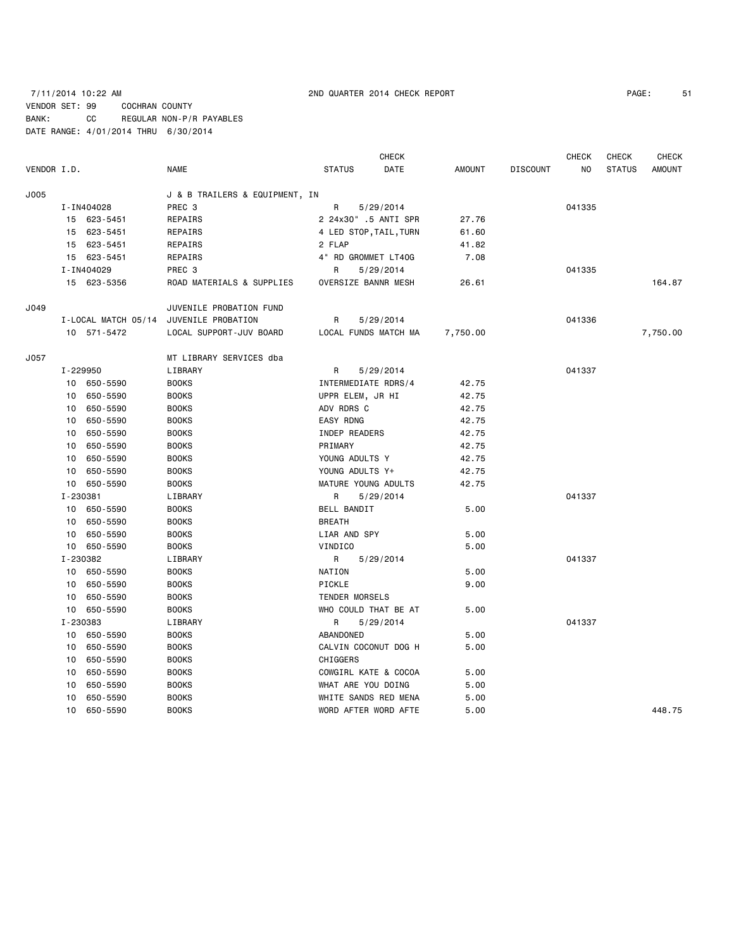# 7/11/2014 10:22 AM 2ND QUARTER 2014 CHECK REPORT PAGE: 51 VENDOR SET: 99 COCHRAN COUNTY BANK: CC REGULAR NON-P/R PAYABLES DATE RANGE: 4/01/2014 THRU 6/30/2014

|             |          |                     |                                |                     | <b>CHECK</b>           |          |                 | <b>CHECK</b> | <b>CHECK</b>  | <b>CHECK</b>  |
|-------------|----------|---------------------|--------------------------------|---------------------|------------------------|----------|-----------------|--------------|---------------|---------------|
| VENDOR I.D. |          |                     | <b>NAME</b>                    | <b>STATUS</b>       | DATE                   | AMOUNT   | <b>DISCOUNT</b> | NO           | <b>STATUS</b> | <b>AMOUNT</b> |
| J005        |          |                     | J & B TRAILERS & EQUIPMENT, IN |                     |                        |          |                 |              |               |               |
|             |          | I-IN404028          | PREC 3                         | R                   | 5/29/2014              |          |                 | 041335       |               |               |
|             |          | 15 623-5451         | REPAIRS                        |                     | 2 24x30" .5 ANTI SPR   | 27.76    |                 |              |               |               |
|             |          | 15 623-5451         | REPAIRS                        |                     | 4 LED STOP, TAIL, TURN | 61.60    |                 |              |               |               |
|             |          | 15 623-5451         | REPAIRS                        | 2 FLAP              |                        | 41.82    |                 |              |               |               |
|             |          | 15 623-5451         | REPAIRS                        | 4" RD GROMMET LT40G |                        | 7.08     |                 |              |               |               |
|             |          | I-IN404029          | PREC 3                         | R                   | 5/29/2014              |          |                 | 041335       |               |               |
|             |          | 15 623-5356         | ROAD MATERIALS & SUPPLIES      | OVERSIZE BANNR MESH |                        | 26.61    |                 |              |               | 164.87        |
| J049        |          |                     | JUVENILE PROBATION FUND        |                     |                        |          |                 |              |               |               |
|             |          | I-LOCAL MATCH 05/14 | JUVENILE PROBATION             | R                   | 5/29/2014              |          |                 | 041336       |               |               |
|             |          | 10 571-5472         | LOCAL SUPPORT-JUV BOARD        |                     | LOCAL FUNDS MATCH MA   | 7,750.00 |                 |              |               | 7,750.00      |
| J057        |          |                     | MT LIBRARY SERVICES dba        |                     |                        |          |                 |              |               |               |
|             |          | I-229950            | LIBRARY                        | R                   | 5/29/2014              |          |                 | 041337       |               |               |
|             |          | 10 650-5590         | <b>BOOKS</b>                   | INTERMEDIATE RDRS/4 |                        | 42.75    |                 |              |               |               |
|             |          | 10 650-5590         | <b>BOOKS</b>                   | UPPR ELEM, JR HI    |                        | 42.75    |                 |              |               |               |
|             | 10       | 650-5590            | <b>BOOKS</b>                   | ADV RDRS C          |                        | 42.75    |                 |              |               |               |
|             | 10       | 650-5590            | <b>BOOKS</b>                   | EASY RDNG           |                        | 42.75    |                 |              |               |               |
|             | 10       | 650-5590            | <b>BOOKS</b>                   | INDEP READERS       |                        | 42.75    |                 |              |               |               |
|             | 10       | 650-5590            | <b>BOOKS</b>                   | PRIMARY             |                        | 42.75    |                 |              |               |               |
|             | 10       | 650-5590            | <b>BOOKS</b>                   | YOUNG ADULTS Y      |                        | 42.75    |                 |              |               |               |
|             | 10       | 650-5590            | <b>BOOKS</b>                   | YOUNG ADULTS Y+     |                        | 42.75    |                 |              |               |               |
|             |          | 10 650-5590         | <b>BOOKS</b>                   | MATURE YOUNG ADULTS |                        | 42.75    |                 |              |               |               |
|             | I-230381 |                     | LIBRARY                        | R                   | 5/29/2014              |          |                 | 041337       |               |               |
|             |          | 10 650-5590         | <b>BOOKS</b>                   | BELL BANDIT         |                        | 5.00     |                 |              |               |               |
|             |          | 10 650-5590         | <b>BOOKS</b>                   | <b>BREATH</b>       |                        |          |                 |              |               |               |
|             |          | 10 650-5590         | <b>BOOKS</b>                   | LIAR AND SPY        |                        | 5.00     |                 |              |               |               |
|             |          | 10 650-5590         | <b>BOOKS</b>                   | VINDICO             |                        | 5.00     |                 |              |               |               |
|             |          | I-230382            | LIBRARY                        | R                   | 5/29/2014              |          |                 | 041337       |               |               |
|             |          | 10 650-5590         | <b>BOOKS</b>                   | NATION              |                        | 5.00     |                 |              |               |               |
|             |          | 10 650-5590         | <b>BOOKS</b>                   | PICKLE              |                        | 9.00     |                 |              |               |               |
|             | 10       | 650-5590            | <b>BOOKS</b>                   | TENDER MORSELS      |                        |          |                 |              |               |               |
|             |          | 10 650-5590         | <b>BOOKS</b>                   |                     | WHO COULD THAT BE AT   | 5.00     |                 |              |               |               |
|             | I-230383 |                     | LIBRARY                        | R                   | 5/29/2014              |          |                 | 041337       |               |               |
|             | 10       | 650-5590            | <b>BOOKS</b>                   | ABANDONED           |                        | 5.00     |                 |              |               |               |
|             | 10       | 650-5590            | <b>BOOKS</b>                   |                     | CALVIN COCONUT DOG H   | 5.00     |                 |              |               |               |
|             | 10       | 650-5590            | <b>BOOKS</b>                   | CHIGGERS            |                        |          |                 |              |               |               |
|             | 10       | 650-5590            | <b>BOOKS</b>                   |                     | COWGIRL KATE & COCOA   | 5.00     |                 |              |               |               |
|             | 10       | 650-5590            | <b>BOOKS</b>                   | WHAT ARE YOU DOING  |                        | 5.00     |                 |              |               |               |
|             | 10       | 650-5590            | <b>BOOKS</b>                   |                     | WHITE SANDS RED MENA   | 5.00     |                 |              |               |               |
|             | 10       | 650-5590            | <b>BOOKS</b>                   |                     | WORD AFTER WORD AFTE   | 5.00     |                 |              |               | 448.75        |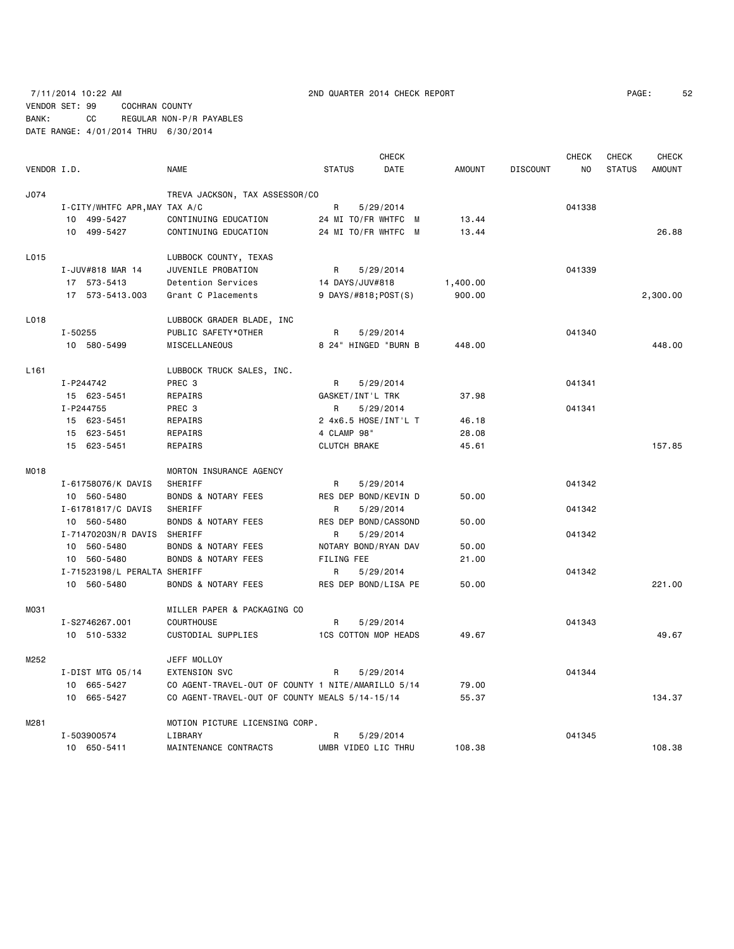# 7/11/2014 10:22 AM 2ND QUARTER 2014 CHECK REPORT PAGE: 52 VENDOR SET: 99 COCHRAN COUNTY BANK: CC REGULAR NON-P/R PAYABLES DATE RANGE: 4/01/2014 THRU 6/30/2014

|                  |                               |                                                    |                             | <b>CHECK</b> |               |                 | <b>CHECK</b> | <b>CHECK</b>  | <b>CHECK</b>  |
|------------------|-------------------------------|----------------------------------------------------|-----------------------------|--------------|---------------|-----------------|--------------|---------------|---------------|
| VENDOR I.D.      |                               | <b>NAME</b>                                        | <b>STATUS</b>               | <b>DATE</b>  | <b>AMOUNT</b> | <b>DISCOUNT</b> | NO.          | <b>STATUS</b> | <b>AMOUNT</b> |
| J074             |                               | TREVA JACKSON, TAX ASSESSOR/CO                     |                             |              |               |                 |              |               |               |
|                  | I-CITY/WHTFC APR, MAY TAX A/C |                                                    | R                           | 5/29/2014    |               |                 | 041338       |               |               |
|                  | 10 499-5427                   | CONTINUING EDUCATION                               | 24 MI TO/FR WHTFC M         |              | 13.44         |                 |              |               |               |
|                  | 10 499-5427                   | CONTINUING EDUCATION                               | 24 MI TO/FR WHTFC M         |              | 13.44         |                 |              |               | 26.88         |
| L015             |                               | LUBBOCK COUNTY, TEXAS                              |                             |              |               |                 |              |               |               |
|                  | I-JUV#818 MAR 14              | JUVENILE PROBATION                                 | R                           | 5/29/2014    |               |                 | 041339       |               |               |
|                  | 17 573-5413                   | Detention Services                                 | 14 DAYS/JUV#818             |              | 1,400.00      |                 |              |               |               |
|                  | 17 573-5413.003               | Grant C Placements                                 | 9 DAYS/#818; POST(S)        |              | 900.00        |                 |              |               | 2,300.00      |
| L018             |                               | LUBBOCK GRADER BLADE, INC                          |                             |              |               |                 |              |               |               |
|                  | I-50255                       | PUBLIC SAFETY*OTHER                                | R                           | 5/29/2014    |               |                 | 041340       |               |               |
|                  | 10 580-5499                   | MISCELLANEOUS                                      | 8 24" HINGED "BURN B        |              | 448.00        |                 |              |               | 448.00        |
| L <sub>161</sub> |                               | LUBBOCK TRUCK SALES, INC.                          |                             |              |               |                 |              |               |               |
|                  | I-P244742                     | PREC 3                                             | R                           | 5/29/2014    |               |                 | 041341       |               |               |
|                  | 15 623-5451                   | REPAIRS                                            | GASKET/INT'L TRK            |              | 37.98         |                 |              |               |               |
|                  | I-P244755                     | PREC 3                                             | R                           | 5/29/2014    |               |                 | 041341       |               |               |
|                  | 15 623-5451                   | REPAIRS                                            | 2 4x6.5 HOSE/INT'L T        |              | 46.18         |                 |              |               |               |
|                  | 15 623-5451                   | REPAIRS                                            | 4 CLAMP 98"                 |              | 28.08         |                 |              |               |               |
|                  | 15 623-5451                   | REPAIRS                                            | <b>CLUTCH BRAKE</b>         |              | 45.61         |                 |              |               | 157.85        |
| M018             |                               | MORTON INSURANCE AGENCY                            |                             |              |               |                 |              |               |               |
|                  | I-61758076/K DAVIS            | SHERIFF                                            | R                           | 5/29/2014    |               |                 | 041342       |               |               |
|                  | 10 560-5480                   | <b>BONDS &amp; NOTARY FEES</b>                     | RES DEP BOND/KEVIN D        |              | 50.00         |                 |              |               |               |
|                  | I-61781817/C DAVIS            | SHERIFF                                            | R                           | 5/29/2014    |               |                 | 041342       |               |               |
|                  | 10 560-5480                   | <b>BONDS &amp; NOTARY FEES</b>                     | RES DEP BOND/CASSOND        |              | 50.00         |                 |              |               |               |
|                  | I-71470203N/R DAVIS SHERIFF   |                                                    | R                           | 5/29/2014    |               |                 | 041342       |               |               |
|                  | 10 560-5480                   | <b>BONDS &amp; NOTARY FEES</b>                     | NOTARY BOND/RYAN DAV        |              | 50.00         |                 |              |               |               |
|                  | 10 560-5480                   | <b>BONDS &amp; NOTARY FEES</b>                     | FILING FEE                  |              | 21.00         |                 |              |               |               |
|                  | I-71523198/L PERALTA SHERIFF  |                                                    | R                           | 5/29/2014    |               |                 | 041342       |               |               |
|                  | 10 560-5480                   | <b>BONDS &amp; NOTARY FEES</b>                     | RES DEP BOND/LISA PE        |              | 50.00         |                 |              |               | 221.00        |
| M031             |                               | MILLER PAPER & PACKAGING CO                        |                             |              |               |                 |              |               |               |
|                  | I-S2746267.001                | <b>COURTHOUSE</b>                                  | R                           | 5/29/2014    |               |                 | 041343       |               |               |
|                  | 10 510-5332                   | CUSTODIAL SUPPLIES                                 | <b>1CS COTTON MOP HEADS</b> |              | 49.67         |                 |              |               | 49.67         |
| M252             |                               | JEFF MOLLOY                                        |                             |              |               |                 |              |               |               |
|                  | I-DIST MTG $05/14$            | EXTENSION SVC                                      | R                           | 5/29/2014    |               |                 | 041344       |               |               |
|                  | 10 665-5427                   | CO AGENT-TRAVEL-OUT OF COUNTY 1 NITE/AMARILLO 5/14 |                             |              | 79.00         |                 |              |               |               |
|                  | 10 665-5427                   | CO AGENT-TRAVEL-OUT OF COUNTY MEALS 5/14-15/14     |                             |              | 55.37         |                 |              |               | 134.37        |
| M281             |                               | MOTION PICTURE LICENSING CORP.                     |                             |              |               |                 |              |               |               |
|                  | I-503900574                   | LIBRARY                                            | R                           | 5/29/2014    |               |                 | 041345       |               |               |
|                  | 10 650-5411                   | MAINTENANCE CONTRACTS                              | UMBR VIDEO LIC THRU         |              | 108.38        |                 |              |               | 108.38        |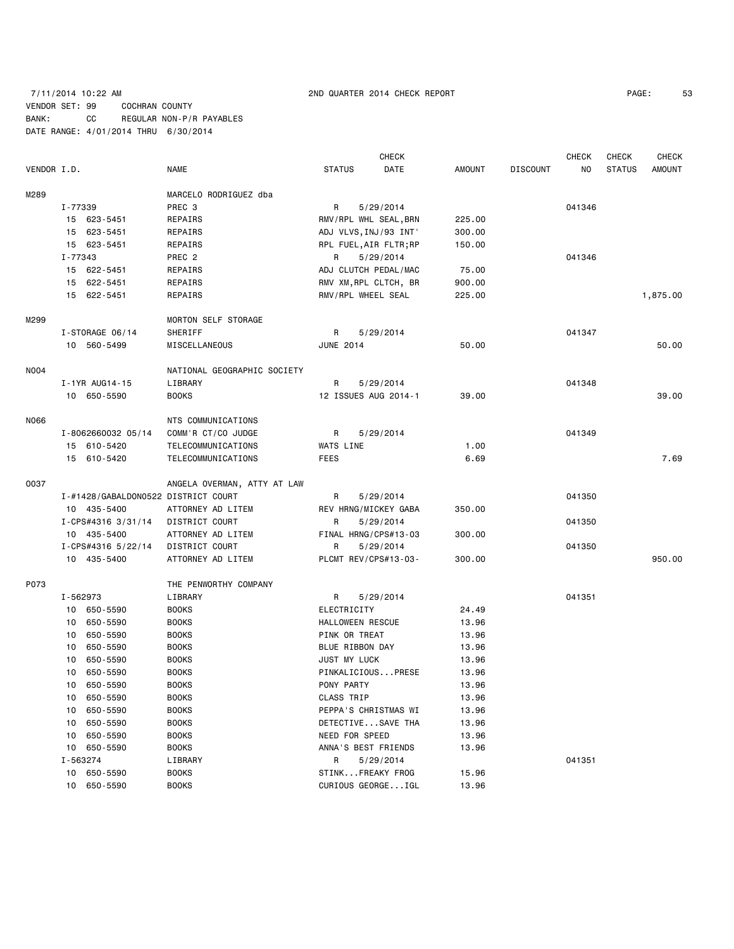# 7/11/2014 10:22 AM 2ND QUARTER 2014 CHECK REPORT PAGE: 53 VENDOR SET: 99 COCHRAN COUNTY BANK: CC REGULAR NON-P/R PAYABLES DATE RANGE: 4/01/2014 THRU 6/30/2014

| VENDOR I.D. |          |                                     | NAME                        | <b>STATUS</b>          | <b>CHECK</b><br>DATE | <b>AMOUNT</b> | <b>DISCOUNT</b> | <b>CHECK</b><br>NO. | CHECK<br><b>STATUS</b> | <b>CHECK</b><br><b>AMOUNT</b> |
|-------------|----------|-------------------------------------|-----------------------------|------------------------|----------------------|---------------|-----------------|---------------------|------------------------|-------------------------------|
| M289        |          |                                     | MARCELO RODRIGUEZ dba       |                        |                      |               |                 |                     |                        |                               |
|             | I-77339  |                                     | PREC 3                      | R                      | 5/29/2014            |               |                 | 041346              |                        |                               |
|             |          | 15 623-5451                         | REPAIRS                     | RMV/RPL WHL SEAL, BRN  |                      | 225.00        |                 |                     |                        |                               |
|             |          | 15 623-5451                         | REPAIRS                     | ADJ VLVS, INJ/93 INT'  |                      | 300.00        |                 |                     |                        |                               |
|             |          | 15 623-5451                         | REPAIRS                     | RPL FUEL, AIR FLTR; RP |                      | 150.00        |                 |                     |                        |                               |
|             | I-77343  |                                     | PREC <sub>2</sub>           | R                      | 5/29/2014            |               |                 | 041346              |                        |                               |
|             |          | 15 622-5451                         | REPAIRS                     | ADJ CLUTCH PEDAL/MAC   |                      | 75.00         |                 |                     |                        |                               |
|             |          | 15 622-5451                         | REPAIRS                     | RMV XM, RPL CLTCH, BR  |                      | 900.00        |                 |                     |                        |                               |
|             |          | 15 622-5451                         | REPAIRS                     | RMV/RPL WHEEL SEAL     |                      | 225.00        |                 |                     |                        | 1,875.00                      |
| M299        |          |                                     | <b>MORTON SELF STORAGE</b>  |                        |                      |               |                 |                     |                        |                               |
|             |          | I-STORAGE 06/14                     | SHERIFF                     | R                      | 5/29/2014            |               |                 | 041347              |                        |                               |
|             |          | 10 560-5499                         | MISCELLANEOUS               | <b>JUNE 2014</b>       |                      | 50.00         |                 |                     |                        | 50.00                         |
| N004        |          |                                     | NATIONAL GEOGRAPHIC SOCIETY |                        |                      |               |                 |                     |                        |                               |
|             |          | I-1YR AUG14-15                      | LIBRARY                     | R                      | 5/29/2014            |               |                 | 041348              |                        |                               |
|             |          | 10 650-5590                         | <b>BOOKS</b>                | 12 ISSUES AUG 2014-1   |                      | 39.00         |                 |                     |                        | 39.00                         |
| N066        |          |                                     | NTS COMMUNICATIONS          |                        |                      |               |                 |                     |                        |                               |
|             |          | I-8062660032 05/14                  | COMM'R CT/CO JUDGE          | R                      | 5/29/2014            |               |                 | 041349              |                        |                               |
|             |          | 15 610-5420                         | TELECOMMUNICATIONS          | WATS LINE              |                      | 1.00          |                 |                     |                        |                               |
|             |          | 15 610-5420                         | TELECOMMUNICATIONS          | <b>FEES</b>            |                      | 6.69          |                 |                     |                        | 7.69                          |
| 0037        |          |                                     | ANGELA OVERMAN, ATTY AT LAW |                        |                      |               |                 |                     |                        |                               |
|             |          | I-#1428/GABALDON0522 DISTRICT COURT |                             | R                      | 5/29/2014            |               |                 | 041350              |                        |                               |
|             |          | 10 435-5400                         | ATTORNEY AD LITEM           | REV HRNG/MICKEY GABA   |                      | 350.00        |                 |                     |                        |                               |
|             |          | I-CPS#4316 3/31/14                  | DISTRICT COURT              | R.                     | 5/29/2014            |               |                 | 041350              |                        |                               |
|             |          | 10 435-5400                         | ATTORNEY AD LITEM           | FINAL HRNG/CPS#13-03   |                      | 300.00        |                 |                     |                        |                               |
|             |          | I-CPS#4316 5/22/14                  | DISTRICT COURT              | R                      | 5/29/2014            |               |                 | 041350              |                        |                               |
|             |          | 10 435-5400                         | ATTORNEY AD LITEM           | PLCMT REV/CPS#13-03-   |                      | 300.00        |                 |                     |                        | 950.00                        |
| P073        |          |                                     | THE PENWORTHY COMPANY       |                        |                      |               |                 |                     |                        |                               |
|             | I-562973 |                                     | LIBRARY                     | R                      | 5/29/2014            |               |                 | 041351              |                        |                               |
|             |          | 10 650-5590                         | <b>BOOKS</b>                | ELECTRICITY            |                      | 24.49         |                 |                     |                        |                               |
|             |          | 10 650-5590                         | <b>BOOKS</b>                | HALLOWEEN RESCUE       |                      | 13.96         |                 |                     |                        |                               |
|             | 10       | 650-5590                            | <b>BOOKS</b>                | PINK OR TREAT          |                      | 13.96         |                 |                     |                        |                               |
|             | 10       | 650-5590                            | <b>BOOKS</b>                | BLUE RIBBON DAY        |                      | 13.96         |                 |                     |                        |                               |
|             | 10       | 650-5590                            | <b>BOOKS</b>                | JUST MY LUCK           |                      | 13.96         |                 |                     |                        |                               |
|             |          | 10 650-5590                         | <b>BOOKS</b>                | PINKALICIOUSPRESE      |                      | 13.96         |                 |                     |                        |                               |
|             |          | 10 650-5590                         | <b>BOOKS</b>                | PONY PARTY             |                      | 13.96         |                 |                     |                        |                               |
|             |          | 10 650-5590                         | <b>BOOKS</b>                | CLASS TRIP             |                      | 13.96         |                 |                     |                        |                               |
|             | 10       | 650-5590                            | <b>BOOKS</b>                | PEPPA'S CHRISTMAS WI   |                      | 13.96         |                 |                     |                        |                               |
|             |          | 10 650-5590                         | <b>BOOKS</b>                | DETECTIVESAVE THA      |                      | 13.96         |                 |                     |                        |                               |
|             |          | 10 650-5590                         | <b>BOOKS</b>                | NEED FOR SPEED         |                      | 13.96         |                 |                     |                        |                               |
|             |          | 10 650-5590                         | <b>BOOKS</b>                | ANNA'S BEST FRIENDS    |                      | 13.96         |                 |                     |                        |                               |
|             | I-563274 |                                     | LIBRARY                     | R                      | 5/29/2014            |               |                 | 041351              |                        |                               |
|             |          | 10 650-5590                         | <b>BOOKS</b>                | STINKFREAKY FROG       |                      | 15.96         |                 |                     |                        |                               |
|             |          | 10 650-5590                         | <b>BOOKS</b>                | CURIOUS GEORGEIGL      |                      | 13.96         |                 |                     |                        |                               |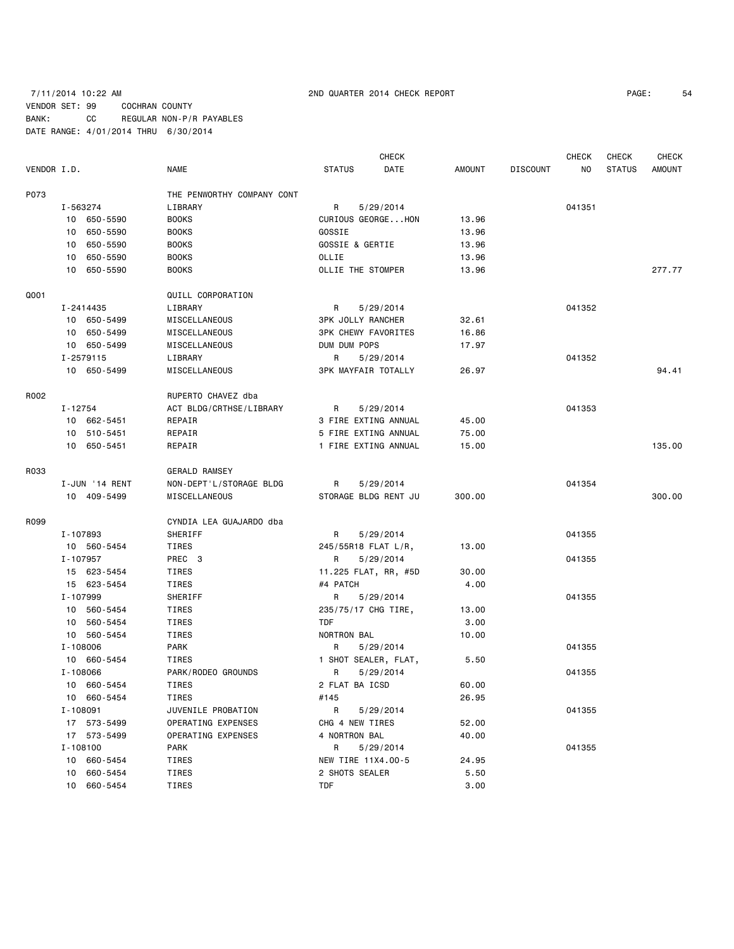# 7/11/2014 10:22 AM 2ND QUARTER 2014 CHECK REPORT PAGE: 54 VENDOR SET: 99 COCHRAN COUNTY BANK: CC REGULAR NON-P/R PAYABLES DATE RANGE: 4/01/2014 THRU 6/30/2014

|             |                |                            |                            | <b>CHECK</b>         |        |                 | <b>CHECK</b> | CHECK         | <b>CHECK</b>  |
|-------------|----------------|----------------------------|----------------------------|----------------------|--------|-----------------|--------------|---------------|---------------|
| VENDOR I.D. |                | NAME                       | <b>STATUS</b>              | DATE                 | AMOUNT | <b>DISCOUNT</b> | NO           | <b>STATUS</b> | <b>AMOUNT</b> |
| P073        |                | THE PENWORTHY COMPANY CONT |                            |                      |        |                 |              |               |               |
|             | I-563274       | LIBRARY                    | R                          | 5/29/2014            |        |                 | 041351       |               |               |
|             | 10 650-5590    | <b>BOOKS</b>               |                            | CURIOUS GEORGEHON    | 13.96  |                 |              |               |               |
|             | 10 650-5590    | <b>BOOKS</b>               | GOSSIE                     |                      | 13.96  |                 |              |               |               |
|             | 10 650-5590    | <b>BOOKS</b>               | GOSSIE & GERTIE            |                      | 13.96  |                 |              |               |               |
|             | 10 650-5590    | <b>BOOKS</b>               | OLLIE                      |                      | 13.96  |                 |              |               |               |
|             | 10 650-5590    | <b>BOOKS</b>               | OLLIE THE STOMPER          |                      | 13.96  |                 |              |               | 277.77        |
| Q001        |                | QUILL CORPORATION          |                            |                      |        |                 |              |               |               |
|             | I-2414435      | LIBRARY                    | R                          | 5/29/2014            |        |                 | 041352       |               |               |
|             | 10 650-5499    | MISCELLANEOUS              | <b>3PK JOLLY RANCHER</b>   |                      | 32.61  |                 |              |               |               |
|             | 10 650-5499    | MISCELLANEOUS              | <b>3PK CHEWY FAVORITES</b> |                      | 16.86  |                 |              |               |               |
|             | 10 650-5499    | MISCELLANEOUS              | DUM DUM POPS               |                      | 17.97  |                 |              |               |               |
|             | I-2579115      | LIBRARY                    | R                          | 5/29/2014            |        |                 | 041352       |               |               |
|             | 10 650-5499    | MISCELLANEOUS              | <b>3PK MAYFAIR TOTALLY</b> |                      | 26.97  |                 |              |               | 94.41         |
|             |                |                            |                            |                      |        |                 |              |               |               |
| R002        |                | RUPERTO CHAVEZ dba         |                            |                      |        |                 |              |               |               |
|             | I-12754        | ACT BLDG/CRTHSE/LIBRARY    | R                          | 5/29/2014            |        |                 | 041353       |               |               |
|             | 10 662-5451    | REPAIR                     |                            | 3 FIRE EXTING ANNUAL | 45.00  |                 |              |               |               |
|             | 10 510-5451    | REPAIR                     |                            | 5 FIRE EXTING ANNUAL | 75.00  |                 |              |               |               |
|             | 10 650-5451    | REPAIR                     |                            | 1 FIRE EXTING ANNUAL | 15.00  |                 |              |               | 135.00        |
| R033        |                | <b>GERALD RAMSEY</b>       |                            |                      |        |                 |              |               |               |
|             | I-JUN '14 RENT | NON-DEPT'L/STORAGE BLDG    | R                          | 5/29/2014            |        |                 | 041354       |               |               |
|             | 10 409-5499    | MISCELLANEOUS              |                            | STORAGE BLDG RENT JU | 300.00 |                 |              |               | 300.00        |
| R099        |                | CYNDIA LEA GUAJARDO dba    |                            |                      |        |                 |              |               |               |
|             | I-107893       | SHERIFF                    | R                          | 5/29/2014            |        |                 | 041355       |               |               |
|             | 10 560-5454    | TIRES                      | 245/55R18 FLAT L/R,        |                      | 13.00  |                 |              |               |               |
|             | I-107957       | PREC 3                     | R                          | 5/29/2014            |        |                 | 041355       |               |               |
|             | 15 623-5454    | TIRES                      |                            | 11.225 FLAT, RR, #5D | 30.00  |                 |              |               |               |
|             | 15 623-5454    | TIRES                      | #4 PATCH                   |                      | 4.00   |                 |              |               |               |
|             | I-107999       | SHERIFF                    | R                          | 5/29/2014            |        |                 | 041355       |               |               |
|             | 10 560-5454    | TIRES                      | 235/75/17 CHG TIRE,        |                      | 13.00  |                 |              |               |               |
|             | 10 560-5454    | TIRES                      | TDF                        |                      | 3.00   |                 |              |               |               |
|             | 10 560-5454    | TIRES                      | NORTRON BAL                |                      | 10.00  |                 |              |               |               |
|             | I-108006       | PARK                       | R                          | 5/29/2014            |        |                 | 041355       |               |               |
|             | 10 660-5454    | TIRES                      |                            | 1 SHOT SEALER, FLAT, | 5.50   |                 |              |               |               |
|             | I-108066       | PARK/RODEO GROUNDS         | R                          | 5/29/2014            |        |                 | 041355       |               |               |
|             | 10 660-5454    | TIRES                      | 2 FLAT BA ICSD             |                      | 60.00  |                 |              |               |               |
|             | 10 660-5454    | TIRES                      | #145                       |                      | 26.95  |                 |              |               |               |
|             | I-108091       | JUVENILE PROBATION         | R                          | 5/29/2014            |        |                 | 041355       |               |               |
|             | 17 573-5499    | OPERATING EXPENSES         | CHG 4 NEW TIRES            |                      | 52.00  |                 |              |               |               |
|             | 17 573-5499    | OPERATING EXPENSES         | 4 NORTRON BAL              |                      | 40.00  |                 |              |               |               |
|             | I-108100       | PARK                       | R                          | 5/29/2014            |        |                 | 041355       |               |               |
|             | 10 660-5454    | TIRES                      | NEW TIRE 11X4.00-5         |                      | 24.95  |                 |              |               |               |
|             | 10 660-5454    | TIRES                      | 2 SHOTS SEALER             |                      | 5.50   |                 |              |               |               |
|             | 10 660-5454    | TIRES                      | TDF                        |                      | 3.00   |                 |              |               |               |
|             |                |                            |                            |                      |        |                 |              |               |               |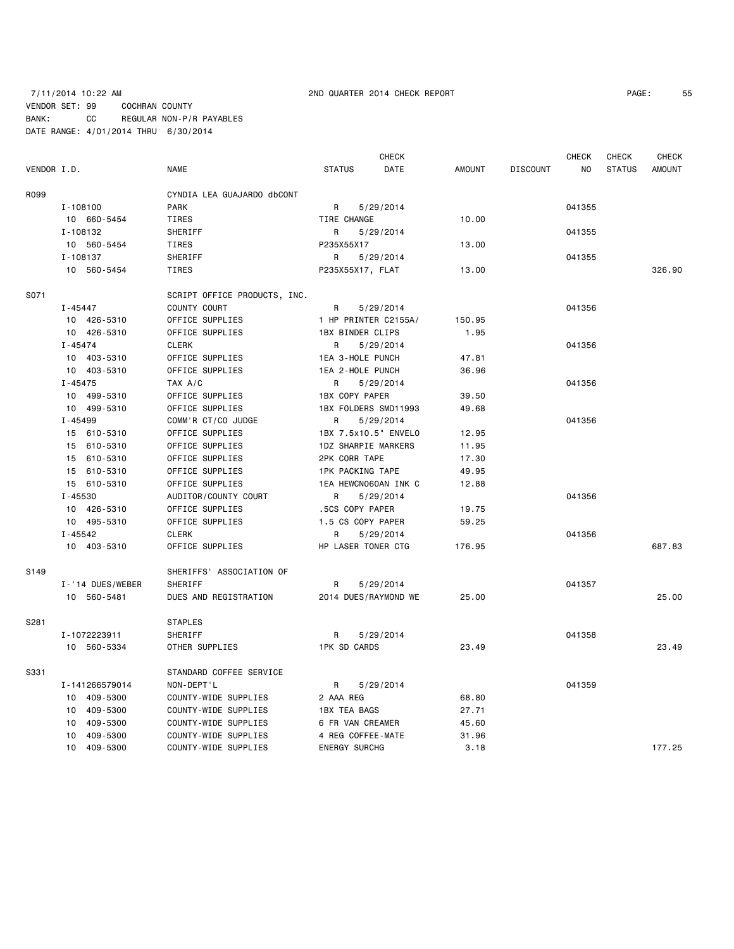### 7/11/2014 10:22 AM 2ND QUARTER 2014 CHECK REPORT PAGE: 55 VENDOR SET: 99 COCHRAN COUNTY BANK: CC REGULAR NON-P/R PAYABLES DATE RANGE: 4/01/2014 THRU 6/30/2014

**CHECK CHECK CHECK CHECK CHECK CHECK CHECK** 

VENDOR I.D. NAME STATUS DATE AMOUNT DISCOUNT NO STATUS AMOUNT R099 CYNDIA LEA GUAJARDO dbCONT I-108100 PARK R 5/29/2014 041355 10 660-5454 TIRES TIRE CHANGE 10.00 I-108132 SHERIFF R R 5/29/2014 R 95/29 141355 10 560-5454 TIRES P235X55X17 13.00 I-108137 SHERIFF R R 5/29/2014 R 9041355 10 560-5454 TIRES P235X55X17, FLAT 13.00 326.90 S071 SCRIPT OFFICE PRODUCTS, INC. I-45447 COUNTY COURT R 5/29/2014 R 5-129 2014 10 426-5310 OFFICE SUPPLIES 1 HP PRINTER C2155A/ 150.95 10 426-5310 OFFICE SUPPLIES 1BX BINDER CLIPS 1.95 I-45474 CLERK R 5/29/2014 041356 10 403-5310 OFFICE SUPPLIES 1EA 3-HOLE PUNCH 47.81 10 403-5310 OFFICE SUPPLIES 1EA 2-HOLE PUNCH 36.96 I-45475 TAX A/C R 5/29/2014 041356 10 499-5310 OFFICE SUPPLIES 1BX COPY PAPER 39.50 10 499-5310 OFFICE SUPPLIES 1BX FOLDERS SMD11993 49.68 I-45499 COMM'R CT/CO JUDGE R 5/29/2014 2041356 15 610-5310 OFFICE SUPPLIES 1BX 7.5x10.5" ENVELO 12.95 15 610-5310 OFFICE SUPPLIES 1DZ SHARPIE MARKERS 11.95 15 610-5310 OFFICE SUPPLIES 2PK CORR TAPE 17.30 15 610-5310 OFFICE SUPPLIES 1PK PACKING TAPE 49.95 15 610-5310 OFFICE SUPPLIES 1EA HEWCN060AN INK C 12.88 I-45530 AUDITOR/COUNTY COURT R 5/29/2014 041356 10 426-5310 OFFICE SUPPLIES .5CS COPY PAPER 19.75 10 495-5310 OFFICE SUPPLIES 1.5 CS COPY PAPER 59.25 I-45542 CLERK R 5/29/2014 041356 10 403-5310 OFFICE SUPPLIES HP LASER TONER CTG 176.95 687.83 S149 SHERIFFS' ASSOCIATION OF I-'14 DUES/WEBER SHERIFF R 5/29/2014 R 5/29/2014 041357 10 560-5481 DUES AND REGISTRATION 2014 DUES/RAYMOND WE 25.00 25.00 S281 STAPLES I-1072223911 SHERIFF R R 5/29/2014 201358 10 560-5334 OTHER SUPPLIES 1PK SD CARDS 23.49 23.49 S331 STANDARD COFFEE SERVICE I-141266579014 NON-DEPT'L R 5/29/2014 041359 10 409-5300 COUNTY-WIDE SUPPLIES 2 AAA REG 68.80 10 409-5300 COUNTY-WIDE SUPPLIES 1BX TEA BAGS 27.71 10 409-5300 COUNTY-WIDE SUPPLIES 6 FR VAN CREAMER 45.60 10 409-5300 COUNTY-WIDE SUPPLIES 4 REG COFFEE-MATE 31.96 10 409-5300 COUNTY-WIDE SUPPLIES ENERGY SURCHG 3.18 177.25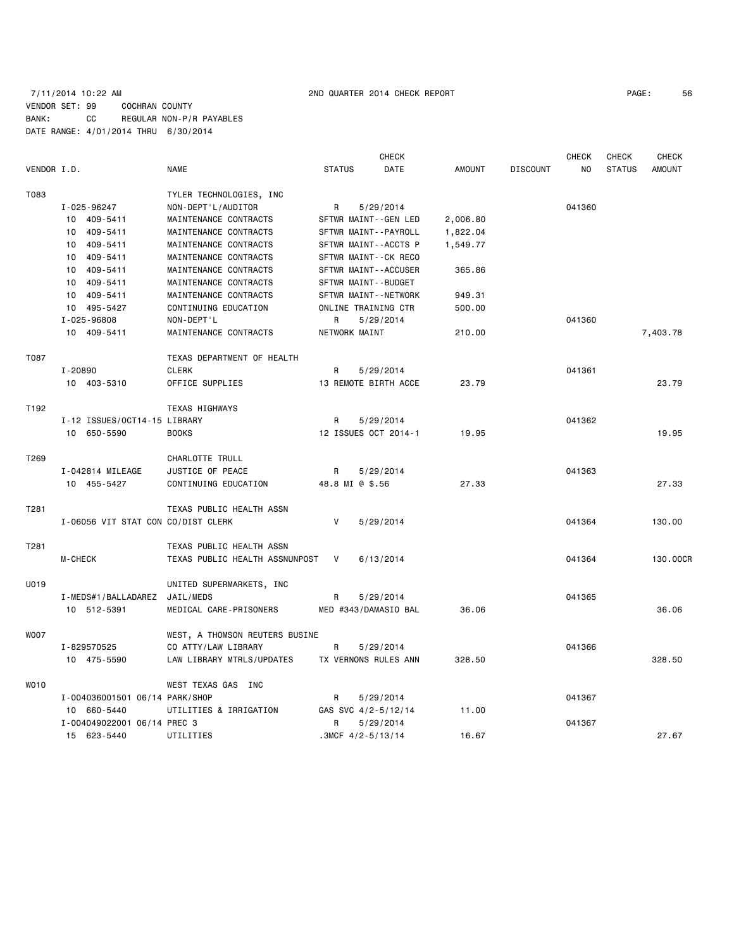# 7/11/2014 10:22 AM 2ND QUARTER 2014 CHECK REPORT PAGE: 56 VENDOR SET: 99 COCHRAN COUNTY BANK: CC REGULAR NON-P/R PAYABLES DATE RANGE: 4/01/2014 THRU 6/30/2014

|             |                                    |                                |               | <b>CHECK</b>         |               |                 | CHECK          | <b>CHECK</b>  | <b>CHECK</b>  |
|-------------|------------------------------------|--------------------------------|---------------|----------------------|---------------|-----------------|----------------|---------------|---------------|
| VENDOR I.D. |                                    | <b>NAME</b>                    | <b>STATUS</b> | DATE                 | <b>AMOUNT</b> | <b>DISCOUNT</b> | N <sub>O</sub> | <b>STATUS</b> | <b>AMOUNT</b> |
| T083        |                                    | TYLER TECHNOLOGIES, INC        |               |                      |               |                 |                |               |               |
|             | I-025-96247                        | NON-DEPT'L/AUDITOR             | R             | 5/29/2014            |               |                 | 041360         |               |               |
|             | 10 409-5411                        | MAINTENANCE CONTRACTS          |               | SFTWR MAINT--GEN LED | 2,006.80      |                 |                |               |               |
|             | 10 409-5411                        | MAINTENANCE CONTRACTS          |               | SFTWR MAINT--PAYROLL | 1,822.04      |                 |                |               |               |
|             | 10 409-5411                        | MAINTENANCE CONTRACTS          |               | SFTWR MAINT--ACCTS P | 1,549.77      |                 |                |               |               |
|             | 10 409-5411                        | MAINTENANCE CONTRACTS          |               | SFTWR MAINT--CK RECO |               |                 |                |               |               |
|             | 10 409-5411                        | MAINTENANCE CONTRACTS          |               | SFTWR MAINT--ACCUSER | 365.86        |                 |                |               |               |
|             | 10 409-5411                        | MAINTENANCE CONTRACTS          |               | SFTWR MAINT--BUDGET  |               |                 |                |               |               |
|             | 10 409-5411                        | MAINTENANCE CONTRACTS          |               | SFTWR MAINT--NETWORK | 949.31        |                 |                |               |               |
|             | 10 495-5427                        | CONTINUING EDUCATION           |               | ONLINE TRAINING CTR  | 500.00        |                 |                |               |               |
|             | I-025-96808                        | NON-DEPT'L                     | R             | 5/29/2014            |               |                 | 041360         |               |               |
|             | 10 409-5411                        | MAINTENANCE CONTRACTS          |               | NETWORK MAINT        | 210.00        |                 |                |               | 7,403.78      |
| T087        |                                    | TEXAS DEPARTMENT OF HEALTH     |               |                      |               |                 |                |               |               |
|             | I-20890                            | <b>CLERK</b>                   | R             | 5/29/2014            |               |                 | 041361         |               |               |
|             | 10 403-5310                        | OFFICE SUPPLIES                |               | 13 REMOTE BIRTH ACCE | 23.79         |                 |                |               | 23.79         |
| T192        |                                    | <b>TEXAS HIGHWAYS</b>          |               |                      |               |                 |                |               |               |
|             | I-12 ISSUES/OCT14-15 LIBRARY       |                                | R             | 5/29/2014            |               |                 | 041362         |               |               |
|             | 10 650-5590                        | <b>BOOKS</b>                   |               | 12 ISSUES OCT 2014-1 | 19.95         |                 |                |               | 19.95         |
|             |                                    |                                |               |                      |               |                 |                |               |               |
| T269        |                                    | CHARLOTTE TRULL                |               |                      |               |                 |                |               |               |
|             | I-042814 MILEAGE                   | JUSTICE OF PEACE               | R.            | 5/29/2014            |               |                 | 041363         |               |               |
|             | 10 455-5427                        | CONTINUING EDUCATION           |               | 48.8 MI @ \$.56      | 27.33         |                 |                |               | 27.33         |
| T281        |                                    | TEXAS PUBLIC HEALTH ASSN       |               |                      |               |                 |                |               |               |
|             | I-06056 VIT STAT CON CO/DIST CLERK |                                | V             | 5/29/2014            |               |                 | 041364         |               | 130.00        |
| T281        |                                    | TEXAS PUBLIC HEALTH ASSN       |               |                      |               |                 |                |               |               |
|             | <b>M-CHECK</b>                     | TEXAS PUBLIC HEALTH ASSNUNPOST | V             | 6/13/2014            |               |                 | 041364         |               | 130.00CR      |
| U019        |                                    | UNITED SUPERMARKETS, INC       |               |                      |               |                 |                |               |               |
|             | I-MEDS#1/BALLADAREZ                | JAIL/MEDS                      | R             | 5/29/2014            |               |                 | 041365         |               |               |
|             | 10 512-5391                        | MEDICAL CARE-PRISONERS         |               | MED #343/DAMASIO BAL | 36.06         |                 |                |               | 36.06         |
| WOO7        |                                    | WEST, A THOMSON REUTERS BUSINE |               |                      |               |                 |                |               |               |
|             | I-829570525                        | CO ATTY/LAW LIBRARY            | R             | 5/29/2014            |               |                 | 041366         |               |               |
|             | 10 475-5590                        | LAW LIBRARY MTRLS/UPDATES      |               | TX VERNONS RULES ANN | 328.50        |                 |                |               | 328.50        |
| W010        |                                    | WEST TEXAS GAS INC             |               |                      |               |                 |                |               |               |
|             | I-004036001501 06/14 PARK/SHOP     |                                | R             | 5/29/2014            |               |                 | 041367         |               |               |
|             | 10 660-5440                        | UTILITIES & IRRIGATION         |               | GAS SVC 4/2-5/12/14  | 11.00         |                 |                |               |               |
|             | I-004049022001 06/14 PREC 3        |                                | R             | 5/29/2014            |               |                 | 041367         |               |               |
|             | 15 623-5440                        | UTILITIES                      |               | $.3MCF$ 4/2-5/13/14  | 16.67         |                 |                |               | 27.67         |
|             |                                    |                                |               |                      |               |                 |                |               |               |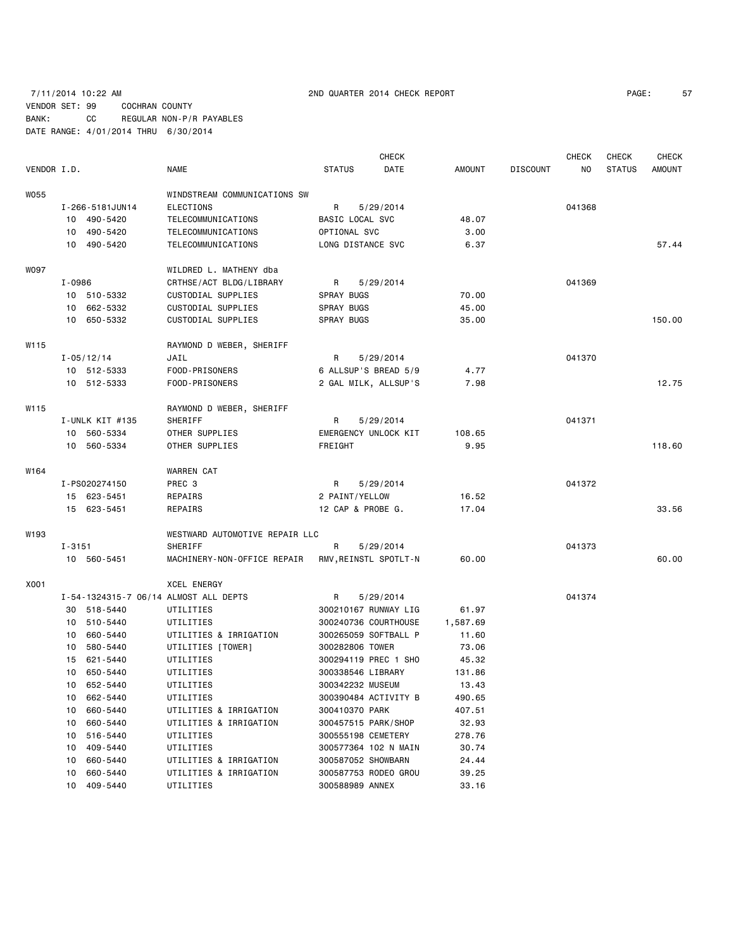# 7/11/2014 10:22 AM 2ND QUARTER 2014 CHECK REPORT PAGE: 57 VENDOR SET: 99 COCHRAN COUNTY BANK: CC REGULAR NON-P/R PAYABLES DATE RANGE: 4/01/2014 THRU 6/30/2014

|             |            |                      |                                       |                     | <b>CHECK</b>          |               |                 | <b>CHECK</b> | CHECK         | <b>CHECK</b>  |
|-------------|------------|----------------------|---------------------------------------|---------------------|-----------------------|---------------|-----------------|--------------|---------------|---------------|
| VENDOR I.D. |            |                      | NAME                                  | <b>STATUS</b>       | DATE                  | <b>AMOUNT</b> | <b>DISCOUNT</b> | NO.          | <b>STATUS</b> | <b>AMOUNT</b> |
| W055        |            |                      | WINDSTREAM COMMUNICATIONS SW          |                     |                       |               |                 |              |               |               |
|             |            | I-266-5181JUN14      | <b>ELECTIONS</b>                      | R                   | 5/29/2014             |               |                 | 041368       |               |               |
|             |            | 10 490-5420          | TELECOMMUNICATIONS                    | BASIC LOCAL SVC     |                       | 48.07         |                 |              |               |               |
|             |            | 10 490-5420          | TELECOMMUNICATIONS                    | OPTIONAL SVC        |                       | 3.00          |                 |              |               |               |
|             |            | 10 490-5420          | TELECOMMUNICATIONS                    | LONG DISTANCE SVC   |                       | 6.37          |                 |              |               | 57.44         |
|             |            |                      |                                       |                     |                       |               |                 |              |               |               |
| W097        |            |                      | WILDRED L. MATHENY dba                |                     |                       |               |                 |              |               |               |
|             | $I - 0986$ |                      | CRTHSE/ACT BLDG/LIBRARY               | R                   | 5/29/2014             |               |                 | 041369       |               |               |
|             |            | 10 510-5332          | CUSTODIAL SUPPLIES                    | SPRAY BUGS          |                       | 70.00         |                 |              |               |               |
|             |            | 10 662-5332          | CUSTODIAL SUPPLIES                    | SPRAY BUGS          |                       | 45.00         |                 |              |               |               |
|             |            | 10 650-5332          | CUSTODIAL SUPPLIES                    | SPRAY BUGS          |                       | 35.00         |                 |              |               | 150.00        |
| W115        |            |                      | RAYMOND D WEBER, SHERIFF              |                     |                       |               |                 |              |               |               |
|             |            | I-05/12/14           | JAIL                                  | R                   | 5/29/2014             |               |                 | 041370       |               |               |
|             |            | 10 512-5333          | FOOD-PRISONERS                        |                     | 6 ALLSUP'S BREAD 5/9  | 4.77          |                 |              |               |               |
|             |            | 10 512-5333          | FOOD-PRISONERS                        |                     | 2 GAL MILK, ALLSUP'S  | 7.98          |                 |              |               | 12.75         |
| W115        |            |                      | RAYMOND D WEBER, SHERIFF              |                     |                       |               |                 |              |               |               |
|             |            | I-UNLK KIT #135      | SHERIFF                               | R                   |                       |               |                 | 041371       |               |               |
|             |            |                      |                                       |                     | 5/29/2014             |               |                 |              |               |               |
|             |            | 10 560-5334          | OTHER SUPPLIES<br>OTHER SUPPLIES      |                     | EMERGENCY UNLOCK KIT  | 108.65        |                 |              |               | 118.60        |
|             |            | 10 560-5334          |                                       | FREIGHT             |                       | 9.95          |                 |              |               |               |
| W164        |            |                      | WARREN CAT                            |                     |                       |               |                 |              |               |               |
|             |            | I-PS020274150        | PREC 3                                | R.                  | 5/29/2014             |               |                 | 041372       |               |               |
|             |            | 15 623-5451          | <b>REPAIRS</b>                        | 2 PAINT/YELLOW      |                       | 16.52         |                 |              |               |               |
|             |            | 15 623-5451          | REPAIRS                               | 12 CAP & PROBE G.   |                       | 17.04         |                 |              |               | 33.56         |
| W193        |            |                      | WESTWARD AUTOMOTIVE REPAIR LLC        |                     |                       |               |                 |              |               |               |
|             | $I - 3151$ |                      | SHERIFF                               | R                   | 5/29/2014             |               |                 | 041373       |               |               |
|             |            | 10 560-5451          | MACHINERY-NON-OFFICE REPAIR           |                     | RMV, REINSTL SPOTLT-N | 60.00         |                 |              |               | 60.00         |
| X001        |            |                      | <b>XCEL ENERGY</b>                    |                     |                       |               |                 |              |               |               |
|             |            |                      | I-54-1324315-7 06/14 ALMOST ALL DEPTS | R                   | 5/29/2014             |               |                 | 041374       |               |               |
|             |            | 30 518-5440          | UTILITIES                             |                     | 300210167 RUNWAY LIG  | 61.97         |                 |              |               |               |
|             |            | 10 510-5440          | UTILITIES                             |                     | 300240736 COURTHOUSE  | 1,587.69      |                 |              |               |               |
|             |            | 10 660-5440          | UTILITIES & IRRIGATION                |                     | 300265059 SOFTBALL P  | 11.60         |                 |              |               |               |
|             | 10         | 580-5440             | UTILITIES [TOWER]                     | 300282806 TOWER     |                       | 73.06         |                 |              |               |               |
|             | 15         | 621-5440             | UTILITIES                             |                     | 300294119 PREC 1 SHO  | 45.32         |                 |              |               |               |
|             | 10         | 650-5440             | UTILITIES                             | 300338546 LIBRARY   |                       | 131.86        |                 |              |               |               |
|             |            | 10 652-5440          | UTILITIES                             | 300342232 MUSEUM    |                       | 13.43         |                 |              |               |               |
|             |            |                      |                                       |                     |                       | 490.65        |                 |              |               |               |
|             | 10<br>10   | 662-5440<br>660-5440 | UTILITIES<br>UTILITIES & IRRIGATION   | 300410370 PARK      | 300390484 ACTIVITY B  | 407.51        |                 |              |               |               |
|             |            |                      |                                       |                     |                       |               |                 |              |               |               |
|             | 10         | 660-5440             | UTILITIES & IRRIGATION                | 300457515 PARK/SHOP |                       | 32.93         |                 |              |               |               |
|             | 10         | 516-5440             | UTILITIES                             | 300555198 CEMETERY  |                       | 278.76        |                 |              |               |               |
|             | 10         | 409-5440             | UTILITIES                             |                     | 300577364 102 N MAIN  | 30.74         |                 |              |               |               |
|             | 10         | 660-5440             | UTILITIES & IRRIGATION                | 300587052 SHOWBARN  |                       | 24.44         |                 |              |               |               |
|             | 10         | 660-5440             | UTILITIES & IRRIGATION                |                     | 300587753 RODEO GROU  | 39.25         |                 |              |               |               |
|             | 10         | 409-5440             | UTILITIES                             | 300588989 ANNEX     |                       | 33.16         |                 |              |               |               |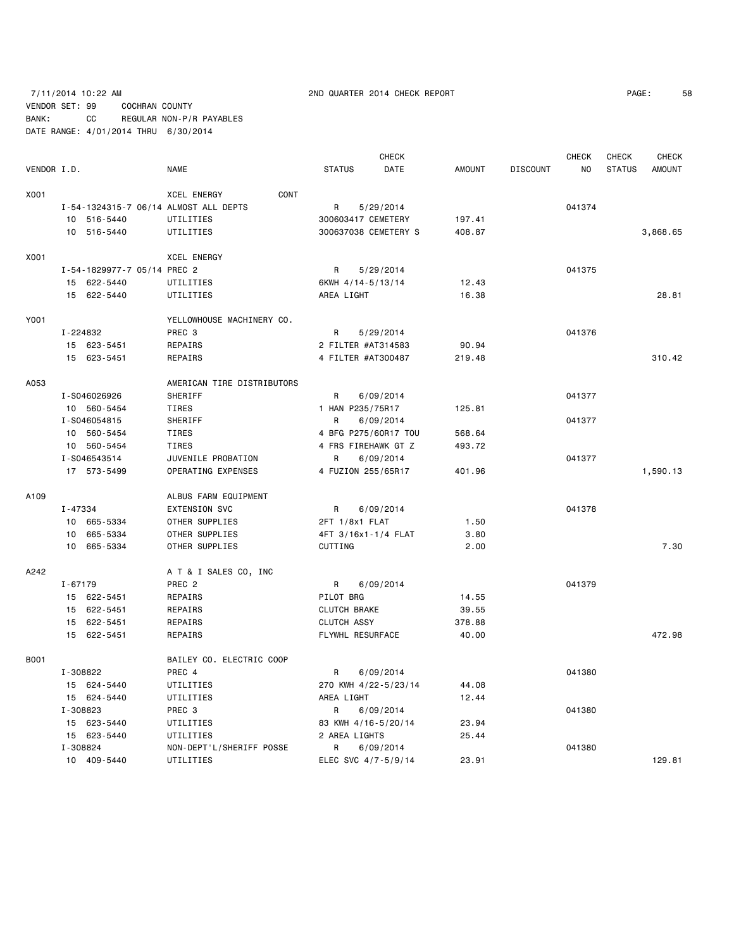# 7/11/2014 10:22 AM 2ND QUARTER 2014 CHECK REPORT PAGE: 58 VENDOR SET: 99 COCHRAN COUNTY BANK: CC REGULAR NON-P/R PAYABLES DATE RANGE: 4/01/2014 THRU 6/30/2014

| PAGE: | 58 |
|-------|----|
|       |    |

|             |                                       |                            |                      | <b>CHECK</b> |               |                 | <b>CHECK</b>   | <b>CHECK</b>  | <b>CHECK</b>  |
|-------------|---------------------------------------|----------------------------|----------------------|--------------|---------------|-----------------|----------------|---------------|---------------|
| VENDOR I.D. |                                       | <b>NAME</b>                | <b>STATUS</b>        | DATE         | <b>AMOUNT</b> | <b>DISCOUNT</b> | N <sub>O</sub> | <b>STATUS</b> | <b>AMOUNT</b> |
| X001        |                                       | CONT<br><b>XCEL ENERGY</b> |                      |              |               |                 |                |               |               |
|             | I-54-1324315-7 06/14 ALMOST ALL DEPTS |                            | R                    | 5/29/2014    |               |                 | 041374         |               |               |
|             | 10 516-5440                           | UTILITIES                  | 300603417 CEMETERY   |              | 197.41        |                 |                |               |               |
|             | 10 516-5440                           | UTILITIES                  | 300637038 CEMETERY S |              | 408.87        |                 |                |               | 3,868.65      |
| X001        |                                       | <b>XCEL ENERGY</b>         |                      |              |               |                 |                |               |               |
|             | I-54-1829977-7 05/14 PREC 2           |                            | R                    | 5/29/2014    |               |                 | 041375         |               |               |
|             | 15 622-5440                           | UTILITIES                  | 6KWH 4/14-5/13/14    |              | 12.43         |                 |                |               |               |
|             | 15 622-5440                           | UTILITIES                  | AREA LIGHT           |              | 16.38         |                 |                |               | 28.81         |
| Y001        |                                       | YELLOWHOUSE MACHINERY CO.  |                      |              |               |                 |                |               |               |
|             | I-224832                              | PREC <sub>3</sub>          | R                    | 5/29/2014    |               |                 | 041376         |               |               |
|             | 15 623-5451                           | REPAIRS                    | 2 FILTER #AT314583   |              | 90.94         |                 |                |               |               |
|             | 15 623-5451                           | REPAIRS                    | 4 FILTER #AT300487   |              | 219.48        |                 |                |               | 310.42        |
| A053        |                                       | AMERICAN TIRE DISTRIBUTORS |                      |              |               |                 |                |               |               |
|             | I-S046026926                          | SHERIFF                    | R                    | 6/09/2014    |               |                 | 041377         |               |               |
|             | 10 560-5454                           | <b>TIRES</b>               | 1 HAN P235/75R17     |              | 125.81        |                 |                |               |               |
|             | I-S046054815                          | SHERIFF                    | R                    | 6/09/2014    |               |                 | 041377         |               |               |
|             | 10 560-5454                           | <b>TIRES</b>               | 4 BFG P275/60R17 TOU |              | 568.64        |                 |                |               |               |
|             | 10 560-5454                           | <b>TIRES</b>               | 4 FRS FIREHAWK GT Z  |              | 493.72        |                 |                |               |               |
|             | I-S046543514                          | JUVENILE PROBATION         | R                    | 6/09/2014    |               |                 | 041377         |               |               |
|             | 17 573-5499                           | OPERATING EXPENSES         | 4 FUZION 255/65R17   |              | 401.96        |                 |                |               | 1,590.13      |
| A109        |                                       | ALBUS FARM EQUIPMENT       |                      |              |               |                 |                |               |               |
|             | I-47334                               | EXTENSION SVC              | R                    | 6/09/2014    |               |                 | 041378         |               |               |
|             | 10 665-5334                           | OTHER SUPPLIES             | 2FT 1/8x1 FLAT       |              | 1.50          |                 |                |               |               |
|             | 665-5334<br>10                        | OTHER SUPPLIES             | 4FT 3/16x1-1/4 FLAT  |              | 3.80          |                 |                |               |               |
|             | 10<br>665-5334                        | OTHER SUPPLIES             | CUTTING              |              | 2.00          |                 |                |               | 7.30          |
| A242        |                                       | A T & I SALES CO, INC      |                      |              |               |                 |                |               |               |
|             | $I - 67179$                           | PREC <sub>2</sub>          | R                    | 6/09/2014    |               |                 | 041379         |               |               |
|             | 15 622-5451                           | REPAIRS                    | PILOT BRG            |              | 14.55         |                 |                |               |               |
|             | 15 622-5451                           | REPAIRS                    | <b>CLUTCH BRAKE</b>  |              | 39.55         |                 |                |               |               |
|             | 15 622-5451                           | <b>REPAIRS</b>             | <b>CLUTCH ASSY</b>   |              | 378.88        |                 |                |               |               |
|             | 15 622-5451                           | REPAIRS                    | FLYWHL RESURFACE     |              | 40.00         |                 |                |               | 472.98        |
| <b>B001</b> |                                       | BAILEY CO. ELECTRIC COOP   |                      |              |               |                 |                |               |               |
|             | I-308822                              | PREC 4                     | R                    | 6/09/2014    |               |                 | 041380         |               |               |
|             | 15 624-5440                           | UTILITIES                  | 270 KWH 4/22-5/23/14 |              | 44.08         |                 |                |               |               |
|             | 15 624-5440                           | UTILITIES                  | AREA LIGHT           |              | 12.44         |                 |                |               |               |
|             | I-308823                              | PREC <sub>3</sub>          | R                    | 6/09/2014    |               |                 | 041380         |               |               |
|             | 15 623-5440                           | UTILITIES                  | 83 KWH 4/16-5/20/14  |              | 23.94         |                 |                |               |               |
|             | 15 623-5440                           | UTILITIES                  | 2 AREA LIGHTS        |              | 25.44         |                 |                |               |               |
|             | I-308824                              | NON-DEPT'L/SHERIFF POSSE   | R                    | 6/09/2014    |               |                 | 041380         |               |               |
|             | 10 409-5440                           | UTILITIES                  | ELEC SVC 4/7-5/9/14  |              | 23.91         |                 |                |               | 129.81        |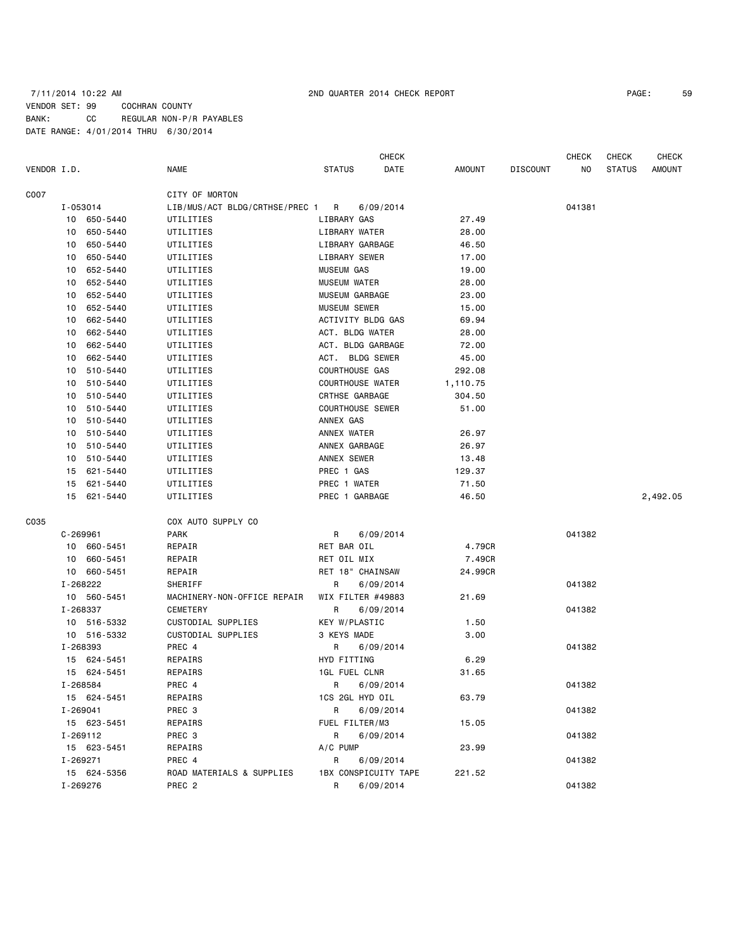### 7/11/2014 10:22 AM 2ND QUARTER 2014 CHECK REPORT PAGE: 59 VENDOR SET: 99 COCHRAN COUNTY BANK: CC REGULAR NON-P/R PAYABLES DATE RANGE: 4/01/2014 THRU 6/30/2014

# VENDOR I.D. NAME STATUS DATE AMOUNT DISCOUNT NO STATUS AMOUNT C007 CITY OF MORTON I-053014 LIB/MUS/ACT BLDG/CRTHSE/PREC 1 R 6/09/2014 041381 10 650-5440 UTILITIES LIBRARY GAS 27.49 10 650-5440 UTILITIES LIBRARY WATER 28.00 10 650-5440 UTILITIES LIBRARY GARBAGE 46.50 10 650-5440 UTILITIES LIBRARY SEWER 17.00 10 652-5440 UTILITIES MUSEUM GAS 19.00 10 652-5440 UTILITIES MUSEUM WATER 28.00 10 652-5440 UTILITIES MUSEUM GARBAGE 23.00 10 652-5440 UTILITIES MUSEUM SEWER 15.00 10 662-5440 UTILITIES ACTIVITY BLDG GAS 69.94 10 662-5440 UTILITIES ACT. BLDG WATER 28.00 10 662-5440 UTILITIES ACT. BLDG GARBAGE 72.00 10 662-5440 UTILITIES ACT. BLDG SEWER 45.00 10 510-5440 UTILITIES COURTHOUSE GAS 292.08 10 510-5440 UTILITIES COURTHOUSE WATER 1,110.75 10 510-5440 UTILITIES CRTHSE GARBAGE 304.50 10 510-5440 UTILITIES COURTHOUSE SEWER 51.00 10 510-5440 UTILITIES ANNEX GAS 10 510-5440 UTILITIES ANNEX WATER 26.97 10 510-5440 UTILITIES ANNEX GARBAGE 26.97 10 510-5440 UTILITIES ANNEX SEWER 13.48 15 621-5440 UTILITIES PREC 1 GAS 129.37 15 621-5440 UTILITIES PREC 1 WATER 71.50 15 621-5440 UTILITIES PREC 1 GARBAGE 46.50 2,492.05 C035 COX AUTO SUPPLY CO C-269961 PARK R 6/09/2014 PARK R 6009/2014 10 660-5451 REPAIR RET BAR OIL 4.79CR 10 660-5451 REPAIR RET OIL MIX 7.49CR 10 660-5451 REPAIR RET 18" CHAINSAW 24.99CR I-268222 SHERIFF R 6/09/2014 041382 10 560-5451 MACHINERY-NON-OFFICE REPAIR WIX FILTER #49883 21.69 I-268337 CEMETERY R 6/09/2014 041382 10 516-5332 CUSTODIAL SUPPLIES KEY W/PLASTIC 1.50 10 516-5332 CUSTODIAL SUPPLIES 3 KEYS MADE 3.00 I-268393 PREC 4 R 6/09/2014 041382 15 624-5451 REPAIRS HYD FITTING 6.29 15 624-5451 REPAIRS 1GL FUEL CLNR 31.65 I-268584 PREC 4 R 6/09/2014 041382 15 624-5451 REPAIRS 1CS 2GL HYD OIL 63.79 I-269041 PREC 3 R 6/09/2014 041382 15 623-5451 REPAIRS FUEL FILTER/M3 15.05

I-269112 PREC 3 R 6/09/2014 041382

I-269271 PREC 4 R 6/09/2014 041382

I-269276 PREC 2 R 6/09/2014 041382

15 623-5451 REPAIRS A/C PUMP 23.99

15 624-5356 ROAD MATERIALS & SUPPLIES 1BX CONSPICUITY TAPE 221.52

**CHECK CHECK CHECK CHECK CHECK CHECK CHECK**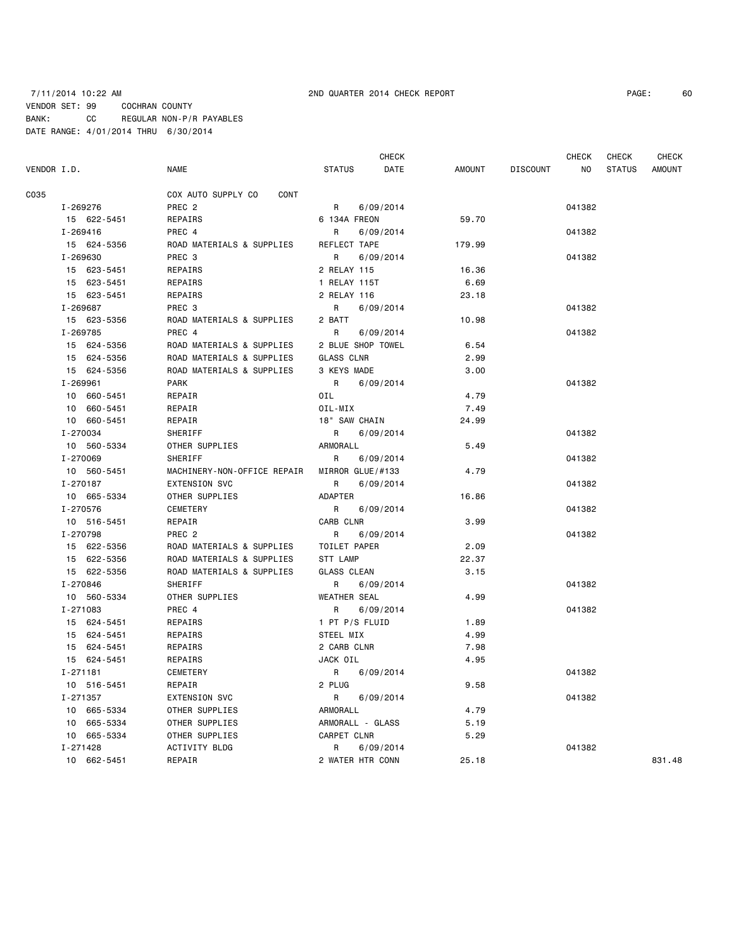# 7/11/2014 10:22 AM 2ND QUARTER 2014 CHECK REPORT PAGE: 60 VENDOR SET: 99 COCHRAN COUNTY BANK: CC REGULAR NON-P/R PAYABLES DATE RANGE: 4/01/2014 THRU 6/30/2014

|       | 6 |
|-------|---|
| PAGE: |   |

| VENDOR I.D. |             | <b>NAME</b>                 | <b>STATUS</b>       | <b>CHECK</b><br>DATE | AMOUNT | <b>DISCOUNT</b> | CHECK<br>NO | <b>CHECK</b><br><b>STATUS</b> | <b>CHECK</b><br>AMOUNT |
|-------------|-------------|-----------------------------|---------------------|----------------------|--------|-----------------|-------------|-------------------------------|------------------------|
| C035        |             | COX AUTO SUPPLY CO<br>CONT  |                     |                      |        |                 |             |                               |                        |
|             | I-269276    | PREC <sub>2</sub>           | R                   | 6/09/2014            |        |                 | 041382      |                               |                        |
|             | 15 622-5451 | REPAIRS                     | 6 134A FREON        |                      | 59.70  |                 |             |                               |                        |
|             | I-269416    | PREC 4                      | R                   | 6/09/2014            |        |                 | 041382      |                               |                        |
|             | 15 624-5356 | ROAD MATERIALS & SUPPLIES   | REFLECT TAPE        |                      | 179.99 |                 |             |                               |                        |
|             | I-269630    | PREC 3                      | R                   | 6/09/2014            |        |                 | 041382      |                               |                        |
|             | 15 623-5451 | REPAIRS                     | 2 RELAY 115         |                      | 16.36  |                 |             |                               |                        |
|             | 15 623-5451 | REPAIRS                     | 1 RELAY 115T        |                      | 6.69   |                 |             |                               |                        |
|             | 15 623-5451 | REPAIRS                     | 2 RELAY 116         |                      | 23.18  |                 |             |                               |                        |
|             | I-269687    | PREC 3                      | R                   | 6/09/2014            |        |                 | 041382      |                               |                        |
|             | 15 623-5356 | ROAD MATERIALS & SUPPLIES   | 2 BATT              |                      | 10.98  |                 |             |                               |                        |
|             | I-269785    | PREC 4                      | R                   | 6/09/2014            |        |                 | 041382      |                               |                        |
|             | 15 624-5356 | ROAD MATERIALS & SUPPLIES   | 2 BLUE SHOP TOWEL   |                      | 6.54   |                 |             |                               |                        |
|             | 15 624-5356 | ROAD MATERIALS & SUPPLIES   | <b>GLASS CLNR</b>   |                      | 2.99   |                 |             |                               |                        |
|             | 15 624-5356 | ROAD MATERIALS & SUPPLIES   | 3 KEYS MADE         |                      | 3.00   |                 |             |                               |                        |
|             | I-269961    | <b>PARK</b>                 | R                   | 6/09/2014            |        |                 | 041382      |                               |                        |
|             | 10 660-5451 | REPAIR                      | OIL                 |                      | 4.79   |                 |             |                               |                        |
|             | 10 660-5451 | REPAIR                      | OIL-MIX             |                      | 7.49   |                 |             |                               |                        |
|             | 10 660-5451 | REPAIR                      | 18" SAW CHAIN       |                      | 24.99  |                 |             |                               |                        |
|             | I-270034    | SHERIFF                     | R                   | 6/09/2014            |        |                 | 041382      |                               |                        |
|             | 10 560-5334 | OTHER SUPPLIES              | ARMORALL            |                      | 5.49   |                 |             |                               |                        |
|             | I-270069    | SHERIFF                     | R                   | 6/09/2014            |        |                 | 041382      |                               |                        |
|             | 10 560-5451 | MACHINERY-NON-OFFICE REPAIR | MIRROR GLUE/#133    |                      | 4.79   |                 |             |                               |                        |
|             | I-270187    | <b>EXTENSION SVC</b>        | R                   | 6/09/2014            |        |                 | 041382      |                               |                        |
|             | 10 665-5334 | OTHER SUPPLIES              | ADAPTER             |                      | 16.86  |                 |             |                               |                        |
|             | I-270576    | CEMETERY                    | R                   | 6/09/2014            |        |                 | 041382      |                               |                        |
|             | 10 516-5451 | REPAIR                      | CARB CLNR           |                      | 3.99   |                 |             |                               |                        |
|             | I-270798    | PREC <sub>2</sub>           | R                   | 6/09/2014            |        |                 | 041382      |                               |                        |
|             | 15 622-5356 | ROAD MATERIALS & SUPPLIES   | TOILET PAPER        |                      | 2.09   |                 |             |                               |                        |
|             | 15 622-5356 | ROAD MATERIALS & SUPPLIES   | STT LAMP            |                      | 22.37  |                 |             |                               |                        |
|             | 15 622-5356 | ROAD MATERIALS & SUPPLIES   | GLASS CLEAN         |                      | 3.15   |                 |             |                               |                        |
|             | I-270846    | SHERIFF                     | R                   | 6/09/2014            |        |                 | 041382      |                               |                        |
|             | 10 560-5334 | OTHER SUPPLIES              | <b>WEATHER SEAL</b> |                      | 4.99   |                 |             |                               |                        |
|             | I-271083    | PREC 4                      | R                   | 6/09/2014            |        |                 | 041382      |                               |                        |
|             | 15 624-5451 | REPAIRS                     | 1 PT P/S FLUID      |                      | 1.89   |                 |             |                               |                        |
|             | 15 624-5451 | REPAIRS                     | STEEL MIX           |                      | 4.99   |                 |             |                               |                        |
|             | 15 624-5451 | REPAIRS                     | 2 CARB CLNR         |                      | 7.98   |                 |             |                               |                        |
|             | 15 624-5451 | REPAIRS                     | JACK OIL            |                      | 4.95   |                 |             |                               |                        |
|             | I-271181    | CEMETERY                    | $R \sim$            | 6/09/2014            |        |                 | 041382      |                               |                        |
|             | 10 516-5451 | REPAIR                      | 2 PLUG              |                      | 9.58   |                 |             |                               |                        |
|             | I-271357    | <b>EXTENSION SVC</b>        | R                   | 6/09/2014            |        |                 | 041382      |                               |                        |
|             | 10 665-5334 | OTHER SUPPLIES              | ARMORALL            |                      | 4.79   |                 |             |                               |                        |
|             | 10 665-5334 | OTHER SUPPLIES              | ARMORALL - GLASS    |                      | 5.19   |                 |             |                               |                        |
|             | 10 665-5334 | OTHER SUPPLIES              | CARPET CLNR         |                      | 5.29   |                 |             |                               |                        |
|             | I-271428    | ACTIVITY BLDG               | R                   | 6/09/2014            |        |                 | 041382      |                               |                        |
|             | 10 662-5451 | REPAIR                      | 2 WATER HTR CONN    |                      | 25.18  |                 |             |                               | 831.48                 |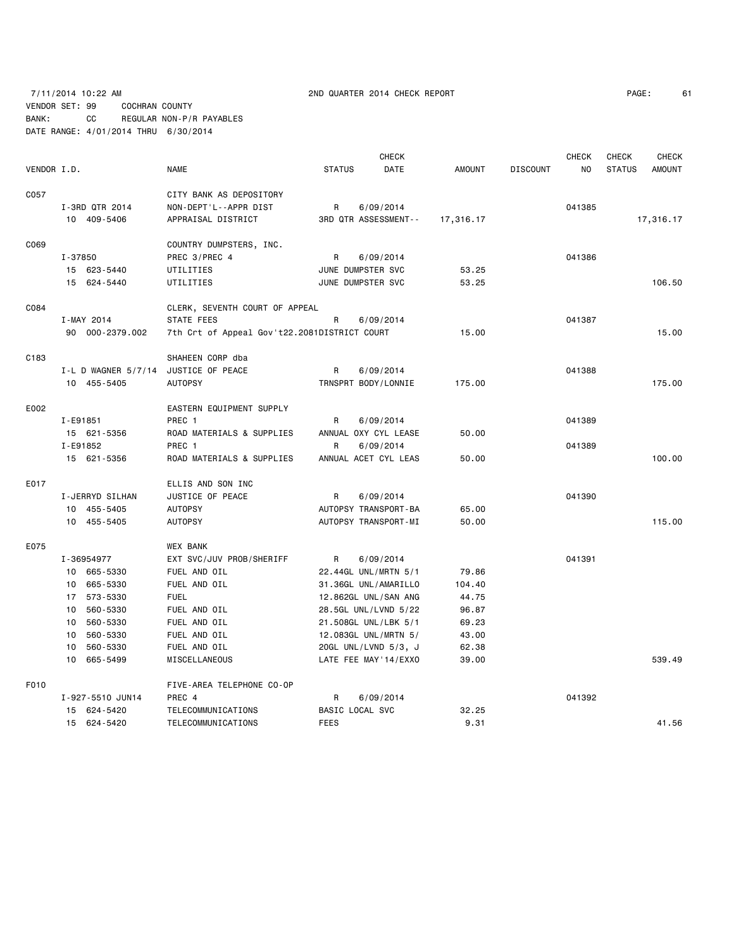### 7/11/2014 10:22 AM 2ND QUARTER 2014 CHECK REPORT PAGE: 61 VENDOR SET: 99 COCHRAN COUNTY BANK: CC REGULAR NON-P/R PAYABLES DATE RANGE: 4/01/2014 THRU 6/30/2014

CHECK CHECK CHECK CHECK VENDOR I.D. NAME STATUS DATE AMOUNT DISCOUNT NO STATUS AMOUNT C057 COST CITY BANK AS DEPOSITORY I-3RD QTR 2014 NON-DEPT'L--APPR DIST R 6/09/2014 041385 10 409-5406 APPRAISAL DISTRICT 3RD QTR ASSESSMENT-- 17,316.17 17,316.17 C069 COUNTRY DUMPSTERS, INC. I-37850 PREC 3/PREC 4 R 6/09/2014 041386 15 623-5440 UTILITIES JUNE DUMPSTER SVC 53.25 15 624-5440 UTILITIES JUNE DUMPSTER SVC 53.25 106.50 C084 CLERK, SEVENTH COURT OF APPEAL I-MAY 2014 STATE FEES R 6/09/2014 87ATE FEES 90 000-2379.002 7th Crt of Appeal Gov't22.2081DISTRICT COURT 15.00 15.00 C183 SHAHEEN CORP dba I-L D WAGNER 5/7/14 JUSTICE OF PEACE R 6/09/2014 8 R 6/1398 10 455-5405 AUTOPSY TRNSPRT BODY/LONNIE 175.00 175.00 E002 EASTERN EQUIPMENT SUPPLY I-E91851 PREC 1 R 6/09/2014 041389 15 621-5356 ROAD MATERIALS & SUPPLIES ANNUAL OXY CYL LEASE 50.00 I-E91852 PREC 1 R 6/09/2014 041389 15 621-5356 ROAD MATERIALS & SUPPLIES ANNUAL ACET CYL LEAS 50.00 100.00 E017 ELLIS AND SON INC I-JERRYD SILHAN UUSTICE OF PEACE A R 6/09/2014 CHERRYD SILHAN 041390 10 455-5405 AUTOPSY AUTOPSY TRANSPORT-BA 65.00 10 455-5405 AUTOPSY AUTOPSY TRANSPORT-MI 50.00 115.00 E075 WEX BANK I-36954977 EXT SVC/JUV PROB/SHERIFF R 6/09/2014 041391 10 665-5330 FUEL AND OIL 22.44GL UNL/MRTN 5/1 79.86 10 665-5330 FUEL AND OIL 31.36GL UNL/AMARILLO 104.40 17 573-5330 FUEL 12.862GL UNL/SAN ANG 44.75 10 560-5330 FUEL AND OIL 28.5GL UNL/LVND 5/22 96.87 10 560-5330 FUEL AND OIL 21.508GL UNL/LBK 5/1 69.23 10 560-5330 FUEL AND OIL 12.083GL UNL/MRTN 5/ 43.00 10 560-5330 FUEL AND OIL 20GL UNL/LVND 5/3, J 62.38 10 665-5499 MISCELLANEOUS LATE FEE MAY'14/EXXO 39.00 539.49 F010 FIVE-AREA TELEPHONE CO-OP I-927-5510 JUN14 PREC 4 R 6/09/2014 041392 15 624-5420 TELECOMMUNICATIONS BASIC LOCAL SVC 32.25 15 624-5420 TELECOMMUNICATIONS FEES 9.31 41.56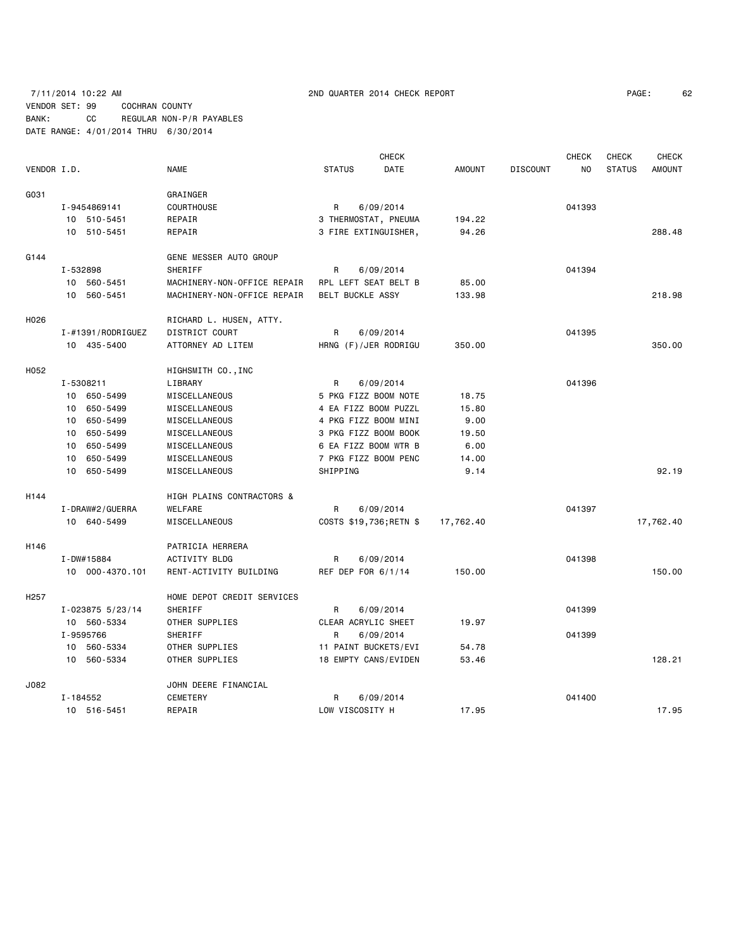# 7/11/2014 10:22 AM 2ND QUARTER 2014 CHECK REPORT PAGE: 62 VENDOR SET: 99 COCHRAN COUNTY BANK: CC REGULAR NON-P/R PAYABLES DATE RANGE: 4/01/2014 THRU 6/30/2014

|                  |                                |                                      | <b>CHECK</b>            |               |                 | <b>CHECK</b>   | <b>CHECK</b>  | <b>CHECK</b>  |
|------------------|--------------------------------|--------------------------------------|-------------------------|---------------|-----------------|----------------|---------------|---------------|
| VENDOR I.D.      |                                | <b>NAME</b>                          | <b>STATUS</b><br>DATE   | <b>AMOUNT</b> | <b>DISCOUNT</b> | N <sub>O</sub> | <b>STATUS</b> | <b>AMOUNT</b> |
| G031             |                                | GRAINGER                             |                         |               |                 |                |               |               |
|                  | COURTHOUSE<br>I-9454869141     |                                      | R<br>6/09/2014          |               |                 | 041393         |               |               |
|                  | 10 510-5451                    | REPAIR                               | 3 THERMOSTAT, PNEUMA    | 194.22        |                 |                |               |               |
|                  | 10 510-5451                    | REPAIR                               | 3 FIRE EXTINGUISHER,    | 94.26         |                 |                |               | 288.48        |
| G144             |                                | GENE MESSER AUTO GROUP               |                         |               |                 |                |               |               |
|                  | I-532898                       | SHERIFF                              | 6/09/2014<br>R          |               |                 | 041394         |               |               |
|                  | 10 560-5451                    | MACHINERY-NON-OFFICE REPAIR          | RPL LEFT SEAT BELT B    | 85.00         |                 |                |               |               |
|                  | 10 560-5451                    | MACHINERY-NON-OFFICE REPAIR          | <b>BELT BUCKLE ASSY</b> | 133.98        |                 |                |               | 218.98        |
| H026             |                                | RICHARD L. HUSEN, ATTY.              |                         |               |                 |                |               |               |
|                  | $I - #1391 / \text{RODRIGUEZ}$ | DISTRICT COURT                       | R<br>6/09/2014          |               |                 | 041395         |               |               |
|                  | 10 435-5400                    | ATTORNEY AD LITEM                    | HRNG (F)/JER RODRIGU    | 350.00        |                 |                |               | 350.00        |
| H052             |                                | HIGHSMITH CO., INC                   |                         |               |                 |                |               |               |
|                  | I-5308211                      | LIBRARY                              | R<br>6/09/2014          |               |                 | 041396         |               |               |
|                  | 10 650-5499                    | MISCELLANEOUS                        | 5 PKG FIZZ BOOM NOTE    | 18.75         |                 |                |               |               |
|                  | 10 650-5499                    | MISCELLANEOUS                        | 4 EA FIZZ BOOM PUZZL    | 15.80         |                 |                |               |               |
|                  | 650-5499<br>10                 | MISCELLANEOUS                        | 4 PKG FIZZ BOOM MINI    | 9.00          |                 |                |               |               |
|                  | 650-5499<br>10                 | MISCELLANEOUS                        | 3 PKG FIZZ BOOM BOOK    | 19.50         |                 |                |               |               |
|                  | 10 650-5499                    | MISCELLANEOUS                        | 6 EA FIZZ BOOM WTR B    | 6.00          |                 |                |               |               |
|                  | 650-5499<br>10                 | MISCELLANEOUS                        | 7 PKG FIZZ BOOM PENC    | 14.00         |                 |                |               |               |
|                  | 10<br>650-5499                 | MISCELLANEOUS                        | SHIPPING                | 9.14          |                 |                |               | 92.19         |
| H144             |                                | <b>HIGH PLAINS CONTRACTORS &amp;</b> |                         |               |                 |                |               |               |
|                  | I-DRAW#2/GUERRA                | <b>WELFARE</b>                       | R<br>6/09/2014          |               |                 | 041397         |               |               |
|                  | 10 640-5499                    | MISCELLANEOUS                        | COSTS \$19,736; RETN \$ | 17,762.40     |                 |                |               | 17,762.40     |
| H146             |                                | PATRICIA HERRERA                     |                         |               |                 |                |               |               |
|                  | I-DW#15884                     | <b>ACTIVITY BLDG</b>                 | R<br>6/09/2014          |               |                 | 041398         |               |               |
|                  | 10 000-4370.101                | RENT-ACTIVITY BUILDING               | REF DEP FOR 6/1/14      | 150.00        |                 |                |               | 150.00        |
| H <sub>257</sub> |                                | HOME DEPOT CREDIT SERVICES           |                         |               |                 |                |               |               |
|                  | I-023875 5/23/14               | SHERIFF                              | R<br>6/09/2014          |               |                 | 041399         |               |               |
|                  | 10 560-5334                    | OTHER SUPPLIES                       | CLEAR ACRYLIC SHEET     | 19.97         |                 |                |               |               |
|                  | I-9595766                      | SHERIFF                              | 6/09/2014<br>R          |               |                 | 041399         |               |               |
|                  | 10 560-5334                    | OTHER SUPPLIES                       | 11 PAINT BUCKETS/EVI    | 54.78         |                 |                |               |               |
|                  | 10 560-5334                    | OTHER SUPPLIES                       | 18 EMPTY CANS/EVIDEN    | 53.46         |                 |                |               | 128.21        |
| J082             |                                | JOHN DEERE FINANCIAL                 |                         |               |                 |                |               |               |
|                  | $I - 184552$                   | <b>CEMETERY</b>                      | 6/09/2014<br>R          |               |                 | 041400         |               |               |
|                  | 10 516-5451                    | REPAIR                               | LOW VISCOSITY H         | 17.95         |                 |                |               | 17.95         |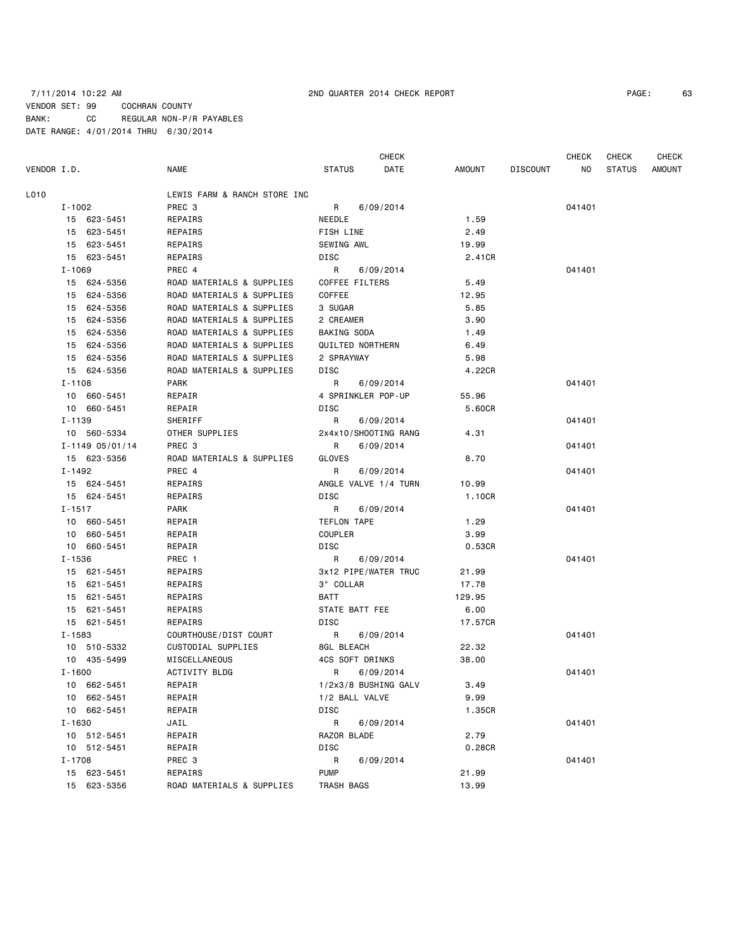# 7/11/2014 10:22 AM 2ND QUARTER 2014 CHECK REPORT PAGE: 63 VENDOR SET: 99 COCHRAN COUNTY BANK: CC REGULAR NON-P/R PAYABLES DATE RANGE: 4/01/2014 THRU 6/30/2014

CHECK CHECK CHECK CHECK CHECK

| VENDOR I.D.         | NAME                                 | STATUS<br>DATE       | AMOUNT  | DISCOUNT | NO 11  | STATUS | AMOUNT |
|---------------------|--------------------------------------|----------------------|---------|----------|--------|--------|--------|
| L010                | LEWIS FARM & RANCH STORE INC         |                      |         |          |        |        |        |
| I-1002              | PREC 3                               | R<br>6/09/2014       |         |          | 041401 |        |        |
| 15 623-5451         | REPAIRS                              | NEEDLE               | 1.59    |          |        |        |        |
| 15 623-5451         | REPAIRS                              | FISH LINE            | 2.49    |          |        |        |        |
| 15 623-5451         | REPAIRS                              | SEWING AWL           | 19.99   |          |        |        |        |
| 15 623-5451         | REPAIRS                              | DISC                 | 2.41CR  |          |        |        |        |
| I-1069              | PREC 4                               | R<br>6/09/2014       |         |          | 041401 |        |        |
| 15 624-5356         | ROAD MATERIALS & SUPPLIES            | COFFEE FILTERS       | 5.49    |          |        |        |        |
| 15 624-5356         | ROAD MATERIALS & SUPPLIES            | COFFEE               | 12.95   |          |        |        |        |
| 15 624-5356         | ROAD MATERIALS & SUPPLIES            | 3 SUGAR              | 5.85    |          |        |        |        |
| 15 624-5356         | ROAD MATERIALS & SUPPLIES            | 2 CREAMER            | 3.90    |          |        |        |        |
| 15 624-5356         | ROAD MATERIALS & SUPPLIES            | BAKING SODA          | 1.49    |          |        |        |        |
| 15 624-5356         | ROAD MATERIALS & SUPPLIES            | QUILTED NORTHERN     | 6.49    |          |        |        |        |
| 15 624-5356         | ROAD MATERIALS & SUPPLIES            | 2 SPRAYWAY           | 5.98    |          |        |        |        |
| 15 624-5356         | ROAD MATERIALS & SUPPLIES            | DISC                 | 4.22CR  |          |        |        |        |
| I-1108              | PARK                                 | 6/09/2014<br>R       |         |          | 041401 |        |        |
| 10 660-5451         | REPAIR                               | 4 SPRINKLER POP-UP   | 55.96   |          |        |        |        |
| 10 660-5451         | REPAIR                               | DISC                 | 5.60CR  |          |        |        |        |
| I-1139              | SHERIFF                              | R<br>6/09/2014       |         |          | 041401 |        |        |
| 10 560-5334         | OTHER SUPPLIES                       | 2x4x10/SHOOTING RANG | 4.31    |          |        |        |        |
| $I - 1149005/01/14$ | PREC 3                               | R<br>6/09/2014       |         |          | 041401 |        |        |
| 15 623-5356         | ROAD MATERIALS & SUPPLIES            | GLOVES               | 8.70    |          |        |        |        |
| I-1492              | PREC 4                               | 6/09/2014<br>R       |         |          | 041401 |        |        |
| 15 624-5451         | REPAIRS                              | ANGLE VALVE 1/4 TURN | 10.99   |          |        |        |        |
| 15 624-5451         | REPAIRS                              | DISC                 | 1.10CR  |          |        |        |        |
| $I - 1517$          | PARK                                 | R<br>6/09/2014       |         |          | 041401 |        |        |
| 10 660-5451         | REPAIR                               | TEFLON TAPE          | 1.29    |          |        |        |        |
| 10 660-5451         | REPAIR                               | COUPLER              | 3.99    |          |        |        |        |
| 10 660-5451         | REPAIR                               | DISC                 | 0.53CR  |          |        |        |        |
| I-1536              | PREC 1                               | R<br>6/09/2014       |         |          | 041401 |        |        |
| 15 621-5451         | REPAIRS                              | 3x12 PIPE/WATER TRUC | 21.99   |          |        |        |        |
| 15 621-5451         | REPAIRS                              | 3" COLLAR            | 17.78   |          |        |        |        |
| 15 621-5451         | REPAIRS                              | BATT                 | 129.95  |          |        |        |        |
| 15 621-5451         | REPAIRS                              | STATE BATT FEE       | 6.00    |          |        |        |        |
| 15 621-5451         | REPAIRS                              | DISC                 | 17.57CR |          |        |        |        |
| I-1583              | COURTHOUSE/DIST COURT                | 6/09/2014<br>R       |         |          | 041401 |        |        |
| 10 510-5332         | CUSTODIAL SUPPLIES                   | 8GL BLEACH           | 22.32   |          |        |        |        |
| 10 435-5499         | MISCELLANEOUS                        | 4CS SOFT DRINKS      | 38.00   |          |        |        |        |
| $I - 1600$          | ACTIVITY BLDG                        | 6/09/2014<br>R       |         |          | 041401 |        |        |
| 10 662-5451         | REPAIR                               | 1/2x3/8 BUSHING GALV | 3.49    |          |        |        |        |
| 10 662-5451         | REPAIR                               | 1/2 BALL VALVE       | 9.99    |          |        |        |        |
| 10 662-5451         | REPAIR                               | DISC                 | 1.35CR  |          |        |        |        |
| I-1630              | JAIL                                 | R<br>6/09/2014       |         |          | 041401 |        |        |
| 10 512-5451         | REPAIR                               | RAZOR BLADE          | 2.79    |          |        |        |        |
| 10 512-5451         | REPAIR                               |                      |         |          |        |        |        |
| $I - 1708$          |                                      | DISC<br>6/09/2014    | 0.28CR  |          |        |        |        |
| 15 623-5451         | PREC 3                               | R<br><b>PUMP</b>     |         |          | 041401 |        |        |
|                     | REPAIRS<br>ROAD MATERIALS & SUPPLIES |                      | 21.99   |          |        |        |        |
| 15 623-5356         |                                      | TRASH BAGS           | 13.99   |          |        |        |        |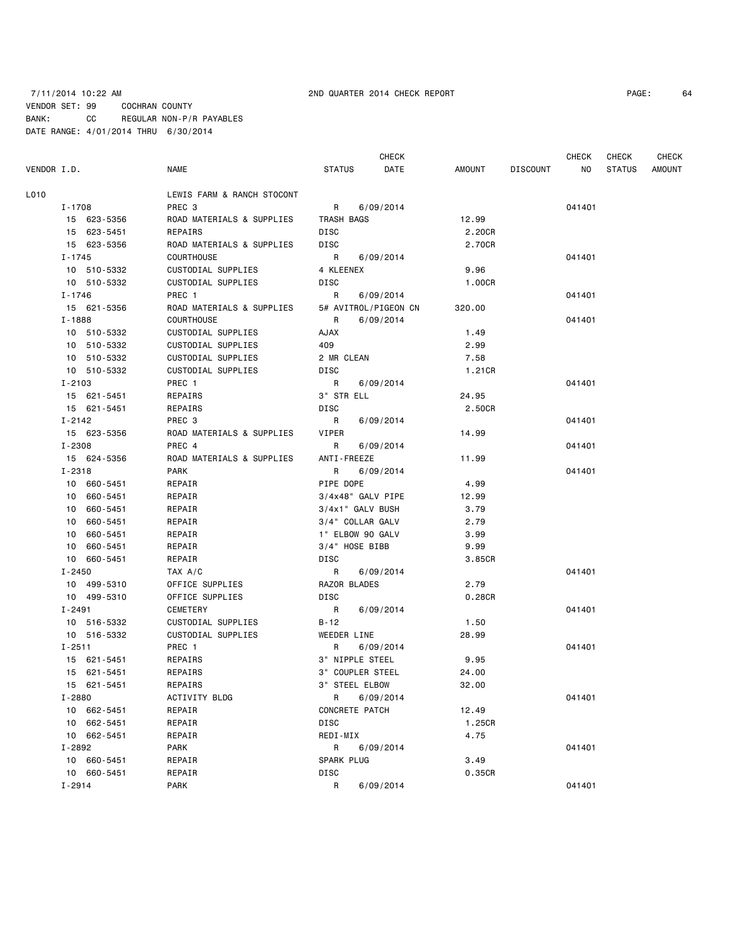# 7/11/2014 10:22 AM 2ND QUARTER 2014 CHECK REPORT PAGE: 64 VENDOR SET: 99 COCHRAN COUNTY BANK: CC REGULAR NON-P/R PAYABLES DATE RANGE: 4/01/2014 THRU 6/30/2014

CHECK CHECK CHECK CHECK CHECK

| VENDOR I.D.    | <b>NAME</b>                | <b>STATUS</b>        | DATE      | AMOUNT    | DISCOUNT | NO.    | <b>STATUS</b> | <b>AMOUNT</b> |
|----------------|----------------------------|----------------------|-----------|-----------|----------|--------|---------------|---------------|
| L010           | LEWIS FARM & RANCH STOCONT |                      |           |           |          |        |               |               |
| I-1708         | PREC 3                     | R                    | 6/09/2014 |           |          | 041401 |               |               |
| 15 623-5356    | ROAD MATERIALS & SUPPLIES  | TRASH BAGS           |           | 12.99     |          |        |               |               |
| 15 623-5451    | <b>REPAIRS</b>             | DISC                 |           | 2.20CR    |          |        |               |               |
| 15 623-5356    | ROAD MATERIALS & SUPPLIES  | DISC                 |           | 2.70CR    |          |        |               |               |
| I-1745         | <b>COURTHOUSE</b>          | R                    | 6/09/2014 |           |          | 041401 |               |               |
| 10 510-5332    | CUSTODIAL SUPPLIES         | 4 KLEENEX            |           | 9.96      |          |        |               |               |
| 10 510-5332    | CUSTODIAL SUPPLIES         | DISC                 |           | 1.00CR    |          |        |               |               |
| I-1746         | PREC 1                     | R                    | 6/09/2014 |           |          | 041401 |               |               |
| 15 621-5356    | ROAD MATERIALS & SUPPLIES  | 5# AVITROL/PIGEON CN |           | 320.00    |          |        |               |               |
| I-1888         | COURTHOUSE                 | R                    | 6/09/2014 |           |          | 041401 |               |               |
| 10 510-5332    | CUSTODIAL SUPPLIES         | XAUA                 |           | 1.49      |          |        |               |               |
| 10 510-5332    | CUSTODIAL SUPPLIES         | 409                  |           | 2.99      |          |        |               |               |
| 10 510-5332    | CUSTODIAL SUPPLIES         | 2 MR CLEAN           |           | 7.58      |          |        |               |               |
| 10 510-5332    | CUSTODIAL SUPPLIES         | DISC                 |           | 1.21CR    |          |        |               |               |
| $I - 2103$     | PREC 1                     | R                    | 6/09/2014 |           |          | 041401 |               |               |
| 15 621-5451    | REPAIRS                    | 3" STR ELL           |           | 24.95     |          |        |               |               |
| 15 621-5451    | REPAIRS                    | DISC                 |           | 2.50CR    |          |        |               |               |
| $I - 2142$     | PREC 3                     | R                    | 6/09/2014 |           |          | 041401 |               |               |
| 15 623-5356    | ROAD MATERIALS & SUPPLIES  | VIPER                |           | 14.99     |          |        |               |               |
| I-2308         | PREC 4                     | R                    | 6/09/2014 |           |          | 041401 |               |               |
| 15 624-5356    | ROAD MATERIALS & SUPPLIES  | ANTI-FREEZE          |           | 11.99     |          |        |               |               |
| $I - 2318$     | <b>PARK</b>                | R                    | 6/09/2014 |           |          | 041401 |               |               |
| 10 660-5451    | REPAIR                     | PIPE DOPE            |           | 4.99      |          |        |               |               |
| 10 660-5451    | REPAIR                     | 3/4x48" GALV PIPE    |           | 12.99     |          |        |               |               |
| 10 660-5451    | REPAIR                     | 3/4x1" GALV BUSH     |           | 3.79      |          |        |               |               |
| 660-5451<br>10 | REPAIR                     | 3/4" COLLAR GALV     |           | 2.79      |          |        |               |               |
| 660-5451<br>10 | REPAIR                     | 1" ELBOW 90 GALV     |           | 3.99      |          |        |               |               |
| 10<br>660-5451 | REPAIR                     | 3/4" HOSE BIBB       |           | 9.99      |          |        |               |               |
| 10 660-5451    | REPAIR                     | DISC                 |           | 3.85CR    |          |        |               |               |
| $I - 2450$     | TAX A/C                    | R                    | 6/09/2014 |           |          | 041401 |               |               |
| 10 499-5310    | OFFICE SUPPLIES            | RAZOR BLADES         |           | 2.79      |          |        |               |               |
| 10 499-5310    | OFFICE SUPPLIES            | DISC                 |           | $0.28$ CR |          |        |               |               |
| I-2491         | CEMETERY                   | R                    | 6/09/2014 |           |          | 041401 |               |               |
| 10 516-5332    | CUSTODIAL SUPPLIES         | B-12                 |           | 1.50      |          |        |               |               |
| 10 516-5332    | CUSTODIAL SUPPLIES         | WEEDER LINE          |           | 28.99     |          |        |               |               |
| $I - 2511$     | PREC 1                     | R                    | 6/09/2014 |           |          | 041401 |               |               |
| 15 621-5451    | REPAIRS                    | 3" NIPPLE STEEL      |           | 9.95      |          |        |               |               |
| 15 621-5451    | REPAIRS                    | 3" COUPLER STEEL     |           | 24.00     |          |        |               |               |
| 15 621-5451    | REPAIRS                    | 3" STEEL ELBOW       |           | 32.00     |          |        |               |               |
| $I - 2880$     | <b>ACTIVITY BLDG</b>       | R                    | 6/09/2014 |           |          | 041401 |               |               |
| 10 662-5451    | REPAIR                     | CONCRETE PATCH       |           | 12.49     |          |        |               |               |
| 10 662-5451    | REPAIR                     | DISC                 |           | 1.25CR    |          |        |               |               |
| 10 662-5451    | REPAIR                     | REDI-MIX             |           | 4.75      |          |        |               |               |
| I-2892         | PARK                       | R                    | 6/09/2014 |           |          | 041401 |               |               |
| 10 660-5451    | REPAIR                     | SPARK PLUG           |           | 3.49      |          |        |               |               |
| 10 660-5451    | REPAIR                     | DISC                 |           | 0.35CR    |          |        |               |               |
| I-2914         | PARK                       | R                    | 6/09/2014 |           |          | 041401 |               |               |
|                |                            |                      |           |           |          |        |               |               |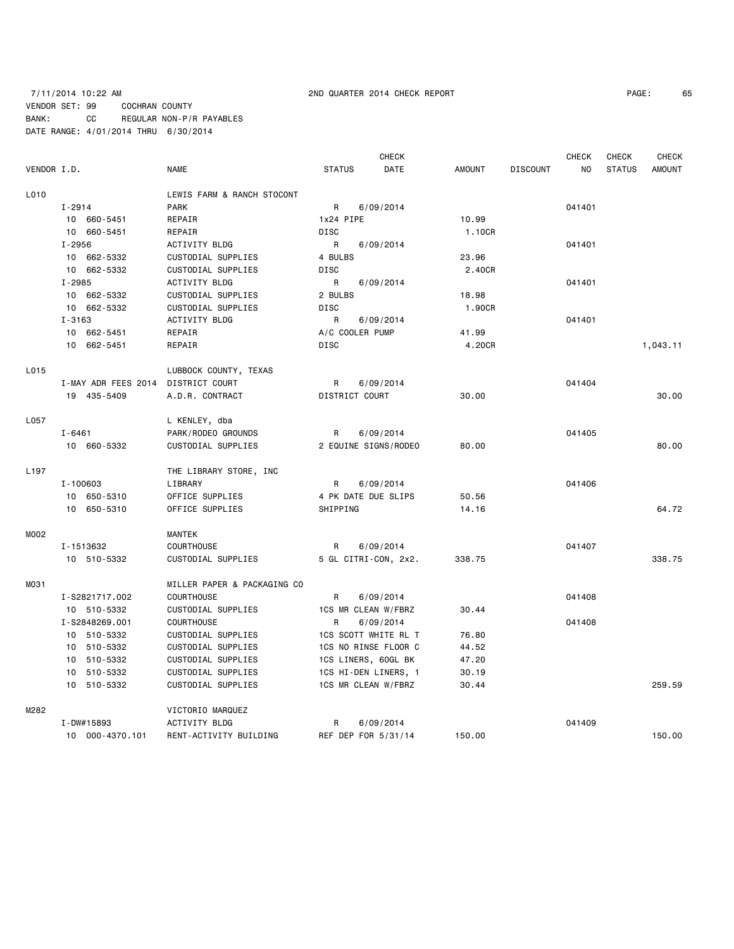## 7/11/2014 10:22 AM 2ND QUARTER 2014 CHECK REPORT PAGE: 65 VENDOR SET: 99 COCHRAN COUNTY BANK: CC REGULAR NON-P/R PAYABLES DATE RANGE: 4/01/2014 THRU 6/30/2014

VENDOR I.D. NAME STATUS DATE AMOUNT DISCOUNT NO STATUS AMOUNT L010 LEWIS FARM & RANCH STOCONT I-2914 PARK R 6/09/2014 041401 10 660-5451 REPAIR 1x24 PIPE 10.99 10 660-5451 REPAIR DISC 1.10CR I-2956 ACTIVITY BLDG R 6/09/2014 041401 10 662-5332 CUSTODIAL SUPPLIES 4 BULBS 23.96 10 662-5332 CUSTODIAL SUPPLIES DISC 2.40CR I-2985 ACTIVITY BLDG R 6/09/2014 041401 10 662-5332 CUSTODIAL SUPPLIES 2 BULBS 18.98 10 662-5332 CUSTODIAL SUPPLIES DISC 1.90CR I-3163 ACTIVITY BLDG R 6/09/2014 041401 10 662-5451 REPAIR A/C COOLER PUMP 41.99 10 662-5451 REPAIR DISC 4.20CR 1,043.11 L015 LUBBOCK COUNTY, TEXAS I-MAY ADR FEES 2014 DISTRICT COURT BY R 6/09/2014 CALCHEST AND RESIDENT OUTLINE OF A STRICT OURT 19 435-5409 A.D.R. CONTRACT DISTRICT COURT 30.00 30.00 L057 L KENLEY, dba I-6461 PARK/RODEO GROUNDS R 6/09/2014 041405 10 660-5332 CUSTODIAL SUPPLIES 2 EQUINE SIGNS/RODEO 80.00 80.00 L197 THE LIBRARY STORE, INC I-100603 LIBRARY R 6/09/2014 041406 10 650-5310 OFFICE SUPPLIES 4 PK DATE DUE SLIPS 50.56 10 650-5310 OFFICE SUPPLIES SHIPPING 14.16 64.72 MOO2 MANTEK I-1513632 COURTHOUSE R 6/09/2014 041407 10 510-5332 CUSTODIAL SUPPLIES 5 GL CITRI-CON, 2x2. 338.75 338.75 M031 MILLER PAPER & PACKAGING CO I-S2821717.002 COURTHOUSE R 6/09/2014 041408 10 510-5332 CUSTODIAL SUPPLIES 1CS MR CLEAN W/FBRZ 30.44 I-S2848269.001 COURTHOUSE R 6/09/2014 041408 10 510-5332 CUSTODIAL SUPPLIES 1CS SCOTT WHITE RL T 76.80 10 510-5332 CUSTODIAL SUPPLIES 1CS NO RINSE FLOOR C 44.52 10 510-5332 CUSTODIAL SUPPLIES 1CS LINERS, 60GL BK 47.20 10 510-5332 CUSTODIAL SUPPLIES 1CS HI-DEN LINERS, 1 30.19 10 510-5332 CUSTODIAL SUPPLIES 1CS MR CLEAN W/FBRZ 30.44 259.59

M282 VICTORIO MARQUEZ I-DW#15893 ACTIVITY BLDG R 6/09/2014 041409 10 000-4370.101 RENT-ACTIVITY BUILDING REF DEP FOR 5/31/14 150.00 150.00

CHECK CHECK CHECK CHECK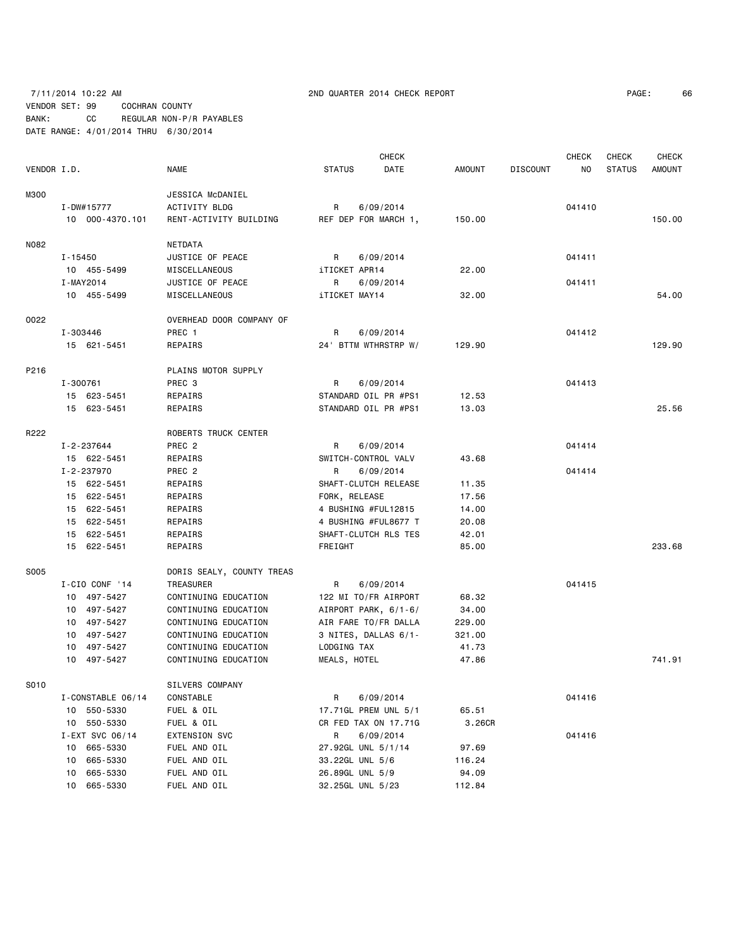# 7/11/2014 10:22 AM 2ND QUARTER 2014 CHECK REPORT PAGE: 66 VENDOR SET: 99 COCHRAN COUNTY BANK: CC REGULAR NON-P/R PAYABLES DATE RANGE: 4/01/2014 THRU 6/30/2014

|             |                   |                           | <b>CHECK</b>          |               |                 | <b>CHECK</b> | CHECK         | <b>CHECK</b>  |
|-------------|-------------------|---------------------------|-----------------------|---------------|-----------------|--------------|---------------|---------------|
| VENDOR I.D. |                   | NAME                      | <b>STATUS</b><br>DATE | <b>AMOUNT</b> | <b>DISCOUNT</b> | NO           | <b>STATUS</b> | <b>AMOUNT</b> |
| M300        |                   | JESSICA McDANIEL          |                       |               |                 |              |               |               |
|             | I-DW#15777        | <b>ACTIVITY BLDG</b>      | R<br>6/09/2014        |               |                 | 041410       |               |               |
|             | 10 000-4370.101   | RENT-ACTIVITY BUILDING    | REF DEP FOR MARCH 1,  | 150.00        |                 |              |               | 150.00        |
| N082        |                   | NETDATA                   |                       |               |                 |              |               |               |
|             | I-15450           | JUSTICE OF PEACE          | R<br>6/09/2014        |               |                 | 041411       |               |               |
|             | 10 455-5499       | MISCELLANEOUS             | iTICKET APR14         | 22.00         |                 |              |               |               |
|             | I-MAY2014         | JUSTICE OF PEACE          | R<br>6/09/2014        |               |                 | 041411       |               |               |
|             | 10 455-5499       | MISCELLANEOUS             | iTICKET MAY14         | 32.00         |                 |              |               | 54.00         |
| 0022        |                   | OVERHEAD DOOR COMPANY OF  |                       |               |                 |              |               |               |
|             | I-303446          | PREC 1                    | R<br>6/09/2014        |               |                 | 041412       |               |               |
|             | 15 621-5451       | REPAIRS                   | 24 BTTM WTHRSTRP W/   | 129.90        |                 |              |               | 129.90        |
| P216        |                   | PLAINS MOTOR SUPPLY       |                       |               |                 |              |               |               |
|             | I-300761          | PREC <sub>3</sub>         | R<br>6/09/2014        |               |                 | 041413       |               |               |
|             | 15 623-5451       | REPAIRS                   | STANDARD OIL PR #PS1  | 12.53         |                 |              |               |               |
|             | 15 623-5451       | REPAIRS                   | STANDARD OIL PR #PS1  | 13.03         |                 |              |               | 25.56         |
| R222        |                   | ROBERTS TRUCK CENTER      |                       |               |                 |              |               |               |
|             | I-2-237644        | PREC <sub>2</sub>         | R<br>6/09/2014        |               |                 | 041414       |               |               |
|             | 15 622-5451       | REPAIRS                   | SWITCH-CONTROL VALV   | 43.68         |                 |              |               |               |
|             | I-2-237970        | PREC <sub>2</sub>         | R<br>6/09/2014        |               |                 | 041414       |               |               |
|             | 15 622-5451       | REPAIRS                   | SHAFT-CLUTCH RELEASE  | 11.35         |                 |              |               |               |
|             | 15 622-5451       | REPAIRS                   | FORK, RELEASE         | 17.56         |                 |              |               |               |
|             | 15 622-5451       | REPAIRS                   | 4 BUSHING #FUL12815   | 14.00         |                 |              |               |               |
|             | 15 622-5451       | REPAIRS                   | 4 BUSHING #FUL8677 T  | 20.08         |                 |              |               |               |
|             | 15 622-5451       | REPAIRS                   | SHAFT-CLUTCH RLS TES  | 42.01         |                 |              |               |               |
|             | 15 622-5451       | REPAIRS                   | FREIGHT               | 85.00         |                 |              |               | 233.68        |
| S005        |                   | DORIS SEALY, COUNTY TREAS |                       |               |                 |              |               |               |
|             | I-CIO CONF '14    | TREASURER                 | R<br>6/09/2014        |               |                 | 041415       |               |               |
|             | 10 497-5427       | CONTINUING EDUCATION      | 122 MI TO/FR AIRPORT  | 68.32         |                 |              |               |               |
|             | 10 497-5427       | CONTINUING EDUCATION      | AIRPORT PARK, 6/1-6/  | 34.00         |                 |              |               |               |
|             | 10 497-5427       | CONTINUING EDUCATION      | AIR FARE TO/FR DALLA  | 229.00        |                 |              |               |               |
|             | 10 497-5427       | CONTINUING EDUCATION      | 3 NITES, DALLAS 6/1-  | 321.00        |                 |              |               |               |
|             | 10 497-5427       | CONTINUING EDUCATION      | LODGING TAX           | 41.73         |                 |              |               |               |
|             | 10 497-5427       | CONTINUING EDUCATION      | MEALS, HOTEL          | 47.86         |                 |              |               | 741.91        |
| S010        |                   | SILVERS COMPANY           |                       |               |                 |              |               |               |
|             | I-CONSTABLE 06/14 | CONSTABLE                 | R<br>6/09/2014        |               |                 | 041416       |               |               |
|             | 10 550-5330       | FUEL & OIL                | 17.71GL PREM UNL 5/1  | 65.51         |                 |              |               |               |
|             | 550-5330<br>10    | FUEL & OIL                | CR FED TAX ON 17.71G  | 3.26CR        |                 |              |               |               |
|             | I-EXT SVC 06/14   | EXTENSION SVC             | R<br>6/09/2014        |               |                 | 041416       |               |               |
|             | 665-5330<br>10    | FUEL AND OIL              | 27.92GL UNL 5/1/14    | 97.69         |                 |              |               |               |
|             | 665-5330<br>10    | FUEL AND OIL              | 33.22GL UNL 5/6       | 116.24        |                 |              |               |               |
|             | 665-5330<br>10    | FUEL AND OIL              | 26.89GL UNL 5/9       | 94.09         |                 |              |               |               |
|             | 665-5330<br>10    | FUEL AND OIL              | 32.25GL UNL 5/23      | 112.84        |                 |              |               |               |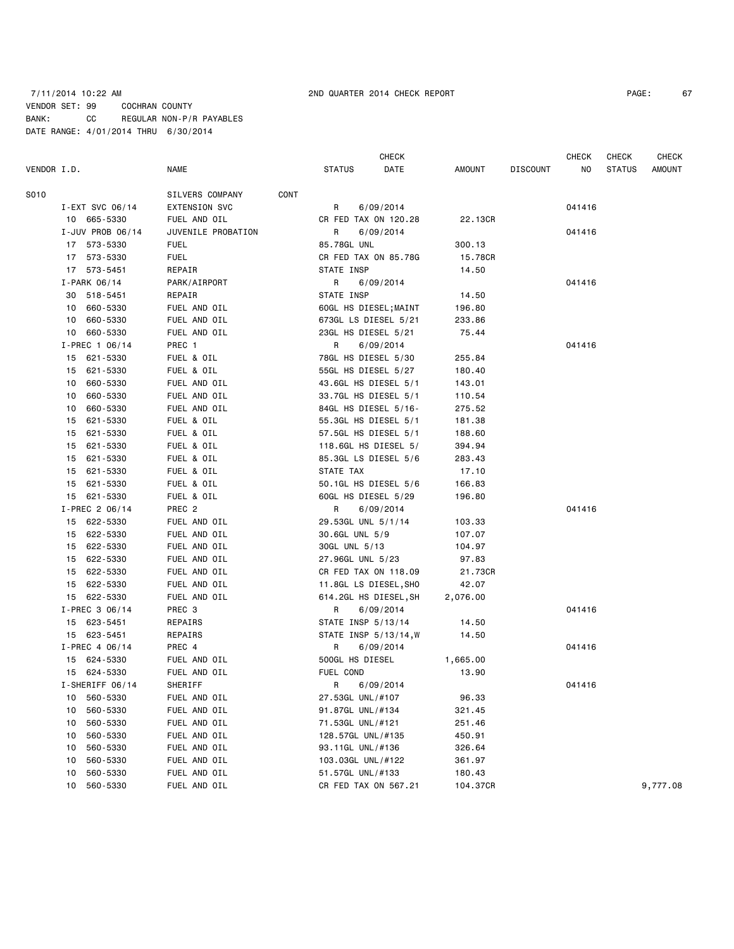# 7/11/2014 10:22 AM 2ND QUARTER 2014 CHECK REPORT PAGE: 67 VENDOR SET: 99 COCHRAN COUNTY BANK: CC REGULAR NON-P/R PAYABLES DATE RANGE: 4/01/2014 THRU 6/30/2014

|             |    |                  |                      |             | CHECK                 |           |          |                 | <b>CHECK</b> | <b>CHECK</b>  |          |  |
|-------------|----|------------------|----------------------|-------------|-----------------------|-----------|----------|-----------------|--------------|---------------|----------|--|
| VENDOR I.D. |    |                  | NAME                 |             | <b>STATUS</b>         | DATE      | AMOUNT   | <b>DISCOUNT</b> | NO           | <b>STATUS</b> | AMOUNT   |  |
| S010        |    |                  | SILVERS COMPANY      | <b>CONT</b> |                       |           |          |                 |              |               |          |  |
|             |    | I-EXT SVC 06/14  | <b>EXTENSION SVC</b> |             | R                     | 6/09/2014 |          |                 | 041416       |               |          |  |
|             |    | 10 665-5330      | FUEL AND OIL         |             | CR FED TAX ON 120.28  |           | 22.13CR  |                 |              |               |          |  |
|             |    | I-JUV PROB 06/14 | JUVENILE PROBATION   |             | R                     | 6/09/2014 |          |                 | 041416       |               |          |  |
|             |    | 17 573-5330      | <b>FUEL</b>          |             | 85.78GL UNL           |           | 300.13   |                 |              |               |          |  |
|             |    | 17 573-5330      | <b>FUEL</b>          |             | CR FED TAX ON 85.78G  |           | 15.78CR  |                 |              |               |          |  |
|             |    | 17 573-5451      | REPAIR               |             | STATE INSP            |           | 14.50    |                 |              |               |          |  |
|             |    | $I-PARK$ 06/14   | PARK/AIRPORT         |             | R                     | 6/09/2014 |          |                 | 041416       |               |          |  |
|             |    | 30 518-5451      | REPAIR               |             | STATE INSP            |           | 14.50    |                 |              |               |          |  |
|             |    | 10 660-5330      | FUEL AND OIL         |             | 60GL HS DIESEL; MAINT |           | 196.80   |                 |              |               |          |  |
|             | 10 | 660-5330         | FUEL AND OIL         |             | 673GL LS DIESEL 5/21  |           | 233.86   |                 |              |               |          |  |
|             |    | 10 660-5330      | FUEL AND OIL         |             | 23GL HS DIESEL 5/21   |           | 75.44    |                 |              |               |          |  |
|             |    | $I-PREC$ 1 06/14 | PREC 1               |             | R                     | 6/09/2014 |          |                 | 041416       |               |          |  |
|             |    | 15 621-5330      | FUEL & OIL           |             | 78GL HS DIESEL 5/30   |           | 255.84   |                 |              |               |          |  |
|             | 15 | 621-5330         | FUEL & OIL           |             | 55GL HS DIESEL 5/27   |           | 180.40   |                 |              |               |          |  |
|             | 10 | 660-5330         | FUEL AND OIL         |             | 43.6GL HS DIESEL 5/1  |           | 143.01   |                 |              |               |          |  |
|             | 10 | 660-5330         | FUEL AND OIL         |             | 33.7GL HS DIESEL 5/1  |           | 110.54   |                 |              |               |          |  |
|             | 10 | 660-5330         | FUEL AND OIL         |             | 84GL HS DIESEL 5/16-  |           | 275.52   |                 |              |               |          |  |
|             | 15 | 621-5330         | FUEL & OIL           |             | 55.3GL HS DIESEL 5/1  |           | 181.38   |                 |              |               |          |  |
|             | 15 | 621-5330         | FUEL & OIL           |             | 57.5GL HS DIESEL 5/1  |           | 188.60   |                 |              |               |          |  |
|             | 15 | 621-5330         | FUEL & OIL           |             | 118.6GL HS DIESEL 5/  |           | 394.94   |                 |              |               |          |  |
|             |    | 15 621-5330      | FUEL & OIL           |             | 85.3GL LS DIESEL 5/6  |           | 283.43   |                 |              |               |          |  |
|             | 15 | 621-5330         | FUEL & OIL           |             | STATE TAX             |           | 17.10    |                 |              |               |          |  |
|             | 15 | 621-5330         | FUEL & OIL           |             | 50.1GL HS DIESEL 5/6  |           | 166.83   |                 |              |               |          |  |
|             |    | 15 621-5330      | FUEL & OIL           |             | 60GL HS DIESEL 5/29   |           | 196.80   |                 |              |               |          |  |
|             |    | I-PREC 2 06/14   | PREC 2               |             | R                     | 6/09/2014 |          |                 | 041416       |               |          |  |
|             |    | 15 622-5330      | FUEL AND OIL         |             | 29.53GL UNL 5/1/14    |           | 103.33   |                 |              |               |          |  |
|             |    | 15 622-5330      | FUEL AND OIL         |             | 30.6GL UNL 5/9        |           | 107.07   |                 |              |               |          |  |
|             |    | 15 622-5330      | FUEL AND OIL         |             | 30GL UNL 5/13         |           | 104.97   |                 |              |               |          |  |
|             |    | 15 622-5330      | FUEL AND OIL         |             | 27.96GL UNL 5/23      |           | 97.83    |                 |              |               |          |  |
|             |    | 15 622-5330      | FUEL AND OIL         |             | CR FED TAX ON 118.09  |           | 21.73CR  |                 |              |               |          |  |
|             |    | 15 622-5330      | FUEL AND OIL         |             | 11.8GL LS DIESEL, SHO |           | 42.07    |                 |              |               |          |  |
|             |    | 15 622-5330      | FUEL AND OIL         |             | 614.2GL HS DIESEL, SH |           | 2,076.00 |                 |              |               |          |  |
|             |    | I-PREC 3 06/14   | PREC 3               |             | R                     | 6/09/2014 |          |                 | 041416       |               |          |  |
|             |    | 15 623-5451      | REPAIRS              |             | STATE INSP 5/13/14    |           | 14.50    |                 |              |               |          |  |
|             |    | 15 623-5451      | REPAIRS              |             | STATE INSP 5/13/14, W |           | 14.50    |                 |              |               |          |  |
|             |    | I-PREC 4 06/14   | PREC 4               |             | R                     | 6/09/2014 |          |                 | 041416       |               |          |  |
|             |    | 15 624-5330      | FUEL AND OIL         |             | 500GL HS DIESEL       |           | 1,665.00 |                 |              |               |          |  |
|             |    | 15 624-5330      | FUEL AND OIL         |             | FUEL COND             |           | 13.90    |                 |              |               |          |  |
|             |    | I-SHERIFF 06/14  | SHERIFF              |             | R                     | 6/09/2014 |          |                 | 041416       |               |          |  |
|             | 10 | 560-5330         | FUEL AND OIL         |             | 27.53GL UNL/#107      |           | 96.33    |                 |              |               |          |  |
|             | 10 | 560-5330         | FUEL AND OIL         |             | 91.87GL UNL/#134      |           | 321.45   |                 |              |               |          |  |
|             | 10 | 560-5330         | FUEL AND OIL         |             | 71.53GL UNL/#121      |           | 251.46   |                 |              |               |          |  |
|             | 10 | 560-5330         | FUEL AND OIL         |             | 128.57GL UNL/#135     |           | 450.91   |                 |              |               |          |  |
|             | 10 | 560-5330         | FUEL AND OIL         |             | 93.11GL UNL/#136      |           | 326.64   |                 |              |               |          |  |
|             | 10 | 560-5330         | FUEL AND OIL         |             | 103.03GL UNL/#122     |           | 361.97   |                 |              |               |          |  |
|             | 10 | 560-5330         | FUEL AND OIL         |             | 51.57GL UNL/#133      |           | 180.43   |                 |              |               |          |  |
|             | 10 | 560-5330         | FUEL AND OIL         |             | CR FED TAX ON 567.21  |           | 104.37CR |                 |              |               | 9,777.08 |  |
|             |    |                  |                      |             |                       |           |          |                 |              |               |          |  |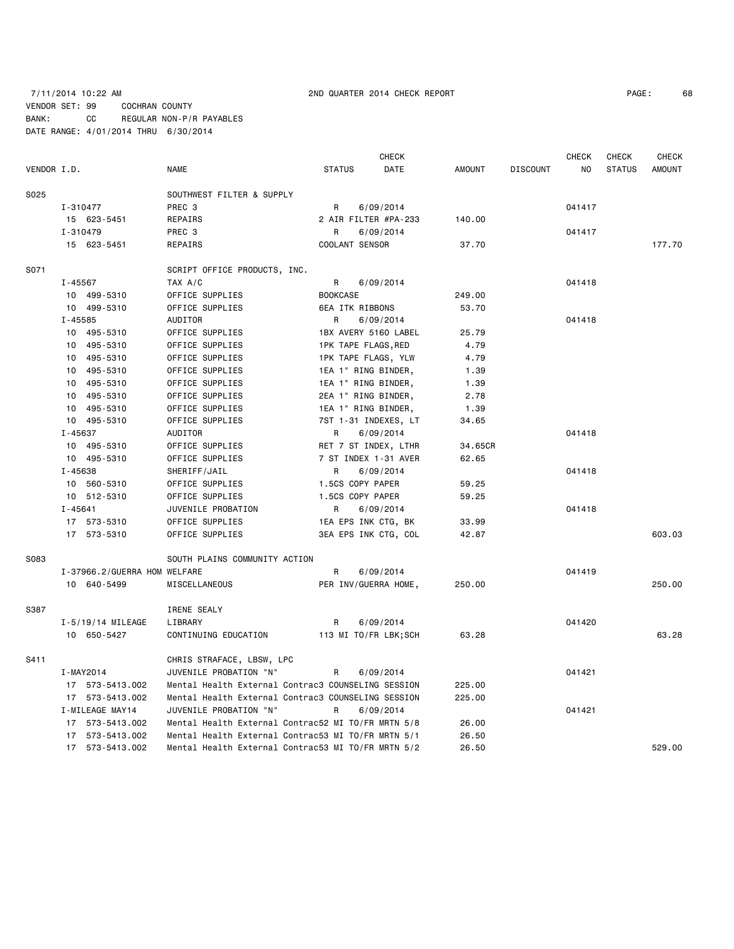7/11/2014 10:22 AM 2ND QUARTER 2014 CHECK REPORT PAGE: 68 VENDOR SET: 99 COCHRAN COUNTY BANK: CC REGULAR NON-P/R PAYABLES DATE RANGE: 4/01/2014 THRU 6/30/2014

| VENDOR I.D. |           |                              | <b>NAME</b>                                        | <b>STATUS</b>       | DATE                 | AMOUNT  | DISCOUNT | NO.    | STATUS | AMOUNT |
|-------------|-----------|------------------------------|----------------------------------------------------|---------------------|----------------------|---------|----------|--------|--------|--------|
| S025        |           |                              | SOUTHWEST FILTER & SUPPLY                          |                     |                      |         |          |        |        |        |
|             | I-310477  |                              | PREC 3                                             | R                   | 6/09/2014            |         |          | 041417 |        |        |
|             |           | 15 623-5451                  | REPAIRS                                            |                     | 2 AIR FILTER #PA-233 | 140.00  |          |        |        |        |
|             | I-310479  |                              | PREC 3                                             | R                   | 6/09/2014            |         |          | 041417 |        |        |
|             |           | 15 623-5451                  | REPAIRS                                            | COOLANT SENSOR      |                      | 37.70   |          |        |        | 177.70 |
| S071        |           |                              | SCRIPT OFFICE PRODUCTS, INC.                       |                     |                      |         |          |        |        |        |
|             | I-45567   |                              | TAX A/C                                            | R                   | 6/09/2014            |         |          | 041418 |        |        |
|             |           | 10 499-5310                  | OFFICE SUPPLIES                                    | <b>BOOKCASE</b>     |                      | 249.00  |          |        |        |        |
|             |           | 10 499-5310                  | OFFICE SUPPLIES                                    | 6EA ITK RIBBONS     |                      | 53.70   |          |        |        |        |
|             | I-45585   |                              | AUDITOR                                            | R                   | 6/09/2014            |         |          | 041418 |        |        |
|             |           | 10 495-5310                  | OFFICE SUPPLIES                                    |                     | 1BX AVERY 5160 LABEL | 25.79   |          |        |        |        |
|             |           | 10 495-5310                  | OFFICE SUPPLIES                                    | 1PK TAPE FLAGS, RED |                      | 4.79    |          |        |        |        |
|             |           | 10 495-5310                  | OFFICE SUPPLIES                                    | 1PK TAPE FLAGS, YLW |                      | 4.79    |          |        |        |        |
|             |           | 10 495-5310                  | OFFICE SUPPLIES                                    | 1EA 1" RING BINDER, |                      | 1.39    |          |        |        |        |
|             |           | 10 495-5310                  | OFFICE SUPPLIES                                    | 1EA 1" RING BINDER, |                      | 1.39    |          |        |        |        |
|             |           | 10 495-5310                  | OFFICE SUPPLIES                                    | 2EA 1" RING BINDER, |                      | 2.78    |          |        |        |        |
|             |           | 10 495-5310                  | OFFICE SUPPLIES                                    | 1EA 1" RING BINDER, |                      | 1.39    |          |        |        |        |
|             |           | 10 495-5310                  | OFFICE SUPPLIES                                    |                     | 7ST 1-31 INDEXES, LT | 34.65   |          |        |        |        |
|             | I-45637   |                              | AUDITOR                                            | R                   | 6/09/2014            |         |          | 041418 |        |        |
|             |           | 10 495-5310                  | OFFICE SUPPLIES                                    |                     | RET 7 ST INDEX, LTHR | 34.65CR |          |        |        |        |
|             |           | 10 495-5310                  | OFFICE SUPPLIES                                    |                     | 7 ST INDEX 1-31 AVER | 62.65   |          |        |        |        |
|             | I-45638   |                              | SHERIFF/JAIL                                       | R.                  | 6/09/2014            |         |          | 041418 |        |        |
|             |           | 10 560-5310                  | OFFICE SUPPLIES                                    | 1.5CS COPY PAPER    |                      | 59.25   |          |        |        |        |
|             |           | 10 512-5310                  | OFFICE SUPPLIES                                    | 1.5CS COPY PAPER    |                      | 59.25   |          |        |        |        |
|             | I-45641   |                              | JUVENILE PROBATION                                 | R                   | 6/09/2014            |         |          | 041418 |        |        |
|             |           | 17 573-5310                  | OFFICE SUPPLIES                                    | 1EA EPS INK CTG, BK |                      | 33.99   |          |        |        |        |
|             |           | 17 573-5310                  | OFFICE SUPPLIES                                    |                     | 3EA EPS INK CTG, COL | 42.87   |          |        |        | 603.03 |
| S083        |           |                              | SOUTH PLAINS COMMUNITY ACTION                      |                     |                      |         |          |        |        |        |
|             |           | I-37966.2/GUERRA HOM WELFARE |                                                    | R                   | 6/09/2014            |         |          | 041419 |        |        |
|             |           | 10 640-5499                  | MISCELLANEOUS                                      |                     | PER INV/GUERRA HOME, | 250.00  |          |        |        | 250.00 |
| S387        |           |                              | IRENE SEALY                                        |                     |                      |         |          |        |        |        |
|             |           | I-5/19/14 MILEAGE            | LIBRARY                                            | R                   | 6/09/2014            |         |          | 041420 |        |        |
|             |           | 10 650-5427                  | CONTINUING EDUCATION                               |                     | 113 MI TO/FR LBK;SCH | 63.28   |          |        |        | 63.28  |
| S411        |           |                              | CHRIS STRAFACE, LBSW, LPC                          |                     |                      |         |          |        |        |        |
|             | I-MAY2014 |                              | JUVENILE PROBATION "N"                             | R                   | 6/09/2014            |         |          | 041421 |        |        |
|             |           | 17 573-5413.002              | Mental Health External Contrac3 COUNSELING SESSION |                     |                      | 225.00  |          |        |        |        |
|             |           | 17 573-5413.002              | Mental Health External Contrac3 COUNSELING SESSION |                     |                      | 225.00  |          |        |        |        |
|             |           | I-MILEAGE MAY14              | JUVENILE PROBATION "N"                             | R                   | 6/09/2014            |         |          | 041421 |        |        |
|             |           | 17 573-5413.002              | Mental Health External Contrac52 MI TO/FR MRTN 5/8 |                     |                      | 26.00   |          |        |        |        |
|             |           | 17 573-5413.002              | Mental Health External Contrac53 MI TO/FR MRTN 5/1 |                     |                      | 26.50   |          |        |        |        |
|             |           | 17 573-5413.002              | Mental Health External Contrac53 MI TO/FR MRTN 5/2 |                     |                      | 26.50   |          |        |        | 529.00 |

CHECK CHECK CHECK CHECK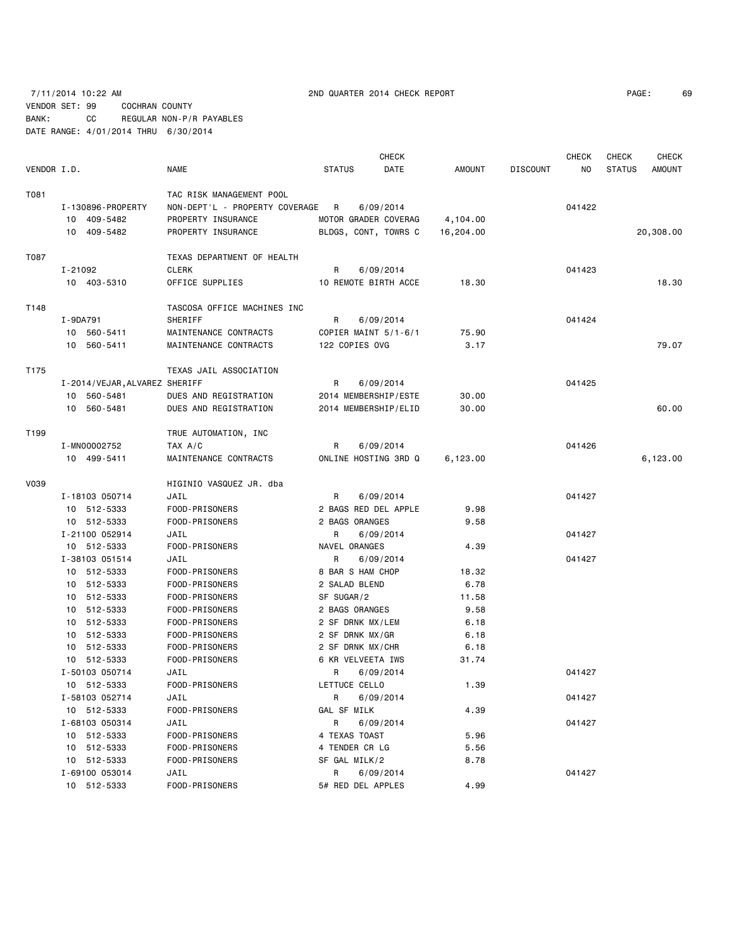7/11/2014 10:22 AM 2ND QUARTER 2014 CHECK REPORT PAGE: 69 VENDOR SET: 99 COCHRAN COUNTY BANK: CC REGULAR NON-P/R PAYABLES DATE RANGE: 4/01/2014 THRU 6/30/2014

**CHECK CHECK CHECK CHECK CHECK CHECK CHECK** VENDOR I.D. NAME STATUS DATE AMOUNT DISCOUNT NO STATUS AMOUNT T081 TO81 TAC RISK MANAGEMENT POOL I-130896-PROPERTY NON-DEPT'L - PROPERTY COVERAGE R 6/09/2014 041422 10 409-5482 PROPERTY INSURANCE MOTOR GRADER COVERAG 4,104.00 10 409-5482 PROPERTY INSURANCE BLDGS, CONT, TOWRS C 16,204.00 20,308.00 T087 TEXAS DEPARTMENT OF HEALTH I-21092 CLERK R 6/09/2014 041423 10 403-5310 OFFICE SUPPLIES 10 REMOTE BIRTH ACCE 18.30 18.30 T148 TASCOSA OFFICE MACHINES INC I-9DA791 SHERIFF R 6/09/2014 24 041424 10 560-5411 MAINTENANCE CONTRACTS COPIER MAINT 5/1-6/1 75.90 10 560-5411 MAINTENANCE CONTRACTS 122 COPIES OVG 3.17 79.07 T175 TEXAS JAIL ASSOCIATION I-2014/VEJAR,ALVAREZ SHERIFF R 6/09/2014 041425 10 560-5481 DUES AND REGISTRATION 2014 MEMBERSHIP/ESTE 30.00 10 560-5481 DUES AND REGISTRATION 2014 MEMBERSHIP/ELID 30.00 60.00 T199 TRUE AUTOMATION, INC I-MN00002752 TAX A/C R 6/09/2014 041426 10 499-5411 MAINTENANCE CONTRACTS ONLINE HOSTING 3RD Q 6,123.00 6,123.00 V039 HIGINIO VASQUEZ JR. dba I-18103 050714 JAIL R 6/09/2014 041427 10 512-5333 FOOD-PRISONERS 2 BAGS RED DEL APPLE 9.98 10 512-5333 FOOD-PRISONERS 2 BAGS ORANGES 9.58 I-21100 052914 JAIL R 6/09/2014 041427 10 512-5333 FOOD-PRISONERS NAVEL ORANGES 4.39 I-38103 051514 JAIL R 6/09/2014 041427 10 512-5333 FOOD-PRISONERS 8 BAR S HAM CHOP 18.32 10 512-5333 FOOD-PRISONERS 2 SALAD BLEND 6.78 10 512-5333 FOOD-PRISONERS SF SUGAR/2 11.58 10 512-5333 FOOD-PRISONERS 2 BAGS ORANGES 9.58 10 512-5333 FOOD-PRISONERS 2 SF DRNK MX/LEM 6.18 10 512-5333 FOOD-PRISONERS 2 SF DRNK MX/GR 6.18 10 512-5333 FOOD-PRISONERS 2 SF DRNK MX/CHR 6.18 10 512-5333 FOOD-PRISONERS 6 KR VELVEETA IWS 31.74 I-50103 050714 JAIL R 6/09/2014 041427 10 512-5333 FOOD-PRISONERS LETTUCE CELLO 1.39 I-58103 052714 JAIL R 6/09/2014 041427 10 512-5333 FOOD-PRISONERS GAL SF MILK 4.39 I-68103 050314 JAIL R 6/09/2014 041427 10 512-5333 FOOD-PRISONERS 4 TEXAS TOAST 5.96 10 512-5333 FOOD-PRISONERS 4 TENDER CR LG 5.56 10 512-5333 FOOD-PRISONERS SF GAL MILK/2 8.78 I-69100 053014 JAIL R 6/09/2014 041427 10 512-5333 FOOD-PRISONERS 5# RED DEL APPLES 4.99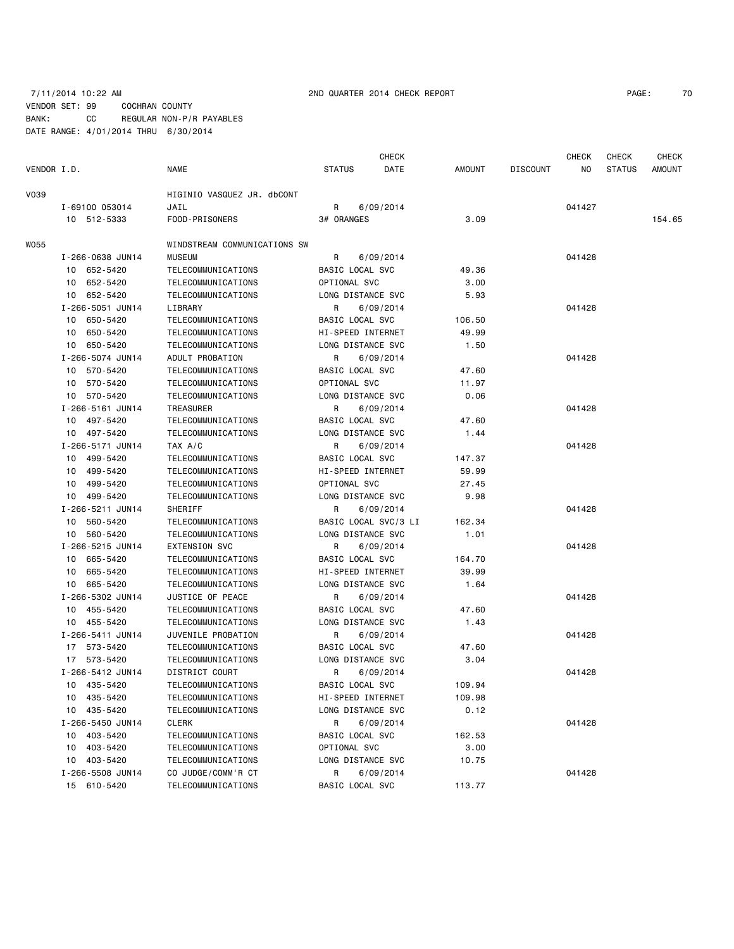### 7/11/2014 10:22 AM 2ND QUARTER 2014 CHECK REPORT PAGE: 70 VENDOR SET: 99 COCHRAN COUNTY BANK: CC REGULAR NON-P/R PAYABLES DATE RANGE: 4/01/2014 THRU 6/30/2014

| VENDOR I.D. |                  | NAME                         | <b>STATUS</b>     | DATE                 | AMOUNT | <b>DISCOUNT</b> | NO.    | <b>STATUS</b> | <b>AMOUNT</b> |
|-------------|------------------|------------------------------|-------------------|----------------------|--------|-----------------|--------|---------------|---------------|
| V039        |                  | HIGINIO VASQUEZ JR. dbCONT   |                   |                      |        |                 |        |               |               |
|             | I-69100 053014   | JAIL                         | R                 | 6/09/2014            |        |                 | 041427 |               |               |
|             | 10 512-5333      | FOOD-PRISONERS               | 3# ORANGES        |                      | 3.09   |                 |        |               | 154.65        |
| WO55        |                  | WINDSTREAM COMMUNICATIONS SW |                   |                      |        |                 |        |               |               |
|             | I-266-0638 JUN14 | <b>MUSEUM</b>                | R                 | 6/09/2014            |        |                 | 041428 |               |               |
|             | 10 652-5420      | TELECOMMUNICATIONS           | BASIC LOCAL SVC   |                      | 49.36  |                 |        |               |               |
|             | 10 652-5420      | TELECOMMUNICATIONS           | OPTIONAL SVC      |                      | 3.00   |                 |        |               |               |
|             | 10 652-5420      | TELECOMMUNICATIONS           | LONG DISTANCE SVC |                      | 5.93   |                 |        |               |               |
|             | I-266-5051 JUN14 | LIBRARY                      | R                 | 6/09/2014            |        |                 | 041428 |               |               |
|             | 10 650-5420      | TELECOMMUNICATIONS           | BASIC LOCAL SVC   |                      | 106.50 |                 |        |               |               |
|             | 10 650-5420      | TELECOMMUNICATIONS           | HI-SPEED INTERNET |                      | 49.99  |                 |        |               |               |
|             | 10 650-5420      | TELECOMMUNICATIONS           | LONG DISTANCE SVC |                      | 1.50   |                 |        |               |               |
|             | I-266-5074 JUN14 | ADULT PROBATION              | R                 | 6/09/2014            |        |                 | 041428 |               |               |
|             | 10 570-5420      | TELECOMMUNICATIONS           | BASIC LOCAL SVC   |                      | 47.60  |                 |        |               |               |
|             | 10 570-5420      | TELECOMMUNICATIONS           | OPTIONAL SVC      |                      | 11.97  |                 |        |               |               |
|             | 10 570-5420      | TELECOMMUNICATIONS           | LONG DISTANCE SVC |                      | 0.06   |                 |        |               |               |
|             | I-266-5161 JUN14 | <b>TREASURER</b>             | R                 | 6/09/2014            |        |                 | 041428 |               |               |
|             | 10 497-5420      | TELECOMMUNICATIONS           | BASIC LOCAL SVC   |                      | 47.60  |                 |        |               |               |
|             | 10 497-5420      | TELECOMMUNICATIONS           | LONG DISTANCE SVC |                      | 1.44   |                 |        |               |               |
|             | I-266-5171 JUN14 | TAX A/C                      | R                 | 6/09/2014            |        |                 | 041428 |               |               |
|             | 10 499-5420      | TELECOMMUNICATIONS           | BASIC LOCAL SVC   |                      | 147.37 |                 |        |               |               |
|             | 10 499-5420      | TELECOMMUNICATIONS           | HI-SPEED INTERNET |                      | 59.99  |                 |        |               |               |
|             | 10 499-5420      | TELECOMMUNICATIONS           | OPTIONAL SVC      |                      | 27.45  |                 |        |               |               |
|             | 10 499-5420      | TELECOMMUNICATIONS           | LONG DISTANCE SVC |                      | 9.98   |                 |        |               |               |
|             | I-266-5211 JUN14 | SHERIFF                      | R                 | 6/09/2014            |        |                 | 041428 |               |               |
|             | 10 560-5420      | TELECOMMUNICATIONS           |                   | BASIC LOCAL SVC/3 LI | 162.34 |                 |        |               |               |
|             | 10 560-5420      | TELECOMMUNICATIONS           | LONG DISTANCE SVC |                      | 1.01   |                 |        |               |               |
|             | I-266-5215 JUN14 | <b>EXTENSION SVC</b>         | R                 | 6/09/2014            |        |                 | 041428 |               |               |
|             | 10 665-5420      | TELECOMMUNICATIONS           | BASIC LOCAL SVC   |                      | 164.70 |                 |        |               |               |
|             | 10 665-5420      | TELECOMMUNICATIONS           | HI-SPEED INTERNET |                      | 39.99  |                 |        |               |               |
|             | 10 665-5420      | TELECOMMUNICATIONS           | LONG DISTANCE SVC |                      | 1.64   |                 |        |               |               |
|             | I-266-5302 JUN14 | JUSTICE OF PEACE             | R                 | 6/09/2014            |        |                 | 041428 |               |               |
|             | 10 455-5420      | TELECOMMUNICATIONS           | BASIC LOCAL SVC   |                      | 47.60  |                 |        |               |               |
|             | 10 455-5420      | TELECOMMUNICATIONS           | LONG DISTANCE SVC |                      | 1.43   |                 |        |               |               |
|             | I-266-5411 JUN14 | JUVENILE PROBATION           | R                 | 6/09/2014            |        |                 | 041428 |               |               |
|             | 17 573-5420      | TELECOMMUNICATIONS           | BASIC LOCAL SVC   |                      | 47.60  |                 |        |               |               |
|             | 17 573-5420      | TELECOMMUNICATIONS           | LONG DISTANCE SVC |                      | 3.04   |                 |        |               |               |
|             | I-266-5412 JUN14 | DISTRICT COURT               | R                 | 6/09/2014            |        |                 | 041428 |               |               |
|             | 10 435-5420      | TELECOMMUNICATIONS           | BASIC LOCAL SVC   |                      | 109.94 |                 |        |               |               |
|             | 10 435-5420      | TELECOMMUNICATIONS           | HI-SPEED INTERNET |                      | 109.98 |                 |        |               |               |
|             | 10 435-5420      | TELECOMMUNICATIONS           | LONG DISTANCE SVC |                      | 0.12   |                 |        |               |               |
|             | I-266-5450 JUN14 | <b>CLERK</b>                 | R                 | 6/09/2014            |        |                 | 041428 |               |               |
|             | 10 403-5420      | TELECOMMUNICATIONS           | BASIC LOCAL SVC   |                      | 162.53 |                 |        |               |               |
|             | 10 403-5420      | TELECOMMUNICATIONS           | OPTIONAL SVC      |                      | 3.00   |                 |        |               |               |
|             | 10 403-5420      | TELECOMMUNICATIONS           | LONG DISTANCE SVC |                      | 10.75  |                 |        |               |               |
|             | I-266-5508 JUN14 | CO JUDGE/COMM'R CT           | R                 | 6/09/2014            |        |                 | 041428 |               |               |
|             | 15 610-5420      | TELECOMMUNICATIONS           | BASIC LOCAL SVC   |                      | 113.77 |                 |        |               |               |

CHECK CHECK CHECK CHECK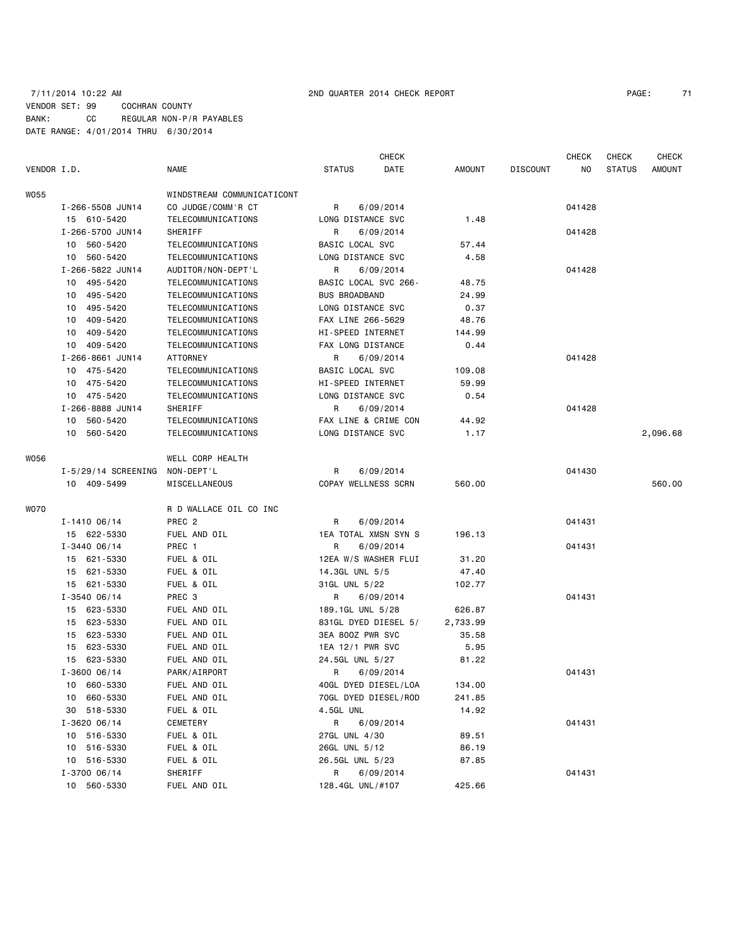# 7/11/2014 10:22 AM 2ND QUARTER 2014 CHECK REPORT PAGE: 71 VENDOR SET: 99 COCHRAN COUNTY BANK: CC REGULAR NON-P/R PAYABLES DATE RANGE: 4/01/2014 THRU 6/30/2014

|             |                     |                            |                                          | <b>CHECK</b>         |          |                 | <b>CHECK</b> | <b>CHECK</b>  | <b>CHECK</b> |
|-------------|---------------------|----------------------------|------------------------------------------|----------------------|----------|-----------------|--------------|---------------|--------------|
| VENDOR I.D. |                     | NAME                       | <b>STATUS</b>                            | DATE                 | AMOUNT   | <b>DISCOUNT</b> | NO.          | <b>STATUS</b> | AMOUNT       |
| W055        |                     | WINDSTREAM COMMUNICATICONT |                                          |                      |          |                 |              |               |              |
|             | I-266-5508 JUN14    | CO JUDGE/COMM'R CT         | R                                        | 6/09/2014            |          |                 | 041428       |               |              |
|             | 15 610-5420         | TELECOMMUNICATIONS         | LONG DISTANCE SVC                        |                      | 1.48     |                 |              |               |              |
|             | I-266-5700 JUN14    | SHERIFF                    | R                                        | 6/09/2014            |          |                 | 041428       |               |              |
|             | 10 560-5420         | TELECOMMUNICATIONS         | BASIC LOCAL SVC                          |                      | 57.44    |                 |              |               |              |
|             | 10 560-5420         | TELECOMMUNICATIONS         | LONG DISTANCE SVC                        |                      | 4.58     |                 |              |               |              |
|             | I-266-5822 JUN14    | AUDITOR/NON-DEPT'L         | R                                        | 6/09/2014            |          |                 | 041428       |               |              |
|             | 10 495-5420         | TELECOMMUNICATIONS         | BASIC LOCAL SVC 266-                     |                      | 48.75    |                 |              |               |              |
|             | 10 495-5420         | TELECOMMUNICATIONS         | <b>BUS BROADBAND</b>                     |                      | 24.99    |                 |              |               |              |
|             | 10 495-5420         | TELECOMMUNICATIONS         | LONG DISTANCE SVC                        |                      | 0.37     |                 |              |               |              |
|             | 10 409-5420         | TELECOMMUNICATIONS         | FAX LINE 266-5629                        |                      | 48.76    |                 |              |               |              |
|             | 10 409-5420         | TELECOMMUNICATIONS         | HI-SPEED INTERNET                        |                      | 144.99   |                 |              |               |              |
|             | 10 409-5420         | TELECOMMUNICATIONS         | FAX LONG DISTANCE                        |                      | 0.44     |                 |              |               |              |
|             | I-266-8661 JUN14    | ATTORNEY                   | R                                        | 6/09/2014            |          |                 | 041428       |               |              |
|             | 10 475-5420         | TELECOMMUNICATIONS         | BASIC LOCAL SVC                          |                      | 109.08   |                 |              |               |              |
|             | 10 475-5420         | TELECOMMUNICATIONS         | HI-SPEED INTERNET                        |                      | 59.99    |                 |              |               |              |
|             |                     |                            |                                          |                      |          |                 |              |               |              |
|             | 10 475-5420         | TELECOMMUNICATIONS         | LONG DISTANCE SVC                        |                      | 0.54     |                 | 041428       |               |              |
|             | I-266-8888 JUN14    | SHERIFF                    | R                                        | 6/09/2014            |          |                 |              |               |              |
|             | 10 560-5420         | TELECOMMUNICATIONS         | FAX LINE & CRIME CON                     |                      | 44.92    |                 |              |               |              |
|             | 10 560-5420         | TELECOMMUNICATIONS         | LONG DISTANCE SVC                        |                      | 1.17     |                 |              |               | 2,096.68     |
| W056        |                     | WELL CORP HEALTH           |                                          |                      |          |                 |              |               |              |
|             | I-5/29/14 SCREENING | NON-DEPT'L                 | R                                        | 6/09/2014            |          |                 | 041430       |               |              |
|             | 10 409-5499         | MISCELLANEOUS              | COPAY WELLNESS SCRN                      |                      | 560.00   |                 |              |               | 560.00       |
| <b>WO70</b> |                     | R D WALLACE OIL CO INC     |                                          |                      |          |                 |              |               |              |
|             | $I - 141006/14$     | PREC <sub>2</sub>          | R                                        | 6/09/2014            |          |                 | 041431       |               |              |
|             | 15 622-5330         | FUEL AND OIL               |                                          | 1EA TOTAL XMSN SYN S | 196.13   |                 |              |               |              |
|             | $I - 3440006/14$    | PREC 1                     | R                                        | 6/09/2014            |          |                 | 041431       |               |              |
|             | 15 621-5330         | FUEL & OIL                 | 12EA W/S WASHER FLUI                     |                      | 31.20    |                 |              |               |              |
|             | 15 621-5330         | FUEL & OIL                 | 14.3GL UNL 5/5                           |                      | 47.40    |                 |              |               |              |
|             | 15 621-5330         | FUEL & OIL                 | 31GL UNL 5/22                            |                      | 102.77   |                 |              |               |              |
|             | $I - 354006/14$     | PREC 3                     | R                                        | 6/09/2014            |          |                 | 041431       |               |              |
|             | 15 623-5330         | FUEL AND OIL               | 189.1GL UNL 5/28                         |                      | 626.87   |                 |              |               |              |
|             | 15 623-5330         | FUEL AND OIL               |                                          |                      |          |                 |              |               |              |
|             | 15 623-5330         |                            | 831GL DYED DIESEL 5/<br>3EA 800Z PWR SVC |                      | 2,733.99 |                 |              |               |              |
|             |                     | FUEL AND OIL               |                                          |                      | 35.58    |                 |              |               |              |
|             | 15 623-5330         | FUEL AND OIL               | 1EA 12/1 PWR SVC                         |                      | 5.95     |                 |              |               |              |
|             | 15 623-5330         | FUEL AND OIL               | 24.5GL UNL 5/27                          |                      | 81.22    |                 |              |               |              |
|             | $I - 3600 06/14$    | PARK/AIRPORT               | R                                        | 6/09/2014            |          |                 | 041431       |               |              |
|             | 10 660-5330         | FUEL AND OIL               |                                          | 40GL DYED DIESEL/LOA | 134.00   |                 |              |               |              |
|             | 10 660-5330         | FUEL AND OIL               |                                          | 70GL DYED DIESEL/ROD | 241.85   |                 |              |               |              |
|             | 30 518-5330         | FUEL & OIL                 | 4.5GL UNL                                |                      | 14.92    |                 |              |               |              |
|             | $I - 3620006/14$    | CEMETERY                   | R                                        | 6/09/2014            |          |                 | 041431       |               |              |
|             | 10 516-5330         | FUEL & OIL                 | 27GL UNL 4/30                            |                      | 89.51    |                 |              |               |              |
|             | 10 516-5330         | FUEL & OIL                 | 26GL UNL 5/12                            |                      | 86.19    |                 |              |               |              |
|             | 10 516-5330         | FUEL & OIL                 | 26.5GL UNL 5/23                          |                      | 87.85    |                 |              |               |              |
|             | $I - 3700 06/14$    | SHERIFF                    | R                                        | 6/09/2014            |          |                 | 041431       |               |              |
|             | 10 560-5330         | FUEL AND OIL               | 128.4GL UNL/#107                         |                      | 425.66   |                 |              |               |              |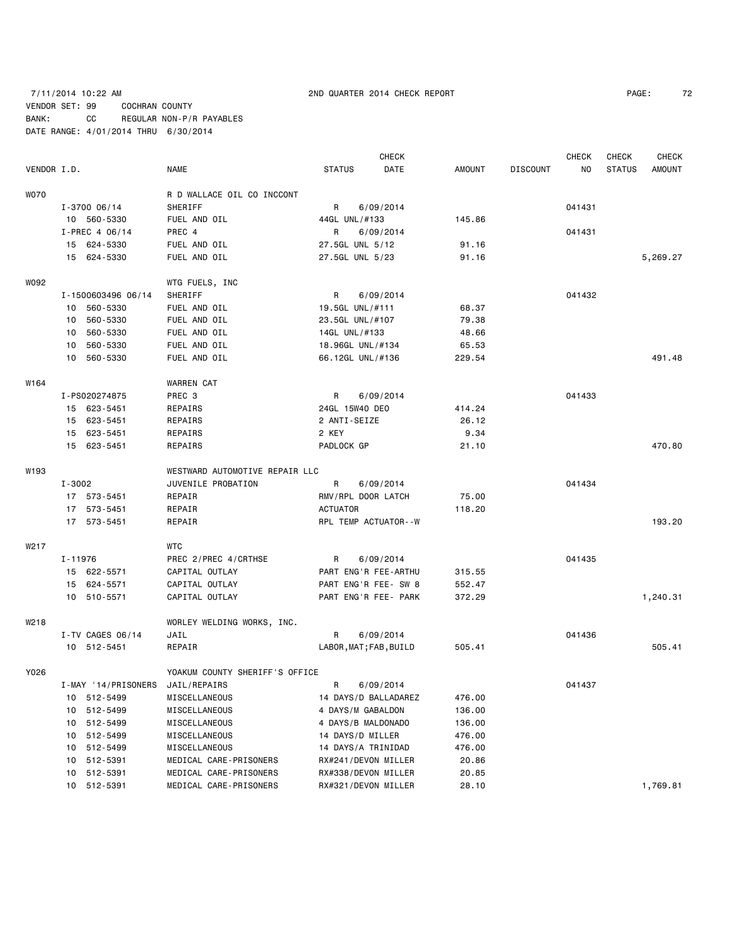# 7/11/2014 10:22 AM 2ND QUARTER 2014 CHECK REPORT PAGE: 72 VENDOR SET: 99 COCHRAN COUNTY BANK: CC REGULAR NON-P/R PAYABLES DATE RANGE: 4/01/2014 THRU 6/30/2014

| VENDOR I.D. |         |                                  | <b>NAME</b>                    | <b>STATUS</b>          | <b>CHECK</b><br>DATE | <b>AMOUNT</b> | <b>DISCOUNT</b> | <b>CHECK</b><br>NO. | CHECK<br><b>STATUS</b> | <b>CHECK</b><br>AMOUNT |
|-------------|---------|----------------------------------|--------------------------------|------------------------|----------------------|---------------|-----------------|---------------------|------------------------|------------------------|
| <b>WO70</b> |         |                                  | R D WALLACE OIL CO INCCONT     |                        |                      |               |                 |                     |                        |                        |
|             |         | $I - 3700006/14$                 | SHERIFF                        | R                      | 6/09/2014            |               |                 | 041431              |                        |                        |
|             |         | 10 560-5330                      | FUEL AND OIL                   | 44GL UNL/#133          |                      | 145.86        |                 |                     |                        |                        |
|             |         | $I-PREC$ 4 06/14                 | PREC 4                         | R                      | 6/09/2014            |               |                 | 041431              |                        |                        |
|             |         | 15 624-5330                      | FUEL AND OIL                   | 27.5GL UNL 5/12        |                      | 91.16         |                 |                     |                        |                        |
|             |         | 15 624-5330                      | FUEL AND OIL                   | 27.5GL UNL 5/23        |                      | 91.16         |                 |                     |                        | 5,269.27               |
|             |         |                                  |                                |                        |                      |               |                 |                     |                        |                        |
| W092        |         |                                  | WTG FUELS, INC                 |                        |                      |               |                 |                     |                        |                        |
|             |         | I-1500603496 06/14               | SHERIFF                        | R                      | 6/09/2014            |               |                 | 041432              |                        |                        |
|             | 10      | 560-5330                         | FUEL AND OIL                   | 19.5GL UNL/#111        |                      | 68.37         |                 |                     |                        |                        |
|             | 10      | 560-5330                         | FUEL AND OIL                   | 23.5GL UNL/#107        |                      | 79.38         |                 |                     |                        |                        |
|             | 10      | 560-5330                         | FUEL AND OIL                   | 14GL UNL/#133          |                      | 48.66         |                 |                     |                        |                        |
|             | 10      | 560-5330                         | FUEL AND OIL                   | 18.96GL UNL/#134       |                      | 65.53         |                 |                     |                        |                        |
|             |         | 10 560-5330                      | FUEL AND OIL                   | 66.12GL UNL/#136       |                      | 229.54        |                 |                     |                        | 491.48                 |
| W164        |         |                                  | WARREN CAT                     |                        |                      |               |                 |                     |                        |                        |
|             |         | I-PS020274875                    | PREC 3                         | R                      | 6/09/2014            |               |                 | 041433              |                        |                        |
|             |         | 15 623-5451                      | REPAIRS                        | 24GL 15W40 DEO         |                      | 414.24        |                 |                     |                        |                        |
|             |         | 15 623-5451                      | REPAIRS                        | 2 ANTI-SEIZE           |                      | 26.12         |                 |                     |                        |                        |
|             |         | 15 623-5451                      | REPAIRS                        | 2 KEY                  |                      | 9.34          |                 |                     |                        |                        |
|             |         | 15 623-5451                      | REPAIRS                        | PADLOCK GP             |                      | 21.10         |                 |                     |                        | 470.80                 |
| W193        |         |                                  | WESTWARD AUTOMOTIVE REPAIR LLC |                        |                      |               |                 |                     |                        |                        |
|             | I-3002  |                                  | JUVENILE PROBATION             | R                      | 6/09/2014            |               |                 | 041434              |                        |                        |
|             |         | 17 573-5451                      | REPAIR                         | RMV/RPL DOOR LATCH     |                      | 75.00         |                 |                     |                        |                        |
|             |         | 17 573-5451                      | REPAIR                         | <b>ACTUATOR</b>        |                      | 118.20        |                 |                     |                        |                        |
|             |         | 17 573-5451                      | REPAIR                         | RPL TEMP ACTUATOR--W   |                      |               |                 |                     |                        | 193.20                 |
| W217        |         |                                  | WTC                            |                        |                      |               |                 |                     |                        |                        |
|             | I-11976 |                                  | PREC 2/PREC 4/CRTHSE           | R                      | 6/09/2014            |               |                 | 041435              |                        |                        |
|             |         | 15 622-5571                      | CAPITAL OUTLAY                 | PART ENG'R FEE-ARTHU   |                      | 315.55        |                 |                     |                        |                        |
|             |         | 15 624-5571                      | CAPITAL OUTLAY                 | PART ENG'R FEE- SW 8   |                      | 552.47        |                 |                     |                        |                        |
|             |         | 10 510-5571                      | CAPITAL OUTLAY                 | PART ENG'R FEE- PARK   |                      | 372.29        |                 |                     |                        | 1,240.31               |
| W218        |         |                                  | WORLEY WELDING WORKS, INC.     |                        |                      |               |                 |                     |                        |                        |
|             |         | I-TV CAGES 06/14                 | JAIL                           | R                      | 6/09/2014            |               |                 | 041436              |                        |                        |
|             |         | 10 512-5451                      | REPAIR                         | LABOR, MAT; FAB, BUILD |                      | 505.41        |                 |                     |                        | 505.41                 |
| Y026        |         |                                  | YOAKUM COUNTY SHERIFF'S OFFICE |                        |                      |               |                 |                     |                        |                        |
|             |         | I-MAY '14/PRISONERS JAIL/REPAIRS |                                | R                      | 6/09/2014            |               |                 | 041437              |                        |                        |
|             |         | 10 512-5499                      | MISCELLANEOUS                  | 14 DAYS/D BALLADAREZ   |                      | 476.00        |                 |                     |                        |                        |
|             | 10      | 512-5499                         | MISCELLANEOUS                  | 4 DAYS/M GABALDON      |                      | 136.00        |                 |                     |                        |                        |
|             |         | 10 512-5499                      | MISCELLANEOUS                  | 4 DAYS/B MALDONADO     |                      | 136.00        |                 |                     |                        |                        |
|             |         | 10 512-5499                      | MISCELLANEOUS                  | 14 DAYS/D MILLER       |                      | 476.00        |                 |                     |                        |                        |
|             |         | 10 512-5499                      | MISCELLANEOUS                  | 14 DAYS/A TRINIDAD     |                      | 476.00        |                 |                     |                        |                        |
|             | 10      | 512-5391                         | MEDICAL CARE-PRISONERS         | RX#241/DEVON MILLER    |                      | 20.86         |                 |                     |                        |                        |
|             |         | 10 512-5391                      | MEDICAL CARE-PRISONERS         | RX#338/DEVON MILLER    |                      | 20.85         |                 |                     |                        |                        |
|             |         | 10 512-5391                      | MEDICAL CARE-PRISONERS         | RX#321/DEVON MILLER    |                      | 28.10         |                 |                     |                        | 1,769.81               |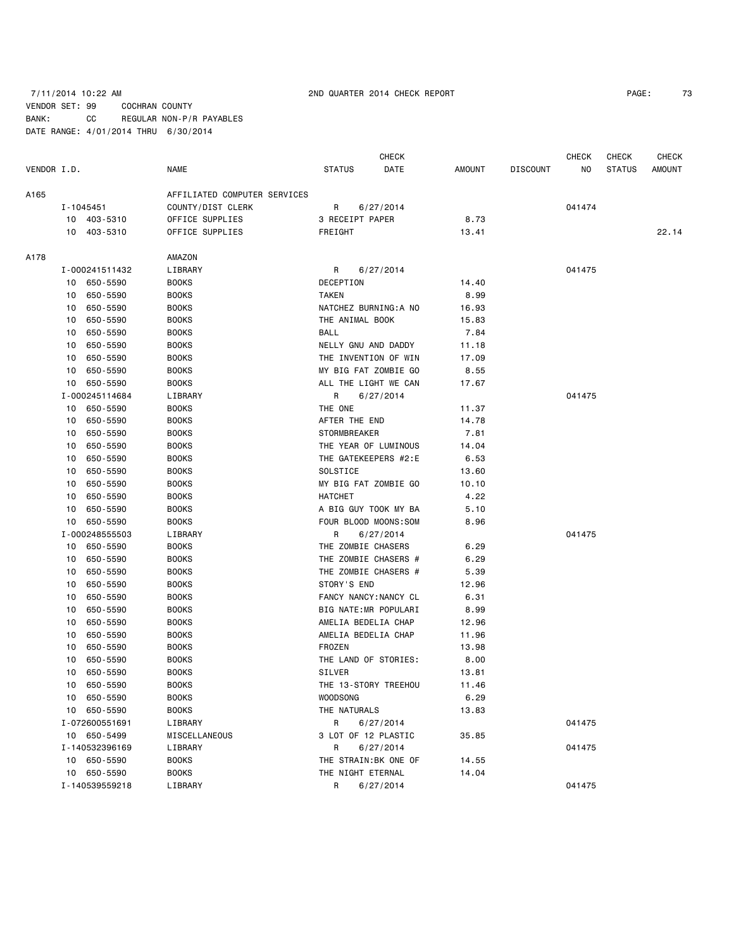# 7/11/2014 10:22 AM 2ND QUARTER 2014 CHECK REPORT PAGE: 73 VENDOR SET: 99 COCHRAN COUNTY BANK: CC REGULAR NON-P/R PAYABLES DATE RANGE: 4/01/2014 THRU 6/30/2014

| PAGE: | 73 |
|-------|----|
|       |    |

|             |    |                |                              | <b>CHECK</b>         |                       |        |                 | <b>CHECK</b> | <b>CHECK</b><br><b>CHECK</b> |               |  |
|-------------|----|----------------|------------------------------|----------------------|-----------------------|--------|-----------------|--------------|------------------------------|---------------|--|
| VENDOR I.D. |    |                | NAME                         | <b>STATUS</b>        | DATE                  | AMOUNT | <b>DISCOUNT</b> | NO           | <b>STATUS</b>                | <b>AMOUNT</b> |  |
| A165        |    |                | AFFILIATED COMPUTER SERVICES |                      |                       |        |                 |              |                              |               |  |
|             |    | I-1045451      | COUNTY/DIST CLERK            | R                    | 6/27/2014             |        |                 | 041474       |                              |               |  |
|             |    | 10 403-5310    | OFFICE SUPPLIES              | 3 RECEIPT PAPER      |                       | 8.73   |                 |              |                              |               |  |
|             |    | 10 403-5310    | OFFICE SUPPLIES              | FREIGHT              |                       | 13.41  |                 |              |                              | 22.14         |  |
| A178        |    |                | AMAZON                       |                      |                       |        |                 |              |                              |               |  |
|             |    | I-000241511432 | LIBRARY                      | R                    | 6/27/2014             |        |                 | 041475       |                              |               |  |
|             |    | 10 650-5590    | <b>BOOKS</b>                 | DECEPTION            |                       | 14.40  |                 |              |                              |               |  |
|             | 10 | 650-5590       | <b>BOOKS</b>                 | <b>TAKEN</b>         |                       | 8.99   |                 |              |                              |               |  |
|             | 10 | 650-5590       | <b>BOOKS</b>                 |                      | NATCHEZ BURNING: A NO | 16.93  |                 |              |                              |               |  |
|             | 10 | 650-5590       | <b>BOOKS</b>                 | THE ANIMAL BOOK      |                       | 15.83  |                 |              |                              |               |  |
|             | 10 | 650-5590       | <b>BOOKS</b>                 | <b>BALL</b>          |                       | 7.84   |                 |              |                              |               |  |
|             | 10 | 650-5590       | <b>BOOKS</b>                 | NELLY GNU AND DADDY  |                       | 11.18  |                 |              |                              |               |  |
|             | 10 | 650-5590       | <b>BOOKS</b>                 |                      | THE INVENTION OF WIN  | 17.09  |                 |              |                              |               |  |
|             | 10 | 650-5590       | <b>BOOKS</b>                 |                      | MY BIG FAT ZOMBIE GO  | 8.55   |                 |              |                              |               |  |
|             | 10 | 650-5590       | <b>BOOKS</b>                 |                      | ALL THE LIGHT WE CAN  | 17.67  |                 |              |                              |               |  |
|             |    | I-000245114684 | LIBRARY                      | R                    | 6/27/2014             |        |                 | 041475       |                              |               |  |
|             | 10 | 650-5590       | <b>BOOKS</b>                 | THE ONE              |                       | 11.37  |                 |              |                              |               |  |
|             | 10 | 650-5590       | <b>BOOKS</b>                 | AFTER THE END        |                       | 14.78  |                 |              |                              |               |  |
|             | 10 | 650-5590       | <b>BOOKS</b>                 | <b>STORMBREAKER</b>  |                       | 7.81   |                 |              |                              |               |  |
|             | 10 | 650-5590       | <b>BOOKS</b>                 |                      | THE YEAR OF LUMINOUS  | 14.04  |                 |              |                              |               |  |
|             | 10 | 650-5590       | <b>BOOKS</b>                 |                      | THE GATEKEEPERS #2:E  | 6.53   |                 |              |                              |               |  |
|             | 10 | 650-5590       | <b>BOOKS</b>                 | SOLSTICE             |                       | 13.60  |                 |              |                              |               |  |
|             | 10 | 650-5590       | <b>BOOKS</b>                 |                      | MY BIG FAT ZOMBIE GO  | 10.10  |                 |              |                              |               |  |
|             | 10 | 650-5590       | <b>BOOKS</b>                 | <b>HATCHET</b>       |                       | 4.22   |                 |              |                              |               |  |
|             | 10 | 650-5590       | <b>BOOKS</b>                 |                      | A BIG GUY TOOK MY BA  | 5.10   |                 |              |                              |               |  |
|             | 10 | 650-5590       | <b>BOOKS</b>                 |                      | FOUR BLOOD MOONS: SOM | 8.96   |                 |              |                              |               |  |
|             |    | I-000248555503 | LIBRARY                      | R                    | 6/27/2014             |        |                 | 041475       |                              |               |  |
|             | 10 | 650-5590       | <b>BOOKS</b>                 | THE ZOMBIE CHASERS   |                       | 6.29   |                 |              |                              |               |  |
|             | 10 | 650-5590       | <b>BOOKS</b>                 |                      | THE ZOMBIE CHASERS #  | 6.29   |                 |              |                              |               |  |
|             | 10 | 650-5590       | <b>BOOKS</b>                 |                      | THE ZOMBIE CHASERS #  | 5.39   |                 |              |                              |               |  |
|             | 10 | 650-5590       | <b>BOOKS</b>                 | STORY'S END          |                       | 12.96  |                 |              |                              |               |  |
|             | 10 | 650-5590       | <b>BOOKS</b>                 |                      | FANCY NANCY: NANCY CL | 6.31   |                 |              |                              |               |  |
|             | 10 | 650-5590       | <b>BOOKS</b>                 |                      | BIG NATE:MR POPULARI  | 8.99   |                 |              |                              |               |  |
|             | 10 | 650-5590       | <b>BOOKS</b>                 | AMELIA BEDELIA CHAP  |                       | 12.96  |                 |              |                              |               |  |
|             | 10 | 650-5590       | <b>BOOKS</b>                 | AMELIA BEDELIA CHAP  |                       | 11.96  |                 |              |                              |               |  |
|             | 10 | 650-5590       | <b>BOOKS</b>                 | FROZEN               |                       | 13.98  |                 |              |                              |               |  |
|             | 10 | 650-5590       | <b>BOOKS</b>                 | THE LAND OF STORIES: |                       | 8.00   |                 |              |                              |               |  |
|             | 10 | 650-5590       | <b>BOOKS</b>                 | SILVER               |                       | 13.81  |                 |              |                              |               |  |
|             | 10 | 650-5590       | <b>BOOKS</b>                 |                      | THE 13-STORY TREEHOU  | 11.46  |                 |              |                              |               |  |
|             |    | 10 650-5590    | <b>BOOKS</b>                 | WOODSONG             |                       | 6.29   |                 |              |                              |               |  |
|             |    | 10 650-5590    | <b>BOOKS</b>                 | THE NATURALS         |                       | 13.83  |                 |              |                              |               |  |
|             |    | I-072600551691 | LIBRARY                      | R.                   | 6/27/2014             |        |                 | 041475       |                              |               |  |
|             |    | 10 650-5499    | MISCELLANEOUS                | 3 LOT OF 12 PLASTIC  |                       | 35.85  |                 |              |                              |               |  |
|             |    | I-140532396169 | LIBRARY                      | R                    | 6/27/2014             |        |                 | 041475       |                              |               |  |
|             |    | 10 650-5590    | <b>BOOKS</b>                 |                      | THE STRAIN: BK ONE OF | 14.55  |                 |              |                              |               |  |
|             |    | 10 650-5590    | <b>BOOKS</b>                 | THE NIGHT ETERNAL    |                       | 14.04  |                 |              |                              |               |  |
|             |    | I-140539559218 | LIBRARY                      | $R \sim$             | 6/27/2014             |        |                 | 041475       |                              |               |  |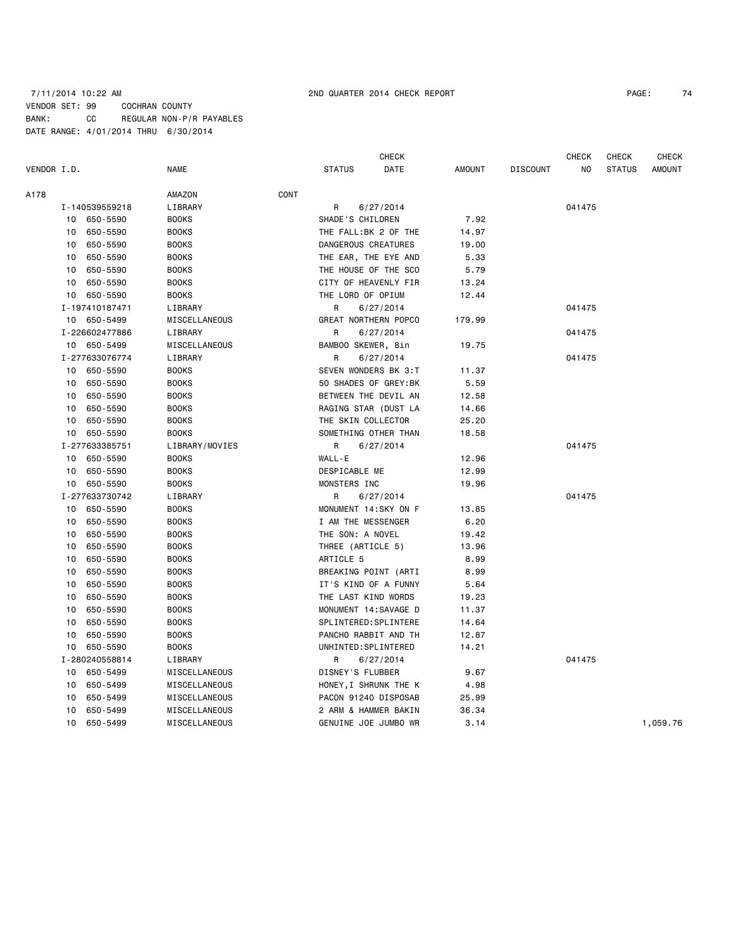# 7/11/2014 10:22 AM 2ND QUARTER 2014 CHECK REPORT PAGE: 74 VENDOR SET: 99 COCHRAN COUNTY BANK: CC REGULAR NON-P/R PAYABLES DATE RANGE: 4/01/2014 THRU 6/30/2014

|             |    |                |                |      |                      | <b>CHECK</b>          |               |                 | <b>CHECK</b> | <b>CHECK</b>  | <b>CHECK</b>  |
|-------------|----|----------------|----------------|------|----------------------|-----------------------|---------------|-----------------|--------------|---------------|---------------|
| VENDOR I.D. |    |                | <b>NAME</b>    |      | <b>STATUS</b>        | DATE                  | <b>AMOUNT</b> | <b>DISCOUNT</b> | NO           | <b>STATUS</b> | <b>AMOUNT</b> |
| A178        |    |                | AMAZON         | CONT |                      |                       |               |                 |              |               |               |
|             |    | I-140539559218 | LIBRARY        |      | R                    | 6/27/2014             |               |                 | 041475       |               |               |
|             | 10 | 650-5590       | <b>BOOKS</b>   |      | SHADE'S CHILDREN     |                       | 7.92          |                 |              |               |               |
|             | 10 | 650-5590       | <b>BOOKS</b>   |      |                      | THE FALL: BK 2 OF THE | 14.97         |                 |              |               |               |
|             | 10 | 650-5590       | <b>BOOKS</b>   |      | DANGEROUS CREATURES  |                       | 19.00         |                 |              |               |               |
|             | 10 | 650-5590       | <b>BOOKS</b>   |      |                      | THE EAR, THE EYE AND  | 5.33          |                 |              |               |               |
|             | 10 | 650-5590       | <b>BOOKS</b>   |      |                      | THE HOUSE OF THE SCO  | 5.79          |                 |              |               |               |
|             | 10 | 650-5590       | <b>BOOKS</b>   |      |                      | CITY OF HEAVENLY FIR  | 13.24         |                 |              |               |               |
|             | 10 | 650-5590       | <b>BOOKS</b>   |      | THE LORD OF OPIUM    |                       | 12.44         |                 |              |               |               |
|             |    | I-197410187471 | LIBRARY        |      | R                    | 6/27/2014             |               |                 | 041475       |               |               |
|             |    | 10 650-5499    | MISCELLANEOUS  |      |                      | GREAT NORTHERN POPCO  | 179.99        |                 |              |               |               |
|             |    | I-226602477886 | LIBRARY        |      | R                    | 6/27/2014             |               |                 | 041475       |               |               |
|             |    | 10 650-5499    | MISCELLANEOUS  |      | BAMBOO SKEWER, 8in   |                       | 19.75         |                 |              |               |               |
|             |    | I-277633076774 | LIBRARY        |      | R                    | 6/27/2014             |               |                 | 041475       |               |               |
|             |    | 10 650-5590    | <b>BOOKS</b>   |      |                      | SEVEN WONDERS BK 3:T  | 11.37         |                 |              |               |               |
|             | 10 | 650-5590       | <b>BOOKS</b>   |      |                      | 50 SHADES OF GREY: BK | 5.59          |                 |              |               |               |
|             | 10 | 650-5590       | <b>BOOKS</b>   |      |                      | BETWEEN THE DEVIL AN  | 12.58         |                 |              |               |               |
|             | 10 | 650-5590       | <b>BOOKS</b>   |      |                      | RAGING STAR (DUST LA  | 14.66         |                 |              |               |               |
|             | 10 | 650-5590       | <b>BOOKS</b>   |      | THE SKIN COLLECTOR   |                       | 25.20         |                 |              |               |               |
|             | 10 | 650-5590       | <b>BOOKS</b>   |      |                      | SOMETHING OTHER THAN  | 18.58         |                 |              |               |               |
|             |    | I-277633385751 | LIBRARY/MOVIES |      | R                    | 6/27/2014             |               |                 | 041475       |               |               |
|             | 10 | 650-5590       | <b>BOOKS</b>   |      | WALL-E               |                       | 12.96         |                 |              |               |               |
|             | 10 | 650-5590       | <b>BOOKS</b>   |      | DESPICABLE ME        |                       | 12.99         |                 |              |               |               |
|             | 10 | 650-5590       | <b>BOOKS</b>   |      | MONSTERS INC         |                       | 19.96         |                 |              |               |               |
|             |    | I-277633730742 | LIBRARY        |      | R.                   | 6/27/2014             |               |                 | 041475       |               |               |
|             | 10 | 650-5590       | <b>BOOKS</b>   |      |                      | MONUMENT 14:SKY ON F  | 13.85         |                 |              |               |               |
|             | 10 | 650-5590       | <b>BOOKS</b>   |      | I AM THE MESSENGER   |                       | 6.20          |                 |              |               |               |
|             | 10 | 650-5590       | <b>BOOKS</b>   |      | THE SON: A NOVEL     |                       | 19.42         |                 |              |               |               |
|             | 10 | 650-5590       | <b>BOOKS</b>   |      | THREE (ARTICLE 5)    |                       | 13.96         |                 |              |               |               |
|             | 10 | 650-5590       | <b>BOOKS</b>   |      | ARTICLE 5            |                       | 8.99          |                 |              |               |               |
|             | 10 | 650-5590       | <b>BOOKS</b>   |      |                      | BREAKING POINT (ARTI  | 8.99          |                 |              |               |               |
|             | 10 | 650-5590       | <b>BOOKS</b>   |      |                      | IT'S KIND OF A FUNNY  | 5.64          |                 |              |               |               |
|             | 10 | 650-5590       | <b>BOOKS</b>   |      | THE LAST KIND WORDS  |                       | 19.23         |                 |              |               |               |
|             | 10 | 650-5590       | <b>BOOKS</b>   |      |                      | MONUMENT 14: SAVAGE D | 11.37         |                 |              |               |               |
|             | 10 | 650-5590       | <b>BOOKS</b>   |      |                      | SPLINTERED: SPLINTERE | 14.64         |                 |              |               |               |
|             | 10 | 650-5590       | <b>BOOKS</b>   |      |                      | PANCHO RABBIT AND TH  | 12.87         |                 |              |               |               |
|             | 10 | 650-5590       | <b>BOOKS</b>   |      | UNHINTED: SPLINTERED |                       | 14.21         |                 |              |               |               |
|             |    | I-280240558814 | LIBRARY        |      | R                    | 6/27/2014             |               |                 | 041475       |               |               |
|             | 10 | 650-5499       | MISCELLANEOUS  |      | DISNEY'S FLUBBER     |                       | 9.67          |                 |              |               |               |
|             | 10 | 650-5499       | MISCELLANEOUS  |      |                      | HONEY, I SHRUNK THE K | 4.98          |                 |              |               |               |
|             | 10 | 650-5499       | MISCELLANEOUS  |      |                      | PACON 91240 DISPOSAB  | 25.99         |                 |              |               |               |
|             | 10 | 650-5499       | MISCELLANEOUS  |      |                      | 2 ARM & HAMMER BAKIN  | 36.34         |                 |              |               |               |
|             | 10 | 650-5499       | MISCELLANEOUS  |      | GENUINE JOE JUMBO WR |                       | 3.14          |                 |              |               | 1,059.76      |
|             |    |                |                |      |                      |                       |               |                 |              |               |               |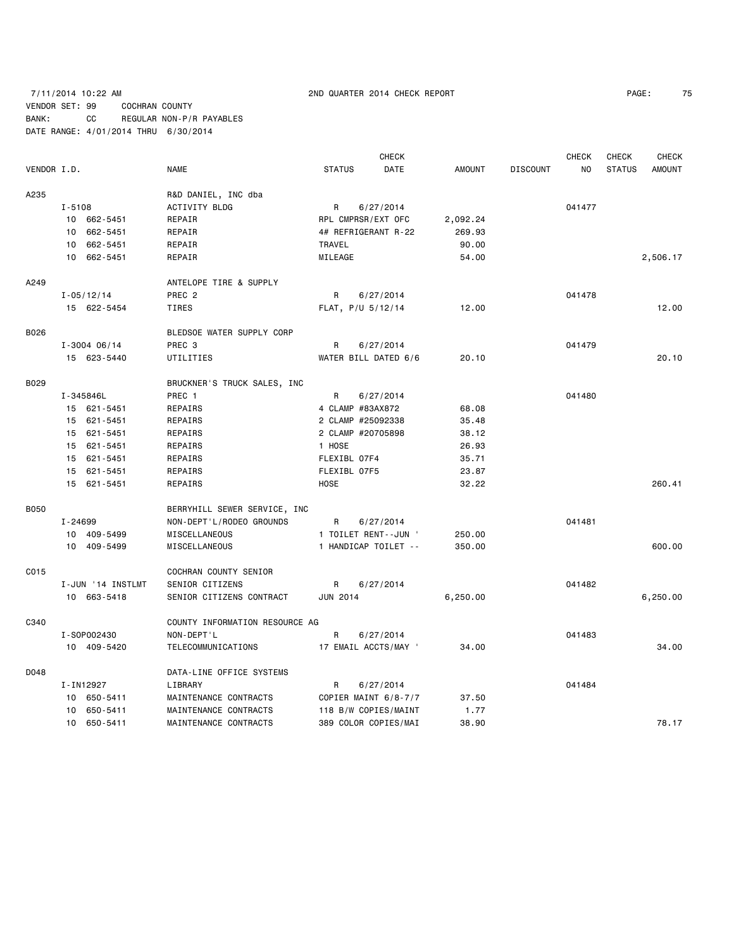# 7/11/2014 10:22 AM 2ND QUARTER 2014 CHECK REPORT PAGE: 75 VENDOR SET: 99 COCHRAN COUNTY BANK: CC REGULAR NON-P/R PAYABLES DATE RANGE: 4/01/2014 THRU 6/30/2014

|             |            |                   |                                |                      | <b>CHECK</b> |               |                 | <b>CHECK</b> | CHECK         | <b>CHECK</b>  |
|-------------|------------|-------------------|--------------------------------|----------------------|--------------|---------------|-----------------|--------------|---------------|---------------|
| VENDOR I.D. |            |                   | <b>NAME</b>                    | <b>STATUS</b>        | DATE         | <b>AMOUNT</b> | <b>DISCOUNT</b> | NO.          | <b>STATUS</b> | <b>AMOUNT</b> |
| A235        |            |                   | R&D DANIEL, INC dba            |                      |              |               |                 |              |               |               |
|             | $I - 5108$ |                   | <b>ACTIVITY BLDG</b>           | R                    | 6/27/2014    |               |                 | 041477       |               |               |
|             |            | 10 662-5451       | REPAIR                         | RPL CMPRSR/EXT OFC   |              | 2,092.24      |                 |              |               |               |
|             |            | 10 662-5451       | REPAIR                         | 4# REFRIGERANT R-22  |              | 269.93        |                 |              |               |               |
|             |            | 10 662-5451       | REPAIR                         | <b>TRAVEL</b>        |              | 90.00         |                 |              |               |               |
|             |            | 10 662-5451       | REPAIR                         | MILEAGE              |              | 54.00         |                 |              |               | 2,506.17      |
| A249        |            |                   | ANTELOPE TIRE & SUPPLY         |                      |              |               |                 |              |               |               |
|             |            | $I - 05/12/14$    | PREC <sub>2</sub>              | R                    | 6/27/2014    |               |                 | 041478       |               |               |
|             |            | 15 622-5454       | TIRES                          | FLAT, P/U 5/12/14    |              | 12.00         |                 |              |               | 12.00         |
| B026        |            |                   | BLEDSOE WATER SUPPLY CORP      |                      |              |               |                 |              |               |               |
|             |            | $I - 3004 06/14$  | PREC <sub>3</sub>              | R                    | 6/27/2014    |               |                 | 041479       |               |               |
|             |            | 15 623-5440       | UTILITIES                      | WATER BILL DATED 6/6 |              | 20.10         |                 |              |               | 20.10         |
| B029        |            |                   | BRUCKNER'S TRUCK SALES, INC    |                      |              |               |                 |              |               |               |
|             |            | I-345846L         | PREC 1                         | R                    | 6/27/2014    |               |                 | 041480       |               |               |
|             |            | 15 621-5451       | REPAIRS                        | 4 CLAMP #83AX872     |              | 68.08         |                 |              |               |               |
|             |            | 15 621-5451       | REPAIRS                        | 2 CLAMP #25092338    |              | 35.48         |                 |              |               |               |
|             |            | 15 621-5451       | REPAIRS                        | 2 CLAMP #20705898    |              | 38.12         |                 |              |               |               |
|             |            | 15 621-5451       | REPAIRS                        | 1 HOSE               |              | 26.93         |                 |              |               |               |
|             |            | 15 621-5451       | REPAIRS                        | FLEXIBL 07F4         |              | 35.71         |                 |              |               |               |
|             |            | 15 621-5451       | REPAIRS                        | FLEXIBL 07F5         |              | 23.87         |                 |              |               |               |
|             |            | 15 621-5451       | <b>REPAIRS</b>                 | HOSE                 |              | 32.22         |                 |              |               | 260.41        |
| <b>B050</b> |            |                   | BERRYHILL SEWER SERVICE, INC   |                      |              |               |                 |              |               |               |
|             | I-24699    |                   | NON-DEPT'L/RODEO GROUNDS       | R                    | 6/27/2014    |               |                 | 041481       |               |               |
|             |            | 10 409-5499       | MISCELLANEOUS                  | 1 TOILET RENT--JUN ' |              | 250.00        |                 |              |               |               |
|             |            | 10 409-5499       | MISCELLANEOUS                  | 1 HANDICAP TOILET -- |              | 350.00        |                 |              |               | 600.00        |
| C015        |            |                   | COCHRAN COUNTY SENIOR          |                      |              |               |                 |              |               |               |
|             |            | I-JUN '14 INSTLMT | SENIOR CITIZENS                | R                    | 6/27/2014    |               |                 | 041482       |               |               |
|             |            | 10 663-5418       | SENIOR CITIZENS CONTRACT       | <b>JUN 2014</b>      |              | 6,250.00      |                 |              |               | 6,250.00      |
| C340        |            |                   | COUNTY INFORMATION RESOURCE AG |                      |              |               |                 |              |               |               |
|             |            | I-S0P002430       | NON-DEPT'L                     | R                    | 6/27/2014    |               |                 | 041483       |               |               |
|             |            | 10 409-5420       | TELECOMMUNICATIONS             | 17 EMAIL ACCTS/MAY ' |              | 34.00         |                 |              |               | 34.00         |
| D048        |            |                   | DATA-LINE OFFICE SYSTEMS       |                      |              |               |                 |              |               |               |
|             |            | I-IN12927         | LIBRARY                        | R                    | 6/27/2014    |               |                 | 041484       |               |               |
|             |            | 10 650-5411       | MAINTENANCE CONTRACTS          | COPIER MAINT 6/8-7/7 |              | 37.50         |                 |              |               |               |
|             |            | 10 650-5411       | MAINTENANCE CONTRACTS          | 118 B/W COPIES/MAINT |              | 1.77          |                 |              |               |               |
|             |            | 10 650-5411       | MAINTENANCE CONTRACTS          | 389 COLOR COPIES/MAI |              | 38.90         |                 |              |               | 78.17         |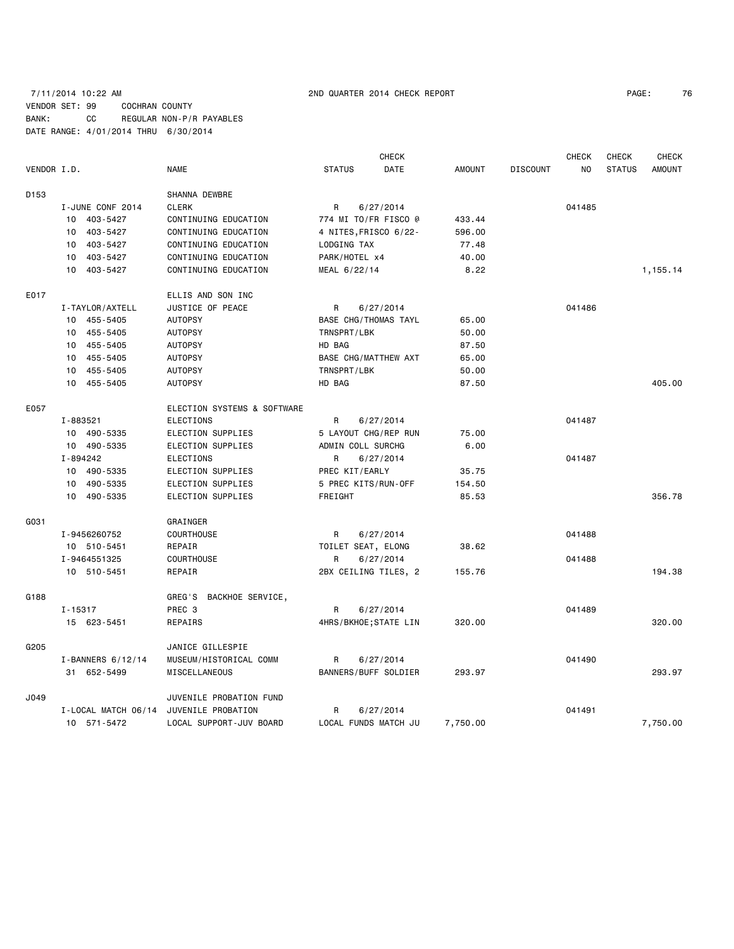### 7/11/2014 10:22 AM 2ND QUARTER 2014 CHECK REPORT PAGE: 76 VENDOR SET: 99 COCHRAN COUNTY BANK: CC REGULAR NON-P/R PAYABLES DATE RANGE: 4/01/2014 THRU 6/30/2014

|                  |                     |                             |                    | <b>CHECK</b>                |               |                 | <b>CHECK</b>   | <b>CHECK</b>  | <b>CHECK</b>  |
|------------------|---------------------|-----------------------------|--------------------|-----------------------------|---------------|-----------------|----------------|---------------|---------------|
| VENDOR I.D.      |                     | <b>NAME</b>                 | <b>STATUS</b>      | <b>DATE</b>                 | <b>AMOUNT</b> | <b>DISCOUNT</b> | N <sub>O</sub> | <b>STATUS</b> | <b>AMOUNT</b> |
| D <sub>153</sub> |                     | SHANNA DEWBRE               |                    |                             |               |                 |                |               |               |
|                  | I-JUNE CONF 2014    | <b>CLERK</b>                | R                  | 6/27/2014                   |               |                 | 041485         |               |               |
|                  | 10 403-5427         | CONTINUING EDUCATION        |                    | 774 MI TO/FR FISCO @        | 433.44        |                 |                |               |               |
|                  | 10 403-5427         | CONTINUING EDUCATION        |                    | 4 NITES, FRISCO 6/22-       | 596.00        |                 |                |               |               |
|                  | 10<br>403-5427      | CONTINUING EDUCATION        | LODGING TAX        |                             | 77.48         |                 |                |               |               |
|                  | 403-5427<br>10      | CONTINUING EDUCATION        | PARK/HOTEL x4      |                             | 40.00         |                 |                |               |               |
|                  | 10 403-5427         | CONTINUING EDUCATION        | MEAL 6/22/14       |                             | 8.22          |                 |                |               | 1,155.14      |
| E017             |                     | ELLIS AND SON INC           |                    |                             |               |                 |                |               |               |
|                  | I-TAYLOR/AXTELL     | JUSTICE OF PEACE            | R                  | 6/27/2014                   |               |                 | 041486         |               |               |
|                  | 10 455-5405         | <b>AUTOPSY</b>              |                    | <b>BASE CHG/THOMAS TAYL</b> | 65.00         |                 |                |               |               |
|                  | 10 455-5405         | <b>AUTOPSY</b>              | TRNSPRT/LBK        |                             | 50.00         |                 |                |               |               |
|                  | 10 455-5405         | <b>AUTOPSY</b>              | HD BAG             |                             | 87.50         |                 |                |               |               |
|                  | 10 455-5405         | <b>AUTOPSY</b>              |                    | <b>BASE CHG/MATTHEW AXT</b> | 65.00         |                 |                |               |               |
|                  | 10 455-5405         | <b>AUTOPSY</b>              | TRNSPRT/LBK        |                             | 50.00         |                 |                |               |               |
|                  | 10 455-5405         | <b>AUTOPSY</b>              | HD BAG             |                             | 87.50         |                 |                |               | 405.00        |
| E057             |                     | ELECTION SYSTEMS & SOFTWARE |                    |                             |               |                 |                |               |               |
|                  | I-883521            | <b>ELECTIONS</b>            | R                  | 6/27/2014                   |               |                 | 041487         |               |               |
|                  | 10 490-5335         | ELECTION SUPPLIES           |                    | 5 LAYOUT CHG/REP RUN        | 75.00         |                 |                |               |               |
|                  | 10 490-5335         | ELECTION SUPPLIES           | ADMIN COLL SURCHG  |                             | 6.00          |                 |                |               |               |
|                  | I-894242            | <b>ELECTIONS</b>            | R                  | 6/27/2014                   |               |                 | 041487         |               |               |
|                  | 10 490-5335         | ELECTION SUPPLIES           | PREC KIT/EARLY     |                             | 35.75         |                 |                |               |               |
|                  | 490-5335<br>10      | ELECTION SUPPLIES           |                    | 5 PREC KITS/RUN-OFF         | 154.50        |                 |                |               |               |
|                  | 10 490-5335         | ELECTION SUPPLIES           | FREIGHT            |                             | 85.53         |                 |                |               | 356.78        |
| G031             |                     | GRAINGER                    |                    |                             |               |                 |                |               |               |
|                  | I-9456260752        | <b>COURTHOUSE</b>           | R                  | 6/27/2014                   |               |                 | 041488         |               |               |
|                  | 10 510-5451         | REPAIR                      | TOILET SEAT, ELONG |                             | 38.62         |                 |                |               |               |
|                  | I-9464551325        | <b>COURTHOUSE</b>           | R                  | 6/27/2014                   |               |                 | 041488         |               |               |
|                  | 10 510-5451         | REPAIR                      |                    | 2BX CEILING TILES, 2        | 155.76        |                 |                |               | 194.38        |
| G188             |                     | GREG'S<br>BACKHOE SERVICE,  |                    |                             |               |                 |                |               |               |
|                  | $I - 15317$         | PREC 3                      | R                  | 6/27/2014                   |               |                 | 041489         |               |               |
|                  | 15 623-5451         | REPAIRS                     |                    | 4HRS/BKHOE; STATE LIN       | 320.00        |                 |                |               | 320,00        |
| G205             |                     | JANICE GILLESPIE            |                    |                             |               |                 |                |               |               |
|                  | I-BANNERS 6/12/14   | MUSEUM/HISTORICAL COMM      | R                  | 6/27/2014                   |               |                 | 041490         |               |               |
|                  | 31 652-5499         | MISCELLANEOUS               |                    | BANNERS/BUFF SOLDIER        | 293.97        |                 |                |               | 293.97        |
| J049             |                     | JUVENILE PROBATION FUND     |                    |                             |               |                 |                |               |               |
|                  | I-LOCAL MATCH 06/14 | JUVENILE PROBATION          | R                  | 6/27/2014                   |               |                 | 041491         |               |               |
|                  | 10 571-5472         | LOCAL SUPPORT-JUV BOARD     |                    | LOCAL FUNDS MATCH JU        | 7,750.00      |                 |                |               | 7,750.00      |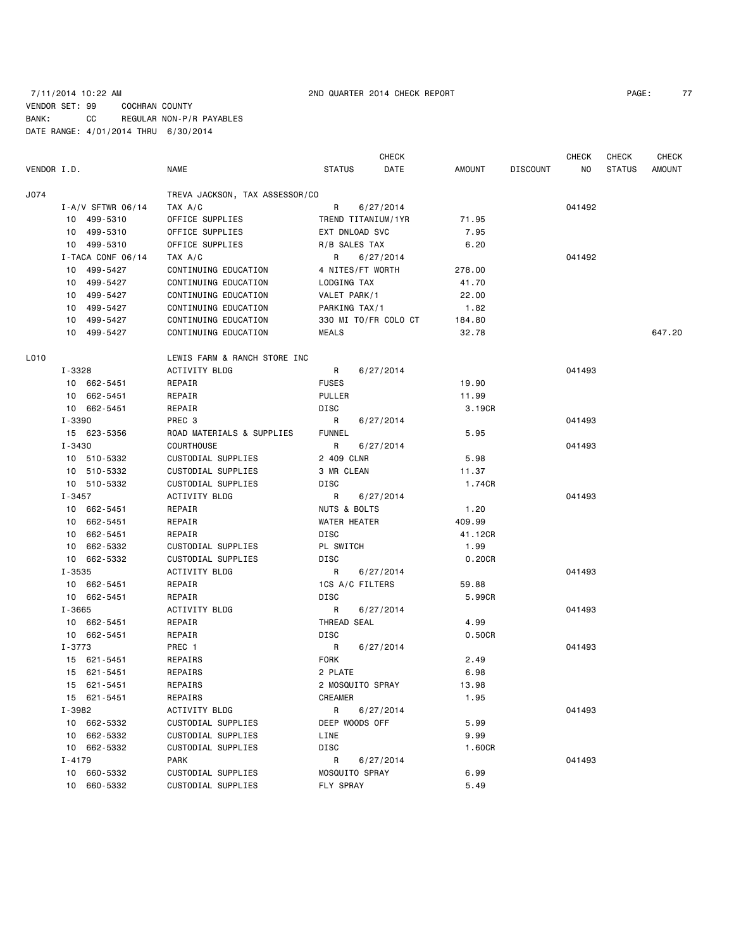# 7/11/2014 10:22 AM 2ND QUARTER 2014 CHECK REPORT PAGE: 77 VENDOR SET: 99 COCHRAN COUNTY BANK: CC REGULAR NON-P/R PAYABLES DATE RANGE: 4/01/2014 THRU 6/30/2014

CHECK CHECK CHECK CHECK CHECK

| VENDOR I.D. |                       | <b>NAME</b>                    | <b>STATUS</b>      | DATE                 | AMOUNT  | <b>DISCOUNT</b> | NO.    | <b>STATUS</b> | <b>AMOUNT</b> |
|-------------|-----------------------|--------------------------------|--------------------|----------------------|---------|-----------------|--------|---------------|---------------|
| J074        |                       | TREVA JACKSON, TAX ASSESSOR/CO |                    |                      |         |                 |        |               |               |
|             | $I - A/V$ SFTWR 06/14 | TAX A/C                        | R                  | 6/27/2014            |         |                 | 041492 |               |               |
|             | 10 499-5310           | OFFICE SUPPLIES                | TREND TITANIUM/1YR |                      | 71.95   |                 |        |               |               |
|             | 10 499-5310           | OFFICE SUPPLIES                | EXT DNLOAD SVC     |                      | 7.95    |                 |        |               |               |
|             | 10 499-5310           | OFFICE SUPPLIES                | R/B SALES TAX      |                      | 6.20    |                 |        |               |               |
|             | I-TACA CONF 06/14     | TAX A/C                        | $\mathsf{R}$       | 6/27/2014            |         |                 | 041492 |               |               |
|             | 10 499-5427           | CONTINUING EDUCATION           | 4 NITES/FT WORTH   |                      | 278.00  |                 |        |               |               |
|             | 10 499-5427           | CONTINUING EDUCATION           | LODGING TAX        |                      | 41.70   |                 |        |               |               |
|             | 10 499-5427           | CONTINUING EDUCATION           | VALET PARK/1       |                      | 22.00   |                 |        |               |               |
|             | 10 499-5427           | CONTINUING EDUCATION           | PARKING TAX/1      |                      | 1.82    |                 |        |               |               |
|             | 10 499-5427           | CONTINUING EDUCATION           |                    | 330 MI TO/FR COLO CT | 184.80  |                 |        |               |               |
|             | 10 499-5427           | CONTINUING EDUCATION           | MEALS              |                      | 32.78   |                 |        |               | 647.20        |
| L010        |                       | LEWIS FARM & RANCH STORE INC   |                    |                      |         |                 |        |               |               |
|             | I-3328                | <b>ACTIVITY BLDG</b>           | R                  | 6/27/2014            |         |                 | 041493 |               |               |
|             | 10 662-5451           | REPAIR                         | <b>FUSES</b>       |                      | 19.90   |                 |        |               |               |
|             | 10 662-5451           | REPAIR                         | PULLER             |                      | 11.99   |                 |        |               |               |
|             | 10 662-5451           | REPAIR                         | DISC               |                      | 3.19CR  |                 |        |               |               |
|             | I-3390                | PREC 3                         | R                  | 6/27/2014            |         |                 | 041493 |               |               |
|             | 15 623-5356           | ROAD MATERIALS & SUPPLIES      | <b>FUNNEL</b>      |                      | 5.95    |                 |        |               |               |
|             | $I - 3430$            | <b>COURTHOUSE</b>              | R                  | 6/27/2014            |         |                 | 041493 |               |               |
|             | 10 510-5332           | CUSTODIAL SUPPLIES             | 2 409 CLNR         |                      | 5.98    |                 |        |               |               |
|             | 10 510-5332           | CUSTODIAL SUPPLIES             | 3 MR CLEAN         |                      | 11.37   |                 |        |               |               |
|             | 10 510-5332           | CUSTODIAL SUPPLIES             | DISC               |                      | 1.74CR  |                 |        |               |               |
|             | I-3457                | ACTIVITY BLDG                  | R                  | 6/27/2014            |         |                 | 041493 |               |               |
|             | 10 662-5451           | REPAIR                         | NUTS & BOLTS       |                      | 1.20    |                 |        |               |               |
|             | 10 662-5451           | REPAIR                         | WATER HEATER       |                      | 409.99  |                 |        |               |               |
|             | 10 662-5451           | REPAIR                         | DISC               |                      | 41.12CR |                 |        |               |               |
|             | 10 662-5332           | CUSTODIAL SUPPLIES             | PL SWITCH          |                      | 1.99    |                 |        |               |               |
|             | 10 662-5332           | CUSTODIAL SUPPLIES             | DISC               |                      | 0.20CR  |                 |        |               |               |
|             | I-3535                | ACTIVITY BLDG                  | $\mathsf{R}$       | 6/27/2014            |         |                 | 041493 |               |               |
|             | 10 662-5451           | REPAIR                         | 1CS A/C FILTERS    |                      | 59.88   |                 |        |               |               |
|             | 10 662-5451           | REPAIR                         | DISC               |                      | 5.99CR  |                 |        |               |               |
|             | I-3665                | ACTIVITY BLDG                  | R                  | 6/27/2014            |         |                 | 041493 |               |               |
|             | 10 662-5451           | REPAIR                         | THREAD SEAL        |                      | 4.99    |                 |        |               |               |
|             | 10 662-5451           | REPAIR                         | DISC               |                      | 0.50CR  |                 |        |               |               |
|             | I-3773                | PREC 1                         | R                  | 6/27/2014            |         |                 | 041493 |               |               |
|             | 15 621-5451           | REPAIRS                        | <b>FORK</b>        |                      | 2.49    |                 |        |               |               |
|             | 15 621-5451           | REPAIRS                        | 2 PLATE            |                      | 6.98    |                 |        |               |               |
|             | 15 621-5451           | REPAIRS                        | 2 MOSQUITO SPRAY   |                      | 13.98   |                 |        |               |               |
|             | 15 621-5451           | REPAIRS                        | <b>CREAMER</b>     |                      | 1.95    |                 |        |               |               |
|             | I-3982                | ACTIVITY BLDG                  | R                  | 6/27/2014            |         |                 | 041493 |               |               |
|             | 10 662-5332           | CUSTODIAL SUPPLIES             | DEEP WOODS OFF     |                      | 5.99    |                 |        |               |               |
|             | 10 662-5332           | CUSTODIAL SUPPLIES             | LINE               |                      | 9.99    |                 |        |               |               |
|             | 10 662-5332           | CUSTODIAL SUPPLIES             | DISC               |                      | 1.60CR  |                 |        |               |               |
|             | $I - 4179$            | <b>PARK</b>                    | R                  | 6/27/2014            |         |                 | 041493 |               |               |
|             | 10 660-5332           | CUSTODIAL SUPPLIES             | MOSQUITO SPRAY     |                      | 6.99    |                 |        |               |               |
|             | 10 660-5332           | CUSTODIAL SUPPLIES             | FLY SPRAY          |                      | 5.49    |                 |        |               |               |
|             |                       |                                |                    |                      |         |                 |        |               |               |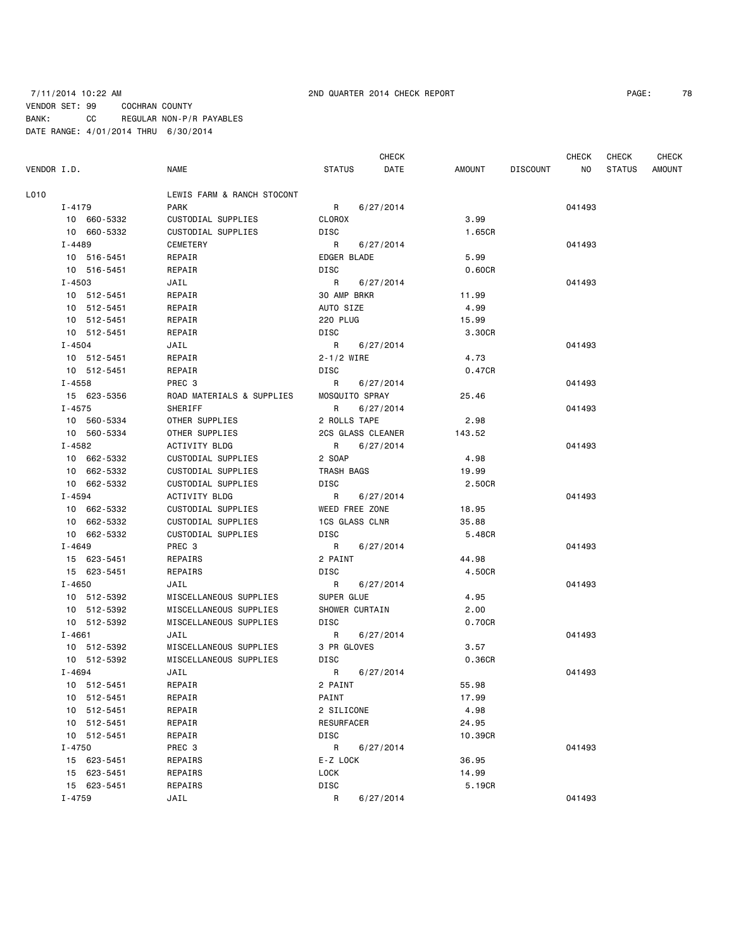### 7/11/2014 10:22 AM 2ND QUARTER 2014 CHECK REPORT PAGE: 78 VENDOR SET: 99 COCHRAN COUNTY BANK: CC REGULAR NON-P/R PAYABLES DATE RANGE: 4/01/2014 THRU 6/30/2014

**CHECK CHECK CHECK CHECK CHECK CHECK CHECK** VENDOR I.D. NAME STATUS DATE AMOUNT DISCOUNT NO STATUS AMOUNT

L010 LEWIS FARM & RANCH STOCONT I-4179 PARK R 6/27/2014 041493 10 660-5332 CUSTODIAL SUPPLIES CLOROX 3.99 10 660-5332 CUSTODIAL SUPPLIES DISC 1.65CR I-4489 CEMETERY R 6/27/2014 041493 10 516-5451 REPAIR EDGER BLADE 5.99 10 516-5451 REPAIR DISC 0.60CR I-4503 JAIL R 6/27/2014 041493 10 512-5451 REPAIR 30 AMP BRKR 11.99 10 512-5451 REPAIR AUTO SIZE 4.99 10 512-5451 REPAIR 220 PLUG 15.99 10 512-5451 REPAIR DISC 3.30CR I-4504 JAIL R 6/27/2014 041493 10 512-5451 REPAIR 2-1/2 WIRE 4.73 10 512-5451 REPAIR DISC 0.47CR I-4558 PREC 3 R 6/27/2014 041493 15 623-5356 ROAD MATERIALS & SUPPLIES MOSQUITO SPRAY 25.46 I-4575 SHERIFF R 6/27/2014 041493 10 560-5334 OTHER SUPPLIES 2 ROLLS TAPE 2.98 10 560-5334 OTHER SUPPLIES 2CS GLASS CLEANER 143.52 I-4582 ACTIVITY BLDG R 6/27/2014 041493 10 662-5332 CUSTODIAL SUPPLIES 2 SOAP 4.98 10 662-5332 CUSTODIAL SUPPLIES TRASH BAGS 19.99 10 662-5332 CUSTODIAL SUPPLIES DISC 2.50CR I-4594 ACTIVITY BLDG R 6/27/2014 041493 10 662-5332 CUSTODIAL SUPPLIES WEED FREE ZONE 18.95 10 662-5332 CUSTODIAL SUPPLIES 1CS GLASS CLNR 35.88 10 662-5332 CUSTODIAL SUPPLIES DISC 5.48CR I-4649 PREC 3 R 6/27/2014 041493 15 623-5451 REPAIRS 2 PAINT 44.98 15 623-5451 REPAIRS DISC 4.50CR I-4650 JAIL R 6/27/2014 041493 10 512-5392 MISCELLANEOUS SUPPLIES SUPER GLUE 4.95 10 512-5392 MISCELLANEOUS SUPPLIES SHOWER CURTAIN 2.00

 10 512-5392 MISCELLANEOUS SUPPLIES DISC 0.70CR I-4661 JAIL R 6/27/2014 041493 10 512-5392 MISCELLANEOUS SUPPLIES 3 PR GLOVES 3.57 10 512-5392 MISCELLANEOUS SUPPLIES DISC 0.36CR I-4694 JAIL R 6/27/2014 041493 10 512-5451 REPAIR 2 PAINT 55.98 10 512-5451 REPAIR PAINT 17.99 10 512-5451 REPAIR 2 SILICONE 4.98 10 512-5451 REPAIR RESURFACER 24.95 10 512-5451 REPAIR DISC 10.39CR I-4750 PREC 3 R 6/27/2014 041493 15 623-5451 REPAIRS E-Z LOCK 36.95 15 623-5451 REPAIRS LOCK 14.99 15 623-5451 REPAIRS DISC 5.19CR

I-4759 JAIL R 6/27/2014 041493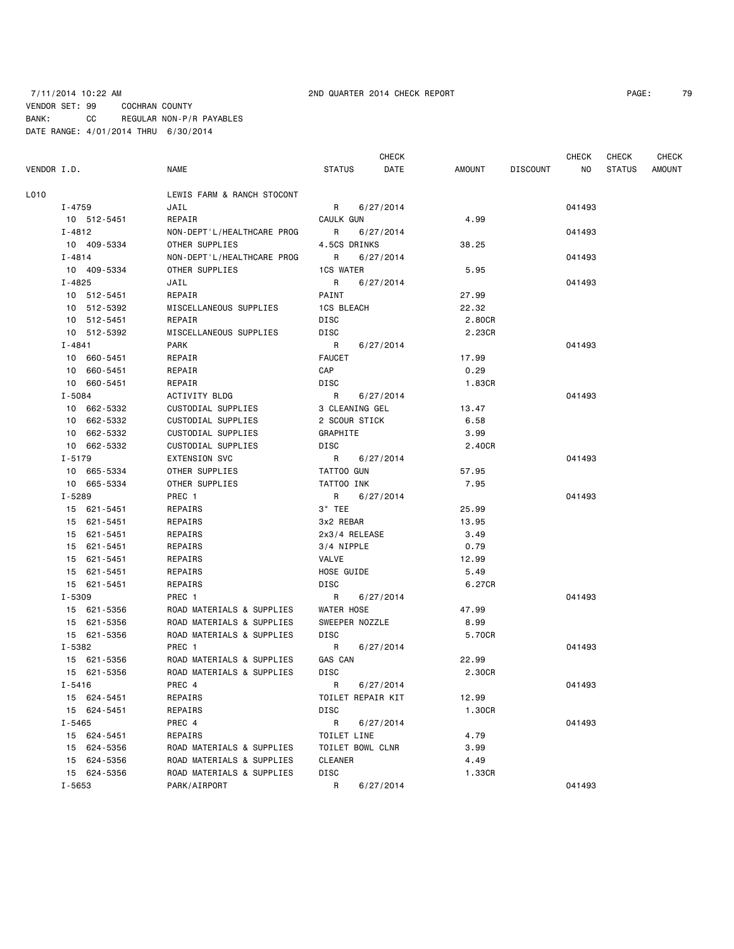# 7/11/2014 10:22 AM 2ND QUARTER 2014 CHECK REPORT PAGE: 79 VENDOR SET: 99 COCHRAN COUNTY BANK: CC REGULAR NON-P/R PAYABLES DATE RANGE: 4/01/2014 THRU 6/30/2014

CHECK CHECK CHECK CHECK CHECK

| $I - 4759$<br>10 512-5451<br>I-4812<br>10 409-5334<br>I-4814<br>10 409-5334<br>I-4825 | LEWIS FARM & RANCH STOCONT<br>JAIL<br>REPAIR<br>NON-DEPT'L/HEALTHCARE PROG<br>OTHER SUPPLIES          | R<br>6/27/2014<br>CAULK GUN<br>R<br>6/27/2014                                                         | 4.99                                                                                                | 041493                                   |                  |
|---------------------------------------------------------------------------------------|-------------------------------------------------------------------------------------------------------|-------------------------------------------------------------------------------------------------------|-----------------------------------------------------------------------------------------------------|------------------------------------------|------------------|
|                                                                                       |                                                                                                       |                                                                                                       |                                                                                                     |                                          |                  |
|                                                                                       |                                                                                                       |                                                                                                       |                                                                                                     |                                          |                  |
|                                                                                       |                                                                                                       |                                                                                                       |                                                                                                     |                                          |                  |
|                                                                                       |                                                                                                       |                                                                                                       |                                                                                                     | 041493                                   |                  |
|                                                                                       |                                                                                                       | 4.5CS DRINKS                                                                                          | 38.25                                                                                               |                                          |                  |
|                                                                                       | NON-DEPT'L/HEALTHCARE PROG                                                                            | <b>R</b><br>6/27/2014                                                                                 |                                                                                                     | 041493                                   |                  |
|                                                                                       | OTHER SUPPLIES                                                                                        | <b>1CS WATER</b>                                                                                      | 5.95                                                                                                |                                          |                  |
|                                                                                       | JAIL                                                                                                  | R<br>6/27/2014                                                                                        |                                                                                                     | 041493                                   |                  |
| 10 512-5451                                                                           | REPAIR                                                                                                | PAINT                                                                                                 | 27.99                                                                                               |                                          |                  |
| 10 512-5392                                                                           | MISCELLANEOUS SUPPLIES                                                                                | 1CS BLEACH                                                                                            | 22.32                                                                                               |                                          |                  |
| 10 512-5451                                                                           | REPAIR                                                                                                | DISC                                                                                                  | 2.80CR                                                                                              |                                          |                  |
| 10 512-5392                                                                           | MISCELLANEOUS SUPPLIES                                                                                | DISC                                                                                                  | 2.23CR                                                                                              |                                          |                  |
| I-4841                                                                                | PARK                                                                                                  | $\mathsf{R}$<br>6/27/2014                                                                             |                                                                                                     | 041493                                   |                  |
| 10 660-5451                                                                           | REPAIR                                                                                                | <b>FAUCET</b>                                                                                         | 17.99                                                                                               |                                          |                  |
| 10 660-5451                                                                           | REPAIR                                                                                                | CAP                                                                                                   | 0.29                                                                                                |                                          |                  |
| 10 660-5451                                                                           | REPAIR                                                                                                | DISC                                                                                                  | 1.83CR                                                                                              |                                          |                  |
| I-5084                                                                                | ACTIVITY BLDG                                                                                         | R<br>6/27/2014                                                                                        |                                                                                                     | 041493                                   |                  |
| 10 662-5332                                                                           | CUSTODIAL SUPPLIES                                                                                    | 3 CLEANING GEL                                                                                        | 13.47                                                                                               |                                          |                  |
| 10 662-5332                                                                           | CUSTODIAL SUPPLIES                                                                                    | 2 SCOUR STICK                                                                                         | 6.58                                                                                                |                                          |                  |
| 10 662-5332                                                                           | CUSTODIAL SUPPLIES                                                                                    | GRAPHITE                                                                                              | 3.99                                                                                                |                                          |                  |
| 10 662-5332                                                                           | CUSTODIAL SUPPLIES                                                                                    | DISC                                                                                                  | 2.40CR                                                                                              |                                          |                  |
| I-5179                                                                                | <b>EXTENSION SVC</b>                                                                                  | R<br>6/27/2014                                                                                        |                                                                                                     | 041493                                   |                  |
| 10 665-5334                                                                           | OTHER SUPPLIES                                                                                        | TATTOO GUN                                                                                            | 57.95                                                                                               |                                          |                  |
| 10 665-5334                                                                           | OTHER SUPPLIES                                                                                        | TATTOO INK                                                                                            | 7.95                                                                                                |                                          |                  |
| I-5289                                                                                | PREC 1                                                                                                | R 6/27/2014                                                                                           |                                                                                                     | 041493                                   |                  |
| 15 621-5451                                                                           | REPAIRS                                                                                               | 3" TEE                                                                                                | 25.99                                                                                               |                                          |                  |
| 15 621-5451                                                                           | REPAIRS                                                                                               | 3x2 REBAR                                                                                             | 13.95                                                                                               |                                          |                  |
| 15 621-5451                                                                           | REPAIRS                                                                                               | 2x3/4 RELEASE                                                                                         | 3.49                                                                                                |                                          |                  |
| 15 621-5451                                                                           | REPAIRS                                                                                               | 3/4 NIPPLE                                                                                            | 0.79                                                                                                |                                          |                  |
| 15 621-5451                                                                           | REPAIRS                                                                                               | VALVE                                                                                                 | 12.99                                                                                               |                                          |                  |
| 15 621-5451                                                                           | REPAIRS                                                                                               | HOSE GUIDE                                                                                            | 5.49                                                                                                |                                          |                  |
| 15 621-5451                                                                           | REPAIRS                                                                                               | DISC                                                                                                  | 6.27CR                                                                                              |                                          |                  |
| I-5309                                                                                | PREC 1                                                                                                | R<br>6/27/2014                                                                                        |                                                                                                     | 041493                                   |                  |
| 15 621-5356                                                                           | ROAD MATERIALS & SUPPLIES                                                                             | WATER HOSE                                                                                            | 47.99                                                                                               |                                          |                  |
| 15 621-5356                                                                           | ROAD MATERIALS & SUPPLIES                                                                             | SWEEPER NOZZLE                                                                                        | 8.99                                                                                                |                                          |                  |
| 15 621-5356                                                                           | ROAD MATERIALS & SUPPLIES                                                                             | DISC                                                                                                  | 5.70CR                                                                                              |                                          |                  |
| I-5382                                                                                | PREC 1                                                                                                | R<br>6/27/2014                                                                                        |                                                                                                     | 041493                                   |                  |
| 15 621-5356                                                                           | ROAD MATERIALS & SUPPLIES                                                                             | GAS CAN                                                                                               | 22.99                                                                                               |                                          |                  |
| 15 621-5356                                                                           | ROAD MATERIALS & SUPPLIES                                                                             | DISC                                                                                                  | 2.30CR                                                                                              |                                          |                  |
|                                                                                       |                                                                                                       |                                                                                                       |                                                                                                     | 041493                                   |                  |
|                                                                                       | REPAIRS                                                                                               | TOILET REPAIR KIT                                                                                     | 12.99                                                                                               |                                          |                  |
|                                                                                       | REPAIRS                                                                                               |                                                                                                       |                                                                                                     |                                          |                  |
|                                                                                       |                                                                                                       |                                                                                                       |                                                                                                     |                                          |                  |
|                                                                                       |                                                                                                       |                                                                                                       |                                                                                                     |                                          |                  |
|                                                                                       | ROAD MATERIALS & SUPPLIES                                                                             | TOILET BOWL CLNR                                                                                      |                                                                                                     |                                          |                  |
|                                                                                       |                                                                                                       |                                                                                                       |                                                                                                     |                                          |                  |
| 15 624-5356                                                                           |                                                                                                       |                                                                                                       |                                                                                                     |                                          |                  |
|                                                                                       |                                                                                                       |                                                                                                       |                                                                                                     |                                          |                  |
|                                                                                       | I-5416<br>15 624-5451<br>15 624-5451<br>I-5465<br>15 624-5451<br>15 624-5356<br>15 624-5356<br>I-5653 | PREC 4<br>PREC 4<br>REPAIRS<br>ROAD MATERIALS & SUPPLIES<br>ROAD MATERIALS & SUPPLIES<br>PARK/AIRPORT | 6/27/2014<br>R<br>DISC<br>R<br>6/27/2014<br>TOILET LINE<br><b>CLEANER</b><br>DISC<br>R<br>6/27/2014 | 1.30CR<br>4.79<br>3.99<br>4.49<br>1.33CR | 041493<br>041493 |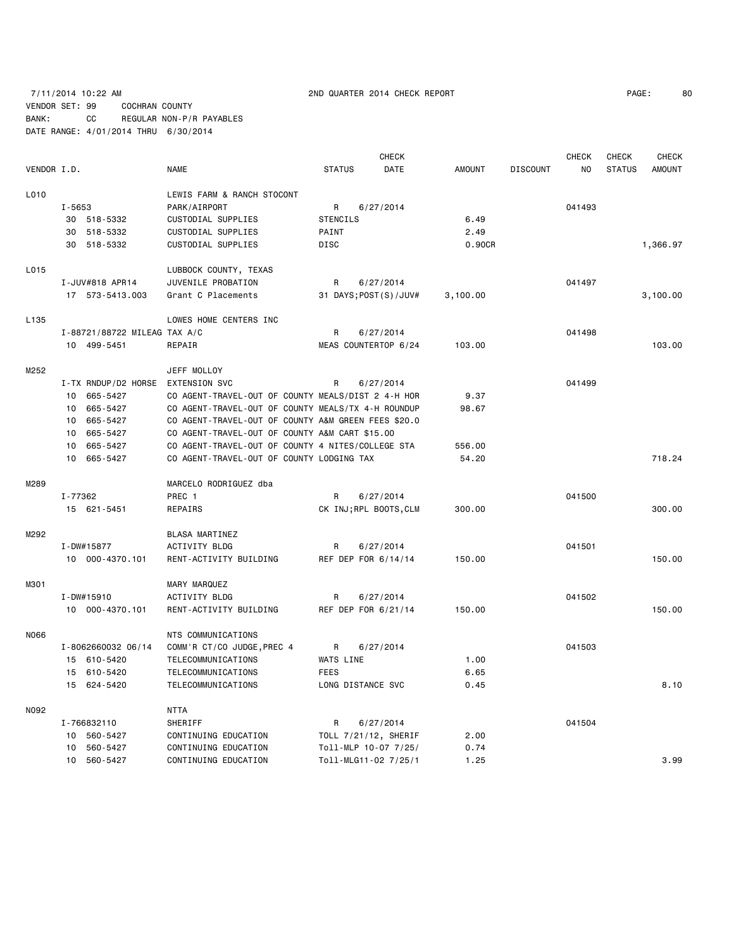|             |                                   |                                                     |                          | CHECK     |               |                 | <b>CHECK</b> | CHECK         | <b>CHECK</b>  |
|-------------|-----------------------------------|-----------------------------------------------------|--------------------------|-----------|---------------|-----------------|--------------|---------------|---------------|
| VENDOR I.D. |                                   | <b>NAME</b>                                         | <b>STATUS</b>            | DATE      | <b>AMOUNT</b> | <b>DISCOUNT</b> | NO.          | <b>STATUS</b> | <b>AMOUNT</b> |
| L010        |                                   | LEWIS FARM & RANCH STOCONT                          |                          |           |               |                 |              |               |               |
|             | I-5653                            | PARK/AIRPORT                                        | R                        | 6/27/2014 |               |                 | 041493       |               |               |
|             | 30 518-5332                       | CUSTODIAL SUPPLIES                                  | <b>STENCILS</b>          |           | 6.49          |                 |              |               |               |
|             | 518-5332<br>30                    | CUSTODIAL SUPPLIES                                  | PAINT                    |           | 2.49          |                 |              |               |               |
|             | 518-5332<br>30                    | CUSTODIAL SUPPLIES                                  | DISC                     |           | 0.90CR        |                 |              |               | 1,366.97      |
| L015        |                                   | LUBBOCK COUNTY, TEXAS                               |                          |           |               |                 |              |               |               |
|             | I-JUV#818 APR14                   | JUVENILE PROBATION                                  | R                        | 6/27/2014 |               |                 | 041497       |               |               |
|             | 17 573-5413.003                   | Grant C Placements                                  | 31 DAYS; POST (S) / JUV# |           | 3,100.00      |                 |              |               | 3,100.00      |
| L135        |                                   | LOWES HOME CENTERS INC                              |                          |           |               |                 |              |               |               |
|             | I-88721/88722 MILEAG TAX A/C      |                                                     | R                        | 6/27/2014 |               |                 | 041498       |               |               |
|             | 10 499-5451                       | REPAIR                                              | MEAS COUNTERTOP 6/24     |           | 103.00        |                 |              |               | 103.00        |
| M252        |                                   | JEFF MOLLOY                                         |                          |           |               |                 |              |               |               |
|             | I-TX RNDUP/D2 HORSE EXTENSION SVC |                                                     | R                        | 6/27/2014 |               |                 | 041499       |               |               |
|             | 10 665-5427                       | CO AGENT-TRAVEL-OUT OF COUNTY MEALS/DIST 2 4-H HOR  |                          |           | 9.37          |                 |              |               |               |
|             | 10 665-5427                       | CO AGENT-TRAVEL-OUT OF COUNTY MEALS/TX 4-H ROUNDUP  |                          |           | 98.67         |                 |              |               |               |
|             | 665-5427<br>10                    | CO AGENT-TRAVEL-OUT OF COUNTY A&M GREEN FEES \$20.0 |                          |           |               |                 |              |               |               |
|             | 665-5427<br>10                    | CO AGENT-TRAVEL-OUT OF COUNTY A&M CART \$15.00      |                          |           |               |                 |              |               |               |
|             | 665-5427<br>10                    | CO AGENT-TRAVEL-OUT OF COUNTY 4 NITES/COLLEGE STA   |                          |           | 556.00        |                 |              |               |               |
|             | 10<br>665-5427                    | CO AGENT-TRAVEL-OUT OF COUNTY LODGING TAX           |                          |           | 54.20         |                 |              |               | 718.24        |
| M289        |                                   | MARCELO RODRIGUEZ dba                               |                          |           |               |                 |              |               |               |
|             | I-77362                           | PREC 1                                              | R                        | 6/27/2014 |               |                 | 041500       |               |               |
|             | 15 621-5451                       | REPAIRS                                             | CK INJ; RPL BOOTS, CLM   |           | 300.00        |                 |              |               | 300.00        |
| M292        |                                   | BLASA MARTINEZ                                      |                          |           |               |                 |              |               |               |
|             | I-DW#15877                        | ACTIVITY BLDG                                       | R                        | 6/27/2014 |               |                 | 041501       |               |               |
|             | 10 000-4370.101                   | RENT-ACTIVITY BUILDING                              | REF DEP FOR 6/14/14      |           | 150.00        |                 |              |               | 150.00        |
| M301        |                                   | MARY MARQUEZ                                        |                          |           |               |                 |              |               |               |
|             | I-DW#15910                        | <b>ACTIVITY BLDG</b>                                | R                        | 6/27/2014 |               |                 | 041502       |               |               |
|             | 10 000-4370.101                   | RENT-ACTIVITY BUILDING                              | REF DEP FOR 6/21/14      |           | 150.00        |                 |              |               | 150.00        |
| N066        |                                   | NTS COMMUNICATIONS                                  |                          |           |               |                 |              |               |               |
|             | I-8062660032 06/14                | COMM'R CT/CO JUDGE, PREC 4                          | R                        | 6/27/2014 |               |                 | 041503       |               |               |
|             | 15 610-5420                       | TELECOMMUNICATIONS                                  | <b>WATS LINE</b>         |           | 1.00          |                 |              |               |               |
|             | 15 610-5420                       | TELECOMMUNICATIONS                                  | FEES                     |           | 6.65          |                 |              |               |               |
|             | 15 624-5420                       | TELECOMMUNICATIONS                                  | LONG DISTANCE SVC        |           | 0.45          |                 |              |               | 8.10          |
| N092        |                                   | <b>NTTA</b>                                         |                          |           |               |                 |              |               |               |
|             | I-766832110                       | SHERIFF                                             | R                        | 6/27/2014 |               |                 | 041504       |               |               |
|             | 10 560-5427                       | CONTINUING EDUCATION                                | TOLL 7/21/12, SHERIF     |           | 2.00          |                 |              |               |               |
|             | 560-5427<br>10                    | CONTINUING EDUCATION                                | Toll-MLP 10-07 7/25/     |           | 0.74          |                 |              |               |               |
|             | 10 560-5427                       | CONTINUING EDUCATION                                | Toll-MLG11-02 7/25/1     |           | 1.25          |                 |              |               | 3.99          |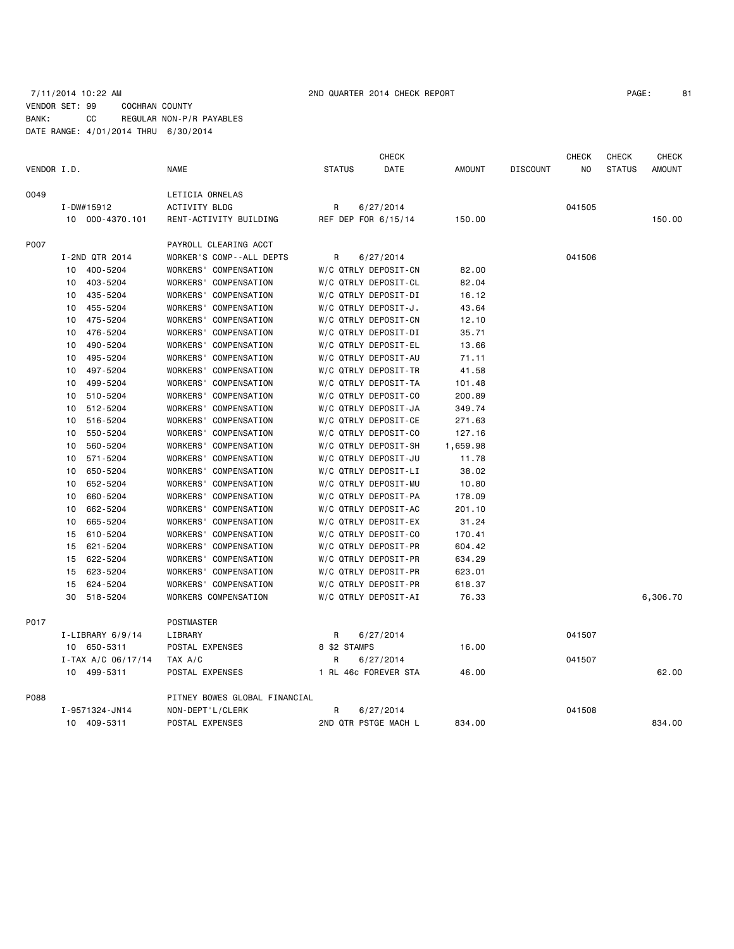# 7/11/2014 10:22 AM 2ND QUARTER 2014 CHECK REPORT PAGE: 81 VENDOR SET: 99 COCHRAN COUNTY BANK: CC REGULAR NON-P/R PAYABLES DATE RANGE: 4/01/2014 THRU 6/30/2014

|             |                      |                               |                      | <b>CHECK</b>         |               |                 | <b>CHECK</b> | <b>CHECK</b>  | CHECK         |
|-------------|----------------------|-------------------------------|----------------------|----------------------|---------------|-----------------|--------------|---------------|---------------|
| VENDOR I.D. |                      | <b>NAME</b>                   | <b>STATUS</b>        | <b>DATE</b>          | <b>AMOUNT</b> | <b>DISCOUNT</b> | NO.          | <b>STATUS</b> | <b>AMOUNT</b> |
| 0049        |                      | LETICIA ORNELAS               |                      |                      |               |                 |              |               |               |
|             | I-DW#15912           | ACTIVITY BLDG                 | R                    | 6/27/2014            |               |                 | 041505       |               |               |
|             | 10 000-4370.101      | RENT-ACTIVITY BUILDING        | REF DEP FOR 6/15/14  |                      | 150.00        |                 |              |               | 150.00        |
| P007        |                      | PAYROLL CLEARING ACCT         |                      |                      |               |                 |              |               |               |
|             | I-2ND QTR 2014       | WORKER'S COMP--ALL DEPTS      | R                    | 6/27/2014            |               |                 | 041506       |               |               |
|             | 400-5204<br>10       | WORKERS' COMPENSATION         | W/C QTRLY DEPOSIT-CN |                      | 82.00         |                 |              |               |               |
|             | 403-5204<br>10       | WORKERS' COMPENSATION         | W/C QTRLY DEPOSIT-CL |                      | 82.04         |                 |              |               |               |
|             | 435-5204<br>10       | WORKERS' COMPENSATION         | W/C QTRLY DEPOSIT-DI |                      | 16.12         |                 |              |               |               |
|             | 455-5204<br>10       | WORKERS' COMPENSATION         | W/C QTRLY DEPOSIT-J. |                      | 43.64         |                 |              |               |               |
|             | 475-5204<br>10       | WORKERS' COMPENSATION         | W/C QTRLY DEPOSIT-CN |                      | 12.10         |                 |              |               |               |
|             | 476-5204<br>10       | WORKERS' COMPENSATION         | W/C QTRLY DEPOSIT-DI |                      | 35.71         |                 |              |               |               |
|             | 490-5204<br>10       | WORKERS' COMPENSATION         | W/C QTRLY DEPOSIT-EL |                      | 13.66         |                 |              |               |               |
|             | 495-5204<br>10       | WORKERS' COMPENSATION         | W/C QTRLY DEPOSIT-AU |                      | 71.11         |                 |              |               |               |
|             | 497-5204<br>10       | WORKERS' COMPENSATION         | W/C QTRLY DEPOSIT-TR |                      | 41.58         |                 |              |               |               |
|             | 499-5204<br>10       | WORKERS' COMPENSATION         | W/C QTRLY DEPOSIT-TA |                      | 101.48        |                 |              |               |               |
|             | 510-5204<br>10       | WORKERS' COMPENSATION         | W/C QTRLY DEPOSIT-CO |                      | 200.89        |                 |              |               |               |
|             | 512-5204<br>10       | WORKERS' COMPENSATION         | W/C QTRLY DEPOSIT-JA |                      | 349.74        |                 |              |               |               |
|             | 516-5204<br>10       | WORKERS' COMPENSATION         | W/C QTRLY DEPOSIT-CE |                      | 271.63        |                 |              |               |               |
|             | 550-5204<br>10       | WORKERS' COMPENSATION         | W/C QTRLY DEPOSIT-CO |                      | 127.16        |                 |              |               |               |
|             | 560-5204<br>10       | WORKERS' COMPENSATION         | W/C QTRLY DEPOSIT-SH |                      | 1,659.98      |                 |              |               |               |
|             | 571-5204<br>10       | WORKERS' COMPENSATION         |                      | W/C QTRLY DEPOSIT-JU | 11.78         |                 |              |               |               |
|             | 650-5204<br>10       | WORKERS' COMPENSATION         | W/C QTRLY DEPOSIT-LI |                      | 38.02         |                 |              |               |               |
|             | 10<br>652-5204       | WORKERS' COMPENSATION         |                      | W/C QTRLY DEPOSIT-MU | 10.80         |                 |              |               |               |
|             | 660-5204<br>10       | WORKERS' COMPENSATION         | W/C QTRLY DEPOSIT-PA |                      | 178.09        |                 |              |               |               |
|             | 10<br>662-5204       | WORKERS' COMPENSATION         | W/C QTRLY DEPOSIT-AC |                      | 201.10        |                 |              |               |               |
|             | 665-5204<br>10       | WORKERS' COMPENSATION         | W/C QTRLY DEPOSIT-EX |                      | 31.24         |                 |              |               |               |
|             | 15<br>610-5204       | WORKERS' COMPENSATION         | W/C QTRLY DEPOSIT-CO |                      | 170.41        |                 |              |               |               |
|             | 621-5204<br>15       | WORKERS' COMPENSATION         | W/C QTRLY DEPOSIT-PR |                      | 604.42        |                 |              |               |               |
|             | 15<br>622-5204       | WORKERS' COMPENSATION         | W/C QTRLY DEPOSIT-PR |                      | 634.29        |                 |              |               |               |
|             | 623-5204<br>15       | WORKERS' COMPENSATION         | W/C QTRLY DEPOSIT-PR |                      | 623.01        |                 |              |               |               |
|             | 15<br>624-5204       | WORKERS' COMPENSATION         | W/C QTRLY DEPOSIT-PR |                      | 618.37        |                 |              |               |               |
|             | 30<br>518-5204       | WORKERS COMPENSATION          | W/C QTRLY DEPOSIT-AI |                      | 76.33         |                 |              |               | 6,306.70      |
| P017        |                      | POSTMASTER                    |                      |                      |               |                 |              |               |               |
|             | $I-LIBRARY 6/9/14$   | LIBRARY                       | R                    | 6/27/2014            |               |                 | 041507       |               |               |
|             | 10 650-5311          | POSTAL EXPENSES               | 8 \$2 STAMPS         |                      | 16.00         |                 |              |               |               |
|             | $I-TAX A/C 06/17/14$ | TAX A/C                       | R                    | 6/27/2014            |               |                 | 041507       |               |               |
|             | 10 499-5311          | POSTAL EXPENSES               |                      | 1 RL 46c FOREVER STA | 46.00         |                 |              |               | 62.00         |
| P088        |                      | PITNEY BOWES GLOBAL FINANCIAL |                      |                      |               |                 |              |               |               |
|             | I-9571324-JN14       | NON-DEPT'L/CLERK              | R                    | 6/27/2014            |               |                 | 041508       |               |               |
|             | 409-5311<br>10       | POSTAL EXPENSES               |                      | 2ND QTR PSTGE MACH L | 834.00        |                 |              |               | 834.00        |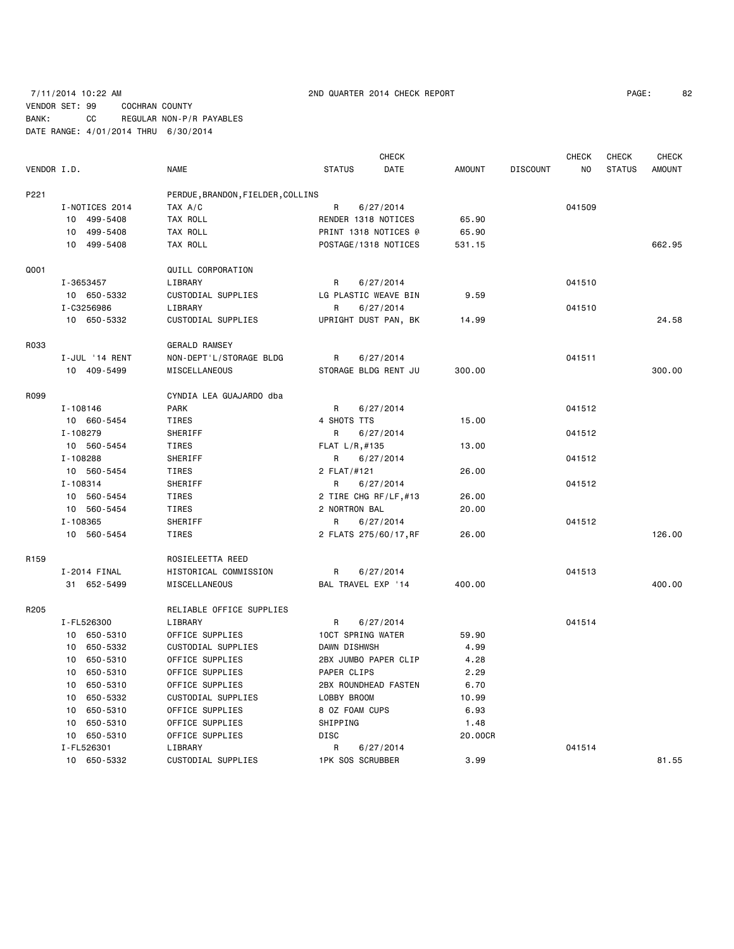# 7/11/2014 10:22 AM 2ND QUARTER 2014 CHECK REPORT PAGE: 82 VENDOR SET: 99 COCHRAN COUNTY BANK: CC REGULAR NON-P/R PAYABLES DATE RANGE: 4/01/2014 THRU 6/30/2014

|                  |                | <b>CHECK</b><br><b>CHECK</b><br>CHECK |                         |           |               |                 |        |               | CHECK         |
|------------------|----------------|---------------------------------------|-------------------------|-----------|---------------|-----------------|--------|---------------|---------------|
| VENDOR I.D.      |                | <b>NAME</b>                           | <b>STATUS</b>           | DATE      | <b>AMOUNT</b> | <b>DISCOUNT</b> | NO     | <b>STATUS</b> | <b>AMOUNT</b> |
| P221             |                | PERDUE, BRANDON, FIELDER, COLLINS     |                         |           |               |                 |        |               |               |
|                  | I-NOTICES 2014 | TAX A/C                               | R<br>6/27/2014          |           |               |                 | 041509 |               |               |
|                  | 10 499-5408    | TAX ROLL                              | RENDER 1318 NOTICES     |           | 65.90         |                 |        |               |               |
|                  | 10 499-5408    | TAX ROLL                              | PRINT 1318 NOTICES @    |           | 65.90         |                 |        |               |               |
|                  | 10 499-5408    | TAX ROLL                              | POSTAGE/1318 NOTICES    |           | 531.15        |                 |        |               | 662.95        |
| Q001             |                | QUILL CORPORATION                     |                         |           |               |                 |        |               |               |
|                  | I-3653457      | LIBRARY                               | R                       | 6/27/2014 |               |                 | 041510 |               |               |
|                  | 10 650-5332    | CUSTODIAL SUPPLIES                    | LG PLASTIC WEAVE BIN    |           | 9.59          |                 |        |               |               |
|                  | I-C3256986     | LIBRARY                               | R                       | 6/27/2014 |               |                 | 041510 |               |               |
|                  | 10 650-5332    | CUSTODIAL SUPPLIES                    | UPRIGHT DUST PAN, BK    |           | 14.99         |                 |        |               | 24.58         |
| R033             |                | <b>GERALD RAMSEY</b>                  |                         |           |               |                 |        |               |               |
|                  | I-JUL '14 RENT | NON-DEPT'L/STORAGE BLDG               | R                       | 6/27/2014 |               |                 | 041511 |               |               |
|                  | 10 409-5499    | MISCELLANEOUS                         | STORAGE BLDG RENT JU    |           | 300.00        |                 |        |               | 300,00        |
| R099             |                | CYNDIA LEA GUAJARDO dba               |                         |           |               |                 |        |               |               |
|                  | I-108146       | <b>PARK</b>                           | R                       | 6/27/2014 |               |                 | 041512 |               |               |
|                  | 10 660-5454    | TIRES                                 | 4 SHOTS TTS             |           | 15.00         |                 |        |               |               |
|                  | I-108279       | SHERIFF                               | R                       | 6/27/2014 |               |                 | 041512 |               |               |
|                  | 10 560-5454    | TIRES                                 | FLAT L/R, #135          |           | 13.00         |                 |        |               |               |
|                  | I-108288       | SHERIFF                               | R                       | 6/27/2014 |               |                 | 041512 |               |               |
|                  | 10 560-5454    | TIRES                                 | 2 FLAT/#121             |           | 26.00         |                 |        |               |               |
|                  | I-108314       | SHERIFF                               | R                       | 6/27/2014 |               |                 | 041512 |               |               |
|                  | 10 560-5454    | TIRES                                 | 2 TIRE CHG RF/LF,#13    |           | 26.00         |                 |        |               |               |
|                  | 10 560-5454    | TIRES                                 | 2 NORTRON BAL           |           | 20.00         |                 |        |               |               |
|                  | I-108365       | SHERIFF                               | R                       | 6/27/2014 |               |                 | 041512 |               |               |
|                  | 10 560-5454    | TIRES                                 | 2 FLATS 275/60/17, RF   |           | 26.00         |                 |        |               | 126,00        |
| R <sub>159</sub> |                | ROSIELEETTA REED                      |                         |           |               |                 |        |               |               |
|                  | I-2014 FINAL   | HISTORICAL COMMISSION                 | R                       | 6/27/2014 |               |                 | 041513 |               |               |
|                  | 31 652-5499    | MISCELLANEOUS                         | BAL TRAVEL EXP '14      |           | 400.00        |                 |        |               | 400.00        |
| R205             |                | RELIABLE OFFICE SUPPLIES              |                         |           |               |                 |        |               |               |
|                  | I-FL526300     | LIBRARY                               | R                       | 6/27/2014 |               |                 | 041514 |               |               |
|                  | 10 650-5310    | OFFICE SUPPLIES                       | 10CT SPRING WATER       |           | 59.90         |                 |        |               |               |
|                  | 10 650-5332    | CUSTODIAL SUPPLIES                    | DAWN DISHWSH            |           | 4.99          |                 |        |               |               |
|                  | 650-5310<br>10 | OFFICE SUPPLIES                       | 2BX JUMBO PAPER CLIP    |           | 4.28          |                 |        |               |               |
|                  | 10<br>650-5310 | OFFICE SUPPLIES                       | PAPER CLIPS             |           | 2.29          |                 |        |               |               |
|                  | 10 650-5310    | OFFICE SUPPLIES                       | 2BX ROUNDHEAD FASTEN    |           | 6.70          |                 |        |               |               |
|                  | 10 650-5332    | CUSTODIAL SUPPLIES                    | LOBBY BROOM             |           | 10.99         |                 |        |               |               |
|                  | 10 650-5310    | OFFICE SUPPLIES                       | 8 OZ FOAM CUPS          |           | 6.93          |                 |        |               |               |
|                  | 650-5310<br>10 | OFFICE SUPPLIES                       | SHIPPING                |           | 1.48          |                 |        |               |               |
|                  | 10 650-5310    | OFFICE SUPPLIES                       | DISC                    |           | 20.00CR       |                 |        |               |               |
|                  | I-FL526301     | LIBRARY                               | R                       | 6/27/2014 |               |                 | 041514 |               |               |
|                  | 10 650-5332    | CUSTODIAL SUPPLIES                    | <b>1PK SOS SCRUBBER</b> |           | 3.99          |                 |        |               | 81.55         |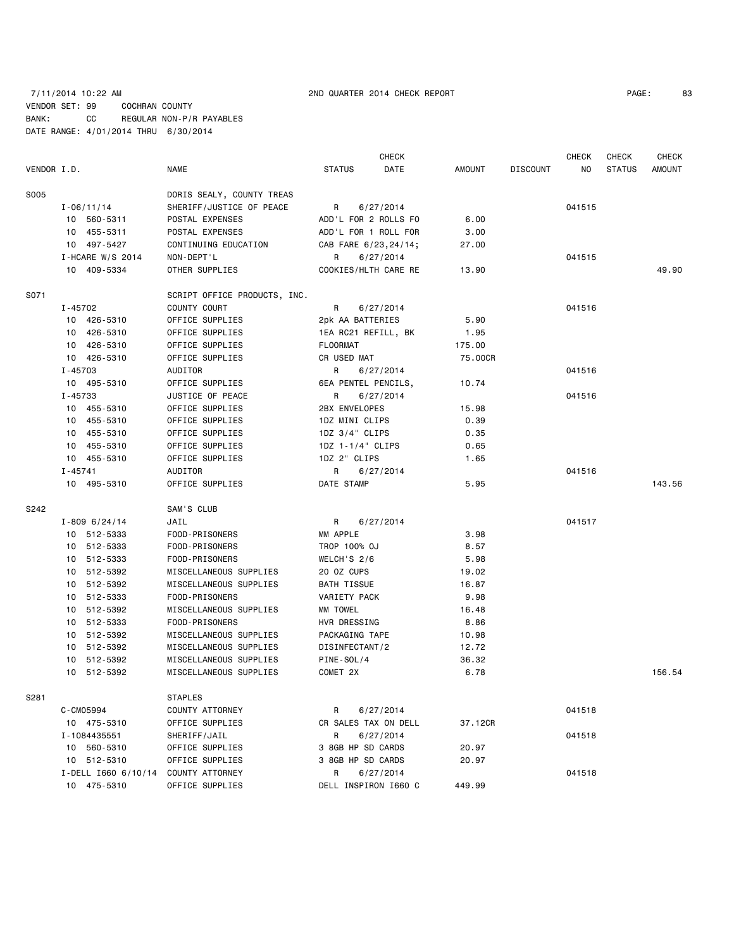|             |                     |                              |                      | <b>CHECK</b> |         |                 | <b>CHECK</b> | CHECK         | <b>CHECK</b>  |
|-------------|---------------------|------------------------------|----------------------|--------------|---------|-----------------|--------------|---------------|---------------|
| VENDOR I.D. |                     | <b>NAME</b>                  | <b>STATUS</b>        | DATE         | AMOUNT  | <b>DISCOUNT</b> | NO.          | <b>STATUS</b> | <b>AMOUNT</b> |
| S005        |                     | DORIS SEALY, COUNTY TREAS    |                      |              |         |                 |              |               |               |
|             | $I - 06/11/14$      | SHERIFF/JUSTICE OF PEACE     | R                    | 6/27/2014    |         |                 | 041515       |               |               |
|             | 10 560-5311         | POSTAL EXPENSES              | ADD'L FOR 2 ROLLS FO |              | 6.00    |                 |              |               |               |
|             | 10 455-5311         | POSTAL EXPENSES              | ADD'L FOR 1 ROLL FOR |              | 3.00    |                 |              |               |               |
|             | 10 497-5427         | CONTINUING EDUCATION         | CAB FARE 6/23,24/14; |              | 27.00   |                 |              |               |               |
|             | $I$ -HCARE W/S 2014 | NON-DEPT'L                   | R                    | 6/27/2014    |         |                 | 041515       |               |               |
|             | 10 409-5334         | OTHER SUPPLIES               | COOKIES/HLTH CARE RE |              | 13.90   |                 |              |               | 49.90         |
| S071        |                     | SCRIPT OFFICE PRODUCTS, INC. |                      |              |         |                 |              |               |               |
|             | I-45702             | COUNTY COURT                 | R                    | 6/27/2014    |         |                 | 041516       |               |               |
|             | 10 426-5310         | OFFICE SUPPLIES              | 2pk AA BATTERIES     |              | 5.90    |                 |              |               |               |
|             | 10 426-5310         | OFFICE SUPPLIES              | 1EA RC21 REFILL, BK  |              | 1.95    |                 |              |               |               |
|             | 10 426-5310         | OFFICE SUPPLIES              | <b>FLOORMAT</b>      |              | 175.00  |                 |              |               |               |
|             | 10 426-5310         | OFFICE SUPPLIES              | CR USED MAT          |              | 75.00CR |                 |              |               |               |
|             | I-45703             | AUDITOR                      | R                    | 6/27/2014    |         |                 | 041516       |               |               |
|             | 10 495-5310         | OFFICE SUPPLIES              | 6EA PENTEL PENCILS,  |              | 10.74   |                 |              |               |               |
|             | I-45733             | JUSTICE OF PEACE             | R                    | 6/27/2014    |         |                 | 041516       |               |               |
|             | 10 455-5310         | OFFICE SUPPLIES              | 2BX ENVELOPES        |              | 15.98   |                 |              |               |               |
|             | 10 455-5310         | OFFICE SUPPLIES              | 1DZ MINI CLIPS       |              | 0.39    |                 |              |               |               |
|             | 10 455-5310         | OFFICE SUPPLIES              | $1DZ$ $3/4$ " CLIPS  |              | 0.35    |                 |              |               |               |
|             | 10 455-5310         | OFFICE SUPPLIES              | 1DZ 1-1/4" CLIPS     |              | 0.65    |                 |              |               |               |
|             | 10 455-5310         | OFFICE SUPPLIES              | 1DZ 2" CLIPS         |              | 1.65    |                 |              |               |               |
|             | I-45741             | AUDITOR                      | R                    | 6/27/2014    |         |                 | 041516       |               |               |
|             | 10 495-5310         | OFFICE SUPPLIES              | DATE STAMP           |              | 5.95    |                 |              |               | 143.56        |
| S242        |                     | SAM'S CLUB                   |                      |              |         |                 |              |               |               |
|             | $I - 8096/24/14$    | JAIL                         | R                    | 6/27/2014    |         |                 | 041517       |               |               |
|             | 10 512-5333         | FOOD-PRISONERS               | MM APPLE             |              | 3.98    |                 |              |               |               |
|             | 10 512-5333         | FOOD-PRISONERS               | TROP 100% OJ         |              | 8.57    |                 |              |               |               |
|             | 10 512-5333         | FOOD-PRISONERS               | WELCH'S 2/6          |              | 5.98    |                 |              |               |               |
|             | 10 512-5392         | MISCELLANEOUS SUPPLIES       | 20 OZ CUPS           |              | 19.02   |                 |              |               |               |
|             | 10 512-5392         | MISCELLANEOUS SUPPLIES       | BATH TISSUE          |              | 16.87   |                 |              |               |               |
|             | 10 512-5333         | FOOD-PRISONERS               | VARIETY PACK         |              | 9.98    |                 |              |               |               |
|             | 10 512-5392         | MISCELLANEOUS SUPPLIES       | MM TOWEL             |              | 16.48   |                 |              |               |               |
|             | 10 512-5333         | FOOD-PRISONERS               | HVR DRESSING         |              | 8.86    |                 |              |               |               |
|             | 10 512-5392         | MISCELLANEOUS SUPPLIES       | PACKAGING TAPE       |              | 10.98   |                 |              |               |               |
|             | 10 512-5392         | MISCELLANEOUS SUPPLIES       | DISINFECTANT/2       |              | 12.72   |                 |              |               |               |
|             | 10 512-5392         | MISCELLANEOUS SUPPLIES       | PINE-SOL/4           |              | 36.32   |                 |              |               |               |
|             | 10 512-5392         | MISCELLANEOUS SUPPLIES       | COMET 2X             |              | 6.78    |                 |              |               | 156.54        |
| S281        |                     | <b>STAPLES</b>               |                      |              |         |                 |              |               |               |
|             | C-CM05994           | COUNTY ATTORNEY              | R                    | 6/27/2014    |         |                 | 041518       |               |               |
|             | 10 475-5310         | OFFICE SUPPLIES              | CR SALES TAX ON DELL |              | 37.12CR |                 |              |               |               |
|             | I-1084435551        | SHERIFF/JAIL                 | R                    | 6/27/2014    |         |                 | 041518       |               |               |
|             | 10 560-5310         | OFFICE SUPPLIES              | 3 8GB HP SD CARDS    |              | 20.97   |                 |              |               |               |
|             | 10 512-5310         | OFFICE SUPPLIES              | 3 8GB HP SD CARDS    |              | 20.97   |                 |              |               |               |
|             | I-DELL 1660 6/10/14 | COUNTY ATTORNEY              | R                    | 6/27/2014    |         |                 | 041518       |               |               |
|             | 10 475-5310         | OFFICE SUPPLIES              | DELL INSPIRON 1660 C |              | 449.99  |                 |              |               |               |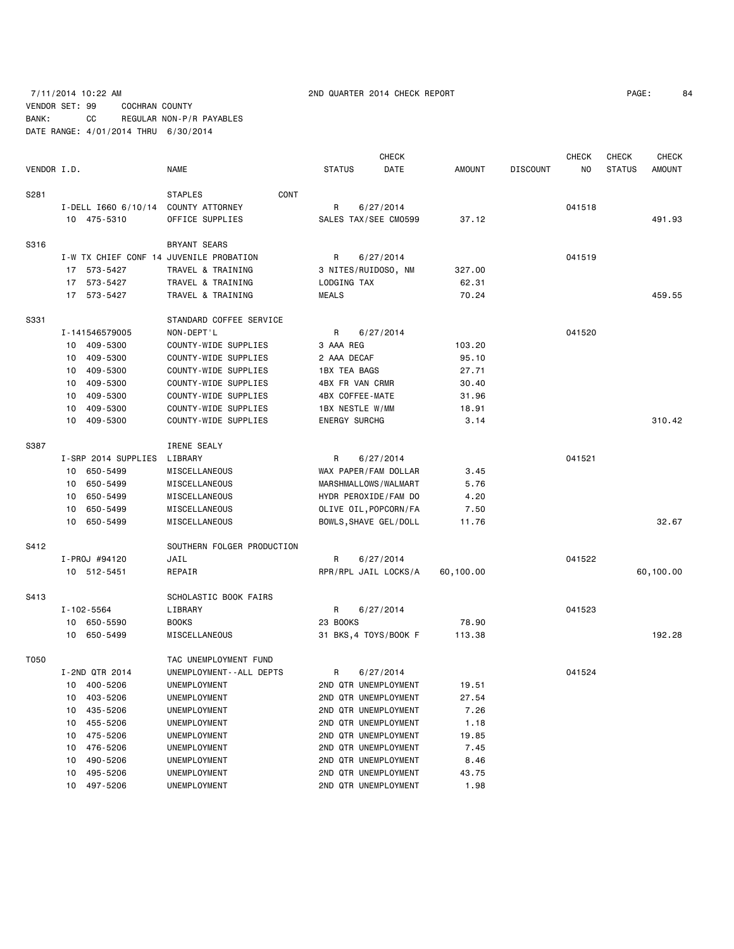# 7/11/2014 10:22 AM 2ND QUARTER 2014 CHECK REPORT PAGE: 84 VENDOR SET: 99 COCHRAN COUNTY BANK: CC REGULAR NON-P/R PAYABLES DATE RANGE: 4/01/2014 THRU 6/30/2014

|             |                     |                                         |                       | <b>CHECK</b> |           |                 | <b>CHECK</b> | CHECK         | <b>CHECK</b>  |
|-------------|---------------------|-----------------------------------------|-----------------------|--------------|-----------|-----------------|--------------|---------------|---------------|
| VENDOR I.D. |                     | NAME                                    | <b>STATUS</b>         | DATE         | AMOUNT    | <b>DISCOUNT</b> | NO           | <b>STATUS</b> | <b>AMOUNT</b> |
| S281        |                     | CONT<br><b>STAPLES</b>                  |                       |              |           |                 |              |               |               |
|             |                     | I-DELL I660 6/10/14 COUNTY ATTORNEY     | R                     | 6/27/2014    |           |                 | 041518       |               |               |
|             | 10 475-5310         | OFFICE SUPPLIES                         | SALES TAX/SEE CM0599  |              | 37.12     |                 |              |               | 491.93        |
|             |                     |                                         |                       |              |           |                 |              |               |               |
| S316        |                     | BRYANT SEARS                            |                       |              |           |                 |              |               |               |
|             |                     | I-W TX CHIEF CONF 14 JUVENILE PROBATION | R                     | 6/27/2014    |           |                 | 041519       |               |               |
|             | 17 573-5427         | TRAVEL & TRAINING                       | 3 NITES/RUIDOSO, NM   |              | 327.00    |                 |              |               |               |
|             | 17 573-5427         | TRAVEL & TRAINING                       | LODGING TAX           |              | 62.31     |                 |              |               |               |
|             | 17 573-5427         | TRAVEL & TRAINING                       | <b>MEALS</b>          |              | 70.24     |                 |              |               | 459.55        |
| S331        |                     | STANDARD COFFEE SERVICE                 |                       |              |           |                 |              |               |               |
|             | I-141546579005      | NON-DEPT'L                              | R                     | 6/27/2014    |           |                 | 041520       |               |               |
|             | 409-5300<br>10      | COUNTY-WIDE SUPPLIES                    | 3 AAA REG             |              | 103.20    |                 |              |               |               |
|             | 409-5300<br>10      | COUNTY-WIDE SUPPLIES                    | 2 AAA DECAF           |              | 95.10     |                 |              |               |               |
|             | 409-5300<br>10      | COUNTY-WIDE SUPPLIES                    | <b>1BX TEA BAGS</b>   |              | 27.71     |                 |              |               |               |
|             | 409-5300<br>10      | COUNTY-WIDE SUPPLIES                    | 4BX FR VAN CRMR       |              | 30.40     |                 |              |               |               |
|             | 409-5300<br>10      | COUNTY-WIDE SUPPLIES                    | 4BX COFFEE-MATE       |              | 31.96     |                 |              |               |               |
|             | 409-5300<br>10      | COUNTY-WIDE SUPPLIES                    | 1BX NESTLE W/MM       |              | 18.91     |                 |              |               |               |
|             | 10 409-5300         | COUNTY-WIDE SUPPLIES                    | <b>ENERGY SURCHG</b>  |              | 3.14      |                 |              |               | 310.42        |
| S387        |                     | IRENE SEALY                             |                       |              |           |                 |              |               |               |
|             | I-SRP 2014 SUPPLIES | LIBRARY                                 | R                     | 6/27/2014    |           |                 | 041521       |               |               |
|             | 650-5499<br>10      | MISCELLANEOUS                           | WAX PAPER/FAM DOLLAR  |              | 3.45      |                 |              |               |               |
|             | 10 650-5499         | MISCELLANEOUS                           | MARSHMALLOWS/WALMART  |              | 5.76      |                 |              |               |               |
|             | 650-5499<br>10      | MISCELLANEOUS                           | HYDR PEROXIDE/FAM DO  |              | 4.20      |                 |              |               |               |
|             | 650-5499<br>10      | MISCELLANEOUS                           | OLIVE OIL, POPCORN/FA |              | 7.50      |                 |              |               |               |
|             | 10 650-5499         | MISCELLANEOUS                           | BOWLS, SHAVE GEL/DOLL |              | 11.76     |                 |              |               | 32.67         |
|             |                     |                                         |                       |              |           |                 |              |               |               |
| S412        |                     | SOUTHERN FOLGER PRODUCTION              |                       |              |           |                 |              |               |               |
|             | I-PROJ #94120       | JAIL                                    | R                     | 6/27/2014    |           |                 | 041522       |               |               |
|             | 10 512-5451         | REPAIR                                  | RPR/RPL JAIL LOCKS/A  |              | 60,100.00 |                 |              |               | 60,100.00     |
| S413        |                     | SCHOLASTIC BOOK FAIRS                   |                       |              |           |                 |              |               |               |
|             | I-102-5564          | LIBRARY                                 | R.                    | 6/27/2014    |           |                 | 041523       |               |               |
|             | 10 650-5590         | <b>BOOKS</b>                            | 23 BOOKS              |              | 78.90     |                 |              |               |               |
|             | 10 650-5499         | MISCELLANEOUS                           | 31 BKS, 4 TOYS/BOOK F |              | 113.38    |                 |              |               | 192.28        |
| T050        |                     | TAC UNEMPLOYMENT FUND                   |                       |              |           |                 |              |               |               |
|             | I-2ND QTR 2014      | UNEMPLOYMENT - - ALL DEPTS              | R                     | 6/27/2014    |           |                 | 041524       |               |               |
|             | 10 400-5206         | UNEMPLOYMENT                            | 2ND QTR UNEMPLOYMENT  |              | 19.51     |                 |              |               |               |
|             | 403-5206<br>10      | UNEMPLOYMENT                            | 2ND QTR UNEMPLOYMENT  |              | 27.54     |                 |              |               |               |
|             | 435-5206<br>10      | UNEMPLOYMENT                            | 2ND QTR UNEMPLOYMENT  |              | 7.26      |                 |              |               |               |
|             | 455-5206<br>10      | UNEMPLOYMENT                            | 2ND QTR UNEMPLOYMENT  |              | 1.18      |                 |              |               |               |
|             | 475-5206<br>10      | UNEMPLOYMENT                            | 2ND QTR UNEMPLOYMENT  |              | 19.85     |                 |              |               |               |
|             | 476-5206<br>10      | UNEMPLOYMENT                            | 2ND QTR UNEMPLOYMENT  |              | 7.45      |                 |              |               |               |
|             | 490-5206<br>10      | UNEMPLOYMENT                            | 2ND QTR UNEMPLOYMENT  |              | 8.46      |                 |              |               |               |
|             | 495-5206<br>10      | UNEMPLOYMENT                            | 2ND QTR UNEMPLOYMENT  |              | 43.75     |                 |              |               |               |
|             | 497-5206<br>10      | UNEMPLOYMENT                            | 2ND QTR UNEMPLOYMENT  |              | 1.98      |                 |              |               |               |
|             |                     |                                         |                       |              |           |                 |              |               |               |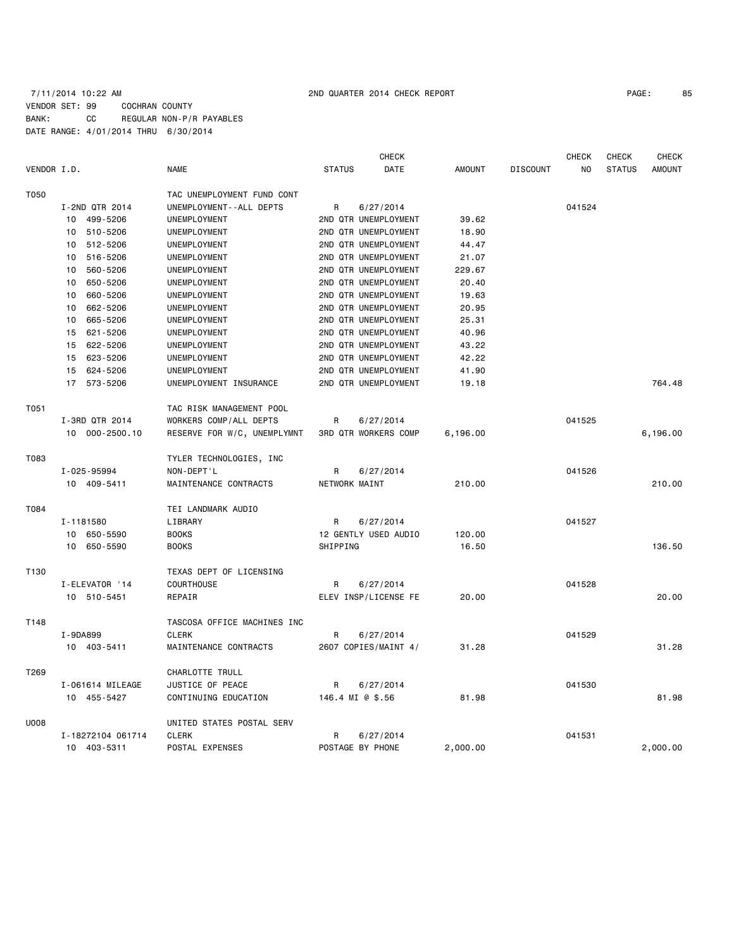# 7/11/2014 10:22 AM 2ND QUARTER 2014 CHECK REPORT PAGE: 85 VENDOR SET: 99 COCHRAN COUNTY BANK: CC REGULAR NON-P/R PAYABLES DATE RANGE: 4/01/2014 THRU 6/30/2014

|             |                   |                             | <b>CHECK</b>                |               |                 | <b>CHECK</b> | <b>CHECK</b>  | <b>CHECK</b>  |
|-------------|-------------------|-----------------------------|-----------------------------|---------------|-----------------|--------------|---------------|---------------|
| VENDOR I.D. |                   | <b>NAME</b>                 | DATE<br><b>STATUS</b>       | <b>AMOUNT</b> | <b>DISCOUNT</b> | NO           | <b>STATUS</b> | <b>AMOUNT</b> |
| T050        |                   | TAC UNEMPLOYMENT FUND CONT  |                             |               |                 |              |               |               |
|             | I-2ND QTR 2014    | UNEMPLOYMENT--ALL DEPTS     | R<br>6/27/2014              |               |                 | 041524       |               |               |
|             | 499-5206<br>10    | UNEMPLOYMENT                | 2ND QTR UNEMPLOYMENT        | 39.62         |                 |              |               |               |
|             | 510-5206<br>10    | UNEMPLOYMENT                | 2ND QTR UNEMPLOYMENT        | 18.90         |                 |              |               |               |
|             | 512-5206<br>10    | UNEMPLOYMENT                | 2ND QTR UNEMPLOYMENT        | 44.47         |                 |              |               |               |
|             | 516-5206<br>10    | UNEMPLOYMENT                | 2ND QTR UNEMPLOYMENT        | 21.07         |                 |              |               |               |
|             | 560-5206<br>10    | UNEMPLOYMENT                | 2ND QTR UNEMPLOYMENT        | 229.67        |                 |              |               |               |
|             | 650-5206<br>10    | UNEMPLOYMENT                | 2ND QTR UNEMPLOYMENT        | 20.40         |                 |              |               |               |
|             | 660-5206<br>10    | UNEMPLOYMENT                | 2ND QTR UNEMPLOYMENT        | 19.63         |                 |              |               |               |
|             | 662-5206<br>10    | UNEMPLOYMENT                | 2ND QTR UNEMPLOYMENT        | 20.95         |                 |              |               |               |
|             | 665-5206<br>10    | UNEMPLOYMENT                | 2ND QTR UNEMPLOYMENT        | 25.31         |                 |              |               |               |
|             | 621-5206<br>15    | UNEMPLOYMENT                | 2ND QTR UNEMPLOYMENT        | 40.96         |                 |              |               |               |
|             | 15<br>622-5206    | UNEMPLOYMENT                | 2ND QTR UNEMPLOYMENT        | 43.22         |                 |              |               |               |
|             | 15 623-5206       | UNEMPLOYMENT                | 2ND QTR UNEMPLOYMENT        | 42.22         |                 |              |               |               |
|             | 15 624-5206       | UNEMPLOYMENT                | 2ND QTR UNEMPLOYMENT        | 41.90         |                 |              |               |               |
|             | 17 573-5206       | UNEMPLOYMENT INSURANCE      | 2ND QTR UNEMPLOYMENT        | 19.18         |                 |              |               | 764.48        |
| T051        |                   | TAC RISK MANAGEMENT POOL    |                             |               |                 |              |               |               |
|             | I-3RD QTR 2014    | WORKERS COMP/ALL DEPTS      | R<br>6/27/2014              |               |                 | 041525       |               |               |
|             | 10 000-2500.10    | RESERVE FOR W/C, UNEMPLYMNT | <b>3RD QTR WORKERS COMP</b> | 6,196.00      |                 |              |               | 6,196.00      |
| T083        |                   | TYLER TECHNOLOGIES, INC     |                             |               |                 |              |               |               |
|             | I-025-95994       | NON-DEPT'L                  | R<br>6/27/2014              |               |                 | 041526       |               |               |
|             | 10 409-5411       | MAINTENANCE CONTRACTS       | NETWORK MAINT               | 210.00        |                 |              |               | 210.00        |
| T084        |                   | TEI LANDMARK AUDIO          |                             |               |                 |              |               |               |
|             | I-1181580         | LIBRARY                     | R<br>6/27/2014              |               |                 | 041527       |               |               |
|             | 10 650-5590       | <b>BOOKS</b>                | 12 GENTLY USED AUDIO        | 120.00        |                 |              |               |               |
|             | 10 650-5590       | <b>BOOKS</b>                | SHIPPING                    | 16.50         |                 |              |               | 136.50        |
| T130        |                   | TEXAS DEPT OF LICENSING     |                             |               |                 |              |               |               |
|             | I-ELEVATOR '14    | <b>COURTHOUSE</b>           | R<br>6/27/2014              |               |                 | 041528       |               |               |
|             | 10 510-5451       | REPAIR                      | ELEV INSP/LICENSE FE        | 20.00         |                 |              |               | 20.00         |
| T148        |                   | TASCOSA OFFICE MACHINES INC |                             |               |                 |              |               |               |
|             | I-9DA899          | <b>CLERK</b>                | R<br>6/27/2014              |               |                 | 041529       |               |               |
|             | 10 403-5411       | MAINTENANCE CONTRACTS       | 2607 COPIES/MAINT 4/        | 31.28         |                 |              |               | 31.28         |
| T269        |                   | CHARLOTTE TRULL             |                             |               |                 |              |               |               |
|             | I-061614 MILEAGE  | JUSTICE OF PEACE            | 6/27/2014<br>R              |               |                 | 041530       |               |               |
|             | 10 455-5427       | CONTINUING EDUCATION        | 146.4 MI @ \$.56            | 81.98         |                 |              |               | 81.98         |
| <b>U008</b> |                   | UNITED STATES POSTAL SERV   |                             |               |                 |              |               |               |
|             | I-18272104 061714 | <b>CLERK</b>                | R<br>6/27/2014              |               |                 | 041531       |               |               |
|             | 10 403-5311       | POSTAL EXPENSES             | POSTAGE BY PHONE            | 2,000.00      |                 |              |               | 2,000.00      |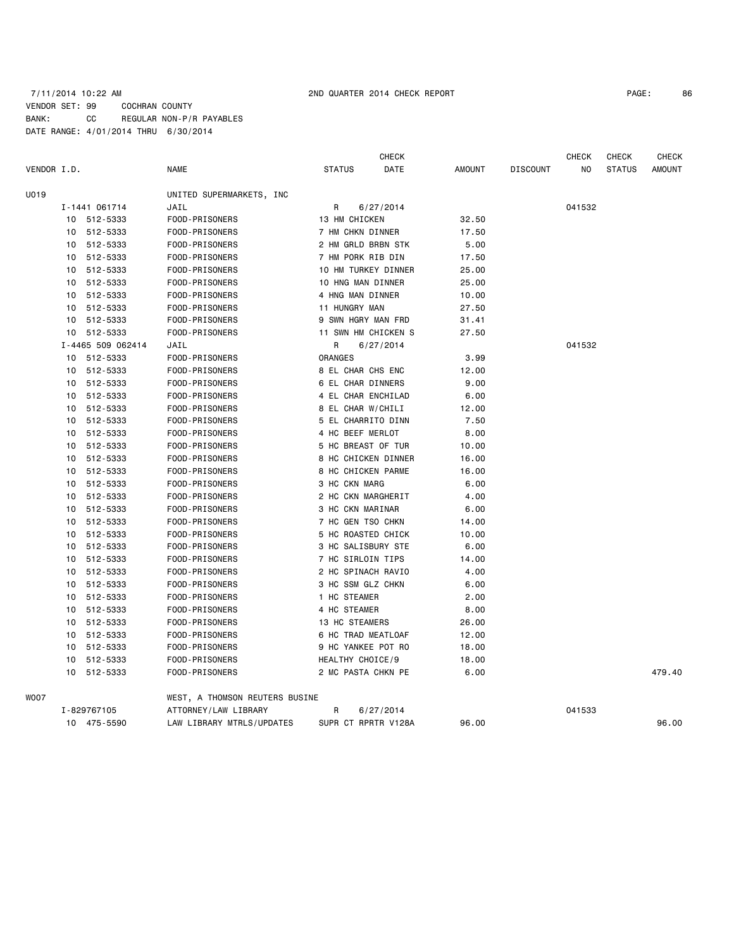# 7/11/2014 10:22 AM 2ND QUARTER 2014 CHECK REPORT PAGE: 86 VENDOR SET: 99 COCHRAN COUNTY BANK: CC REGULAR NON-P/R PAYABLES DATE RANGE: 4/01/2014 THRU 6/30/2014

|             |    |                   |                                |                     | <b>CHECK</b> |               |                 | CHECK  | <b>CHECK</b>  | <b>CHECK</b>  |
|-------------|----|-------------------|--------------------------------|---------------------|--------------|---------------|-----------------|--------|---------------|---------------|
| VENDOR I.D. |    |                   | <b>NAME</b>                    | <b>STATUS</b>       | DATE         | <b>AMOUNT</b> | <b>DISCOUNT</b> | NO     | <b>STATUS</b> | <b>AMOUNT</b> |
| U019        |    |                   | UNITED SUPERMARKETS, INC       |                     |              |               |                 |        |               |               |
|             |    | I-1441 061714     | JAIL                           | R                   | 6/27/2014    |               |                 | 041532 |               |               |
|             |    | 10 512-5333       | FOOD-PRISONERS                 | 13 HM CHICKEN       |              | 32.50         |                 |        |               |               |
|             |    | 10 512-5333       | FOOD-PRISONERS                 | 7 HM CHKN DINNER    |              | 17.50         |                 |        |               |               |
|             |    | 10 512-5333       | FOOD-PRISONERS                 | 2 HM GRLD BRBN STK  |              | 5.00          |                 |        |               |               |
|             |    | 10 512-5333       | FOOD-PRISONERS                 | 7 HM PORK RIB DIN   |              | 17.50         |                 |        |               |               |
|             |    | 10 512-5333       | FOOD-PRISONERS                 | 10 HM TURKEY DINNER |              | 25.00         |                 |        |               |               |
|             | 10 | 512-5333          | FOOD-PRISONERS                 | 10 HNG MAN DINNER   |              | 25.00         |                 |        |               |               |
|             |    | 10 512-5333       | FOOD-PRISONERS                 | 4 HNG MAN DINNER    |              | 10.00         |                 |        |               |               |
|             |    | 10 512-5333       | FOOD-PRISONERS                 | 11 HUNGRY MAN       |              | 27.50         |                 |        |               |               |
|             |    | 10 512-5333       | FOOD-PRISONERS                 | 9 SWN HGRY MAN FRD  |              | 31.41         |                 |        |               |               |
|             |    | 10 512-5333       | FOOD-PRISONERS                 | 11 SWN HM CHICKEN S |              | 27.50         |                 |        |               |               |
|             |    | I-4465 509 062414 | JAIL                           | R                   | 6/27/2014    |               |                 | 041532 |               |               |
|             |    | 10 512-5333       | FOOD-PRISONERS                 | ORANGES             |              | 3.99          |                 |        |               |               |
|             | 10 | 512-5333          | FOOD-PRISONERS                 | 8 EL CHAR CHS ENC   |              | 12.00         |                 |        |               |               |
|             |    | 10 512-5333       | FOOD-PRISONERS                 | 6 EL CHAR DINNERS   |              | 9.00          |                 |        |               |               |
|             | 10 | 512-5333          | FOOD-PRISONERS                 | 4 EL CHAR ENCHILAD  |              | 6.00          |                 |        |               |               |
|             |    | 10 512-5333       | FOOD-PRISONERS                 | 8 EL CHAR W/CHILI   |              | 12.00         |                 |        |               |               |
|             | 10 | 512-5333          | FOOD-PRISONERS                 | 5 EL CHARRITO DINN  |              | 7.50          |                 |        |               |               |
|             |    | 10 512-5333       | FOOD-PRISONERS                 | 4 HC BEEF MERLOT    |              | 8.00          |                 |        |               |               |
|             | 10 | 512-5333          | FOOD-PRISONERS                 | 5 HC BREAST OF TUR  |              | 10.00         |                 |        |               |               |
|             |    | 10 512-5333       | FOOD-PRISONERS                 | 8 HC CHICKEN DINNER |              | 16.00         |                 |        |               |               |
|             | 10 | 512-5333          | FOOD-PRISONERS                 | 8 HC CHICKEN PARME  |              | 16.00         |                 |        |               |               |
|             | 10 | 512-5333          | FOOD-PRISONERS                 | 3 HC CKN MARG       |              | 6.00          |                 |        |               |               |
|             | 10 | 512-5333          | FOOD-PRISONERS                 | 2 HC CKN MARGHERIT  |              | 4.00          |                 |        |               |               |
|             |    | 10 512-5333       | FOOD-PRISONERS                 | 3 HC CKN MARINAR    |              | 6.00          |                 |        |               |               |
|             | 10 | 512-5333          | FOOD-PRISONERS                 | 7 HC GEN TSO CHKN   |              | 14.00         |                 |        |               |               |
|             | 10 | 512-5333          | FOOD-PRISONERS                 | 5 HC ROASTED CHICK  |              | 10.00         |                 |        |               |               |
|             | 10 | 512-5333          | FOOD-PRISONERS                 | 3 HC SALISBURY STE  |              | 6.00          |                 |        |               |               |
|             |    | 10 512-5333       | FOOD-PRISONERS                 | 7 HC SIRLOIN TIPS   |              | 14.00         |                 |        |               |               |
|             | 10 | 512-5333          | FOOD-PRISONERS                 | 2 HC SPINACH RAVIO  |              | 4.00          |                 |        |               |               |
|             | 10 | 512-5333          | FOOD-PRISONERS                 | 3 HC SSM GLZ CHKN   |              | 6.00          |                 |        |               |               |
|             | 10 | 512-5333          | FOOD-PRISONERS                 | 1 HC STEAMER        |              | 2.00          |                 |        |               |               |
|             | 10 | 512-5333          | FOOD-PRISONERS                 | 4 HC STEAMER        |              | 8.00          |                 |        |               |               |
|             | 10 | 512-5333          | FOOD-PRISONERS                 | 13 HC STEAMERS      |              | 26.00         |                 |        |               |               |
|             |    | 10 512-5333       | FOOD-PRISONERS                 | 6 HC TRAD MEATLOAF  |              | 12.00         |                 |        |               |               |
|             | 10 | 512-5333          | FOOD-PRISONERS                 | 9 HC YANKEE POT RO  |              | 18.00         |                 |        |               |               |
|             |    | 10 512-5333       | FOOD-PRISONERS                 | HEALTHY CHOICE/9    |              | 18.00         |                 |        |               |               |
|             |    | 10 512-5333       | FOOD-PRISONERS                 | 2 MC PASTA CHKN PE  |              | 6.00          |                 |        |               | 479.40        |
| WO07        |    |                   | WEST, A THOMSON REUTERS BUSINE |                     |              |               |                 |        |               |               |
|             |    | I-829767105       | ATTORNEY/LAW LIBRARY           | R                   | 6/27/2014    |               |                 | 041533 |               |               |
|             |    | 10 475-5590       | LAW LIBRARY MTRLS/UPDATES      | SUPR CT RPRTR V128A |              | 96.00         |                 |        |               | 96.00         |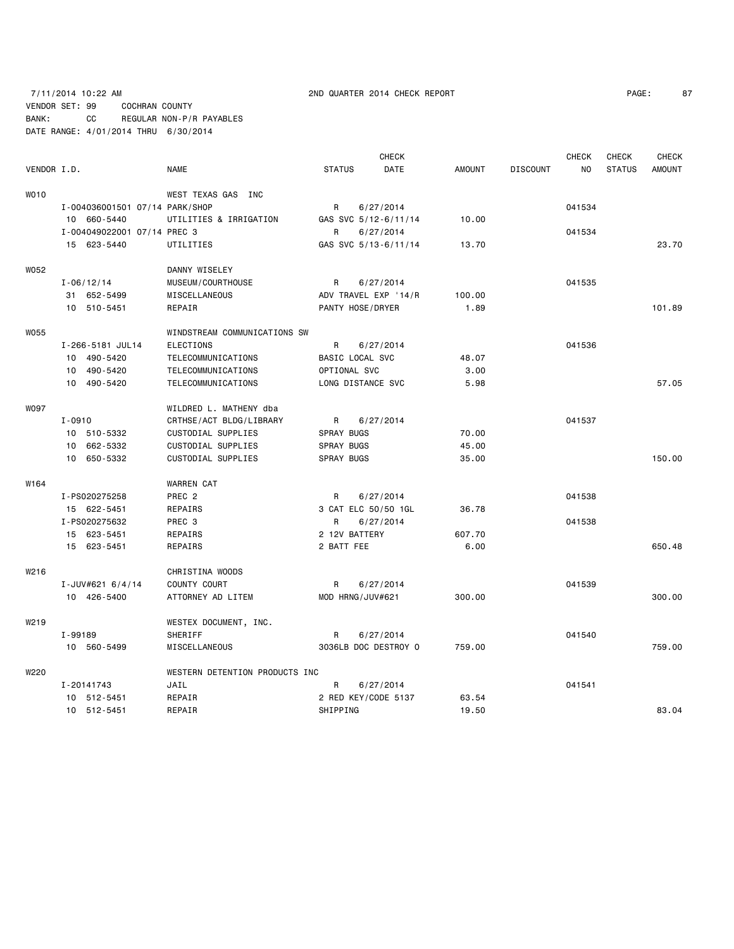|                  |                |                                |                                |                   | <b>CHECK</b>         |               |                 | <b>CHECK</b>   | <b>CHECK</b>  | <b>CHECK</b>  |
|------------------|----------------|--------------------------------|--------------------------------|-------------------|----------------------|---------------|-----------------|----------------|---------------|---------------|
| VENDOR I.D.      |                |                                | <b>NAME</b>                    | <b>STATUS</b>     | DATE                 | <b>AMOUNT</b> | <b>DISCOUNT</b> | N <sub>O</sub> | <b>STATUS</b> | <b>AMOUNT</b> |
| WO10             |                |                                | WEST TEXAS GAS INC             |                   |                      |               |                 |                |               |               |
|                  |                | I-004036001501 07/14 PARK/SHOP |                                | R                 | 6/27/2014            |               |                 | 041534         |               |               |
|                  |                | 10 660-5440                    | UTILITIES & IRRIGATION         |                   | GAS SVC 5/12-6/11/14 | 10.00         |                 |                |               |               |
|                  |                | I-004049022001 07/14 PREC 3    |                                | R                 | 6/27/2014            |               |                 | 041534         |               |               |
|                  |                | 15 623-5440                    | UTILITIES                      |                   | GAS SVC 5/13-6/11/14 | 13.70         |                 |                |               | 23.70         |
| W052             |                |                                | DANNY WISELEY                  |                   |                      |               |                 |                |               |               |
|                  | $I - 06/12/14$ |                                | MUSEUM / COURTHOUSE            | R                 | 6/27/2014            |               |                 | 041535         |               |               |
|                  |                | 31 652-5499                    | MISCELLANEOUS                  |                   | ADV TRAVEL EXP '14/R | 100.00        |                 |                |               |               |
|                  |                | 10 510-5451                    | REPAIR                         | PANTY HOSE/DRYER  |                      | 1.89          |                 |                |               | 101.89        |
| W055             |                |                                | WINDSTREAM COMMUNICATIONS SW   |                   |                      |               |                 |                |               |               |
|                  |                | I-266-5181 JUL14               | <b>ELECTIONS</b>               | R                 | 6/27/2014            |               |                 | 041536         |               |               |
|                  |                | 10 490-5420                    | TELECOMMUNICATIONS             | BASIC LOCAL SVC   |                      | 48.07         |                 |                |               |               |
|                  |                | 10 490-5420                    | TELECOMMUNICATIONS             | OPTIONAL SVC      |                      | 3.00          |                 |                |               |               |
|                  |                | 10 490-5420                    | TELECOMMUNICATIONS             | LONG DISTANCE SVC |                      | 5.98          |                 |                |               | 57.05         |
| W097             |                |                                | WILDRED L. MATHENY dba         |                   |                      |               |                 |                |               |               |
|                  | $I - 0910$     |                                | CRTHSE/ACT BLDG/LIBRARY        | R                 | 6/27/2014            |               |                 | 041537         |               |               |
|                  |                | 10 510-5332                    | CUSTODIAL SUPPLIES             | <b>SPRAY BUGS</b> |                      | 70.00         |                 |                |               |               |
|                  |                | 10 662-5332                    | CUSTODIAL SUPPLIES             | SPRAY BUGS        |                      | 45.00         |                 |                |               |               |
|                  |                | 10 650-5332                    | CUSTODIAL SUPPLIES             | <b>SPRAY BUGS</b> |                      | 35.00         |                 |                |               | 150.00        |
| W164             |                |                                | <b>WARREN CAT</b>              |                   |                      |               |                 |                |               |               |
|                  |                | I-PS020275258                  | PREC <sub>2</sub>              | R                 | 6/27/2014            |               |                 | 041538         |               |               |
|                  |                | 15 622-5451                    | REPAIRS                        |                   | 3 CAT ELC 50/50 1GL  | 36.78         |                 |                |               |               |
|                  |                | I-PS020275632                  | PREC 3                         | R                 | 6/27/2014            |               |                 | 041538         |               |               |
|                  |                | 15 623-5451                    | REPAIRS                        | 2 12V BATTERY     |                      | 607.70        |                 |                |               |               |
|                  |                | 15 623-5451                    | REPAIRS                        | 2 BATT FEE        |                      | 6.00          |                 |                |               | 650.48        |
| W216             |                |                                | CHRISTINA WOODS                |                   |                      |               |                 |                |               |               |
|                  |                | I-JUV#621 6/4/14               | COUNTY COURT                   | R                 | 6/27/2014            |               |                 | 041539         |               |               |
|                  |                | 10 426-5400                    | ATTORNEY AD LITEM              | MOD HRNG/JUV#621  |                      | 300.00        |                 |                |               | 300.00        |
| W <sub>219</sub> |                |                                | WESTEX DOCUMENT, INC.          |                   |                      |               |                 |                |               |               |
|                  | I-99189        |                                | SHERIFF                        | R                 | 6/27/2014            |               |                 | 041540         |               |               |
|                  |                | 10 560-5499                    | MISCELLANEOUS                  |                   | 3036LB DOC DESTROY O | 759.00        |                 |                |               | 759.00        |
| W220             |                |                                | WESTERN DETENTION PRODUCTS INC |                   |                      |               |                 |                |               |               |
|                  | I-20141743     |                                | JAIL                           | R                 | 6/27/2014            |               |                 | 041541         |               |               |
|                  |                | 10 512-5451                    | REPAIR                         |                   | 2 RED KEY/CODE 5137  | 63.54         |                 |                |               |               |
|                  |                | 10 512-5451                    | REPAIR                         | SHIPPING          |                      | 19.50         |                 |                |               | 83.04         |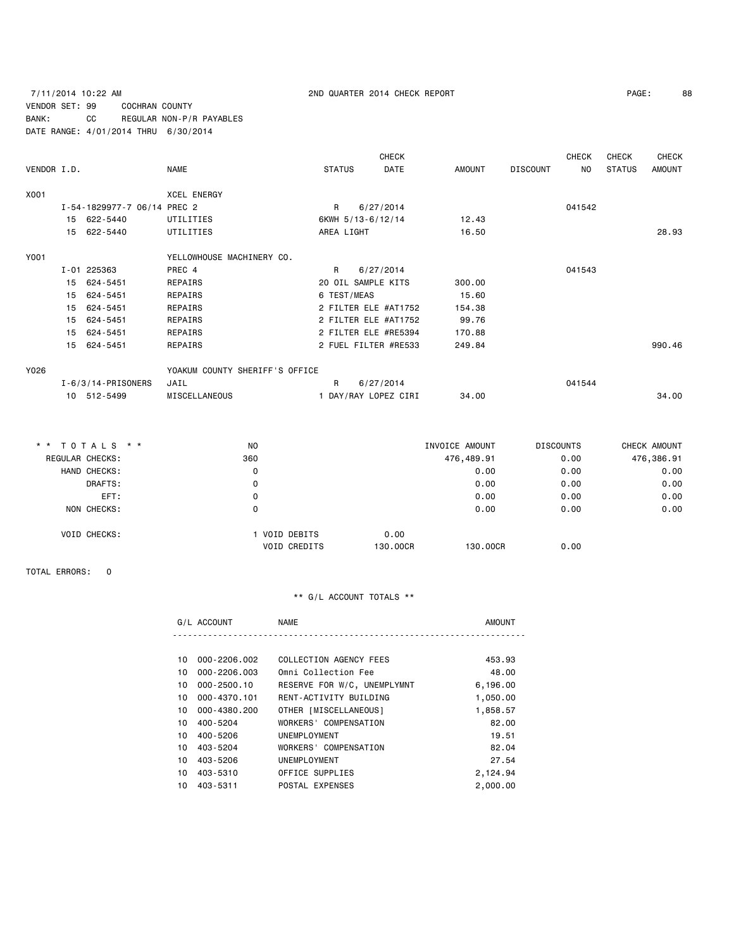# 7/11/2014 10:22 AM 2ND QUARTER 2014 CHECK REPORT PAGE: 88 VENDOR SET: 99 COCHRAN COUNTY BANK: CC REGULAR NON-P/R PAYABLES DATE RANGE: 4/01/2014 THRU 6/30/2014

|             |    |                             |                                |                    |           | <b>CHECK</b>         |        |                 | CHECK     | <b>CHECK</b>  | <b>CHECK</b>  |
|-------------|----|-----------------------------|--------------------------------|--------------------|-----------|----------------------|--------|-----------------|-----------|---------------|---------------|
| VENDOR I.D. |    |                             | <b>NAME</b>                    | <b>STATUS</b>      |           | DATE                 | AMOUNT | <b>DISCOUNT</b> | <b>NO</b> | <b>STATUS</b> | <b>AMOUNT</b> |
| X001        |    |                             | <b>XCEL ENERGY</b>             |                    |           |                      |        |                 |           |               |               |
|             |    | I-54-1829977-7 06/14 PREC 2 |                                | R                  | 6/27/2014 |                      |        |                 | 041542    |               |               |
|             |    | 15 622-5440                 | UTILITIES                      | 6KWH 5/13-6/12/14  |           |                      | 12.43  |                 |           |               |               |
|             | 15 | 622-5440                    | UTILITIES                      | AREA LIGHT         |           |                      | 16.50  |                 |           |               | 28.93         |
| Y001        |    |                             | YELLOWHOUSE MACHINERY CO.      |                    |           |                      |        |                 |           |               |               |
|             |    | I-01 225363                 | PREC 4                         | R                  | 6/27/2014 |                      |        |                 | 041543    |               |               |
|             | 15 | 624-5451                    | REPAIRS                        | 20 OIL SAMPLE KITS |           |                      | 300.00 |                 |           |               |               |
|             | 15 | 624-5451                    | REPAIRS                        | 6 TEST/MEAS        |           |                      | 15.60  |                 |           |               |               |
|             | 15 | 624-5451                    | REPAIRS                        |                    |           | 2 FILTER ELE #AT1752 | 154.38 |                 |           |               |               |
|             | 15 | 624-5451                    | REPAIRS                        |                    |           | 2 FILTER ELE #AT1752 | 99.76  |                 |           |               |               |
|             | 15 | 624-5451                    | REPAIRS                        |                    |           | 2 FILTER ELE #RE5394 | 170.88 |                 |           |               |               |
|             | 15 | 624-5451                    | REPAIRS                        |                    |           | 2 FUEL FILTER #RE533 | 249.84 |                 |           |               | 990.46        |
| Y026        |    |                             | YOAKUM COUNTY SHERIFF'S OFFICE |                    |           |                      |        |                 |           |               |               |
|             |    | $I - 6/3/14 - PRISONERS$    | JAIL                           | R                  | 6/27/2014 |                      |        |                 | 041544    |               |               |
|             |    | 10 512-5499                 | MISCELLANEOUS                  |                    |           | 1 DAY/RAY LOPEZ CIRI | 34.00  |                 |           |               | 34.00         |

| * * TOTALS * *      |         | N <sub>O</sub>                     | INVOICE AMOUNT   |            | <b>DISCOUNTS</b> | CHECK AMOUNT |
|---------------------|---------|------------------------------------|------------------|------------|------------------|--------------|
| REGULAR CHECKS:     |         | 360                                |                  | 476,489.91 | 0.00             | 476,386.91   |
| HAND CHECKS:        |         | 0                                  |                  | 0.00       | 0.00             | 0.00         |
|                     | DRAFTS: | 0                                  |                  | 0.00       | 0.00             | 0.00         |
|                     | EFT:    | 0                                  |                  | 0.00       | 0.00             | 0.00         |
| NON CHECKS:         |         | 0                                  |                  | 0.00       | 0.00             | 0.00         |
| <b>VOID CHECKS:</b> |         | VOID DEBITS<br><b>VOID CREDITS</b> | 0.00<br>130,00CR | 130,00CR   | 0.00             |              |

TOTAL ERRORS: 0

|     | G/L ACCOUNT      | NAME                        | <b>AMOUNT</b> |
|-----|------------------|-----------------------------|---------------|
|     |                  |                             |               |
| 10. | 000-2206.002     | COLLECTION AGENCY FEES      | 453.93        |
| 10. | $000 - 2206.003$ | Omni Collection Fee         | 48.00         |
| 10. | $000 - 2500.10$  | RESERVE FOR W/C, UNEMPLYMNT | 6,196.00      |
| 10. | 000-4370.101     | RENT-ACTIVITY BUILDING      | 1,050.00      |
| 10  | 000-4380.200     | OTHER [MISCELLANEOUS]       | 1,858.57      |
|     |                  |                             |               |

|     | 10 000-4380.Z00 | UINER   MISUELLANEUUS | , 808. 07 |
|-----|-----------------|-----------------------|-----------|
| 10. | 400-5204        | WORKERS' COMPENSATION | 82.00     |
| 10. | 400-5206        | UNEMPLOYMENT          | 19.51     |
| 10. | 403-5204        | WORKERS' COMPENSATION | 82.04     |
| 10. | 403-5206        | UNEMPLOYMENT          | 27.54     |
| 10. | 403-5310        | OFFICE SUPPLIES       | 2.124.94  |
| 10. | 403-5311        | POSTAL EXPENSES       | 2,000.00  |
|     |                 |                       |           |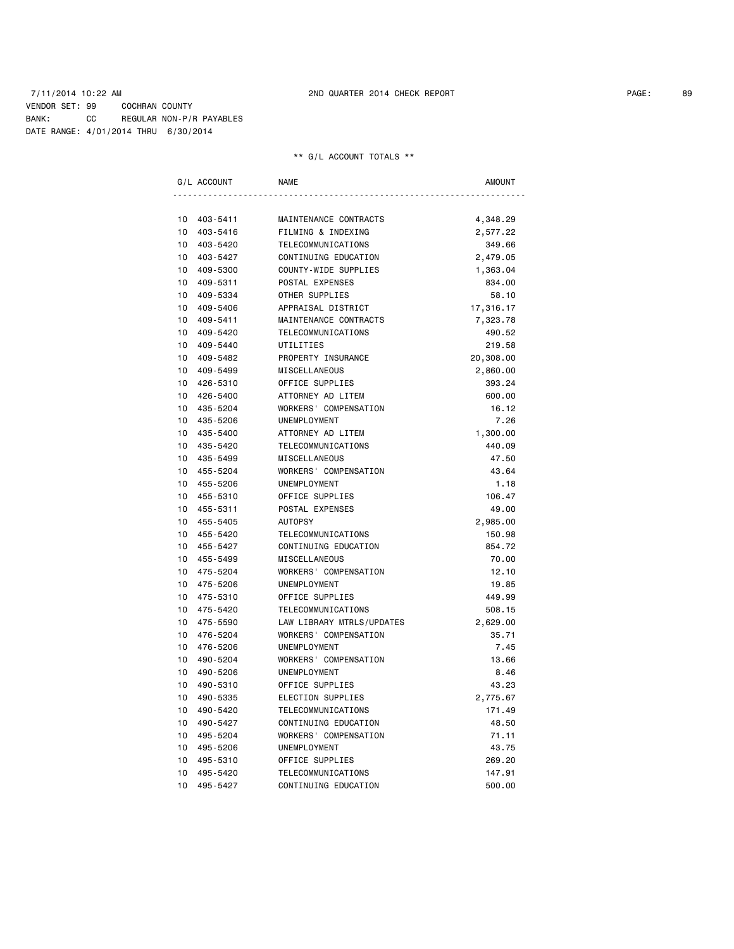| G/L ACCOUNT    | <b>NAME</b>               | <b>AMOUNT</b> |
|----------------|---------------------------|---------------|
|                |                           |               |
| 10<br>403-5411 | MAINTENANCE CONTRACTS     | 4,348.29      |
| 10<br>403-5416 | FILMING & INDEXING        | 2,577.22      |
| 10<br>403-5420 | TELECOMMUNICATIONS        | 349.66        |
| 10<br>403-5427 | CONTINUING EDUCATION      | 2,479.05      |
| 10<br>409-5300 | COUNTY-WIDE SUPPLIES      | 1,363.04      |
| 10<br>409-5311 | POSTAL EXPENSES           | 834.00        |
| 10<br>409-5334 | OTHER SUPPLIES            | 58.10         |
| 10<br>409-5406 | APPRAISAL DISTRICT        | 17,316.17     |
| 10<br>409-5411 | MAINTENANCE CONTRACTS     | 7,323.78      |
| 10<br>409-5420 | TELECOMMUNICATIONS        | 490.52        |
| 10<br>409-5440 | UTILITIES                 | 219.58        |
| 10<br>409-5482 | PROPERTY INSURANCE        | 20,308.00     |
| 10<br>409-5499 | MISCELLANEOUS             | 2,860.00      |
| 10<br>426-5310 | OFFICE SUPPLIES           | 393.24        |
| 10<br>426-5400 | ATTORNEY AD LITEM         | 600.00        |
| 10<br>435-5204 | WORKERS' COMPENSATION     | 16.12         |
| 10<br>435-5206 | UNEMPLOYMENT              | 7.26          |
| 10<br>435-5400 | ATTORNEY AD LITEM         | 1,300.00      |
| 10<br>435-5420 | TELECOMMUNICATIONS        | 440.09        |
| 10<br>435-5499 | MISCELLANEOUS             | 47.50         |
| 10<br>455-5204 | WORKERS' COMPENSATION     | 43.64         |
| 10<br>455-5206 | UNEMPLOYMENT              | 1.18          |
| 10<br>455-5310 | OFFICE SUPPLIES           | 106.47        |
| 10<br>455-5311 | POSTAL EXPENSES           | 49.00         |
| 10<br>455-5405 | <b>AUTOPSY</b>            | 2,985.00      |
| 10<br>455-5420 | TELECOMMUNICATIONS        | 150.98        |
| 10<br>455-5427 | CONTINUING EDUCATION      | 854.72        |
| 10<br>455-5499 | MISCELLANEOUS             | 70.00         |
| 10<br>475-5204 | WORKERS' COMPENSATION     | 12.10         |
| 10<br>475-5206 | UNEMPLOYMENT              | 19.85         |
| 10<br>475-5310 | OFFICE SUPPLIES           | 449.99        |
| 10<br>475-5420 | TELECOMMUNICATIONS        | 508.15        |
| 10<br>475-5590 | LAW LIBRARY MTRLS/UPDATES | 2,629.00      |
| 10<br>476-5204 | WORKERS' COMPENSATION     | 35.71         |
| 10<br>476-5206 | UNEMPLOYMENT              | 7.45          |
| 10<br>490-5204 | WORKERS' COMPENSATION     | 13.66         |
| 490-5206<br>10 | <b>UNEMPLOYMENT</b>       | 8.46          |
| 10<br>490-5310 | OFFICE SUPPLIES           | 43.23         |
| 10<br>490-5335 | ELECTION SUPPLIES         | 2,775.67      |
| 10<br>490-5420 | TELECOMMUNICATIONS        | 171.49        |
| 10<br>490-5427 | CONTINUING EDUCATION      | 48.50         |
| 10<br>495-5204 | WORKERS' COMPENSATION     | 71.11         |
| 10<br>495-5206 | UNEMPLOYMENT              | 43.75         |
| 10<br>495-5310 | OFFICE SUPPLIES           | 269.20        |
| 10<br>495-5420 | TELECOMMUNICATIONS        | 147.91        |
| 10<br>495-5427 | CONTINUING EDUCATION      | 500.00        |
|                |                           |               |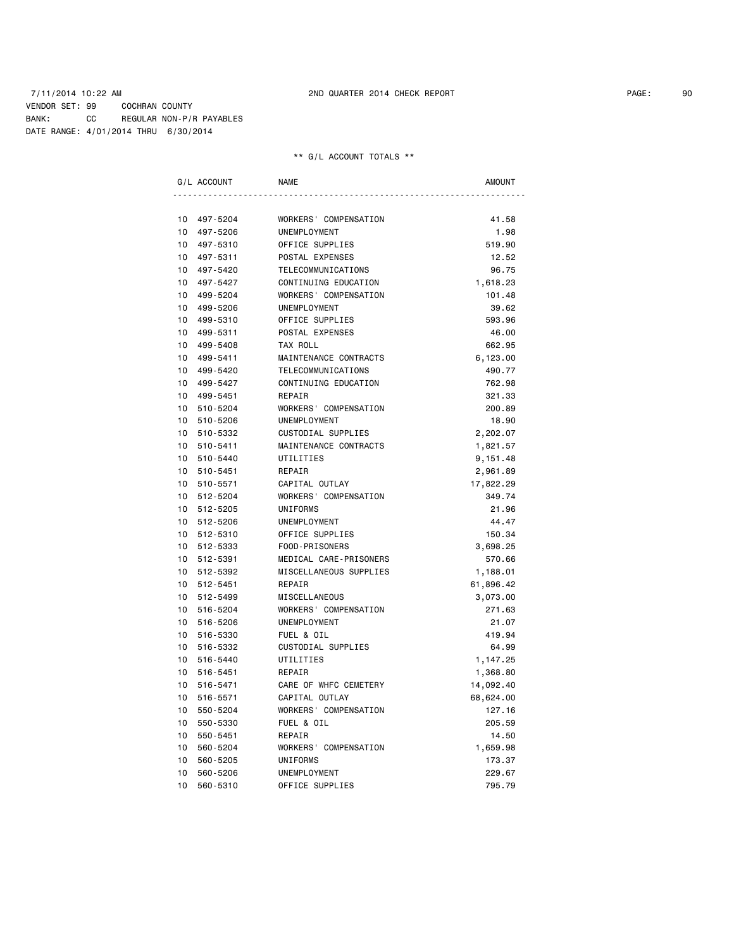### 7/11/2014 10:22 AM 2ND QUARTER 2014 CHECK REPORT PAGE: 90 VENDOR SET: 99 COCHRAN COUNTY BANK: CC REGULAR NON-P/R PAYABLES DATE RANGE: 4/01/2014 THRU 6/30/2014

| G/L ACCOUNT                 | <b>NAME</b>            | AMOUNT    |
|-----------------------------|------------------------|-----------|
|                             |                        |           |
| 10<br>497-5204              | WORKERS' COMPENSATION  | 41.58     |
| 10<br>497-5206              | UNEMPLOYMENT           | 1.98      |
| 10<br>497-5310              | OFFICE SUPPLIES        | 519.90    |
| 10<br>497-5311              | POSTAL EXPENSES        | 12.52     |
| 10<br>497-5420              | TELECOMMUNICATIONS     | 96.75     |
| 10 497-5427                 | CONTINUING EDUCATION   | 1,618.23  |
| 10 <sup>1</sup><br>499-5204 | WORKERS' COMPENSATION  | 101.48    |
| 10<br>499-5206              | UNEMPLOYMENT           | 39.62     |
| 10<br>499-5310              | OFFICE SUPPLIES        | 593.96    |
| 10<br>499-5311              | POSTAL EXPENSES        | 46.00     |
| 10<br>499-5408              | TAX ROLL               | 662.95    |
| 10<br>499-5411              | MAINTENANCE CONTRACTS  | 6,123.00  |
| 10<br>499-5420              | TELECOMMUNICATIONS     | 490.77    |
| 10<br>499-5427              | CONTINUING EDUCATION   | 762.98    |
| 10 <sup>1</sup><br>499-5451 | REPAIR                 | 321.33    |
| $10-10$<br>510-5204         | WORKERS' COMPENSATION  | 200.89    |
| 10 <sup>1</sup><br>510-5206 | UNEMPLOYMENT           | 18.90     |
| 10<br>510-5332              | CUSTODIAL SUPPLIES     | 2,202.07  |
| 10<br>510-5411              | MAINTENANCE CONTRACTS  | 1,821.57  |
| 10<br>510-5440              | UTILITIES              | 9,151.48  |
| 10<br>510-5451              | REPAIR                 | 2,961.89  |
| 10<br>510-5571              | CAPITAL OUTLAY         | 17,822.29 |
| 10<br>512-5204              | WORKERS' COMPENSATION  | 349.74    |
| 10<br>512-5205              | UNIFORMS               | 21.96     |
| 10 512-5206                 | UNEMPLOYMENT           | 44.47     |
| 10 512-5310                 | OFFICE SUPPLIES        | 150.34    |
| 10 512-5333                 | FOOD-PRISONERS         | 3,698.25  |
| 10 512-5391                 | MEDICAL CARE-PRISONERS | 570.66    |
| 10 512-5392                 | MISCELLANEOUS SUPPLIES | 1,188.01  |
| 10 512-5451                 | REPAIR                 | 61,896.42 |
| 10 512-5499                 | MISCELLANEOUS          | 3,073.00  |
| 10<br>516-5204              | WORKERS' COMPENSATION  | 271.63    |
| 10<br>516-5206              | UNEMPLOYMENT           | 21.07     |
| 10<br>516-5330              | FUEL & OIL             | 419.94    |
| 10 <sup>1</sup><br>516-5332 | CUSTODIAL SUPPLIES     | 64.99     |
| 10<br>516-5440              | UTILITIES              | 1,147.25  |
| 10 <sup>1</sup><br>516-5451 | REPAIR                 | 1,368.80  |
| 10<br>516-5471              | CARE OF WHFC CEMETERY  | 14,092.40 |
| 10<br>516-5571              | CAPITAL OUTLAY         | 68,624.00 |
| 10<br>550-5204              | WORKERS' COMPENSATION  | 127.16    |
| 10<br>550-5330              | FUEL & OIL             | 205.59    |
| 10<br>550-5451              | REPAIR                 | 14.50     |
| 10<br>560-5204              | WORKERS' COMPENSATION  | 1,659.98  |
| 10<br>560-5205              | UNIFORMS               | 173.37    |
| 10<br>560-5206              | UNEMPLOYMENT           | 229.67    |
| 10<br>560-5310              | OFFICE SUPPLIES        | 795.79    |
|                             |                        |           |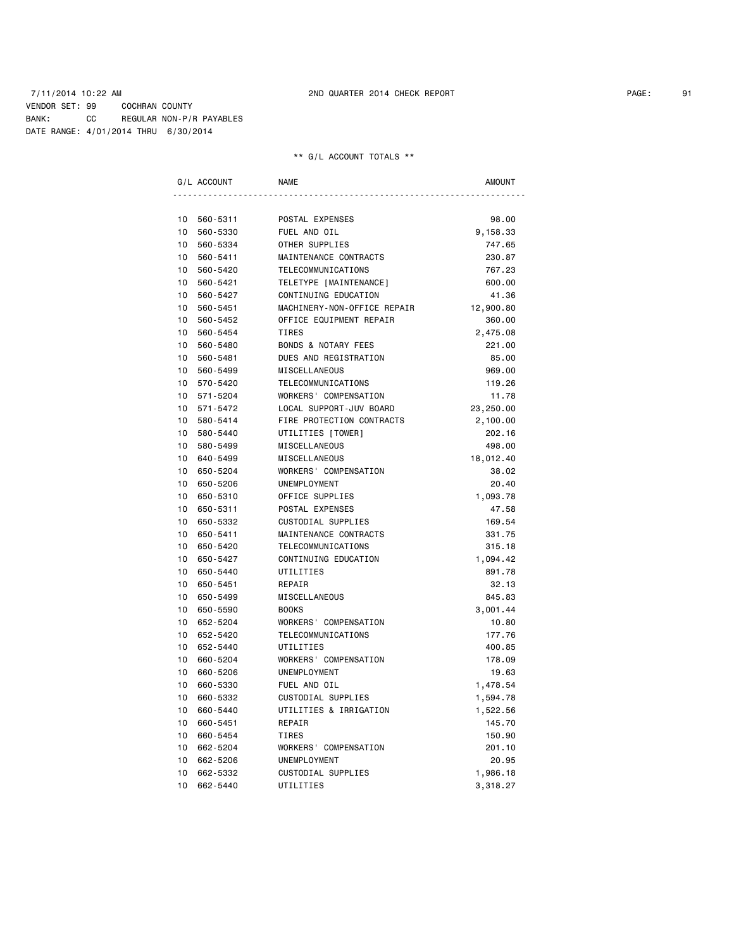### 7/11/2014 10:22 AM 2ND QUARTER 2014 CHECK REPORT PAGE: 91 VENDOR SET: 99 COCHRAN COUNTY BANK: CC REGULAR NON-P/R PAYABLES DATE RANGE: 4/01/2014 THRU 6/30/2014

|                 | G/L ACCOUNT | <b>NAME</b>                    | <b>AMOUNT</b> |
|-----------------|-------------|--------------------------------|---------------|
|                 |             |                                |               |
| 10              | 560-5311    | POSTAL EXPENSES                | 98.00         |
| 10              | 560-5330    | FUEL AND OIL                   | 9,158.33      |
| 10              | 560-5334    | OTHER SUPPLIES                 | 747.65        |
| 10              | 560-5411    | MAINTENANCE CONTRACTS          | 230.87        |
| 10              | 560-5420    | TELECOMMUNICATIONS             | 767.23        |
| 10              | 560-5421    | TELETYPE [MAINTENANCE]         | 600.00        |
| 10              | 560-5427    | CONTINUING EDUCATION           | 41.36         |
| 10              | 560-5451    | MACHINERY-NON-OFFICE REPAIR    | 12,900.80     |
| 10              | 560-5452    | OFFICE EQUIPMENT REPAIR        | 360.00        |
| 10              | 560-5454    | <b>TIRES</b>                   | 2,475.08      |
| 10              | 560-5480    | <b>BONDS &amp; NOTARY FEES</b> | 221.00        |
| 10              | 560-5481    | DUES AND REGISTRATION          | 85.00         |
| 10              | 560-5499    | MISCELLANEOUS                  | 969.00        |
| 10              | 570-5420    | TELECOMMUNICATIONS             | 119.26        |
| 10              | 571-5204    | WORKERS' COMPENSATION          | 11.78         |
| 10              | 571-5472    | LOCAL SUPPORT-JUV BOARD        | 23,250.00     |
| 10              | 580-5414    | FIRE PROTECTION CONTRACTS      | 2,100.00      |
| 10 <sup>1</sup> | 580-5440    | UTILITIES [TOWER]              | 202.16        |
| 10              | 580-5499    | MISCELLANEOUS                  | 498.00        |
| 10              | 640-5499    | MISCELLANEOUS                  | 18,012.40     |
| 10              | 650-5204    | WORKERS' COMPENSATION          | 38.02         |
| 10              | 650-5206    | UNEMPLOYMENT                   | 20.40         |
| 10              | 650-5310    | OFFICE SUPPLIES                | 1,093.78      |
| 10              | 650-5311    | POSTAL EXPENSES                | 47.58         |
| 10              | 650-5332    | CUSTODIAL SUPPLIES             | 169.54        |
| 10              | 650-5411    | MAINTENANCE CONTRACTS          | 331.75        |
| 10              | 650-5420    | TELECOMMUNICATIONS             | 315.18        |
| 10              | 650-5427    | CONTINUING EDUCATION           | 1,094.42      |
| 10              | 650-5440    | UTILITIES                      | 891.78        |
| 10              | 650-5451    | REPAIR                         | 32.13         |
| 10              | 650-5499    | MISCELLANEOUS                  | 845.83        |
| 10              | 650-5590    | <b>BOOKS</b>                   | 3,001.44      |
| 10              | 652-5204    | WORKERS' COMPENSATION          | 10.80         |
| 10              | 652-5420    | TELECOMMUNICATIONS             | 177.76        |
| 10 <sup>1</sup> | 652-5440    | UTILITIES                      | 400.85        |
| 10              | 660-5204    | WORKERS' COMPENSATION          | 178.09        |
| 10              | 660-5206    | UNEMPLOYMENT                   | 19.63         |
| 10              | 660-5330    | FUEL AND OIL                   | 1,478.54      |
| 10              | 660-5332    | CUSTODIAL SUPPLIES             | 1,594.78      |
| 10              | 660-5440    | UTILITIES & IRRIGATION         | 1,522.56      |
| 10              | 660-5451    | REPAIR                         | 145.70        |
| 10              | 660-5454    | TIRES                          | 150.90        |
| 10              | 662-5204    | WORKERS' COMPENSATION          | 201.10        |
| 10              | 662-5206    | UNEMPLOYMENT                   | 20.95         |
| 10              | 662-5332    | CUSTODIAL SUPPLIES             | 1,986.18      |
| 10              | 662-5440    | UTILITIES                      | 3,318.27      |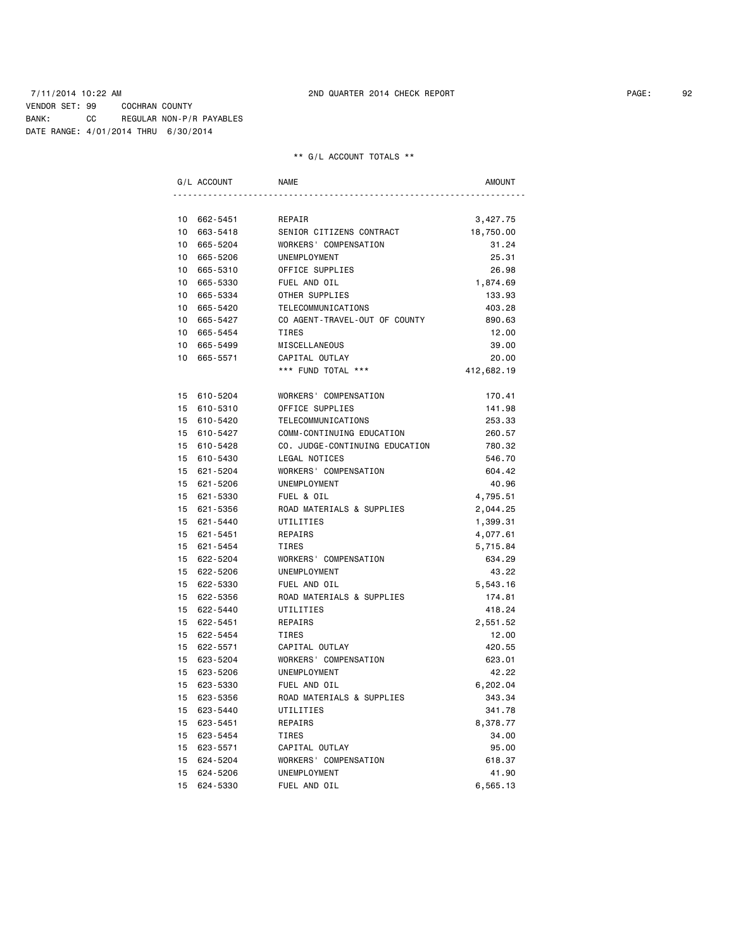|                 | G/L ACCOUNT | <b>NAME</b>                    | <b>AMOUNT</b>      |
|-----------------|-------------|--------------------------------|--------------------|
|                 |             |                                |                    |
| 10              | 662-5451    | REPAIR                         | 3,427.75           |
| 10              | 663-5418    | SENIOR CITIZENS CONTRACT       | 18,750.00          |
| 10              | 665-5204    | WORKERS' COMPENSATION          | 31.24              |
| 10              | 665-5206    | UNEMPLOYMENT                   | 25.31              |
| 10              | 665-5310    | OFFICE SUPPLIES                | 26.98              |
| 10              | 665-5330    | FUEL AND OIL                   | 1,874.69           |
| 10              | 665-5334    | OTHER SUPPLIES                 | 133.93             |
| 10              | 665-5420    | TELECOMMUNICATIONS             | 403.28             |
| $10-10$         | 665-5427    | CO AGENT-TRAVEL-OUT OF COUNTY  | 890.63             |
| $10-10$         | 665-5454    | <b>TIRES</b>                   | 12.00              |
| 10              | 665-5499    | MISCELLANEOUS                  | 39.00              |
| 10              | 665-5571    | CAPITAL OUTLAY                 | 20.00              |
|                 |             | *** FUND TOTAL ***             | 412,682.19         |
| 15              | 610-5204    | WORKERS' COMPENSATION          | 170.41             |
| 15              | 610-5310    | OFFICE SUPPLIES                | 141.98             |
| 15              | 610-5420    | TELECOMMUNICATIONS             | 253.33             |
|                 | 15 610-5427 | COMM-CONTINUING EDUCATION      | 260.57             |
|                 | 15 610-5428 | CO. JUDGE-CONTINUING EDUCATION | 780.32             |
|                 | 15 610-5430 | LEGAL NOTICES                  | 546.70             |
| 15              | 621-5204    | WORKERS' COMPENSATION          | 604.42             |
| 15              | 621-5206    | UNEMPLOYMENT                   | 40.96              |
| 15              | 621-5330    | FUEL & OIL                     | 4,795.51           |
| 15              | 621-5356    | ROAD MATERIALS & SUPPLIES      | 2,044.25           |
| 15              | 621-5440    | UTILITIES                      | 1,399.31           |
| 15 <sup>1</sup> | 621-5451    | REPAIRS                        | 4,077.61           |
|                 | 15 621-5454 | <b>TIRES</b>                   | 5,715.84           |
|                 | 15 622-5204 | WORKERS' COMPENSATION          | 634.29             |
| 15              | 622-5206    | UNEMPLOYMENT                   | 43.22              |
| 15 <sup>1</sup> | 622-5330    | FUEL AND OIL                   | 5,543.16           |
| 15              | 622-5356    | ROAD MATERIALS & SUPPLIES      | 174.81             |
| 15              | 622-5440    | UTILITIES                      | 418.24             |
| 15              | 622-5451    | REPAIRS                        | 2,551.52           |
| 15              | 622-5454    | <b>TIRES</b>                   | 12.00              |
| 15              | 622-5571    | CAPITAL OUTLAY                 | 420.55             |
|                 | 15 623-5204 | WORKERS' COMPENSATION          | 623.01             |
| 15              | 623-5206    | UNEMPLOYMENT                   | 42.22              |
| 15              | 623-5330    | FUEL AND OIL                   |                    |
| 15              | 623-5356    | ROAD MATERIALS & SUPPLIES      | 6,202.04<br>343.34 |
| 15              | 623-5440    | UTILITIES                      | 341.78             |
|                 |             |                                |                    |
| 15              | 623-5451    | REPAIRS                        | 8,378.77           |
| 15              | 623-5454    | <b>TIRES</b>                   | 34.00              |
| 15 <sup>1</sup> | 623-5571    | CAPITAL OUTLAY                 | 95.00              |
| 15              | 624-5204    | WORKERS' COMPENSATION          | 618.37             |
| 15              | 624-5206    | UNEMPLOYMENT                   | 41.90              |
| 15              | 624-5330    | FUEL AND OIL                   | 6,565.13           |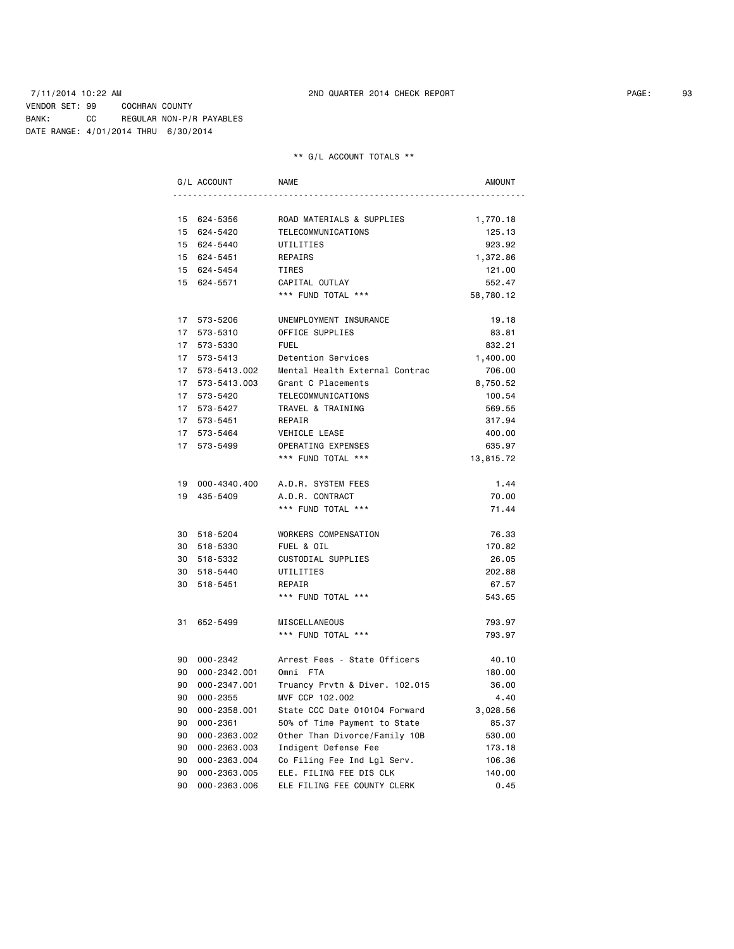### 7/11/2014 10:22 AM 2ND QUARTER 2014 CHECK REPORT PAGE: 93 VENDOR SET: 99 COCHRAN COUNTY BANK: CC REGULAR NON-P/R PAYABLES DATE RANGE: 4/01/2014 THRU 6/30/2014

|      | G/L ACCOUNT     | <b>NAME</b>                    | AMOUNT    |
|------|-----------------|--------------------------------|-----------|
|      |                 |                                |           |
|      | 15 624-5356     | ROAD MATERIALS & SUPPLIES      | 1,770.18  |
|      | 15 624-5420     | TELECOMMUNICATIONS             | 125.13    |
|      | 15 624-5440     | UTILITIES                      | 923.92    |
|      | 15 624-5451     | REPAIRS                        | 1,372.86  |
|      | 15 624-5454     | TIRES                          | 121.00    |
|      | 15 624-5571     | CAPITAL OUTLAY                 | 552.47    |
|      |                 | *** FUND TOTAL ***             | 58,780.12 |
|      | 17 573-5206     | UNEMPLOYMENT INSURANCE         | 19.18     |
| 17   | 573-5310        | OFFICE SUPPLIES                | 83.81     |
|      | 17 573-5330     | <b>FUEL</b>                    | 832.21    |
|      | 17 573-5413     | Detention Services             | 1,400.00  |
| 17   | 573-5413.002    | Mental Health External Contrac | 706.00    |
|      | 17 573-5413.003 | Grant C Placements             | 8,750.52  |
|      | 17 573-5420     | TELECOMMUNICATIONS             | 100.54    |
| 17   | 573-5427        | TRAVEL & TRAINING              | 569.55    |
| 17   | 573-5451        | REPAIR                         | 317.94    |
| 17   | 573-5464        | VEHICLE LEASE                  | 400.00    |
|      | 17 573-5499     | OPERATING EXPENSES             | 635.97    |
|      |                 | *** FUND TOTAL ***             | 13,815.72 |
|      | 19 000-4340.400 | A.D.R. SYSTEM FEES             | 1.44      |
| 19   | 435-5409        | A.D.R. CONTRACT                | 70.00     |
|      |                 | *** FUND TOTAL ***             | 71.44     |
|      | 30 518-5204     | WORKERS COMPENSATION           | 76.33     |
|      | 30 518-5330     | FUEL & OIL                     | 170.82    |
|      | 30 518-5332     | CUSTODIAL SUPPLIES             | 26.05     |
| 30   | 518-5440        | UTILITIES                      | 202.88    |
| 30   | 518-5451        | REPAIR                         | 67.57     |
|      |                 | *** FUND TOTAL ***             | 543.65    |
| 31   | 652-5499        | MISCELLANEOUS                  | 793.97    |
|      |                 | *** FUND TOTAL ***             | 793.97    |
|      | 90 000-2342     | Arrest Fees - State Officers   | 40.10     |
| 90   | 000-2342.001    | Omni FTA                       | 180.00    |
| 90 - | 000-2347.001    | Truancy Prvtn & Diver. 102.015 | 36.00     |
| 90   | 000-2355        | MVF CCP 102.002                | 4.40      |
| 90   | 000-2358.001    | State CCC Date 010104 Forward  | 3,028.56  |
| 90   | $000 - 2361$    | 50% of Time Payment to State   | 85.37     |
| 90   | 000-2363.002    | Other Than Divorce/Family 10B  | 530.00    |
| 90   | 000-2363.003    | Indigent Defense Fee           | 173.18    |
| 90   | 000-2363.004    | Co Filing Fee Ind Lgl Serv.    | 106.36    |
| 90   | 000-2363.005    | ELE. FILING FEE DIS CLK        | 140.00    |
| 90   | 000-2363.006    | ELE FILING FEE COUNTY CLERK    | 0.45      |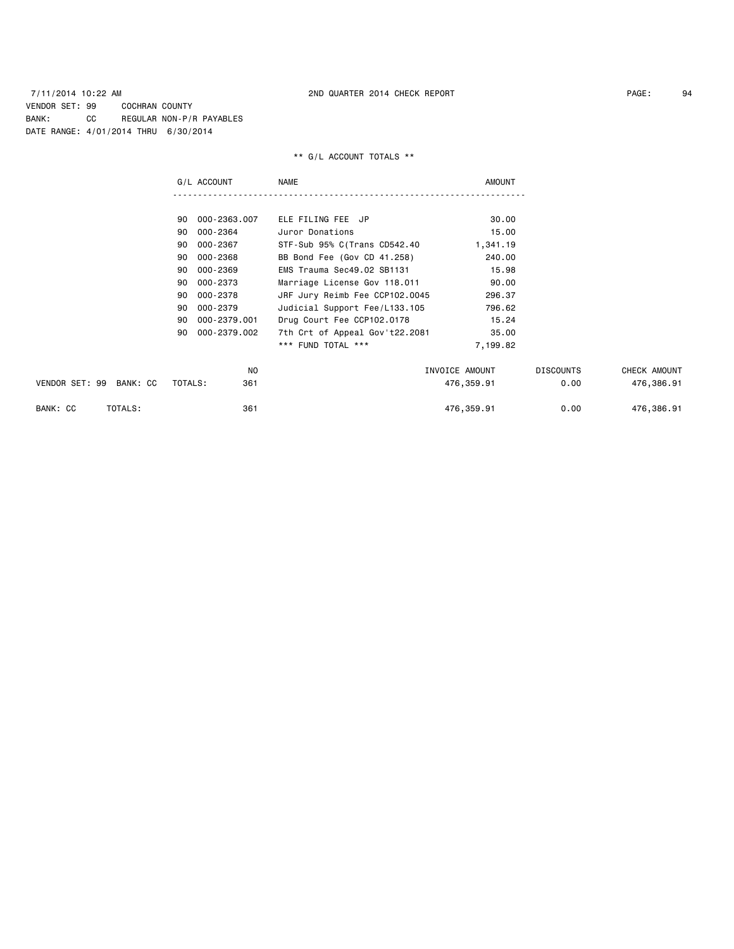|                         | G/L ACCOUNT        | NAME                           | <b>AMOUNT</b>  |                  |              |
|-------------------------|--------------------|--------------------------------|----------------|------------------|--------------|
|                         |                    |                                |                |                  |              |
|                         | 90 000-2363.007    | ELE FILING FEE JP              | 30.00          |                  |              |
|                         | 000-2364<br>90     | Juror Donations                | 15.00          |                  |              |
|                         | 000-2367<br>90     | STF-Sub 95% C(Trans CD542.40   | 1,341.19       |                  |              |
|                         | 000-2368<br>90     | BB Bond Fee (Gov CD 41.258)    | 240.00         |                  |              |
|                         | 000-2369<br>90     | EMS Trauma Sec49.02 SB1131     | 15.98          |                  |              |
|                         | 000-2373<br>90     | Marriage License Gov 118.011   | 90.00          |                  |              |
|                         | 000-2378<br>90     | JRF Jury Reimb Fee CCP102.0045 | 296.37         |                  |              |
|                         | 000-2379<br>90     | Judicial Support Fee/L133.105  | 796.62         |                  |              |
|                         | 000-2379.001<br>90 | Drug Court Fee CCP102.0178     | 15.24          |                  |              |
|                         | 000-2379.002<br>90 | 7th Crt of Appeal Gov't22.2081 | 35.00          |                  |              |
|                         |                    | *** FUND TOTAL ***             | 7,199.82       |                  |              |
|                         | NO                 |                                | INVOICE AMOUNT | <b>DISCOUNTS</b> | CHECK AMOUNT |
| VENDOR SET: 99 BANK: CC | TOTALS:<br>361     |                                | 476,359.91     | 0.00             | 476,386.91   |
| BANK: CC<br>TOTALS:     | 361                |                                | 476,359.91     | 0.00             | 476,386.91   |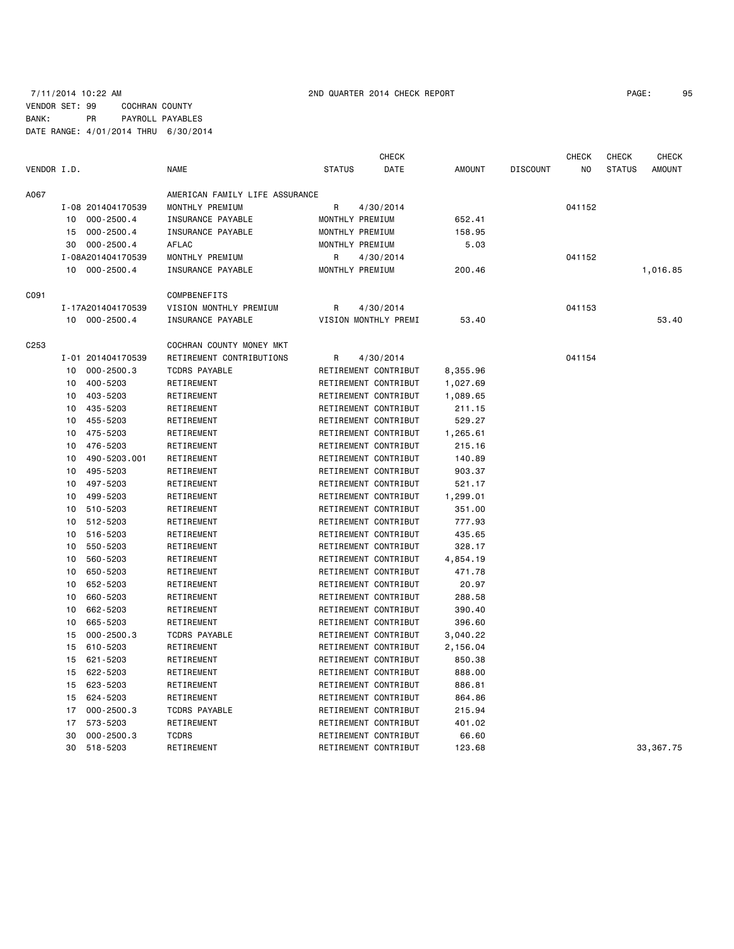# 7/11/2014 10:22 AM 2ND QUARTER 2014 CHECK REPORT PAGE: 95 VENDOR SET: 99 COCHRAN COUNTY BANK: PR PAYROLL PAYABLES DATE RANGE: 4/01/2014 THRU 6/30/2014

|             |    |                   |                                |                 | <b>CHECK</b>         |               |                 | <b>CHECK</b> | <b>CHECK</b>  | <b>CHECK</b>  |
|-------------|----|-------------------|--------------------------------|-----------------|----------------------|---------------|-----------------|--------------|---------------|---------------|
| VENDOR I.D. |    |                   | <b>NAME</b>                    | <b>STATUS</b>   | DATE                 | <b>AMOUNT</b> | <b>DISCOUNT</b> | NO           | <b>STATUS</b> | <b>AMOUNT</b> |
| A067        |    |                   | AMERICAN FAMILY LIFE ASSURANCE |                 |                      |               |                 |              |               |               |
|             |    | I-08 201404170539 | MONTHLY PREMIUM                | R               | 4/30/2014            |               |                 | 041152       |               |               |
|             | 10 | $000 - 2500.4$    | INSURANCE PAYABLE              | MONTHLY PREMIUM |                      | 652.41        |                 |              |               |               |
|             | 15 | $000 - 2500.4$    | INSURANCE PAYABLE              | MONTHLY PREMIUM |                      | 158.95        |                 |              |               |               |
|             | 30 | $000 - 2500.4$    | AFLAC                          | MONTHLY PREMIUM |                      | 5.03          |                 |              |               |               |
|             |    | I-08A201404170539 | MONTHLY PREMIUM                | R               | 4/30/2014            |               |                 | 041152       |               |               |
|             | 10 | 000-2500.4        | INSURANCE PAYABLE              | MONTHLY PREMIUM |                      | 200.46        |                 |              |               | 1,016.85      |
| C091        |    |                   | COMPBENEFITS                   |                 |                      |               |                 |              |               |               |
|             |    | I-17A201404170539 | VISION MONTHLY PREMIUM         | R               | 4/30/2014            |               |                 | 041153       |               |               |
|             |    | 10 000-2500.4     | INSURANCE PAYABLE              |                 | VISION MONTHLY PREMI | 53.40         |                 |              |               | 53.40         |
| C253        |    |                   | COCHRAN COUNTY MONEY MKT       |                 |                      |               |                 |              |               |               |
|             |    | I-01 201404170539 | RETIREMENT CONTRIBUTIONS       | R               | 4/30/2014            |               |                 | 041154       |               |               |
|             | 10 | $000 - 2500.3$    | <b>TCDRS PAYABLE</b>           |                 | RETIREMENT CONTRIBUT | 8,355.96      |                 |              |               |               |
|             | 10 | 400-5203          | RETIREMENT                     |                 | RETIREMENT CONTRIBUT | 1,027.69      |                 |              |               |               |
|             | 10 | 403-5203          | RETIREMENT                     |                 | RETIREMENT CONTRIBUT | 1,089.65      |                 |              |               |               |
|             | 10 | 435-5203          | RETIREMENT                     |                 | RETIREMENT CONTRIBUT | 211.15        |                 |              |               |               |
|             | 10 | 455-5203          | RETIREMENT                     |                 | RETIREMENT CONTRIBUT | 529.27        |                 |              |               |               |
|             | 10 | 475-5203          | RETIREMENT                     |                 | RETIREMENT CONTRIBUT | 1,265.61      |                 |              |               |               |
|             | 10 | 476-5203          | RETIREMENT                     |                 | RETIREMENT CONTRIBUT | 215.16        |                 |              |               |               |
|             | 10 | 490-5203.001      | RETIREMENT                     |                 | RETIREMENT CONTRIBUT | 140.89        |                 |              |               |               |
|             | 10 | 495-5203          | RETIREMENT                     |                 | RETIREMENT CONTRIBUT | 903.37        |                 |              |               |               |
|             | 10 | 497-5203          | RETIREMENT                     |                 | RETIREMENT CONTRIBUT | 521.17        |                 |              |               |               |
|             | 10 | 499-5203          | RETIREMENT                     |                 | RETIREMENT CONTRIBUT | 1,299.01      |                 |              |               |               |
|             | 10 | 510-5203          | RETIREMENT                     |                 | RETIREMENT CONTRIBUT | 351.00        |                 |              |               |               |
|             | 10 | 512-5203          | RETIREMENT                     |                 | RETIREMENT CONTRIBUT | 777.93        |                 |              |               |               |
|             | 10 | 516-5203          | RETIREMENT                     |                 | RETIREMENT CONTRIBUT | 435.65        |                 |              |               |               |
|             | 10 | 550-5203          | RETIREMENT                     |                 | RETIREMENT CONTRIBUT | 328.17        |                 |              |               |               |
|             | 10 | 560-5203          | RETIREMENT                     |                 | RETIREMENT CONTRIBUT | 4,854.19      |                 |              |               |               |
|             | 10 | 650-5203          | RETIREMENT                     |                 | RETIREMENT CONTRIBUT | 471.78        |                 |              |               |               |
|             | 10 | 652-5203          | RETIREMENT                     |                 | RETIREMENT CONTRIBUT | 20.97         |                 |              |               |               |
|             | 10 | 660-5203          | RETIREMENT                     |                 | RETIREMENT CONTRIBUT | 288.58        |                 |              |               |               |
|             | 10 | 662-5203          | RETIREMENT                     |                 | RETIREMENT CONTRIBUT | 390.40        |                 |              |               |               |
|             | 10 | 665-5203          | RETIREMENT                     |                 | RETIREMENT CONTRIBUT | 396.60        |                 |              |               |               |
|             | 15 | $000 - 2500.3$    | <b>TCDRS PAYABLE</b>           |                 | RETIREMENT CONTRIBUT | 3,040.22      |                 |              |               |               |
|             | 15 | 610-5203          | RETIREMENT                     |                 | RETIREMENT CONTRIBUT | 2,156.04      |                 |              |               |               |
|             | 15 | 621-5203          | RETIREMENT                     |                 | RETIREMENT CONTRIBUT | 850.38        |                 |              |               |               |
|             | 15 | 622-5203          | RETIREMENT                     |                 | RETIREMENT CONTRIBUT | 888.00        |                 |              |               |               |
|             | 15 | 623-5203          | RETIREMENT                     |                 | RETIREMENT CONTRIBUT | 886.81        |                 |              |               |               |
|             | 15 | 624-5203          | RETIREMENT                     |                 | RETIREMENT CONTRIBUT | 864.86        |                 |              |               |               |
|             | 17 | $000 - 2500.3$    | <b>TCDRS PAYABLE</b>           |                 | RETIREMENT CONTRIBUT | 215.94        |                 |              |               |               |
|             | 17 | 573-5203          | RETIREMENT                     |                 | RETIREMENT CONTRIBUT | 401.02        |                 |              |               |               |
|             | 30 | $000 - 2500.3$    | <b>TCDRS</b>                   |                 | RETIREMENT CONTRIBUT | 66.60         |                 |              |               |               |
|             | 30 | 518-5203          | RETIREMENT                     |                 | RETIREMENT CONTRIBUT | 123.68        |                 |              |               | 33, 367. 75   |
|             |    |                   |                                |                 |                      |               |                 |              |               |               |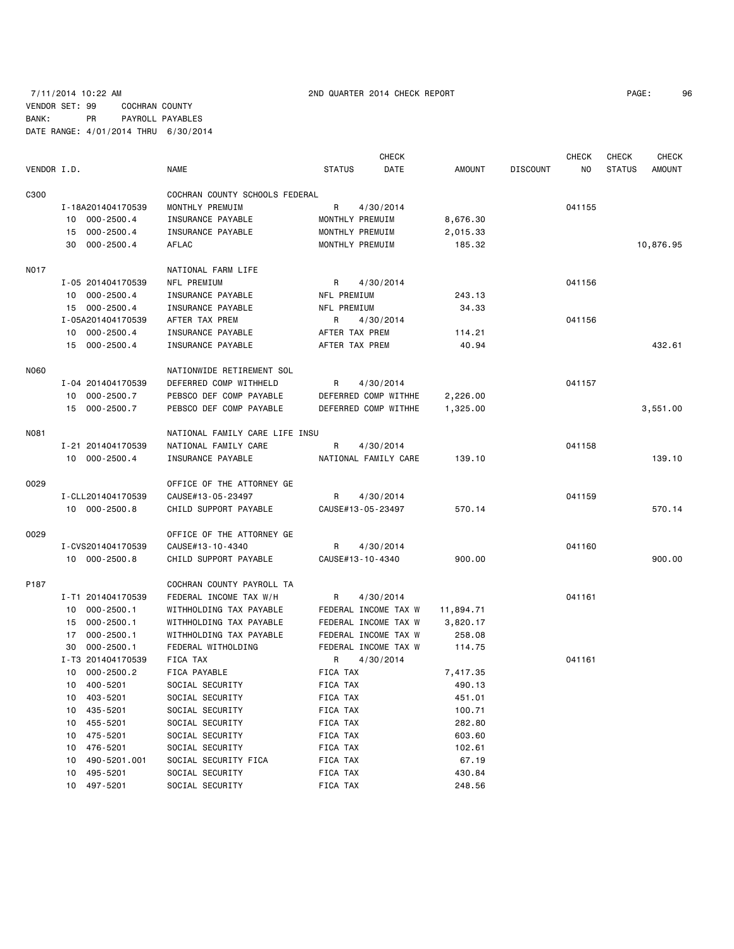# 7/11/2014 10:22 AM 2ND QUARTER 2014 CHECK REPORT PAGE: 96 VENDOR SET: 99 COCHRAN COUNTY BANK: PR PAYROLL PAYABLES DATE RANGE: 4/01/2014 THRU 6/30/2014

|             |                      |                                |                 | <b>CHECK</b>         |           |                 | <b>CHECK</b> | <b>CHECK</b>  | <b>CHECK</b> |
|-------------|----------------------|--------------------------------|-----------------|----------------------|-----------|-----------------|--------------|---------------|--------------|
| VENDOR I.D. |                      | <b>NAME</b>                    | <b>STATUS</b>   | DATE                 | AMOUNT    | <b>DISCOUNT</b> | NO.          | <b>STATUS</b> | AMOUNT       |
| C300        |                      | COCHRAN COUNTY SCHOOLS FEDERAL |                 |                      |           |                 |              |               |              |
|             | I-18A201404170539    | MONTHLY PREMUIM                | R               | 4/30/2014            |           |                 | 041155       |               |              |
|             | 10 000-2500.4        | INSURANCE PAYABLE              | MONTHLY PREMUIM |                      | 8,676.30  |                 |              |               |              |
|             | 15 000-2500.4        | INSURANCE PAYABLE              | MONTHLY PREMUIM |                      | 2,015.33  |                 |              |               |              |
|             | 30 000-2500.4        | AFLAC                          | MONTHLY PREMUIM |                      | 185.32    |                 |              |               | 10,876.95    |
| <b>N017</b> |                      | NATIONAL FARM LIFE             |                 |                      |           |                 |              |               |              |
|             | I-05 201404170539    | NFL PREMIUM                    | R               | 4/30/2014            |           |                 | 041156       |               |              |
|             | 10 000-2500.4        | INSURANCE PAYABLE              | NFL PREMIUM     |                      | 243.13    |                 |              |               |              |
|             | 15 000-2500.4        | INSURANCE PAYABLE              | NFL PREMIUM     |                      | 34.33     |                 |              |               |              |
|             | I-05A201404170539    | AFTER TAX PREM                 | R               | 4/30/2014            |           |                 | 041156       |               |              |
|             | 10 000-2500.4        | INSURANCE PAYABLE              | AFTER TAX PREM  |                      | 114.21    |                 |              |               |              |
|             | 15 000-2500.4        | INSURANCE PAYABLE              | AFTER TAX PREM  |                      | 40.94     |                 |              |               | 432.61       |
| N060        |                      | NATIONWIDE RETIREMENT SOL      |                 |                      |           |                 |              |               |              |
|             | I-04 201404170539    | DEFERRED COMP WITHHELD         | R               | 4/30/2014            |           |                 | 041157       |               |              |
|             | 10 000-2500.7        | PEBSCO DEF COMP PAYABLE        |                 | DEFERRED COMP WITHHE | 2,226.00  |                 |              |               |              |
|             | 15 000-2500.7        | PEBSCO DEF COMP PAYABLE        |                 | DEFERRED COMP WITHHE | 1,325.00  |                 |              |               | 3,551.00     |
| <b>N081</b> |                      | NATIONAL FAMILY CARE LIFE INSU |                 |                      |           |                 |              |               |              |
|             | I-21 201404170539    | NATIONAL FAMILY CARE           | R               | 4/30/2014            |           |                 | 041158       |               |              |
|             | 10 000-2500.4        | INSURANCE PAYABLE              |                 | NATIONAL FAMILY CARE | 139.10    |                 |              |               | 139.10       |
| 0029        |                      | OFFICE OF THE ATTORNEY GE      |                 |                      |           |                 |              |               |              |
|             | I-CLL201404170539    | CAUSE#13-05-23497              | R               | 4/30/2014            |           |                 | 041159       |               |              |
|             | 10 000-2500.8        | CHILD SUPPORT PAYABLE          |                 | CAUSE#13-05-23497    | 570.14    |                 |              |               | 570.14       |
| 0029        |                      | OFFICE OF THE ATTORNEY GE      |                 |                      |           |                 |              |               |              |
|             | I-CVS201404170539    | CAUSE#13-10-4340               | R               | 4/30/2014            |           |                 | 041160       |               |              |
|             | 10 000-2500.8        | CHILD SUPPORT PAYABLE          |                 | CAUSE#13-10-4340     | 900.00    |                 |              |               | 900.00       |
| P187        |                      | COCHRAN COUNTY PAYROLL TA      |                 |                      |           |                 |              |               |              |
|             | I-T1 201404170539    | FEDERAL INCOME TAX W/H         | R               | 4/30/2014            |           |                 | 041161       |               |              |
|             | 10 000-2500.1        | WITHHOLDING TAX PAYABLE        |                 | FEDERAL INCOME TAX W | 11,894.71 |                 |              |               |              |
|             | 000-2500.1<br>15     | WITHHOLDING TAX PAYABLE        |                 | FEDERAL INCOME TAX W | 3,820.17  |                 |              |               |              |
|             | 17 000-2500.1        | WITHHOLDING TAX PAYABLE        |                 | FEDERAL INCOME TAX W | 258.08    |                 |              |               |              |
|             | $000 - 2500.1$<br>30 | FEDERAL WITHOLDING             |                 | FEDERAL INCOME TAX W | 114.75    |                 |              |               |              |
|             | I-T3 201404170539    | FICA TAX                       | R               | 4/30/2014            |           |                 | 041161       |               |              |
|             | 10 000-2500.2        | FICA PAYABLE                   | FICA TAX        |                      | 7,417.35  |                 |              |               |              |
|             | 10 400-5201          | SOCIAL SECURITY                | FICA TAX        |                      | 490.13    |                 |              |               |              |
|             | 10 403-5201          | SOCIAL SECURITY                | FICA TAX        |                      | 451.01    |                 |              |               |              |
|             | 435-5201<br>10       | SOCIAL SECURITY                | FICA TAX        |                      | 100.71    |                 |              |               |              |
|             | 455-5201<br>10       | SOCIAL SECURITY                | FICA TAX        |                      | 282.80    |                 |              |               |              |
|             | 475-5201<br>10       | SOCIAL SECURITY                | FICA TAX        |                      | 603.60    |                 |              |               |              |
|             | 476-5201<br>10       | SOCIAL SECURITY                | FICA TAX        |                      | 102.61    |                 |              |               |              |
|             | 490-5201.001<br>10   | SOCIAL SECURITY FICA           | FICA TAX        |                      | 67.19     |                 |              |               |              |
|             | 495-5201<br>10       | SOCIAL SECURITY                | FICA TAX        |                      | 430.84    |                 |              |               |              |
|             | 10 497-5201          | SOCIAL SECURITY                | FICA TAX        |                      | 248.56    |                 |              |               |              |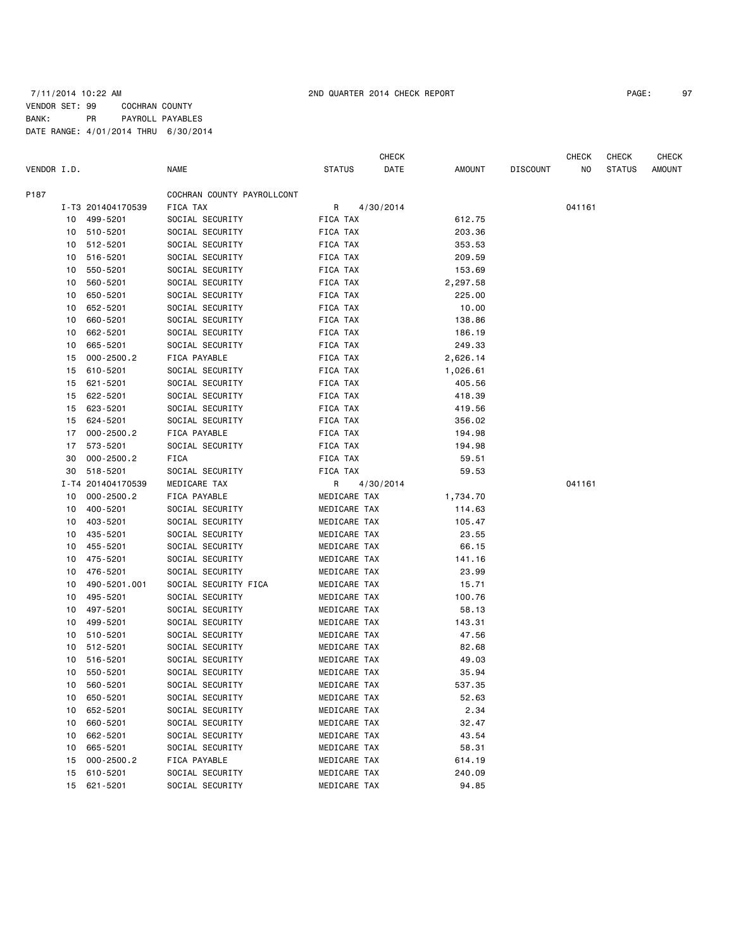# 7/11/2014 10:22 AM 2ND QUARTER 2014 CHECK REPORT PAGE: 97 VENDOR SET: 99 COCHRAN COUNTY BANK: PR PAYROLL PAYABLES DATE RANGE: 4/01/2014 THRU 6/30/2014

CHECK CHECK CHECK CHECK CHECK

| VENDOR I.D. |    |                   | <b>NAME</b>                | <b>STATUS</b> | DATE      | AMOUNT   | <b>DISCOUNT</b> | NO.    | <b>STATUS</b> | <b>AMOUNT</b> |
|-------------|----|-------------------|----------------------------|---------------|-----------|----------|-----------------|--------|---------------|---------------|
| P187        |    |                   | COCHRAN COUNTY PAYROLLCONT |               |           |          |                 |        |               |               |
|             |    | I-T3 201404170539 | FICA TAX                   | R             | 4/30/2014 |          |                 | 041161 |               |               |
|             | 10 | 499-5201          | SOCIAL SECURITY            | FICA TAX      |           | 612.75   |                 |        |               |               |
|             | 10 | 510-5201          | SOCIAL SECURITY            | FICA TAX      |           | 203.36   |                 |        |               |               |
|             | 10 | 512-5201          | SOCIAL SECURITY            | FICA TAX      |           | 353.53   |                 |        |               |               |
|             | 10 | 516-5201          | SOCIAL SECURITY            | FICA TAX      |           | 209.59   |                 |        |               |               |
|             | 10 | 550-5201          | SOCIAL SECURITY            | FICA TAX      |           | 153.69   |                 |        |               |               |
|             | 10 | 560-5201          | SOCIAL SECURITY            | FICA TAX      |           | 2,297.58 |                 |        |               |               |
|             | 10 | 650-5201          | SOCIAL SECURITY            | FICA TAX      |           | 225.00   |                 |        |               |               |
|             | 10 | 652-5201          | SOCIAL SECURITY            | FICA TAX      |           | 10.00    |                 |        |               |               |
|             | 10 | 660-5201          | SOCIAL SECURITY            | FICA TAX      |           | 138.86   |                 |        |               |               |
|             | 10 | 662-5201          | SOCIAL SECURITY            | FICA TAX      |           | 186.19   |                 |        |               |               |
|             | 10 | 665-5201          | SOCIAL SECURITY            | FICA TAX      |           | 249.33   |                 |        |               |               |
|             | 15 | 000-2500.2        | FICA PAYABLE               | FICA TAX      |           | 2,626.14 |                 |        |               |               |
|             | 15 | 610-5201          | SOCIAL SECURITY            | FICA TAX      |           | 1,026.61 |                 |        |               |               |
|             | 15 | 621-5201          | SOCIAL SECURITY            | FICA TAX      |           | 405.56   |                 |        |               |               |
|             | 15 | 622-5201          | SOCIAL SECURITY            | FICA TAX      |           | 418.39   |                 |        |               |               |
|             | 15 | 623-5201          | SOCIAL SECURITY            | FICA TAX      |           | 419.56   |                 |        |               |               |
|             | 15 | 624-5201          | SOCIAL SECURITY            | FICA TAX      |           | 356.02   |                 |        |               |               |
|             | 17 | $000 - 2500.2$    | FICA PAYABLE               | FICA TAX      |           | 194.98   |                 |        |               |               |
|             | 17 | 573-5201          | SOCIAL SECURITY            | FICA TAX      |           | 194.98   |                 |        |               |               |
|             | 30 | $000 - 2500.2$    | FICA                       | FICA TAX      |           | 59.51    |                 |        |               |               |
|             | 30 | 518-5201          | SOCIAL SECURITY            | FICA TAX      |           | 59.53    |                 |        |               |               |
|             |    | I-T4 201404170539 | MEDICARE TAX               | R             | 4/30/2014 |          |                 | 041161 |               |               |
|             | 10 | $000 - 2500.2$    | FICA PAYABLE               | MEDICARE TAX  |           | 1,734.70 |                 |        |               |               |
|             | 10 | 400-5201          | SOCIAL SECURITY            | MEDICARE TAX  |           | 114.63   |                 |        |               |               |
|             | 10 | 403-5201          | SOCIAL SECURITY            | MEDICARE TAX  |           | 105.47   |                 |        |               |               |
|             | 10 | 435-5201          | SOCIAL SECURITY            | MEDICARE TAX  |           | 23.55    |                 |        |               |               |
|             | 10 | 455-5201          | SOCIAL SECURITY            | MEDICARE TAX  |           | 66.15    |                 |        |               |               |
|             | 10 | 475-5201          | SOCIAL SECURITY            | MEDICARE TAX  |           | 141.16   |                 |        |               |               |
|             | 10 | 476-5201          | SOCIAL SECURITY            | MEDICARE TAX  |           | 23.99    |                 |        |               |               |
|             | 10 | 490-5201.001      | SOCIAL SECURITY FICA       | MEDICARE TAX  |           | 15.71    |                 |        |               |               |
|             | 10 | 495-5201          | SOCIAL SECURITY            | MEDICARE TAX  |           | 100.76   |                 |        |               |               |
|             | 10 | 497-5201          | SOCIAL SECURITY            | MEDICARE TAX  |           | 58.13    |                 |        |               |               |
|             | 10 | 499-5201          | SOCIAL SECURITY            | MEDICARE TAX  |           | 143.31   |                 |        |               |               |
|             | 10 | 510-5201          | SOCIAL SECURITY            | MEDICARE TAX  |           | 47.56    |                 |        |               |               |
|             | 10 | 512-5201          | SOCIAL SECURITY            | MEDICARE TAX  |           | 82.68    |                 |        |               |               |
|             | 10 | 516-5201          | SOCIAL SECURITY            | MEDICARE TAX  |           | 49.03    |                 |        |               |               |
|             | 10 | 550-5201          | SOCIAL SECURITY            | MEDICARE TAX  |           | 35.94    |                 |        |               |               |
|             | 10 | 560-5201          | SOCIAL SECURITY            | MEDICARE TAX  |           | 537.35   |                 |        |               |               |
|             | 10 | 650-5201          | SOCIAL SECURITY            | MEDICARE TAX  |           | 52.63    |                 |        |               |               |
|             | 10 | 652-5201          | SOCIAL SECURITY            | MEDICARE TAX  |           | 2.34     |                 |        |               |               |
|             | 10 | 660-5201          | SOCIAL SECURITY            | MEDICARE TAX  |           | 32.47    |                 |        |               |               |
|             | 10 | 662-5201          | SOCIAL SECURITY            | MEDICARE TAX  |           | 43.54    |                 |        |               |               |
|             | 10 | 665-5201          | SOCIAL SECURITY            | MEDICARE TAX  |           | 58.31    |                 |        |               |               |
|             | 15 | $000 - 2500.2$    | FICA PAYABLE               | MEDICARE TAX  |           | 614.19   |                 |        |               |               |
|             | 15 | 610-5201          | SOCIAL SECURITY            | MEDICARE TAX  |           | 240.09   |                 |        |               |               |
|             | 15 | 621-5201          | SOCIAL SECURITY            | MEDICARE TAX  |           | 94.85    |                 |        |               |               |
|             |    |                   |                            |               |           |          |                 |        |               |               |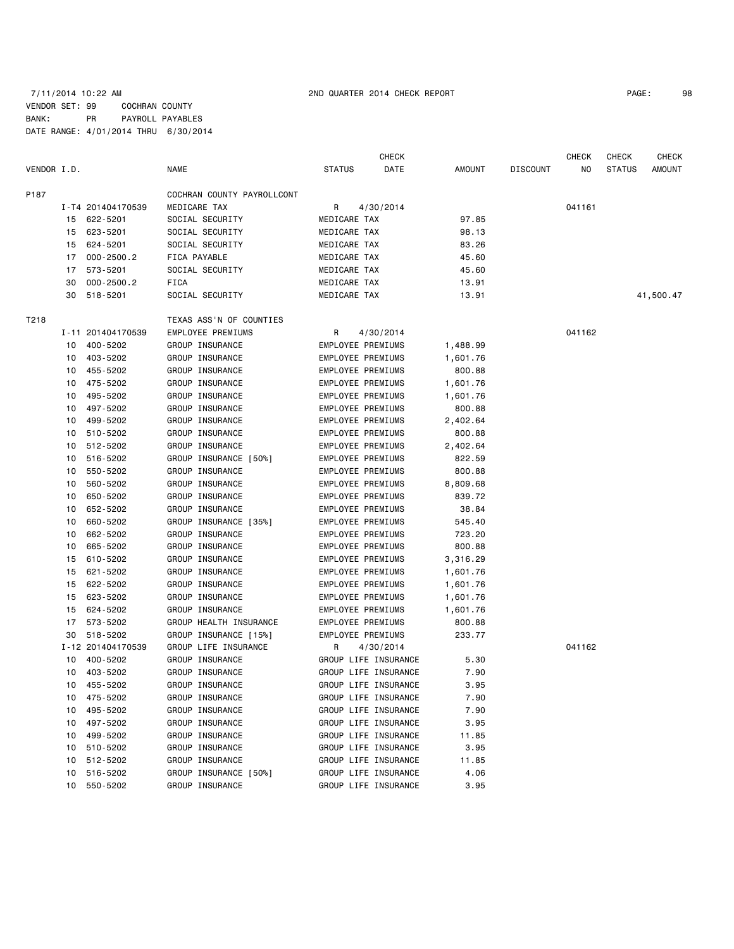# 7/11/2014 10:22 AM 2ND QUARTER 2014 CHECK REPORT PAGE: 98 VENDOR SET: 99 COCHRAN COUNTY BANK: PR PAYROLL PAYABLES DATE RANGE: 4/01/2014 THRU 6/30/2014

| VENDOR I.D. |    |                      | <b>NAME</b>                | <b>STATUS</b>     | <b>CHECK</b><br>DATE                         | AMOUNT   | <b>DISCOUNT</b> | CHECK<br>NO. | CHECK<br><b>STATUS</b> | <b>CHECK</b><br>AMOUNT |
|-------------|----|----------------------|----------------------------|-------------------|----------------------------------------------|----------|-----------------|--------------|------------------------|------------------------|
| P187        |    |                      | COCHRAN COUNTY PAYROLLCONT |                   |                                              |          |                 |              |                        |                        |
|             |    | I-T4 201404170539    | MEDICARE TAX               | R                 | 4/30/2014                                    |          |                 | 041161       |                        |                        |
|             |    | 15 622-5201          | SOCIAL SECURITY            | MEDICARE TAX      |                                              | 97.85    |                 |              |                        |                        |
|             | 15 | 623-5201             | SOCIAL SECURITY            | MEDICARE TAX      |                                              | 98.13    |                 |              |                        |                        |
|             | 15 | 624-5201             | SOCIAL SECURITY            | MEDICARE TAX      |                                              | 83.26    |                 |              |                        |                        |
|             | 17 | $000 - 2500.2$       | FICA PAYABLE               | MEDICARE TAX      |                                              | 45.60    |                 |              |                        |                        |
|             | 17 | 573-5201             | SOCIAL SECURITY            | MEDICARE TAX      |                                              | 45.60    |                 |              |                        |                        |
|             | 30 | $000 - 2500.2$       | FICA                       | MEDICARE TAX      |                                              | 13.91    |                 |              |                        |                        |
|             | 30 | 518-5201             | SOCIAL SECURITY            | MEDICARE TAX      |                                              | 13.91    |                 |              |                        | 41,500.47              |
|             |    |                      |                            |                   |                                              |          |                 |              |                        |                        |
| T218        |    |                      | TEXAS ASS'N OF COUNTIES    |                   |                                              |          |                 |              |                        |                        |
|             |    | I-11 201404170539    | EMPLOYEE PREMIUMS          | R                 | 4/30/2014                                    |          |                 | 041162       |                        |                        |
|             | 10 | 400-5202             | GROUP INSURANCE            | EMPLOYEE PREMIUMS |                                              | 1,488.99 |                 |              |                        |                        |
|             | 10 | 403-5202             | GROUP INSURANCE            | EMPLOYEE PREMIUMS |                                              | 1,601.76 |                 |              |                        |                        |
|             |    | 10 455-5202          | GROUP INSURANCE            | EMPLOYEE PREMIUMS |                                              | 800.88   |                 |              |                        |                        |
|             | 10 | 475-5202             | GROUP INSURANCE            | EMPLOYEE PREMIUMS |                                              | 1,601.76 |                 |              |                        |                        |
|             | 10 | 495-5202             | GROUP INSURANCE            | EMPLOYEE PREMIUMS |                                              | 1,601.76 |                 |              |                        |                        |
|             | 10 | 497-5202             | GROUP INSURANCE            | EMPLOYEE PREMIUMS |                                              | 800.88   |                 |              |                        |                        |
|             | 10 | 499-5202             | GROUP INSURANCE            | EMPLOYEE PREMIUMS |                                              | 2,402.64 |                 |              |                        |                        |
|             | 10 | 510-5202             | GROUP INSURANCE            | EMPLOYEE PREMIUMS |                                              | 800.88   |                 |              |                        |                        |
|             | 10 | 512-5202             | GROUP INSURANCE            | EMPLOYEE PREMIUMS |                                              | 2,402.64 |                 |              |                        |                        |
|             | 10 | 516-5202             | GROUP INSURANCE [50%]      | EMPLOYEE PREMIUMS |                                              | 822.59   |                 |              |                        |                        |
|             | 10 | 550-5202             | GROUP INSURANCE            | EMPLOYEE PREMIUMS |                                              | 800.88   |                 |              |                        |                        |
|             | 10 | 560-5202             | GROUP INSURANCE            | EMPLOYEE PREMIUMS |                                              | 8,809.68 |                 |              |                        |                        |
|             | 10 | 650-5202             | GROUP INSURANCE            | EMPLOYEE PREMIUMS |                                              | 839.72   |                 |              |                        |                        |
|             | 10 | 652-5202             | GROUP INSURANCE            | EMPLOYEE PREMIUMS |                                              | 38.84    |                 |              |                        |                        |
|             | 10 | 660-5202             | GROUP INSURANCE [35%]      | EMPLOYEE PREMIUMS |                                              | 545.40   |                 |              |                        |                        |
|             | 10 | 662-5202             | GROUP INSURANCE            | EMPLOYEE PREMIUMS |                                              | 723.20   |                 |              |                        |                        |
|             | 10 | 665-5202             | GROUP INSURANCE            | EMPLOYEE PREMIUMS |                                              | 800.88   |                 |              |                        |                        |
|             | 15 | 610-5202             | GROUP INSURANCE            | EMPLOYEE PREMIUMS |                                              | 3,316.29 |                 |              |                        |                        |
|             | 15 | 621-5202             | GROUP INSURANCE            | EMPLOYEE PREMIUMS |                                              | 1,601.76 |                 |              |                        |                        |
|             | 15 | 622-5202             | GROUP INSURANCE            | EMPLOYEE PREMIUMS |                                              | 1,601.76 |                 |              |                        |                        |
|             | 15 | 623-5202             | GROUP INSURANCE            | EMPLOYEE PREMIUMS |                                              | 1,601.76 |                 |              |                        |                        |
|             | 15 | 624-5202             | GROUP INSURANCE            | EMPLOYEE PREMIUMS |                                              | 1,601.76 |                 |              |                        |                        |
|             | 17 | 573-5202             | GROUP HEALTH INSURANCE     | EMPLOYEE PREMIUMS |                                              | 800.88   |                 |              |                        |                        |
|             | 30 | 518-5202             | GROUP INSURANCE [15%]      | EMPLOYEE PREMIUMS |                                              | 233.77   |                 |              |                        |                        |
|             |    | I-12 201404170539    | GROUP LIFE INSURANCE       | R                 | 4/30/2014                                    |          |                 | 041162       |                        |                        |
|             | 10 | 400-5202             | GROUP INSURANCE            |                   | GROUP LIFE INSURANCE                         | 5.30     |                 |              |                        |                        |
|             |    | 10 403-5202          | GROUP INSURANCE            |                   | GROUP LIFE INSURANCE                         | 7.90     |                 |              |                        |                        |
|             |    | 10 455-5202          | GROUP INSURANCE            |                   | GROUP LIFE INSURANCE                         | 3.95     |                 |              |                        |                        |
|             | 10 | 475-5202             | GROUP INSURANCE            |                   | GROUP LIFE INSURANCE                         | 7.90     |                 |              |                        |                        |
|             | 10 | 495-5202             | GROUP INSURANCE            |                   | GROUP LIFE INSURANCE                         | 7.90     |                 |              |                        |                        |
|             |    | 10 497-5202          | GROUP INSURANCE            |                   | GROUP LIFE INSURANCE                         | 3.95     |                 |              |                        |                        |
|             | 10 | 499-5202             | GROUP INSURANCE            |                   | GROUP LIFE INSURANCE                         | 11.85    |                 |              |                        |                        |
|             |    | 10 510-5202          | GROUP INSURANCE            |                   | GROUP LIFE INSURANCE                         | 3.95     |                 |              |                        |                        |
|             | 10 | 512-5202             | GROUP INSURANCE            |                   | GROUP LIFE INSURANCE                         | 11.85    |                 |              |                        |                        |
|             | 10 |                      |                            |                   |                                              |          |                 |              |                        |                        |
|             |    | 516-5202<br>550-5202 | GROUP INSURANCE [50%]      |                   | GROUP LIFE INSURANCE<br>GROUP LIFE INSURANCE | 4.06     |                 |              |                        |                        |
|             | 10 |                      | GROUP INSURANCE            |                   |                                              | 3.95     |                 |              |                        |                        |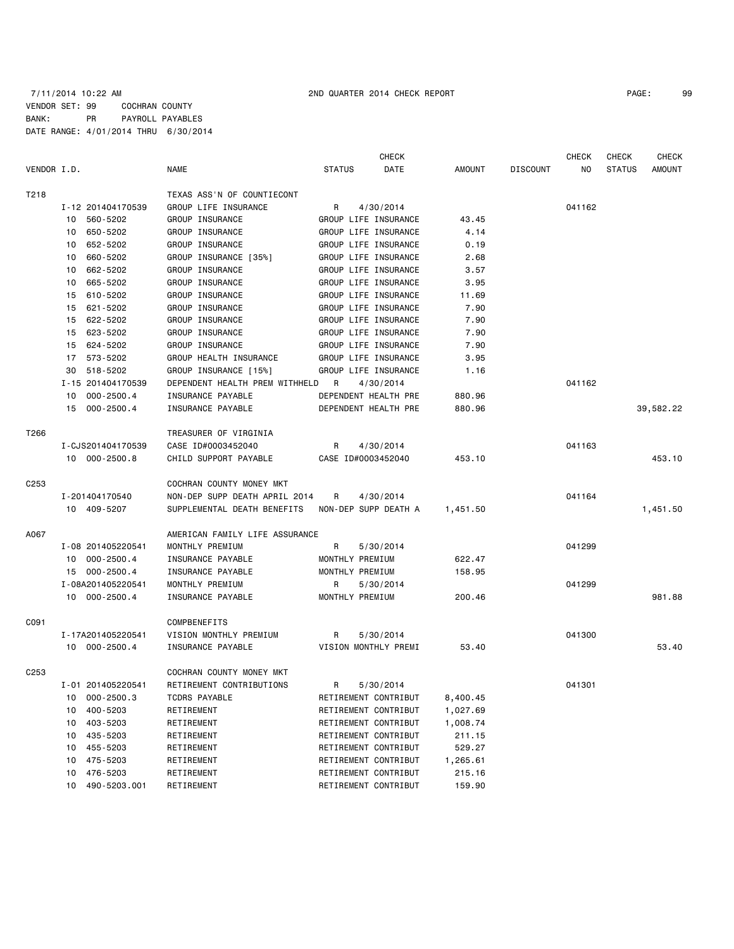# 7/11/2014 10:22 AM 2ND QUARTER 2014 CHECK REPORT PAGE: 99 VENDOR SET: 99 COCHRAN COUNTY BANK: PR PAYROLL PAYABLES DATE RANGE: 4/01/2014 THRU 6/30/2014

|                  |                      |                                | CHECK                 |               |                 | <b>CHECK</b> | CHECK         | <b>CHECK</b>  |
|------------------|----------------------|--------------------------------|-----------------------|---------------|-----------------|--------------|---------------|---------------|
| VENDOR I.D.      |                      | <b>NAME</b>                    | <b>STATUS</b><br>DATE | <b>AMOUNT</b> | <b>DISCOUNT</b> | NO.          | <b>STATUS</b> | <b>AMOUNT</b> |
| T218             |                      | TEXAS ASS'N OF COUNTIECONT     |                       |               |                 |              |               |               |
|                  | I-12 201404170539    | GROUP LIFE INSURANCE           | R<br>4/30/2014        |               |                 | 041162       |               |               |
|                  | 560-5202<br>10       | GROUP INSURANCE                | GROUP LIFE INSURANCE  | 43.45         |                 |              |               |               |
|                  | 10 650-5202          | GROUP INSURANCE                | GROUP LIFE INSURANCE  | 4.14          |                 |              |               |               |
|                  | 652-5202<br>10       | GROUP INSURANCE                | GROUP LIFE INSURANCE  | 0.19          |                 |              |               |               |
|                  | 660-5202<br>10       | GROUP INSURANCE [35%]          | GROUP LIFE INSURANCE  | 2.68          |                 |              |               |               |
|                  | 662-5202<br>10       | GROUP INSURANCE                | GROUP LIFE INSURANCE  | 3.57          |                 |              |               |               |
|                  | 10 665-5202          | GROUP INSURANCE                | GROUP LIFE INSURANCE  | 3.95          |                 |              |               |               |
|                  | 610-5202<br>15       | GROUP INSURANCE                | GROUP LIFE INSURANCE  | 11.69         |                 |              |               |               |
|                  | 15 621-5202          | GROUP INSURANCE                | GROUP LIFE INSURANCE  | 7.90          |                 |              |               |               |
|                  | 15 622-5202          | <b>GROUP INSURANCE</b>         | GROUP LIFE INSURANCE  | 7.90          |                 |              |               |               |
|                  | 15 623-5202          | GROUP INSURANCE                | GROUP LIFE INSURANCE  | 7.90          |                 |              |               |               |
|                  | 15 624-5202          | GROUP INSURANCE                | GROUP LIFE INSURANCE  | 7.90          |                 |              |               |               |
|                  | 573-5202<br>17       | GROUP HEALTH INSURANCE         | GROUP LIFE INSURANCE  | 3.95          |                 |              |               |               |
|                  | 30<br>518-5202       | GROUP INSURANCE [15%]          | GROUP LIFE INSURANCE  | 1.16          |                 |              |               |               |
|                  | I-15 201404170539    | DEPENDENT HEALTH PREM WITHHELD | - R<br>4/30/2014      |               |                 | 041162       |               |               |
|                  | $000 - 2500.4$<br>10 | INSURANCE PAYABLE              | DEPENDENT HEALTH PRE  | 880.96        |                 |              |               |               |
|                  | 15 000-2500.4        | INSURANCE PAYABLE              | DEPENDENT HEALTH PRE  | 880.96        |                 |              |               | 39,582.22     |
|                  |                      |                                |                       |               |                 |              |               |               |
| T266             |                      | TREASURER OF VIRGINIA          |                       |               |                 |              |               |               |
|                  | I-CJS201404170539    | CASE ID#0003452040             | R<br>4/30/2014        |               |                 | 041163       |               |               |
|                  | 10 000-2500.8        | CHILD SUPPORT PAYABLE          | CASE ID#0003452040    | 453.10        |                 |              |               | 453.10        |
| C <sub>253</sub> |                      | COCHRAN COUNTY MONEY MKT       |                       |               |                 |              |               |               |
|                  | I-201404170540       | NON-DEP SUPP DEATH APRIL 2014  | R<br>4/30/2014        |               |                 | 041164       |               |               |
|                  | 10 409-5207          | SUPPLEMENTAL DEATH BENEFITS    |                       |               |                 |              |               |               |
|                  |                      |                                | NON-DEP SUPP DEATH A  | 1,451.50      |                 |              |               | 1,451.50      |
| A067             |                      | AMERICAN FAMILY LIFE ASSURANCE |                       |               |                 |              |               |               |
|                  | I-08 201405220541    | MONTHLY PREMIUM                | R<br>5/30/2014        |               |                 | 041299       |               |               |
|                  | 10 000-2500.4        | INSURANCE PAYABLE              | MONTHLY PREMIUM       | 622.47        |                 |              |               |               |
|                  | 15 000-2500.4        | INSURANCE PAYABLE              | MONTHLY PREMIUM       | 158.95        |                 |              |               |               |
|                  | I-08A201405220541    | MONTHLY PREMIUM                | R<br>5/30/2014        |               |                 | 041299       |               |               |
|                  | 10 000-2500.4        | INSURANCE PAYABLE              | MONTHLY PREMIUM       | 200.46        |                 |              |               | 981.88        |
| C091             |                      | COMPBENEFITS                   |                       |               |                 |              |               |               |
|                  | I-17A201405220541    | VISION MONTHLY PREMIUM         | R<br>5/30/2014        |               |                 | 041300       |               |               |
|                  | 10 000-2500.4        | INSURANCE PAYABLE              | VISION MONTHLY PREMI  | 53.40         |                 |              |               | 53.40         |
|                  |                      |                                |                       |               |                 |              |               |               |
| C253             |                      | COCHRAN COUNTY MONEY MKT       |                       |               |                 |              |               |               |
|                  | I-01 201405220541    | RETIREMENT CONTRIBUTIONS       | R<br>5/30/2014        |               |                 | 041301       |               |               |
|                  | $000 - 2500.3$<br>10 | TCDRS PAYABLE                  | RETIREMENT CONTRIBUT  | 8,400.45      |                 |              |               |               |
|                  | 400-5203<br>10       | RETIREMENT                     | RETIREMENT CONTRIBUT  | 1,027.69      |                 |              |               |               |
|                  | 403-5203<br>10       | RETIREMENT                     | RETIREMENT CONTRIBUT  | 1,008.74      |                 |              |               |               |
|                  | 435-5203<br>10       | RETIREMENT                     | RETIREMENT CONTRIBUT  | 211.15        |                 |              |               |               |
|                  | 455-5203<br>10       | RETIREMENT                     | RETIREMENT CONTRIBUT  | 529.27        |                 |              |               |               |
|                  | 475-5203<br>10       | RETIREMENT                     | RETIREMENT CONTRIBUT  | 1,265.61      |                 |              |               |               |
|                  | 476-5203<br>10       | RETIREMENT                     | RETIREMENT CONTRIBUT  | 215.16        |                 |              |               |               |
|                  | 10 490-5203.001      | RETIREMENT                     | RETIREMENT CONTRIBUT  | 159.90        |                 |              |               |               |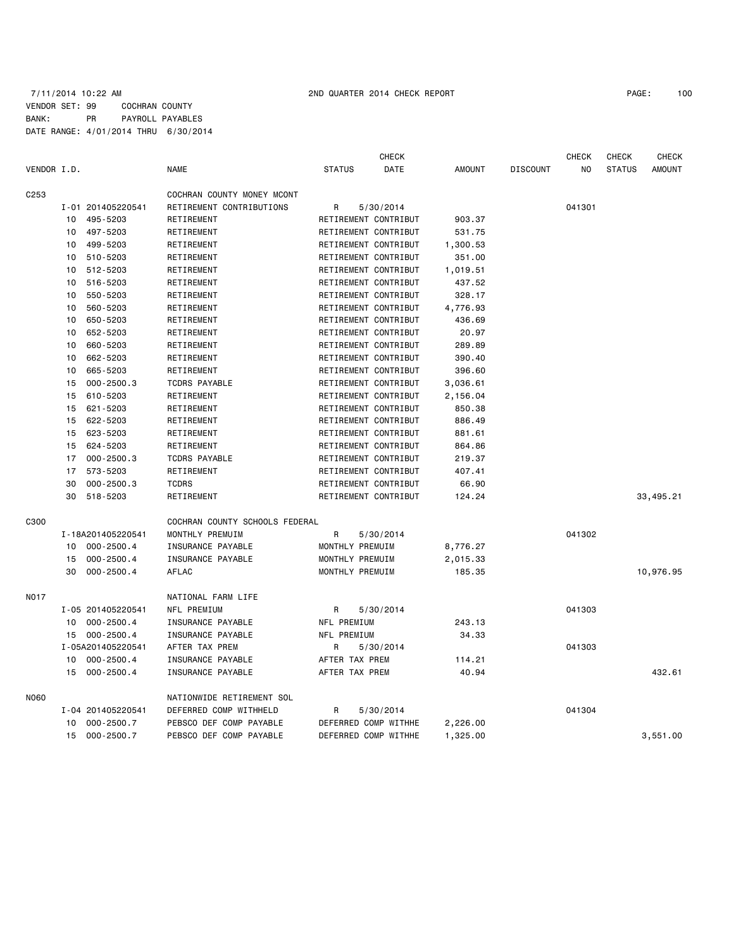# 7/11/2014 10:22 AM 2ND QUARTER 2014 CHECK REPORT PAGE: 100 VENDOR SET: 99 COCHRAN COUNTY BANK: PR PAYROLL PAYABLES DATE RANGE: 4/01/2014 THRU 6/30/2014

CHECK CHECK CHECK CHECK CHECK

| VENDOR I.D.      |    |                   | <b>NAME</b>                    | <b>STATUS</b>        | DATE      | AMOUNT   | <b>DISCOUNT</b> | NO.    | <b>STATUS</b> | AMOUNT    |
|------------------|----|-------------------|--------------------------------|----------------------|-----------|----------|-----------------|--------|---------------|-----------|
| C <sub>253</sub> |    |                   | COCHRAN COUNTY MONEY MCONT     |                      |           |          |                 |        |               |           |
|                  |    | I-01 201405220541 | RETIREMENT CONTRIBUTIONS       | R                    | 5/30/2014 |          |                 | 041301 |               |           |
|                  | 10 | 495-5203          | RETIREMENT                     | RETIREMENT CONTRIBUT |           | 903.37   |                 |        |               |           |
|                  |    | 10 497-5203       | RETIREMENT                     | RETIREMENT CONTRIBUT |           | 531.75   |                 |        |               |           |
|                  | 10 | 499-5203          | RETIREMENT                     | RETIREMENT CONTRIBUT |           | 1,300.53 |                 |        |               |           |
|                  | 10 | 510-5203          | RETIREMENT                     | RETIREMENT CONTRIBUT |           | 351.00   |                 |        |               |           |
|                  | 10 | 512-5203          | RETIREMENT                     | RETIREMENT CONTRIBUT |           | 1,019.51 |                 |        |               |           |
|                  | 10 | 516-5203          | RETIREMENT                     | RETIREMENT CONTRIBUT |           | 437.52   |                 |        |               |           |
|                  | 10 | 550-5203          | RETIREMENT                     | RETIREMENT CONTRIBUT |           | 328.17   |                 |        |               |           |
|                  | 10 | 560-5203          | RETIREMENT                     | RETIREMENT CONTRIBUT |           | 4,776.93 |                 |        |               |           |
|                  | 10 | 650-5203          | RETIREMENT                     | RETIREMENT CONTRIBUT |           | 436.69   |                 |        |               |           |
|                  | 10 | 652-5203          | RETIREMENT                     | RETIREMENT CONTRIBUT |           | 20.97    |                 |        |               |           |
|                  | 10 | 660-5203          | RETIREMENT                     | RETIREMENT CONTRIBUT |           | 289.89   |                 |        |               |           |
|                  | 10 | 662-5203          | RETIREMENT                     | RETIREMENT CONTRIBUT |           | 390.40   |                 |        |               |           |
|                  | 10 | 665-5203          | RETIREMENT                     | RETIREMENT CONTRIBUT |           | 396.60   |                 |        |               |           |
|                  | 15 | $000 - 2500.3$    | TCDRS PAYABLE                  | RETIREMENT CONTRIBUT |           | 3,036.61 |                 |        |               |           |
|                  | 15 | 610-5203          | RETIREMENT                     | RETIREMENT CONTRIBUT |           | 2,156.04 |                 |        |               |           |
|                  | 15 | 621-5203          | RETIREMENT                     | RETIREMENT CONTRIBUT |           | 850.38   |                 |        |               |           |
|                  | 15 | 622-5203          | RETIREMENT                     | RETIREMENT CONTRIBUT |           | 886.49   |                 |        |               |           |
|                  | 15 | 623-5203          | RETIREMENT                     | RETIREMENT CONTRIBUT |           | 881.61   |                 |        |               |           |
|                  | 15 | 624-5203          | RETIREMENT                     | RETIREMENT CONTRIBUT |           | 864.86   |                 |        |               |           |
|                  | 17 | $000 - 2500.3$    | TCDRS PAYABLE                  | RETIREMENT CONTRIBUT |           | 219.37   |                 |        |               |           |
|                  | 17 | 573-5203          | RETIREMENT                     | RETIREMENT CONTRIBUT |           | 407.41   |                 |        |               |           |
|                  | 30 | $000 - 2500.3$    | <b>TCDRS</b>                   | RETIREMENT CONTRIBUT |           | 66.90    |                 |        |               |           |
|                  | 30 | 518-5203          | RETIREMENT                     | RETIREMENT CONTRIBUT |           | 124.24   |                 |        |               | 33,495.21 |
|                  |    |                   |                                |                      |           |          |                 |        |               |           |
| C300             |    |                   | COCHRAN COUNTY SCHOOLS FEDERAL |                      |           |          |                 |        |               |           |
|                  |    | I-18A201405220541 | MONTHLY PREMUIM                | R                    | 5/30/2014 |          |                 | 041302 |               |           |
|                  |    | 10 000-2500.4     | INSURANCE PAYABLE              | MONTHLY PREMUIM      |           | 8,776.27 |                 |        |               |           |
|                  | 15 | $000 - 2500.4$    | INSURANCE PAYABLE              | MONTHLY PREMUIM      |           | 2,015.33 |                 |        |               |           |
|                  | 30 | $000 - 2500.4$    | AFLAC                          | MONTHLY PREMUIM      |           | 185.35   |                 |        |               | 10,976.95 |
| <b>NO17</b>      |    |                   | NATIONAL FARM LIFE             |                      |           |          |                 |        |               |           |
|                  |    | I-05 201405220541 | NFL PREMIUM                    | R                    | 5/30/2014 |          |                 | 041303 |               |           |
|                  |    | 10 000-2500.4     | INSURANCE PAYABLE              | NFL PREMIUM          |           | 243.13   |                 |        |               |           |
|                  |    | 15 000-2500.4     | INSURANCE PAYABLE              | NFL PREMIUM          |           | 34.33    |                 |        |               |           |
|                  |    | I-05A201405220541 | AFTER TAX PREM                 | R                    | 5/30/2014 |          |                 | 041303 |               |           |
|                  |    | 10 000-2500.4     | INSURANCE PAYABLE              | AFTER TAX PREM       |           | 114.21   |                 |        |               |           |
|                  | 15 | 000-2500.4        | INSURANCE PAYABLE              | AFTER TAX PREM       |           | 40.94    |                 |        |               | 432.61    |
| N060             |    |                   | NATIONWIDE RETIREMENT SOL      |                      |           |          |                 |        |               |           |
|                  |    | I-04 201405220541 | DEFERRED COMP WITHHELD         | R                    | 5/30/2014 |          |                 | 041304 |               |           |
|                  | 10 | 000-2500.7        | PEBSCO DEF COMP PAYABLE        | DEFERRED COMP WITHHE |           | 2,226.00 |                 |        |               |           |
|                  |    | 15 000-2500.7     | PEBSCO DEF COMP PAYABLE        | DEFERRED COMP WITHHE |           | 1,325.00 |                 |        |               | 3,551.00  |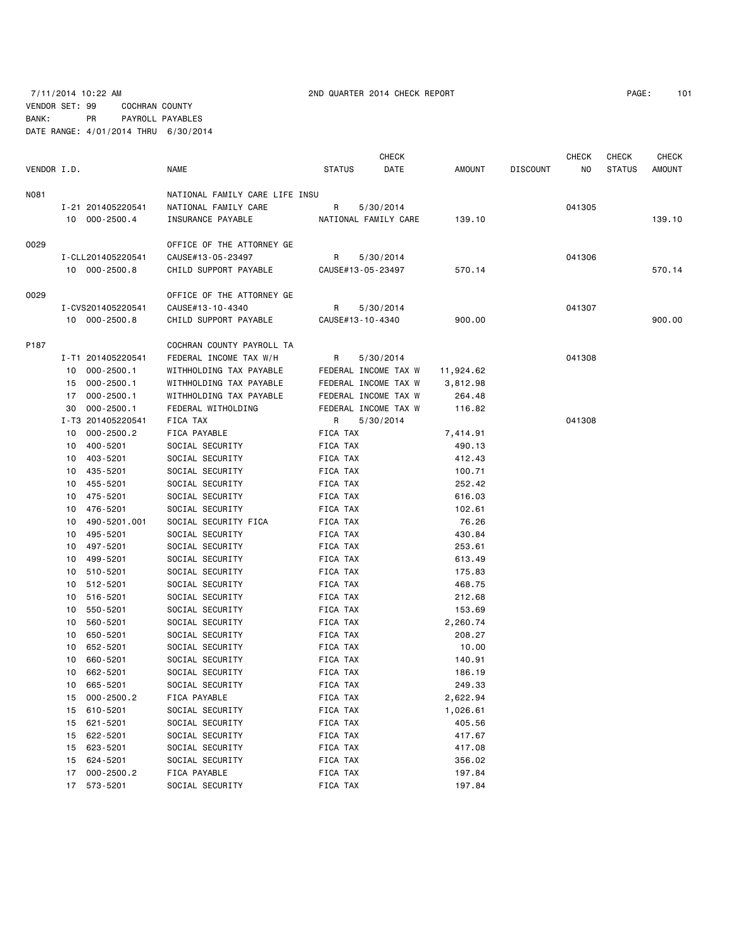# 7/11/2014 10:22 AM 2ND QUARTER 2014 CHECK REPORT PAGE: 101 VENDOR SET: 99 COCHRAN COUNTY

BANK: PR PAYROLL PAYABLES DATE RANGE: 4/01/2014 THRU 6/30/2014

|             |          |                      |                                    | <b>CHECK</b>         |                      |                 |                 |        | <b>CHECK</b>  | <b>CHECK</b>  |
|-------------|----------|----------------------|------------------------------------|----------------------|----------------------|-----------------|-----------------|--------|---------------|---------------|
| VENDOR I.D. |          |                      | <b>NAME</b>                        | <b>STATUS</b>        | DATE                 | AMOUNT          | <b>DISCOUNT</b> | NO.    | <b>STATUS</b> | <b>AMOUNT</b> |
| N081        |          |                      | NATIONAL FAMILY CARE LIFE INSU     |                      |                      |                 |                 |        |               |               |
|             |          | I-21 201405220541    | NATIONAL FAMILY CARE               | R                    | 5/30/2014            |                 |                 | 041305 |               |               |
|             |          | 10 000-2500.4        | INSURANCE PAYABLE                  |                      | NATIONAL FAMILY CARE | 139.10          |                 |        |               | 139.10        |
| 0029        |          |                      | OFFICE OF THE ATTORNEY GE          |                      |                      |                 |                 |        |               |               |
|             |          | I-CLL201405220541    | CAUSE#13-05-23497                  | R                    | 5/30/2014            |                 |                 | 041306 |               |               |
|             |          | 10 000-2500.8        | CHILD SUPPORT PAYABLE              |                      | CAUSE#13-05-23497    | 570.14          |                 |        |               | 570.14        |
| 0029        |          |                      | OFFICE OF THE ATTORNEY GE          |                      |                      |                 |                 |        |               |               |
|             |          | I-CVS201405220541    | CAUSE#13-10-4340                   | R                    | 5/30/2014            |                 |                 | 041307 |               |               |
|             |          | 10 000-2500.8        | CHILD SUPPORT PAYABLE              | CAUSE#13-10-4340     |                      | 900.00          |                 |        |               | 900.00        |
| P187        |          |                      | COCHRAN COUNTY PAYROLL TA          |                      |                      |                 |                 |        |               |               |
|             |          | I-T1 201405220541    | FEDERAL INCOME TAX W/H             | R                    | 5/30/2014            |                 |                 | 041308 |               |               |
|             |          | 10 000-2500.1        | WITHHOLDING TAX PAYABLE            |                      | FEDERAL INCOME TAX W | 11,924.62       |                 |        |               |               |
|             | 15       | 000-2500.1           | WITHHOLDING TAX PAYABLE            |                      | FEDERAL INCOME TAX W | 3,812.98        |                 |        |               |               |
|             | 17       | $000 - 2500.1$       | WITHHOLDING TAX PAYABLE            |                      | FEDERAL INCOME TAX W | 264.48          |                 |        |               |               |
|             | 30       | $000 - 2500.1$       | FEDERAL WITHOLDING                 |                      | FEDERAL INCOME TAX W | 116.82          |                 |        |               |               |
|             |          | I-T3 201405220541    | FICA TAX                           | R                    | 5/30/2014            |                 |                 | 041308 |               |               |
|             | 10       | $000 - 2500.2$       | FICA PAYABLE                       | FICA TAX             |                      | 7,414.91        |                 |        |               |               |
|             | 10       | 400-5201             | SOCIAL SECURITY                    | FICA TAX             |                      | 490.13          |                 |        |               |               |
|             | 10       | 403-5201             | SOCIAL SECURITY                    | FICA TAX             |                      | 412.43          |                 |        |               |               |
|             | 10       | 435-5201             | SOCIAL SECURITY                    | FICA TAX             |                      | 100.71          |                 |        |               |               |
|             | 10       | 455-5201             | SOCIAL SECURITY                    | FICA TAX             |                      | 252.42          |                 |        |               |               |
|             | 10       | 475-5201             | SOCIAL SECURITY                    | FICA TAX             |                      | 616.03          |                 |        |               |               |
|             | 10       | 476-5201             | SOCIAL SECURITY                    | FICA TAX             |                      | 102.61          |                 |        |               |               |
|             | 10       | 490-5201.001         | SOCIAL SECURITY FICA               | FICA TAX             |                      | 76.26           |                 |        |               |               |
|             | 10       | 495-5201             | SOCIAL SECURITY                    | FICA TAX             |                      | 430.84          |                 |        |               |               |
|             | 10       | 497-5201             | SOCIAL SECURITY                    | FICA TAX             |                      | 253.61          |                 |        |               |               |
|             | 10       | 499-5201             | SOCIAL SECURITY                    | FICA TAX             |                      | 613.49          |                 |        |               |               |
|             | 10       | 510-5201             | SOCIAL SECURITY                    | FICA TAX             |                      | 175.83          |                 |        |               |               |
|             | 10       | 512-5201             | SOCIAL SECURITY                    | FICA TAX             |                      | 468.75          |                 |        |               |               |
|             | 10       | 516-5201             | SOCIAL SECURITY                    | FICA TAX             |                      | 212.68          |                 |        |               |               |
|             | 10       | 550-5201             | SOCIAL SECURITY                    | FICA TAX             |                      | 153.69          |                 |        |               |               |
|             | 10       | 560-5201             | SOCIAL SECURITY                    | FICA TAX             |                      | 2,260.74        |                 |        |               |               |
|             | 10       | 650-5201             | SOCIAL SECURITY                    | FICA TAX             |                      | 208.27          |                 |        |               |               |
|             | 10<br>10 | 652-5201<br>660-5201 | SOCIAL SECURITY<br>SOCIAL SECURITY | FICA TAX<br>FICA TAX |                      | 10.00<br>140.91 |                 |        |               |               |
|             | 10       | 662-5201             | SOCIAL SECURITY                    | FICA TAX             |                      | 186.19          |                 |        |               |               |
|             |          | 10 665-5201          | SOCIAL SECURITY                    | FICA TAX             |                      | 249.33          |                 |        |               |               |
|             | 15       | 000-2500.2           | FICA PAYABLE                       | FICA TAX             |                      | 2,622.94        |                 |        |               |               |
|             | 15       | 610-5201             | SOCIAL SECURITY                    | FICA TAX             |                      | 1,026.61        |                 |        |               |               |
|             | 15       | 621-5201             | SOCIAL SECURITY                    | FICA TAX             |                      | 405.56          |                 |        |               |               |
|             | 15       | 622-5201             | SOCIAL SECURITY                    | FICA TAX             |                      | 417.67          |                 |        |               |               |
|             | 15       | 623-5201             | SOCIAL SECURITY                    | FICA TAX             |                      | 417.08          |                 |        |               |               |
|             | 15       | 624-5201             | SOCIAL SECURITY                    | FICA TAX             |                      | 356.02          |                 |        |               |               |
|             | 17       | $000 - 2500.2$       | FICA PAYABLE                       | FICA TAX             |                      | 197.84          |                 |        |               |               |
|             | 17       | 573-5201             | SOCIAL SECURITY                    | FICA TAX             |                      | 197.84          |                 |        |               |               |
|             |          |                      |                                    |                      |                      |                 |                 |        |               |               |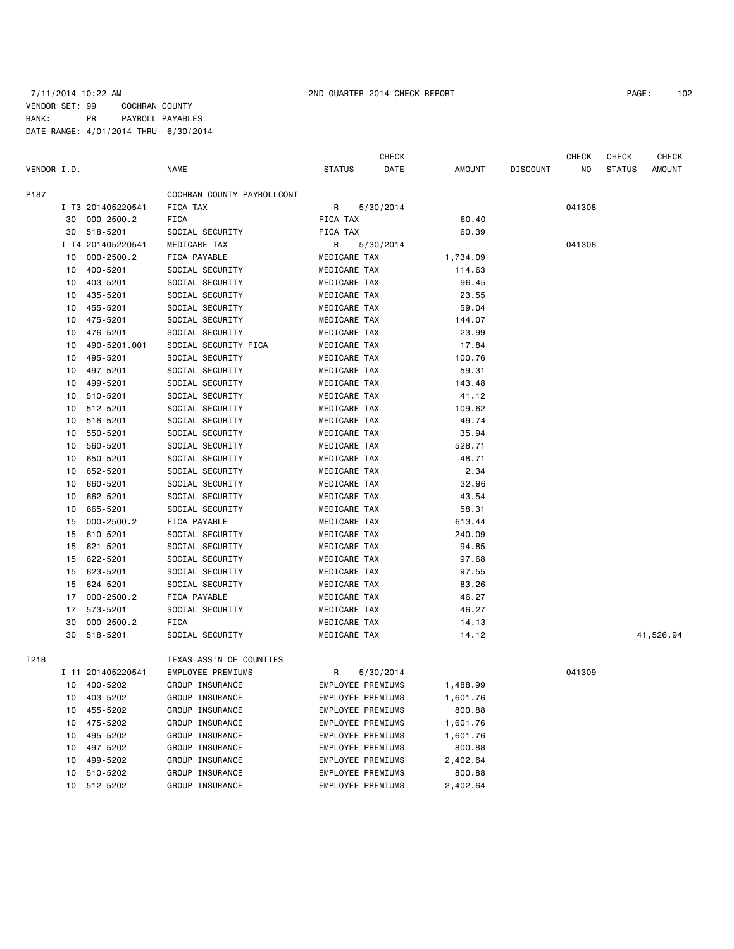|             |    |                   |                            |                          | CHECK     |          |                 | CHECK  | CHECK         | <b>CHECK</b> |
|-------------|----|-------------------|----------------------------|--------------------------|-----------|----------|-----------------|--------|---------------|--------------|
| VENDOR I.D. |    |                   | NAME                       | <b>STATUS</b>            | DATE      | AMOUNT   | <b>DISCOUNT</b> | NO     | <b>STATUS</b> | AMOUNT       |
| P187        |    |                   | COCHRAN COUNTY PAYROLLCONT |                          |           |          |                 |        |               |              |
|             |    | I-T3 201405220541 | FICA TAX                   | R                        | 5/30/2014 |          |                 | 041308 |               |              |
|             | 30 | $000 - 2500.2$    | FICA                       | FICA TAX                 |           | 60.40    |                 |        |               |              |
|             | 30 | 518-5201          | SOCIAL SECURITY            | <b>FICA TAX</b>          |           | 60.39    |                 |        |               |              |
|             |    | I-T4 201405220541 | MEDICARE TAX               | R                        | 5/30/2014 |          |                 | 041308 |               |              |
|             | 10 | $000 - 2500.2$    | FICA PAYABLE               | MEDICARE TAX             |           | 1,734.09 |                 |        |               |              |
|             | 10 | 400-5201          | SOCIAL SECURITY            | MEDICARE TAX             |           | 114.63   |                 |        |               |              |
|             | 10 | 403-5201          | SOCIAL SECURITY            | MEDICARE TAX             |           | 96.45    |                 |        |               |              |
|             | 10 | 435-5201          | SOCIAL SECURITY            | MEDICARE TAX             |           | 23.55    |                 |        |               |              |
|             | 10 | 455-5201          | SOCIAL SECURITY            | MEDICARE TAX             |           | 59.04    |                 |        |               |              |
|             | 10 | 475-5201          | SOCIAL SECURITY            | MEDICARE TAX             |           | 144.07   |                 |        |               |              |
|             | 10 | 476-5201          | SOCIAL SECURITY            | MEDICARE TAX             |           | 23.99    |                 |        |               |              |
|             | 10 | 490-5201.001      | SOCIAL SECURITY FICA       | MEDICARE TAX             |           | 17.84    |                 |        |               |              |
|             | 10 | 495-5201          | SOCIAL SECURITY            | MEDICARE TAX             |           | 100.76   |                 |        |               |              |
|             | 10 | 497-5201          | SOCIAL SECURITY            | MEDICARE TAX             |           | 59.31    |                 |        |               |              |
|             | 10 | 499-5201          | SOCIAL SECURITY            | MEDICARE TAX             |           | 143.48   |                 |        |               |              |
|             | 10 | 510-5201          | SOCIAL SECURITY            | MEDICARE TAX             |           | 41.12    |                 |        |               |              |
|             | 10 | 512-5201          | SOCIAL SECURITY            | MEDICARE TAX             |           | 109.62   |                 |        |               |              |
|             | 10 | 516-5201          | SOCIAL SECURITY            | MEDICARE TAX             |           | 49.74    |                 |        |               |              |
|             | 10 | 550-5201          | SOCIAL SECURITY            | MEDICARE TAX             |           | 35.94    |                 |        |               |              |
|             | 10 | 560-5201          | SOCIAL SECURITY            | MEDICARE TAX             |           | 528.71   |                 |        |               |              |
|             | 10 | 650-5201          | SOCIAL SECURITY            | MEDICARE TAX             |           | 48.71    |                 |        |               |              |
|             | 10 | 652-5201          | SOCIAL SECURITY            | MEDICARE TAX             |           | 2.34     |                 |        |               |              |
|             | 10 | 660-5201          | SOCIAL SECURITY            | MEDICARE TAX             |           | 32.96    |                 |        |               |              |
|             | 10 | 662-5201          | SOCIAL SECURITY            | MEDICARE TAX             |           | 43.54    |                 |        |               |              |
|             | 10 | 665-5201          | SOCIAL SECURITY            | MEDICARE TAX             |           | 58.31    |                 |        |               |              |
|             | 15 | $000 - 2500.2$    | FICA PAYABLE               | MEDICARE TAX             |           | 613.44   |                 |        |               |              |
|             | 15 | 610-5201          |                            |                          |           |          |                 |        |               |              |
|             |    |                   | SOCIAL SECURITY            | MEDICARE TAX             |           | 240.09   |                 |        |               |              |
|             | 15 | 621-5201          | SOCIAL SECURITY            | MEDICARE TAX             |           | 94.85    |                 |        |               |              |
|             | 15 | 622-5201          | SOCIAL SECURITY            | MEDICARE TAX             |           | 97.68    |                 |        |               |              |
|             | 15 | 623-5201          | SOCIAL SECURITY            | MEDICARE TAX             |           | 97.55    |                 |        |               |              |
|             | 15 | 624-5201          | SOCIAL SECURITY            | MEDICARE TAX             |           | 83.26    |                 |        |               |              |
|             | 17 | $000 - 2500.2$    | FICA PAYABLE               | MEDICARE TAX             |           | 46.27    |                 |        |               |              |
|             | 17 | 573-5201          | SOCIAL SECURITY            | MEDICARE TAX             |           | 46.27    |                 |        |               |              |
|             | 30 | $000 - 2500.2$    | FICA                       | MEDICARE TAX             |           | 14.13    |                 |        |               |              |
|             | 30 | 518-5201          | SOCIAL SECURITY            | MEDICARE TAX             |           | 14.12    |                 |        |               | 41,526.94    |
| T218        |    |                   | TEXAS ASS'N OF COUNTIES    |                          |           |          |                 |        |               |              |
|             |    | I-11 201405220541 | EMPLOYEE PREMIUMS          | R                        | 5/30/2014 |          |                 | 041309 |               |              |
|             |    | 10 400-5202       | GROUP INSURANCE            | <b>EMPLOYEE PREMIUMS</b> |           | 1,488.99 |                 |        |               |              |
|             | 10 | 403-5202          | GROUP INSURANCE            | EMPLOYEE PREMIUMS        |           | 1,601.76 |                 |        |               |              |
|             | 10 | 455-5202          | GROUP INSURANCE            | EMPLOYEE PREMIUMS        |           | 800.88   |                 |        |               |              |
|             | 10 | 475-5202          | GROUP INSURANCE            | EMPLOYEE PREMIUMS        |           | 1,601.76 |                 |        |               |              |
|             | 10 | 495-5202          | GROUP INSURANCE            | EMPLOYEE PREMIUMS        |           | 1,601.76 |                 |        |               |              |
|             | 10 | 497-5202          | GROUP INSURANCE            | EMPLOYEE PREMIUMS        |           | 800.88   |                 |        |               |              |
|             | 10 | 499-5202          | GROUP INSURANCE            | EMPLOYEE PREMIUMS        |           | 2,402.64 |                 |        |               |              |
|             | 10 | 510-5202          | GROUP INSURANCE            | EMPLOYEE PREMIUMS        |           | 800.88   |                 |        |               |              |
|             |    | 10 512-5202       | GROUP INSURANCE            | EMPLOYEE PREMIUMS        |           |          |                 |        |               |              |
|             |    |                   |                            |                          |           | 2,402.64 |                 |        |               |              |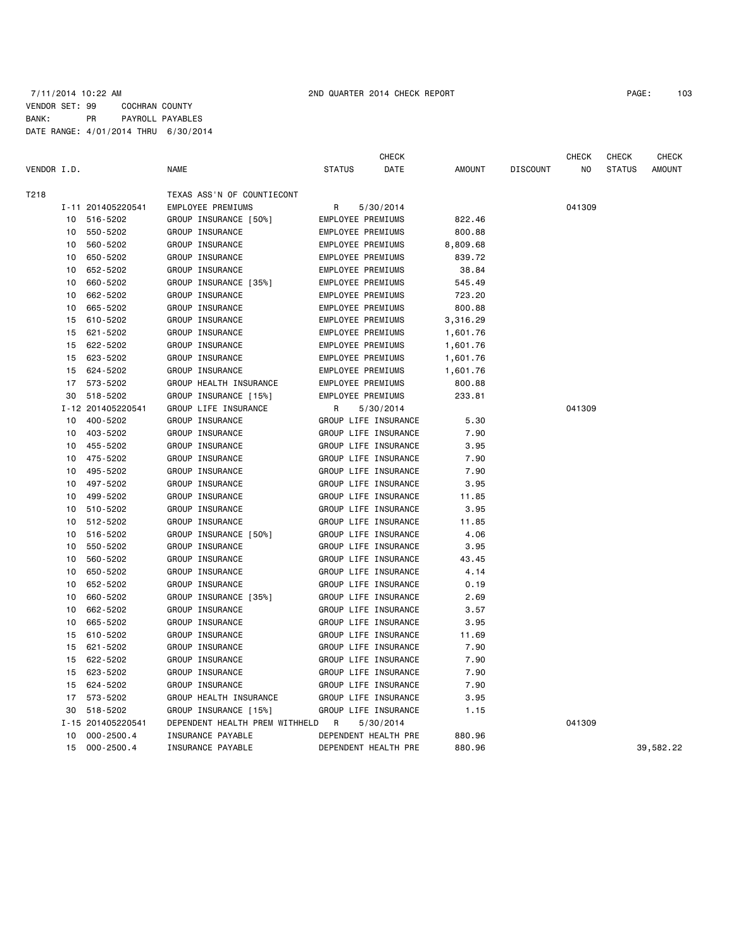|             |    |                   |                                | CHECK                    |          |                 | <b>CHECK</b> | <b>CHECK</b>  | <b>CHECK</b>  |
|-------------|----|-------------------|--------------------------------|--------------------------|----------|-----------------|--------------|---------------|---------------|
| VENDOR I.D. |    |                   | <b>NAME</b>                    | <b>STATUS</b><br>DATE    | AMOUNT   | <b>DISCOUNT</b> | NO.          | <b>STATUS</b> | <b>AMOUNT</b> |
| T218        |    |                   | TEXAS ASS'N OF COUNTIECONT     |                          |          |                 |              |               |               |
|             |    | I-11 201405220541 | EMPLOYEE PREMIUMS              | 5/30/2014<br>R           |          |                 | 041309       |               |               |
|             | 10 | 516-5202          | GROUP INSURANCE [50%]          | EMPLOYEE PREMIUMS        | 822.46   |                 |              |               |               |
|             | 10 | 550-5202          | GROUP INSURANCE                | <b>EMPLOYEE PREMIUMS</b> | 800.88   |                 |              |               |               |
|             | 10 | 560-5202          | GROUP INSURANCE                | EMPLOYEE PREMIUMS        | 8,809.68 |                 |              |               |               |
|             | 10 | 650-5202          | GROUP INSURANCE                | EMPLOYEE PREMIUMS        | 839.72   |                 |              |               |               |
|             | 10 | 652-5202          | GROUP INSURANCE                | EMPLOYEE PREMIUMS        | 38.84    |                 |              |               |               |
|             | 10 | 660-5202          | GROUP INSURANCE [35%]          | EMPLOYEE PREMIUMS        | 545.49   |                 |              |               |               |
|             | 10 | 662-5202          | GROUP INSURANCE                | EMPLOYEE PREMIUMS        | 723.20   |                 |              |               |               |
|             | 10 | 665-5202          | GROUP INSURANCE                | EMPLOYEE PREMIUMS        | 800.88   |                 |              |               |               |
|             | 15 | 610-5202          | GROUP INSURANCE                | <b>EMPLOYEE PREMIUMS</b> | 3,316.29 |                 |              |               |               |
|             | 15 | 621-5202          | GROUP INSURANCE                | EMPLOYEE PREMIUMS        | 1,601.76 |                 |              |               |               |
|             | 15 | 622-5202          | GROUP INSURANCE                | EMPLOYEE PREMIUMS        | 1,601.76 |                 |              |               |               |
|             | 15 | 623-5202          | GROUP INSURANCE                | EMPLOYEE PREMIUMS        | 1,601.76 |                 |              |               |               |
|             | 15 | 624-5202          | GROUP INSURANCE                | EMPLOYEE PREMIUMS        | 1,601.76 |                 |              |               |               |
|             | 17 | 573-5202          | GROUP HEALTH INSURANCE         | EMPLOYEE PREMIUMS        | 800.88   |                 |              |               |               |
|             | 30 | 518-5202          | GROUP INSURANCE [15%]          | EMPLOYEE PREMIUMS        | 233.81   |                 |              |               |               |
|             |    | I-12 201405220541 | GROUP LIFE INSURANCE           | R<br>5/30/2014           |          |                 | 041309       |               |               |
|             | 10 | 400-5202          | GROUP INSURANCE                | GROUP LIFE INSURANCE     | 5.30     |                 |              |               |               |
|             | 10 | 403-5202          | GROUP INSURANCE                | GROUP LIFE INSURANCE     | 7.90     |                 |              |               |               |
|             | 10 | 455-5202          | GROUP INSURANCE                | GROUP LIFE INSURANCE     | 3.95     |                 |              |               |               |
|             | 10 | 475-5202          | GROUP INSURANCE                | GROUP LIFE INSURANCE     | 7.90     |                 |              |               |               |
|             | 10 | 495-5202          | GROUP INSURANCE                | GROUP LIFE INSURANCE     | 7.90     |                 |              |               |               |
|             | 10 | 497-5202          | GROUP INSURANCE                | GROUP LIFE INSURANCE     | 3.95     |                 |              |               |               |
|             | 10 | 499-5202          | GROUP INSURANCE                | GROUP LIFE INSURANCE     | 11.85    |                 |              |               |               |
|             | 10 | 510-5202          | GROUP INSURANCE                | GROUP LIFE INSURANCE     | 3.95     |                 |              |               |               |
|             | 10 | 512-5202          | GROUP INSURANCE                | GROUP LIFE INSURANCE     | 11.85    |                 |              |               |               |
|             | 10 | 516-5202          | GROUP INSURANCE [50%]          | GROUP LIFE INSURANCE     | 4.06     |                 |              |               |               |
|             | 10 | 550-5202          | GROUP INSURANCE                | GROUP LIFE INSURANCE     | 3.95     |                 |              |               |               |
|             | 10 | 560-5202          | GROUP INSURANCE                | GROUP LIFE INSURANCE     | 43.45    |                 |              |               |               |
|             | 10 | 650-5202          | GROUP INSURANCE                | GROUP LIFE INSURANCE     | 4.14     |                 |              |               |               |
|             | 10 | 652-5202          | GROUP INSURANCE                | GROUP LIFE INSURANCE     | 0.19     |                 |              |               |               |
|             | 10 | 660-5202          | GROUP INSURANCE [35%]          | GROUP LIFE INSURANCE     | 2.69     |                 |              |               |               |
|             | 10 | 662-5202          | GROUP INSURANCE                | GROUP LIFE INSURANCE     | 3.57     |                 |              |               |               |
|             | 10 | 665-5202          | GROUP INSURANCE                | GROUP LIFE INSURANCE     | 3.95     |                 |              |               |               |
|             | 15 | 610-5202          | GROUP INSURANCE                | GROUP LIFE INSURANCE     | 11.69    |                 |              |               |               |
|             | 15 | 621-5202          | GROUP INSURANCE                | GROUP LIFE INSURANCE     | 7.90     |                 |              |               |               |
|             | 15 | 622-5202          | GROUP INSURANCE                | GROUP LIFE INSURANCE     | 7.90     |                 |              |               |               |
|             | 15 | 623-5202          | GROUP INSURANCE                | GROUP LIFE INSURANCE     | 7.90     |                 |              |               |               |
|             | 15 | 624-5202          | GROUP INSURANCE                | GROUP LIFE INSURANCE     | 7.90     |                 |              |               |               |
|             | 17 | 573-5202          | GROUP HEALTH INSURANCE         | GROUP LIFE INSURANCE     | 3.95     |                 |              |               |               |
|             | 30 | 518-5202          | GROUP INSURANCE [15%]          | GROUP LIFE INSURANCE     | 1.15     |                 |              |               |               |
|             |    | I-15 201405220541 | DEPENDENT HEALTH PREM WITHHELD | R<br>5/30/2014           |          |                 | 041309       |               |               |
|             | 10 | $000 - 2500.4$    | INSURANCE PAYABLE              | DEPENDENT HEALTH PRE     | 880.96   |                 |              |               |               |
|             | 15 | $000 - 2500.4$    | <b>INSURANCE PAYABLE</b>       | DEPENDENT HEALTH PRE     | 880.96   |                 |              |               | 39,582.22     |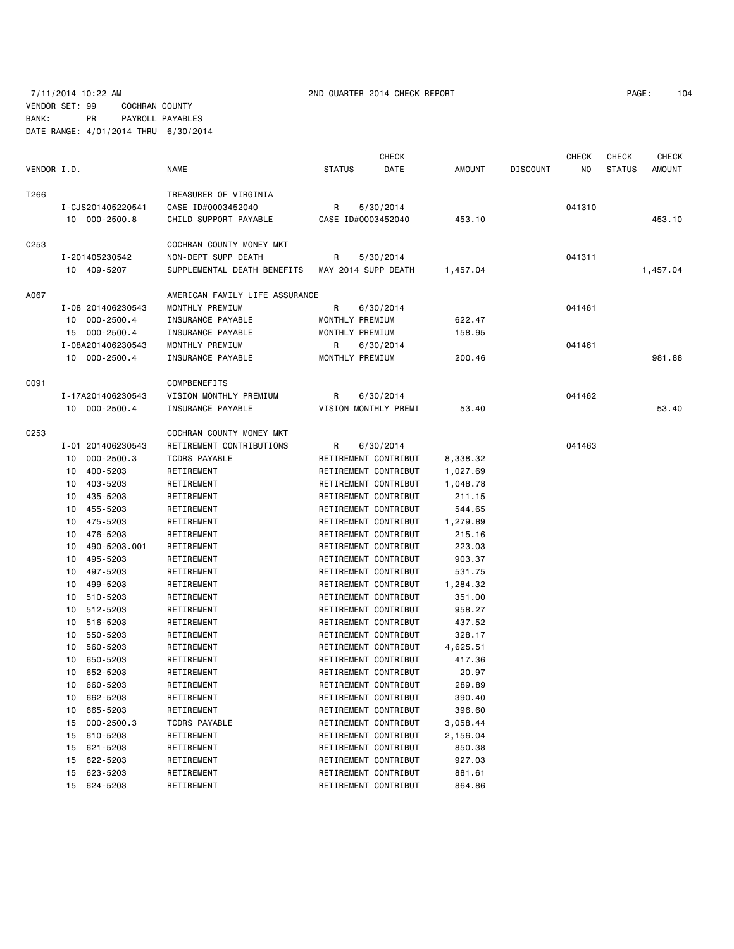# VENDOR SET: 99 COCHRAN COUNTY BANK: PR PAYROLL PAYABLES

DATE RANGE: 4/01/2014 THRU 6/30/2014

|             |    |                   |                                |                 | <b>CHECK</b>         |          |                 | <b>CHECK</b> | CHECK         | <b>CHECK</b>  |
|-------------|----|-------------------|--------------------------------|-----------------|----------------------|----------|-----------------|--------------|---------------|---------------|
| VENDOR I.D. |    |                   | <b>NAME</b>                    | <b>STATUS</b>   | DATE                 | AMOUNT   | <b>DISCOUNT</b> | NO.          | <b>STATUS</b> | <b>AMOUNT</b> |
| T266        |    |                   | TREASURER OF VIRGINIA          |                 |                      |          |                 |              |               |               |
|             |    | I-CJS201405220541 | CASE ID#0003452040             | R               | 5/30/2014            |          |                 | 041310       |               |               |
|             |    | 10 000-2500.8     | CHILD SUPPORT PAYABLE          |                 | CASE ID#0003452040   | 453.10   |                 |              |               | 453.10        |
| C253        |    |                   | COCHRAN COUNTY MONEY MKT       |                 |                      |          |                 |              |               |               |
|             |    | I-201405230542    | NON-DEPT SUPP DEATH            | R               | 5/30/2014            |          |                 | 041311       |               |               |
|             |    | 10 409-5207       | SUPPLEMENTAL DEATH BENEFITS    |                 | MAY 2014 SUPP DEATH  | 1,457.04 |                 |              |               | 1,457.04      |
| A067        |    |                   | AMERICAN FAMILY LIFE ASSURANCE |                 |                      |          |                 |              |               |               |
|             |    | I-08 201406230543 | MONTHLY PREMIUM                | R               | 6/30/2014            |          |                 | 041461       |               |               |
|             |    | 10 000-2500.4     | INSURANCE PAYABLE              | MONTHLY PREMIUM |                      | 622.47   |                 |              |               |               |
|             |    | 15 000-2500.4     | INSURANCE PAYABLE              | MONTHLY PREMIUM |                      | 158.95   |                 |              |               |               |
|             |    | I-08A201406230543 | MONTHLY PREMIUM                | R               | 6/30/2014            |          |                 | 041461       |               |               |
|             |    | 10 000-2500.4     | INSURANCE PAYABLE              | MONTHLY PREMIUM |                      | 200.46   |                 |              |               | 981.88        |
| C091        |    |                   | COMPBENEFITS                   |                 |                      |          |                 |              |               |               |
|             |    | I-17A201406230543 | VISION MONTHLY PREMIUM         | R               | 6/30/2014            |          |                 | 041462       |               |               |
|             |    | 10 000-2500.4     | INSURANCE PAYABLE              |                 | VISION MONTHLY PREMI | 53.40    |                 |              |               | 53,40         |
| C253        |    |                   | COCHRAN COUNTY MONEY MKT       |                 |                      |          |                 |              |               |               |
|             |    | I-01 201406230543 | RETIREMENT CONTRIBUTIONS       | R               | 6/30/2014            |          |                 | 041463       |               |               |
|             | 10 | $000 - 2500.3$    | <b>TCDRS PAYABLE</b>           |                 | RETIREMENT CONTRIBUT | 8,338.32 |                 |              |               |               |
|             |    | 10 400-5203       | RETIREMENT                     |                 | RETIREMENT CONTRIBUT | 1,027.69 |                 |              |               |               |
|             | 10 | 403-5203          | RETIREMENT                     |                 | RETIREMENT CONTRIBUT | 1,048.78 |                 |              |               |               |
|             | 10 | 435-5203          | RETIREMENT                     |                 | RETIREMENT CONTRIBUT | 211.15   |                 |              |               |               |
|             | 10 | 455-5203          | RETIREMENT                     |                 | RETIREMENT CONTRIBUT | 544.65   |                 |              |               |               |
|             | 10 | 475-5203          | RETIREMENT                     |                 | RETIREMENT CONTRIBUT | 1,279.89 |                 |              |               |               |
|             | 10 | 476-5203          | RETIREMENT                     |                 | RETIREMENT CONTRIBUT | 215.16   |                 |              |               |               |
|             | 10 | 490-5203.001      | RETIREMENT                     |                 | RETIREMENT CONTRIBUT | 223.03   |                 |              |               |               |
|             | 10 | 495-5203          | RETIREMENT                     |                 | RETIREMENT CONTRIBUT | 903.37   |                 |              |               |               |
|             | 10 | 497-5203          | RETIREMENT                     |                 | RETIREMENT CONTRIBUT | 531.75   |                 |              |               |               |
|             | 10 | 499-5203          | RETIREMENT                     |                 | RETIREMENT CONTRIBUT | 1,284.32 |                 |              |               |               |
|             | 10 | 510-5203          | RETIREMENT                     |                 | RETIREMENT CONTRIBUT | 351.00   |                 |              |               |               |
|             | 10 | 512-5203          | RETIREMENT                     |                 | RETIREMENT CONTRIBUT | 958.27   |                 |              |               |               |
|             | 10 | 516-5203          | RETIREMENT                     |                 | RETIREMENT CONTRIBUT | 437.52   |                 |              |               |               |
|             | 10 | 550-5203          | RETIREMENT                     |                 | RETIREMENT CONTRIBUT | 328.17   |                 |              |               |               |
|             | 10 | 560-5203          | RETIREMENT                     |                 | RETIREMENT CONTRIBUT | 4,625.51 |                 |              |               |               |
|             | 10 | 650-5203          | RETIREMENT                     |                 | RETIREMENT CONTRIBUT | 417.36   |                 |              |               |               |
|             |    | 10 652-5203       | RETIREMENT                     |                 | RETIREMENT CONTRIBUT | 20.97    |                 |              |               |               |
|             |    | 10 660-5203       | RETIREMENT                     |                 | RETIREMENT CONTRIBUT | 289.89   |                 |              |               |               |
|             |    | 10 662-5203       | RETIREMENT                     |                 | RETIREMENT CONTRIBUT | 390.40   |                 |              |               |               |
|             | 10 | 665-5203          | RETIREMENT                     |                 | RETIREMENT CONTRIBUT | 396.60   |                 |              |               |               |
|             |    | 15 000-2500.3     | <b>TCDRS PAYABLE</b>           |                 | RETIREMENT CONTRIBUT | 3,058.44 |                 |              |               |               |
|             |    | 15 610-5203       | RETIREMENT                     |                 | RETIREMENT CONTRIBUT | 2,156.04 |                 |              |               |               |
|             | 15 | 621-5203          | RETIREMENT                     |                 | RETIREMENT CONTRIBUT | 850.38   |                 |              |               |               |
|             |    | 15 622-5203       | RETIREMENT                     |                 | RETIREMENT CONTRIBUT | 927.03   |                 |              |               |               |
|             |    | 15 623-5203       | RETIREMENT                     |                 | RETIREMENT CONTRIBUT | 881.61   |                 |              |               |               |
|             | 15 | 624-5203          | RETIREMENT                     |                 | RETIREMENT CONTRIBUT | 864.86   |                 |              |               |               |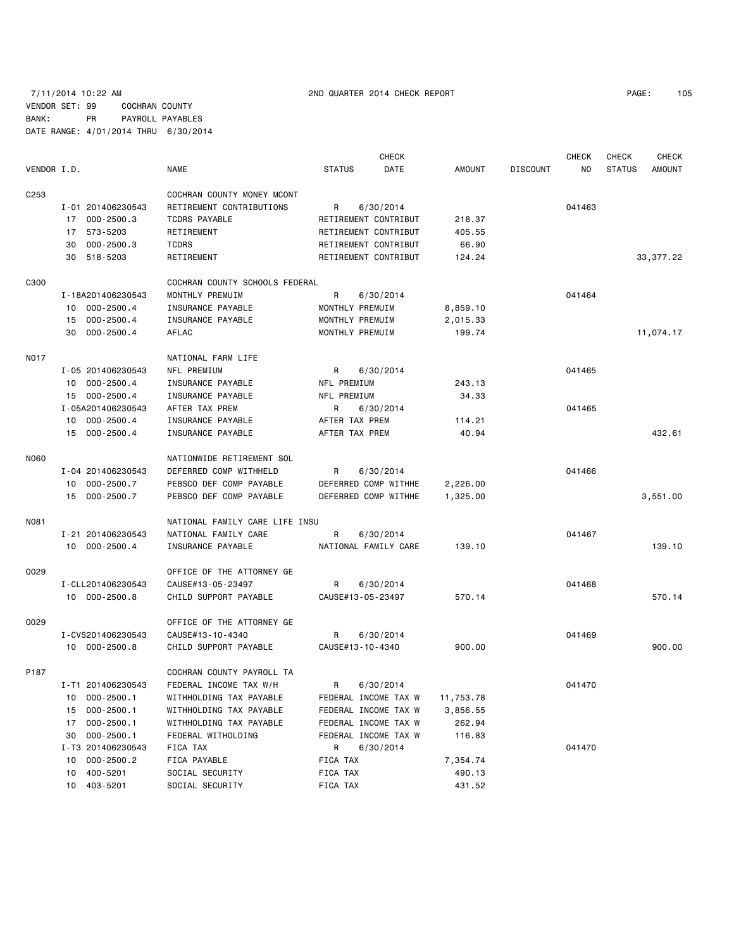# 7/11/2014 10:22 AM 2ND QUARTER 2014 CHECK REPORT PAGE: 105 VENDOR SET: 99 COCHRAN COUNTY BANK: PR PAYROLL PAYABLES DATE RANGE: 4/01/2014 THRU 6/30/2014

| PAGE : | 105 |
|--------|-----|
|--------|-----|

|                  |                      |                                |                           | <b>CHECK</b> |               |                 | <b>CHECK</b> | <b>CHECK</b>  | <b>CHECK</b> |
|------------------|----------------------|--------------------------------|---------------------------|--------------|---------------|-----------------|--------------|---------------|--------------|
| VENDOR I.D.      |                      | <b>NAME</b>                    | <b>STATUS</b>             | DATE         | <b>AMOUNT</b> | <b>DISCOUNT</b> | NO.          | <b>STATUS</b> | AMOUNT       |
| C <sub>253</sub> |                      | COCHRAN COUNTY MONEY MCONT     |                           |              |               |                 |              |               |              |
|                  | I-01 201406230543    | RETIREMENT CONTRIBUTIONS       | R                         | 6/30/2014    |               |                 | 041463       |               |              |
|                  | $000 - 2500.3$<br>17 | <b>TCDRS PAYABLE</b>           | RETIREMENT CONTRIBUT      |              | 218.37        |                 |              |               |              |
|                  | 573-5203<br>17       | RETIREMENT                     | RETIREMENT CONTRIBUT      |              | 405.55        |                 |              |               |              |
|                  | $000 - 2500.3$<br>30 | <b>TCDRS</b>                   | RETIREMENT CONTRIBUT      |              | 66.90         |                 |              |               |              |
|                  | 30 518-5203          | RETIREMENT                     | RETIREMENT CONTRIBUT      |              | 124.24        |                 |              |               | 33, 377.22   |
|                  |                      |                                |                           |              |               |                 |              |               |              |
| C300             |                      | COCHRAN COUNTY SCHOOLS FEDERAL |                           |              |               |                 |              |               |              |
|                  | I-18A201406230543    | MONTHLY PREMUIM                | R                         | 6/30/2014    |               |                 | 041464       |               |              |
|                  | 10 000-2500.4        | <b>INSURANCE PAYABLE</b>       | MONTHLY PREMUIM           |              | 8,859.10      |                 |              |               |              |
|                  | $000 - 2500.4$<br>15 | INSURANCE PAYABLE              | MONTHLY PREMUIM           |              | 2,015.33      |                 |              |               |              |
|                  | 30 000-2500.4        | AFLAC                          | MONTHLY PREMUIM           |              | 199.74        |                 |              |               | 11,074.17    |
| N017             |                      | NATIONAL FARM LIFE             |                           |              |               |                 |              |               |              |
|                  | I-05 201406230543    | NFL PREMIUM                    | R                         | 6/30/2014    |               |                 | 041465       |               |              |
|                  | 10 000-2500.4        | INSURANCE PAYABLE              | NFL PREMIUM               |              | 243.13        |                 |              |               |              |
|                  | $000 - 2500.4$<br>15 | INSURANCE PAYABLE              | NFL PREMIUM               |              | 34.33         |                 |              |               |              |
|                  | I-05A201406230543    | AFTER TAX PREM                 | R.                        | 6/30/2014    |               |                 | 041465       |               |              |
|                  | $000 - 2500.4$<br>10 | INSURANCE PAYABLE              | AFTER TAX PREM            |              | 114.21        |                 |              |               |              |
|                  | 15 000-2500.4        | INSURANCE PAYABLE              | AFTER TAX PREM            |              | 40.94         |                 |              |               | 432.61       |
| N060             |                      | NATIONWIDE RETIREMENT SOL      |                           |              |               |                 |              |               |              |
|                  | I-04 201406230543    | DEFERRED COMP WITHHELD         |                           |              |               |                 | 041466       |               |              |
|                  |                      | PEBSCO DEF COMP PAYABLE        | R<br>DEFERRED COMP WITHHE | 6/30/2014    | 2,226.00      |                 |              |               |              |
|                  | 10 000-2500.7        |                                |                           |              |               |                 |              |               |              |
|                  | 15 000-2500.7        | PEBSCO DEF COMP PAYABLE        | DEFERRED COMP WITHHE      |              | 1,325.00      |                 |              |               | 3,551.00     |
| N081             |                      | NATIONAL FAMILY CARE LIFE INSU |                           |              |               |                 |              |               |              |
|                  | I-21 201406230543    | NATIONAL FAMILY CARE           | R                         | 6/30/2014    |               |                 | 041467       |               |              |
|                  | 10 000-2500.4        | INSURANCE PAYABLE              | NATIONAL FAMILY CARE      |              | 139.10        |                 |              |               | 139.10       |
| 0029             |                      | OFFICE OF THE ATTORNEY GE      |                           |              |               |                 |              |               |              |
|                  | I-CLL201406230543    | CAUSE#13-05-23497              | R                         | 6/30/2014    |               |                 | 041468       |               |              |
|                  | 10 000-2500.8        | CHILD SUPPORT PAYABLE          | CAUSE#13-05-23497         |              | 570.14        |                 |              |               | 570.14       |
| 0029             |                      | OFFICE OF THE ATTORNEY GE      |                           |              |               |                 |              |               |              |
|                  | I-CVS201406230543    | CAUSE#13-10-4340               | R                         | 6/30/2014    |               |                 | 041469       |               |              |
|                  | 10 000-2500.8        | CHILD SUPPORT PAYABLE          | CAUSE#13-10-4340          |              | 900.00        |                 |              |               | 900.00       |
|                  |                      |                                |                           |              |               |                 |              |               |              |
| P187             |                      | COCHRAN COUNTY PAYROLL TA      |                           |              |               |                 |              |               |              |
|                  | I-T1 201406230543    | FEDERAL INCOME TAX W/H         | R                         | 6/30/2014    |               |                 | 041470       |               |              |
|                  | $000 - 2500.1$<br>10 | WITHHOLDING TAX PAYABLE        | FEDERAL INCOME TAX W      |              | 11,753.78     |                 |              |               |              |
|                  | $000 - 2500.1$<br>15 | WITHHOLDING TAX PAYABLE        | FEDERAL INCOME TAX W      |              | 3,856.55      |                 |              |               |              |
|                  | $000 - 2500.1$<br>17 | WITHHOLDING TAX PAYABLE        | FEDERAL INCOME TAX W      |              | 262.94        |                 |              |               |              |
|                  | $000 - 2500.1$<br>30 | FEDERAL WITHOLDING             | FEDERAL INCOME TAX W      |              | 116.83        |                 |              |               |              |
|                  | I-T3 201406230543    | FICA TAX                       | R,                        | 6/30/2014    |               |                 | 041470       |               |              |
|                  | $000 - 2500.2$<br>10 | FICA PAYABLE                   | FICA TAX                  |              | 7,354.74      |                 |              |               |              |
|                  | 400-5201<br>10       | SOCIAL SECURITY                | FICA TAX                  |              | 490.13        |                 |              |               |              |
|                  | 403-5201<br>10       | SOCIAL SECURITY                | FICA TAX                  |              | 431.52        |                 |              |               |              |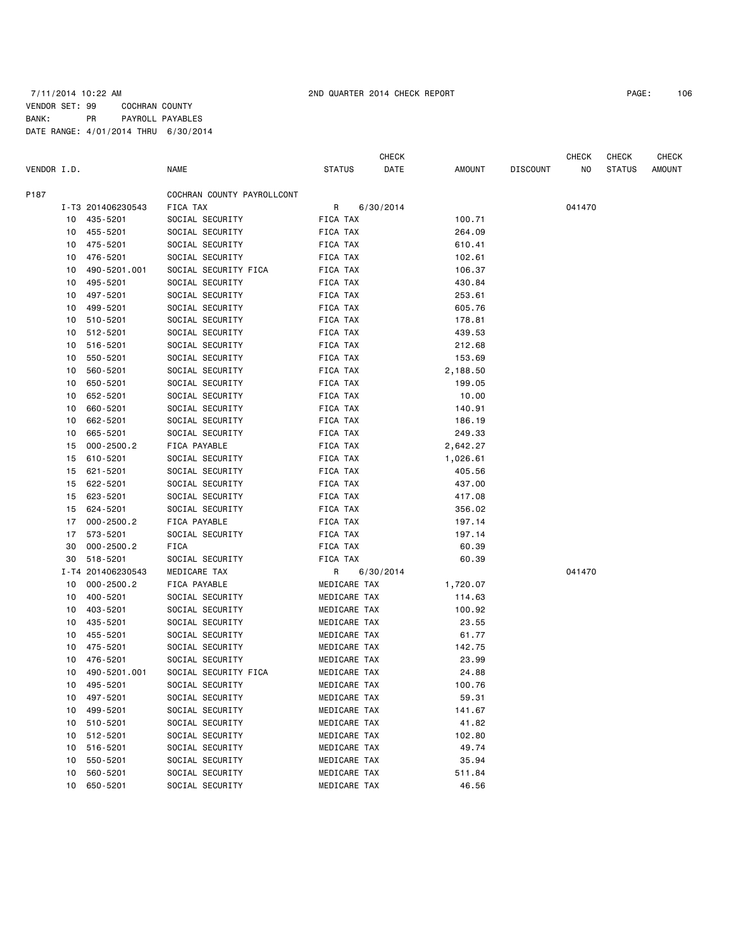# 7/11/2014 10:22 AM 2ND QUARTER 2014 CHECK REPORT PAGE: 106 VENDOR SET: 99 COCHRAN COUNTY BANK: PR PAYROLL PAYABLES DATE RANGE: 4/01/2014 THRU 6/30/2014

CHECK CHECK CHECK CHECK CHECK

| VENDOR I.D. |    |                      | <b>NAME</b>                        | <b>STATUS</b> |              | DATE      | AMOUNT   | <b>DISCOUNT</b> | NO.    | <b>STATUS</b> | <b>AMOUNT</b> |
|-------------|----|----------------------|------------------------------------|---------------|--------------|-----------|----------|-----------------|--------|---------------|---------------|
| P187        |    |                      | COCHRAN COUNTY PAYROLLCONT         |               |              |           |          |                 |        |               |               |
|             |    | I-T3 201406230543    | FICA TAX                           | R             |              | 6/30/2014 |          |                 | 041470 |               |               |
|             |    | 10 435-5201          | SOCIAL SECURITY                    | FICA TAX      |              |           | 100.71   |                 |        |               |               |
|             | 10 | 455-5201             | SOCIAL SECURITY                    | FICA TAX      |              |           | 264.09   |                 |        |               |               |
|             | 10 | 475-5201             | SOCIAL SECURITY                    | FICA TAX      |              |           | 610.41   |                 |        |               |               |
|             | 10 | 476-5201             | SOCIAL SECURITY                    | FICA TAX      |              |           | 102.61   |                 |        |               |               |
|             | 10 | 490-5201.001         | SOCIAL SECURITY FICA               | FICA TAX      |              |           | 106.37   |                 |        |               |               |
|             | 10 | 495-5201             | SOCIAL SECURITY                    | FICA TAX      |              |           | 430.84   |                 |        |               |               |
|             | 10 | 497-5201             | SOCIAL SECURITY                    | FICA TAX      |              |           | 253.61   |                 |        |               |               |
|             | 10 | 499-5201             | SOCIAL SECURITY                    | FICA TAX      |              |           | 605.76   |                 |        |               |               |
|             | 10 | 510-5201             | SOCIAL SECURITY                    | FICA TAX      |              |           | 178.81   |                 |        |               |               |
|             | 10 | 512-5201             | SOCIAL SECURITY                    | FICA TAX      |              |           | 439.53   |                 |        |               |               |
|             | 10 | 516-5201             | SOCIAL SECURITY                    | FICA TAX      |              |           | 212.68   |                 |        |               |               |
|             | 10 | 550-5201             | SOCIAL SECURITY                    | FICA TAX      |              |           | 153.69   |                 |        |               |               |
|             | 10 | 560-5201             | SOCIAL SECURITY                    | FICA TAX      |              |           | 2,188.50 |                 |        |               |               |
|             | 10 | 650-5201             | SOCIAL SECURITY                    | FICA TAX      |              |           | 199.05   |                 |        |               |               |
|             | 10 | 652-5201             | SOCIAL SECURITY                    | FICA TAX      |              |           | 10.00    |                 |        |               |               |
|             | 10 | 660-5201             | SOCIAL SECURITY                    | FICA TAX      |              |           | 140.91   |                 |        |               |               |
|             | 10 | 662-5201             | SOCIAL SECURITY                    | FICA TAX      |              |           | 186.19   |                 |        |               |               |
|             | 10 | 665-5201             | SOCIAL SECURITY                    | FICA TAX      |              |           | 249.33   |                 |        |               |               |
|             | 15 | $000 - 2500.2$       | FICA PAYABLE                       | FICA TAX      |              |           | 2,642.27 |                 |        |               |               |
|             | 15 | 610-5201             | SOCIAL SECURITY                    | FICA TAX      |              |           | 1,026.61 |                 |        |               |               |
|             | 15 | 621-5201             | SOCIAL SECURITY                    | FICA TAX      |              |           | 405.56   |                 |        |               |               |
|             | 15 | 622-5201             | SOCIAL SECURITY                    | FICA TAX      |              |           | 437.00   |                 |        |               |               |
|             | 15 | 623-5201             | SOCIAL SECURITY                    | FICA TAX      |              |           | 417.08   |                 |        |               |               |
|             | 15 | 624-5201             | SOCIAL SECURITY                    | FICA TAX      |              |           | 356.02   |                 |        |               |               |
|             | 17 | $000 - 2500.2$       | FICA PAYABLE                       | FICA TAX      |              |           | 197.14   |                 |        |               |               |
|             | 17 | 573-5201             | SOCIAL SECURITY                    | FICA TAX      |              |           | 197.14   |                 |        |               |               |
|             | 30 | $000 - 2500.2$       | FICA                               | FICA TAX      |              |           | 60.39    |                 |        |               |               |
|             | 30 | 518-5201             | SOCIAL SECURITY                    | FICA TAX      |              |           | 60.39    |                 |        |               |               |
|             |    | I-T4 201406230543    | MEDICARE TAX                       | R             |              | 6/30/2014 |          |                 | 041470 |               |               |
|             | 10 | $000 - 2500.2$       | FICA PAYABLE                       |               | MEDICARE TAX |           | 1,720.07 |                 |        |               |               |
|             | 10 | 400-5201             | SOCIAL SECURITY                    |               | MEDICARE TAX |           | 114.63   |                 |        |               |               |
|             | 10 | 403-5201             | SOCIAL SECURITY                    |               | MEDICARE TAX |           | 100.92   |                 |        |               |               |
|             | 10 | 435-5201             | SOCIAL SECURITY                    |               | MEDICARE TAX |           | 23.55    |                 |        |               |               |
|             | 10 | 455-5201             | SOCIAL SECURITY                    |               | MEDICARE TAX |           | 61.77    |                 |        |               |               |
|             | 10 | 475-5201             | SOCIAL SECURITY                    |               | MEDICARE TAX |           | 142.75   |                 |        |               |               |
|             | 10 | 476-5201             | SOCIAL SECURITY                    |               | MEDICARE TAX |           | 23.99    |                 |        |               |               |
|             | 10 | 490-5201.001         | SOCIAL SECURITY FICA               |               | MEDICARE TAX |           | 24.88    |                 |        |               |               |
|             | 10 | 495-5201             | SOCIAL SECURITY                    |               | MEDICARE TAX |           | 100.76   |                 |        |               |               |
|             |    |                      |                                    |               |              |           |          |                 |        |               |               |
|             |    | 10 497-5201          | SOCIAL SECURITY<br>SOCIAL SECURITY |               | MEDICARE TAX |           | 59.31    |                 |        |               |               |
|             | 10 | 499-5201<br>510-5201 | SOCIAL SECURITY                    |               | MEDICARE TAX |           | 141.67   |                 |        |               |               |
|             | 10 |                      |                                    |               | MEDICARE TAX |           | 41.82    |                 |        |               |               |
|             | 10 | 512-5201             | SOCIAL SECURITY                    |               | MEDICARE TAX |           | 102.80   |                 |        |               |               |
|             | 10 | 516-5201             | SOCIAL SECURITY                    |               | MEDICARE TAX |           | 49.74    |                 |        |               |               |
|             | 10 | 550-5201             | SOCIAL SECURITY                    |               | MEDICARE TAX |           | 35.94    |                 |        |               |               |
|             | 10 | 560-5201             | SOCIAL SECURITY                    |               | MEDICARE TAX |           | 511.84   |                 |        |               |               |
|             | 10 | 650-5201             | SOCIAL SECURITY                    |               | MEDICARE TAX |           | 46.56    |                 |        |               |               |
|             |    |                      |                                    |               |              |           |          |                 |        |               |               |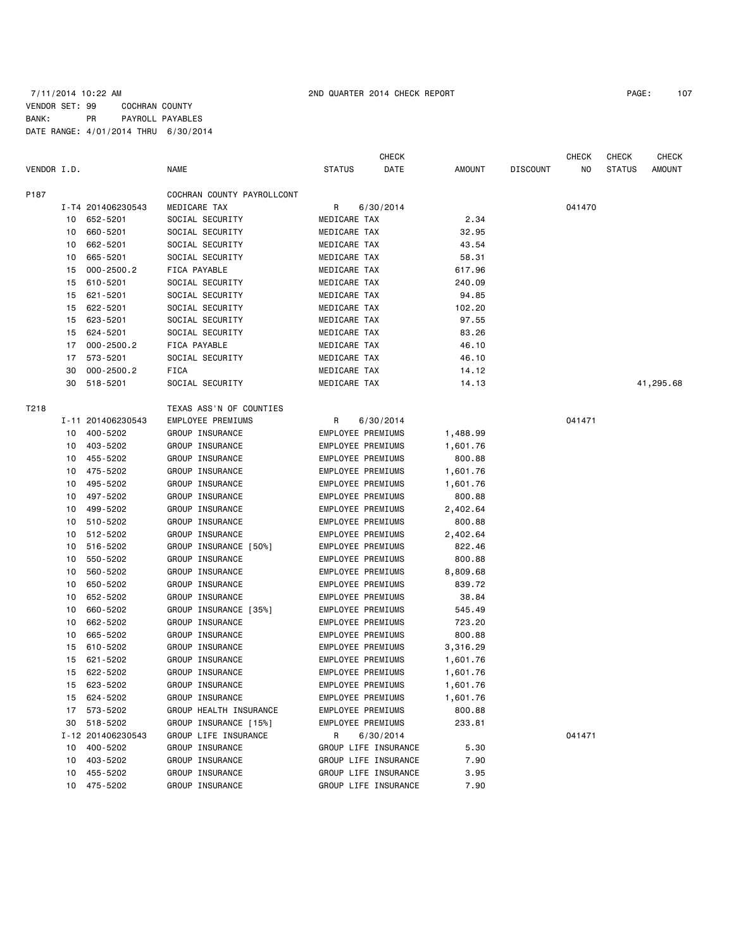# 7/11/2014 10:22 AM 2ND QUARTER 2014 CHECK REPORT PAGE: 107 VENDOR SET: 99 COCHRAN COUNTY BANK: PR PAYROLL PAYABLES DATE RANGE: 4/01/2014 THRU 6/30/2014

|             |    |                   |                            |                   | <b>CHECK</b>         |          |                 | <b>CHECK</b> | <b>CHECK</b>  | <b>CHECK</b> |
|-------------|----|-------------------|----------------------------|-------------------|----------------------|----------|-----------------|--------------|---------------|--------------|
| VENDOR I.D. |    |                   | NAME                       | <b>STATUS</b>     | DATE                 | AMOUNT   | <b>DISCOUNT</b> | NO           | <b>STATUS</b> | AMOUNT       |
| P187        |    |                   | COCHRAN COUNTY PAYROLLCONT |                   |                      |          |                 |              |               |              |
|             |    | I-T4 201406230543 | MEDICARE TAX               | R                 | 6/30/2014            |          |                 | 041470       |               |              |
|             | 10 | 652-5201          | SOCIAL SECURITY            | MEDICARE TAX      |                      | 2.34     |                 |              |               |              |
|             | 10 | 660-5201          | SOCIAL SECURITY            | MEDICARE TAX      |                      | 32.95    |                 |              |               |              |
|             | 10 | 662-5201          | SOCIAL SECURITY            | MEDICARE TAX      |                      | 43.54    |                 |              |               |              |
|             | 10 | 665-5201          | SOCIAL SECURITY            | MEDICARE TAX      |                      | 58.31    |                 |              |               |              |
|             | 15 | $000 - 2500.2$    | FICA PAYABLE               | MEDICARE TAX      |                      | 617.96   |                 |              |               |              |
|             | 15 | 610-5201          | SOCIAL SECURITY            | MEDICARE TAX      |                      | 240.09   |                 |              |               |              |
|             | 15 | 621-5201          | SOCIAL SECURITY            | MEDICARE TAX      |                      | 94.85    |                 |              |               |              |
|             | 15 | 622-5201          | SOCIAL SECURITY            | MEDICARE TAX      |                      | 102.20   |                 |              |               |              |
|             | 15 | 623-5201          | SOCIAL SECURITY            | MEDICARE TAX      |                      | 97.55    |                 |              |               |              |
|             | 15 | 624-5201          | SOCIAL SECURITY            | MEDICARE TAX      |                      | 83.26    |                 |              |               |              |
|             | 17 | $000 - 2500.2$    | FICA PAYABLE               | MEDICARE TAX      |                      | 46.10    |                 |              |               |              |
|             | 17 | 573-5201          | SOCIAL SECURITY            | MEDICARE TAX      |                      | 46.10    |                 |              |               |              |
|             | 30 | $000 - 2500.2$    | FICA                       | MEDICARE TAX      |                      | 14.12    |                 |              |               |              |
|             | 30 | 518-5201          | SOCIAL SECURITY            | MEDICARE TAX      |                      | 14.13    |                 |              |               | 41,295.68    |
| T218        |    |                   | TEXAS ASS'N OF COUNTIES    |                   |                      |          |                 |              |               |              |
|             |    | I-11 201406230543 | EMPLOYEE PREMIUMS          | R                 | 6/30/2014            |          |                 | 041471       |               |              |
|             | 10 | 400-5202          | GROUP INSURANCE            | EMPLOYEE PREMIUMS |                      | 1,488.99 |                 |              |               |              |
|             | 10 | 403-5202          | GROUP INSURANCE            | EMPLOYEE PREMIUMS |                      | 1,601.76 |                 |              |               |              |
|             | 10 | 455-5202          | <b>GROUP INSURANCE</b>     | EMPLOYEE PREMIUMS |                      | 800.88   |                 |              |               |              |
|             | 10 | 475-5202          | <b>GROUP INSURANCE</b>     | EMPLOYEE PREMIUMS |                      | 1,601.76 |                 |              |               |              |
|             | 10 | 495-5202          | GROUP INSURANCE            | EMPLOYEE PREMIUMS |                      | 1,601.76 |                 |              |               |              |
|             | 10 | 497-5202          | <b>GROUP INSURANCE</b>     | EMPLOYEE PREMIUMS |                      | 800.88   |                 |              |               |              |
|             | 10 | 499-5202          | GROUP INSURANCE            | EMPLOYEE PREMIUMS |                      | 2,402.64 |                 |              |               |              |
|             | 10 | 510-5202          | <b>GROUP INSURANCE</b>     | EMPLOYEE PREMIUMS |                      | 800.88   |                 |              |               |              |
|             | 10 | 512-5202          | GROUP INSURANCE            | EMPLOYEE PREMIUMS |                      | 2,402.64 |                 |              |               |              |
|             | 10 | 516-5202          | GROUP INSURANCE [50%]      | EMPLOYEE PREMIUMS |                      | 822.46   |                 |              |               |              |
|             | 10 | 550-5202          | <b>GROUP INSURANCE</b>     | EMPLOYEE PREMIUMS |                      | 800.88   |                 |              |               |              |
|             | 10 | 560-5202          | GROUP INSURANCE            | EMPLOYEE PREMIUMS |                      | 8,809.68 |                 |              |               |              |
|             | 10 | 650-5202          | <b>GROUP INSURANCE</b>     | EMPLOYEE PREMIUMS |                      | 839.72   |                 |              |               |              |
|             | 10 | 652-5202          | GROUP INSURANCE            | EMPLOYEE PREMIUMS |                      | 38.84    |                 |              |               |              |
|             | 10 | 660-5202          | GROUP INSURANCE [35%]      | EMPLOYEE PREMIUMS |                      | 545.49   |                 |              |               |              |
|             | 10 | 662-5202          | GROUP INSURANCE            | EMPLOYEE PREMIUMS |                      | 723.20   |                 |              |               |              |
|             | 10 | 665-5202          | <b>GROUP INSURANCE</b>     | EMPLOYEE PREMIUMS |                      | 800.88   |                 |              |               |              |
|             | 15 | 610-5202          | GROUP INSURANCE            | EMPLOYEE PREMIUMS |                      | 3,316.29 |                 |              |               |              |
|             | 15 | 621-5202          | GROUP INSURANCE            | EMPLOYEE PREMIUMS |                      | 1,601.76 |                 |              |               |              |
|             | 15 | 622-5202          | GROUP INSURANCE            | EMPLOYEE PREMIUMS |                      | 1,601.76 |                 |              |               |              |
|             | 15 | 623-5202          | GROUP INSURANCE            | EMPLOYEE PREMIUMS |                      | 1,601.76 |                 |              |               |              |
|             |    | 15 624-5202       | GROUP INSURANCE            | EMPLOYEE PREMIUMS |                      | 1,601.76 |                 |              |               |              |
|             |    | 17 573-5202       | GROUP HEALTH INSURANCE     | EMPLOYEE PREMIUMS |                      | 800.88   |                 |              |               |              |
|             | 30 | 518-5202          | GROUP INSURANCE [15%]      | EMPLOYEE PREMIUMS |                      | 233.81   |                 |              |               |              |
|             |    | I-12 201406230543 | GROUP LIFE INSURANCE       | R.                | 6/30/2014            |          |                 | 041471       |               |              |
|             |    | 10 400-5202       | GROUP INSURANCE            |                   | GROUP LIFE INSURANCE | 5.30     |                 |              |               |              |
|             |    | 10 403-5202       | GROUP INSURANCE            |                   | GROUP LIFE INSURANCE | 7.90     |                 |              |               |              |
|             | 10 | 455-5202          | GROUP INSURANCE            |                   | GROUP LIFE INSURANCE | 3.95     |                 |              |               |              |
|             |    | 10 475-5202       | <b>GROUP INSURANCE</b>     |                   | GROUP LIFE INSURANCE | 7.90     |                 |              |               |              |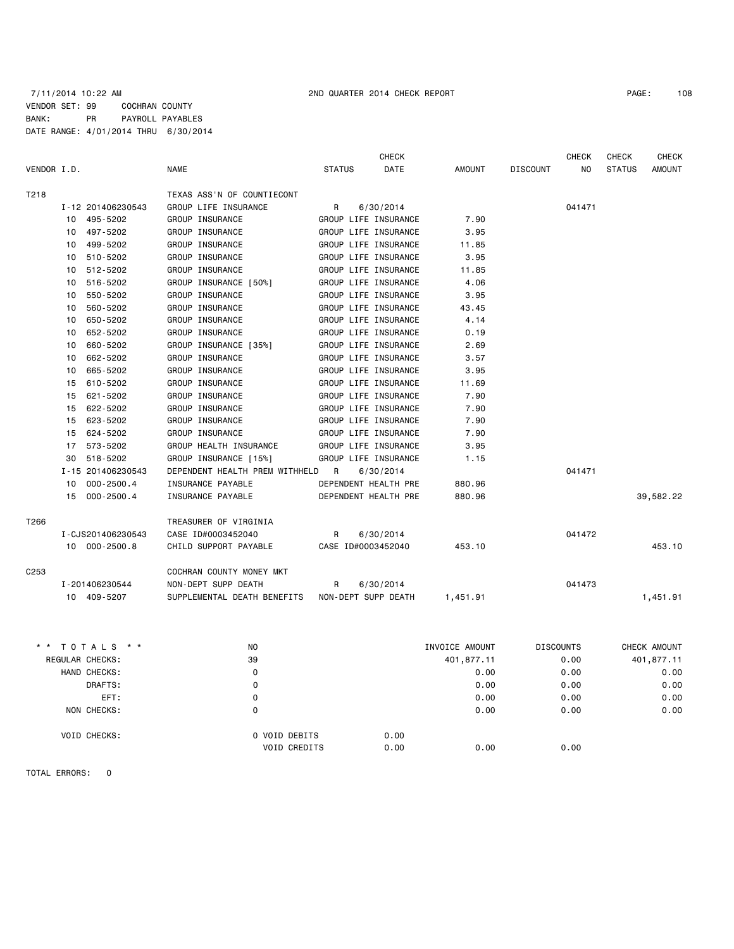# 7/11/2014 10:22 AM 2ND QUARTER 2014 CHECK REPORT PAGE: 108 VENDOR SET: 99 COCHRAN COUNTY BANK: PR PAYROLL PAYABLES DATE RANGE: 4/01/2014 THRU 6/30/2014

|             |    |                   |                                                 |               | <b>CHECK</b>         |          |                 | <b>CHECK</b>   | <b>CHECK</b>  | <b>CHECK</b>  |
|-------------|----|-------------------|-------------------------------------------------|---------------|----------------------|----------|-----------------|----------------|---------------|---------------|
| VENDOR I.D. |    |                   | <b>NAME</b>                                     | <b>STATUS</b> | <b>DATE</b>          | AMOUNT   | <b>DISCOUNT</b> | N <sub>O</sub> | <b>STATUS</b> | <b>AMOUNT</b> |
| T218        |    |                   | TEXAS ASS'N OF COUNTIECONT                      |               |                      |          |                 |                |               |               |
|             |    | I-12 201406230543 | GROUP LIFE INSURANCE                            | R             | 6/30/2014            |          |                 | 041471         |               |               |
|             |    | 10 495-5202       | GROUP INSURANCE                                 |               | GROUP LIFE INSURANCE | 7.90     |                 |                |               |               |
|             | 10 | 497-5202          | GROUP INSURANCE                                 |               | GROUP LIFE INSURANCE | 3.95     |                 |                |               |               |
|             | 10 | 499-5202          | GROUP INSURANCE                                 |               | GROUP LIFE INSURANCE | 11.85    |                 |                |               |               |
|             | 10 | 510-5202          | GROUP INSURANCE                                 |               | GROUP LIFE INSURANCE | 3.95     |                 |                |               |               |
|             | 10 | 512-5202          | GROUP INSURANCE                                 |               | GROUP LIFE INSURANCE | 11.85    |                 |                |               |               |
|             | 10 | 516-5202          | GROUP INSURANCE [50%]                           |               | GROUP LIFE INSURANCE | 4.06     |                 |                |               |               |
|             | 10 | 550-5202          | GROUP INSURANCE                                 |               | GROUP LIFE INSURANCE | 3.95     |                 |                |               |               |
|             | 10 | 560-5202          | GROUP INSURANCE                                 |               | GROUP LIFE INSURANCE | 43.45    |                 |                |               |               |
|             | 10 | 650-5202          | GROUP INSURANCE                                 |               | GROUP LIFE INSURANCE | 4.14     |                 |                |               |               |
|             | 10 | 652-5202          | GROUP INSURANCE                                 |               | GROUP LIFE INSURANCE | 0.19     |                 |                |               |               |
|             | 10 | 660-5202          | GROUP INSURANCE [35%]                           |               | GROUP LIFE INSURANCE | 2.69     |                 |                |               |               |
|             | 10 | 662-5202          | GROUP INSURANCE                                 |               | GROUP LIFE INSURANCE | 3.57     |                 |                |               |               |
|             | 10 | 665-5202          | GROUP INSURANCE                                 |               | GROUP LIFE INSURANCE | 3.95     |                 |                |               |               |
|             | 15 | 610-5202          | GROUP INSURANCE                                 |               | GROUP LIFE INSURANCE | 11.69    |                 |                |               |               |
|             | 15 | 621-5202          | GROUP INSURANCE                                 |               | GROUP LIFE INSURANCE | 7.90     |                 |                |               |               |
|             | 15 | 622-5202          | GROUP INSURANCE                                 |               | GROUP LIFE INSURANCE | 7.90     |                 |                |               |               |
|             | 15 | 623-5202          | GROUP INSURANCE                                 |               | GROUP LIFE INSURANCE | 7.90     |                 |                |               |               |
|             | 15 | 624-5202          | GROUP INSURANCE                                 |               | GROUP LIFE INSURANCE | 7.90     |                 |                |               |               |
|             | 17 | 573-5202          | GROUP HEALTH INSURANCE                          |               | GROUP LIFE INSURANCE | 3.95     |                 |                |               |               |
|             | 30 | 518-5202          | GROUP INSURANCE [15%]                           |               | GROUP LIFE INSURANCE | 1.15     |                 |                |               |               |
|             |    | I-15 201406230543 | DEPENDENT HEALTH PREM WITHHELD R                |               | 6/30/2014            |          |                 | 041471         |               |               |
|             |    | 10 000-2500.4     | INSURANCE PAYABLE                               |               | DEPENDENT HEALTH PRE | 880.96   |                 |                |               |               |
|             |    | 15 000-2500.4     | INSURANCE PAYABLE                               |               | DEPENDENT HEALTH PRE | 880.96   |                 |                |               | 39,582.22     |
| T266        |    |                   | TREASURER OF VIRGINIA                           |               |                      |          |                 |                |               |               |
|             |    | I-CJS201406230543 | CASE ID#0003452040                              | R             | 6/30/2014            |          |                 | 041472         |               |               |
|             |    | 10 000-2500.8     | CHILD SUPPORT PAYABLE                           |               | CASE ID#0003452040   | 453.10   |                 |                |               | 453.10        |
| C253        |    |                   | COCHRAN COUNTY MONEY MKT                        |               |                      |          |                 |                |               |               |
|             |    | I-201406230544    | NON-DEPT SUPP DEATH                             | R             | 6/30/2014            |          |                 | 041473         |               |               |
|             |    | 10 409-5207       | SUPPLEMENTAL DEATH BENEFITS NON-DEPT SUPP DEATH |               |                      | 1,451.91 |                 |                |               | 1,451.91      |
|             |    |                   |                                                 |               |                      |          |                 |                |               |               |

| * * TOTALS * *      | N <sub>0</sub>      | INVOICE AMOUNT |            | <b>DISCOUNTS</b> | CHECK AMOUNT |
|---------------------|---------------------|----------------|------------|------------------|--------------|
| REGULAR CHECKS:     | 39                  |                | 401,877.11 | 0.00             | 401,877.11   |
| HAND CHECKS:        | 0                   |                | 0.00       | 0.00             | 0.00         |
| DRAFTS:             | 0                   |                | 0.00       | 0.00             | 0.00         |
| EFT:                | 0                   |                | 0.00       | 0.00             | 0.00         |
| NON CHECKS:         | 0                   |                | 0.00       | 0.00             | 0.00         |
| <b>VOID CHECKS:</b> | O VOID DEBITS       | 0.00           |            |                  |              |
|                     | <b>VOID CREDITS</b> | 0.00           | 0.00       | 0.00             |              |
|                     |                     |                |            |                  |              |

TOTAL ERRORS: 0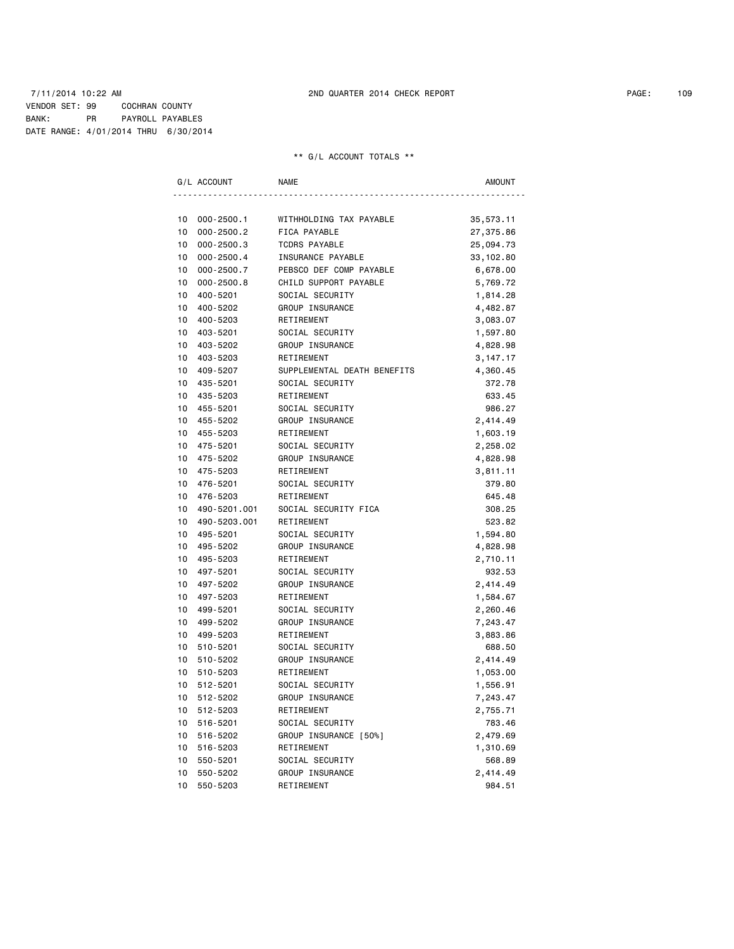#### 7/11/2014 10:22 AM 2ND QUARTER 2014 CHECK REPORT PAGE: 109 VENDOR SET: 99 COCHRAN COUNTY BANK: PR PAYROLL PAYABLES DATE RANGE: 4/01/2014 THRU 6/30/2014

# \*\* G/L ACCOUNT TOTALS \*\*

|    | G/L ACCOUNT    | <b>NAME</b>                 | <b>AMOUNT</b> |
|----|----------------|-----------------------------|---------------|
|    |                |                             |               |
| 10 | $000 - 2500.1$ | WITHHOLDING TAX PAYABLE     | 35,573.11     |
| 10 | $000 - 2500.2$ | FICA PAYABLE                | 27,375.86     |
| 10 | $000 - 2500.3$ | <b>TCDRS PAYABLE</b>        | 25,094.73     |
| 10 | $000 - 2500.4$ | INSURANCE PAYABLE           | 33, 102.80    |
| 10 | 000-2500.7     | PEBSCO DEF COMP PAYABLE     | 6,678.00      |
| 10 | $000 - 2500.8$ | CHILD SUPPORT PAYABLE       | 5,769.72      |
| 10 | 400-5201       | SOCIAL SECURITY             | 1,814.28      |
| 10 | 400-5202       | GROUP INSURANCE             | 4,482.87      |
| 10 | 400-5203       | RETIREMENT                  | 3,083.07      |
| 10 | 403-5201       | SOCIAL SECURITY             | 1,597.80      |
| 10 | 403-5202       | GROUP INSURANCE             | 4,828.98      |
| 10 | 403-5203       | RETIREMENT                  | 3, 147. 17    |
| 10 | 409-5207       | SUPPLEMENTAL DEATH BENEFITS | 4,360.45      |
| 10 | 435-5201       | SOCIAL SECURITY             | 372.78        |
| 10 | 435-5203       | RETIREMENT                  | 633.45        |
| 10 | 455-5201       | SOCIAL SECURITY             | 986.27        |
| 10 | 455-5202       | GROUP INSURANCE             | 2,414.49      |
| 10 | 455-5203       | RETIREMENT                  | 1,603.19      |
| 10 | 475-5201       | SOCIAL SECURITY             | 2,258.02      |
| 10 | 475-5202       | GROUP INSURANCE             | 4,828.98      |
| 10 | 475-5203       | RETIREMENT                  | 3,811.11      |
| 10 | 476-5201       | SOCIAL SECURITY             | 379.80        |
| 10 | 476-5203       | RETIREMENT                  | 645.48        |
| 10 | 490-5201.001   | SOCIAL SECURITY FICA        | 308.25        |
| 10 | 490-5203.001   | RETIREMENT                  | 523.82        |
| 10 | 495-5201       | SOCIAL SECURITY             | 1,594.80      |
| 10 | 495-5202       | GROUP INSURANCE             | 4,828.98      |
| 10 | 495-5203       | RETIREMENT                  | 2,710.11      |
| 10 | 497-5201       | SOCIAL SECURITY             | 932.53        |
| 10 | 497-5202       | GROUP INSURANCE             | 2,414.49      |
| 10 | 497-5203       | RETIREMENT                  | 1,584.67      |
| 10 | 499-5201       | SOCIAL SECURITY             | 2,260.46      |
| 10 | 499-5202       | GROUP INSURANCE             | 7,243.47      |
| 10 | 499-5203       | RETIREMENT                  | 3,883.86      |
| 10 | 510-5201       | SOCIAL SECURITY             | 688.50        |
| 10 | 510-5202       | GROUP INSURANCE             | 2,414.49      |
| 10 | 510-5203       | RETIREMENT                  | 1,053.00      |
| 10 | 512-5201       | SOCIAL SECURITY             | 1,556.91      |
| 10 | 512-5202       | GROUP INSURANCE             | 7,243.47      |
| 10 | 512-5203       | RETIREMENT                  | 2,755.71      |
| 10 | 516-5201       | SOCIAL SECURITY             | 783.46        |
| 10 | 516-5202       | GROUP INSURANCE [50%]       | 2,479.69      |
| 10 | 516-5203       | RETIREMENT                  | 1,310.69      |
| 10 | 550-5201       | SOCIAL SECURITY             | 568.89        |
| 10 | 550-5202       | GROUP INSURANCE             | 2,414.49      |
| 10 | 550-5203       | RETIREMENT                  | 984.51        |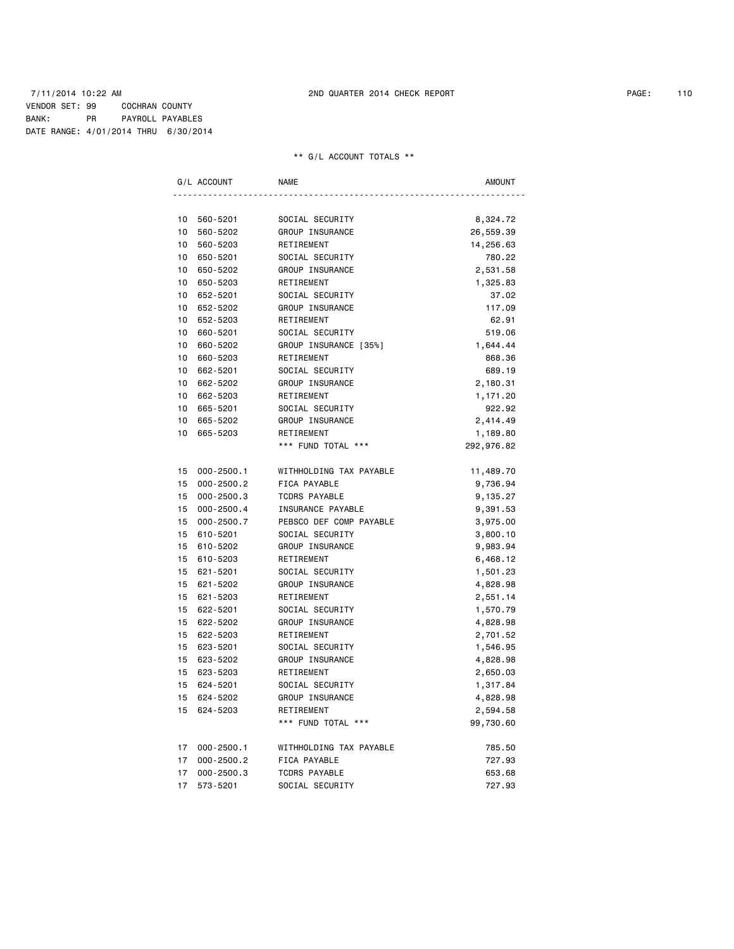#### 7/11/2014 10:22 AM 2ND QUARTER 2014 CHECK REPORT PAGE: 110 VENDOR SET: 99 COCHRAN COUNTY BANK: PR PAYROLL PAYABLES DATE RANGE: 4/01/2014 THRU 6/30/2014

# \*\* G/L ACCOUNT TOTALS \*\*

|    | G/L ACCOUNT    | <b>NAME</b>             | AMOUNT     |
|----|----------------|-------------------------|------------|
|    |                |                         |            |
| 10 | 560-5201       | SOCIAL SECURITY         | 8,324.72   |
| 10 | 560-5202       | GROUP INSURANCE         | 26,559.39  |
| 10 | 560-5203       | RETIREMENT              | 14,256.63  |
| 10 | 650-5201       | SOCIAL SECURITY         | 780.22     |
| 10 | 650-5202       | GROUP INSURANCE         | 2,531.58   |
| 10 | 650-5203       | RETIREMENT              | 1,325.83   |
| 10 | 652-5201       | SOCIAL SECURITY         | 37.02      |
| 10 | 652-5202       | GROUP INSURANCE         | 117.09     |
| 10 | 652-5203       | RETIREMENT              | 62.91      |
| 10 | 660-5201       | SOCIAL SECURITY         | 519.06     |
| 10 | 660-5202       | GROUP INSURANCE [35%]   | 1,644.44   |
| 10 | 660-5203       | RETIREMENT              | 868.36     |
| 10 | 662-5201       | SOCIAL SECURITY         | 689.19     |
| 10 | 662-5202       | GROUP INSURANCE         | 2,180.31   |
| 10 | 662-5203       | RETIREMENT              | 1,171.20   |
| 10 | 665-5201       | SOCIAL SECURITY         | 922.92     |
| 10 | 665-5202       | GROUP INSURANCE         | 2,414.49   |
| 10 | 665-5203       | RETIREMENT              | 1,189.80   |
|    |                | *** FUND TOTAL ***      | 292,976.82 |
| 15 | $000 - 2500.1$ | WITHHOLDING TAX PAYABLE | 11,489.70  |
| 15 | $000 - 2500.2$ | FICA PAYABLE            | 9,736.94   |
| 15 | $000 - 2500.3$ | <b>TCDRS PAYABLE</b>    | 9,135.27   |
| 15 | $000 - 2500.4$ | INSURANCE PAYABLE       | 9,391.53   |
| 15 | $000 - 2500.7$ | PEBSCO DEF COMP PAYABLE | 3,975.00   |
| 15 | 610-5201       | SOCIAL SECURITY         | 3,800.10   |
| 15 | 610-5202       | GROUP INSURANCE         | 9,983.94   |
| 15 | 610-5203       | RETIREMENT              | 6,468.12   |
| 15 | 621-5201       | SOCIAL SECURITY         | 1,501.23   |
| 15 | 621-5202       | <b>GROUP INSURANCE</b>  | 4,828.98   |
| 15 | 621-5203       | RETIREMENT              | 2,551.14   |
| 15 | 622-5201       | SOCIAL SECURITY         | 1,570.79   |
| 15 | 622-5202       | GROUP INSURANCE         | 4,828.98   |
| 15 | 622-5203       | RETIREMENT              | 2,701.52   |
| 15 | 623-5201       | SOCIAL SECURITY         | 1,546.95   |
| 15 | 623-5202       | GROUP INSURANCE         | 4,828.98   |
| 15 | 623-5203       | RETIREMENT              | 2,650.03   |
| 15 | 624-5201       | SOCIAL SECURITY         | 1,317.84   |
| 15 | 624-5202       | GROUP INSURANCE         | 4,828.98   |
| 15 | 624-5203       | RETIREMENT              | 2,594.58   |
|    |                | *** FUND TOTAL ***      | 99,730.60  |
| 17 | $000 - 2500.1$ | WITHHOLDING TAX PAYABLE | 785.50     |
| 17 | $000 - 2500.2$ | FICA PAYABLE            | 727.93     |
| 17 | $000 - 2500.3$ | <b>TCDRS PAYABLE</b>    | 653.68     |
| 17 | 573-5201       | SOCIAL SECURITY         | 727.93     |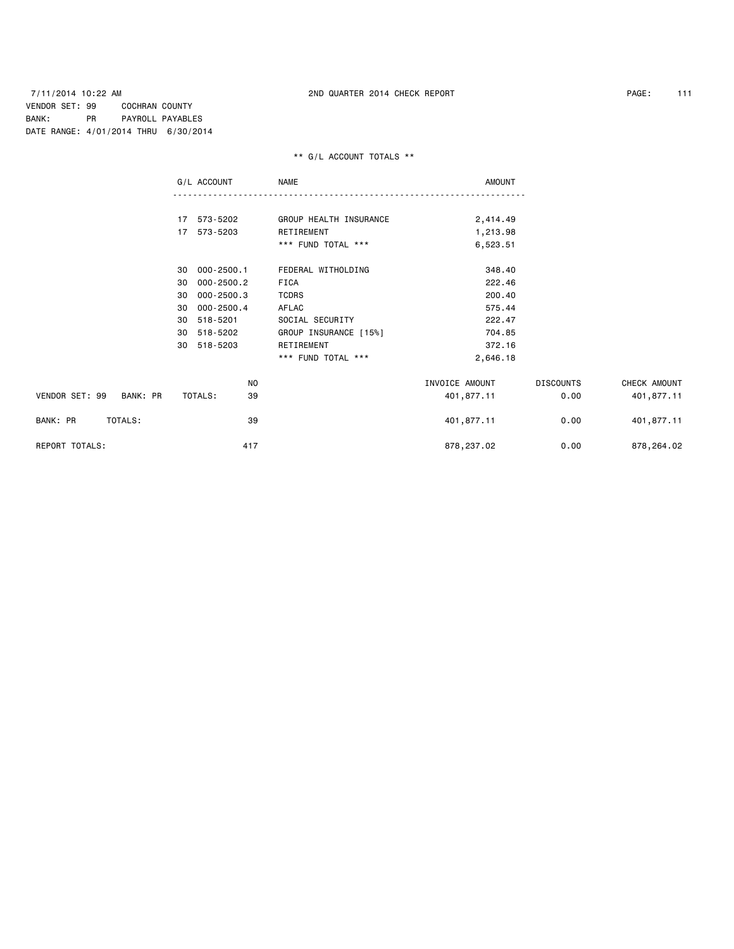# \*\* G/L ACCOUNT TOTALS \*\*

|                            | G/L ACCOUNT          | <b>NAME</b>            | <b>AMOUNT</b>  |                  |              |
|----------------------------|----------------------|------------------------|----------------|------------------|--------------|
|                            |                      |                        |                |                  |              |
|                            | 17 573-5202          | GROUP HEALTH INSURANCE | 2,414.49       |                  |              |
|                            | 17 573-5203          | RETIREMENT             | 1,213.98       |                  |              |
|                            |                      | *** FUND TOTAL ***     | 6,523.51       |                  |              |
|                            | 000-2500.1<br>30     | FEDERAL WITHOLDING     | 348.40         |                  |              |
|                            | $000 - 2500.2$<br>30 | FICA                   | 222.46         |                  |              |
|                            | $000 - 2500.3$<br>30 | <b>TCDRS</b>           | 200.40         |                  |              |
|                            | $000 - 2500.4$<br>30 | AFLAC                  | 575.44         |                  |              |
|                            | 518-5201<br>30       | SOCIAL SECURITY        | 222.47         |                  |              |
|                            | 518-5202<br>30       | GROUP INSURANCE [15%]  | 704.85         |                  |              |
|                            | 518-5203<br>30       | RETIREMENT             | 372.16         |                  |              |
|                            |                      | *** FUND TOTAL ***     | 2,646.18       |                  |              |
|                            | NO                   |                        | INVOICE AMOUNT | <b>DISCOUNTS</b> | CHECK AMOUNT |
| VENDOR SET: 99<br>BANK: PR | TOTALS:<br>39        |                        | 401,877.11     | 0.00             | 401,877.11   |
| BANK: PR<br>TOTALS:        | 39                   |                        | 401,877.11     | 0.00             | 401,877.11   |
| <b>REPORT TOTALS:</b>      | 417                  |                        | 878,237.02     | 0.00             | 878,264.02   |